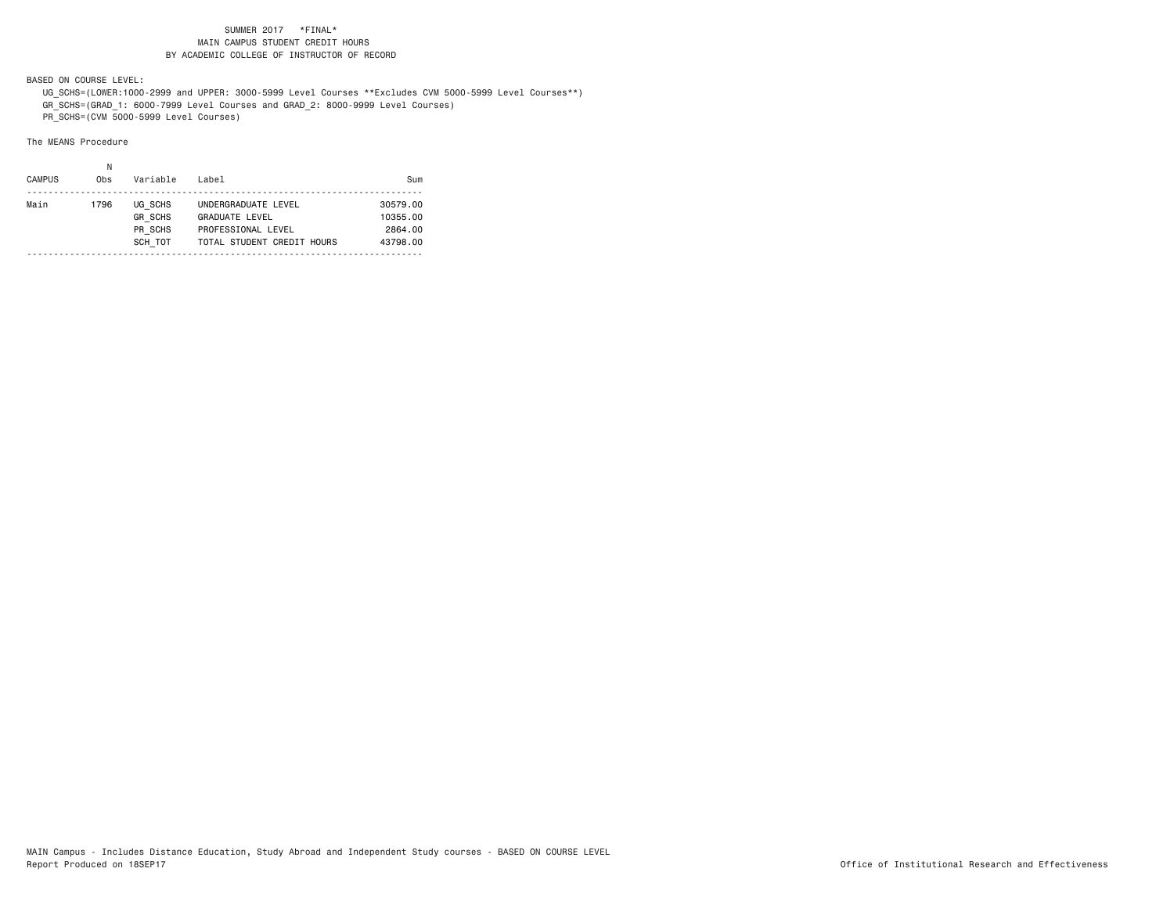BASED ON COURSE LEVEL:

 UG\_SCHS=(LOWER:1000-2999 and UPPER: 3000-5999 Level Courses \*\*Excludes CVM 5000-5999 Level Courses\*\*) GR\_SCHS=(GRAD\_1: 6000-7999 Level Courses and GRAD\_2: 8000-9999 Level Courses)

PR\_SCHS=(CVM 5000-5999 Level Courses)

| <b>CAMPUS</b><br>Variable<br>0 <sub>bs</sub>                    |                                                                                                  |                                             |
|-----------------------------------------------------------------|--------------------------------------------------------------------------------------------------|---------------------------------------------|
| Main<br>UG SCHS<br>1796<br><b>GR SCHS</b><br>PR SCHS<br>SCH TOT | UNDERGRADUATE LEVEL<br><b>GRADUATE LEVEL</b><br>PROFESSIONAL LEVEL<br>TOTAL STUDENT CREDIT HOURS | 30579.00<br>10355.00<br>2864.00<br>43798.00 |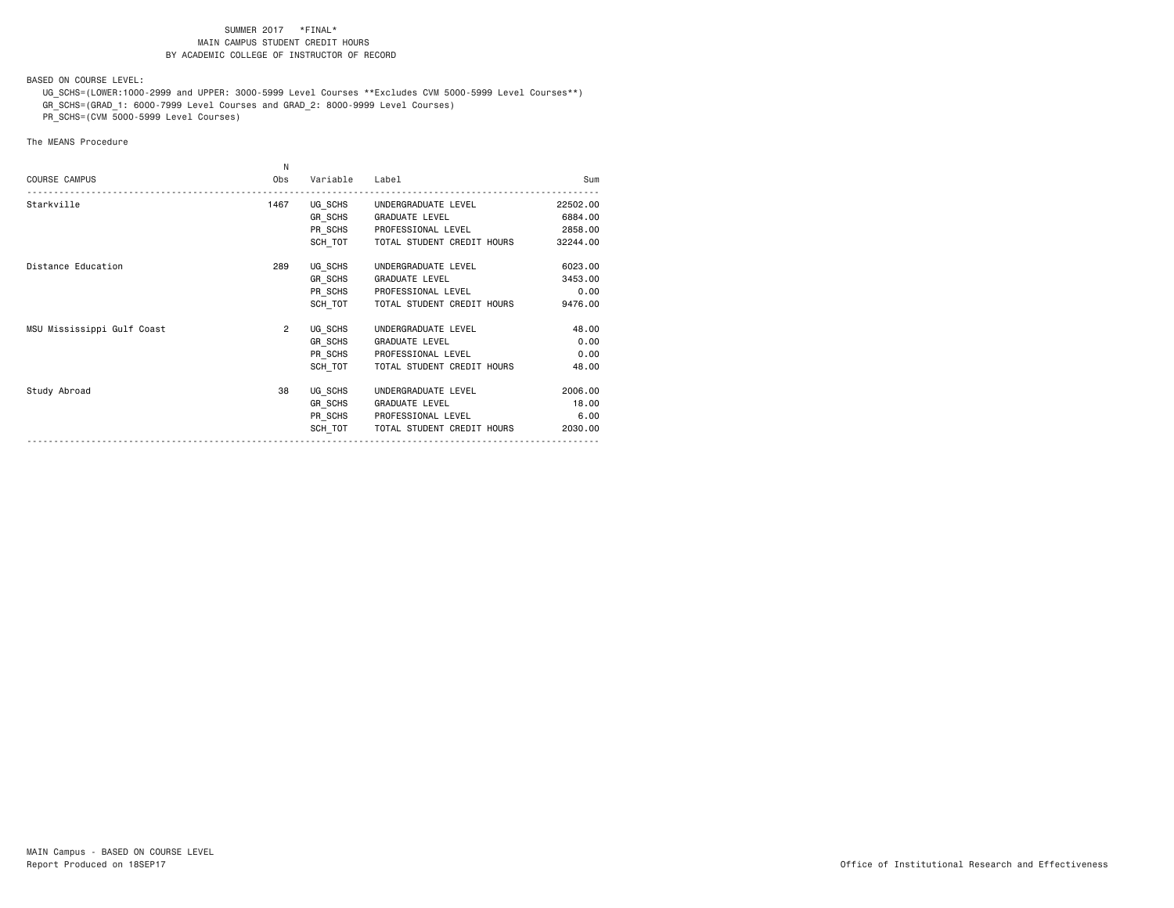BASED ON COURSE LEVEL:

 UG\_SCHS=(LOWER:1000-2999 and UPPER: 3000-5999 Level Courses \*\*Excludes CVM 5000-5999 Level Courses\*\*) GR\_SCHS=(GRAD\_1: 6000-7999 Level Courses and GRAD\_2: 8000-9999 Level Courses)

PR\_SCHS=(CVM 5000-5999 Level Courses)

|                            | N              |                |                             |          |
|----------------------------|----------------|----------------|-----------------------------|----------|
| <b>COURSE CAMPUS</b>       | Obs            | Variable       | Label                       | Sum      |
| Starkville                 | 1467           |                | UG SCHS UNDERGRADUATE LEVEL | 22502.00 |
|                            |                | <b>GR SCHS</b> | GRADUATE LEVEL              | 6884.00  |
|                            |                | PR_SCHS        | PROFESSIONAL LEVEL          | 2858.00  |
|                            |                | SCH TOT        | TOTAL STUDENT CREDIT HOURS  | 32244.00 |
| Distance Education         | 289            | UG SCHS        | UNDERGRADUATE LEVEL         | 6023.00  |
|                            |                | GR SCHS        | <b>GRADUATE LEVEL</b>       | 3453.00  |
|                            |                | PR SCHS        | PROFESSIONAL LEVEL          | 0.00     |
|                            |                | SCH TOT        | TOTAL STUDENT CREDIT HOURS  | 9476.00  |
| MSU Mississippi Gulf Coast | $\overline{2}$ | UG SCHS        | UNDERGRADUATE LEVEL         | 48.00    |
|                            |                | GR SCHS        | <b>GRADUATE LEVEL</b>       | 0.00     |
|                            |                | PR_SCHS        | PROFESSIONAL LEVEL          | 0.00     |
|                            |                | SCH TOT        | TOTAL STUDENT CREDIT HOURS  | 48.00    |
| Study Abroad               | 38             | UG SCHS        | UNDERGRADUATE LEVEL         | 2006.00  |
|                            |                | GR SCHS        | <b>GRADUATE LEVEL</b>       | 18.00    |
|                            |                |                | PR SCHS PROFESSIONAL LEVEL  | 6.00     |
|                            |                | SCH TOT        | TOTAL STUDENT CREDIT HOURS  | 2030.00  |
|                            |                |                |                             |          |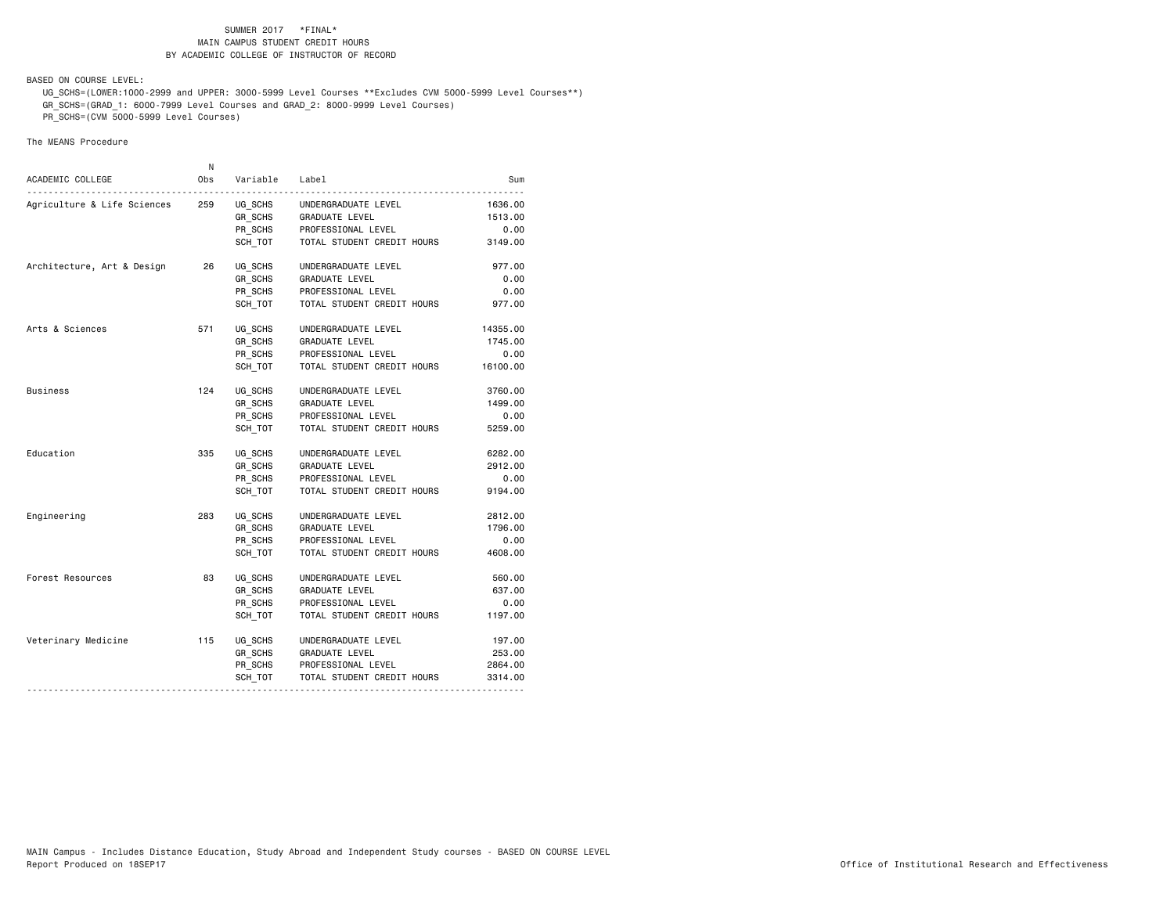BASED ON COURSE LEVEL:

 UG\_SCHS=(LOWER:1000-2999 and UPPER: 3000-5999 Level Courses \*\*Excludes CVM 5000-5999 Level Courses\*\*) GR\_SCHS=(GRAD\_1: 6000-7999 Level Courses and GRAD\_2: 8000-9999 Level Courses)

PR\_SCHS=(CVM 5000-5999 Level Courses)

|                             | N   |          |                            |          |
|-----------------------------|-----|----------|----------------------------|----------|
| ACADEMIC COLLEGE            | Obs | Variable | Label                      | Sum      |
| Agriculture & Life Sciences | 259 | UG SCHS  | UNDERGRADUATE LEVEL        | 1636.00  |
|                             |     | GR_SCHS  | GRADUATE LEVEL             | 1513.00  |
|                             |     | PR_SCHS  | PROFESSIONAL LEVEL         | 0.00     |
|                             |     | SCH TOT  | TOTAL STUDENT CREDIT HOURS | 3149.00  |
| Architecture, Art & Design  | 26  | UG SCHS  | UNDERGRADUATE LEVEL        | 977.00   |
|                             |     | GR_SCHS  | GRADUATE LEVEL             | 0.00     |
|                             |     | PR_SCHS  | PROFESSIONAL LEVEL         | 0.00     |
|                             |     | SCH TOT  | TOTAL STUDENT CREDIT HOURS | 977.00   |
| Arts & Sciences             | 571 | UG SCHS  | UNDERGRADUATE LEVEL        | 14355.00 |
|                             |     | GR_SCHS  | GRADUATE LEVEL             | 1745.00  |
|                             |     | PR SCHS  | PROFESSIONAL LEVEL         | 0.00     |
|                             |     | SCH TOT  | TOTAL STUDENT CREDIT HOURS | 16100.00 |
| Business                    | 124 | UG_SCHS  | UNDERGRADUATE LEVEL        | 3760.00  |
|                             |     | GR SCHS  | <b>GRADUATE LEVEL</b>      | 1499.00  |
|                             |     | PR_SCHS  | PROFESSIONAL LEVEL         | 0.00     |
|                             |     | SCH TOT  | TOTAL STUDENT CREDIT HOURS | 5259,00  |
| Education                   | 335 | UG SCHS  | UNDERGRADUATE LEVEL        | 6282.00  |
|                             |     | GR SCHS  | GRADUATE LEVEL             | 2912.00  |
|                             |     | PR_SCHS  | PROFESSIONAL LEVEL         | 0.00     |
|                             |     | SCH TOT  | TOTAL STUDENT CREDIT HOURS | 9194.00  |
| Engineering                 | 283 | UG SCHS  | UNDERGRADUATE LEVEL        | 2812.00  |
|                             |     | GR_SCHS  | <b>GRADUATE LEVEL</b>      | 1796.00  |
|                             |     | PR_SCHS  | PROFESSIONAL LEVEL         | 0.00     |
|                             |     | SCH TOT  | TOTAL STUDENT CREDIT HOURS | 4608.00  |
| Forest Resources            | 83  | UG SCHS  | UNDERGRADUATE LEVEL        | 560.00   |
|                             |     | GR_SCHS  | GRADUATE LEVEL             | 637.00   |
|                             |     | PR_SCHS  | PROFESSIONAL LEVEL         | 0.00     |
|                             |     | SCH TOT  | TOTAL STUDENT CREDIT HOURS | 1197.00  |
| Veterinary Medicine         | 115 | UG SCHS  | UNDERGRADUATE LEVEL        | 197.00   |
|                             |     | GR_SCHS  | GRADUATE LEVEL             | 253.00   |
|                             |     | PR_SCHS  | PROFESSIONAL LEVEL         | 2864.00  |
|                             |     | SCH TOT  | TOTAL STUDENT CREDIT HOURS | 3314.00  |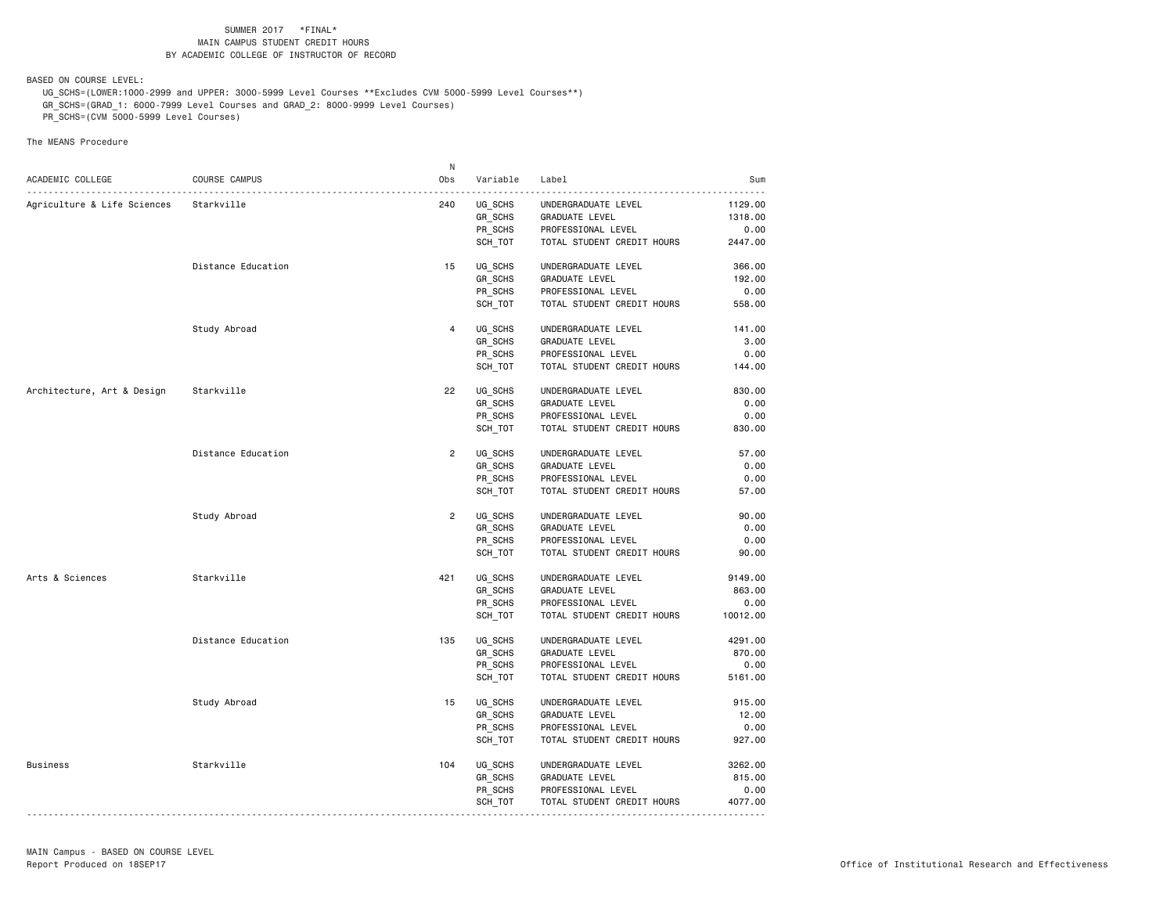BASED ON COURSE LEVEL:

 UG\_SCHS=(LOWER:1000-2999 and UPPER: 3000-5999 Level Courses \*\*Excludes CVM 5000-5999 Level Courses\*\*) GR\_SCHS=(GRAD\_1: 6000-7999 Level Courses and GRAD\_2: 8000-9999 Level Courses)

PR\_SCHS=(CVM 5000-5999 Level Courses)

|                             |                    | N              |                    |                                      |          |
|-----------------------------|--------------------|----------------|--------------------|--------------------------------------|----------|
| ACADEMIC COLLEGE            | COURSE CAMPUS      | Obs            | Variable           | Label                                | Sum      |
| Agriculture & Life Sciences | Starkville         | 240            | UG_SCHS            | UNDERGRADUATE LEVEL                  | 1129.00  |
|                             |                    |                | GR SCHS            | GRADUATE LEVEL                       | 1318.00  |
|                             |                    |                | PR_SCHS            | PROFESSIONAL LEVEL                   | 0.00     |
|                             |                    |                | SCH_TOT            | TOTAL STUDENT CREDIT HOURS           | 2447.00  |
|                             |                    |                |                    |                                      |          |
|                             | Distance Education | 15             | UG_SCHS            | UNDERGRADUATE LEVEL                  | 366.00   |
|                             |                    |                | GR_SCHS            | GRADUATE LEVEL                       | 192.00   |
|                             |                    |                | PR_SCHS            | PROFESSIONAL LEVEL                   | 0.00     |
|                             |                    |                | SCH TOT            | TOTAL STUDENT CREDIT HOURS           | 558.00   |
|                             | Study Abroad       | $\overline{4}$ | UG SCHS            | UNDERGRADUATE LEVEL                  | 141.00   |
|                             |                    |                | GR_SCHS            | <b>GRADUATE LEVEL</b>                | 3.00     |
|                             |                    |                | PR_SCHS            | PROFESSIONAL LEVEL                   | 0.00     |
|                             |                    |                | SCH_TOT            | TOTAL STUDENT CREDIT HOURS           | 144.00   |
|                             |                    |                |                    |                                      |          |
| Architecture, Art & Design  | Starkville         | 22             | UG SCHS            | UNDERGRADUATE LEVEL                  | 830.00   |
|                             |                    |                | <b>GR SCHS</b>     | GRADUATE LEVEL                       | 0.00     |
|                             |                    |                | PR_SCHS            | PROFESSIONAL LEVEL                   | 0.00     |
|                             |                    |                | SCH_TOT            | TOTAL STUDENT CREDIT HOURS           | 830.00   |
|                             | Distance Education | $\overline{2}$ | UG SCHS            | UNDERGRADUATE LEVEL                  | 57.00    |
|                             |                    |                | GR_SCHS            | GRADUATE LEVEL                       | 0.00     |
|                             |                    |                | PR SCHS            | PROFESSIONAL LEVEL                   | 0.00     |
|                             |                    |                | SCH_TOT            | TOTAL STUDENT CREDIT HOURS           | 57.00    |
|                             | Study Abroad       | $\overline{2}$ | UG SCHS            | UNDERGRADUATE LEVEL                  | 90.00    |
|                             |                    |                | <b>GR SCHS</b>     | GRADUATE LEVEL                       | 0.00     |
|                             |                    |                | PR_SCHS            | PROFESSIONAL LEVEL                   | 0.00     |
|                             |                    |                | SCH TOT            | TOTAL STUDENT CREDIT HOURS           | 90.00    |
| Arts & Sciences             | Starkville         | 421            | UG SCHS            | UNDERGRADUATE LEVEL                  | 9149.00  |
|                             |                    |                | GR_SCHS            | GRADUATE LEVEL                       | 863.00   |
|                             |                    |                | PR_SCHS            | PROFESSIONAL LEVEL                   | 0.00     |
|                             |                    |                | SCH TOT            | TOTAL STUDENT CREDIT HOURS           | 10012.00 |
|                             |                    |                |                    |                                      |          |
|                             | Distance Education | 135            | UG SCHS            | UNDERGRADUATE LEVEL                  | 4291.00  |
|                             |                    |                | <b>GR SCHS</b>     | GRADUATE LEVEL                       | 870.00   |
|                             |                    |                | PR SCHS            | PROFESSIONAL LEVEL                   | 0.00     |
|                             |                    |                | SCH_TOT            | TOTAL STUDENT CREDIT HOURS           | 5161.00  |
|                             | Study Abroad       | 15             | UG SCHS            | UNDERGRADUATE LEVEL                  | 915.00   |
|                             |                    |                | <b>GR SCHS</b>     | GRADUATE LEVEL                       | 12.00    |
|                             |                    |                | PR_SCHS            | PROFESSIONAL LEVEL                   | 0.00     |
|                             |                    |                | SCH TOT            | TOTAL STUDENT CREDIT HOURS           | 927.00   |
|                             |                    |                |                    |                                      |          |
| <b>Business</b>             | Starkville         | 104            |                    |                                      | 3262.00  |
|                             |                    |                | UG SCHS            | UNDERGRADUATE LEVEL                  | 815.00   |
|                             |                    |                | GR SCHS<br>PR SCHS | GRADUATE LEVEL<br>PROFESSIONAL LEVEL | 0.00     |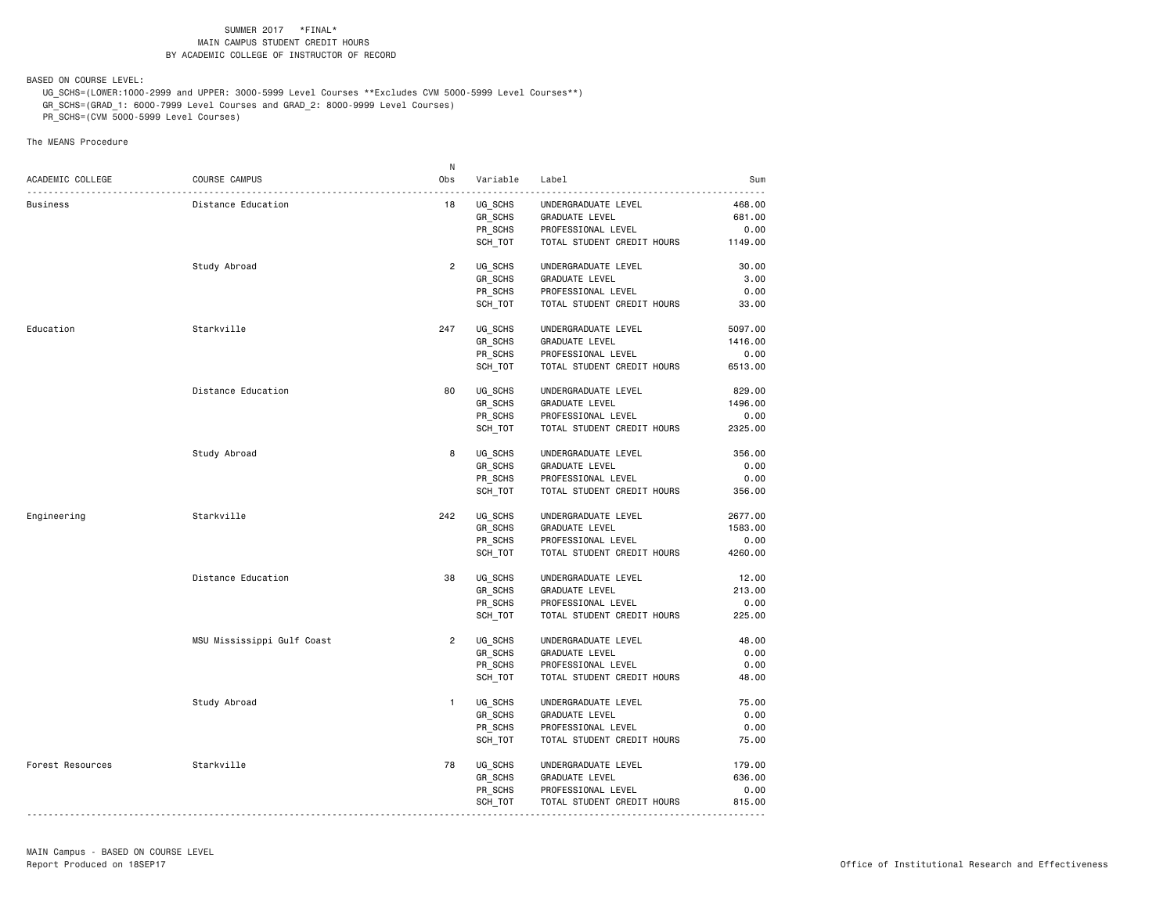BASED ON COURSE LEVEL:

 UG\_SCHS=(LOWER:1000-2999 and UPPER: 3000-5999 Level Courses \*\*Excludes CVM 5000-5999 Level Courses\*\*) GR\_SCHS=(GRAD\_1: 6000-7999 Level Courses and GRAD\_2: 8000-9999 Level Courses)

PR\_SCHS=(CVM 5000-5999 Level Courses)

|                  |                            | N              |                |                            |         |
|------------------|----------------------------|----------------|----------------|----------------------------|---------|
| ACADEMIC COLLEGE | COURSE CAMPUS              | Obs            | Variable       | Label                      | Sum     |
| <b>Business</b>  | Distance Education         | 18             | UG_SCHS        | UNDERGRADUATE LEVEL        | 468.00  |
|                  |                            |                | GR SCHS        | GRADUATE LEVEL             | 681.00  |
|                  |                            |                | PR_SCHS        | PROFESSIONAL LEVEL         | 0.00    |
|                  |                            |                |                |                            |         |
|                  |                            |                | SCH TOT        | TOTAL STUDENT CREDIT HOURS | 1149.00 |
|                  | Study Abroad               | $\overline{2}$ | UG SCHS        | UNDERGRADUATE LEVEL        | 30.00   |
|                  |                            |                | GR_SCHS        | GRADUATE LEVEL             | 3.00    |
|                  |                            |                | PR SCHS        | PROFESSIONAL LEVEL         | 0.00    |
|                  |                            |                | SCH TOT        | TOTAL STUDENT CREDIT HOURS | 33.00   |
| Education        | Starkville                 | 247            | UG SCHS        | UNDERGRADUATE LEVEL        | 5097.00 |
|                  |                            |                | GR_SCHS        | GRADUATE LEVEL             | 1416.00 |
|                  |                            |                | PR_SCHS        | PROFESSIONAL LEVEL         | 0.00    |
|                  |                            |                |                |                            |         |
|                  |                            |                | SCH_TOT        | TOTAL STUDENT CREDIT HOURS | 6513.00 |
|                  | Distance Education         | 80             | UG SCHS        | UNDERGRADUATE LEVEL        | 829.00  |
|                  |                            |                | GR SCHS        | GRADUATE LEVEL             | 1496.00 |
|                  |                            |                | PR_SCHS        | PROFESSIONAL LEVEL         | 0.00    |
|                  |                            |                | SCH_TOT        | TOTAL STUDENT CREDIT HOURS | 2325.00 |
|                  | Study Abroad               | 8              | UG SCHS        | UNDERGRADUATE LEVEL        | 356.00  |
|                  |                            |                | GR_SCHS        | <b>GRADUATE LEVEL</b>      | 0.00    |
|                  |                            |                | PR SCHS        | PROFESSIONAL LEVEL         | 0.00    |
|                  |                            |                | SCH_TOT        | TOTAL STUDENT CREDIT HOURS | 356.00  |
|                  |                            |                |                |                            |         |
| Engineering      | Starkville                 | 242            | UG SCHS        | UNDERGRADUATE LEVEL        | 2677.00 |
|                  |                            |                | GR SCHS        | GRADUATE LEVEL             | 1583.00 |
|                  |                            |                | PR_SCHS        | PROFESSIONAL LEVEL         | 0.00    |
|                  |                            |                | SCH TOT        | TOTAL STUDENT CREDIT HOURS | 4260.00 |
|                  | Distance Education         | 38             | UG SCHS        | UNDERGRADUATE LEVEL        | 12.00   |
|                  |                            |                | GR_SCHS        | GRADUATE LEVEL             | 213.00  |
|                  |                            |                | PR_SCHS        | PROFESSIONAL LEVEL         | 0.00    |
|                  |                            |                | SCH TOT        | TOTAL STUDENT CREDIT HOURS | 225.00  |
|                  | MSU Mississippi Gulf Coast | $\overline{2}$ | UG_SCHS        | UNDERGRADUATE LEVEL        | 48.00   |
|                  |                            |                | GR_SCHS        | <b>GRADUATE LEVEL</b>      | 0.00    |
|                  |                            |                | PR_SCHS        | PROFESSIONAL LEVEL         | 0.00    |
|                  |                            |                |                |                            |         |
|                  |                            |                | SCH_TOT        | TOTAL STUDENT CREDIT HOURS | 48.00   |
|                  | Study Abroad               | $\mathbf{1}$   | UG SCHS        | UNDERGRADUATE LEVEL        | 75.00   |
|                  |                            |                | <b>GR SCHS</b> | <b>GRADUATE LEVEL</b>      | 0.00    |
|                  |                            |                | PR_SCHS        | PROFESSIONAL LEVEL         | 0.00    |
|                  |                            |                | SCH TOT        | TOTAL STUDENT CREDIT HOURS | 75.00   |
| Forest Resources | Starkville                 | 78             | UG SCHS        | UNDERGRADUATE LEVEL        | 179.00  |
|                  |                            |                | GR_SCHS        | GRADUATE LEVEL             | 636.00  |
|                  |                            |                | PR SCHS        | PROFESSIONAL LEVEL         | 0.00    |
|                  |                            |                | SCH_TOT        | TOTAL STUDENT CREDIT HOURS | 815.00  |
|                  |                            |                |                |                            |         |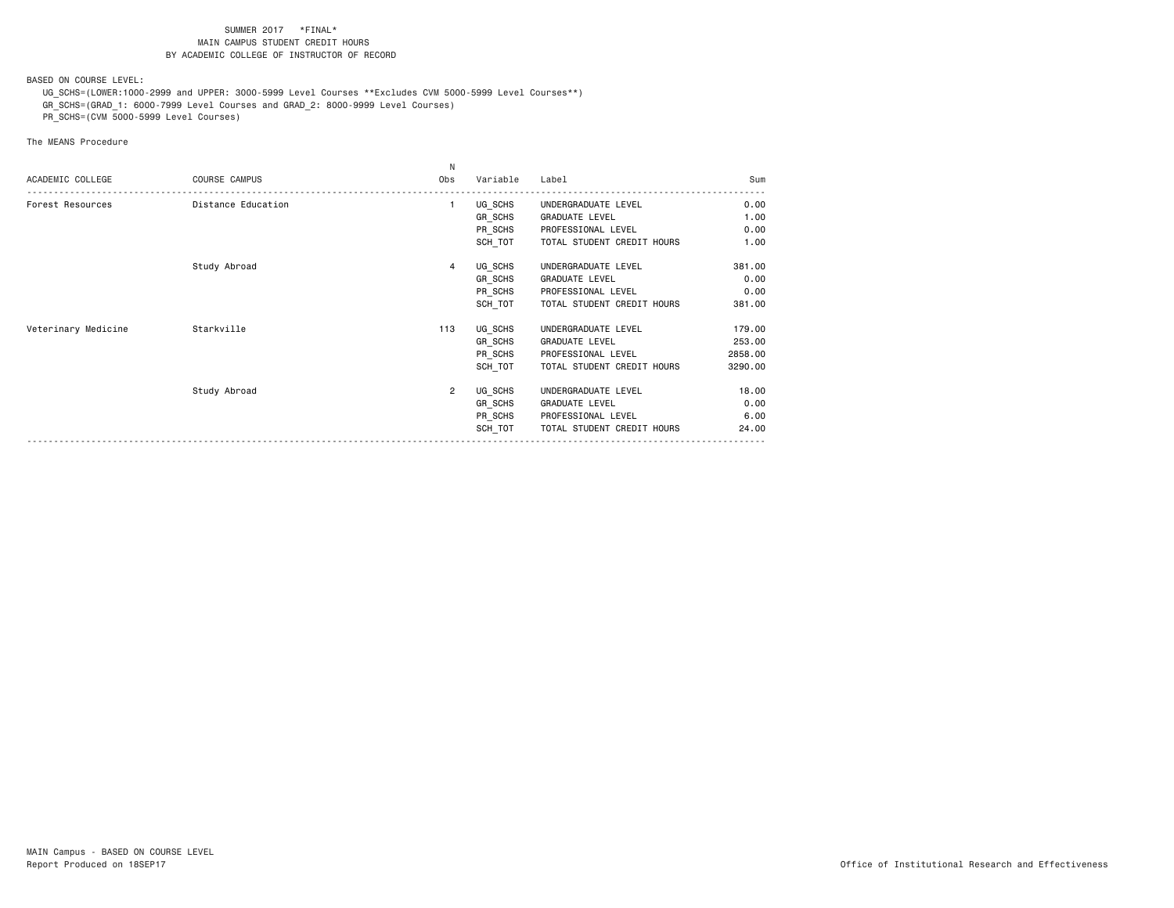BASED ON COURSE LEVEL:

 UG\_SCHS=(LOWER:1000-2999 and UPPER: 3000-5999 Level Courses \*\*Excludes CVM 5000-5999 Level Courses\*\*) GR\_SCHS=(GRAD\_1: 6000-7999 Level Courses and GRAD\_2: 8000-9999 Level Courses)

PR\_SCHS=(CVM 5000-5999 Level Courses)

|                     |                    | N              |          |                            |         |
|---------------------|--------------------|----------------|----------|----------------------------|---------|
| ACADEMIC COLLEGE    | COURSE CAMPUS      | Obs            | Variable | Label                      | Sum     |
| Forest Resources    | Distance Education | $\mathbf{1}$   | UG_SCHS  | UNDERGRADUATE LEVEL        | 0.00    |
|                     |                    |                | GR SCHS  | <b>GRADUATE LEVEL</b>      | 1.00    |
|                     |                    |                | PR_SCHS  | PROFESSIONAL LEVEL         | 0.00    |
|                     |                    |                | SCH TOT  | TOTAL STUDENT CREDIT HOURS | 1.00    |
|                     | Study Abroad       | 4              | UG SCHS  | UNDERGRADUATE LEVEL        | 381.00  |
|                     |                    |                | GR_SCHS  | GRADUATE LEVEL             | 0.00    |
|                     |                    |                | PR SCHS  | PROFESSIONAL LEVEL         | 0.00    |
|                     |                    |                | SCH TOT  | TOTAL STUDENT CREDIT HOURS | 381.00  |
| Veterinary Medicine | Starkville         | 113            | UG_SCHS  | UNDERGRADUATE LEVEL        | 179.00  |
|                     |                    |                | GR SCHS  | <b>GRADUATE LEVEL</b>      | 253.00  |
|                     |                    |                | PR_SCHS  | PROFESSIONAL LEVEL         | 2858.00 |
|                     |                    |                | SCH TOT  | TOTAL STUDENT CREDIT HOURS | 3290.00 |
|                     | Study Abroad       | $\overline{2}$ | UG SCHS  | UNDERGRADUATE LEVEL        | 18.00   |
|                     |                    |                | GR SCHS  | <b>GRADUATE LEVEL</b>      | 0.00    |
|                     |                    |                | PR_SCHS  | PROFESSIONAL LEVEL         | 6.00    |
|                     |                    |                | SCH TOT  | TOTAL STUDENT CREDIT HOURS | 24.00   |
|                     |                    |                |          |                            |         |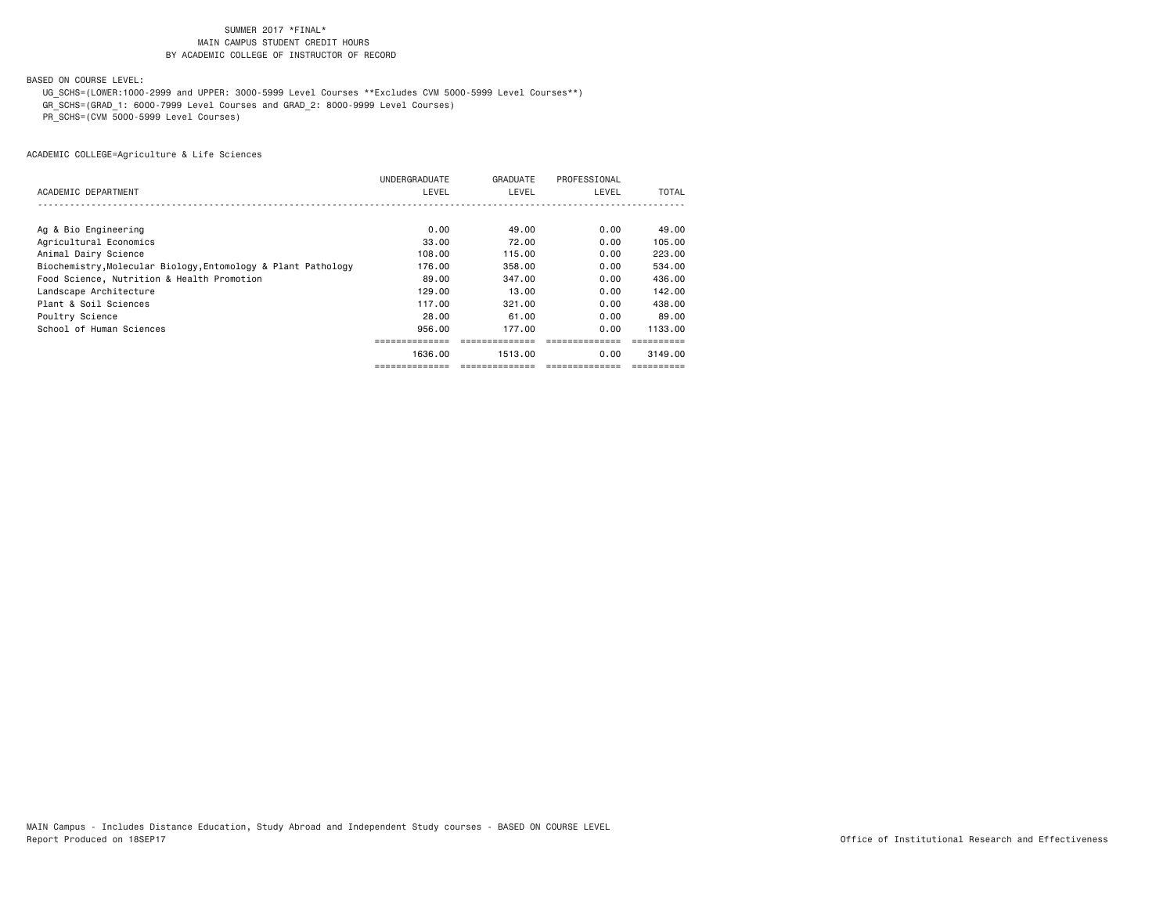BASED ON COURSE LEVEL:

UG\_SCHS=(LOWER:1000-2999 and UPPER: 3000-5999 Level Courses \*\*Excludes CVM 5000-5999 Level Courses\*\*)

GR\_SCHS=(GRAD\_1: 6000-7999 Level Courses and GRAD\_2: 8000-9999 Level Courses)

PR\_SCHS=(CVM 5000-5999 Level Courses)

|                                                               | UNDERGRADUATE | GRADUATE | PROFESSIONAL |         |
|---------------------------------------------------------------|---------------|----------|--------------|---------|
| ACADEMIC DEPARTMENT                                           | LEVEL         | LEVEL    | LEVEL        | TOTAL   |
|                                                               |               |          |              |         |
| Ag & Bio Engineering                                          | 0.00          | 49.00    | 0.00         | 49.00   |
| Agricultural Economics                                        | 33.00         | 72.00    | 0.00         | 105.00  |
| Animal Dairy Science                                          | 108.00        | 115.00   | 0.00         | 223,00  |
| Biochemistry, Molecular Biology, Entomology & Plant Pathology | 176.00        | 358,00   | 0.00         | 534.00  |
| Food Science, Nutrition & Health Promotion                    | 89.00         | 347.00   | 0.00         | 436.00  |
| Landscape Architecture                                        | 129.00        | 13,00    | 0.00         | 142.00  |
| Plant & Soil Sciences                                         | 117.00        | 321,00   | 0.00         | 438,00  |
| Poultry Science                                               | 28,00         | 61.00    | 0.00         | 89.00   |
| School of Human Sciences                                      | 956,00        | 177.00   | 0.00         | 1133.00 |
|                                                               |               |          |              |         |
|                                                               | 1636.00       | 1513.00  | 0.00         | 3149.00 |
|                                                               |               |          |              |         |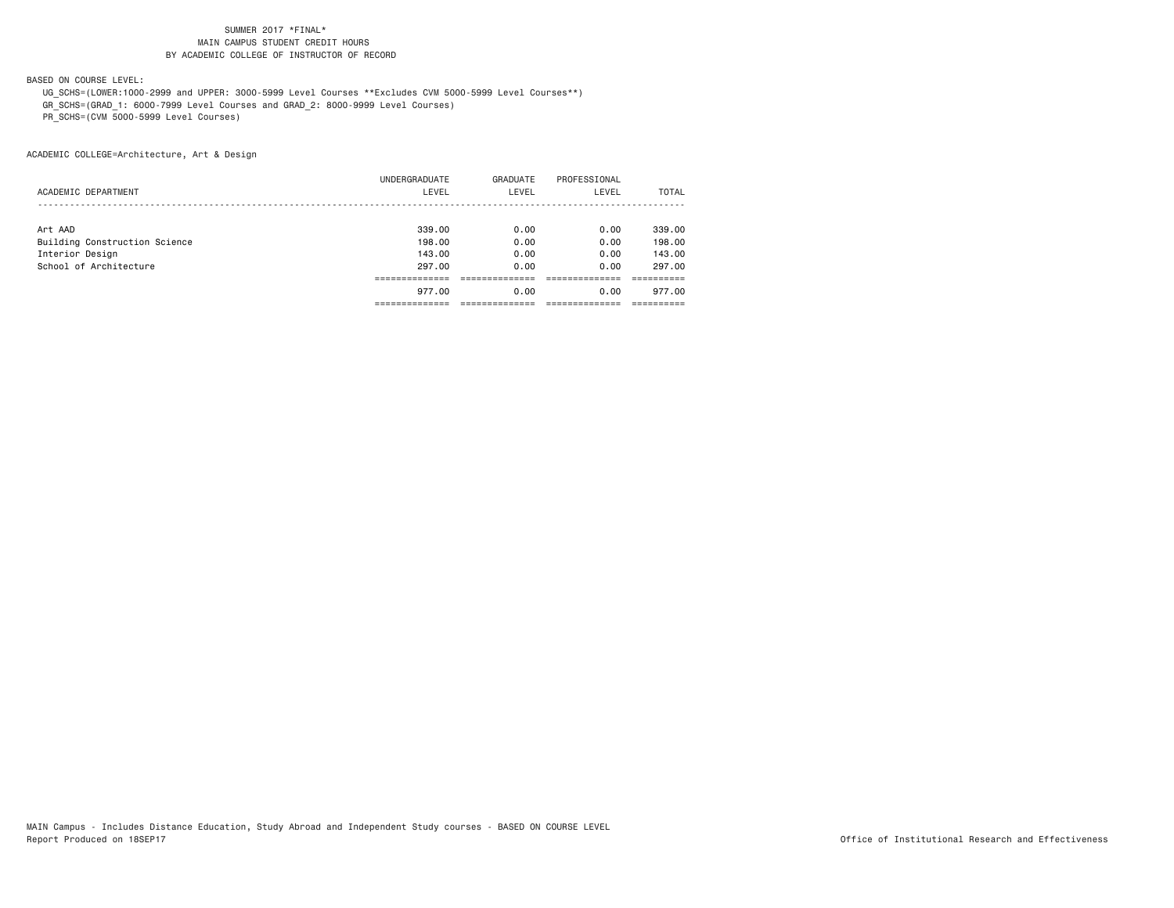BASED ON COURSE LEVEL:

 UG\_SCHS=(LOWER:1000-2999 and UPPER: 3000-5999 Level Courses \*\*Excludes CVM 5000-5999 Level Courses\*\*) GR\_SCHS=(GRAD\_1: 6000-7999 Level Courses and GRAD\_2: 8000-9999 Level Courses)

PR\_SCHS=(CVM 5000-5999 Level Courses)

|                               | 977.00        | 0.00     | 0.00         | 977.00 |
|-------------------------------|---------------|----------|--------------|--------|
|                               |               |          |              |        |
| School of Architecture        | 297.00        | 0.00     | 0.00         | 297.00 |
| Interior Design               | 143,00        | 0.00     | 0.00         | 143,00 |
| Building Construction Science | 198,00        | 0.00     | 0.00         | 198,00 |
| Art AAD                       | 339,00        | 0.00     | 0.00         | 339,00 |
|                               |               |          |              |        |
| ACADEMIC DEPARTMENT           | LEVEL         | LEVEL    | LEVEL        | TOTAL  |
|                               | UNDERGRADUATE | GRADUATE | PROFESSIONAL |        |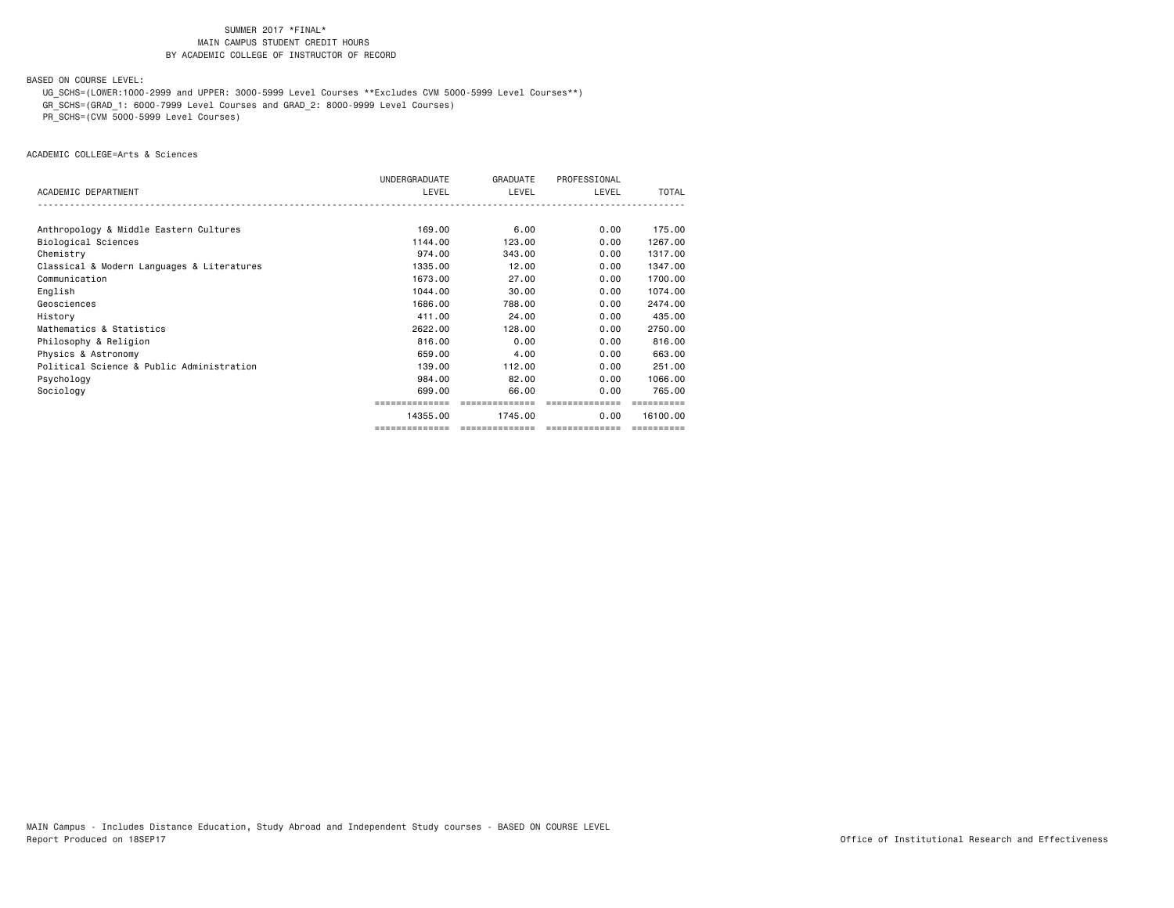BASED ON COURSE LEVEL:

UG\_SCHS=(LOWER:1000-2999 and UPPER: 3000-5999 Level Courses \*\*Excludes CVM 5000-5999 Level Courses\*\*)

GR\_SCHS=(GRAD\_1: 6000-7999 Level Courses and GRAD\_2: 8000-9999 Level Courses)

PR\_SCHS=(CVM 5000-5999 Level Courses)

ACADEMIC COLLEGE=Arts & Sciences

|                                            | UNDERGRADUATE  | GRADUATE       | PROFESSIONAL   |          |
|--------------------------------------------|----------------|----------------|----------------|----------|
| ACADEMIC DEPARTMENT                        | LEVEL          | LEVEL          | LEVEL          | TOTAL    |
|                                            |                |                |                |          |
| Anthropology & Middle Eastern Cultures     | 169,00         | 6.00           | 0.00           | 175.00   |
| Biological Sciences                        | 1144.00        | 123,00         | 0.00           | 1267.00  |
| Chemistry                                  | 974.00         | 343,00         | 0.00           | 1317,00  |
| Classical & Modern Languages & Literatures | 1335.00        | 12.00          | 0.00           | 1347.00  |
| Communication                              | 1673.00        | 27.00          | 0.00           | 1700.00  |
| English                                    | 1044.00        | 30.00          | 0.00           | 1074.00  |
| Geosciences                                | 1686,00        | 788.00         | 0.00           | 2474.00  |
| History                                    | 411.00         | 24.00          | 0.00           | 435,00   |
| Mathematics & Statistics                   | 2622.00        | 128,00         | 0.00           | 2750.00  |
| Philosophy & Religion                      | 816,00         | 0.00           | 0.00           | 816,00   |
| Physics & Astronomy                        | 659,00         | 4.00           | 0.00           | 663,00   |
| Political Science & Public Administration  | 139,00         | 112,00         | 0.00           | 251,00   |
| Psychology                                 | 984.00         | 82.00          | 0.00           | 1066.00  |
| Sociology                                  | 699,00         | 66.00          | 0.00           | 765,00   |
|                                            |                | ============== | ============== |          |
|                                            | 14355.00       | 1745.00        | 0.00           | 16100.00 |
|                                            | ============== | -------------- | ============== |          |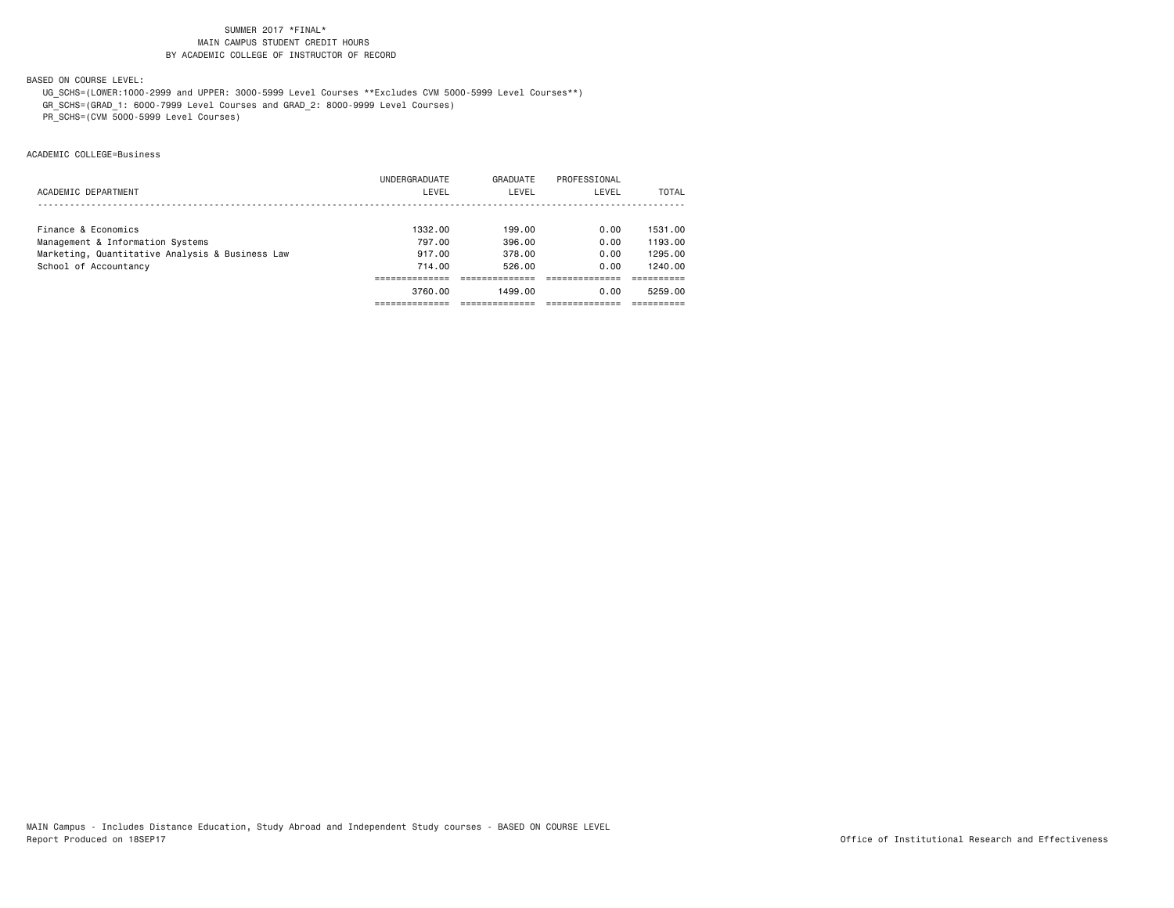BASED ON COURSE LEVEL:

UG\_SCHS=(LOWER:1000-2999 and UPPER: 3000-5999 Level Courses \*\*Excludes CVM 5000-5999 Level Courses\*\*)

GR\_SCHS=(GRAD\_1: 6000-7999 Level Courses and GRAD\_2: 8000-9999 Level Courses)

PR\_SCHS=(CVM 5000-5999 Level Courses)

ACADEMIC COLLEGE=Business

|                                                 | 3760.00       | 1499.00  | 0.00         | 5259.00 |
|-------------------------------------------------|---------------|----------|--------------|---------|
|                                                 |               |          |              |         |
| School of Accountancy                           | 714.00        | 526.00   | 0.00         | 1240.00 |
| Marketing, Quantitative Analysis & Business Law | 917.00        | 378.00   | 0.00         | 1295.00 |
| Management & Information Systems                | 797.00        | 396.00   | 0.00         | 1193.00 |
| Finance & Economics                             | 1332.00       | 199.00   | 0.00         | 1531.00 |
|                                                 |               |          |              |         |
| ACADEMIC DEPARTMENT                             | LEVEL         | LEVEL    | LEVEL        | TOTAL   |
|                                                 | UNDERGRADUATE | GRADUATE | PROFESSIONAL |         |
|                                                 |               |          |              |         |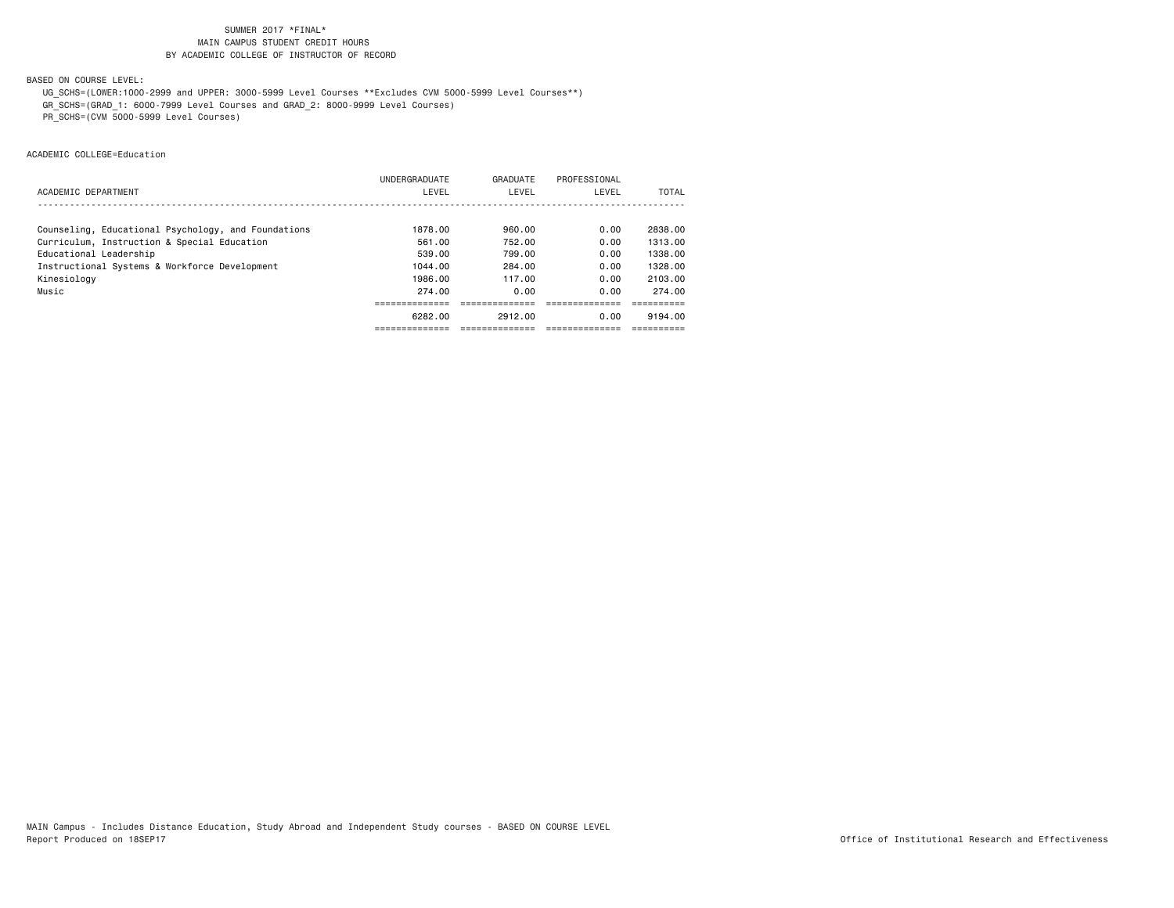BASED ON COURSE LEVEL:

UG\_SCHS=(LOWER:1000-2999 and UPPER: 3000-5999 Level Courses \*\*Excludes CVM 5000-5999 Level Courses\*\*)

GR\_SCHS=(GRAD\_1: 6000-7999 Level Courses and GRAD\_2: 8000-9999 Level Courses)

PR\_SCHS=(CVM 5000-5999 Level Courses)

ACADEMIC COLLEGE=Education

|                                                     | UNDERGRADUATE | GRADUATE | PROFESSIONAL |         |
|-----------------------------------------------------|---------------|----------|--------------|---------|
| ACADEMIC DEPARTMENT                                 | LEVEL         | LEVEL    | LEVEL        | TOTAL   |
|                                                     |               |          |              |         |
| Counseling, Educational Psychology, and Foundations | 1878.00       | 960.00   | 0.00         | 2838.00 |
| Curriculum, Instruction & Special Education         | 561.00        | 752.00   | 0.00         | 1313.00 |
| Educational Leadership                              | 539.00        | 799.00   | 0.00         | 1338.00 |
| Instructional Systems & Workforce Development       | 1044.00       | 284.00   | 0.00         | 1328.00 |
| Kinesiology                                         | 1986.00       | 117.00   | 0.00         | 2103.00 |
| Music                                               | 274.00        | 0.00     | 0.00         | 274.00  |
|                                                     |               |          |              |         |
|                                                     | 6282.00       | 2912.00  | 0.00         | 9194.00 |
|                                                     |               |          |              |         |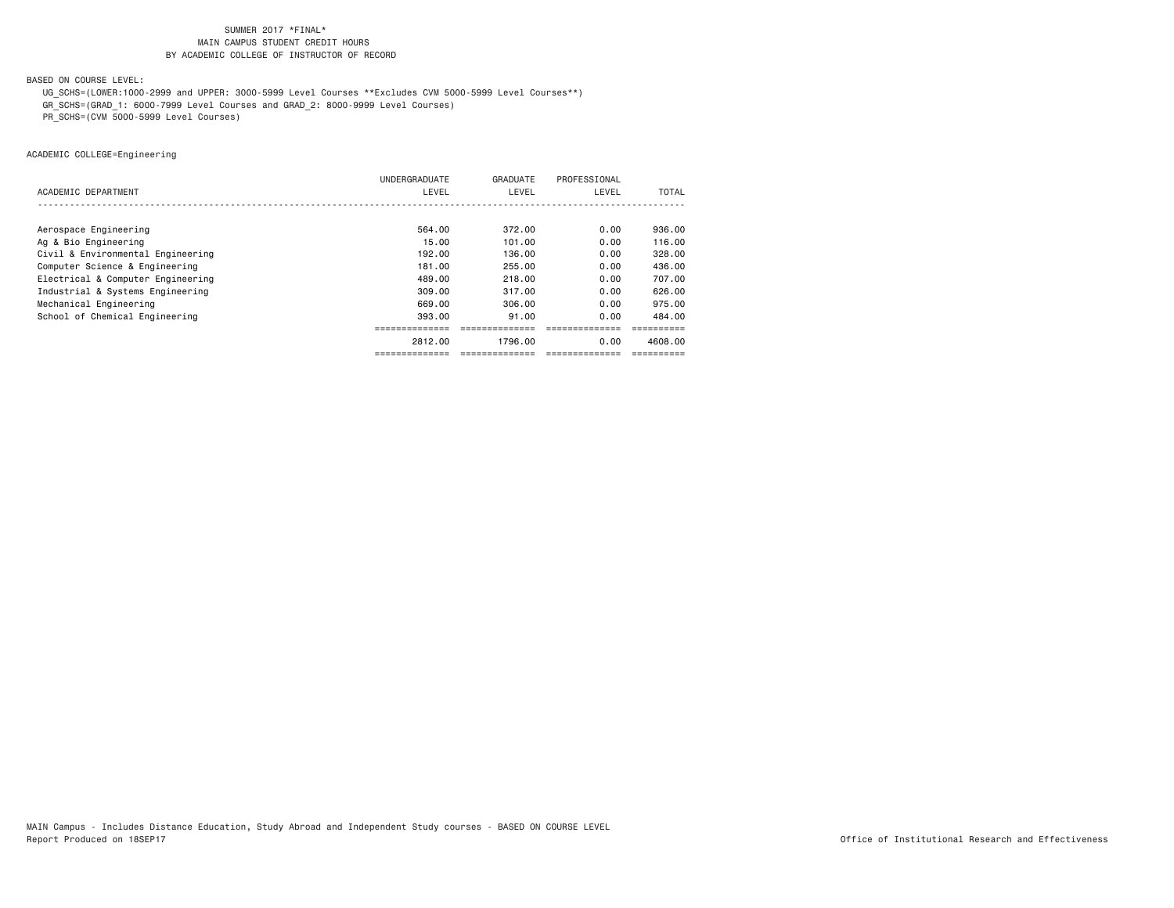BASED ON COURSE LEVEL:

UG\_SCHS=(LOWER:1000-2999 and UPPER: 3000-5999 Level Courses \*\*Excludes CVM 5000-5999 Level Courses\*\*)

GR\_SCHS=(GRAD\_1: 6000-7999 Level Courses and GRAD\_2: 8000-9999 Level Courses)

PR\_SCHS=(CVM 5000-5999 Level Courses)

ACADEMIC COLLEGE=Engineering

|                                   | UNDERGRADUATE  | GRADUATE      | PROFESSIONAL   |         |
|-----------------------------------|----------------|---------------|----------------|---------|
| ACADEMIC DEPARTMENT               | LEVEL          | LEVEL         | LEVEL          | TOTAL   |
|                                   |                |               |                |         |
| Aerospace Engineering             | 564.00         | 372.00        | 0.00           | 936,00  |
| Ag & Bio Engineering              | 15.00          | 101.00        | 0.00           | 116.00  |
| Civil & Environmental Engineering | 192,00         | 136.00        | 0.00           | 328,00  |
| Computer Science & Engineering    | 181.00         | 255.00        | 0.00           | 436.00  |
| Electrical & Computer Engineering | 489,00         | 218,00        | 0.00           | 707.00  |
| Industrial & Systems Engineering  | 309,00         | 317,00        | 0.00           | 626,00  |
| Mechanical Engineering            | 669.00         | 306.00        | 0.00           | 975.00  |
| School of Chemical Engineering    | 393.00         | 91.00         | 0.00           | 484.00  |
|                                   |                |               |                |         |
|                                   | 2812.00        | 1796.00       | 0.00           | 4608.00 |
|                                   | ============== | ------------- | ============== |         |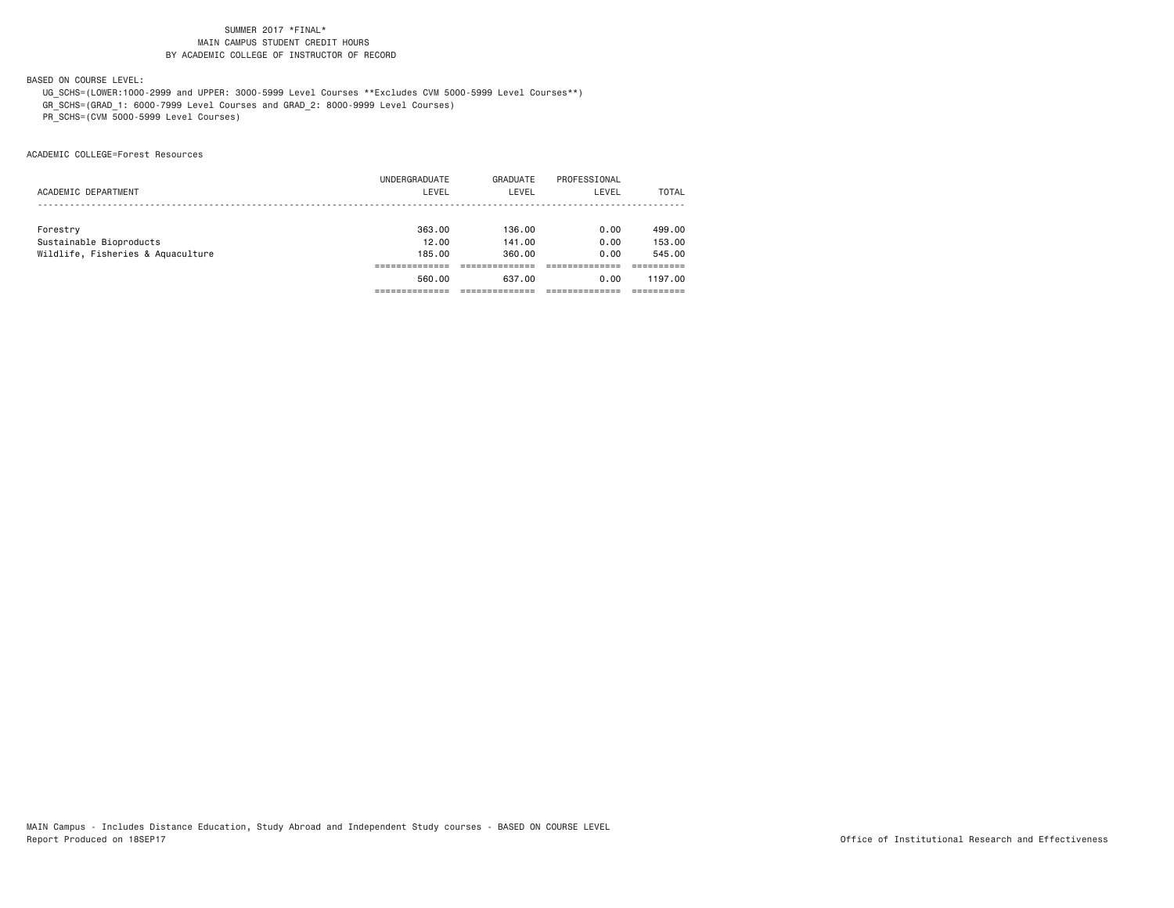BASED ON COURSE LEVEL:

 UG\_SCHS=(LOWER:1000-2999 and UPPER: 3000-5999 Level Courses \*\*Excludes CVM 5000-5999 Level Courses\*\*) GR\_SCHS=(GRAD\_1: 6000-7999 Level Courses and GRAD\_2: 8000-9999 Level Courses)

PR\_SCHS=(CVM 5000-5999 Level Courses)

ACADEMIC COLLEGE=Forest Resources

|                                   | 560.00        | 637.00   | 0.00         | 1197.00 |
|-----------------------------------|---------------|----------|--------------|---------|
|                                   |               |          |              |         |
| Wildlife, Fisheries & Aquaculture | 185,00        | 360,00   | 0.00         | 545.00  |
| Sustainable Bioproducts           | 12.00         | 141.00   | 0.00         | 153,00  |
| Forestry                          | 363.00        | 136.00   | 0.00         | 499.00  |
|                                   |               |          |              |         |
| ACADEMIC DEPARTMENT               | LEVEL         | LEVEL    | LEVEL        | TOTAL   |
|                                   | UNDERGRADUATE | GRADUATE | PROFESSIONAL |         |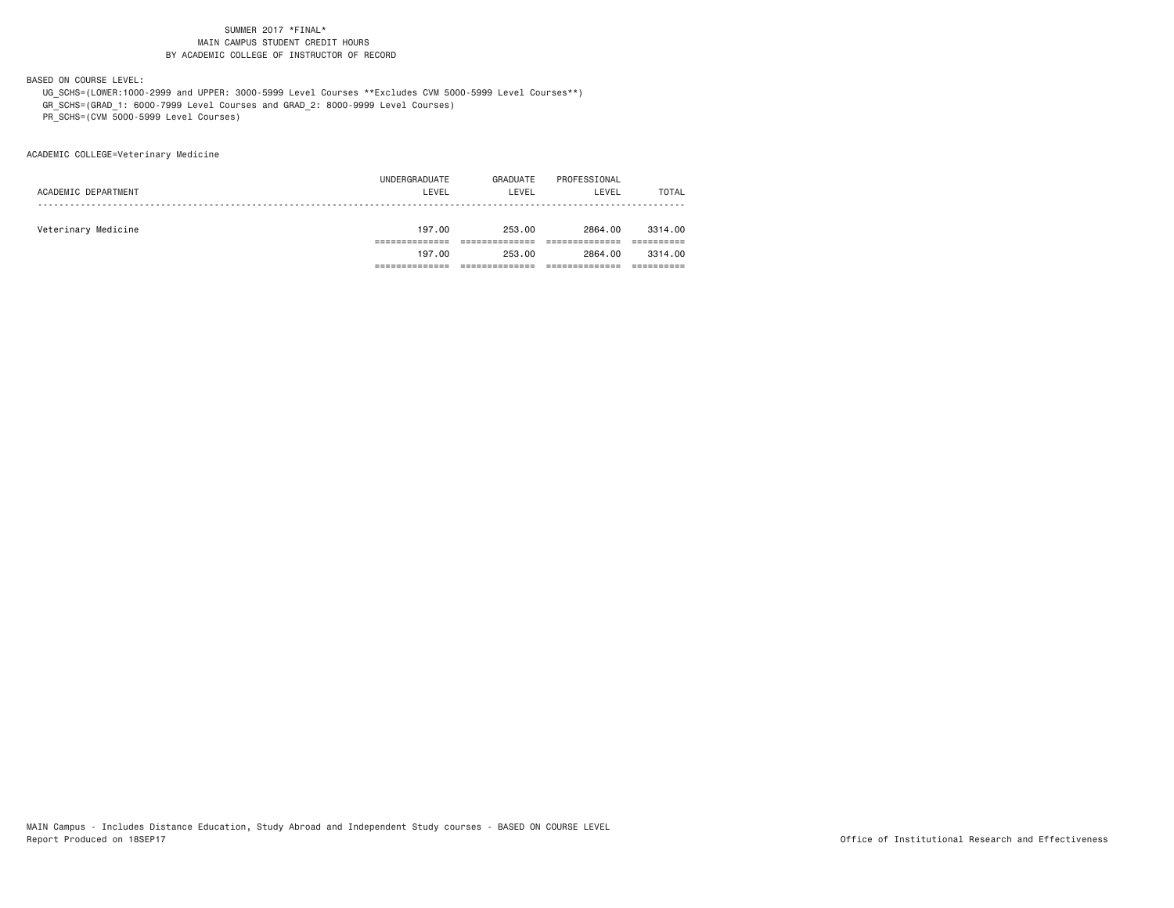BASED ON COURSE LEVEL:

 UG\_SCHS=(LOWER:1000-2999 and UPPER: 3000-5999 Level Courses \*\*Excludes CVM 5000-5999 Level Courses\*\*) GR\_SCHS=(GRAD\_1: 6000-7999 Level Courses and GRAD\_2: 8000-9999 Level Courses)

PR\_SCHS=(CVM 5000-5999 Level Courses)

ACADEMIC COLLEGE=Veterinary Medicine

|                     | 197.00        | 253.00   | 2864.00      | 3314,00      |
|---------------------|---------------|----------|--------------|--------------|
|                     |               |          |              |              |
| Veterinary Medicine | 197.00        | 253.00   | 2864.00      | 3314,00      |
|                     |               |          |              |              |
| ACADEMIC DEPARTMENT | LEVEL         | LEVEL    | LEVEL        | <b>TOTAL</b> |
|                     | UNDERGRADUATE | GRADUATE | PROFESSIONAL |              |
|                     |               |          |              |              |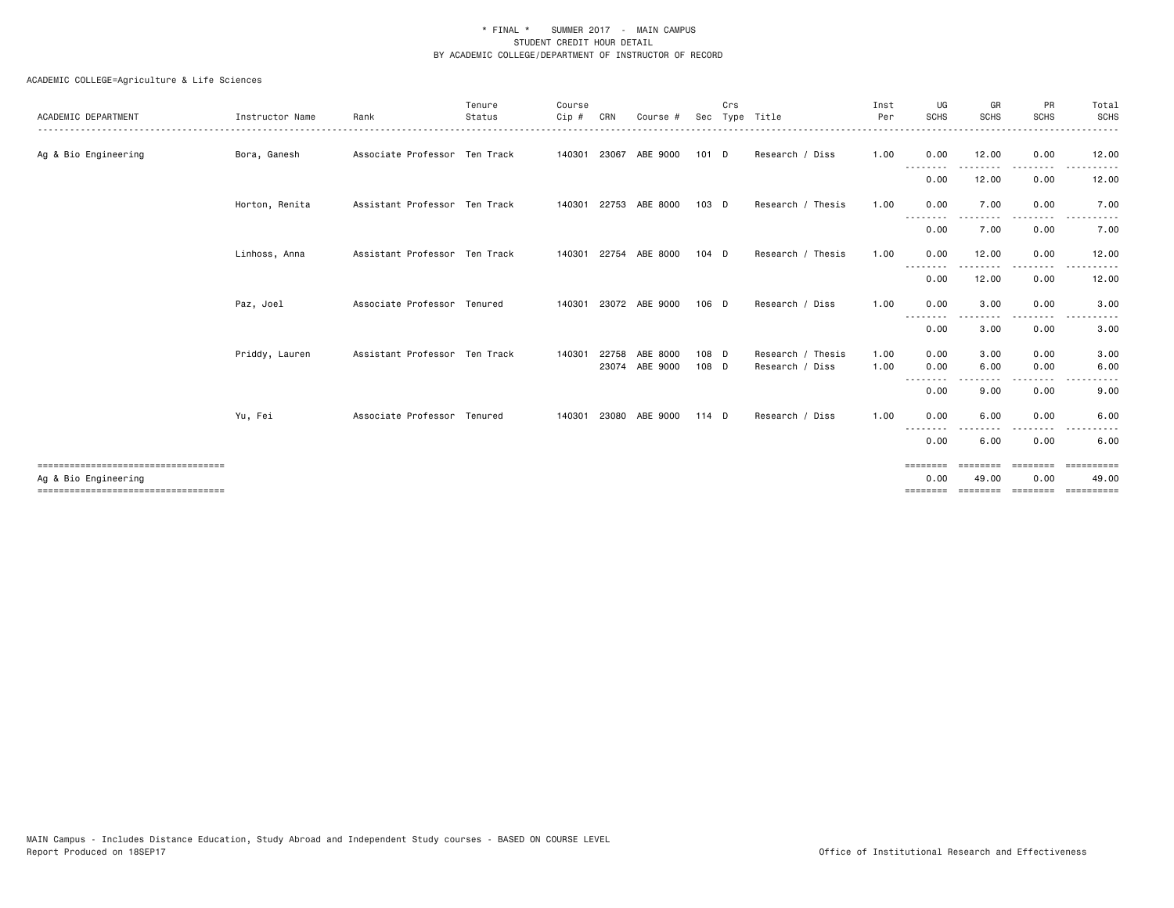| ACADEMIC DEPARTMENT                                            | Instructor Name | Rank                          | Tenure<br>Status | Course<br>Cip # | CRN   | Course #                   |                | Crs | Sec Type Title                       | Inst<br>Per | UG<br><b>SCHS</b>            | GR<br><b>SCHS</b> | PR<br><b>SCHS</b> | Total<br><b>SCHS</b> |
|----------------------------------------------------------------|-----------------|-------------------------------|------------------|-----------------|-------|----------------------------|----------------|-----|--------------------------------------|-------------|------------------------------|-------------------|-------------------|----------------------|
| Ag & Bio Engineering                                           | Bora, Ganesh    | Associate Professor Ten Track |                  |                 |       | 140301 23067 ABE 9000      | 101 D          |     | Research / Diss                      | 1.00        | 0.00                         | 12.00             | 0.00              | 12.00                |
|                                                                |                 |                               |                  |                 |       |                            |                |     |                                      |             | .<br>0.00                    | 12.00             | 0.00              | 12.00                |
|                                                                | Horton, Renita  | Assistant Professor Ten Track |                  |                 |       | 140301 22753 ABE 8000      | 103 D          |     | Research / Thesis                    | 1.00        | 0.00                         | 7.00              | 0.00              | 7.00                 |
|                                                                |                 |                               |                  |                 |       |                            |                |     |                                      |             | --------<br>0.00             | 7.00              | $- - - -$<br>0.00 | 7.00                 |
|                                                                | Linhoss, Anna   | Assistant Professor Ten Track |                  |                 |       | 140301 22754 ABE 8000      | $104$ D        |     | Research / Thesis                    | 1.00        | 0.00                         | 12.00             | 0.00              | 12.00                |
|                                                                |                 |                               |                  |                 |       |                            |                |     |                                      |             | --------<br>0.00             | ------<br>12.00   | .<br>0.00         | .<br>12.00           |
|                                                                | Paz, Joel       | Associate Professor Tenured   |                  |                 |       | 140301 23072 ABE 9000      | 106 D          |     | Research / Diss                      | 1.00        | 0.00                         | 3.00              | 0.00              | 3.00                 |
|                                                                |                 |                               |                  |                 |       |                            |                |     |                                      |             | 0.00                         | 3.00              | 0.00              | 3.00                 |
|                                                                | Priddy, Lauren  | Assistant Professor Ten Track |                  | 140301          | 22758 | ABE 8000<br>23074 ABE 9000 | 108 D<br>108 D |     | Research / Thesis<br>Research / Diss | 1.00        | 0.00                         | 3.00<br>6.00      | 0.00<br>0.00      | 3.00                 |
|                                                                |                 |                               |                  |                 |       |                            |                |     |                                      | 1.00        | 0.00<br>$\sim$ $\sim$ $\sim$ |                   |                   | 6.00                 |
|                                                                |                 |                               |                  |                 |       |                            |                |     |                                      |             | 0.00                         | 9.00              | 0.00              | 9.00                 |
|                                                                | Yu, Fei         | Associate Professor Tenured   |                  | 140301          | 23080 | ABE 9000                   | $114$ D        |     | Research / Diss                      | 1.00        | 0.00<br>- - -                | 6.00              | 0.00              | 6.00                 |
|                                                                |                 |                               |                  |                 |       |                            |                |     |                                      |             | 0.00                         | 6.00              | 0.00              | 6.00                 |
| ======================================<br>Ag & Bio Engineering |                 |                               |                  |                 |       |                            |                |     |                                      |             | ========<br>0.00             | ========<br>49.00 | ========<br>0.00  | ==========<br>49.00  |
| =====================================                          |                 |                               |                  |                 |       |                            |                |     |                                      |             | ========                     | ========          | ========          | -----------          |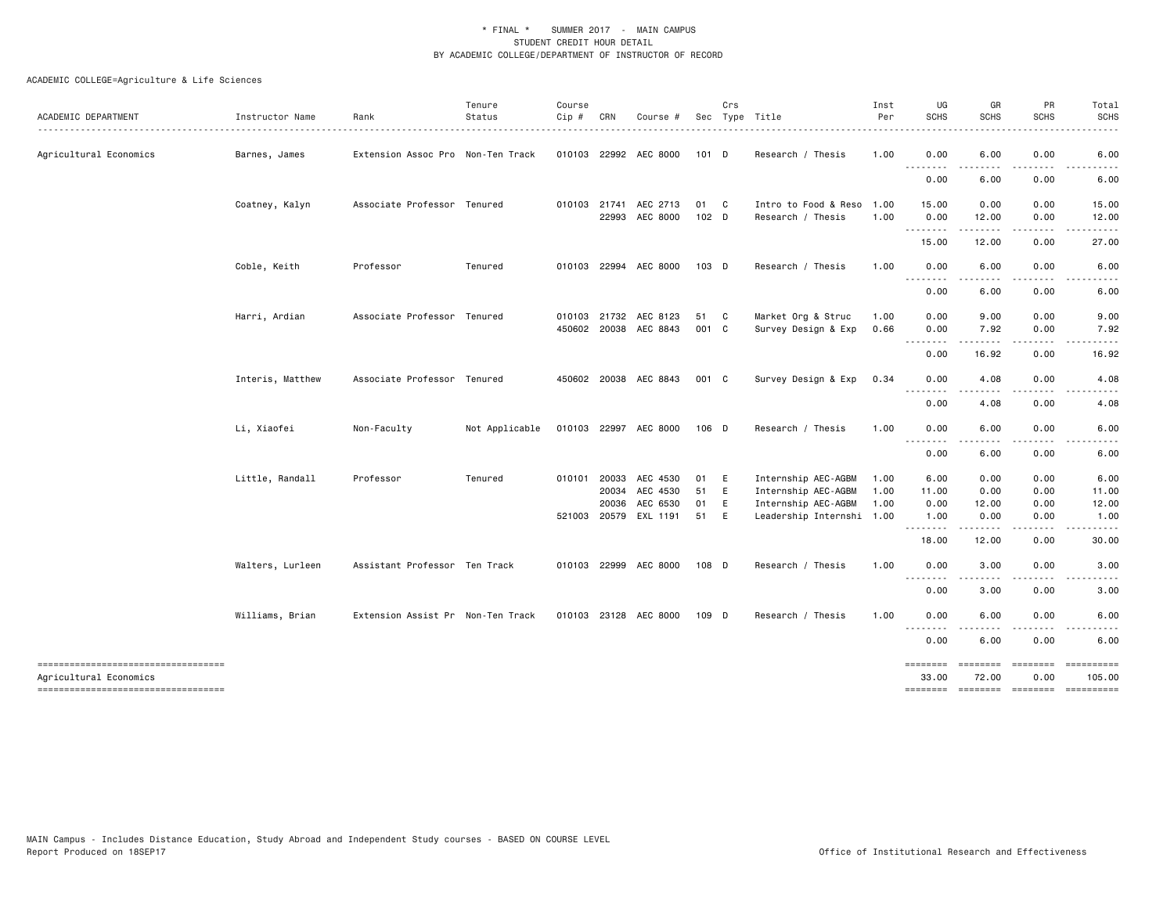| ACADEMIC DEPARTMENT                                           | Instructor Name  | Rank                              | Tenure<br>Status | Course<br>Cip # | CRN          | Course #              |       | Crs | Sec Type Title            | Inst<br>Per | UG<br><b>SCHS</b>                        | GR<br><b>SCHS</b>                                                                                                                 | PR<br>SCHS                                                                                                                        | Total<br><b>SCHS</b> |
|---------------------------------------------------------------|------------------|-----------------------------------|------------------|-----------------|--------------|-----------------------|-------|-----|---------------------------|-------------|------------------------------------------|-----------------------------------------------------------------------------------------------------------------------------------|-----------------------------------------------------------------------------------------------------------------------------------|----------------------|
| -------------------------------------                         |                  |                                   |                  |                 |              |                       |       |     |                           |             |                                          |                                                                                                                                   |                                                                                                                                   |                      |
| Agricultural Economics                                        | Barnes, James    | Extension Assoc Pro Non-Ten Track |                  |                 |              | 010103 22992 AEC 8000 | 101 D |     | Research / Thesis         | 1.00        | 0.00<br>.                                | 6.00<br>.                                                                                                                         | 0.00<br>$\cdots$                                                                                                                  | 6.00<br>-----        |
|                                                               |                  |                                   |                  |                 |              |                       |       |     |                           |             | 0.00                                     | 6.00                                                                                                                              | 0.00                                                                                                                              | 6.00                 |
|                                                               | Coatney, Kalyn   | Associate Professor Tenured       |                  |                 | 010103 21741 | AEC 2713              | 01 C  |     | Intro to Food & Reso 1.00 |             | 15.00                                    | 0.00                                                                                                                              | 0.00                                                                                                                              | 15.00                |
|                                                               |                  |                                   |                  |                 |              | 22993 AEC 8000        | 102 D |     | Research / Thesis         | 1.00        | 0.00<br>--------                         | 12.00<br>-----                                                                                                                    | 0.00<br>----                                                                                                                      | 12.00                |
|                                                               |                  |                                   |                  |                 |              |                       |       |     |                           |             | 15.00                                    | 12.00                                                                                                                             | 0.00                                                                                                                              | 27.00                |
|                                                               | Coble, Keith     | Professor                         | Tenured          |                 |              | 010103 22994 AEC 8000 | 103 D |     | Research / Thesis         | 1.00        | 0.00<br>.                                | 6.00<br>----                                                                                                                      | 0.00                                                                                                                              | 6.00                 |
|                                                               |                  |                                   |                  |                 |              |                       |       |     |                           |             | 0.00                                     | 6.00                                                                                                                              | 0.00                                                                                                                              | 6.00                 |
|                                                               | Harri, Ardian    | Associate Professor Tenured       |                  |                 |              | 010103 21732 AEC 8123 | 51 C  |     | Market Org & Struc        | 1.00        | 0.00                                     | 9.00                                                                                                                              | 0.00                                                                                                                              | 9.00                 |
|                                                               |                  |                                   |                  |                 |              | 450602 20038 AEC 8843 | 001 C |     | Survey Design & Exp       | 0.66        | 0.00<br>$\sim$ $\sim$ $\sim$             | 7.92                                                                                                                              | 0.00<br>$\frac{1}{2} \left( \frac{1}{2} \right) \left( \frac{1}{2} \right) \left( \frac{1}{2} \right) \left( \frac{1}{2} \right)$ | 7.92                 |
|                                                               |                  |                                   |                  |                 |              |                       |       |     |                           |             | $\cdots$<br>0.00                         | . <b>.</b><br>16.92                                                                                                               | 0.00                                                                                                                              | 16.92                |
|                                                               | Interis, Matthew | Associate Professor Tenured       |                  |                 |              | 450602 20038 AEC 8843 | 001 C |     | Survey Design & Exp       | 0.34        | 0.00                                     | 4.08                                                                                                                              | 0.00                                                                                                                              | 4.08                 |
|                                                               |                  |                                   |                  |                 |              |                       |       |     |                           |             | $\sim$ $\sim$ $\sim$<br>$\cdots$<br>0.00 | .<br>4.08                                                                                                                         | 0.00                                                                                                                              | -----<br>4.08        |
|                                                               | Li, Xiaofei      | Non-Faculty                       | Not Applicable   |                 |              | 010103 22997 AEC 8000 | 106 D |     | Research / Thesis         | 1.00        | 0.00<br>$\sim$ $\sim$ .<br>.             | 6.00<br>.                                                                                                                         | 0.00                                                                                                                              | 6.00                 |
|                                                               |                  |                                   |                  |                 |              |                       |       |     |                           |             | 0.00                                     | 6.00                                                                                                                              | 0.00                                                                                                                              | 6.00                 |
|                                                               | Little, Randall  | Professor                         | Tenured          | 010101 20033    |              | AEC 4530              | 01 E  |     | Internship AEC-AGBM       | 1.00        | 6.00                                     | 0.00                                                                                                                              | 0.00                                                                                                                              | 6.00                 |
|                                                               |                  |                                   |                  |                 | 20034        | AEC 4530              | 51    | E   | Internship AEC-AGBM       | 1.00        | 11.00                                    | 0.00                                                                                                                              | 0.00                                                                                                                              | 11.00                |
|                                                               |                  |                                   |                  |                 | 20036        | AEC 6530              | 01    | E   | Internship AEC-AGBM       | 1.00        | 0.00                                     | 12.00                                                                                                                             | 0.00                                                                                                                              | 12.00                |
|                                                               |                  |                                   |                  |                 |              | 521003 20579 EXL 1191 | 51 E  |     | Leadership Internshi 1.00 |             | 1.00<br><u>.</u>                         | 0.00<br>.                                                                                                                         | 0.00<br>.                                                                                                                         | 1.00                 |
|                                                               |                  |                                   |                  |                 |              |                       |       |     |                           |             | 18.00                                    | 12.00                                                                                                                             | 0.00                                                                                                                              | 30.00                |
|                                                               | Walters, Lurleen | Assistant Professor Ten Track     |                  |                 |              | 010103 22999 AEC 8000 | 108 D |     | Research / Thesis         | 1.00        | 0.00<br>$\sim$ $\sim$ $\sim$<br>----     | 3.00<br>$\frac{1}{2} \left( \frac{1}{2} \right) \left( \frac{1}{2} \right) \left( \frac{1}{2} \right) \left( \frac{1}{2} \right)$ | 0.00<br>.                                                                                                                         | 3.00                 |
|                                                               |                  |                                   |                  |                 |              |                       |       |     |                           |             | 0.00                                     | 3.00                                                                                                                              | 0.00                                                                                                                              | 3.00                 |
|                                                               | Williams, Brian  | Extension Assist Pr Non-Ten Track |                  |                 |              | 010103 23128 AEC 8000 | 109 D |     | Research / Thesis         | 1.00        | 0.00<br>$\sim$ $\sim$ .                  | 6.00                                                                                                                              | 0.00                                                                                                                              | 6.00                 |
|                                                               |                  |                                   |                  |                 |              |                       |       |     |                           |             | 0.00                                     | 6.00                                                                                                                              | 0.00                                                                                                                              | 6.00                 |
| -----------------------------------<br>Agricultural Economics |                  |                                   |                  |                 |              |                       |       |     |                           |             | ========<br>33.00                        | <b>ESSESSE</b><br>72.00                                                                                                           | ========<br>0.00                                                                                                                  | ==========<br>105.00 |
| ----------------------------------                            |                  |                                   |                  |                 |              |                       |       |     |                           |             |                                          |                                                                                                                                   | ======== ======== =======                                                                                                         | - ==========         |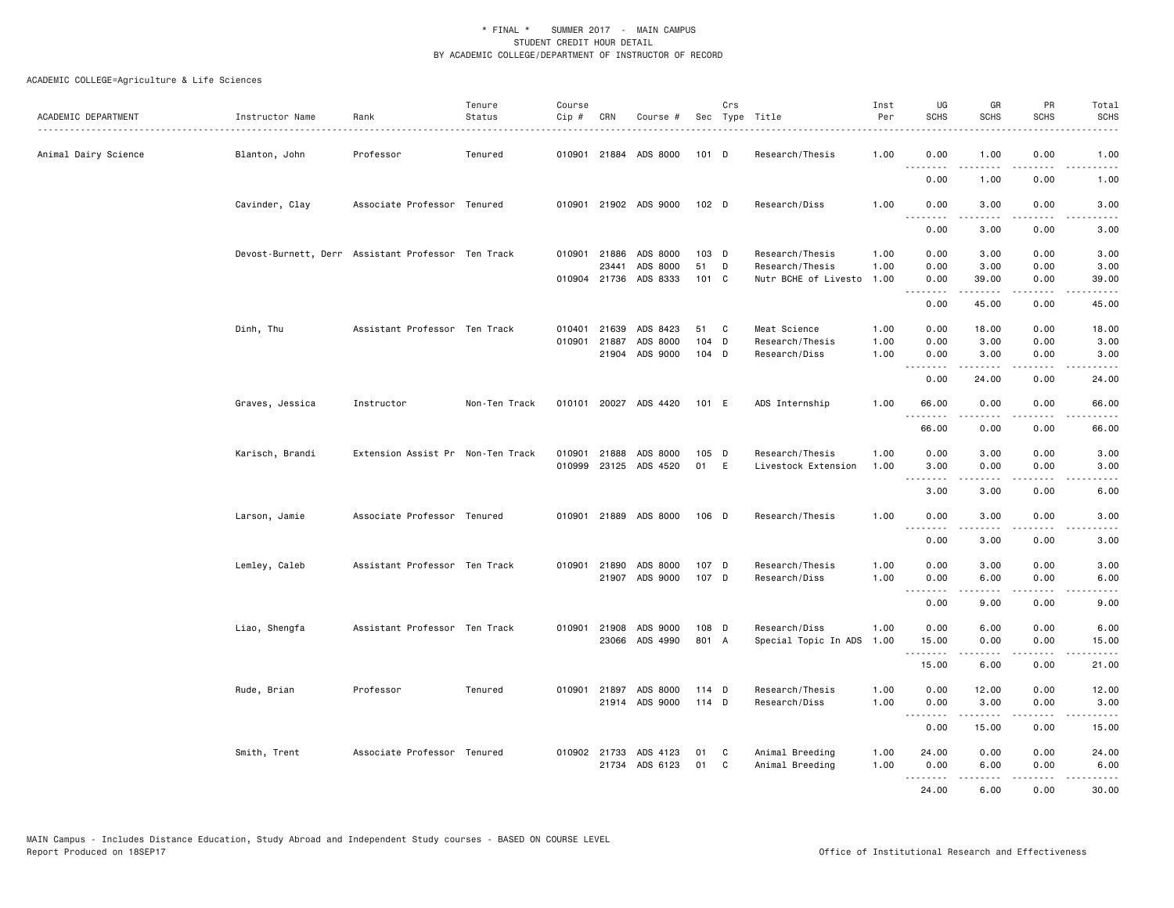| ACADEMIC DEPARTMENT  | Instructor Name<br>.                               | Rank                              | Tenure<br>Status | Course<br>Cip # | CRN   | Course #                   |                | Crs | Sec Type Title                   | Inst<br>Per  | UG<br><b>SCHS</b>                                    | GR<br><b>SCHS</b>     | PR<br><b>SCHS</b>                           | Total<br><b>SCHS</b> |
|----------------------|----------------------------------------------------|-----------------------------------|------------------|-----------------|-------|----------------------------|----------------|-----|----------------------------------|--------------|------------------------------------------------------|-----------------------|---------------------------------------------|----------------------|
| Animal Dairy Science | Blanton, John                                      | Professor                         | Tenured          |                 |       | 010901 21884 ADS 8000      | 101 D          |     | Research/Thesis                  | 1.00         | 0.00<br>$\sim$ $\sim$ $\sim$ $\sim$<br>$\frac{1}{2}$ | 1.00<br>.             | 0.00<br>.                                   | 1.00<br>.            |
|                      |                                                    |                                   |                  |                 |       |                            |                |     |                                  |              | 0.00                                                 | 1.00                  | 0.00                                        | 1.00                 |
|                      | Cavinder, Clay                                     | Associate Professor Tenured       |                  |                 |       | 010901 21902 ADS 9000      | 102 D          |     | Research/Diss                    | 1.00         | 0.00<br>.                                            | 3.00<br>.             | 0.00<br>$\omega$ $\omega$ $\omega$ $\omega$ | 3.00<br>-----        |
|                      |                                                    |                                   |                  |                 |       |                            |                |     |                                  |              | 0.00                                                 | 3.00                  | 0.00                                        | 3.00                 |
|                      | Devost-Burnett, Derr Assistant Professor Ten Track |                                   |                  |                 |       | 010901 21886 ADS 8000      | 103 D          |     | Research/Thesis                  | 1.00         | 0.00                                                 | 3.00                  | 0.00                                        | 3.00                 |
|                      |                                                    |                                   |                  |                 | 23441 | ADS 8000                   | 51             | D   | Research/Thesis                  | 1.00         | 0.00                                                 | 3.00                  | 0.00                                        | 3.00                 |
|                      |                                                    |                                   |                  |                 |       | 010904 21736 ADS 8333      | 101 C          |     | Nutr BCHE of Livesto 1.00        |              | 0.00<br>.                                            | 39.00<br>.            | 0.00<br>.                                   | 39.00<br>.           |
|                      |                                                    |                                   |                  |                 |       |                            |                |     |                                  |              | 0.00                                                 | 45.00                 | 0.00                                        | 45.00                |
|                      | Dinh, Thu                                          | Assistant Professor Ten Track     |                  | 010401          | 21639 | ADS 8423                   | 51             | C   | Meat Science                     | 1.00         | 0.00                                                 | 18.00                 | 0.00                                        | 18.00                |
|                      |                                                    |                                   |                  | 010901          | 21887 | ADS 8000                   | 104            | D   | Research/Thesis                  | 1.00         | 0.00                                                 | 3.00                  | 0.00                                        | 3.00                 |
|                      |                                                    |                                   |                  |                 | 21904 | ADS 9000                   | 104 D          |     | Research/Diss                    | 1.00         | 0.00<br>.                                            | 3.00<br>.             | 0.00<br>$\sim$ $\sim$ $\sim$ $\sim$         | 3.00<br>.            |
|                      |                                                    |                                   |                  |                 |       |                            |                |     |                                  |              | 0.00                                                 | 24.00                 | 0.00                                        | 24.00                |
|                      | Graves, Jessica                                    | Instructor                        | Non-Ten Track    |                 |       | 010101 20027 ADS 4420      | 101 E          |     | ADS Internship                   | 1.00         | 66.00                                                | 0.00                  | 0.00                                        | 66.00                |
|                      |                                                    |                                   |                  |                 |       |                            |                |     |                                  |              | .<br>66.00                                           | 0.00                  | 0.00                                        | 66.00                |
|                      | Karisch, Brandi                                    | Extension Assist Pr Non-Ten Track |                  | 010901          | 21888 | ADS 8000                   | 105 D          |     | Research/Thesis                  | 1.00         | 0.00                                                 | 3.00                  | 0.00                                        | 3.00                 |
|                      |                                                    |                                   |                  | 010999          |       | 23125 ADS 4520             | 01             | E   | Livestock Extension              | 1.00         | 3.00                                                 | 0.00                  | 0.00                                        | 3.00                 |
|                      |                                                    |                                   |                  |                 |       |                            |                |     |                                  |              | $  -$<br>3.00                                        | $\frac{1}{2}$<br>3.00 | - - - -<br>0.00                             | 6.00                 |
|                      |                                                    |                                   |                  |                 |       |                            |                |     |                                  |              |                                                      |                       |                                             |                      |
|                      | Larson, Jamie                                      | Associate Professor Tenured       |                  |                 |       | 010901 21889 ADS 8000      | 106 D          |     | Research/Thesis                  | 1.00         | 0.00<br>.                                            | 3.00<br>.             | 0.00                                        | 3.00                 |
|                      |                                                    |                                   |                  |                 |       |                            |                |     |                                  |              | 0.00                                                 | 3.00                  | 0.00                                        | 3.00                 |
|                      | Lemley, Caleb                                      | Assistant Professor Ten Track     |                  |                 |       | 010901 21890 ADS 8000      | 107 D          |     | Research/Thesis                  | 1.00         | 0.00                                                 | 3.00                  | 0.00                                        | 3.00                 |
|                      |                                                    |                                   |                  |                 |       | 21907 ADS 9000             | 107 D          |     | Research/Diss                    | 1.00         | 0.00<br>.                                            | 6.00                  | 0.00<br>.                                   | 6.00                 |
|                      |                                                    |                                   |                  |                 |       |                            |                |     |                                  |              | 0.00                                                 | 9.00                  | 0.00                                        | 9.00                 |
|                      | Liao, Shengfa                                      | Assistant Professor Ten Track     |                  |                 |       | 010901 21908 ADS 9000      | 108 D          |     | Research/Diss                    | 1.00         | 0.00                                                 | 6.00                  | 0.00                                        | 6.00                 |
|                      |                                                    |                                   |                  |                 |       | 23066 ADS 4990             | 801 A          |     | Special Topic In ADS             | 1.00         | 15.00                                                | 0.00                  | 0.00                                        | 15.00                |
|                      |                                                    |                                   |                  |                 |       |                            |                |     |                                  |              | .<br>15.00                                           | -----<br>6.00         | .<br>0.00                                   | .<br>21.00           |
|                      |                                                    |                                   |                  |                 |       |                            |                |     |                                  |              |                                                      |                       |                                             |                      |
|                      | Rude, Brian                                        | Professor                         | Tenured          | 010901          | 21897 | ADS 8000<br>21914 ADS 9000 | 114 D<br>114 D |     | Research/Thesis<br>Research/Diss | 1.00<br>1.00 | 0.00                                                 | 12.00                 | 0.00                                        | 12.00<br>3.00        |
|                      |                                                    |                                   |                  |                 |       |                            |                |     |                                  |              | 0.00<br><b></b>                                      | 3.00<br>.             | 0.00<br>.                                   | .                    |
|                      |                                                    |                                   |                  |                 |       |                            |                |     |                                  |              | 0.00                                                 | 15.00                 | 0.00                                        | 15.00                |
|                      | Smith, Trent                                       | Associate Professor Tenured       |                  |                 |       | 010902 21733 ADS 4123      | 01             | C   | Animal Breeding                  | 1.00         | 24.00                                                | 0.00                  | 0.00                                        | 24.00                |
|                      |                                                    |                                   |                  |                 | 21734 | ADS 6123                   | 01             | C   | Animal Breeding                  | 1.00         | 0.00                                                 | 6.00                  | 0.00                                        | 6.00                 |
|                      |                                                    |                                   |                  |                 |       |                            |                |     |                                  |              | .<br>24.00                                           | 6.00                  | 0.00                                        | 30.00                |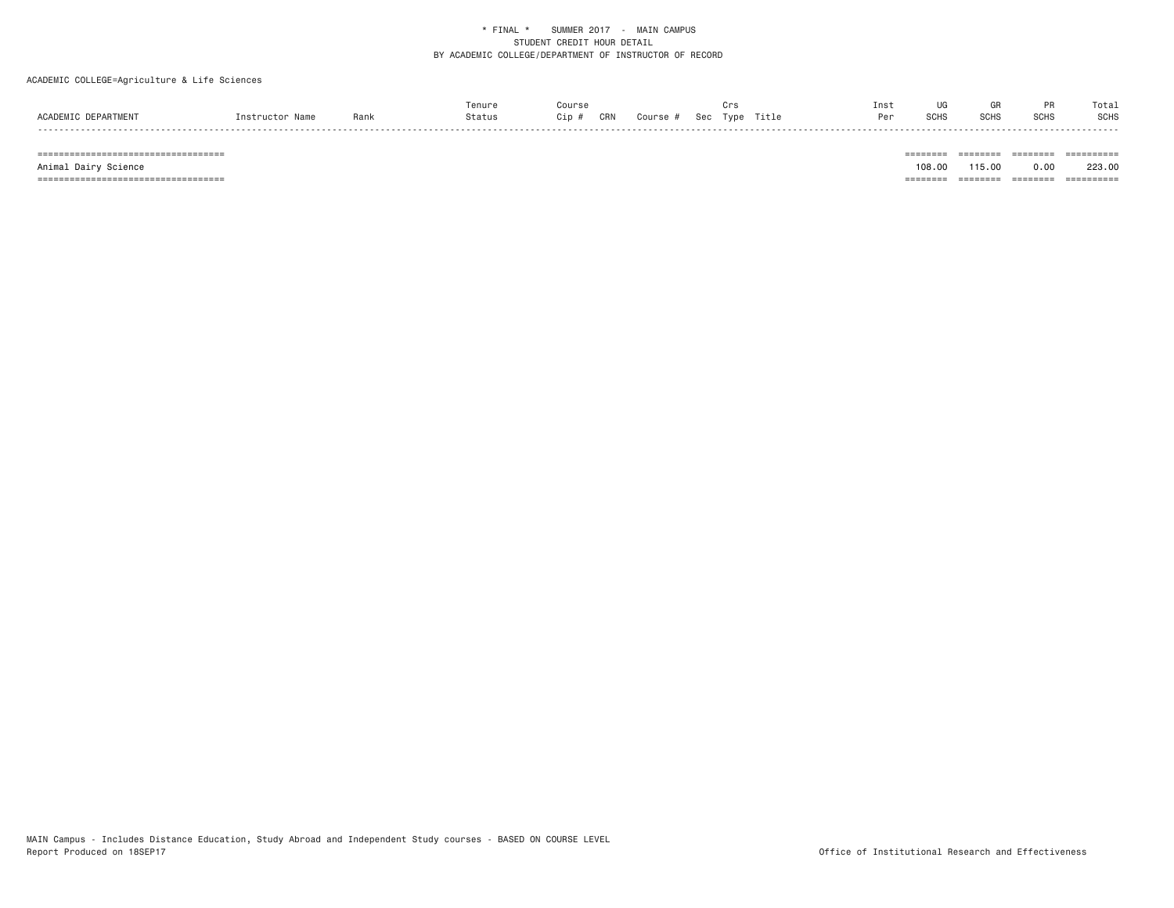# ACADEMIC COLLEGE=Agriculture & Life Sciences

|                                |                 |      | Tenure |    |     |        |     |      |       | Inst | UG          |             |             | Total |
|--------------------------------|-----------------|------|--------|----|-----|--------|-----|------|-------|------|-------------|-------------|-------------|-------|
| ACADEMIC.<br><b>DEPARTMENT</b> | Instructor Name | Rank | Status | üp | CRN | Course | Sec | Type | Title | Per  | <b>SCHS</b> | <b>SCHS</b> | <b>SCHS</b> | SCHS  |
| - - - -                        |                 |      |        |    |     |        |     |      |       |      |             |             |             |       |

=================================== ======== ======== ======== ==========

 Animal Dairy Science 108.00 115.00 0.00 223.00 =================================== ======== ======== ======== ==========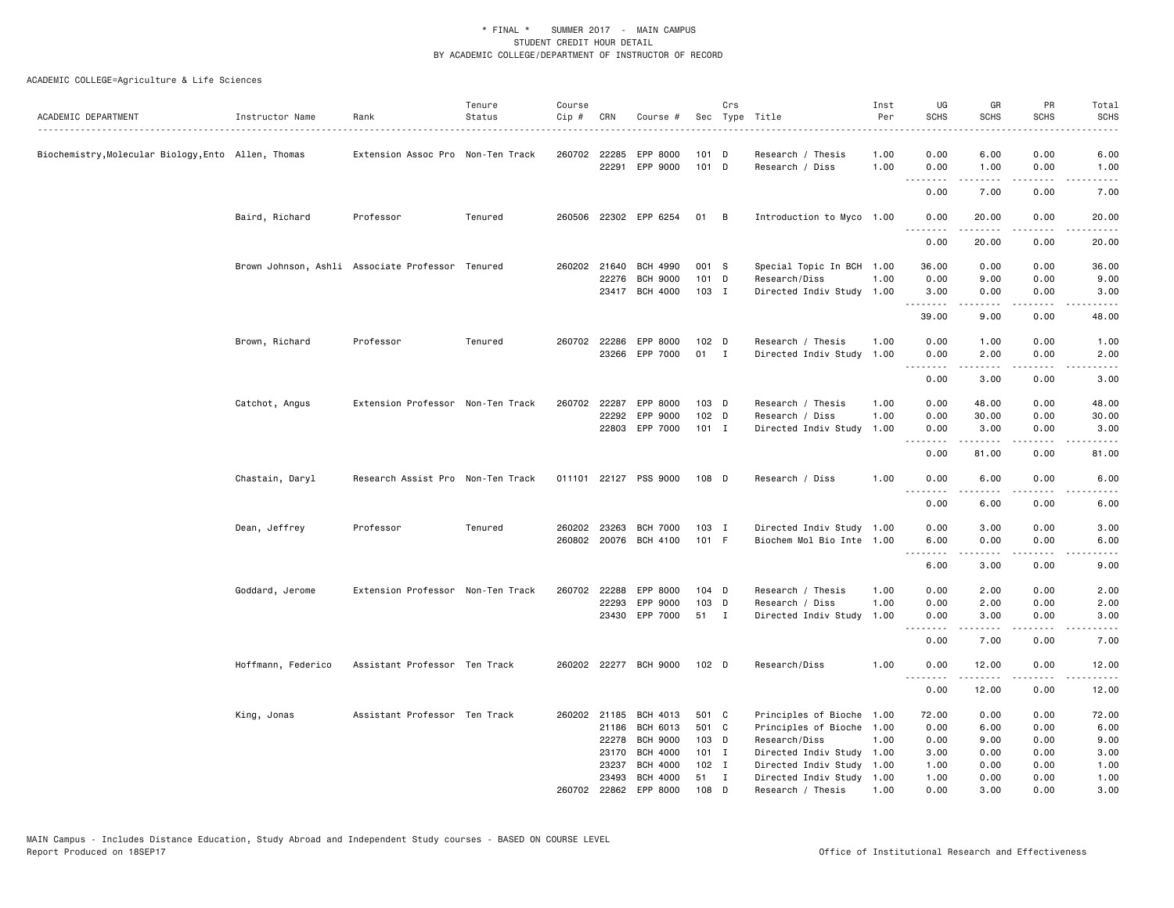| ACADEMIC DEPARTMENT                                 | Instructor Name    | Rank                                             | Tenure<br>Status | Course<br>Cip # | CRN   | Course #                   |                  | Crs          | Sec Type Title                       | Inst<br>Per  | UG<br><b>SCHS</b>                                                                                                                            | GR<br><b>SCHS</b>                                                                                                                                            | PR<br><b>SCHS</b>                   | Total<br><b>SCHS</b>                       |
|-----------------------------------------------------|--------------------|--------------------------------------------------|------------------|-----------------|-------|----------------------------|------------------|--------------|--------------------------------------|--------------|----------------------------------------------------------------------------------------------------------------------------------------------|--------------------------------------------------------------------------------------------------------------------------------------------------------------|-------------------------------------|--------------------------------------------|
| Biochemistry, Molecular Biology, Ento Allen, Thomas |                    | Extension Assoc Pro Non-Ten Track                |                  | 260702 22285    |       | EPP 8000<br>22291 EPP 9000 | 101 D<br>101 D   |              | Research / Thesis<br>Research / Diss | 1.00<br>1.00 | 0.00<br>0.00                                                                                                                                 | 6.00<br>1.00                                                                                                                                                 | 0.00<br>0.00                        | 6.00<br>1.00                               |
|                                                     |                    |                                                  |                  |                 |       |                            |                  |              |                                      |              | .<br>0.00                                                                                                                                    | $\frac{1}{2} \left( \frac{1}{2} \right) \left( \frac{1}{2} \right) \left( \frac{1}{2} \right) \left( \frac{1}{2} \right) \left( \frac{1}{2} \right)$<br>7.00 | .<br>0.00                           | $\sim$ $\sim$ $\sim$ $\sim$ $\sim$<br>7.00 |
|                                                     | Baird, Richard     | Professor                                        | Tenured          |                 |       | 260506 22302 EPP 6254      | 01               | B            | Introduction to Myco 1.00            |              | 0.00                                                                                                                                         | 20.00                                                                                                                                                        | 0.00                                | 20.00                                      |
|                                                     |                    |                                                  |                  |                 |       |                            |                  |              |                                      |              | .<br>0.00                                                                                                                                    | 20.00                                                                                                                                                        | 0.00                                | 20.00                                      |
|                                                     |                    | Brown Johnson, Ashli Associate Professor Tenured |                  | 260202 21640    |       | BCH 4990                   | 001 S            |              | Special Topic In BCH 1.00            |              | 36.00                                                                                                                                        | 0.00                                                                                                                                                         | 0.00                                | 36.00                                      |
|                                                     |                    |                                                  |                  |                 | 22276 | <b>BCH 9000</b>            | 101 D            |              | Research/Diss                        | 1.00         | 0.00                                                                                                                                         | 9.00                                                                                                                                                         | 0.00                                | 9.00                                       |
|                                                     |                    |                                                  |                  |                 |       | 23417 BCH 4000             | 103 I            |              | Directed Indiv Study                 | 1.00         | 3.00<br>.                                                                                                                                    | 0.00                                                                                                                                                         | 0.00                                | 3.00                                       |
|                                                     |                    |                                                  |                  |                 |       |                            |                  |              |                                      |              | 39.00                                                                                                                                        | 9.00                                                                                                                                                         | 0.00                                | 48.00                                      |
|                                                     | Brown, Richard     | Professor                                        | Tenured          | 260702 22286    |       | EPP 8000                   | $102$ D          |              | Research / Thesis                    | 1.00         | 0.00                                                                                                                                         | 1.00                                                                                                                                                         | 0.00                                | 1.00                                       |
|                                                     |                    |                                                  |                  |                 |       | 23266 EPP 7000             | 01               | $\mathbf{I}$ | Directed Indiv Study 1.00            |              | 0.00                                                                                                                                         | 2.00                                                                                                                                                         | 0.00                                | 2.00                                       |
|                                                     |                    |                                                  |                  |                 |       |                            |                  |              |                                      |              | $\sim$ $\sim$ $\sim$ $\sim$<br>0.00                                                                                                          | -----<br>3.00                                                                                                                                                | $\sim$ - - -<br>0.00                | 3.00                                       |
|                                                     | Catchot, Angus     | Extension Professor Non-Ten Track                |                  | 260702          | 22287 | EPP 8000                   | 103 D            |              | Research / Thesis                    | 1.00         | 0.00                                                                                                                                         | 48.00                                                                                                                                                        | 0.00                                | 48.00                                      |
|                                                     |                    |                                                  |                  |                 | 22292 | EPP 9000                   | 102 <sub>D</sub> |              | Research / Diss                      | 1.00         | 0.00                                                                                                                                         | 30.00                                                                                                                                                        | 0.00                                | 30.00                                      |
|                                                     |                    |                                                  |                  |                 |       | 22803 EPP 7000             | $101$ I          |              | Directed Indiv Study                 | 1.00         | 0.00<br>$\sim$ $\sim$ $\sim$                                                                                                                 | 3.00<br>$\frac{1}{2} \left( \frac{1}{2} \right) \left( \frac{1}{2} \right) \left( \frac{1}{2} \right) \left( \frac{1}{2} \right) \left( \frac{1}{2} \right)$ | 0.00<br>.                           | 3.00                                       |
|                                                     |                    |                                                  |                  |                 |       |                            |                  |              |                                      |              | 0.00                                                                                                                                         | 81.00                                                                                                                                                        | 0.00                                | 81.00                                      |
|                                                     | Chastain, Daryl    | Research Assist Pro Non-Ten Track                |                  |                 |       | 011101 22127 PSS 9000      | 108 D            |              | Research / Diss                      | 1.00         | 0.00<br>.                                                                                                                                    | 6.00                                                                                                                                                         | 0.00                                | 6.00                                       |
|                                                     |                    |                                                  |                  |                 |       |                            |                  |              |                                      |              | 0.00                                                                                                                                         | 6.00                                                                                                                                                         | 0.00                                | 6.00                                       |
|                                                     | Dean, Jeffrey      | Professor                                        | Tenured          | 260202 23263    |       | <b>BCH 7000</b>            | 103 I            |              | Directed Indiv Study 1.00            |              | 0.00                                                                                                                                         | 3.00                                                                                                                                                         | 0.00                                | 3.00                                       |
|                                                     |                    |                                                  |                  |                 |       | 260802 20076 BCH 4100      | 101 F            |              | Biochem Mol Bio Inte 1.00            |              | 6.00                                                                                                                                         | 0.00                                                                                                                                                         | 0.00                                | 6.00                                       |
|                                                     |                    |                                                  |                  |                 |       |                            |                  |              |                                      |              | $\sim$ $\sim$ $\sim$<br>6.00                                                                                                                 | .<br>3.00                                                                                                                                                    | .<br>0.00                           | 9.00                                       |
|                                                     | Goddard, Jerome    | Extension Professor Non-Ten Track                |                  | 260702 22288    |       | EPP 8000                   | $104$ D          |              | Research / Thesis                    | 1.00         | 0.00                                                                                                                                         | 2.00                                                                                                                                                         | 0.00                                | 2.00                                       |
|                                                     |                    |                                                  |                  |                 | 22293 | EPP 9000                   | 103 D            |              | Research / Diss                      | 1.00         | 0.00                                                                                                                                         | 2.00                                                                                                                                                         | 0.00                                | 2.00                                       |
|                                                     |                    |                                                  |                  |                 |       | 23430 EPP 7000             | 51 I             |              | Directed Indiv Study                 | 1.00         | 0.00                                                                                                                                         | 3.00                                                                                                                                                         | 0.00                                | 3.00                                       |
|                                                     |                    |                                                  |                  |                 |       |                            |                  |              |                                      |              | .<br>0.00                                                                                                                                    | $\frac{1}{2} \left( \frac{1}{2} \right) \left( \frac{1}{2} \right) \left( \frac{1}{2} \right) \left( \frac{1}{2} \right) \left( \frac{1}{2} \right)$<br>7.00 | .<br>0.00                           | $\frac{1}{2}$<br>7.00                      |
|                                                     | Hoffmann, Federico | Assistant Professor Ten Track                    |                  |                 |       | 260202 22277 BCH 9000      | 102 D            |              | Research/Diss                        | 1.00         | 0.00                                                                                                                                         | 12.00                                                                                                                                                        | 0.00                                | 12.00                                      |
|                                                     |                    |                                                  |                  |                 |       |                            |                  |              |                                      |              | $- - -$<br>$\frac{1}{2} \left( \frac{1}{2} \right) \left( \frac{1}{2} \right) \left( \frac{1}{2} \right) \left( \frac{1}{2} \right)$<br>0.00 | -----<br>12.00                                                                                                                                               | $\sim$ $\sim$ $\sim$ $\sim$<br>0.00 | 12.00                                      |
|                                                     | King, Jonas        | Assistant Professor Ten Track                    |                  | 260202 21185    |       | BCH 4013                   | 501 C            |              | Principles of Bioche 1.00            |              | 72.00                                                                                                                                        | 0.00                                                                                                                                                         | 0.00                                | 72.00                                      |
|                                                     |                    |                                                  |                  |                 | 21186 | BCH 6013                   | 501 C            |              | Principles of Bioche 1.00            |              | 0.00                                                                                                                                         | 6.00                                                                                                                                                         | 0.00                                | 6.00                                       |
|                                                     |                    |                                                  |                  |                 | 22278 | <b>BCH 9000</b>            | 103 D            |              | Research/Diss                        | 1.00         | 0.00                                                                                                                                         | 9.00                                                                                                                                                         | 0.00                                | 9.00                                       |
|                                                     |                    |                                                  |                  |                 | 23170 | <b>BCH 4000</b>            | $101$ I          |              | Directed Indiv Study                 | 1.00         | 3.00                                                                                                                                         | 0.00                                                                                                                                                         | 0.00                                | 3.00                                       |
|                                                     |                    |                                                  |                  |                 | 23237 | <b>BCH 4000</b>            | $102$ I          |              | Directed Indiv Study 1.00            |              | 1.00                                                                                                                                         | 0.00                                                                                                                                                         | 0.00                                | 1.00                                       |
|                                                     |                    |                                                  |                  |                 | 23493 | <b>BCH 4000</b>            | 51               | $\mathbf{I}$ | Directed Indiv Study 1.00            |              | 1.00                                                                                                                                         | 0.00                                                                                                                                                         | 0.00                                | 1.00                                       |
|                                                     |                    |                                                  |                  | 260702 22862    |       | EPP 8000                   | 108 D            |              | Research / Thesis                    | 1.00         | 0.00                                                                                                                                         | 3.00                                                                                                                                                         | 0.00                                | 3.00                                       |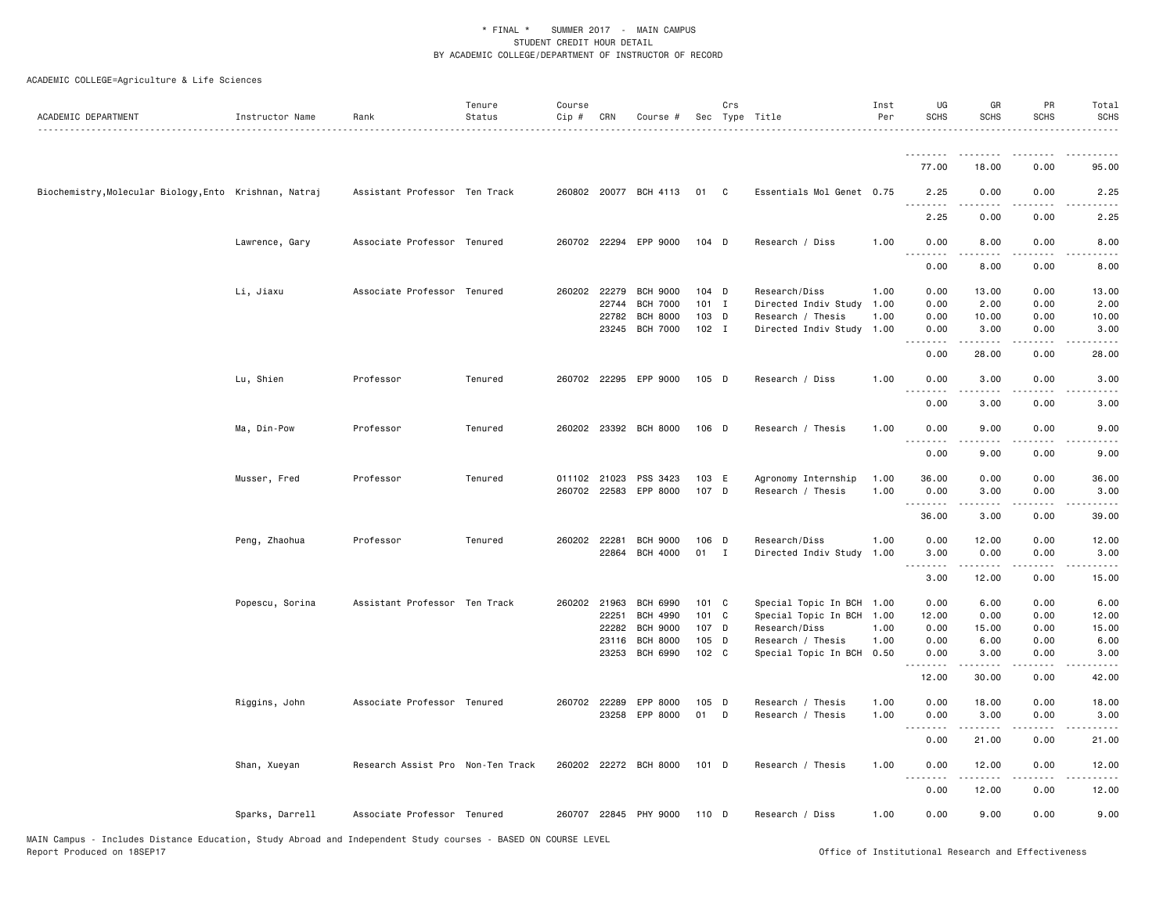| ACADEMIC DEPARTMENT                                    | Instructor Name | Rank                              | Tenure<br>Status | Course<br>Cip # | CRN   | Course #                           |                  | Crs          | Sec Type Title            | Inst<br>Per | UG<br><b>SCHS</b>               | GR<br>SCHS                                                                                                                                                   | PR<br><b>SCHS</b>                   | Total<br><b>SCHS</b>                                                                                                              |
|--------------------------------------------------------|-----------------|-----------------------------------|------------------|-----------------|-------|------------------------------------|------------------|--------------|---------------------------|-------------|---------------------------------|--------------------------------------------------------------------------------------------------------------------------------------------------------------|-------------------------------------|-----------------------------------------------------------------------------------------------------------------------------------|
|                                                        |                 |                                   |                  |                 |       |                                    |                  |              |                           |             | .                               | <u>.</u>                                                                                                                                                     | .                                   |                                                                                                                                   |
|                                                        |                 |                                   |                  |                 |       |                                    |                  |              |                           |             | 77.00                           | 18.00                                                                                                                                                        | 0.00                                | 95.00                                                                                                                             |
| Biochemistry, Molecular Biology, Ento Krishnan, Natraj |                 | Assistant Professor Ten Track     |                  |                 |       | 260802 20077 BCH 4113              | 01               | C            | Essentials Mol Genet 0.75 |             | 2.25<br>.                       | 0.00                                                                                                                                                         | 0.00                                | 2.25                                                                                                                              |
|                                                        |                 |                                   |                  |                 |       |                                    |                  |              |                           |             | 2.25                            | 0.00                                                                                                                                                         | 0.00                                | 2.25                                                                                                                              |
|                                                        | Lawrence, Gary  | Associate Professor Tenured       |                  |                 |       | 260702 22294 EPP 9000              | 104 D            |              | Research / Diss           | 1.00        | 0.00<br>$\omega$ is $\omega$ in | 8.00                                                                                                                                                         | 0.00                                | 8.00                                                                                                                              |
|                                                        |                 |                                   |                  |                 |       |                                    |                  |              |                           |             | 0.00                            | 8.00                                                                                                                                                         | 0.00                                | 8.00                                                                                                                              |
|                                                        | Li, Jiaxu       | Associate Professor Tenured       |                  | 260202 22279    |       | <b>BCH 9000</b>                    | $104$ D          |              | Research/Diss             | 1.00        | 0.00                            | 13.00                                                                                                                                                        | 0.00                                | 13.00                                                                                                                             |
|                                                        |                 |                                   |                  |                 | 22744 | <b>BCH 7000</b>                    | $101$ I          |              | Directed Indiv Study      | 1.00        | 0.00                            | 2.00                                                                                                                                                         | 0.00                                | 2.00                                                                                                                              |
|                                                        |                 |                                   |                  |                 | 22782 | <b>BCH 8000</b><br><b>BCH 7000</b> | 103 D<br>$102$ I |              | Research / Thesis         | 1.00        | 0.00                            | 10.00                                                                                                                                                        | 0.00                                | 10.00                                                                                                                             |
|                                                        |                 |                                   |                  |                 | 23245 |                                    |                  |              | Directed Indiv Study      | 1.00        | 0.00<br>$\frac{1}{2}$           | 3.00<br>.                                                                                                                                                    | 0.00<br>$\frac{1}{2}$               | 3.00<br>$- - - -$                                                                                                                 |
|                                                        |                 |                                   |                  |                 |       |                                    |                  |              |                           |             | 0.00                            | 28.00                                                                                                                                                        | 0.00                                | 28.00                                                                                                                             |
|                                                        | Lu, Shien       | Professor                         | Tenured          |                 |       | 260702 22295 EPP 9000              | $105$ D          |              | Research / Diss           | 1.00        | 0.00                            | 3.00                                                                                                                                                         | 0.00                                | 3.00                                                                                                                              |
|                                                        |                 |                                   |                  |                 |       |                                    |                  |              |                           |             | 0.00                            | 3.00                                                                                                                                                         | 0.00                                | 3.00                                                                                                                              |
|                                                        | Ma, Din-Pow     | Professor                         | Tenured          |                 |       | 260202 23392 BCH 8000              | 106 D            |              | Research / Thesis         | 1.00        | 0.00                            | 9.00                                                                                                                                                         | 0.00                                | 9.00                                                                                                                              |
|                                                        |                 |                                   |                  |                 |       |                                    |                  |              |                           |             | 0.00                            | 9.00                                                                                                                                                         | 0.00                                | 9.00                                                                                                                              |
|                                                        | Musser, Fred    | Professor                         | Tenured          |                 |       | 011102 21023 PSS 3423              | 103 E            |              | Agronomy Internship       | 1.00        | 36.00                           | 0.00                                                                                                                                                         | 0.00                                | 36.00                                                                                                                             |
|                                                        |                 |                                   |                  |                 |       | 260702 22583 EPP 8000              | 107 D            |              | Research / Thesis         | 1.00        | 0.00<br><u>.</u>                | 3.00                                                                                                                                                         | 0.00                                | 3.00                                                                                                                              |
|                                                        |                 |                                   |                  |                 |       |                                    |                  |              |                           |             | 36.00                           | 3.00                                                                                                                                                         | 0.00                                | 39.00                                                                                                                             |
|                                                        | Peng, Zhaohua   | Professor                         | Tenured          | 260202 22281    |       | <b>BCH 9000</b>                    | $106$ D          |              | Research/Diss             | 1.00        | 0.00                            | 12.00                                                                                                                                                        | 0.00                                | 12.00                                                                                                                             |
|                                                        |                 |                                   |                  |                 | 22864 | <b>BCH 4000</b>                    | 01               | $\mathbf{I}$ | Directed Indiv Study      | 1.00        | 3.00<br>.                       | 0.00<br>$\frac{1}{2} \left( \frac{1}{2} \right) \left( \frac{1}{2} \right) \left( \frac{1}{2} \right) \left( \frac{1}{2} \right) \left( \frac{1}{2} \right)$ | 0.00<br>$\sim$ $\sim$ $\sim$ $\sim$ | 3.00<br>$\omega$ is a set                                                                                                         |
|                                                        |                 |                                   |                  |                 |       |                                    |                  |              |                           |             | 3.00                            | 12.00                                                                                                                                                        | 0.00                                | 15.00                                                                                                                             |
|                                                        | Popescu, Sorina | Assistant Professor Ten Track     |                  | 260202 21963    |       | <b>BCH 6990</b>                    | 101 C            |              | Special Topic In BCH 1.00 |             | 0.00                            | 6.00                                                                                                                                                         | 0.00                                | 6.00                                                                                                                              |
|                                                        |                 |                                   |                  |                 | 22251 | BCH 4990                           | 101 C            |              | Special Topic In BCH 1.00 |             | 12.00                           | 0.00                                                                                                                                                         | 0.00                                | 12.00                                                                                                                             |
|                                                        |                 |                                   |                  |                 | 22282 | <b>BCH 9000</b>                    | 107 D            |              | Research/Diss             | 1.00        | 0.00                            | 15.00                                                                                                                                                        | 0.00                                | 15.00                                                                                                                             |
|                                                        |                 |                                   |                  |                 | 23116 | <b>BCH 8000</b>                    | 105 D            |              | Research / Thesis         | 1.00        | 0.00                            | 6.00                                                                                                                                                         | 0.00                                | 6.00                                                                                                                              |
|                                                        |                 |                                   |                  |                 | 23253 | BCH 6990                           | 102 C            |              | Special Topic In BCH      | 0.50        | 0.00<br>.                       | 3.00<br>.                                                                                                                                                    | 0.00<br>د د د د                     | 3.00<br>$- - - -$                                                                                                                 |
|                                                        |                 |                                   |                  |                 |       |                                    |                  |              |                           |             | 12.00                           | 30.00                                                                                                                                                        | 0.00                                | 42.00                                                                                                                             |
|                                                        | Riggins, John   | Associate Professor Tenured       |                  | 260702 22289    |       | EPP 8000                           | $105$ D          |              | Research / Thesis         | 1.00        | 0.00                            | 18.00                                                                                                                                                        | 0.00                                | 18.00                                                                                                                             |
|                                                        |                 |                                   |                  |                 |       | 23258 EPP 8000                     | 01               | D            | Research / Thesis         | 1.00        | 0.00<br>.                       | 3.00<br>.                                                                                                                                                    | 0.00<br>$\sim$ $\sim$ $\sim$ $\sim$ | 3.00<br>$\frac{1}{2} \left( \frac{1}{2} \right) \left( \frac{1}{2} \right) \left( \frac{1}{2} \right) \left( \frac{1}{2} \right)$ |
|                                                        |                 |                                   |                  |                 |       |                                    |                  |              |                           |             | 0.00                            | 21.00                                                                                                                                                        | 0.00                                | 21.00                                                                                                                             |
|                                                        | Shan, Xueyan    | Research Assist Pro Non-Ten Track |                  |                 |       | 260202 22272 BCH 8000              | $101$ D          |              | Research / Thesis         | 1.00        | 0.00<br>.                       | 12.00<br>$- - - - -$                                                                                                                                         | 0.00<br>$- - - -$                   | 12.00<br>.                                                                                                                        |
|                                                        |                 |                                   |                  |                 |       |                                    |                  |              |                           |             | 0.00                            | 12.00                                                                                                                                                        | 0.00                                | 12.00                                                                                                                             |
|                                                        | Sparks, Darrell | Associate Professor Tenured       |                  |                 |       | 260707 22845 PHY 9000              | 110 D            |              | Research / Diss           | 1.00        | 0.00                            | 9.00                                                                                                                                                         | 0.00                                | 9.00                                                                                                                              |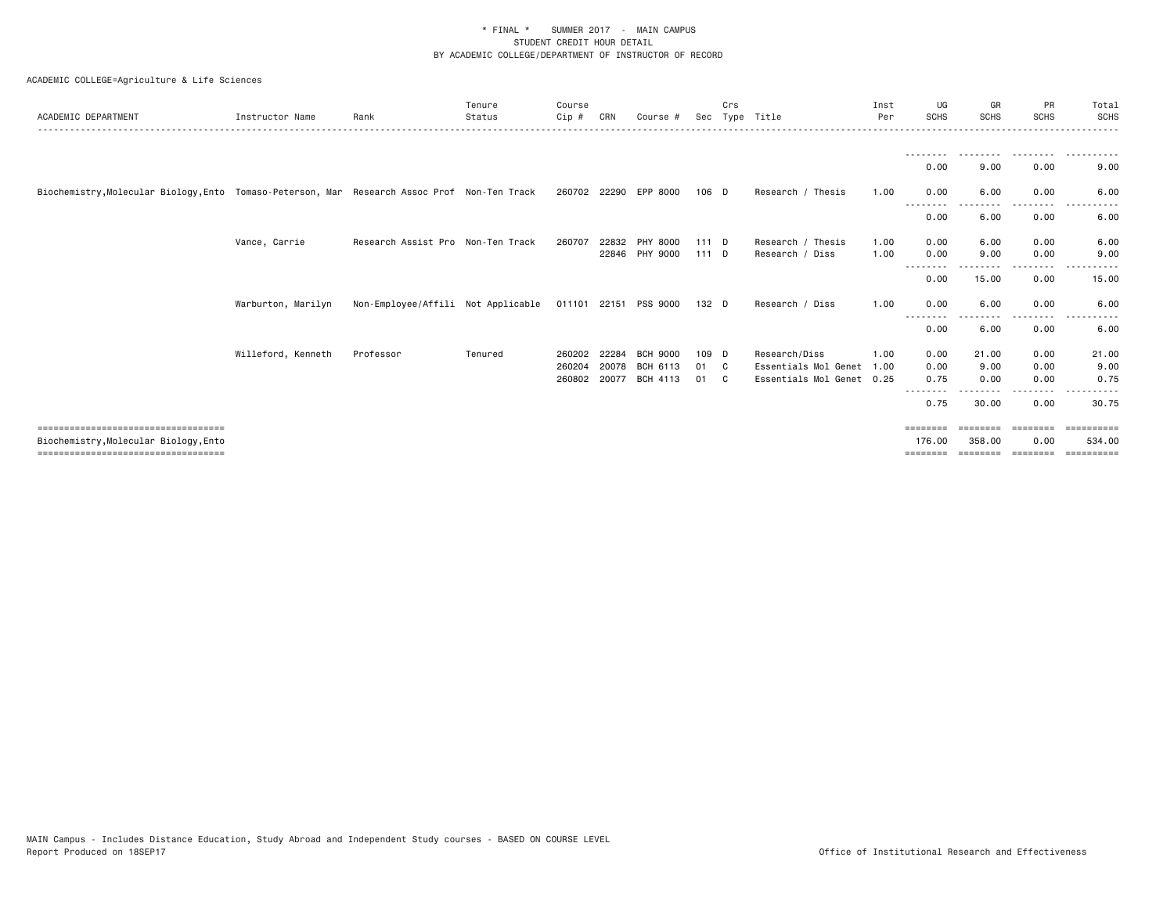| ACADEMIC DEPARTMENT                                                                                                    | Instructor Name    | Rank                               | Tenure<br>Status | Course<br>$Cip$ #          | CRN                     | Course #                                | Sec               | Crs     | Type Title                                                         | Inst<br>Per  | UG<br><b>SCHS</b>                | GR<br><b>SCHS</b>        | PR<br><b>SCHS</b>             | Total<br><b>SCHS</b>               |
|------------------------------------------------------------------------------------------------------------------------|--------------------|------------------------------------|------------------|----------------------------|-------------------------|-----------------------------------------|-------------------|---------|--------------------------------------------------------------------|--------------|----------------------------------|--------------------------|-------------------------------|------------------------------------|
|                                                                                                                        |                    |                                    |                  |                            |                         |                                         |                   |         |                                                                    |              | --------<br>0.00                 | .<br>9.00                | ---------<br>0.00             | .<br>9.00                          |
| Biochemistry, Molecular Biology, Ento Tomaso-Peterson, Mar Research Assoc Prof Non-Ten Track                           |                    |                                    |                  |                            |                         | 260702 22290 EPP 8000                   | $106$ D           |         | Research / Thesis                                                  | 1.00         | 0.00                             | 6.00                     | 0.00                          | 6.00                               |
|                                                                                                                        |                    |                                    |                  |                            |                         |                                         |                   |         |                                                                    |              | ----<br>0.00                     | 6.00                     | . <u>.</u> .<br>0.00          | 6.00                               |
|                                                                                                                        | Vance, Carrie      | Research Assist Pro Non-Ten Track  |                  | 260707                     | 22832                   | PHY 8000<br>22846 PHY 9000              | $111$ D<br>111D   |         | Research / Thesis<br>Research / Diss                               | 1.00<br>1.00 | 0.00<br>0.00                     | 6.00<br>9.00             | 0.00<br>0.00                  | 6.00<br>9.00                       |
|                                                                                                                        |                    |                                    |                  |                            |                         |                                         |                   |         |                                                                    |              | - - - - - - - -<br>0.00          | - - - - - - - -<br>15.00 | .<br>0.00                     | 15.00                              |
|                                                                                                                        | Warburton, Marilyn | Non-Employee/Affili Not Applicable |                  |                            |                         | 011101 22151 PSS 9000                   | 132 D             |         | Research / Diss                                                    | 1.00         | 0.00<br>- - - - - - - -          | 6.00<br>-----            | 0.00<br>. <b>.</b>            | 6.00                               |
|                                                                                                                        |                    |                                    |                  |                            |                         |                                         |                   |         |                                                                    |              | 0.00                             | 6.00                     | 0.00                          | 6.00                               |
|                                                                                                                        | Willeford, Kenneth | Professor                          | Tenured          | 260202<br>260204<br>260802 | 22284<br>20078<br>20077 | <b>BCH 9000</b><br>BCH 6113<br>BCH 4113 | 109 D<br>01<br>01 | C.<br>C | Research/Diss<br>Essentials Mol Genet<br>Essentials Mol Genet 0.25 | 1.00<br>1.00 | 0.00<br>0.00<br>0.75<br>-------- | 21.00<br>9.00<br>0.00    | 0.00<br>0.00<br>0.00<br>.     | 21.00<br>9.00<br>0.75              |
|                                                                                                                        |                    |                                    |                  |                            |                         |                                         |                   |         |                                                                    |              | 0.75                             | 30.00                    | 0.00                          | 30.75                              |
| =====================================<br>Biochemistry, Molecular Biology, Ento<br>==================================== |                    |                                    |                  |                            |                         |                                         |                   |         |                                                                    |              | ========<br>176.00<br>========   | 358,00<br>---------      | ---------<br>0.00<br>======== | ==========<br>534.00<br>========== |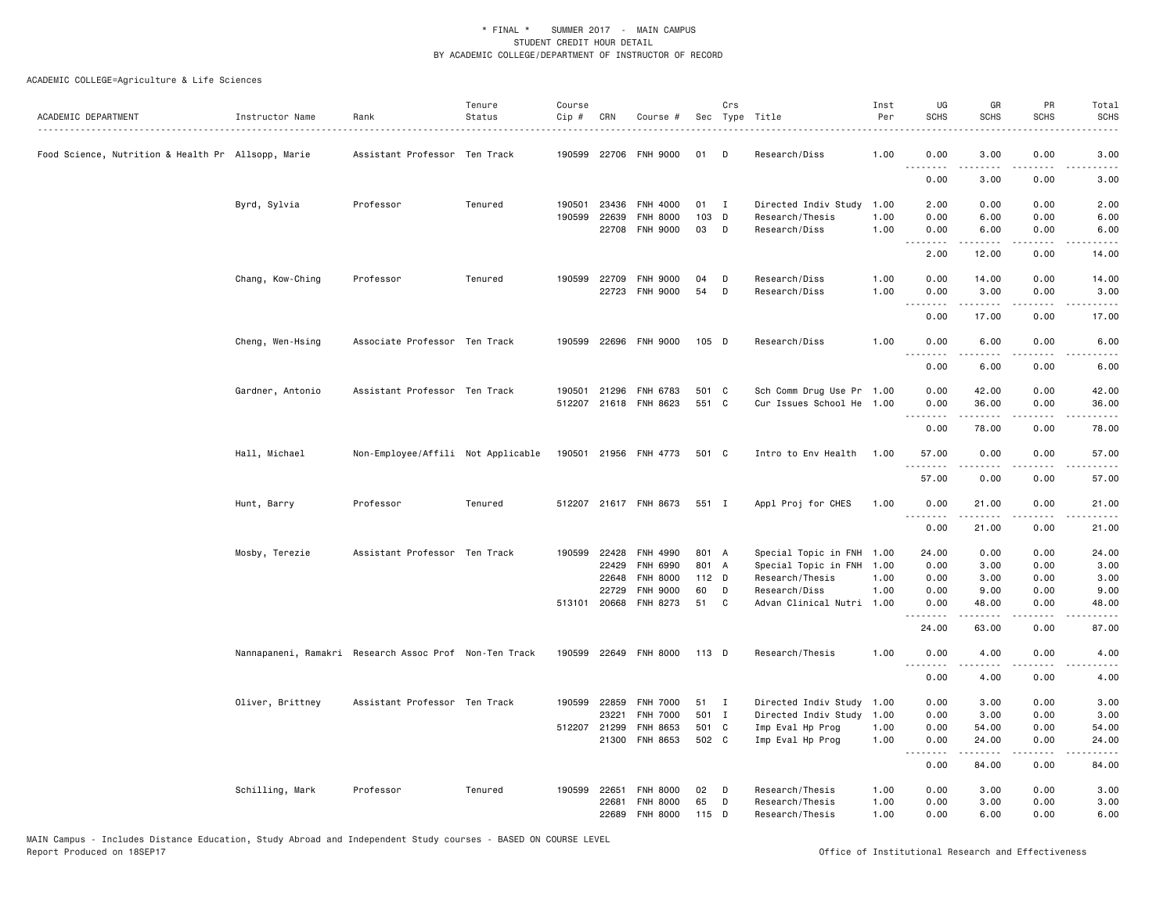| ACADEMIC DEPARTMENT                                | Instructor Name  | Rank                                                   | Tenure<br>Status | Course<br>$Cip \#$ | CRN                   | Course #                           |                | Crs         | Sec Type Title                                         | Inst<br>Per  | UG<br><b>SCHS</b>     | GR<br><b>SCHS</b>  | PR<br><b>SCHS</b>                           | Total<br><b>SCHS</b>                                                                                                               |
|----------------------------------------------------|------------------|--------------------------------------------------------|------------------|--------------------|-----------------------|------------------------------------|----------------|-------------|--------------------------------------------------------|--------------|-----------------------|--------------------|---------------------------------------------|------------------------------------------------------------------------------------------------------------------------------------|
| Food Science, Nutrition & Health Pr Allsopp, Marie |                  | Assistant Professor Ten Track                          |                  |                    |                       | 190599 22706 FNH 9000              | 01             | D           | Research/Diss                                          | 1.00         | 0.00                  | 3.00               | 0.00                                        | 3.00                                                                                                                               |
|                                                    |                  |                                                        |                  |                    |                       |                                    |                |             |                                                        |              | .<br>0.00             | 3.00               | 0.00                                        | 3.00                                                                                                                               |
|                                                    | Byrd, Sylvia     | Professor                                              | Tenured          | 190501             | 23436                 | FNH 4000                           | 01             | $\mathbf I$ | Directed Indiv Study                                   | 1.00         | 2.00                  | 0.00               | 0.00                                        | 2.00                                                                                                                               |
|                                                    |                  |                                                        |                  |                    | 190599 22639<br>22708 | <b>FNH 8000</b><br><b>FNH 9000</b> | 103 D<br>03    | D           | Research/Thesis<br>Research/Diss                       | 1.00<br>1.00 | 0.00<br>0.00          | 6.00<br>6.00       | 0.00<br>0.00                                | 6.00<br>6.00                                                                                                                       |
|                                                    |                  |                                                        |                  |                    |                       |                                    |                |             |                                                        |              | .<br>2.00             | .<br>12.00         | .<br>0.00                                   | المتمامين<br>14.00                                                                                                                 |
|                                                    | Chang, Kow-Ching | Professor                                              | Tenured          | 190599             | 22709<br>22723        | <b>FNH 9000</b><br><b>FNH 9000</b> | 04<br>54       | D<br>D      | Research/Diss<br>Research/Diss                         | 1.00<br>1.00 | 0.00<br>0.00          | 14.00<br>3.00      | 0.00<br>0.00                                | 14.00<br>3.00                                                                                                                      |
|                                                    |                  |                                                        |                  |                    |                       |                                    |                |             |                                                        |              | .<br>0.00             | 17.00              | 0.00                                        | 17.00                                                                                                                              |
|                                                    | Cheng, Wen-Hsing | Associate Professor Ten Track                          |                  |                    |                       | 190599 22696 FNH 9000              | $105$ D        |             | Research/Diss                                          | 1.00         | 0.00<br>$\frac{1}{2}$ | 6.00<br>-----      | 0.00<br>$   -$                              | 6.00                                                                                                                               |
|                                                    |                  |                                                        |                  |                    |                       |                                    |                |             |                                                        |              | 0.00                  | 6.00               | 0.00                                        | 6.00                                                                                                                               |
|                                                    | Gardner, Antonio | Assistant Professor Ten Track                          |                  | 190501             | 21296                 | FNH 6783<br>512207 21618 FNH 8623  | 501 C<br>551 C |             | Sch Comm Drug Use Pr 1.00<br>Cur Issues School He 1.00 |              | 0.00<br>0.00          | 42.00<br>36.00     | 0.00<br>0.00                                | 42.00<br>36.00                                                                                                                     |
|                                                    |                  |                                                        |                  |                    |                       |                                    |                |             |                                                        |              | .<br>0.00             | المتمالين<br>78.00 | $\omega$ $\omega$ $\omega$ $\omega$<br>0.00 | $\frac{1}{2} \left( \frac{1}{2} \right) \left( \frac{1}{2} \right) \left( \frac{1}{2} \right) \left( \frac{1}{2} \right)$<br>78.00 |
|                                                    | Hall, Michael    | Non-Employee/Affili Not Applicable                     |                  |                    |                       | 190501 21956 FNH 4773              | 501 C          |             | Intro to Env Health                                    | 1.00         | 57.00<br>.            | 0.00               | 0.00                                        | 57.00                                                                                                                              |
|                                                    |                  |                                                        |                  |                    |                       |                                    |                |             |                                                        |              | 57.00                 | 0.00               | 0.00                                        | 57.00                                                                                                                              |
|                                                    | Hunt, Barry      | Professor                                              | Tenured          |                    |                       | 512207 21617 FNH 8673              | 551 I          |             | Appl Proj for CHES                                     | 1.00         | 0.00                  | 21.00              | 0.00                                        | 21.00                                                                                                                              |
|                                                    |                  |                                                        |                  |                    |                       |                                    |                |             |                                                        |              | <u>.</u><br>0.00      | 21.00              | 0.00                                        | 21.00                                                                                                                              |
|                                                    | Mosby, Terezie   | Assistant Professor Ten Track                          |                  |                    | 190599 22428<br>22429 | FNH 4990<br>FNH 6990               | 801 A<br>801 A |             | Special Topic in FNH 1.00<br>Special Topic in FNH 1.00 |              | 24.00<br>0.00         | 0.00<br>3.00       | 0.00<br>0.00                                | 24.00<br>3.00                                                                                                                      |
|                                                    |                  |                                                        |                  |                    | 22648                 | <b>FNH 8000</b>                    | $112$ D        |             | Research/Thesis                                        | 1.00         | 0.00                  | 3.00               | 0.00                                        | 3.00                                                                                                                               |
|                                                    |                  |                                                        |                  |                    | 22729<br>513101 20668 | <b>FNH 9000</b><br>FNH 8273        | 60<br>51       | D<br>C      | Research/Diss<br>Advan Clinical Nutri 1.00             | 1.00         | 0.00<br>0.00          | 9.00<br>48.00      | 0.00<br>0.00                                | 9.00<br>48.00                                                                                                                      |
|                                                    |                  |                                                        |                  |                    |                       |                                    |                |             |                                                        |              | .<br>24.00            | .<br>63.00         | .<br>0.00                                   | $\frac{1}{2} \left( \frac{1}{2} \right) \left( \frac{1}{2} \right) \left( \frac{1}{2} \right) \left( \frac{1}{2} \right)$<br>87.00 |
|                                                    |                  | Nannapaneni, Ramakri Research Assoc Prof Non-Ten Track |                  |                    |                       | 190599 22649 FNH 8000              | 113 D          |             | Research/Thesis                                        | 1.00         | 0.00<br>.             | 4.00               | 0.00                                        | 4.00                                                                                                                               |
|                                                    |                  |                                                        |                  |                    |                       |                                    |                |             |                                                        |              | 0.00                  | 4.00               | 0.00                                        | 4.00                                                                                                                               |
|                                                    | Oliver, Brittney | Assistant Professor Ten Track                          |                  |                    | 190599 22859          | <b>FNH 7000</b>                    | 51 I           |             | Directed Indiv Study                                   | 1.00         | 0.00                  | 3.00               | 0.00                                        | 3.00                                                                                                                               |
|                                                    |                  |                                                        |                  |                    | 23221<br>512207 21299 | <b>FNH 7000</b><br>FNH 8653        | 501 I<br>501 C |             | Directed Indiv Study<br>Imp Eval Hp Prog               | 1.00<br>1.00 | 0.00<br>0.00          | 3.00<br>54.00      | 0.00<br>0.00                                | 3.00<br>54.00                                                                                                                      |
|                                                    |                  |                                                        |                  |                    | 21300                 | FNH 8653                           | 502 C          |             | Imp Eval Hp Prog                                       | 1.00         | 0.00                  | 24.00              | 0.00                                        | 24.00                                                                                                                              |
|                                                    |                  |                                                        |                  |                    |                       |                                    |                |             |                                                        |              | 1.1.1.1.1.1.1<br>0.00 | .<br>84.00         | $\frac{1}{2}$<br>0.00                       | 84.00                                                                                                                              |
|                                                    | Schilling, Mark  | Professor                                              | Tenured          |                    | 190599 22651          | <b>FNH 8000</b>                    | 02             | D           | Research/Thesis                                        | 1.00         | 0.00                  | 3.00               | 0.00                                        | 3.00                                                                                                                               |
|                                                    |                  |                                                        |                  |                    | 22681<br>22689        | <b>FNH 8000</b><br><b>FNH 8000</b> | 65<br>115 D    | D           | Research/Thesis<br>Research/Thesis                     | 1.00<br>1.00 | 0.00<br>0.00          | 3.00<br>6.00       | 0.00<br>0.00                                | 3.00<br>6.00                                                                                                                       |
|                                                    |                  |                                                        |                  |                    |                       |                                    |                |             |                                                        |              |                       |                    |                                             |                                                                                                                                    |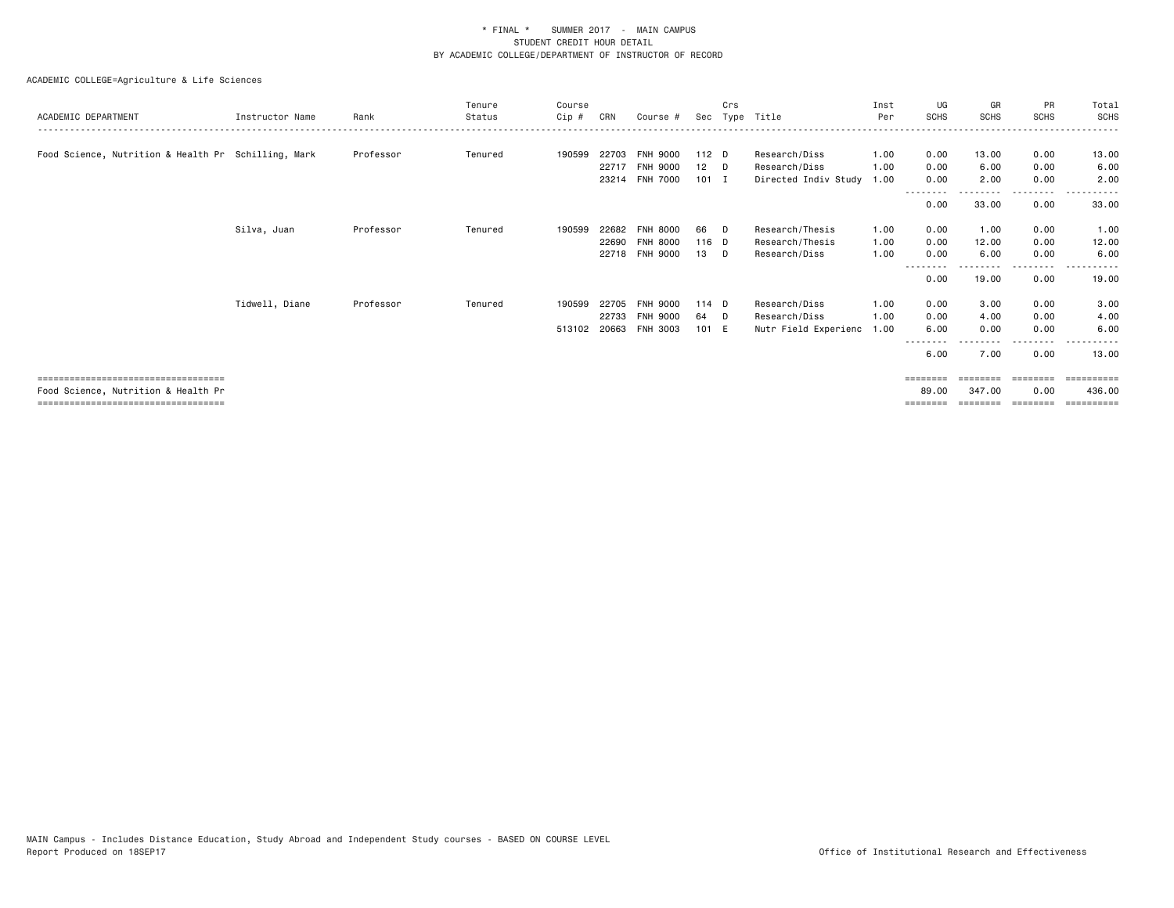|                                                     |                 |           | Tenure  | Course       |       |                 |         | Crs  |                      | Inst | UG               | GR       | PR                | Total           |
|-----------------------------------------------------|-----------------|-----------|---------|--------------|-------|-----------------|---------|------|----------------------|------|------------------|----------|-------------------|-----------------|
| ACADEMIC DEPARTMENT                                 | Instructor Name | Rank      | Status  | Cip #        | CRN   | Course #        | Sec     | Tvpe | Title                | Per  | <b>SCHS</b>      | SCHS     | <b>SCHS</b>       | <b>SCHS</b>     |
|                                                     |                 |           |         |              |       |                 |         |      |                      |      |                  |          |                   |                 |
| Food Science, Nutrition & Health Pr Schilling, Mark |                 | Professor | Tenured | 190599       | 22703 | <b>FNH 9000</b> | $112$ D |      | Research/Diss        | 1.00 | 0.00             | 13.00    | 0.00              | 13.00           |
|                                                     |                 |           |         |              | 22717 | <b>FNH 9000</b> | 12      | - D  | Research/Diss        | 1.00 | 0.00             | 6.00     | 0.00              | 6.00            |
|                                                     |                 |           |         |              |       | 23214 FNH 7000  | $101$ I |      | Directed Indiv Study | 1.00 | 0.00             | 2.00     | 0.00<br>.         | 2.00            |
|                                                     |                 |           |         |              |       |                 |         |      |                      |      | --------<br>0.00 | 33.00    | 0.00              | 33.00           |
|                                                     | Silva, Juan     | Professor | Tenured | 190599       | 22682 | <b>FNH 8000</b> | 66      | - D  | Research/Thesis      | 1.00 | 0.00             | 1.00     | 0.00              | 1.00            |
|                                                     |                 |           |         |              | 22690 | <b>FNH 8000</b> | 116 D   |      | Research/Thesis      | 1.00 | 0.00             | 12.00    | 0.00              | 12.00           |
|                                                     |                 |           |         |              |       | 22718 FNH 9000  | 13      | D    | Research/Diss        | 1.00 | 0.00             | 6.00     | 0.00              | 6.00            |
|                                                     |                 |           |         |              |       |                 |         |      |                      |      | --------<br>0.00 | 19.00    | - - - - -<br>0.00 | 19.00           |
|                                                     | Tidwell, Diane  | Professor | Tenured | 190599       | 22705 | <b>FNH 9000</b> | 114 D   |      | Research/Diss        | 1.00 | 0.00             | 3.00     | 0.00              | 3.00            |
|                                                     |                 |           |         |              | 22733 | <b>FNH 9000</b> | 64      | D    | Research/Diss        | 1.00 | 0.00             | 4.00     | 0.00              | 4.00            |
|                                                     |                 |           |         | 513102 20663 |       | FNH 3003        | 101 E   |      | Nutr Field Experienc | 1.00 | 6.00             | 0.00     | 0.00              | 6.00<br>$- - -$ |
|                                                     |                 |           |         |              |       |                 |         |      |                      |      | --------<br>6.00 | 7.00     | .<br>0.00         | 13.00           |
| =====================================               |                 |           |         |              |       |                 |         |      |                      |      |                  | ======== | ========          | ==========      |
| Food Science, Nutrition & Health Pr                 |                 |           |         |              |       |                 |         |      |                      |      | 89.00            | 347,00   | 0.00              | 436,00          |
| =====================================               |                 |           |         |              |       |                 |         |      |                      |      | ========         |          | ========          | eessesses       |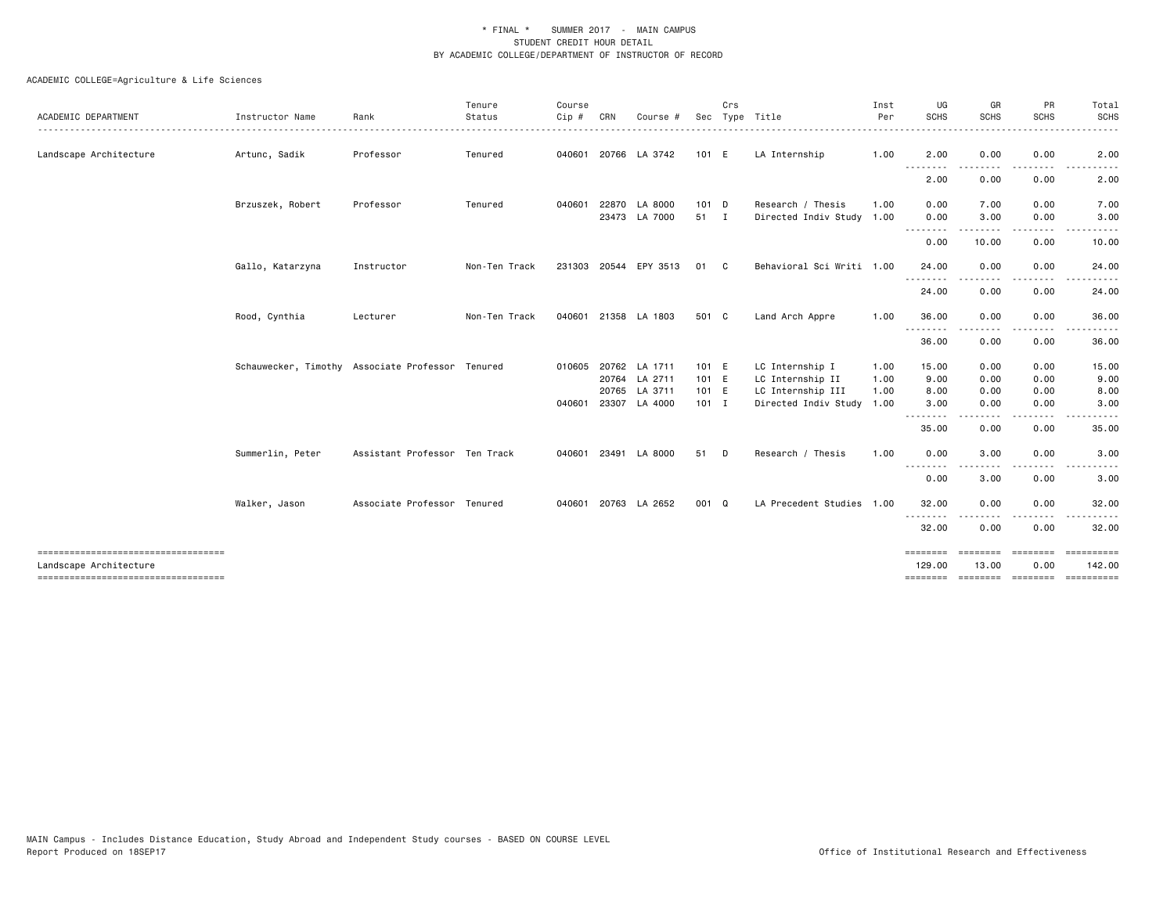| ACADEMIC DEPARTMENT                                            | Instructor Name  | Rank                                             | Tenure<br>Status | Course<br>Cip# | CRN   | Course                |         | Crs          | Sec Type Title            | Inst<br>Per | UG<br>SCHS              | GR<br><b>SCHS</b> | PR<br><b>SCHS</b>   | Total<br><b>SCHS</b>       |
|----------------------------------------------------------------|------------------|--------------------------------------------------|------------------|----------------|-------|-----------------------|---------|--------------|---------------------------|-------------|-------------------------|-------------------|---------------------|----------------------------|
| Landscape Architecture                                         | Artunc, Sadik    | Professor                                        | Tenured          | 040601         |       | 20766 LA 3742         | 101 E   |              | LA Internship             | 1.00        | 2.00                    | 0.00              | 0.00                | 2.00                       |
|                                                                |                  |                                                  |                  |                |       |                       |         |              |                           |             | ---<br>$\cdots$<br>2.00 | 0.00              | 0.00                | 2.00                       |
|                                                                | Brzuszek, Robert | Professor                                        | Tenured          | 040601         |       | 22870 LA 8000         | $101$ D |              | Research / Thesis         | 1.00        | 0.00                    | 7.00              | 0.00                | 7.00                       |
|                                                                |                  |                                                  |                  |                |       | 23473 LA 7000         | 51 I    |              | Directed Indiv Study 1.00 |             | 0.00                    | 3.00              | 0.00                | 3.00                       |
|                                                                |                  |                                                  |                  |                |       |                       |         |              |                           |             | .<br>0.00               | 10.00             | $\cdots$<br>0.00    | 10.00                      |
|                                                                | Gallo, Katarzyna | Instructor                                       | Non-Ten Track    |                |       | 231303 20544 EPY 3513 | 01      | $\mathbf{C}$ | Behavioral Sci Writi 1.00 |             | 24.00                   | 0.00              | 0.00                | 24.00                      |
|                                                                |                  |                                                  |                  |                |       |                       |         |              |                           |             | --------<br>24.00       | 0.00              | 0.00                | 24.00                      |
|                                                                | Rood, Cynthia    | Lecturer                                         | Non-Ten Track    | 040601         |       | 21358 LA 1803         | 501 C   |              | Land Arch Appre           | 1.00        | 36.00                   | 0.00              | 0.00                | 36.00                      |
|                                                                |                  |                                                  |                  |                |       |                       |         |              |                           |             | .<br>36.00              | 0.00              | $\cdots$<br>0.00    | 36.00                      |
|                                                                |                  | Schauwecker, Timothy Associate Professor Tenured |                  |                |       | 010605 20762 LA 1711  | 101 E   |              | LC Internship I           | 1.00        | 15.00                   | 0.00              | 0.00                | 15.00                      |
|                                                                |                  |                                                  |                  |                |       | 20764 LA 2711         | 101 E   |              | LC Internship II          | 1.00        | 9.00                    | 0.00              | 0.00                | 9.00                       |
|                                                                |                  |                                                  |                  |                | 20765 | LA 3711               | 101 E   |              | LC Internship III         | 1.00        | 8.00                    | 0.00              | 0.00                | 8.00                       |
|                                                                |                  |                                                  |                  |                |       | 040601 23307 LA 4000  | $101$ I |              | Directed Indiv Study      | 1.00        | 3.00<br>.               | 0.00              | 0.00                | 3.00                       |
|                                                                |                  |                                                  |                  |                |       |                       |         |              |                           |             | 35.00                   | 0.00              | 0.00                | 35.00                      |
|                                                                | Summerlin, Peter | Assistant Professor Ten Track                    |                  | 040601         |       | 23491 LA 8000         | 51 D    |              | Research / Thesis         | 1.00        | 0.00                    | 3.00              | 0.00                | 3.00                       |
|                                                                |                  |                                                  |                  |                |       |                       |         |              |                           |             | .<br>0.00               | 3.00              | 0.00                | 3.00                       |
|                                                                | Walker, Jason    | Associate Professor Tenured                      |                  | 040601         |       | 20763 LA 2652         | 001 Q   |              | LA Precedent Studies 1.00 |             | 32.00                   | 0.00              | 0.00                | 32.00                      |
|                                                                |                  |                                                  |                  |                |       |                       |         |              |                           |             | 32.00                   | 0.00              | 0.00                | 32.00                      |
| ====================================<br>Landscape Architecture |                  |                                                  |                  |                |       |                       |         |              |                           |             | ========<br>129.00      | 13.00             | $=$ =======<br>0.00 | <b>ESSESSEES</b><br>142.00 |
| -----------------------------------                            |                  |                                                  |                  |                |       |                       |         |              |                           |             | ========                |                   | -------- -------    | -----------                |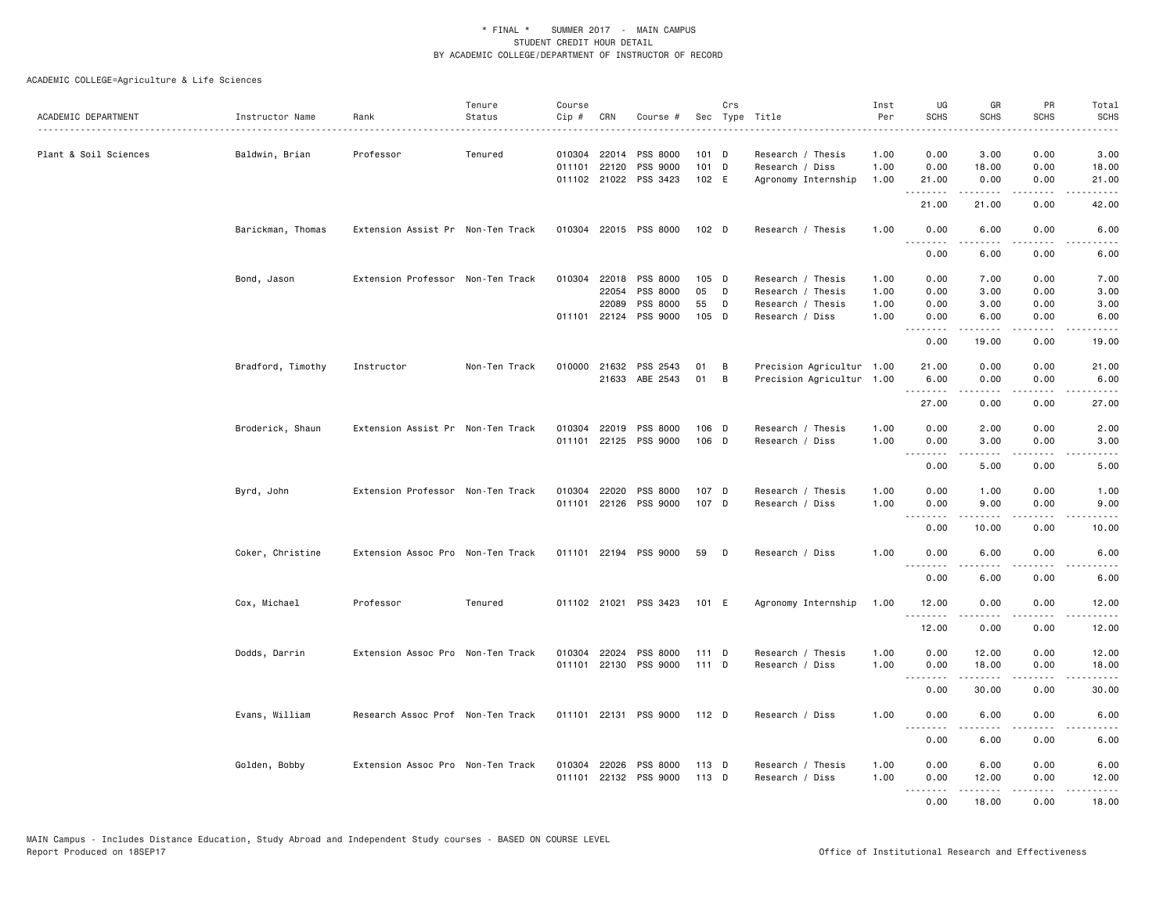| ACADEMIC DEPARTMENT   | Instructor Name   | Rank                              | Tenure<br>Status | Course<br>Cip# | CRN          | Course #                                       |                | Crs | Sec Type Title                       | Inst<br>Per  | UG<br>SCHS        | GR<br><b>SCHS</b> | PR<br><b>SCHS</b>                   | Total<br><b>SCHS</b>                        |
|-----------------------|-------------------|-----------------------------------|------------------|----------------|--------------|------------------------------------------------|----------------|-----|--------------------------------------|--------------|-------------------|-------------------|-------------------------------------|---------------------------------------------|
|                       |                   |                                   |                  |                |              |                                                |                |     |                                      | .            |                   |                   |                                     | $\sim 1.1$ .                                |
| Plant & Soil Sciences | Baldwin, Brian    | Professor                         | Tenured          | 010304         | 22014        | PSS 8000                                       | 101 D          |     | Research / Thesis                    | 1.00         | 0.00              | 3.00              | 0.00                                | 3.00                                        |
|                       |                   |                                   |                  |                | 011101 22120 | PSS 9000                                       | $101$ D        |     | Research / Diss                      | 1.00         | 0.00              | 18.00             | 0.00                                | 18.00                                       |
|                       |                   |                                   |                  |                |              | 011102 21022 PSS 3423                          | 102 E          |     | Agronomy Internship                  | 1.00         | 21.00<br>.        | 0.00<br>.         | 0.00<br>.                           | 21.00<br>.                                  |
|                       |                   |                                   |                  |                |              |                                                |                |     |                                      |              | 21.00             | 21.00             | 0.00                                | 42.00                                       |
|                       | Barickman, Thomas | Extension Assist Pr Non-Ten Track |                  |                |              | 010304 22015 PSS 8000                          | 102 D          |     | Research / Thesis                    | 1.00         | 0.00<br><u>.</u>  | 6.00              | 0.00                                | 6.00                                        |
|                       |                   |                                   |                  |                |              |                                                |                |     |                                      |              | 0.00              | 6.00              | 0.00                                | 6.00                                        |
|                       | Bond, Jason       | Extension Professor Non-Ten Track |                  |                |              | 010304 22018 PSS 8000                          | 105 D          |     | Research / Thesis                    | 1.00         | 0.00              | 7.00              | 0.00                                | 7.00                                        |
|                       |                   |                                   |                  |                | 22054        | PSS 8000                                       | 05             | D   | Research / Thesis                    | 1.00         | 0.00              | 3.00              | 0.00                                | 3.00                                        |
|                       |                   |                                   |                  |                | 22089        | PSS 8000                                       | 55             | D   | Research / Thesis                    | 1.00         | 0.00              | 3.00              | 0.00                                | 3.00                                        |
|                       |                   |                                   |                  |                |              | 011101 22124 PSS 9000                          | 105 D          |     | Research / Diss                      | 1.00         | 0.00              | 6.00              | 0.00                                | 6.00                                        |
|                       |                   |                                   |                  |                |              |                                                |                |     |                                      |              | <b></b><br>0.00   | .<br>19.00        | .<br>0.00                           | د د د د د<br>19.00                          |
|                       | Bradford, Timothy | Instructor                        | Non-Ten Track    | 010000         | 21632        | PSS 2543                                       | 01             | В   | Precision Agricultur 1.00            |              | 21.00             | 0.00              | 0.00                                | 21.00                                       |
|                       |                   |                                   |                  |                |              | 21633 ABE 2543                                 | 01             | B   | Precision Agricultur 1.00            |              | 6.00              | 0.00              | 0.00                                | 6.00                                        |
|                       |                   |                                   |                  |                |              |                                                |                |     |                                      |              | <u>.</u><br>27.00 | .<br>0.00         | الداعات<br>0.00                     | $\sim$ $\sim$ $\sim$ $\sim$ $\sim$<br>27.00 |
|                       | Broderick, Shaun  | Extension Assist Pr Non-Ten Track |                  |                |              | 010304 22019 PSS 8000                          | 106 D          |     | Research / Thesis                    | 1.00         | 0.00              | 2.00              | 0.00                                | 2.00                                        |
|                       |                   |                                   |                  |                |              | 011101 22125 PSS 9000                          | 106 D          |     | Research / Diss                      | 1.00         | 0.00              | 3.00              | 0.00                                | 3.00                                        |
|                       |                   |                                   |                  |                |              |                                                |                |     |                                      |              | <b></b><br>0.00   | .<br>5.00         | .<br>0.00                           | .<br>5.00                                   |
|                       |                   |                                   |                  |                |              |                                                |                |     |                                      |              |                   |                   |                                     |                                             |
|                       | Byrd, John        | Extension Professor Non-Ten Track |                  |                |              | 010304 22020 PSS 8000<br>011101 22126 PSS 9000 | 107 D<br>107 D |     | Research / Thesis<br>Research / Diss | 1.00<br>1.00 | 0.00<br>0.00      | 1.00<br>9.00      | 0.00<br>0.00                        | 1.00<br>9.00                                |
|                       |                   |                                   |                  |                |              |                                                |                |     |                                      |              | .                 | <u>.</u>          | $\frac{1}{2}$                       | $\frac{1}{2}$                               |
|                       |                   |                                   |                  |                |              |                                                |                |     |                                      |              | 0.00              | 10.00             | 0.00                                | 10.00                                       |
|                       | Coker, Christine  | Extension Assoc Pro Non-Ten Track |                  |                |              | 011101 22194 PSS 9000                          | 59             | D   | Research / Diss                      | 1.00         | 0.00              | 6.00              | 0.00                                | 6.00                                        |
|                       |                   |                                   |                  |                |              |                                                |                |     |                                      |              | 0.00              | 6.00              | 0.00                                | 6.00                                        |
|                       | Cox, Michael      | Professor                         | Tenured          |                |              | 011102 21021 PSS 3423                          | 101 E          |     | Agronomy Internship                  | 1.00         | 12.00             | 0.00              | 0.00                                | 12.00                                       |
|                       |                   |                                   |                  |                |              |                                                |                |     |                                      |              | .<br>12.00        | .<br>0.00         | $\frac{1}{2}$<br>0.00               | $\frac{1}{2}$<br>12.00                      |
|                       | Dodds, Darrin     | Extension Assoc Pro Non-Ten Track |                  |                |              | 010304 22024 PSS 8000                          | 111 D          |     | Research / Thesis                    | 1.00         | 0.00              | 12.00             | 0.00                                | 12.00                                       |
|                       |                   |                                   |                  |                |              | 011101 22130 PSS 9000                          | 111 D          |     | Research / Diss                      | 1.00         | 0.00              | 18.00             | 0.00                                | 18.00                                       |
|                       |                   |                                   |                  |                |              |                                                |                |     |                                      |              | .<br>0.00         | <b>.</b><br>30.00 | $\sim$ $\sim$ $\sim$ $\sim$<br>0.00 | $\frac{1}{2}$<br>30.00                      |
|                       | Evans, William    | Research Assoc Prof Non-Ten Track |                  |                |              | 011101 22131 PSS 9000                          | 112 D          |     | Research / Diss                      | 1.00         | 0.00              | 6.00              | 0.00                                | 6.00                                        |
|                       |                   |                                   |                  |                |              |                                                |                |     |                                      |              | <b></b><br>0.00   | 6.00              | 0.00                                | 6.00                                        |
|                       | Golden, Bobby     | Extension Assoc Pro Non-Ten Track |                  | 010304         |              | 22026 PSS 8000                                 | 113 D          |     | Research / Thesis                    | 1.00         | 0.00              | 6.00              | 0.00                                | 6.00                                        |
|                       |                   |                                   |                  |                |              | 011101 22132 PSS 9000                          | 113 D          |     | Research / Diss                      | 1.00         | 0.00              | 12.00             | 0.00                                | 12.00                                       |
|                       |                   |                                   |                  |                |              |                                                |                |     |                                      |              | .                 | .                 | .                                   | .                                           |
|                       |                   |                                   |                  |                |              |                                                |                |     |                                      |              | 0.00              | 18.00             | 0.00                                | 18.00                                       |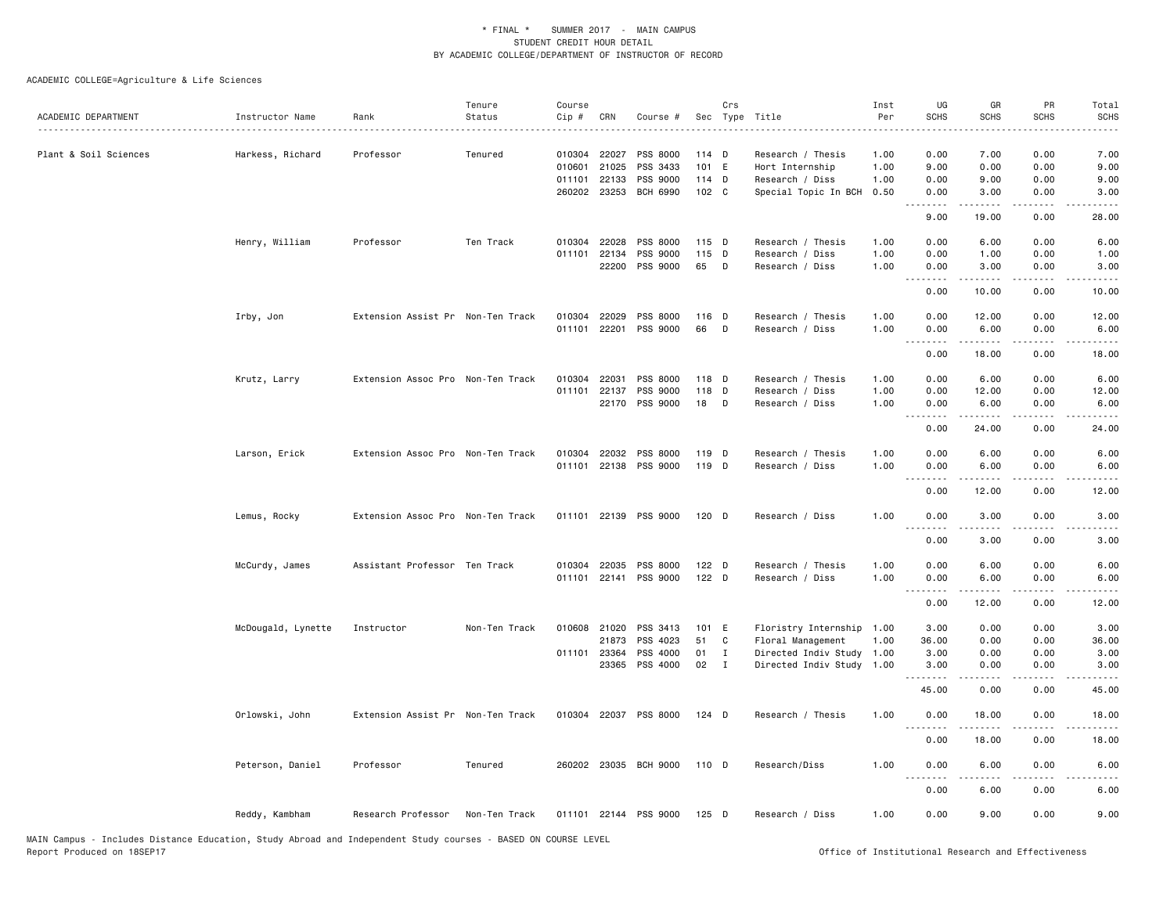| ACADEMIC DEPARTMENT   | Instructor Name    | Rank                              | Tenure<br>Status | Course<br>Cip #                                  | CRN                     | Course #                                            |                                    | Crs                               | Sec Type Title                                                                                      | Inst<br>Per                  | UG<br><b>SCHS</b>                       | GR<br><b>SCHS</b>                                                                                                                                                             | PR<br><b>SCHS</b>                                           | Total<br><b>SCHS</b>                   |
|-----------------------|--------------------|-----------------------------------|------------------|--------------------------------------------------|-------------------------|-----------------------------------------------------|------------------------------------|-----------------------------------|-----------------------------------------------------------------------------------------------------|------------------------------|-----------------------------------------|-------------------------------------------------------------------------------------------------------------------------------------------------------------------------------|-------------------------------------------------------------|----------------------------------------|
| Plant & Soil Sciences | Harkess, Richard   | Professor                         | Tenured          | 010304 22027<br>010601<br>011101<br>260202 23253 | 21025<br>22133          | PSS 8000<br>PSS 3433<br>PSS 9000<br><b>BCH 6990</b> | $114$ D<br>101 E<br>114 D<br>102 C |                                   | Research / Thesis<br>Hort Internship<br>Research / Diss<br>Special Topic In BCH                     | 1.00<br>1.00<br>1.00<br>0.50 | 0.00<br>9.00<br>0.00<br>0.00<br>.       | 7.00<br>0.00<br>9.00<br>3.00<br>.                                                                                                                                             | 0.00<br>0.00<br>0.00<br>0.00<br>$\sim$ $\sim$ $\sim$ $\sim$ | 7.00<br>9.00<br>9.00<br>3.00           |
|                       | Henry, William     | Professor                         | Ten Track        | 010304<br>011101                                 | 22028<br>22134<br>22200 | PSS 8000<br>PSS 9000<br>PSS 9000                    | $115$ D<br>115 D<br>65             | $\Box$                            | Research / Thesis<br>Research / Diss<br>Research / Diss                                             | 1.00<br>1.00<br>1.00         | 9.00<br>0.00<br>0.00<br>0.00<br>.       | 19.00<br>6.00<br>1.00<br>3.00                                                                                                                                                 | 0.00<br>0.00<br>0.00<br>0.00                                | 28.00<br>6.00<br>1.00<br>3.00          |
|                       | Irby, Jon          | Extension Assist Pr Non-Ten Track |                  | 010304<br>011101                                 | 22029<br>22201          | PSS 8000<br>PSS 9000                                | 116 D<br>66                        | D                                 | Research / Thesis<br>Research / Diss                                                                | 1.00<br>1.00                 | 0.00<br>0.00<br>0.00<br>.               | 10.00<br>12.00<br>6.00<br>.                                                                                                                                                   | 0.00<br>0.00<br>0.00<br>$\sim$ $\sim$ $\sim$ $\sim$         | 10.00<br>12.00<br>6.00<br>$- - - -$    |
|                       | Krutz, Larry       | Extension Assoc Pro Non-Ten Track |                  | 010304<br>011101                                 | 22031<br>22137<br>22170 | PSS 8000<br>PSS 9000<br>PSS 9000                    | 118 D<br>118 D<br>18 D             |                                   | Research / Thesis<br>Research / Diss<br>Research / Diss                                             | 1.00<br>1.00<br>1.00         | 0.00<br>0.00<br>0.00<br>0.00<br>د د د د | 18.00<br>6.00<br>12.00<br>6.00<br>. <u>.</u> .                                                                                                                                | 0.00<br>0.00<br>0.00<br>0.00<br>$\frac{1}{2}$               | 18.00<br>6.00<br>12.00<br>6.00         |
|                       | Larson, Erick      | Extension Assoc Pro Non-Ten Track |                  | 010304<br>011101                                 | 22032<br>22138          | PSS 8000<br>PSS 9000                                | 119 D<br>119 D                     |                                   | Research / Thesis<br>Research / Diss                                                                | 1.00<br>1.00                 | 0.00<br>0.00<br>0.00<br>.               | 24.00<br>6.00<br>6.00<br>$\frac{1}{2} \left( \frac{1}{2} \right) \left( \frac{1}{2} \right) \left( \frac{1}{2} \right) \left( \frac{1}{2} \right) \left( \frac{1}{2} \right)$ | 0.00<br>0.00<br>0.00<br>$\sim$ $\sim$ $\sim$ $\sim$         | 24.00<br>6.00<br>6.00                  |
|                       | Lemus, Rocky       | Extension Assoc Pro Non-Ten Track |                  |                                                  |                         | 011101 22139 PSS 9000                               | $120$ D                            |                                   | Research / Diss                                                                                     | 1.00                         | 0.00<br>0.00<br>.<br>0.00               | 12.00<br>3.00<br>$\frac{1}{2} \left( \frac{1}{2} \right) \left( \frac{1}{2} \right) \left( \frac{1}{2} \right) \left( \frac{1}{2} \right) \left( \frac{1}{2} \right)$         | 0.00<br>0.00<br>$\cdots$                                    | 12.00<br>3.00                          |
|                       | McCurdy, James     | Assistant Professor Ten Track     |                  | 010304                                           | 22035                   | PSS 8000<br>011101 22141 PSS 9000                   | 122 D<br>122 D                     |                                   | Research / Thesis<br>Research / Diss                                                                | 1.00<br>1.00                 | 0.00<br>0.00<br>.                       | 3.00<br>6.00<br>6.00                                                                                                                                                          | 0.00<br>0.00<br>0.00                                        | 3.00<br>6.00<br>6.00                   |
|                       | McDougald, Lynette | Instructor                        | Non-Ten Track    | 010608<br>011101 23364                           | 21020<br>21873<br>23365 | PSS 3413<br>PSS 4023<br>PSS 4000<br>PSS 4000        | 101 E<br>51<br>01<br>02            | C<br>$\mathbf{I}$<br>$\mathbf{I}$ | Floristry Internship 1.00<br>Floral Management<br>Directed Indiv Study 1.00<br>Directed Indiv Study | 1.00<br>1.00                 | 0.00<br>3.00<br>36.00<br>3.00<br>3.00   | 12.00<br>0.00<br>0.00<br>0.00<br>0.00                                                                                                                                         | 0.00<br>0.00<br>0.00<br>0.00<br>0.00                        | 12.00<br>3.00<br>36.00<br>3.00<br>3.00 |
|                       | Orlowski, John     | Extension Assist Pr Non-Ten Track |                  |                                                  |                         | 010304 22037 PSS 8000                               | $124$ D                            |                                   | Research / Thesis                                                                                   | 1.00                         | 45.00<br>0.00<br>$\sim$ $\sim$ $\sim$   | 0.00<br>18.00                                                                                                                                                                 | 0.00<br>0.00                                                | 45.00<br>18.00                         |
|                       | Peterson, Daniel   | Professor                         | Tenured          |                                                  |                         | 260202 23035 BCH 9000                               | 110 D                              |                                   | Research/Diss                                                                                       | 1.00                         | 0.00<br>0.00                            | 18.00<br>6.00                                                                                                                                                                 | 0.00<br>0.00                                                | 18.00<br>6.00                          |
|                       | Reddy, Kambham     | Research Professor                | Non-Ten Track    |                                                  |                         | 011101 22144 PSS 9000                               | $125$ D                            |                                   | Research / Diss                                                                                     | 1.00                         | 0.00<br>0.00                            | 6.00<br>9.00                                                                                                                                                                  | 0.00<br>0.00                                                | 6.00<br>9.00                           |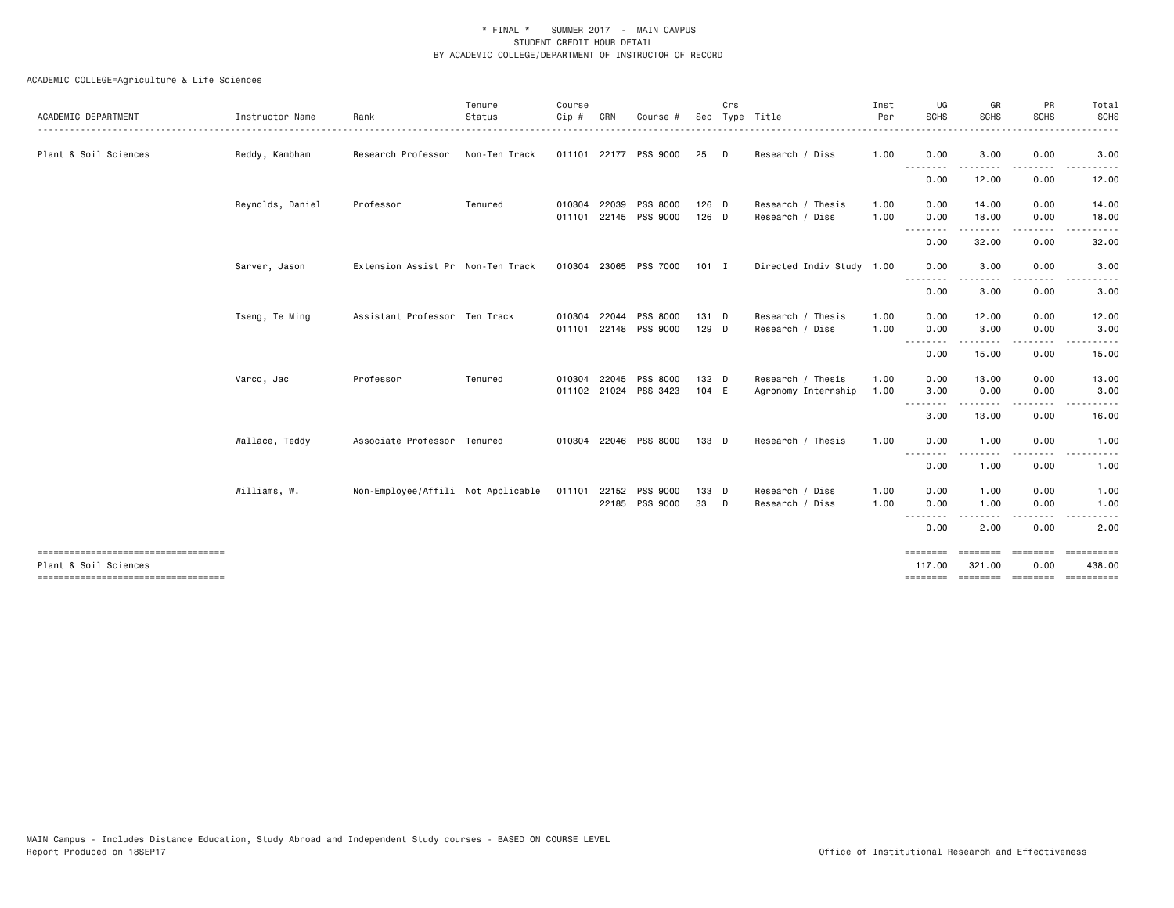| ACADEMIC DEPARTMENT                                           | Instructor Name  | Rank                                                     | Tenure<br>Status | Course<br>$Cip$ # | CRN   | Course                |       | Crs | Sec Type Title            | Inst<br>Per | UG<br><b>SCHS</b>            | GR<br><b>SCHS</b> | PR<br><b>SCHS</b>                                                               | Total<br><b>SCHS</b> |
|---------------------------------------------------------------|------------------|----------------------------------------------------------|------------------|-------------------|-------|-----------------------|-------|-----|---------------------------|-------------|------------------------------|-------------------|---------------------------------------------------------------------------------|----------------------|
| Plant & Soil Sciences                                         | Reddy, Kambham   | Research Professor                                       | Non-Ten Track    |                   |       | 011101 22177 PSS 9000 | 25    | D   | Research / Diss           | 1.00        | 0.00                         | 3.00              | 0.00                                                                            | 3.00                 |
|                                                               |                  |                                                          |                  |                   |       |                       |       |     |                           |             | .<br>0.00                    | 12.00             | . <b>.</b><br>0.00                                                              | .<br>12.00           |
|                                                               | Reynolds, Daniel | Professor                                                | Tenured          | 010304            | 22039 | PSS 8000              | 126 D |     | Research / Thesis         | 1.00        | 0.00                         | 14.00             | 0.00                                                                            | 14.00                |
|                                                               |                  |                                                          |                  |                   |       | 011101 22145 PSS 9000 | 126 D |     | Research / Diss           | 1.00        | 0.00<br>.                    | 18.00<br>.        | 0.00<br>. <b>.</b>                                                              | 18.00                |
|                                                               |                  |                                                          |                  |                   |       |                       |       |     |                           |             | 0.00                         | 32.00             | 0.00                                                                            | 32.00                |
|                                                               | Sarver, Jason    | Extension Assist Pr Non-Ten Track                        |                  |                   |       | 010304 23065 PSS 7000 | 101 I |     | Directed Indiv Study 1.00 |             | 0.00                         | 3.00              | 0.00                                                                            | 3.00                 |
|                                                               |                  |                                                          |                  |                   |       |                       |       |     |                           |             | .<br>0.00                    | 3.00              | 0.00                                                                            | 3.00                 |
|                                                               | Tseng, Te Ming   | Assistant Professor Ten Track                            |                  | 010304            | 22044 | <b>PSS 8000</b>       | 131 D |     | Research / Thesis         | 1.00        | 0.00                         | 12.00             | 0.00                                                                            | 12.00                |
|                                                               |                  |                                                          |                  | 011101            |       | 22148 PSS 9000        | 129 D |     | Research / Diss           | 1.00        | 0.00                         | 3.00              | 0.00                                                                            | 3.00                 |
|                                                               |                  |                                                          |                  |                   |       |                       |       |     |                           |             | .<br>0.00                    | -----<br>15.00    | $- - - -$<br>0.00                                                               | 15.00                |
|                                                               | Varco, Jac       | Professor                                                | Tenured          | 010304            | 22045 | <b>PSS 8000</b>       | 132 D |     | Research / Thesis         | 1.00        | 0.00                         | 13.00             | 0.00                                                                            | 13.00                |
|                                                               |                  |                                                          |                  |                   |       | 011102 21024 PSS 3423 | 104 E |     | Agronomy Internship       | 1.00        | 3.00                         | 0.00              | 0.00                                                                            | 3.00                 |
|                                                               |                  |                                                          |                  |                   |       |                       |       |     |                           |             | --------<br>3.00             | 13.00             | 0.00                                                                            | 16.00                |
|                                                               | Wallace, Teddy   | Associate Professor Tenured                              |                  |                   |       | 010304 22046 PSS 8000 | 133 D |     | Research / Thesis         | 1.00        | 0.00                         | 1.00              | 0.00                                                                            | 1.00                 |
|                                                               |                  |                                                          |                  |                   |       |                       |       |     |                           |             | $- - -$<br>$- - - -$<br>0.00 | 1.00              | 0.00                                                                            | 1.00                 |
|                                                               | Williams, W.     | Non-Employee/Affili Not Applicable 011101 22152 PSS 9000 |                  |                   |       |                       | 133 D |     | Research / Diss           | 1.00        | 0.00                         | 1.00              | 0.00                                                                            | 1.00                 |
|                                                               |                  |                                                          |                  |                   |       | 22185 PSS 9000        | 33 D  |     | Research / Diss           | 1.00        | 0.00                         | 1.00              | 0.00                                                                            | 1.00                 |
|                                                               |                  |                                                          |                  |                   |       |                       |       |     |                           |             | .<br>0.00                    | 2.00              | 0.00                                                                            | 2.00                 |
| ====================================<br>Plant & Soil Sciences |                  |                                                          |                  |                   |       |                       |       |     |                           |             | ========<br>117.00           | 321.00            | $\qquad \qquad \equiv \equiv \equiv \equiv \equiv \equiv \equiv \equiv$<br>0.00 | EEEEEEEEE<br>438.00  |
| ----------------------------------                            |                  |                                                          |                  |                   |       |                       |       |     |                           |             | ========                     |                   | ======== ========                                                               | ==========           |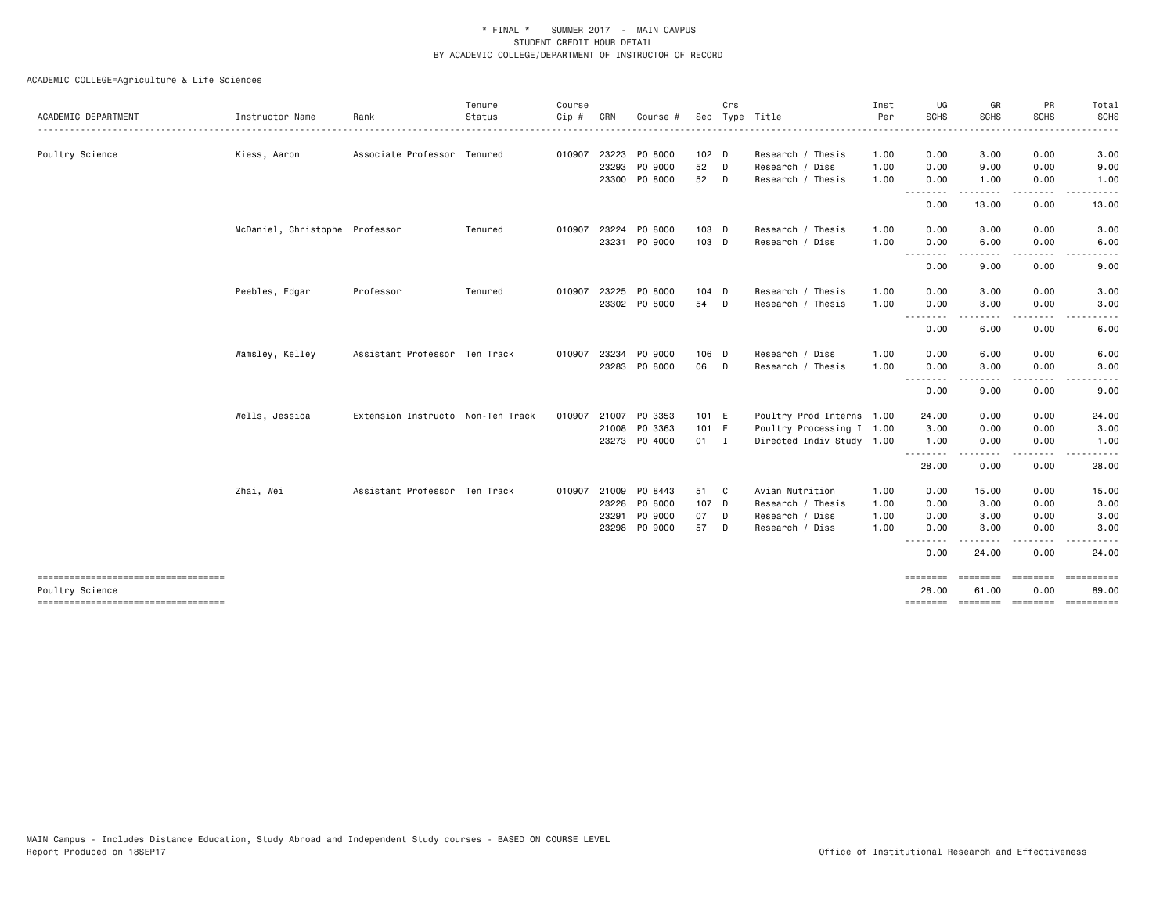|                                                       |                                |                                   | Tenure  | Course |       |               |                  | Crs |                           | Inst | UG                | GR                   | PR                                                                                                                                | Total         |
|-------------------------------------------------------|--------------------------------|-----------------------------------|---------|--------|-------|---------------|------------------|-----|---------------------------|------|-------------------|----------------------|-----------------------------------------------------------------------------------------------------------------------------------|---------------|
| ACADEMIC DEPARTMENT                                   | Instructor Name                | Rank                              | Status  | Cip #  | CRN   | Course #      | Sec              |     | Type Title                | Per  | SCHS              | <b>SCHS</b>          | <b>SCHS</b>                                                                                                                       | <b>SCHS</b>   |
| Poultry Science                                       | Kiess, Aaron                   | Associate Professor Tenured       |         | 010907 |       | 23223 PO 8000 | 102 <sub>D</sub> |     | Research / Thesis         | 1.00 | 0.00              | 3.00                 | 0.00                                                                                                                              | 3.00          |
|                                                       |                                |                                   |         |        | 23293 | PO 9000       | 52               | D   | Research / Diss           | 1.00 | 0.00              | 9.00                 | 0.00                                                                                                                              | 9.00          |
|                                                       |                                |                                   |         |        |       | 23300 PO 8000 | 52               | D   | Research / Thesis         | 1.00 | 0.00<br>.         | 1.00<br>. <u>.</u> . | 0.00<br>$\frac{1}{2} \left( \frac{1}{2} \right) \left( \frac{1}{2} \right) \left( \frac{1}{2} \right) \left( \frac{1}{2} \right)$ | 1.00<br>.     |
|                                                       |                                |                                   |         |        |       |               |                  |     |                           |      | 0.00              | 13.00                | 0.00                                                                                                                              | 13.00         |
|                                                       | McDaniel, Christophe Professor |                                   | Tenured | 010907 | 23224 | PO 8000       | 103 D            |     | Research / Thesis         | 1.00 | 0.00              | 3.00                 | 0.00                                                                                                                              | 3.00          |
|                                                       |                                |                                   |         |        | 23231 | PO 9000       | 103 D            |     | Research / Diss           | 1.00 | 0.00<br>.         | 6.00<br>-----        | 0.00<br>.                                                                                                                         | 6.00<br>.     |
|                                                       |                                |                                   |         |        |       |               |                  |     |                           |      | 0.00              | 9.00                 | 0.00                                                                                                                              | 9.00          |
|                                                       | Peebles, Edgar                 | Professor                         | Tenured | 010907 | 23225 | PO 8000       | 104 D            |     | Research / Thesis         | 1.00 | 0.00              | 3.00                 | 0.00                                                                                                                              | 3.00          |
|                                                       |                                |                                   |         |        |       | 23302 PO 8000 | 54               | D   | Research / Thesis         | 1.00 | 0.00<br>--------  | 3.00<br>.            | 0.00<br>$- - - -$                                                                                                                 | 3.00<br>.     |
|                                                       |                                |                                   |         |        |       |               |                  |     |                           |      | 0.00              | 6.00                 | 0.00                                                                                                                              | 6.00          |
|                                                       | Wamsley, Kelley                | Assistant Professor Ten Track     |         | 010907 | 23234 | PO 9000       | 106 D            |     | Research / Diss           | 1.00 | 0.00              | 6.00                 | 0.00                                                                                                                              | 6.00          |
|                                                       |                                |                                   |         |        |       | 23283 PO 8000 | 06 D             |     | Research / Thesis         | 1.00 | 0.00<br>--------  | 3.00                 | 0.00                                                                                                                              | 3.00          |
|                                                       |                                |                                   |         |        |       |               |                  |     |                           |      | 0.00              | 9.00                 | 0.00                                                                                                                              | 9.00          |
|                                                       | Wells, Jessica                 | Extension Instructo Non-Ten Track |         | 010907 |       | 21007 PO 3353 | 101 E            |     | Poultry Prod Interns 1.00 |      | 24.00             | 0.00                 | 0.00                                                                                                                              | 24.00         |
|                                                       |                                |                                   |         |        |       | 21008 PO 3363 | 101 E            |     | Poultry Processing I 1.00 |      | 3.00              | 0.00                 | 0.00                                                                                                                              | 3.00          |
|                                                       |                                |                                   |         |        |       | 23273 PO 4000 | 01 I             |     | Directed Indiv Study 1.00 |      | 1.00<br><u>.</u>  | 0.00<br>.            | 0.00<br>$\cdots$                                                                                                                  | 1.00<br>----- |
|                                                       |                                |                                   |         |        |       |               |                  |     |                           |      | 28.00             | 0.00                 | 0.00                                                                                                                              | 28.00         |
|                                                       | Zhai, Wei                      | Assistant Professor Ten Track     |         | 010907 |       | 21009 PO 8443 | 51 C             |     | Avian Nutrition           | 1.00 | 0.00              | 15.00                | 0.00                                                                                                                              | 15.00         |
|                                                       |                                |                                   |         |        |       | 23228 PO 8000 | 107 D            |     | Research / Thesis         | 1.00 | 0.00              | 3.00                 | 0.00                                                                                                                              | 3.00          |
|                                                       |                                |                                   |         |        | 23291 | PO 9000       | 07               | D   | Research / Diss           | 1.00 | 0.00              | 3.00                 | 0.00                                                                                                                              | 3.00          |
|                                                       |                                |                                   |         |        |       | 23298 PO 9000 | 57               | D   | Research / Diss           | 1.00 | 0.00<br>.         | 3.00<br>.            | 0.00<br>$\cdots$                                                                                                                  | 3.00          |
|                                                       |                                |                                   |         |        |       |               |                  |     |                           |      | 0.00              | 24.00                | 0.00                                                                                                                              | 24.00         |
| ----------------------------------<br>Poultry Science |                                |                                   |         |        |       |               |                  |     |                           |      | ========<br>28.00 | ========<br>61.00    | $= 222222222$<br>0.00                                                                                                             | 89,00         |
| ======================================                |                                |                                   |         |        |       |               |                  |     |                           |      |                   |                      |                                                                                                                                   | ==========    |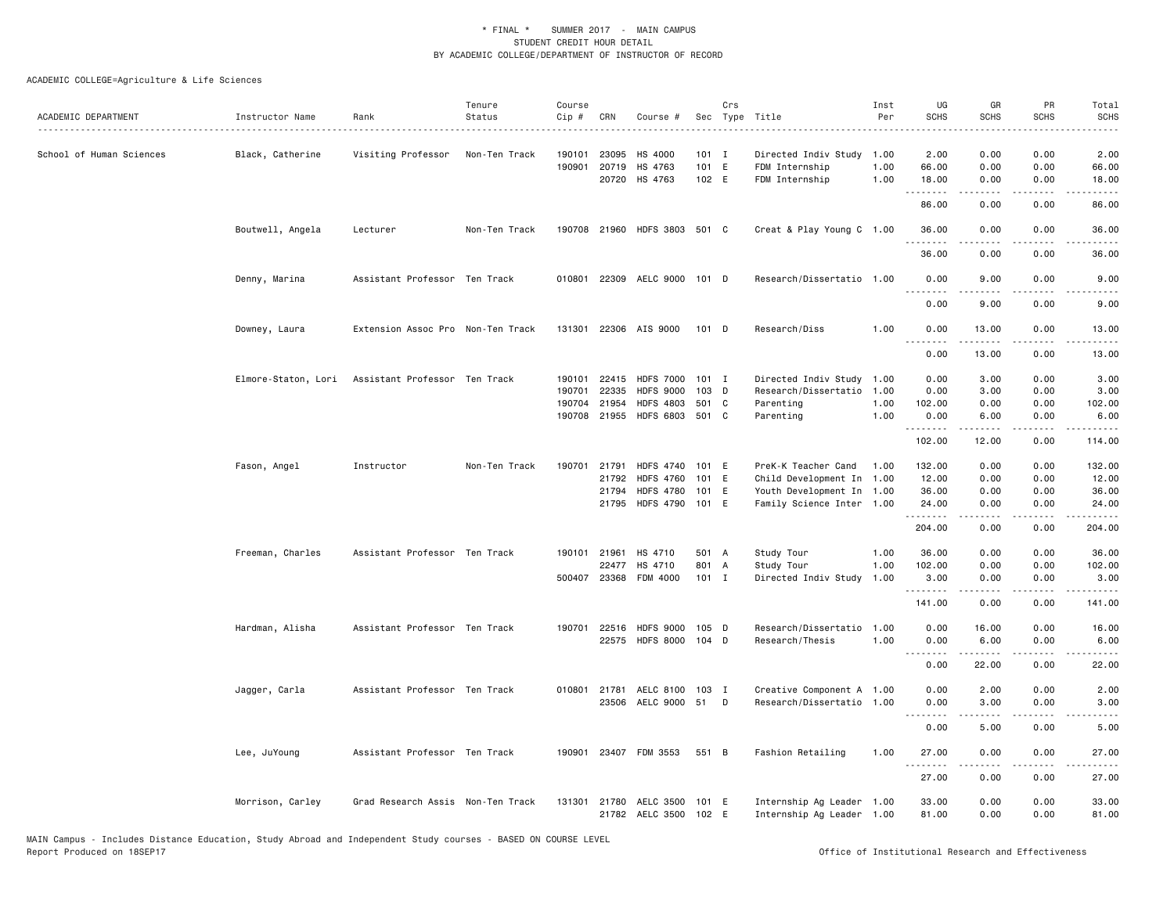| ACADEMIC DEPARTMENT      | Instructor Name     | Rank                              | Tenure<br>Status | Course<br>Cip #  | CRN          | Course #                                       |                           | Crs | Sec Type Title                                           | Inst<br>Per          | UG<br><b>SCHS</b>                                                                      | GR<br><b>SCHS</b>                                                                                                                                            | PR<br><b>SCHS</b>    | Total<br><b>SCHS</b><br>$\sim$ $\sim$ $\sim$ $\sim$ $\sim$                                                                                                   |
|--------------------------|---------------------|-----------------------------------|------------------|------------------|--------------|------------------------------------------------|---------------------------|-----|----------------------------------------------------------|----------------------|----------------------------------------------------------------------------------------|--------------------------------------------------------------------------------------------------------------------------------------------------------------|----------------------|--------------------------------------------------------------------------------------------------------------------------------------------------------------|
| School of Human Sciences | Black, Catherine    | Visiting Professor                | Non-Ten Track    | 190101<br>190901 | 23095        | HS 4000<br>20719 HS 4763<br>20720 HS 4763      | $101$ I<br>101 E<br>102 E |     | Directed Indiv Study<br>FDM Internship<br>FDM Internship | 1.00<br>1.00<br>1.00 | 2.00<br>66.00<br>18.00                                                                 | 0.00<br>0.00<br>0.00                                                                                                                                         | 0.00<br>0.00<br>0.00 | 2.00<br>66.00<br>18.00                                                                                                                                       |
|                          |                     |                                   |                  |                  |              |                                                |                           |     |                                                          |                      | .<br>86.00                                                                             | <b>.</b><br>0.00                                                                                                                                             | .<br>0.00            | $\cdots$<br>86.00                                                                                                                                            |
|                          | Boutwell, Angela    | Lecturer                          | Non-Ten Track    |                  |              | 190708 21960 HDFS 3803 501 C                   |                           |     | Creat & Play Young C 1.00                                |                      | 36.00                                                                                  | 0.00                                                                                                                                                         | 0.00                 | 36.00                                                                                                                                                        |
|                          |                     |                                   |                  |                  |              |                                                |                           |     |                                                          |                      | .<br>36.00                                                                             | .<br>0.00                                                                                                                                                    | .<br>0.00            | .<br>36.00                                                                                                                                                   |
|                          | Denny, Marina       | Assistant Professor Ten Track     |                  | 010801           |              | 22309 AELC 9000 101 D                          |                           |     | Research/Dissertatio 1.00                                |                      | 0.00<br>.                                                                              | 9.00<br>$\sim$ $\sim$ $\sim$ $\sim$                                                                                                                          | 0.00<br>$  -$        | 9.00                                                                                                                                                         |
|                          |                     |                                   |                  |                  |              |                                                |                           |     |                                                          |                      | 0.00                                                                                   | 9.00                                                                                                                                                         | 0.00                 | 9.00                                                                                                                                                         |
|                          | Downey, Laura       | Extension Assoc Pro Non-Ten Track |                  |                  |              | 131301 22306 AIS 9000                          | 101 D                     |     | Research/Diss                                            | 1.00                 | 0.00<br>$- - -$                                                                        | 13.00                                                                                                                                                        | 0.00                 | 13.00                                                                                                                                                        |
|                          |                     |                                   |                  |                  |              |                                                |                           |     |                                                          |                      | 0.00                                                                                   | 13.00                                                                                                                                                        | 0.00                 | 13.00                                                                                                                                                        |
|                          | Elmore-Staton, Lori | Assistant Professor Ten Track     |                  | 190101           |              | 22415 HDFS 7000                                | $101$ I                   |     | Directed Indiv Study 1.00                                |                      | 0.00                                                                                   | 3.00                                                                                                                                                         | 0.00                 | 3.00                                                                                                                                                         |
|                          |                     |                                   |                  | 190701           | 22335        | <b>HDFS 9000</b>                               | 103 D                     |     | Research/Dissertatio 1.00                                |                      | 0.00                                                                                   | 3.00                                                                                                                                                         | 0.00                 | 3.00                                                                                                                                                         |
|                          |                     |                                   |                  | 190704           | 21954        | <b>HDFS 4803</b>                               | 501 C                     |     | Parenting                                                | 1.00                 | 102.00                                                                                 | 0.00                                                                                                                                                         | 0.00                 | 102.00                                                                                                                                                       |
|                          |                     |                                   |                  |                  | 190708 21955 | HDFS 6803 501 C                                |                           |     | Parenting                                                | 1.00                 | 0.00<br>.                                                                              | 6.00                                                                                                                                                         | 0.00                 | 6.00                                                                                                                                                         |
|                          |                     |                                   |                  |                  |              |                                                |                           |     |                                                          |                      | 102.00                                                                                 | 12.00                                                                                                                                                        | 0.00                 | 114.00                                                                                                                                                       |
|                          | Fason, Angel        | Instructor                        | Non-Ten Track    | 190701           | 21791        | <b>HDFS 4740</b>                               | 101 E                     |     | PreK-K Teacher Cand                                      | 1.00                 | 132.00                                                                                 | 0.00                                                                                                                                                         | 0.00                 | 132.00                                                                                                                                                       |
|                          |                     |                                   |                  |                  | 21792        | <b>HDFS 4760</b>                               | 101 E                     |     | Child Development In 1.00                                |                      | 12.00                                                                                  | 0.00                                                                                                                                                         | 0.00                 | 12.00                                                                                                                                                        |
|                          |                     |                                   |                  |                  | 21794        | <b>HDFS 4780</b>                               | 101 E                     |     | Youth Development In 1.00                                |                      | 36.00                                                                                  | 0.00                                                                                                                                                         | 0.00                 | 36.00                                                                                                                                                        |
|                          |                     |                                   |                  |                  | 21795        | <b>HDFS 4790</b>                               | 101 E                     |     | Family Science Inter 1.00                                |                      | 24.00<br>.                                                                             | 0.00                                                                                                                                                         | 0.00                 | 24.00                                                                                                                                                        |
|                          |                     |                                   |                  |                  |              |                                                |                           |     |                                                          |                      | 204.00                                                                                 | 0.00                                                                                                                                                         | 0.00                 | 204.00                                                                                                                                                       |
|                          | Freeman, Charles    | Assistant Professor Ten Track     |                  |                  | 190101 21961 | HS 4710                                        | 501 A                     |     | Study Tour                                               | 1.00                 | 36.00                                                                                  | 0.00                                                                                                                                                         | 0.00                 | 36.00                                                                                                                                                        |
|                          |                     |                                   |                  |                  |              | 22477 HS 4710                                  | 801 A                     |     | Study Tour                                               | 1.00                 | 102.00                                                                                 | 0.00                                                                                                                                                         | 0.00                 | 102.00                                                                                                                                                       |
|                          |                     |                                   |                  |                  |              | 500407 23368 FDM 4000                          | $101$ I                   |     | Directed Indiv Study                                     | 1.00                 | 3.00<br><u>.</u>                                                                       | 0.00<br>المتمام المتعاد                                                                                                                                      | 0.00<br>.            | 3.00<br>$\frac{1}{2} \left( \frac{1}{2} \right) \left( \frac{1}{2} \right) \left( \frac{1}{2} \right) \left( \frac{1}{2} \right) \left( \frac{1}{2} \right)$ |
|                          |                     |                                   |                  |                  |              |                                                |                           |     |                                                          |                      | 141.00                                                                                 | 0.00                                                                                                                                                         | 0.00                 | 141.00                                                                                                                                                       |
|                          | Hardman, Alisha     | Assistant Professor Ten Track     |                  | 190701           |              | 22516 HDFS 9000                                | 105 D                     |     | Research/Dissertatio                                     | 1.00                 | 0.00                                                                                   | 16.00                                                                                                                                                        | 0.00                 | 16.00                                                                                                                                                        |
|                          |                     |                                   |                  |                  |              | 22575 HDFS 8000                                | 104 D                     |     | Research/Thesis                                          | 1.00                 | 0.00<br>$\frac{1}{2} \frac{1}{2} \frac{1}{2} \frac{1}{2} \frac{1}{2} \frac{1}{2}$<br>. | 6.00                                                                                                                                                         | 0.00                 | 6.00                                                                                                                                                         |
|                          |                     |                                   |                  |                  |              |                                                |                           |     |                                                          |                      | 0.00                                                                                   | 22.00                                                                                                                                                        | 0.00                 | 22.00                                                                                                                                                        |
|                          | Jagger, Carla       | Assistant Professor Ten Track     |                  |                  |              | 010801 21781 AELC 8100 103 I                   |                           |     | Creative Component A 1.00                                |                      | 0.00                                                                                   | 2.00                                                                                                                                                         | 0.00                 | 2.00                                                                                                                                                         |
|                          |                     |                                   |                  |                  |              | 23506 AELC 9000 51                             |                           | D   | Research/Dissertatio 1.00                                |                      | 0.00                                                                                   | 3.00                                                                                                                                                         | 0.00                 | 3.00                                                                                                                                                         |
|                          |                     |                                   |                  |                  |              |                                                |                           |     |                                                          |                      | .<br>0.00                                                                              | 5.00                                                                                                                                                         | 0.00                 | 5.00                                                                                                                                                         |
|                          | Lee, JuYoung        | Assistant Professor Ten Track     |                  |                  |              | 190901 23407 FDM 3553                          | 551 B                     |     | Fashion Retailing                                        | 1.00                 | 27.00                                                                                  | 0.00                                                                                                                                                         | 0.00                 | 27.00                                                                                                                                                        |
|                          |                     |                                   |                  |                  |              |                                                |                           |     |                                                          |                      | .<br>27.00                                                                             | $\frac{1}{2} \left( \frac{1}{2} \right) \left( \frac{1}{2} \right) \left( \frac{1}{2} \right) \left( \frac{1}{2} \right) \left( \frac{1}{2} \right)$<br>0.00 | .<br>0.00            | 27.00                                                                                                                                                        |
|                          | Morrison, Carley    | Grad Research Assis Non-Ten Track |                  | 131301           |              | 21780 AELC 3500 101 E<br>21782 AELC 3500 102 E |                           |     | Internship Ag Leader 1.00<br>Internship Ag Leader 1.00   |                      | 33.00<br>81.00                                                                         | 0.00<br>0.00                                                                                                                                                 | 0.00<br>0.00         | 33.00<br>81.00                                                                                                                                               |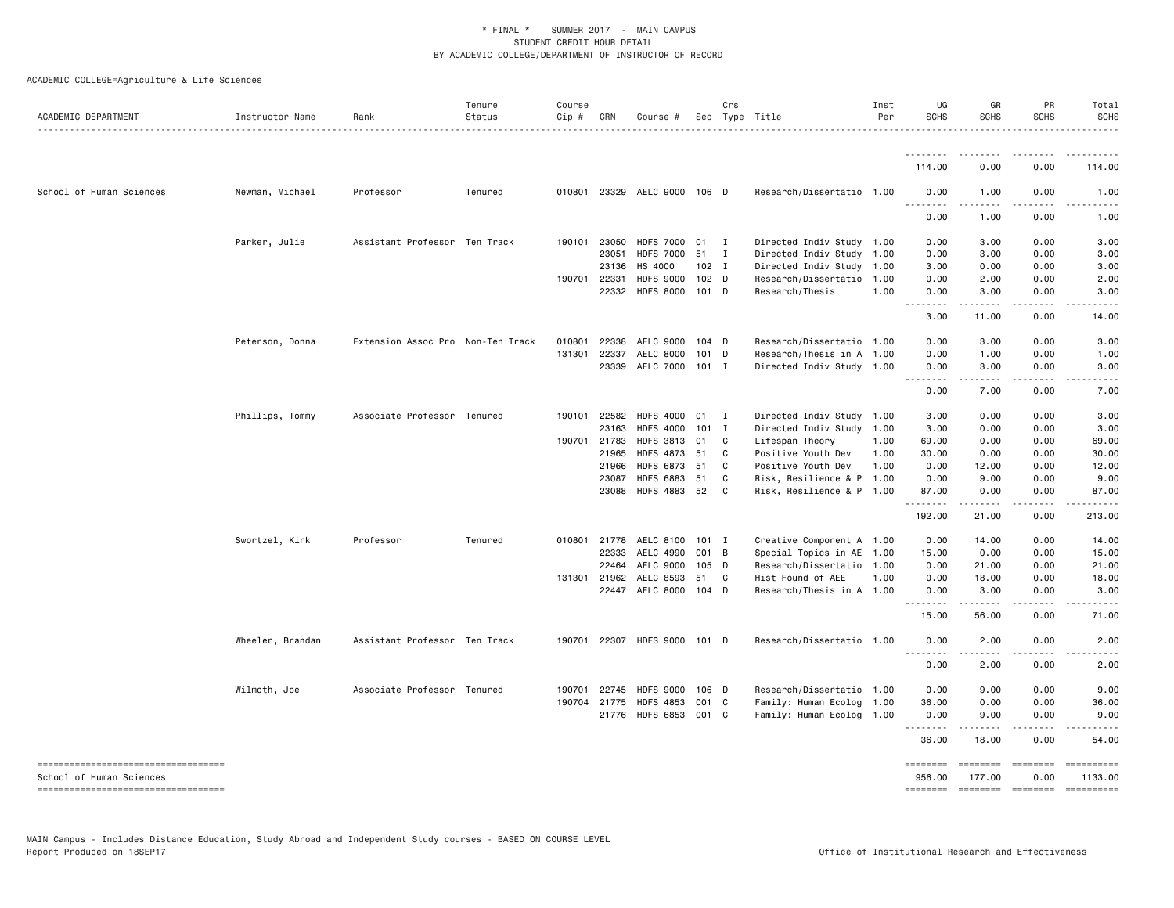| ACADEMIC DEPARTMENT                                             | Instructor Name  | Rank                              | Tenure<br>Status | Course<br>Cip # | CRN          | Course #                     |                  | Crs            | Sec Type Title            | Inst<br>Per | UG<br><b>SCHS</b>                   | GR<br><b>SCHS</b>                                                                 | PR<br><b>SCHS</b>      | Total<br><b>SCHS</b>  |
|-----------------------------------------------------------------|------------------|-----------------------------------|------------------|-----------------|--------------|------------------------------|------------------|----------------|---------------------------|-------------|-------------------------------------|-----------------------------------------------------------------------------------|------------------------|-----------------------|
|                                                                 |                  |                                   | . <b>.</b> .     |                 |              |                              |                  |                |                           |             |                                     |                                                                                   |                        | .                     |
|                                                                 |                  |                                   |                  |                 |              |                              |                  |                |                           |             | .<br>114.00                         | .<br>0.00                                                                         | 0.00                   | 114.00                |
| School of Human Sciences                                        | Newman, Michael  | Professor                         | Tenured          |                 |              | 010801 23329 AELC 9000 106 D |                  |                | Research/Dissertatio 1.00 |             | 0.00<br>$\sim$ $\sim$ $\sim$        | 1.00                                                                              | 0.00<br>.              | 1.00                  |
|                                                                 |                  |                                   |                  |                 |              |                              |                  |                |                           |             | .<br>0.00                           | .<br>1.00                                                                         | 0.00                   | 1.00                  |
|                                                                 | Parker, Julie    | Assistant Professor Ten Track     |                  |                 | 190101 23050 | HDFS 7000 01                 |                  | $\blacksquare$ | Directed Indiv Study 1.00 |             | 0.00                                | 3.00                                                                              | 0.00                   | 3.00                  |
|                                                                 |                  |                                   |                  |                 | 23051        | <b>HDFS 7000</b>             | 51               | $\mathbf{I}$   | Directed Indiv Study 1.00 |             | 0.00                                | 3.00                                                                              | 0.00                   | 3.00                  |
|                                                                 |                  |                                   |                  |                 | 23136        | HS 4000                      | $102$ I          |                | Directed Indiv Study 1.00 |             | 3.00                                | 0.00                                                                              | 0.00                   | 3.00                  |
|                                                                 |                  |                                   |                  |                 | 190701 22331 | <b>HDFS 9000</b>             | 102 <sub>D</sub> |                | Research/Dissertatio 1.00 |             | 0.00                                | 2.00                                                                              | 0.00                   | 2.00                  |
|                                                                 |                  |                                   |                  |                 | 22332        | <b>HDFS 8000</b>             | 101 D            |                | Research/Thesis           | 1.00        | 0.00<br>.<br>$\sim$ $\sim$ $\sim$   | 3.00                                                                              | 0.00                   | 3.00                  |
|                                                                 |                  |                                   |                  |                 |              |                              |                  |                |                           |             | 3.00                                | 11.00                                                                             | 0.00                   | 14.00                 |
|                                                                 | Peterson, Donna  | Extension Assoc Pro Non-Ten Track |                  | 010801          | 22338        | AELC 9000                    | $104$ D          |                | Research/Dissertatio 1.00 |             | 0.00                                | 3.00                                                                              | 0.00                   | 3.00                  |
|                                                                 |                  |                                   |                  | 131301          | 22337        | AELC 8000                    | 101 D            |                | Research/Thesis in A 1.00 |             | 0.00                                | 1.00                                                                              | 0.00                   | 1.00                  |
|                                                                 |                  |                                   |                  |                 | 23339        | AELC 7000                    | 101 I            |                | Directed Indiv Study 1.00 |             | 0.00<br>$\frac{1}{2}$               | 3.00<br>$   -$                                                                    | 0.00                   | 3.00                  |
|                                                                 |                  |                                   |                  |                 |              |                              |                  |                |                           |             | 0.00                                | 7.00                                                                              | 0.00                   | 7.00                  |
|                                                                 | Phillips, Tommy  | Associate Professor Tenured       |                  |                 | 190101 22582 | <b>HDFS 4000</b>             | 01               | $\blacksquare$ | Directed Indiv Study 1.00 |             | 3.00                                | 0.00                                                                              | 0.00                   | 3.00                  |
|                                                                 |                  |                                   |                  |                 | 23163        | <b>HDFS 4000</b>             | $101$ I          |                | Directed Indiv Study 1.00 |             | 3.00                                | 0.00                                                                              | 0.00                   | 3.00                  |
|                                                                 |                  |                                   |                  | 190701 21783    |              | <b>HDFS 3813</b>             | 01               | C              | Lifespan Theory           | 1.00        | 69.00                               | 0.00                                                                              | 0.00                   | 69.00                 |
|                                                                 |                  |                                   |                  |                 | 21965        | <b>HDFS 4873</b>             | 51               | C              | Positive Youth Dev        | 1.00        | 30.00                               | 0.00                                                                              | 0.00                   | 30.00                 |
|                                                                 |                  |                                   |                  |                 | 21966        | <b>HDFS 6873</b>             | 51               | C              | Positive Youth Dev        | 1.00        | 0.00                                | 12.00                                                                             | 0.00                   | 12.00                 |
|                                                                 |                  |                                   |                  |                 | 23087        | <b>HDFS 6883</b>             | 51               | C              | Risk, Resilience & P 1.00 |             | 0.00                                | 9.00                                                                              | 0.00                   | 9.00                  |
|                                                                 |                  |                                   |                  |                 | 23088        | <b>HDFS 4883</b>             | 52               | C.             | Risk, Resilience & P 1.00 |             | 87.00<br><u>.</u>                   | 0.00                                                                              | 0.00                   | 87.00                 |
|                                                                 |                  |                                   |                  |                 |              |                              |                  |                |                           |             | 192.00                              | 21.00                                                                             | 0.00                   | 213.00                |
|                                                                 | Swortzel, Kirk   | Professor                         | Tenured          |                 | 010801 21778 | AELC 8100                    | 101 I            |                | Creative Component A 1.00 |             | 0.00                                | 14.00                                                                             | 0.00                   | 14.00                 |
|                                                                 |                  |                                   |                  |                 | 22333        | AELC 4990                    | 001 B            |                | Special Topics in AE 1.00 |             | 15.00                               | 0.00                                                                              | 0.00                   | 15.00                 |
|                                                                 |                  |                                   |                  |                 | 22464        | AELC 9000                    | 105 D            |                | Research/Dissertatio 1.00 |             | 0.00                                | 21.00                                                                             | 0.00                   | 21.00                 |
|                                                                 |                  |                                   |                  |                 | 131301 21962 | AELC 8593                    | 51               | $\mathbf{C}$   | Hist Found of AEE         | 1.00        | 0.00                                | 18.00                                                                             | 0.00                   | 18.00                 |
|                                                                 |                  |                                   |                  |                 |              | 22447 AELC 8000 104 D        |                  |                | Research/Thesis in A 1.00 |             | 0.00<br>$\sim$ $\sim$ $\sim$ $\sim$ | 3.00                                                                              | 0.00                   | 3.00                  |
|                                                                 |                  |                                   |                  |                 |              |                              |                  |                |                           |             | 15.00                               | 56.00                                                                             | 0.00                   | 71.00                 |
|                                                                 | Wheeler, Brandan | Assistant Professor Ten Track     |                  | 190701          |              | 22307 HDFS 9000 101 D        |                  |                | Research/Dissertatio 1.00 |             | 0.00<br>$\sim$ $\sim$ $\sim$        | 2.00<br>$\frac{1}{2}$                                                             | 0.00                   | 2.00                  |
|                                                                 |                  |                                   |                  |                 |              |                              |                  |                |                           |             | 0.00                                | 2.00                                                                              | 0.00                   | 2.00                  |
|                                                                 | Wilmoth, Joe     | Associate Professor Tenured       |                  | 190701          | 22745        | <b>HDFS 9000</b>             | 106 D            |                | Research/Dissertatio 1.00 |             | 0.00                                | 9.00                                                                              | 0.00                   | 9.00                  |
|                                                                 |                  |                                   |                  | 190704          | 21775        | <b>HDFS 4853</b>             | 001 C            |                | Family: Human Ecolog 1.00 |             | 36.00                               | 0.00                                                                              | 0.00                   | 36.00                 |
|                                                                 |                  |                                   |                  |                 |              | 21776 HDFS 6853 001 C        |                  |                | Family: Human Ecolog 1.00 |             | 0.00<br>.                           | 9.00<br>.                                                                         | 0.00<br>.              | 9.00<br>.             |
|                                                                 |                  |                                   |                  |                 |              |                              |                  |                |                           |             | 36.00                               | 18.00                                                                             | 0.00                   | 54.00                 |
| -----------------------------------<br>School of Human Sciences |                  |                                   |                  |                 |              |                              |                  |                |                           |             | <b>ESSESSES</b><br>956.00           | $\qquad \qquad \equiv \equiv \equiv \equiv \equiv \equiv \equiv \equiv$<br>177.00 | <b>ESSESSE</b><br>0.00 | ==========<br>1133.00 |
| ----------------------------------                              |                  |                                   |                  |                 |              |                              |                  |                |                           |             |                                     | -------- ------- -------                                                          |                        | ==========            |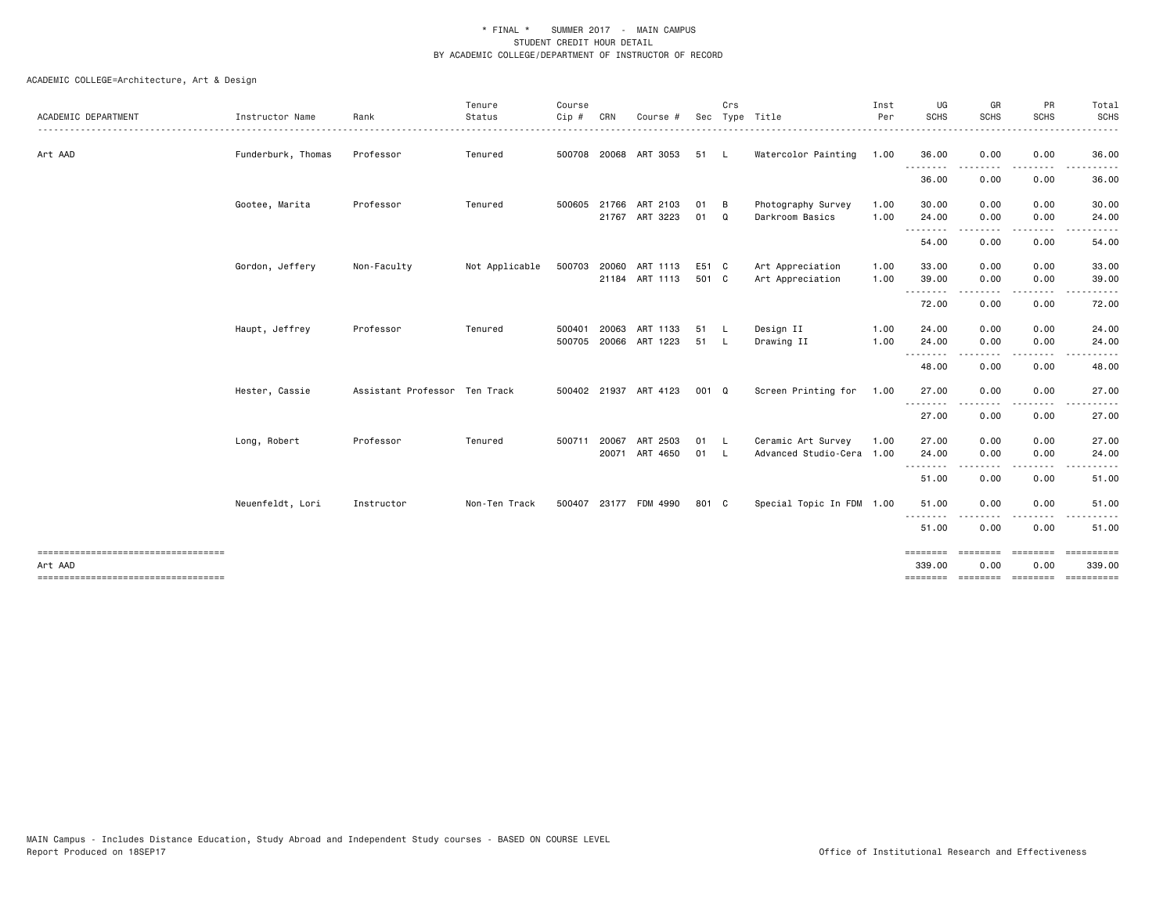| ACADEMIC DEPARTMENT                                                                   | Instructor Name    | Rank                          | Tenure<br>Status | Course<br>$Cip$ # | CRN          | Course                                  |                | Crs                 | Sec Type Title                                  | Inst<br>Per  | UG<br><b>SCHS</b>        | GR<br><b>SCHS</b>                                                               | PR<br><b>SCHS</b>                                                                                                                 | Total<br><b>SCHS</b>               |
|---------------------------------------------------------------------------------------|--------------------|-------------------------------|------------------|-------------------|--------------|-----------------------------------------|----------------|---------------------|-------------------------------------------------|--------------|--------------------------|---------------------------------------------------------------------------------|-----------------------------------------------------------------------------------------------------------------------------------|------------------------------------|
| Art AAD                                                                               | Funderburk, Thomas | Professor                     | Tenured          |                   |              | 500708 20068 ART 3053                   | 51             | $\mathsf{L}$        | Watercolor Painting                             | 1.00         | 36.00                    | 0.00                                                                            | 0.00                                                                                                                              | 36.00                              |
|                                                                                       |                    |                               |                  |                   |              |                                         |                |                     |                                                 |              | .<br>36.00               | 0.00                                                                            | 0.00                                                                                                                              | 36.00                              |
|                                                                                       | Gootee, Marita     | Professor                     | Tenured          | 500605 21766      |              | ART 2103<br>21767 ART 3223              | 01<br>01 Q     | - в                 | Photography Survey<br>Darkroom Basics           | 1.00<br>1.00 | 30.00<br>24.00           | 0.00<br>0.00                                                                    | 0.00<br>0.00                                                                                                                      | 30.00<br>24.00                     |
|                                                                                       |                    |                               |                  |                   |              |                                         |                |                     |                                                 |              | - - - - - - - -<br>54.00 | .<br>0.00                                                                       | .<br>0.00                                                                                                                         | 54.00                              |
|                                                                                       | Gordon, Jeffery    | Non-Faculty                   | Not Applicable   |                   |              | 500703 20060 ART 1113<br>21184 ART 1113 | E51 C<br>501 C |                     | Art Appreciation<br>Art Appreciation            | 1.00<br>1.00 | 33.00<br>39.00           | 0.00<br>0.00                                                                    | 0.00<br>0.00                                                                                                                      | 33.00<br>39.00                     |
|                                                                                       |                    |                               |                  |                   |              |                                         |                |                     |                                                 |              | .<br>72.00               | 0.00                                                                            | $\frac{1}{2} \left( \frac{1}{2} \right) \left( \frac{1}{2} \right) \left( \frac{1}{2} \right) \left( \frac{1}{2} \right)$<br>0.00 | 72.00                              |
|                                                                                       | Haupt, Jeffrey     | Professor                     | Tenured          | 500401            | 20063        | ART 1133<br>500705 20066 ART 1223       | 51<br>51       | $\mathsf{L}$<br>- L | Design II<br>Drawing II                         | 1.00<br>1.00 | 24.00<br>24.00           | 0.00<br>0.00                                                                    | 0.00<br>0.00                                                                                                                      | 24.00<br>24.00                     |
|                                                                                       |                    |                               |                  |                   |              |                                         |                |                     |                                                 |              | .<br>48.00               | 0.00                                                                            | 0.00                                                                                                                              | 48.00                              |
|                                                                                       | Hester, Cassie     | Assistant Professor Ten Track |                  |                   |              | 500402 21937 ART 4123                   | 001 Q          |                     | Screen Printing for                             | 1.00         | 27.00                    | 0.00                                                                            | 0.00                                                                                                                              | 27.00                              |
|                                                                                       |                    |                               |                  |                   |              |                                         |                |                     |                                                 |              | .<br>27.00               | 0.00                                                                            | 0.00                                                                                                                              | 27.00                              |
|                                                                                       | Long, Robert       | Professor                     | Tenured          |                   | 500711 20067 | ART 2503<br>20071 ART 4650              | 01 L<br>01 L   |                     | Ceramic Art Survey<br>Advanced Studio-Cera 1.00 | 1.00         | 27.00<br>24.00           | 0.00<br>0.00                                                                    | 0.00<br>0.00                                                                                                                      | 27.00<br>24.00                     |
|                                                                                       |                    |                               |                  |                   |              |                                         |                |                     |                                                 |              | ----<br>51.00            | 0.00                                                                            | 0.00                                                                                                                              | 51.00                              |
|                                                                                       | Neuenfeldt, Lori   | Instructor                    | Non-Ten Track    |                   |              | 500407 23177 FDM 4990                   | 801 C          |                     | Special Topic In FDM 1.00                       |              | 51.00                    | 0.00                                                                            | 0.00                                                                                                                              | 51.00                              |
|                                                                                       |                    |                               |                  |                   |              |                                         |                |                     |                                                 |              | - - - - - - - -<br>51.00 | 0.00                                                                            | 0.00                                                                                                                              | 51.00                              |
| ====================================<br>Art AAD<br>---------------------------------- |                    |                               |                  |                   |              |                                         |                |                     |                                                 |              | ========<br>339.00       | $\qquad \qquad \equiv \equiv \equiv \equiv \equiv \equiv \equiv \equiv$<br>0.00 | ========<br>0.00                                                                                                                  | ==========<br>339.00<br>========== |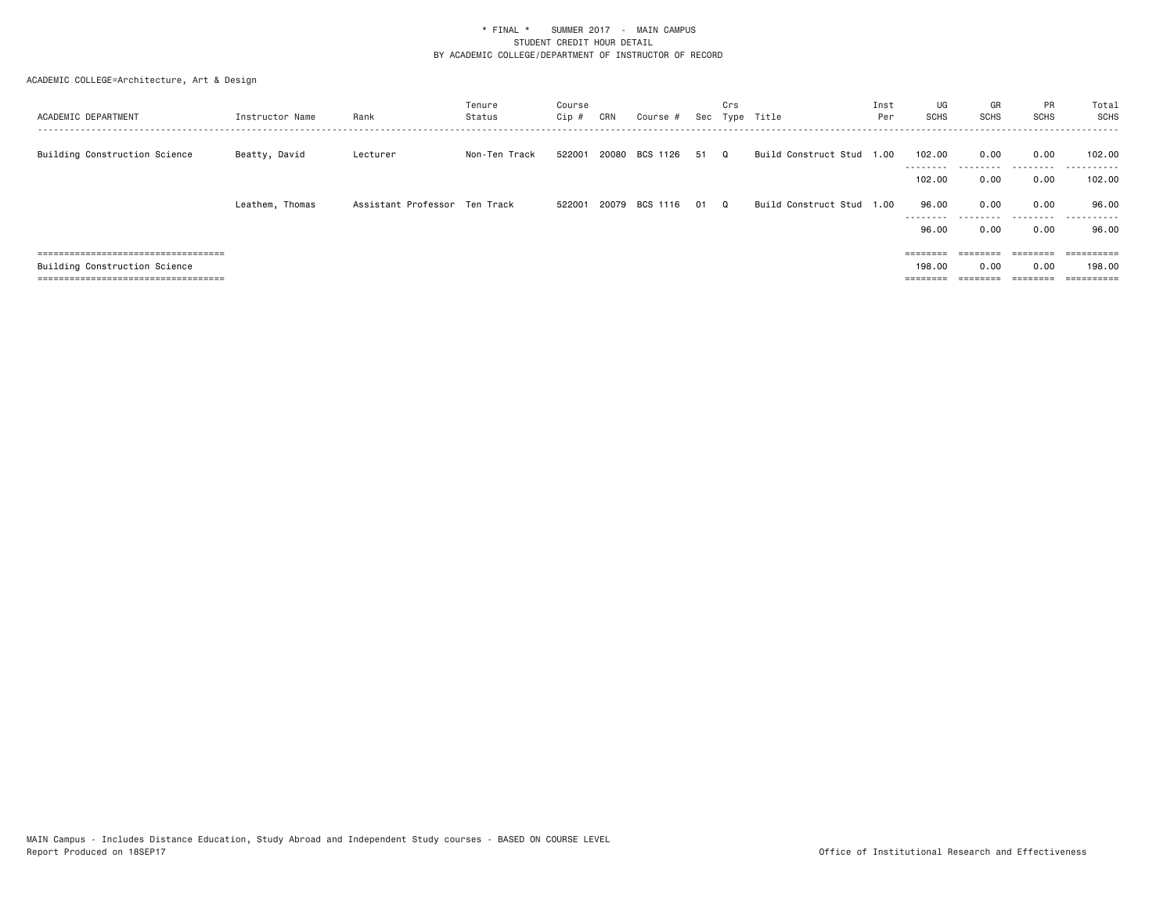| ACADEMIC DEPARTMENT                   | Instructor Name | Rank                          | Tenure<br>Status | Course<br>Cip # | CRN | Course #       |    | Crs      | Sec Type Title            | Inst<br>Per | UG<br>SCHS          | GR<br>SCHS        | PR<br>SCHS        | Total<br><b>SCHS</b>  |
|---------------------------------------|-----------------|-------------------------------|------------------|-----------------|-----|----------------|----|----------|---------------------------|-------------|---------------------|-------------------|-------------------|-----------------------|
| Building Construction Science         | Beatty, David   | Lecturer                      | Non-Ten Track    | 522001          |     | 20080 BCS 1126 | 51 | െ        | Build Construct Stud 1.00 |             | 102,00<br>--------- | 0.00<br>--------- | 0.00<br>--------- | 102.00<br>. <b>.</b>  |
|                                       |                 |                               |                  |                 |     |                |    |          |                           |             | 102,00              | 0.00              | 0.00              | 102.00                |
|                                       | Leathem, Thomas | Assistant Professor Ten Track |                  | 522001          |     | 20079 BCS 1116 | 01 | $\Omega$ | Build Construct Stud 1.00 |             | 96.00<br>---------  | 0.00<br>--------- | 0.00<br>.         | 96.00<br>.            |
|                                       |                 |                               |                  |                 |     |                |    |          |                           |             | 96.00               | 0.00              | 0.00              | 96.00                 |
| ===================================== |                 |                               |                  |                 |     |                |    |          |                           |             | ========            | ========          | ---------         |                       |
| Building Construction Science         |                 |                               |                  |                 |     |                |    |          |                           |             | 198,00              | 0.00              | 0.00              | 198.00                |
| ====================================  |                 |                               |                  |                 |     |                |    |          |                           |             | ________            |                   | _______           | $=$ = = = = = = = = : |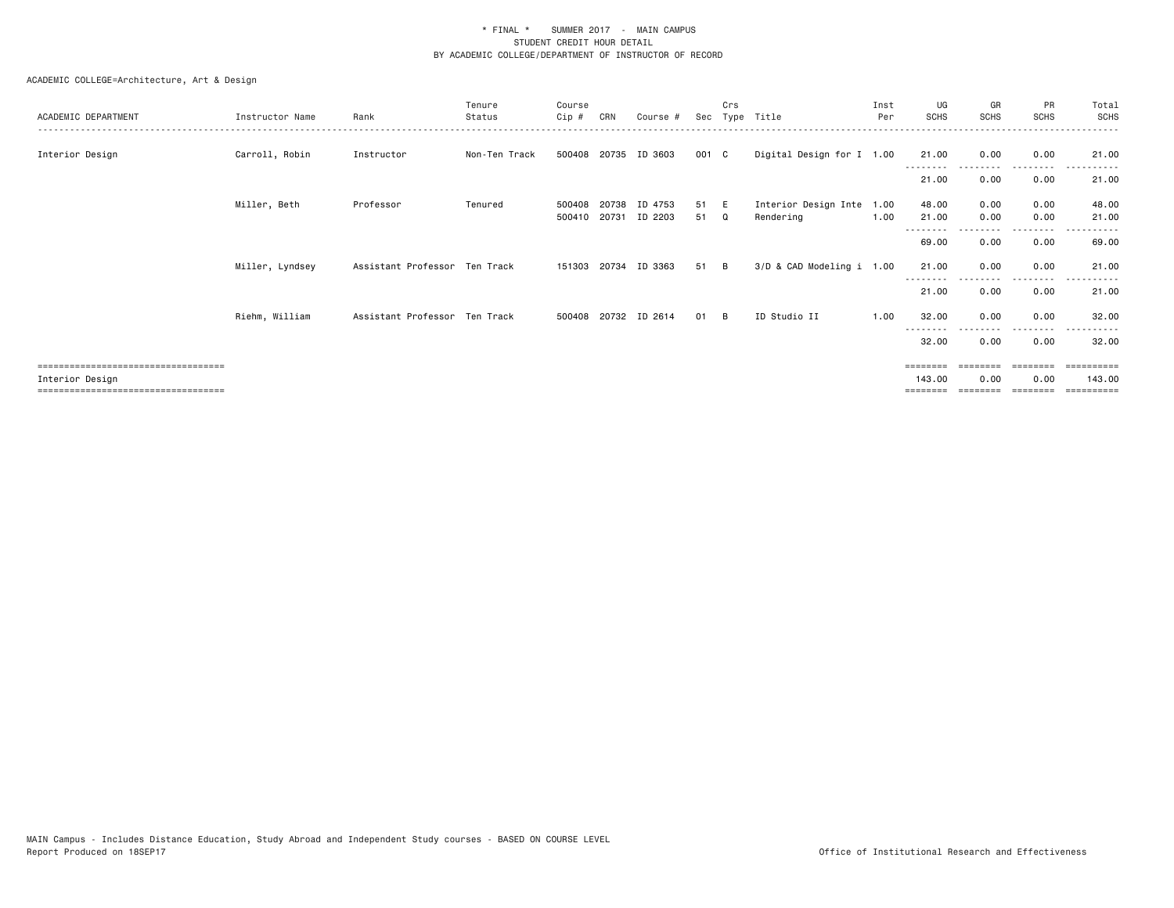| ACADEMIC DEPARTMENT                                                                               | Instructor Name | Rank                          | Tenure<br>Status | Course<br>Cip #  | CRN            | Course #             |          | Crs            | Sec Type Title                    | Inst<br>Per  | UG<br><b>SCHS</b>              | GR<br>SCHS       | <b>PR</b><br>SCHS | Total<br><b>SCHS</b>               |
|---------------------------------------------------------------------------------------------------|-----------------|-------------------------------|------------------|------------------|----------------|----------------------|----------|----------------|-----------------------------------|--------------|--------------------------------|------------------|-------------------|------------------------------------|
| Interior Design                                                                                   | Carroll, Robin  | Instructor                    | Non-Ten Track    |                  |                | 500408 20735 ID 3603 | 001 C    |                | Digital Design for I 1.00         |              | 21.00                          | 0.00             | 0.00<br>.         | 21.00                              |
|                                                                                                   |                 |                               |                  |                  |                |                      |          |                |                                   |              | 21.00                          | 0.00             | 0.00              | 21.00                              |
|                                                                                                   | Miller, Beth    | Professor                     | Tenured          | 500408<br>500410 | 20738<br>20731 | ID 4753<br>ID 2203   | 51<br>51 | E<br>Q         | Interior Design Inte<br>Rendering | 1.00<br>1.00 | 48.00<br>21.00                 | 0.00<br>0.00     | 0.00<br>0.00      | 48.00<br>21.00                     |
|                                                                                                   |                 |                               |                  |                  |                |                      |          |                |                                   |              | 69.00                          | 0.00             | -----<br>0.00     | 69.00                              |
|                                                                                                   | Miller, Lyndsey | Assistant Professor Ten Track |                  |                  |                | 151303 20734 ID 3363 | 51       | $\overline{B}$ | 3/D & CAD Modeling i 1.00         |              | 21.00                          | 0.00             | 0.00<br>.         | 21.00                              |
|                                                                                                   |                 |                               |                  |                  |                |                      |          |                |                                   |              | 21.00                          | 0.00             | 0.00              | 21.00                              |
|                                                                                                   | Riehm, William  | Assistant Professor Ten Track |                  |                  |                | 500408 20732 ID 2614 | 01       | $\overline{B}$ | ID Studio II                      | 1.00         | 32.00                          | 0.00             | 0.00              | 32.00                              |
|                                                                                                   |                 |                               |                  |                  |                |                      |          |                |                                   |              | 32.00                          | 0.00             | 0.00              | 32.00                              |
| =====================================<br>Interior Design<br>------------------------------------- |                 |                               |                  |                  |                |                      |          |                |                                   |              | ========<br>143.00<br>======== | 0.00<br>======== | 0.00<br>========  | ==========<br>143.00<br>========== |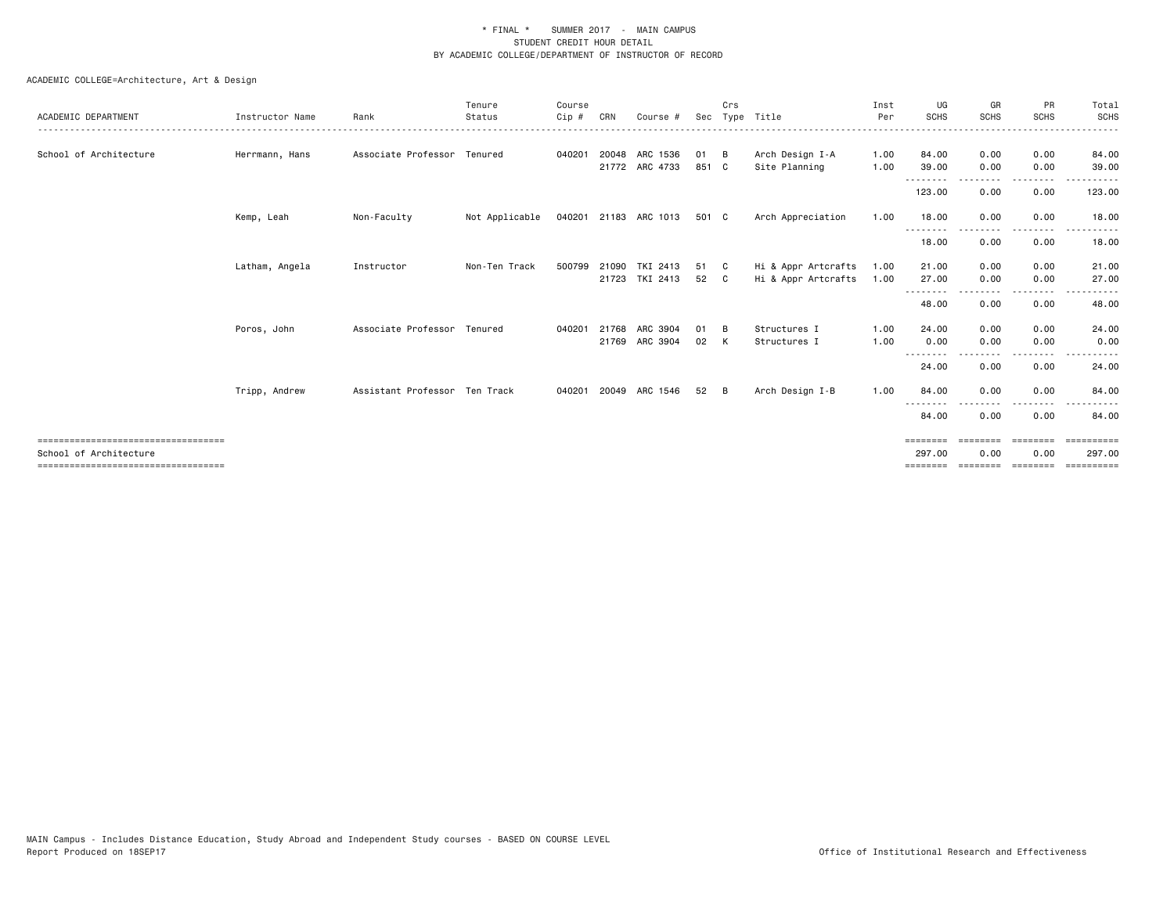|                                       |                 |                               | Tenure         | Course |       |                       |       | Crs |                     | Inst | UG                | GR              | <b>PR</b>          | Total       |
|---------------------------------------|-----------------|-------------------------------|----------------|--------|-------|-----------------------|-------|-----|---------------------|------|-------------------|-----------------|--------------------|-------------|
| ACADEMIC DEPARTMENT                   | Instructor Name | Rank                          | Status         | Cip #  | CRN   | Course #              |       |     | Sec Type Title      | Per  | <b>SCHS</b>       | <b>SCHS</b>     | <b>SCHS</b>        | <b>SCHS</b> |
| School of Architecture                | Herrmann, Hans  | Associate Professor Tenured   |                | 040201 |       | 20048 ARC 1536        | 01    | B   | Arch Design I-A     | 1.00 | 84.00             | 0.00            | 0.00               | 84.00       |
|                                       |                 |                               |                |        |       | 21772 ARC 4733        | 851 C |     | Site Planning       | 1.00 | 39.00             | 0.00            | 0.00               | 39.00       |
|                                       |                 |                               |                |        |       |                       |       |     |                     |      | 123.00            | 0.00            | 0.00               | 123.00      |
|                                       | Kemp, Leah      | Non-Faculty                   | Not Applicable |        |       | 040201 21183 ARC 1013 | 501 C |     | Arch Appreciation   | 1.00 | 18.00             | 0.00            | 0.00               | 18.00       |
|                                       |                 |                               |                |        |       |                       |       |     |                     |      | 18.00             | 0.00            | 0.00               | 18.00       |
|                                       | Latham, Angela  | Instructor                    | Non-Ten Track  | 500799 | 21090 | TKI 2413              | 51    | - C | Hi & Appr Artcrafts | 1.00 | 21.00             | 0.00            | 0.00               | 21.00       |
|                                       |                 |                               |                |        |       | 21723 TKI 2413        | 52    | C.  | Hi & Appr Artcrafts | 1.00 | 27.00             | 0.00            | 0.00               | 27.00       |
|                                       |                 |                               |                |        |       |                       |       |     |                     |      | $- - -$<br>48.00  | 0.00            | .<br>0.00          | 48.00       |
|                                       | Poros, John     | Associate Professor Tenured   |                | 040201 | 21768 | ARC 3904              | 01    | B   | Structures I        | 1.00 | 24,00             | 0.00            | 0.00               | 24.00       |
|                                       |                 |                               |                |        |       | 21769 ARC 3904        | 02    | K   | Structures I        | 1.00 | 0.00              | 0.00            | 0.00               | 0.00        |
|                                       |                 |                               |                |        |       |                       |       |     |                     |      | --------<br>24.00 | 0.00            | . <b>.</b><br>0.00 | 24.00       |
|                                       | Tripp, Andrew   | Assistant Professor Ten Track |                | 040201 |       | 20049 ARC 1546        | 52    | - B | Arch Design I-B     | 1.00 | 84.00             | 0.00            | 0.00               | 84.00       |
|                                       |                 |                               |                |        |       |                       |       |     |                     |      | 84.00             | 0.00            | 0.00               | 84.00       |
| ====================================  |                 |                               |                |        |       |                       |       |     |                     |      | ========          | <b>EBBEEBBE</b> | ========           | ==========  |
| School of Architecture                |                 |                               |                |        |       |                       |       |     |                     |      | 297.00            | 0.00            | 0.00               | 297.00      |
| ===================================== |                 |                               |                |        |       |                       |       |     |                     |      | ========          | ========        | ========           | ==========  |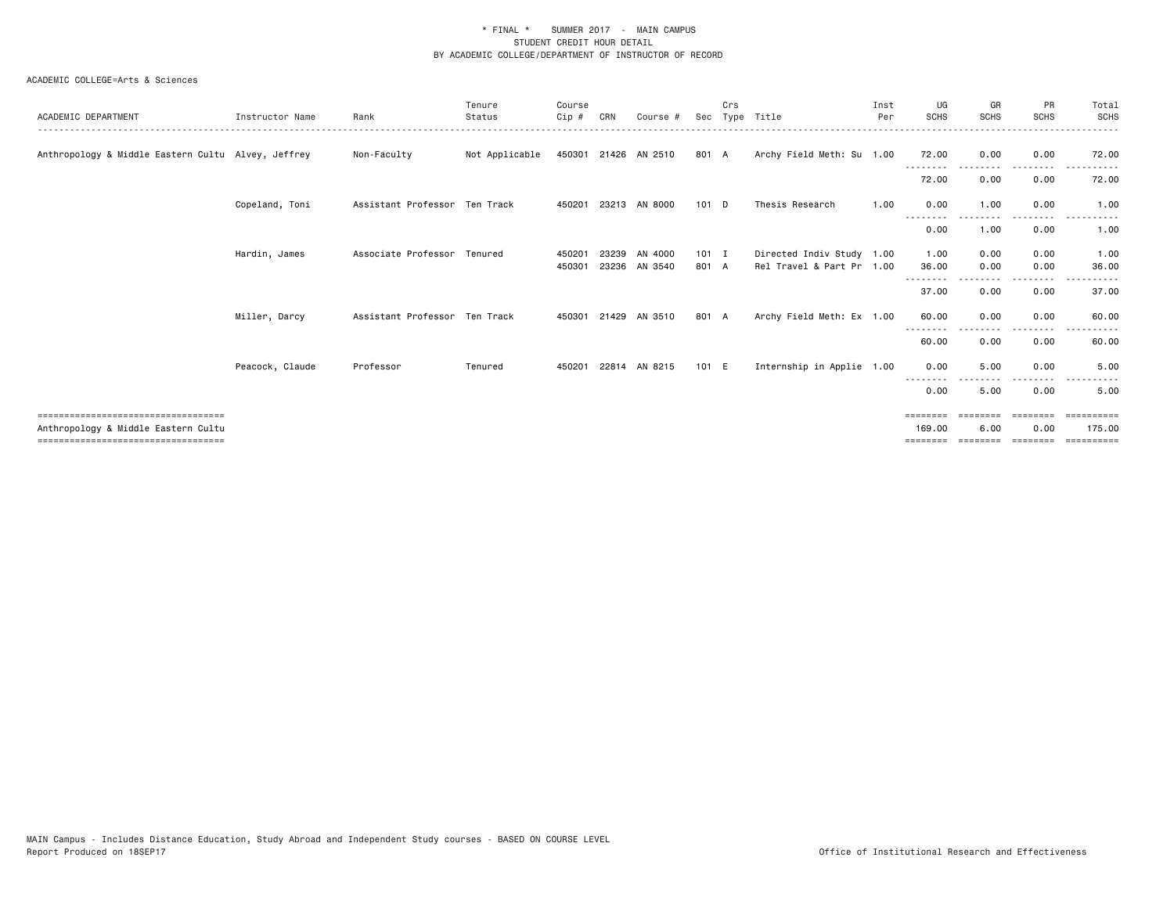#### ACADEMIC COLLEGE=Arts & Sciences

|                                                                              |                 |                               | Tenure         | Course |       |                      |         | Crs |                           | Inst | UG                 | GR               | PR                 | Total                                                                                                                                                                                                                                                                                                                                                                                                                                                                                  |
|------------------------------------------------------------------------------|-----------------|-------------------------------|----------------|--------|-------|----------------------|---------|-----|---------------------------|------|--------------------|------------------|--------------------|----------------------------------------------------------------------------------------------------------------------------------------------------------------------------------------------------------------------------------------------------------------------------------------------------------------------------------------------------------------------------------------------------------------------------------------------------------------------------------------|
| ACADEMIC DEPARTMENT                                                          | Instructor Name | Rank                          | Status         | Cip #  | CRN   | Course #             |         |     | Sec Type Title            | Per  | <b>SCHS</b>        | <b>SCHS</b>      | <b>SCHS</b>        | <b>SCHS</b>                                                                                                                                                                                                                                                                                                                                                                                                                                                                            |
| Anthropology & Middle Eastern Cultu Alvey, Jeffrey                           |                 | Non-Faculty                   | Not Applicable |        |       | 450301 21426 AN 2510 | 801 A   |     | Archy Field Meth: Su 1.00 |      | 72.00<br>.         | 0.00             | 0.00<br>. <u>.</u> | 72.00                                                                                                                                                                                                                                                                                                                                                                                                                                                                                  |
|                                                                              |                 |                               |                |        |       |                      |         |     |                           |      | 72.00              | 0.00             | 0.00               | 72.00                                                                                                                                                                                                                                                                                                                                                                                                                                                                                  |
|                                                                              | Copeland, Toni  | Assistant Professor Ten Track |                | 450201 |       | 23213 AN 8000        | $101$ D |     | Thesis Research           | 1.00 | 0.00<br>$- - -$    | 1.00             | 0.00               | 1.00                                                                                                                                                                                                                                                                                                                                                                                                                                                                                   |
|                                                                              |                 |                               |                |        |       |                      |         |     |                           |      | 0.00               | 1.00             | 0.00               | 1.00                                                                                                                                                                                                                                                                                                                                                                                                                                                                                   |
|                                                                              | Hardin, James   | Associate Professor Tenured   |                | 45020  | 23239 | AN 4000              | $101$ I |     | Directed Indiv Study 1.00 |      | 1.00               | 0.00             | 0.00               | 1.00                                                                                                                                                                                                                                                                                                                                                                                                                                                                                   |
|                                                                              |                 |                               |                | 450301 |       | 23236 AN 3540        | 801 A   |     | Rel Travel & Part Pr 1.00 |      | 36.00              | 0.00             | 0.00               | 36.00                                                                                                                                                                                                                                                                                                                                                                                                                                                                                  |
|                                                                              |                 |                               |                |        |       |                      |         |     |                           |      | 37.00              | 0.00             | $\cdots$<br>0.00   | 37.00                                                                                                                                                                                                                                                                                                                                                                                                                                                                                  |
|                                                                              | Miller, Darcy   | Assistant Professor Ten Track |                | 450301 | 21429 | AN 3510              | 801 A   |     | Archy Field Meth: Ex 1.00 |      | 60.00              | 0.00             | 0.00               | 60.00                                                                                                                                                                                                                                                                                                                                                                                                                                                                                  |
|                                                                              |                 |                               |                |        |       |                      |         |     |                           |      | 60.00              | 0.00             | 0.00               | 60.00                                                                                                                                                                                                                                                                                                                                                                                                                                                                                  |
|                                                                              | Peacock, Claude | Professor                     | Tenured        | 450201 |       | 22814 AN 8215        | 101 E   |     | Internship in Applie 1.00 |      | 0.00               | 5.00             | 0.00               | 5.00                                                                                                                                                                                                                                                                                                                                                                                                                                                                                   |
|                                                                              |                 |                               |                |        |       |                      |         |     |                           |      | --------<br>0.00   | 5.00             | 0.00               | 5.00                                                                                                                                                                                                                                                                                                                                                                                                                                                                                   |
| =====================================<br>Anthropology & Middle Eastern Cultu |                 |                               |                |        |       |                      |         |     |                           |      | ========<br>169,00 | ========<br>6.00 | ========<br>0.00   | ==========<br>175.00                                                                                                                                                                                                                                                                                                                                                                                                                                                                   |
| =====================================                                        |                 |                               |                |        |       |                      |         |     |                           |      |                    |                  |                    | $\begin{array}{cccccccccc} \multicolumn{2}{c}{} & \multicolumn{2}{c}{} & \multicolumn{2}{c}{} & \multicolumn{2}{c}{} & \multicolumn{2}{c}{} & \multicolumn{2}{c}{} & \multicolumn{2}{c}{} & \multicolumn{2}{c}{} & \multicolumn{2}{c}{} & \multicolumn{2}{c}{} & \multicolumn{2}{c}{} & \multicolumn{2}{c}{} & \multicolumn{2}{c}{} & \multicolumn{2}{c}{} & \multicolumn{2}{c}{} & \multicolumn{2}{c}{} & \multicolumn{2}{c}{} & \multicolumn{2}{c}{} & \multicolumn{2}{c}{} & \mult$ |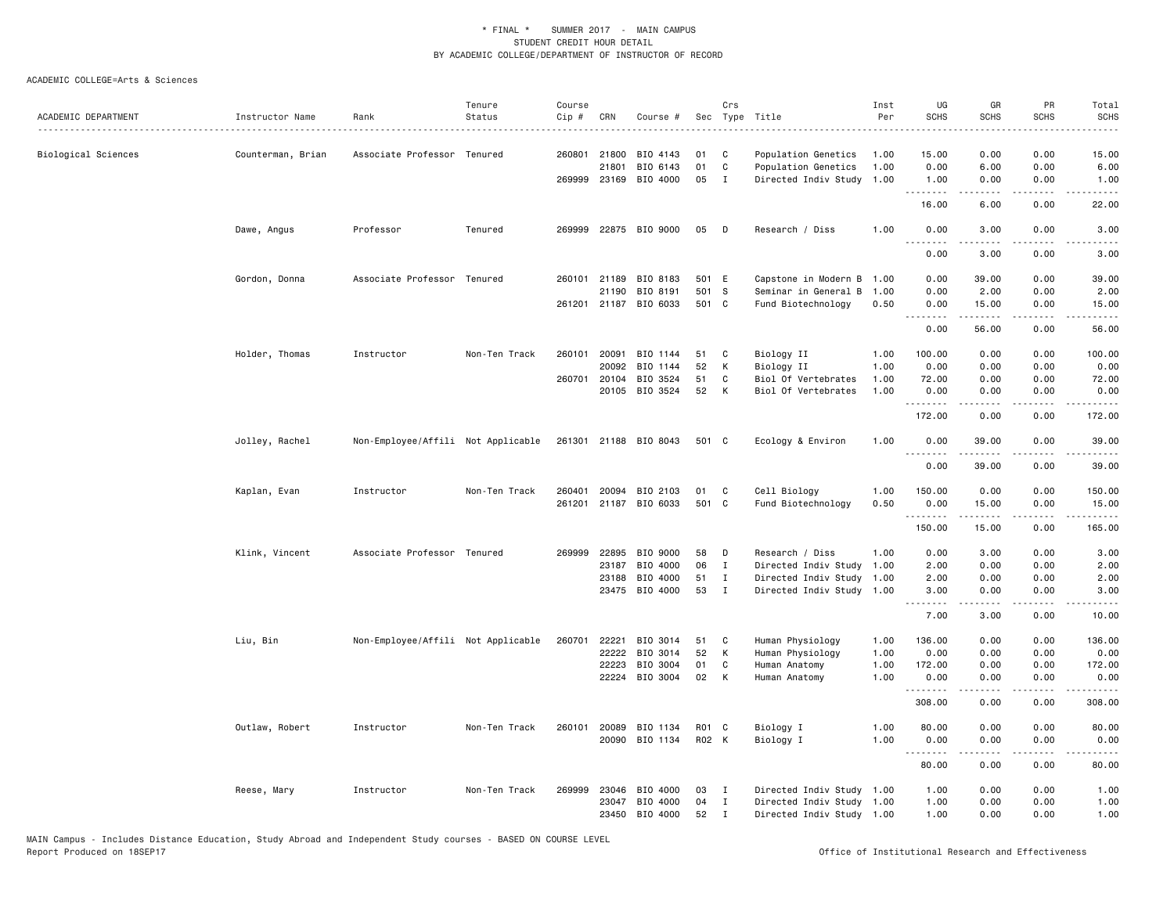#### ACADEMIC COLLEGE=Arts & Sciences

|                                                              |                      |                                    | Tenure        | Course |       |                       |       | Crs          |                           | Inst | UG                  | GR                             | PR                | Total                     |
|--------------------------------------------------------------|----------------------|------------------------------------|---------------|--------|-------|-----------------------|-------|--------------|---------------------------|------|---------------------|--------------------------------|-------------------|---------------------------|
| ACADEMIC DEPARTMENT<br>------------------------------------- | Instructor Name<br>. | Rank                               | Status        | Cip #  | CRN   | Course #              |       |              | Sec Type Title            | Per  | <b>SCHS</b>         | <b>SCHS</b>                    | SCHS              | <b>SCHS</b>               |
|                                                              |                      |                                    |               |        |       |                       |       |              |                           |      |                     |                                |                   |                           |
| Biological Sciences                                          | Counterman, Brian    | Associate Professor Tenured        |               | 260801 | 21800 | BIO 4143              | 01    | C            | Population Genetics       | 1.00 | 15.00               | 0.00                           | 0.00              | 15.00                     |
|                                                              |                      |                                    |               |        | 21801 | BIO 6143              | 01    | C            | Population Genetics       | 1.00 | 0.00                | 6.00                           | 0.00              | 6.00                      |
|                                                              |                      |                                    |               | 269999 | 23169 | BIO 4000              | 05    | $\mathbf I$  | Directed Indiv Study      | 1.00 | 1.00<br>.           | 0.00                           | 0.00<br>.         | 1.00                      |
|                                                              |                      |                                    |               |        |       |                       |       |              |                           |      | 16.00               | 6.00                           | 0.00              | 22.00                     |
|                                                              | Dawe, Angus          | Professor                          | Tenured       |        |       | 269999 22875 BIO 9000 | 05    | D            | Research / Diss           | 1.00 | 0.00<br>$- - - - -$ | 3.00<br>.                      | 0.00<br>.         | 3.00<br>$- - - - -$       |
|                                                              |                      |                                    |               |        |       |                       |       |              |                           |      | 0.00                | 3.00                           | 0.00              | 3.00                      |
|                                                              | Gordon, Donna        | Associate Professor                | Tenured       | 260101 | 21189 | BIO 8183              | 501 E |              | Capstone in Modern B      | 1.00 | 0.00                | 39.00                          | 0.00              | 39.00                     |
|                                                              |                      |                                    |               |        | 21190 | BIO 8191              | 501   | s            | Seminar in General B      | 1.00 | 0.00                | 2.00                           | 0.00              | 2.00                      |
|                                                              |                      |                                    |               |        |       | 261201 21187 BIO 6033 | 501 C |              | Fund Biotechnology        | 0.50 | 0.00<br>.           | 15.00<br><b><i><u></u></i></b> | 0.00<br>.         | 15.00<br>.                |
|                                                              |                      |                                    |               |        |       |                       |       |              |                           |      | 0.00                | 56.00                          | 0.00              | 56.00                     |
|                                                              | Holder, Thomas       | Instructor                         | Non-Ten Track | 260101 | 20091 | BIO 1144              | 51    | C            | Biology II                | 1.00 | 100.00              | 0.00                           | 0.00              | 100.00                    |
|                                                              |                      |                                    |               |        | 20092 | BIO 1144              | 52    | K            | Biology II                | 1.00 | 0.00                | 0.00                           | 0.00              | 0.00                      |
|                                                              |                      |                                    |               | 260701 | 20104 | BIO 3524              | 51    | C            | Biol Of Vertebrates       | 1.00 | 72.00               | 0.00                           | 0.00              | 72.00                     |
|                                                              |                      |                                    |               |        | 20105 | BIO 3524              | 52    | K            | Biol Of Vertebrates       | 1.00 | 0.00                | 0.00                           | 0.00              | 0.00                      |
|                                                              |                      |                                    |               |        |       |                       |       |              |                           |      | <u>.</u><br>172.00  | .<br>0.00                      | .<br>0.00         | $- - - - - - -$<br>172.00 |
|                                                              | Jolley, Rachel       | Non-Employee/Affili Not Applicable |               |        |       | 261301 21188 BIO 8043 | 501 C |              | Ecology & Environ         | 1.00 | 0.00                | 39.00                          | 0.00<br>والمستحدث | 39.00<br>المتمامين        |
|                                                              |                      |                                    |               |        |       |                       |       |              |                           |      | 0.00                | 39.00                          | 0.00              | 39.00                     |
|                                                              | Kaplan, Evan         | Instructor                         | Non-Ten Track | 260401 | 20094 | BIO 2103              | 01    | C            | Cell Biology              | 1.00 | 150.00              | 0.00                           | 0.00              | 150.00                    |
|                                                              |                      |                                    |               | 261201 | 21187 | BIO 6033              | 501   | C            | Fund Biotechnology        | 0.50 | 0.00                | 15.00                          | 0.00              | 15.00                     |
|                                                              |                      |                                    |               |        |       |                       |       |              |                           |      | .<br>150.00         | 15.00                          | $- - -$<br>0.00   | $    -$<br>165.00         |
|                                                              |                      |                                    |               |        |       |                       |       |              |                           |      |                     |                                |                   |                           |
|                                                              | Klink, Vincent       | Associate Professor Tenured        |               | 269999 | 22895 | BIO 9000              | 58    | D            | Research / Diss           | 1.00 | 0.00                | 3.00                           | 0.00              | 3.00                      |
|                                                              |                      |                                    |               |        | 23187 | BIO 4000              | 06    | $\mathbf{I}$ | Directed Indiv Study      | 1.00 | 2.00                | 0.00                           | 0.00              | 2.00                      |
|                                                              |                      |                                    |               |        | 23188 | BIO 4000              | 51    | $\mathbf I$  | Directed Indiv Study      | 1.00 | 2.00                | 0.00                           | 0.00              | 2.00                      |
|                                                              |                      |                                    |               |        | 23475 | BIO 4000              | 53    | $\mathbf{I}$ | Directed Indiv Study      | 1.00 | 3.00<br><u>.</u>    | 0.00<br>.                      | 0.00<br>$  -$     | 3.00<br>.                 |
|                                                              |                      |                                    |               |        |       |                       |       |              |                           |      | 7.00                | 3.00                           | 0.00              | 10.00                     |
|                                                              | Liu, Bin             | Non-Employee/Affili Not Applicable |               | 260701 | 22221 | BIO 3014              | 51    | C            | Human Physiology          | 1.00 | 136.00              | 0.00                           | 0.00              | 136.00                    |
|                                                              |                      |                                    |               |        | 22222 | BIO 3014              | 52    | К            | Human Physiology          | 1.00 | 0.00                | 0.00                           | 0.00              | 0.00                      |
|                                                              |                      |                                    |               |        | 22223 | BIO 3004              | 01    | C            | Human Anatomy             | 1.00 | 172.00              | 0.00                           | 0.00              | 172.00                    |
|                                                              |                      |                                    |               |        | 22224 | BIO 3004              | 02    | K            | Human Anatomy             | 1.00 | 0.00                | 0.00                           | 0.00              | 0.00                      |
|                                                              |                      |                                    |               |        |       |                       |       |              |                           |      | .<br>308.00         | 0.00                           | $- - - -$<br>0.00 | $    -$<br>308.00         |
|                                                              | Outlaw, Robert       | Instructor                         | Non-Ten Track | 260101 | 20089 | BIO 1134              | R01 C |              | Biology I                 | 1.00 | 80.00               | 0.00                           | 0.00              | 80.00                     |
|                                                              |                      |                                    |               |        | 20090 | BIO 1134              | R02 K |              | Biology I                 | 1.00 | 0.00<br><u>.</u>    | 0.00<br>.                      | 0.00<br>.         | 0.00<br>$    -$           |
|                                                              |                      |                                    |               |        |       |                       |       |              |                           |      | 80.00               | 0.00                           | 0.00              | 80.00                     |
|                                                              | Reese, Mary          | Instructor                         | Non-Ten Track | 269999 | 23046 | BIO 4000              | 03    | I            | Directed Indiv Study 1.00 |      | 1.00                | 0.00                           | 0.00              | 1.00                      |
|                                                              |                      |                                    |               |        | 23047 | BIO 4000              | 04    | $\mathbf{I}$ | Directed Indiv Study 1.00 |      | 1.00                | 0.00                           | 0.00              | 1.00                      |
|                                                              |                      |                                    |               |        | 23450 | BIO 4000              | 52    | $\bf{I}$     | Directed Indiv Study 1.00 |      | 1.00                | 0.00                           | 0.00              | 1.00                      |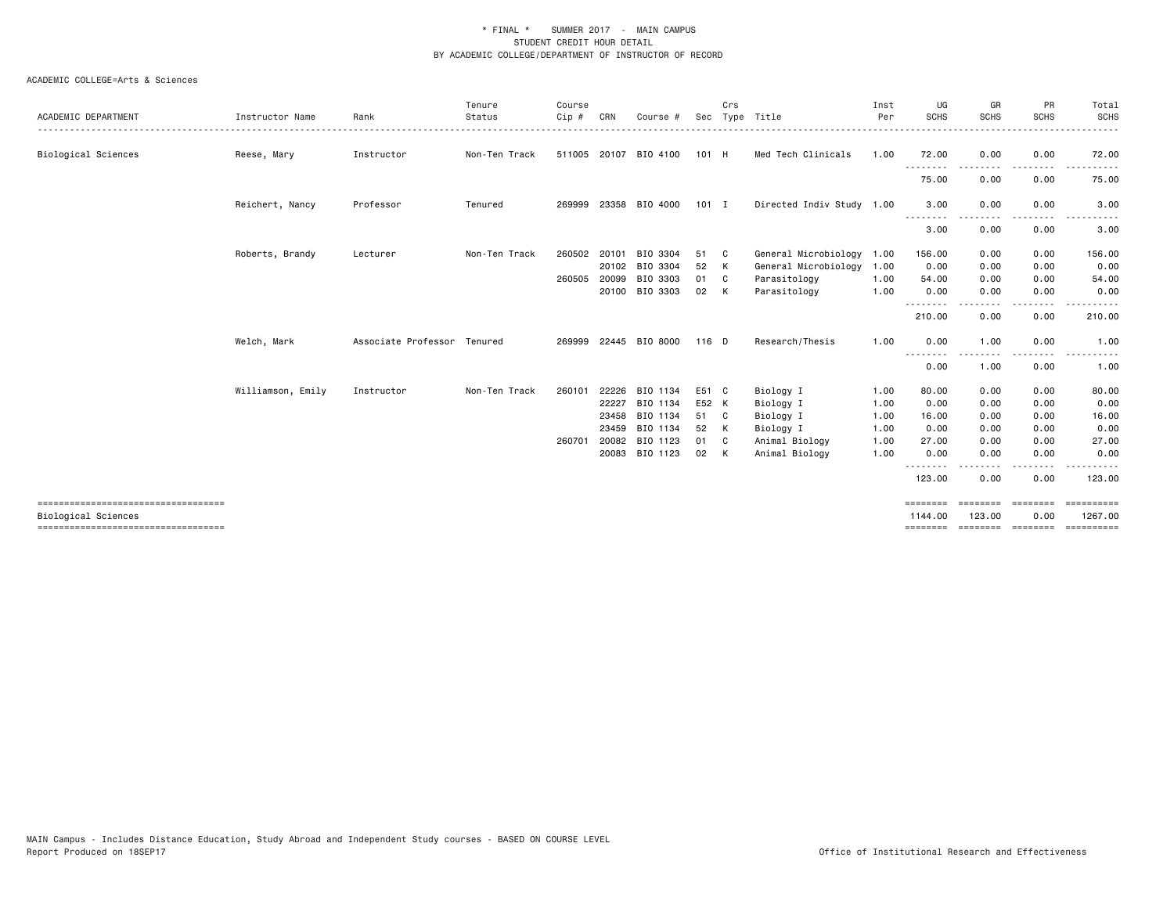|                                                             |                   |                             | Tenure        | Course       |       |                       |         | Crs          |                           | Inst | UG                           | GR                       | PR              | Total                               |
|-------------------------------------------------------------|-------------------|-----------------------------|---------------|--------------|-------|-----------------------|---------|--------------|---------------------------|------|------------------------------|--------------------------|-----------------|-------------------------------------|
| ACADEMIC DEPARTMENT                                         | Instructor Name   | Rank                        | Status        | Cip #        | CRN   | Course #              | Sec     |              | Type Title                | Per  | <b>SCHS</b>                  | <b>SCHS</b>              | <b>SCHS</b>     | SCHS                                |
| Biological Sciences                                         | Reese, Mary       | Instructor                  | Non-Ten Track | 511005 20107 |       | BIO 4100              | 101 H   |              | Med Tech Clinicals        | 1.00 | 72.00<br>.                   | 0.00                     | 0.00<br>----    | 72.00                               |
|                                                             |                   |                             |               |              |       |                       |         |              |                           |      | 75.00                        | 0.00                     | 0.00            | 75.00                               |
|                                                             | Reichert, Nancy   | Professor                   | Tenured       |              |       | 269999 23358 BIO 4000 | $101$ I |              | Directed Indiv Study 1.00 |      | 3.00                         | 0.00                     | 0.00            | 3.00                                |
|                                                             |                   |                             |               |              |       |                       |         |              |                           |      | .<br>3.00                    | 0.00                     | 0.00            | 3.00                                |
|                                                             | Roberts, Brandy   | Lecturer                    | Non-Ten Track | 260502       | 20101 | BIO 3304              | 51      | - C          | General Microbiology      | 1.00 | 156.00                       | 0.00                     | 0.00            | 156.00                              |
|                                                             |                   |                             |               |              | 20102 | BIO 3304              | 52      | K            | General Microbiology      | 1.00 | 0.00                         | 0.00                     | 0.00            | 0.00                                |
|                                                             |                   |                             |               | 260505       | 20099 | BIO 3303              | 01      | C            | Parasitology              | 1.00 | 54.00                        | 0.00                     | 0.00            | 54.00                               |
|                                                             |                   |                             |               |              | 20100 | BIO 3303              | 02      | K            | Parasitology              | 1.00 | 0.00                         | 0.00                     | 0.00            | 0.00                                |
|                                                             |                   |                             |               |              |       |                       |         |              |                           |      | .<br>210.00                  | 0.00                     | 0.00            | 210.00                              |
|                                                             | Welch, Mark       | Associate Professor Tenured |               | 269999       |       | 22445 BIO 8000        | 116 D   |              | Research/Thesis           | 1.00 | 0.00                         | 1.00                     | 0.00            | 1.00                                |
|                                                             |                   |                             |               |              |       |                       |         |              |                           |      | $\sim$ $\sim$ $\sim$<br>0.00 | 1.00                     | 0.00            | 1.00                                |
|                                                             | Williamson, Emily | Instructor                  | Non-Ten Track | 260101       | 22226 | BIO 1134              | E51 C   |              | Biology I                 | 1.00 | 80.00                        | 0.00                     | 0.00            | 80.00                               |
|                                                             |                   |                             |               |              | 22227 | BIO 1134              | E52 K   |              | Biology I                 | 1.00 | 0.00                         | 0.00                     | 0.00            | 0.00                                |
|                                                             |                   |                             |               |              | 23458 | BIO 1134              | 51      | $\mathbf{C}$ | Biology I                 | 1.00 | 16.00                        | 0.00                     | 0.00            | 16.00                               |
|                                                             |                   |                             |               |              | 23459 | BIO 1134              | 52      | K            | Biology I                 | 1.00 | 0.00                         | 0.00                     | 0.00            | 0.00                                |
|                                                             |                   |                             |               | 260701       | 20082 | BIO 1123              | 01      | C            | Animal Biology            | 1.00 | 27.00                        | 0.00                     | 0.00            | 27.00                               |
|                                                             |                   |                             |               |              |       | 20083 BIO 1123        | 02      | K            | Animal Biology            | 1.00 | 0.00                         | 0.00                     | 0.00            | 0.00                                |
|                                                             |                   |                             |               |              |       |                       |         |              |                           |      | 123.00                       | 0.00                     | 0.00            | 123.00                              |
| ------------------------------------<br>Biological Sciences |                   |                             |               |              |       |                       |         |              |                           |      | ========<br>1144.00          | <b>ESSESSE</b><br>123.00 | eessess<br>0.00 | ==========<br>1267.00               |
|                                                             |                   |                             |               |              |       |                       |         |              |                           |      |                              |                          |                 | -------- ------- -------- --------- |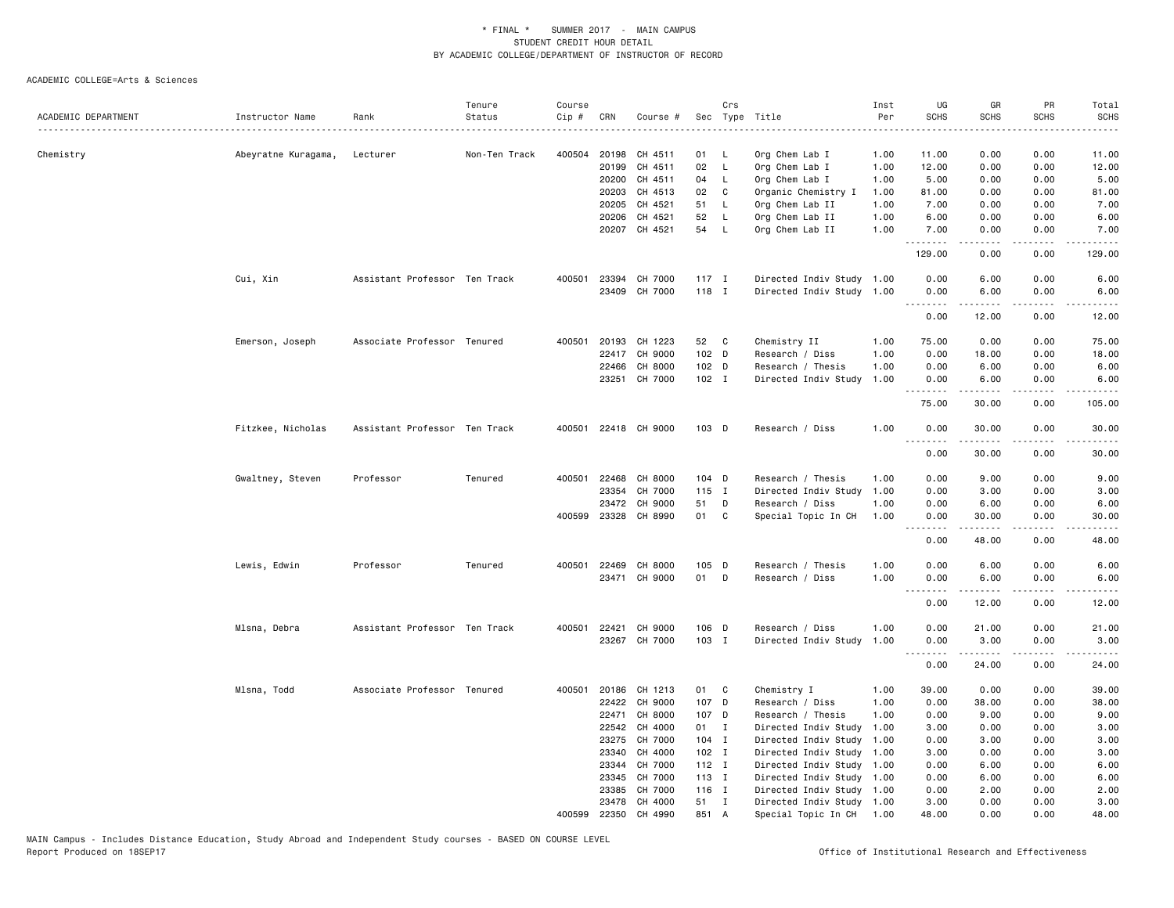|                     |                     |                               | Tenure        | Course |                |                      |          | Crs               |                           | Inst         | UG                           | GR             | PR                           | Total        |
|---------------------|---------------------|-------------------------------|---------------|--------|----------------|----------------------|----------|-------------------|---------------------------|--------------|------------------------------|----------------|------------------------------|--------------|
| ACADEMIC DEPARTMENT | Instructor Name     | Rank                          | Status        | Cip #  | CRN            | Course #             |          |                   | Sec Type Title            | Per          | <b>SCHS</b>                  | <b>SCHS</b>    | <b>SCHS</b>                  | <b>SCHS</b>  |
|                     |                     |                               |               |        |                |                      |          |                   |                           |              |                              |                |                              |              |
| Chemistry           | Abeyratne Kuragama, | Lecturer                      | Non-Ten Track | 400504 |                | 20198 CH 4511        | 01       | <b>L</b>          | Org Chem Lab I            | 1.00         | 11.00                        | 0.00           | 0.00                         | 11.00        |
|                     |                     |                               |               |        | 20199          | CH 4511              | 02<br>04 | $\mathsf{L}$      | Org Chem Lab I            | 1.00         | 12.00                        | 0.00           | 0.00<br>0.00                 | 12.00        |
|                     |                     |                               |               |        | 20200          | CH 4511              |          | <b>L</b>          | Org Chem Lab I            | 1.00         | 5.00                         | 0.00           |                              | 5.00         |
|                     |                     |                               |               |        | 20203<br>20205 | CH 4513<br>CH 4521   | 02<br>51 | C<br>$\mathsf{L}$ | Organic Chemistry I       | 1.00         | 81.00                        | 0.00           | 0.00                         | 81.00        |
|                     |                     |                               |               |        | 20206          | CH 4521              |          |                   | Org Chem Lab II           | 1.00<br>1.00 | 7.00<br>6.00                 | 0.00<br>0.00   | 0.00<br>0.00                 | 7.00<br>6.00 |
|                     |                     |                               |               |        |                | 20207 CH 4521        | 52<br>54 | L.                | Org Chem Lab II           | 1.00         |                              |                |                              |              |
|                     |                     |                               |               |        |                |                      |          | <b>L</b>          | Org Chem Lab II           |              | 7.00<br>.                    | 0.00<br>.      | 0.00<br>د د د د              | 7.00<br>.    |
|                     |                     |                               |               |        |                |                      |          |                   |                           |              | 129.00                       | 0.00           | 0.00                         | 129.00       |
|                     | Cui, Xin            | Assistant Professor Ten Track |               | 400501 | 23394          | CH 7000              | $117$ I  |                   | Directed Indiv Study 1.00 |              | 0.00                         | 6.00           | 0.00                         | 6.00         |
|                     |                     |                               |               |        |                | 23409 CH 7000        | 118 I    |                   | Directed Indiv Study 1.00 |              | 0.00<br>. <i>.</i>           | 6.00<br>.      | 0.00                         | 6.00<br>.    |
|                     |                     |                               |               |        |                |                      |          |                   |                           |              | 0.00                         | 12.00          | 0.00                         | 12.00        |
|                     | Emerson, Joseph     | Associate Professor Tenured   |               | 400501 | 20193          | CH 1223              | 52       | C                 | Chemistry II              | 1.00         | 75.00                        | 0.00           | 0.00                         | 75.00        |
|                     |                     |                               |               |        |                | 22417 CH 9000        | 102 D    |                   | Research / Diss           | 1.00         | 0.00                         | 18.00          | 0.00                         | 18.00        |
|                     |                     |                               |               |        | 22466          | CH 8000              | 102 D    |                   | Research / Thesis         | 1.00         | 0.00                         | 6.00           | 0.00                         | 6.00         |
|                     |                     |                               |               |        |                | 23251 CH 7000        | 102 I    |                   | Directed Indiv Study      | 1.00         | 0.00                         | 6.00           | 0.00                         | 6.00         |
|                     |                     |                               |               |        |                |                      |          |                   |                           |              | .<br>75.00                   | .<br>30.00     | د د د د<br>0.00              | .<br>105.00  |
|                     | Fitzkee, Nicholas   | Assistant Professor Ten Track |               |        |                | 400501 22418 CH 9000 | 103 D    |                   | Research / Diss           | 1.00         | 0.00<br>$\sim$ $\sim$ $\sim$ | 30.00          | 0.00                         | 30.00        |
|                     |                     |                               |               |        |                |                      |          |                   |                           |              | 0.00                         | 30.00          | 0.00                         | 30.00        |
|                     | Gwaltney, Steven    | Professor                     | Tenured       |        |                | 400501 22468 CH 8000 | 104 D    |                   | Research / Thesis         | 1.00         | 0.00                         | 9.00           | 0.00                         | 9.00         |
|                     |                     |                               |               |        | 23354          | CH 7000              | 115 I    |                   | Directed Indiv Study      | 1.00         | 0.00                         | 3.00           | 0.00                         | 3.00         |
|                     |                     |                               |               |        | 23472          | CH 9000              | 51       | D                 | Research / Diss           | 1.00         | 0.00                         | 6.00           | 0.00                         | 6.00         |
|                     |                     |                               |               |        |                | 400599 23328 CH 8990 | 01       | C                 | Special Topic In CH       | 1.00         | 0.00                         | 30.00          | 0.00                         | 30.00        |
|                     |                     |                               |               |        |                |                      |          |                   |                           |              | 0.00                         | -----<br>48.00 | $\sim$ $\sim$ $\sim$<br>0.00 | 48.00        |
|                     | Lewis, Edwin        | Professor                     | Tenured       |        |                | 400501 22469 CH 8000 | 105 D    |                   | Research / Thesis         | 1.00         | 0.00                         | 6.00           | 0.00                         | 6.00         |
|                     |                     |                               |               |        |                | 23471 CH 9000        | 01       | D                 | Research / Diss           | 1.00         | 0.00                         | 6.00           | 0.00                         | 6.00         |
|                     |                     |                               |               |        |                |                      |          |                   |                           |              |                              |                |                              |              |
|                     |                     |                               |               |        |                |                      |          |                   |                           |              | 0.00                         | 12.00          | 0.00                         | 12.00        |
|                     | Mlsna, Debra        | Assistant Professor Ten Track |               |        |                | 400501 22421 CH 9000 | 106 D    |                   | Research / Diss           | 1.00         | 0.00                         | 21.00          | 0.00                         | 21.00        |
|                     |                     |                               |               |        |                | 23267 CH 7000        | 103 I    |                   | Directed Indiv Study      | 1.00         | 0.00<br>. <b>.</b>           | 3.00<br>-----  | 0.00<br>.                    | 3.00<br>.    |
|                     |                     |                               |               |        |                |                      |          |                   |                           |              | 0.00                         | 24.00          | 0.00                         | 24.00        |
|                     | Mlsna, Todd         | Associate Professor Tenured   |               |        |                | 400501 20186 CH 1213 | 01 C     |                   | Chemistry I               | 1.00         | 39.00                        | 0.00           | 0.00                         | 39.00        |
|                     |                     |                               |               |        | 22422          | CH 9000              | 107 D    |                   | Research / Diss           | 1.00         | 0.00                         | 38.00          | 0.00                         | 38.00        |
|                     |                     |                               |               |        | 22471          | CH 8000              | 107 D    |                   | Research / Thesis         | 1.00         | 0.00                         | 9.00           | 0.00                         | 9.00         |
|                     |                     |                               |               |        |                | 22542 CH 4000        | 01 I     |                   | Directed Indiv Study      | 1.00         | 3.00                         | 0.00           | 0.00                         | 3.00         |
|                     |                     |                               |               |        | 23275          | CH 7000              | 104 I    |                   | Directed Indiv Study      | 1.00         | 0.00                         | 3.00           | 0.00                         | 3.00         |
|                     |                     |                               |               |        | 23340          | CH 4000              | $102$ I  |                   | Directed Indiv Study      | 1.00         | 3.00                         | 0.00           | 0.00                         | 3.00         |
|                     |                     |                               |               |        | 23344          | CH 7000              | $112$ I  |                   | Directed Indiv Study 1.00 |              | 0.00                         | 6.00           | 0.00                         | 6.00         |
|                     |                     |                               |               |        | 23345          | CH 7000              | 113 I    |                   | Directed Indiv Study 1.00 |              | 0.00                         | 6.00           | 0.00                         | 6.00         |
|                     |                     |                               |               |        | 23385          | CH 7000              | 116 I    |                   | Directed Indiv Study 1.00 |              | 0.00                         | 2.00           | 0.00                         | 2.00         |
|                     |                     |                               |               |        |                | 23478 CH 4000        | 51 I     |                   | Directed Indiv Study 1.00 |              | 3.00                         | 0.00           | 0.00                         | 3.00         |
|                     |                     |                               |               | 400599 |                | 22350 CH 4990        | 851 A    |                   | Special Topic In CH       | 1.00         | 48.00                        | 0.00           | 0.00                         | 48.00        |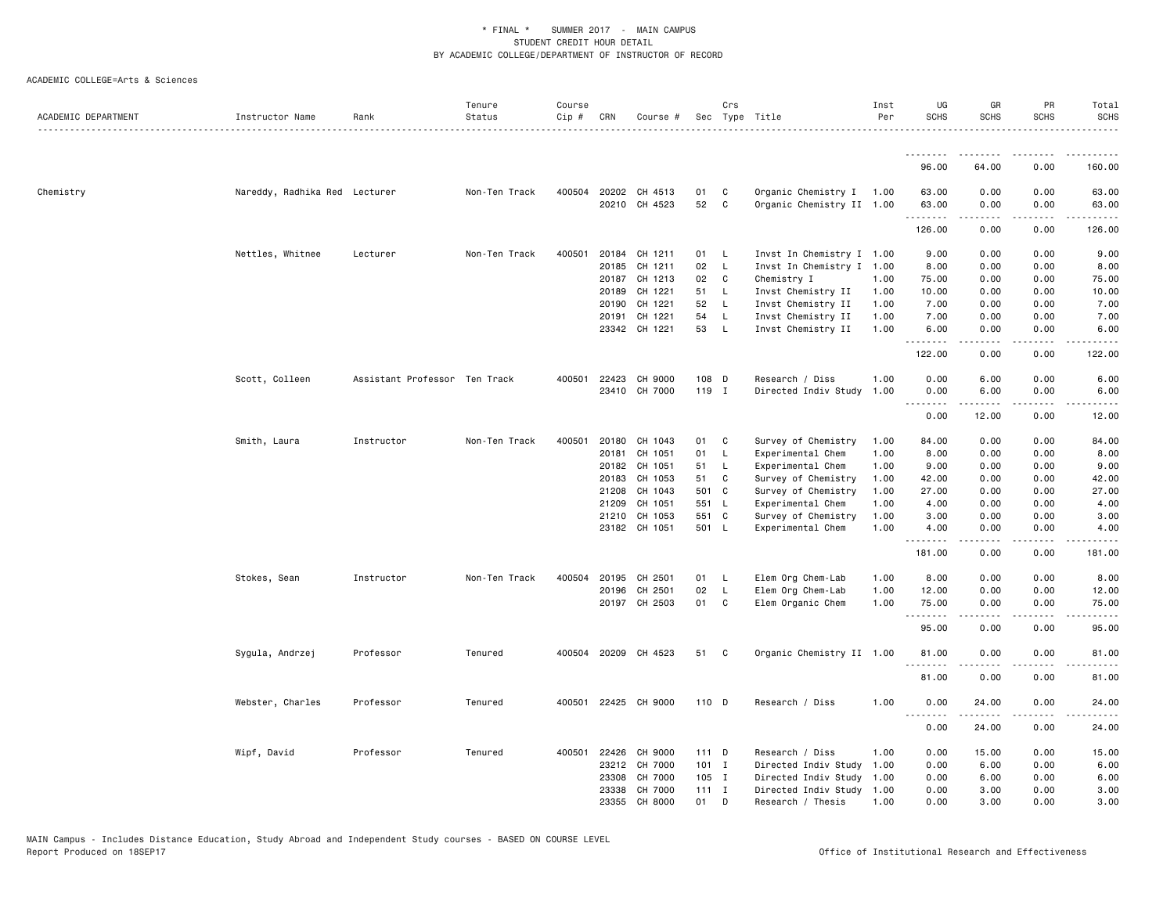| ACADEMIC DEPARTMENT | Instructor Name               | Rank                          | Tenure<br>Status | Course<br>Cip # | CRN   | Course #                              |          | Crs               | Sec Type Title                                        | Inst<br>Per | UG<br><b>SCHS</b> | GR<br><b>SCHS</b> | PR<br><b>SCHS</b>           | Total<br><b>SCHS</b>                        |
|---------------------|-------------------------------|-------------------------------|------------------|-----------------|-------|---------------------------------------|----------|-------------------|-------------------------------------------------------|-------------|-------------------|-------------------|-----------------------------|---------------------------------------------|
|                     |                               |                               |                  |                 |       |                                       |          |                   |                                                       |             | <u>.</u>          | -----             | $- - - -$                   |                                             |
|                     |                               |                               |                  |                 |       |                                       |          |                   |                                                       |             | 96.00             | 64.00             | 0.00                        | 160.00                                      |
| Chemistry           | Nareddy, Radhika Red Lecturer |                               | Non-Ten Track    |                 |       | 400504 20202 CH 4513<br>20210 CH 4523 | 01<br>52 | C<br>$\mathbf{C}$ | Organic Chemistry I 1.00<br>Organic Chemistry II 1.00 |             | 63.00<br>63.00    | 0.00<br>0.00      | 0.00<br>0.00                | 63.00<br>63.00                              |
|                     |                               |                               |                  |                 |       |                                       |          |                   |                                                       |             | .                 |                   | $\sim$ $\sim$ $\sim$ $\sim$ | بالمحام                                     |
|                     |                               |                               |                  |                 |       |                                       |          |                   |                                                       |             | 126.00            | 0.00              | 0.00                        | 126.00                                      |
|                     | Nettles, Whitnee              | Lecturer                      | Non-Ten Track    | 400501          | 20184 | CH 1211                               | 01       | - L               | Invst In Chemistry I 1.00                             |             | 9.00              | 0.00              | 0.00                        | 9.00                                        |
|                     |                               |                               |                  |                 | 20185 | CH 1211                               | 02       | L                 | Invst In Chemistry I 1.00                             |             | 8.00              | 0.00              | 0.00                        | 8.00                                        |
|                     |                               |                               |                  |                 |       | 20187 CH 1213                         | 02       | C                 | Chemistry I                                           | 1.00        | 75.00             | 0.00              | 0.00                        | 75.00                                       |
|                     |                               |                               |                  |                 | 20189 | CH 1221                               | 51       | $\mathsf{L}$      | Invst Chemistry II                                    | 1.00        | 10.00             | 0.00              | 0.00                        | 10.00                                       |
|                     |                               |                               |                  |                 | 20190 | CH 1221                               | 52       | L.                | Invst Chemistry II                                    | 1.00        | 7.00              | 0.00              | 0.00                        | 7.00                                        |
|                     |                               |                               |                  |                 | 20191 | CH 1221                               | 54       | L                 | Invst Chemistry II                                    | 1.00        | 7.00              | 0.00              | 0.00                        | 7.00                                        |
|                     |                               |                               |                  |                 |       | 23342 CH 1221                         | 53       | $\mathsf{L}$      | Invst Chemistry II                                    | 1.00        | 6.00<br>.         | 0.00<br>.         | 0.00<br>.                   | 6.00<br>.                                   |
|                     |                               |                               |                  |                 |       |                                       |          |                   |                                                       |             | 122.00            | 0.00              | 0.00                        | 122.00                                      |
|                     | Scott, Colleen                | Assistant Professor Ten Track |                  | 400501          |       | 22423 CH 9000                         | 108 D    |                   | Research / Diss                                       | 1.00        | 0.00              | 6.00              | 0.00                        | 6.00                                        |
|                     |                               |                               |                  |                 |       | 23410 CH 7000                         | 119 I    |                   | Directed Indiv Study                                  | 1.00        | 0.00              | 6.00              | 0.00                        | 6.00                                        |
|                     |                               |                               |                  |                 |       |                                       |          |                   |                                                       |             | <u>.</u>          |                   |                             |                                             |
|                     |                               |                               |                  |                 |       |                                       |          |                   |                                                       |             | 0.00              | 12.00             | 0.00                        | 12.00                                       |
|                     | Smith, Laura                  | Instructor                    | Non-Ten Track    | 400501          | 20180 | CH 1043                               | 01       | C                 | Survey of Chemistry                                   | 1.00        | 84.00             | 0.00              | 0.00                        | 84.00                                       |
|                     |                               |                               |                  |                 | 20181 | CH 1051                               | 01       | L                 | Experimental Chem                                     | 1.00        | 8.00              | 0.00              | 0.00                        | 8.00                                        |
|                     |                               |                               |                  |                 | 20182 | CH 1051                               | 51       | L                 | Experimental Chem                                     | 1.00        | 9.00              | 0.00              | 0.00                        | 9.00                                        |
|                     |                               |                               |                  |                 | 20183 | CH 1053                               | 51       | C                 | Survey of Chemistry                                   | 1.00        | 42.00             | 0.00              | 0.00                        | 42.00                                       |
|                     |                               |                               |                  |                 | 21208 | CH 1043                               | 501 C    |                   | Survey of Chemistry                                   | 1.00        | 27.00             | 0.00              | 0.00                        | 27.00                                       |
|                     |                               |                               |                  |                 | 21209 | CH 1051                               | 551 L    |                   | Experimental Chem                                     | 1.00        | 4.00              | 0.00              | 0.00                        | 4.00                                        |
|                     |                               |                               |                  |                 | 21210 | CH 1053                               | 551 C    |                   | Survey of Chemistry                                   | 1.00        | 3.00              | 0.00              | 0.00                        | 3.00                                        |
|                     |                               |                               |                  |                 |       | 23182 CH 1051                         | 501 L    |                   | Experimental Chem                                     | 1.00        | 4.00<br>--------  | 0.00<br>.         | 0.00<br>.                   | 4.00<br>.                                   |
|                     |                               |                               |                  |                 |       |                                       |          |                   |                                                       |             | 181.00            | 0.00              | 0.00                        | 181.00                                      |
|                     | Stokes, Sean                  | Instructor                    | Non-Ten Track    | 400504          | 20195 | CH 2501                               | 01       | L                 | Elem Org Chem-Lab                                     | 1.00        | 8.00              | 0.00              | 0.00                        | 8.00                                        |
|                     |                               |                               |                  |                 | 20196 | CH 2501                               | 02       | L                 | Elem Org Chem-Lab                                     | 1.00        | 12.00             | 0.00              | 0.00                        | 12.00                                       |
|                     |                               |                               |                  |                 |       | 20197 CH 2503                         | 01       | C                 | Elem Organic Chem                                     | 1.00        | 75.00             | 0.00              | 0.00<br>----                | 75.00<br>$\sim$ $\sim$ $\sim$ $\sim$ $\sim$ |
|                     |                               |                               |                  |                 |       |                                       |          |                   |                                                       |             | 95.00             | 0.00              | 0.00                        | 95.00                                       |
|                     | Sygula, Andrzej               | Professor                     | Tenured          |                 |       | 400504 20209 CH 4523                  | 51       | C                 | Organic Chemistry II 1.00                             |             | 81.00<br>.        | 0.00<br>.         | 0.00<br>.                   | 81.00<br>.                                  |
|                     |                               |                               |                  |                 |       |                                       |          |                   |                                                       |             | 81.00             | 0.00              | 0.00                        | 81.00                                       |
|                     | Webster, Charles              | Professor                     | Tenured          | 400501          |       | 22425 CH 9000                         | 110 D    |                   | Research / Diss                                       | 1.00        | 0.00<br><u>.</u>  | 24.00             | 0.00                        | 24.00                                       |
|                     |                               |                               |                  |                 |       |                                       |          |                   |                                                       |             | 0.00              | 24.00             | 0.00                        | 24.00                                       |
|                     | Wipf, David                   | Professor                     | Tenured          | 400501          | 22426 | CH 9000                               | 111 D    |                   | Research / Diss                                       | 1.00        | 0.00              | 15.00             | 0.00                        | 15.00                                       |
|                     |                               |                               |                  |                 | 23212 | CH 7000                               | $101$ I  |                   | Directed Indiv Study                                  | 1.00        | 0.00              | 6.00              | 0.00                        | 6.00                                        |
|                     |                               |                               |                  |                 | 23308 | CH 7000                               | 105 I    |                   | Directed Indiv Study                                  | 1.00        | 0.00              | 6.00              | 0.00                        | 6.00                                        |
|                     |                               |                               |                  |                 | 23338 | CH 7000                               | $111$ I  |                   | Directed Indiv Study                                  | 1.00        | 0.00              | 3.00              | 0.00                        | 3.00                                        |
|                     |                               |                               |                  |                 | 23355 | CH 8000                               | 01       | D                 | Research / Thesis                                     | 1.00        | 0.00              | 3.00              | 0.00                        | 3.00                                        |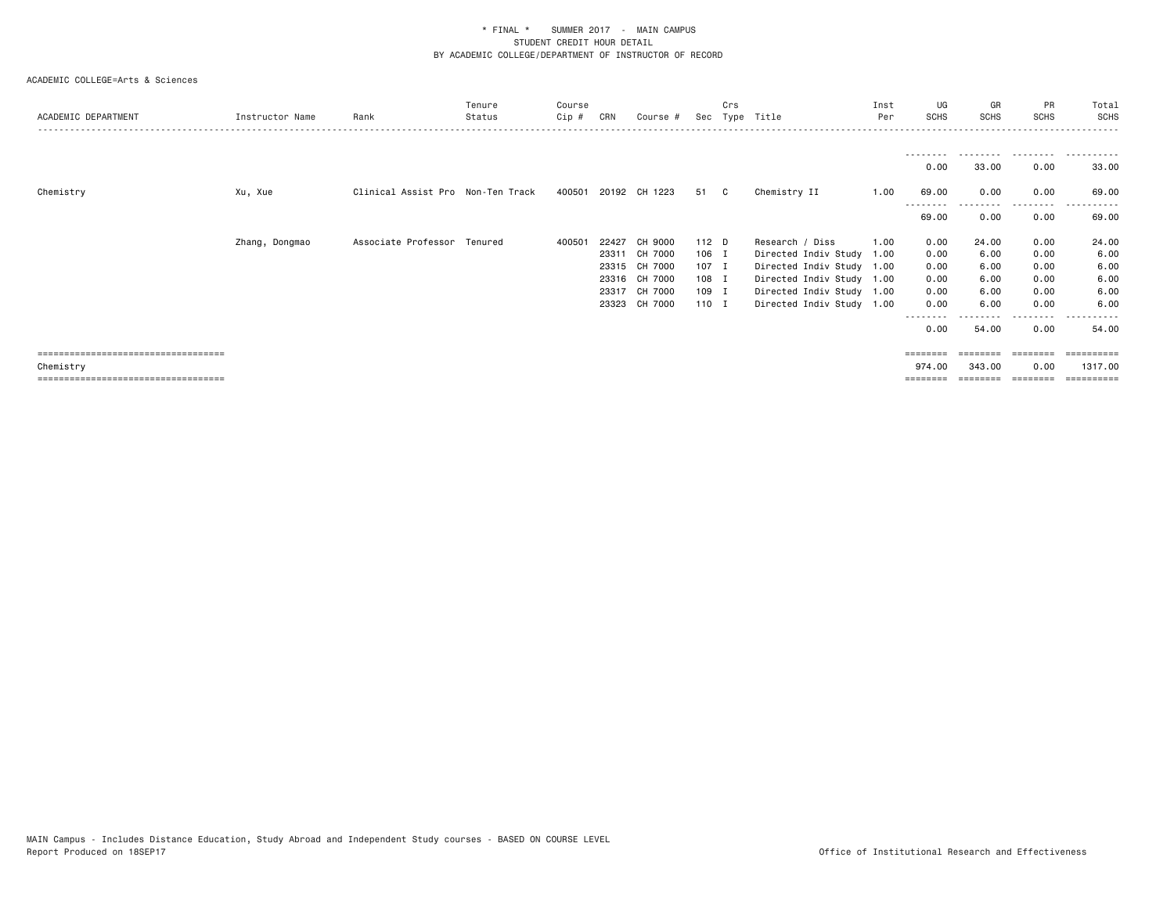| ACADEMIC DEPARTMENT                  | Instructor Name | Rank                              | Tenure<br>Status | Course<br>$C$ ip # | CRN   | Course #             |       | Crs<br>Sec Type | Title                     | Inst<br>Per | UG<br>SCHS       | GR<br><b>SCHS</b> | <b>PR</b><br><b>SCHS</b> | Total<br>SCHS |
|--------------------------------------|-----------------|-----------------------------------|------------------|--------------------|-------|----------------------|-------|-----------------|---------------------------|-------------|------------------|-------------------|--------------------------|---------------|
|                                      |                 |                                   |                  |                    |       |                      |       |                 |                           |             |                  |                   | .                        |               |
|                                      |                 |                                   |                  |                    |       |                      |       |                 |                           |             | 0.00             | 33.00             | 0.00                     | 33.00         |
| Chemistry                            | Xu, Xue         | Clinical Assist Pro Non-Ten Track |                  |                    |       | 400501 20192 CH 1223 | 51 C  |                 | Chemistry II              | 1.00        | 69.00            | 0.00              | 0.00                     | 69.00<br>.    |
|                                      |                 |                                   |                  |                    |       |                      |       |                 |                           |             | 69.00            | 0.00              | .<br>0.00                | 69.00         |
|                                      | Zhang, Dongmao  | Associate Professor Tenured       |                  | 400501             | 22427 | CH 9000              | 112 D |                 | Research / Diss           | 1.00        | 0.00             | 24.00             | 0.00                     | 24.00         |
|                                      |                 |                                   |                  |                    | 23311 | CH 7000              | 106 I |                 | Directed Indiv Study 1.00 |             | 0.00             | 6.00              | 0.00                     | 6.00          |
|                                      |                 |                                   |                  |                    |       | 23315 CH 7000        | 107 I |                 | Directed Indiv Study 1.00 |             | 0.00             | 6.00              | 0.00                     | 6.00          |
|                                      |                 |                                   |                  |                    |       | 23316 CH 7000        | 108 I |                 | Directed Indiv Study 1.00 |             | 0.00             | 6.00              | 0.00                     | 6.00          |
|                                      |                 |                                   |                  |                    |       | 23317 CH 7000        | 109 I |                 | Directed Indiv Study 1.00 |             | 0.00             | 6.00              | 0.00                     | 6.00          |
|                                      |                 |                                   |                  |                    | 23323 | CH 7000              | 110 I |                 | Directed Indiv Study 1.00 |             | 0.00<br>-------- | 6.00              | 0.00<br>.                | 6.00<br>.     |
|                                      |                 |                                   |                  |                    |       |                      |       |                 |                           |             | 0.00             | 54.00             | 0.00                     | 54.00         |
| ==================================== |                 |                                   |                  |                    |       |                      |       |                 |                           |             | ========         | ========          | ========                 | ==========    |
| Chemistry                            |                 |                                   |                  |                    |       |                      |       |                 |                           |             | 974.00           | 343,00            | 0.00                     | 1317,00       |
|                                      |                 |                                   |                  |                    |       |                      |       |                 |                           |             |                  |                   |                          | ==========    |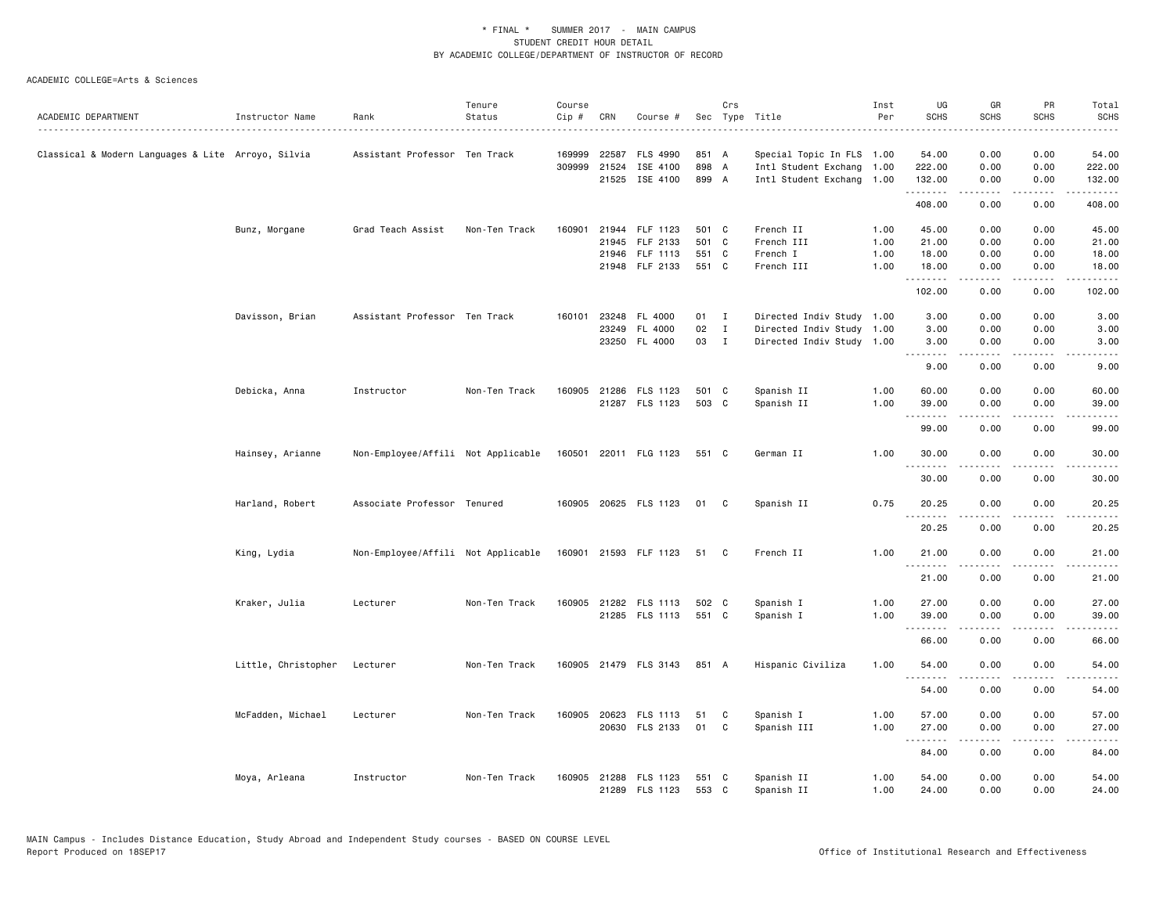|                                                    |                     |                                    | Tenure        | Course |              |                            |                | Crs          |                           | Inst | UG               | GR                                         | PR                    | Total                  |
|----------------------------------------------------|---------------------|------------------------------------|---------------|--------|--------------|----------------------------|----------------|--------------|---------------------------|------|------------------|--------------------------------------------|-----------------------|------------------------|
| ACADEMIC DEPARTMENT                                | Instructor Name     | Rank                               | Status        | Cip #  | CRN          | Course #                   |                |              | Sec Type Title            | Per  | <b>SCHS</b>      | <b>SCHS</b>                                | <b>SCHS</b>           | <b>SCHS</b>            |
|                                                    |                     |                                    |               |        |              |                            |                |              |                           |      |                  |                                            |                       |                        |
| Classical & Modern Languages & Lite Arroyo, Silvia |                     | Assistant Professor Ten Track      |               | 169999 | 22587        | <b>FLS 4990</b>            | 851 A          |              | Special Topic In FLS 1.00 |      | 54.00            | 0.00                                       | 0.00                  | 54.00                  |
|                                                    |                     |                                    |               |        | 309999 21524 | ISE 4100<br>21525 ISE 4100 | 898 A<br>899 A |              | Intl Student Exchang 1.00 |      | 222.00<br>132.00 | 0.00                                       | 0.00<br>0.00          | 222.00<br>132.00       |
|                                                    |                     |                                    |               |        |              |                            |                |              | Intl Student Exchang 1.00 |      | .                | 0.00<br>.                                  | .                     | .                      |
|                                                    |                     |                                    |               |        |              |                            |                |              |                           |      | 408.00           | 0.00                                       | 0.00                  | 408.00                 |
|                                                    | Bunz, Morgane       | Grad Teach Assist                  | Non-Ten Track | 160901 |              | 21944 FLF 1123             | 501 C          |              | French II                 | 1.00 | 45.00            | 0.00                                       | 0.00                  | 45.00                  |
|                                                    |                     |                                    |               |        |              | 21945 FLF 2133             | 501 C          |              | French III                | 1.00 | 21.00            | 0.00                                       | 0.00                  | 21.00                  |
|                                                    |                     |                                    |               |        |              | 21946 FLF 1113             | 551 C          |              | French I                  | 1.00 | 18.00            | 0.00                                       | 0.00                  | 18.00                  |
|                                                    |                     |                                    |               |        |              | 21948 FLF 2133             | 551 C          |              | French III                | 1.00 | 18.00            | 0.00<br>.                                  | 0.00<br>د د د د       | 18.00<br>.             |
|                                                    |                     |                                    |               |        |              |                            |                |              |                           |      | 102.00           | 0.00                                       | 0.00                  | 102.00                 |
|                                                    | Davisson, Brian     | Assistant Professor Ten Track      |               |        |              | 160101 23248 FL 4000       | 01 I           |              | Directed Indiv Study 1.00 |      | 3.00             | 0.00                                       | 0.00                  | 3.00                   |
|                                                    |                     |                                    |               |        | 23249        | FL 4000                    | 02             | $\mathbf{I}$ | Directed Indiv Study 1.00 |      | 3.00             | 0.00                                       | 0.00                  | 3.00                   |
|                                                    |                     |                                    |               |        |              | 23250 FL 4000              | 03 I           |              | Directed Indiv Study 1.00 |      | 3.00<br>.        | 0.00                                       | 0.00                  | 3.00<br>.              |
|                                                    |                     |                                    |               |        |              |                            |                |              |                           |      | 9.00             | 0.00                                       | 0.00                  | 9.00                   |
|                                                    | Debicka, Anna       | Instructor                         | Non-Ten Track |        |              | 160905 21286 FLS 1123      | 501 C          |              | Spanish II                | 1.00 | 60.00            | 0.00                                       | 0.00                  | 60.00                  |
|                                                    |                     |                                    |               |        |              | 21287 FLS 1123             | 503 C          |              | Spanish II                | 1.00 | 39.00            | 0.00                                       | 0.00                  | 39.00                  |
|                                                    |                     |                                    |               |        |              |                            |                |              |                           |      | .<br>99.00       | .<br>0.00                                  | ----<br>0.00          | $\frac{1}{2}$<br>99.00 |
|                                                    | Hainsey, Arianne    | Non-Employee/Affili Not Applicable |               |        |              | 160501 22011 FLG 1123      | 551 C          |              | German II                 | 1.00 | 30.00            | 0.00                                       | 0.00                  | 30.00                  |
|                                                    |                     |                                    |               |        |              |                            |                |              |                           |      | .<br>30.00       | .<br>0.00                                  | $\frac{1}{2}$<br>0.00 | .<br>30.00             |
|                                                    | Harland, Robert     | Associate Professor Tenured        |               |        |              | 160905 20625 FLS 1123      | 01 C           |              | Spanish II                | 0.75 | 20.25            | 0.00                                       | 0.00                  | 20.25                  |
|                                                    |                     |                                    |               |        |              |                            |                |              |                           |      | .<br>20.25       | .<br>0.00                                  | .<br>0.00             | .<br>20.25             |
|                                                    |                     |                                    |               |        |              |                            |                |              |                           | 1.00 |                  |                                            |                       |                        |
|                                                    | King, Lydia         | Non-Employee/Affili Not Applicable |               |        |              | 160901 21593 FLF 1123      | 51 C           |              | French II                 |      | 21.00<br>.       | 0.00                                       | 0.00<br>.             | 21.00                  |
|                                                    |                     |                                    |               |        |              |                            |                |              |                           |      | 21.00            | 0.00                                       | 0.00                  | 21.00                  |
|                                                    | Kraker, Julia       | Lecturer                           | Non-Ten Track |        |              | 160905 21282 FLS 1113      | 502 C          |              | Spanish I                 | 1.00 | 27.00            | 0.00                                       | 0.00                  | 27.00                  |
|                                                    |                     |                                    |               |        |              | 21285 FLS 1113             | 551 C          |              | Spanish I                 | 1.00 | 39.00            | 0.00                                       | 0.00                  | 39.00                  |
|                                                    |                     |                                    |               |        |              |                            |                |              |                           |      | .<br>66.00       | <b><i><u>.</u></i></b><br>0.00             | .<br>0.00             | .<br>66.00             |
|                                                    | Little, Christopher | Lecturer                           | Non-Ten Track |        |              | 160905 21479 FLS 3143      | 851 A          |              | Hispanic Civiliza         | 1.00 | 54.00            | 0.00                                       | 0.00                  | 54.00                  |
|                                                    |                     |                                    |               |        |              |                            |                |              |                           |      | .<br>54.00       | 0.00                                       | 0.00                  | 54.00                  |
|                                                    |                     |                                    |               |        |              |                            |                |              |                           |      |                  |                                            |                       |                        |
|                                                    | McFadden, Michael   | Lecturer                           | Non-Ten Track | 160905 |              | 20623 FLS 1113             | 51             | C            | Spanish I                 | 1.00 | 57.00            | 0.00                                       | 0.00                  | 57.00                  |
|                                                    |                     |                                    |               |        |              | 20630 FLS 2133             | 01             | $\mathbf{C}$ | Spanish III               | 1.00 | 27.00<br>.       | 0.00<br>$\sim$ $\sim$ $\sim$ $\sim$ $\sim$ | 0.00<br>.             | 27.00<br>.             |
|                                                    |                     |                                    |               |        |              |                            |                |              |                           |      | 84.00            | 0.00                                       | 0.00                  | 84.00                  |
|                                                    | Moya, Arleana       | Instructor                         | Non-Ten Track | 160905 |              | 21288 FLS 1123             | 551 C          |              | Spanish II                | 1.00 | 54.00            | 0.00                                       | 0.00                  | 54.00                  |
|                                                    |                     |                                    |               |        |              | 21289 FLS 1123             | 553 C          |              | Spanish II                | 1.00 | 24,00            | 0.00                                       | 0.00                  | 24.00                  |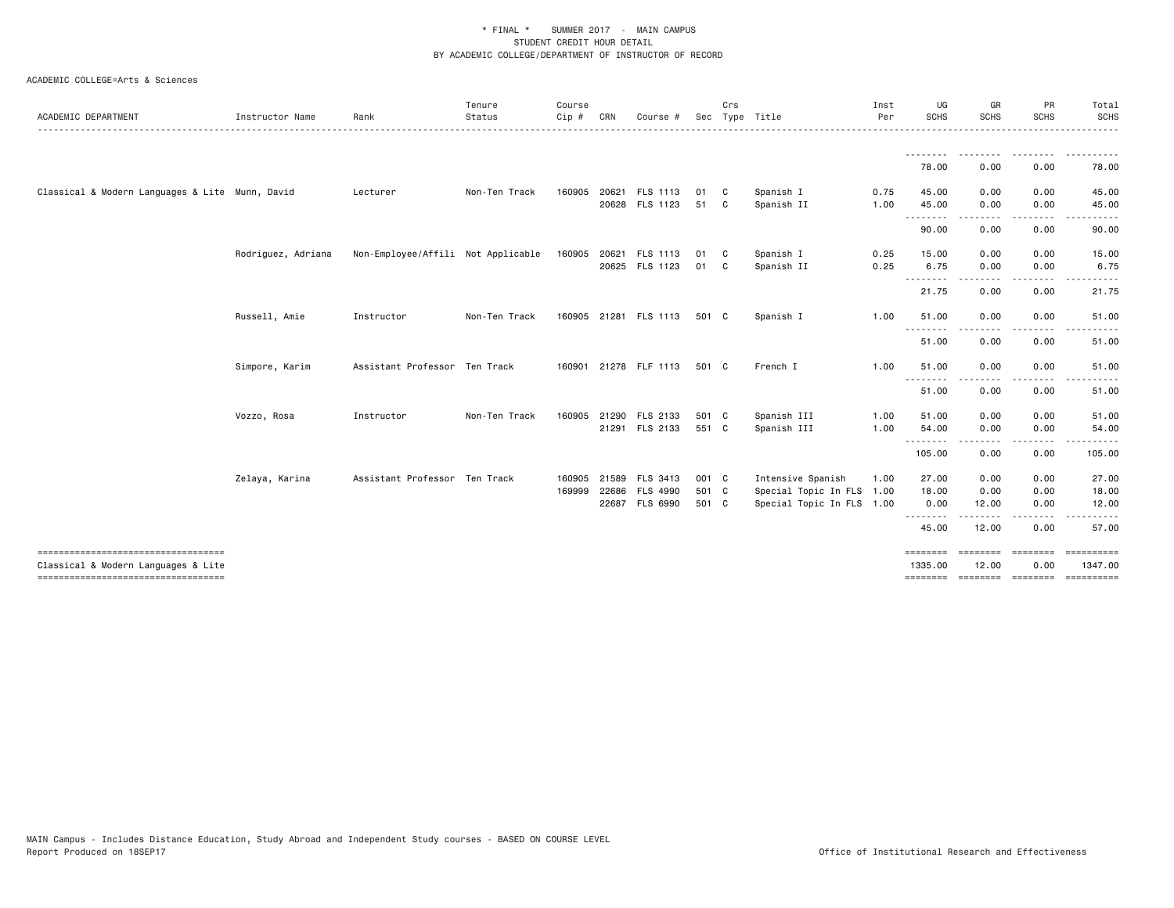| Instructor Name<br>Classical & Modern Languages & Lite Munn, David | Rank       | Status        | Cip#                                                                                                 | CRN   | Course         |                                                                                                                                                                          |              | Sec Type Title                                                                              | Per  | SCHS                                                   | <b>SCHS</b>                                              | <b>SCHS</b> | <b>SCHS</b>                                                      |
|--------------------------------------------------------------------|------------|---------------|------------------------------------------------------------------------------------------------------|-------|----------------|--------------------------------------------------------------------------------------------------------------------------------------------------------------------------|--------------|---------------------------------------------------------------------------------------------|------|--------------------------------------------------------|----------------------------------------------------------|-------------|------------------------------------------------------------------|
|                                                                    |            |               |                                                                                                      |       |                |                                                                                                                                                                          |              |                                                                                             |      |                                                        |                                                          |             |                                                                  |
|                                                                    |            |               |                                                                                                      |       |                |                                                                                                                                                                          |              |                                                                                             |      | <u>.</u>                                               | ---------                                                | ---------   | .                                                                |
|                                                                    |            |               |                                                                                                      |       |                |                                                                                                                                                                          |              |                                                                                             |      | 78.00                                                  | 0.00                                                     | 0.00        | 78.00                                                            |
|                                                                    | Lecturer   | Non-Ten Track | 160905                                                                                               | 20621 | FLS 1113       | 01                                                                                                                                                                       | $\mathbf{C}$ | Spanish I                                                                                   | 0.75 | 45.00                                                  | 0.00                                                     | 0.00        | 45.00                                                            |
|                                                                    |            |               |                                                                                                      |       | 20628 FLS 1123 | 51 C                                                                                                                                                                     |              | Spanish II                                                                                  | 1.00 | 45.00                                                  | 0.00                                                     | 0.00        | 45.00                                                            |
|                                                                    |            |               |                                                                                                      |       |                |                                                                                                                                                                          |              |                                                                                             |      | 90.00                                                  | 0.00                                                     | 0.00        | 90.00                                                            |
| Rodriguez, Adriana                                                 |            |               |                                                                                                      |       |                | 01                                                                                                                                                                       |              | Spanish I                                                                                   | 0.25 | 15.00                                                  | 0.00                                                     | 0.00        | 15.00                                                            |
|                                                                    |            |               |                                                                                                      |       |                | 01                                                                                                                                                                       |              | Spanish II                                                                                  | 0.25 | 6.75                                                   | 0.00                                                     | 0.00        | 6.75                                                             |
|                                                                    |            |               |                                                                                                      |       |                |                                                                                                                                                                          |              |                                                                                             |      | 21.75                                                  | 0.00                                                     | 0.00        | 21.75                                                            |
| Russell, Amie                                                      | Instructor | Non-Ten Track |                                                                                                      |       |                |                                                                                                                                                                          |              | Spanish I                                                                                   | 1.00 | 51.00                                                  | 0.00                                                     | 0.00        | 51.00                                                            |
|                                                                    |            |               |                                                                                                      |       |                |                                                                                                                                                                          |              |                                                                                             |      | 51.00                                                  | 0.00                                                     | 0.00        | 51.00                                                            |
| Simpore, Karim                                                     |            |               |                                                                                                      |       |                |                                                                                                                                                                          |              | French I                                                                                    | 1.00 | 51.00                                                  | 0.00                                                     | 0.00        | 51.00                                                            |
|                                                                    |            |               |                                                                                                      |       |                |                                                                                                                                                                          |              |                                                                                             |      | 51.00                                                  | 0.00                                                     | 0.00        | 51.00                                                            |
| Vozzo, Rosa                                                        | Instructor | Non-Ten Track | 160905                                                                                               | 21290 |                |                                                                                                                                                                          |              | Spanish III                                                                                 | 1.00 | 51.00                                                  | 0.00                                                     | 0.00        | 51.00                                                            |
|                                                                    |            |               |                                                                                                      |       |                |                                                                                                                                                                          |              | Spanish III                                                                                 | 1.00 | 54.00                                                  | 0.00                                                     | 0.00        | 54.00<br>.                                                       |
|                                                                    |            |               |                                                                                                      |       |                |                                                                                                                                                                          |              |                                                                                             |      | 105.00                                                 | 0.00                                                     | 0.00        | 105.00                                                           |
| Zelaya, Karina                                                     |            |               |                                                                                                      | 21589 |                |                                                                                                                                                                          |              | Intensive Spanish                                                                           | 1.00 | 27.00                                                  | 0.00                                                     | 0.00        | 27.00                                                            |
|                                                                    |            |               | 169999                                                                                               | 22686 |                |                                                                                                                                                                          |              |                                                                                             |      | 18.00                                                  | 0.00                                                     | 0.00        | 18.00                                                            |
|                                                                    |            |               |                                                                                                      |       |                |                                                                                                                                                                          |              |                                                                                             |      | 0.00                                                   | 12.00                                                    |             | 12.00                                                            |
|                                                                    |            |               |                                                                                                      |       |                |                                                                                                                                                                          |              |                                                                                             |      | 45.00                                                  | 12.00                                                    | 0.00        | 57.00                                                            |
|                                                                    |            |               |                                                                                                      |       |                |                                                                                                                                                                          |              |                                                                                             |      | ========<br>1335.00                                    | 12.00                                                    | 0.00        | ==========<br>1347.00                                            |
|                                                                    |            |               | Non-Employee/Affili Not Applicable<br>Assistant Professor Ten Track<br>Assistant Professor Ten Track |       | 160905         | 160905 20621 FLS 1113<br>20625 FLS 1123<br>160905 21281 FLS 1113<br>160901 21278 FLF 1113<br>FLS 2133<br>21291 FLS 2133<br>FLS 3413<br><b>FLS 4990</b><br>22687 FLS 6990 |              | $\mathbf{C}$<br>$\mathbf{C}$<br>501 C<br>501 C<br>501 C<br>551 C<br>001 C<br>501 C<br>501 C |      | Special Topic In FLS 1.00<br>Special Topic In FLS 1.00 | .<br>.<br>----<br>----<br><u>.</u><br>.<br>.<br>======== | -----       | .<br>0.00<br>soccess concess<br>--------- --------<br>========== |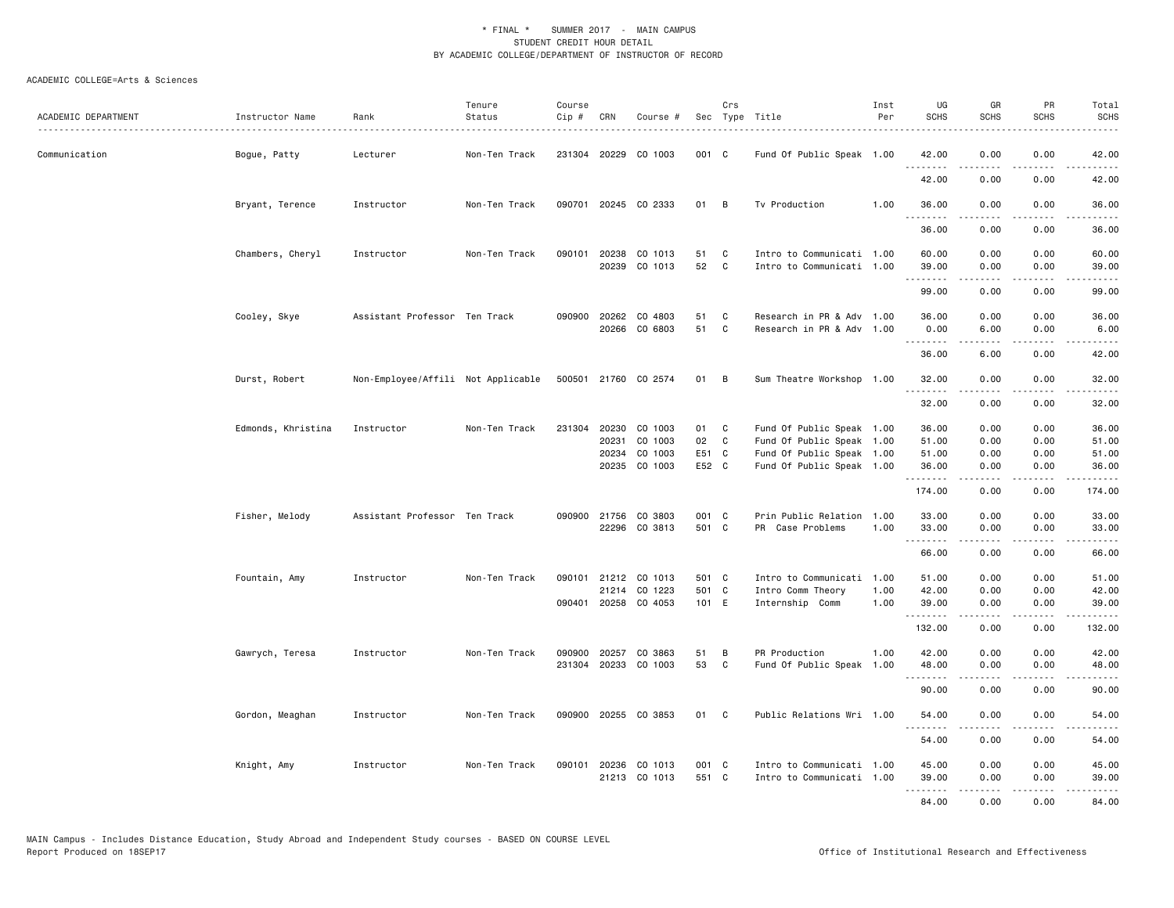| ACADEMIC DEPARTMENT | Instructor Name    | Rank                               | Tenure<br>Status | Course<br>Cip # | CRN                   | Course #                              |                | Crs                          | Sec Type Title                                         | Inst<br>Per  | UG<br><b>SCHS</b> | GR<br><b>SCHS</b> | PR<br><b>SCHS</b>                   | Total<br><b>SCHS</b>                                                                                                                                                                     |
|---------------------|--------------------|------------------------------------|------------------|-----------------|-----------------------|---------------------------------------|----------------|------------------------------|--------------------------------------------------------|--------------|-------------------|-------------------|-------------------------------------|------------------------------------------------------------------------------------------------------------------------------------------------------------------------------------------|
| Communication       | Bogue, Patty       | Lecturer                           | Non-Ten Track    |                 |                       | 231304 20229 CO 1003                  | 001 C          |                              | Fund Of Public Speak 1.00                              |              | 42.00             | 0.00              | 0.00                                | 42.00                                                                                                                                                                                    |
|                     |                    |                                    |                  |                 |                       |                                       |                |                              |                                                        |              | .<br>42.00        | 0.00              | 0.00                                | .<br>42.00                                                                                                                                                                               |
|                     | Bryant, Terence    | Instructor                         | Non-Ten Track    |                 |                       | 090701 20245 CO 2333                  | 01             | $\overline{B}$               | Tv Production                                          | 1.00         | 36.00             | 0.00              | 0.00                                | 36.00                                                                                                                                                                                    |
|                     |                    |                                    |                  |                 |                       |                                       |                |                              |                                                        |              | .<br>36.00        | .<br>0.00         | .<br>0.00                           | .<br>36.00                                                                                                                                                                               |
|                     | Chambers, Cheryl   | Instructor                         | Non-Ten Track    |                 | 090101 20238<br>20239 | CO 1013<br>CO 1013                    | 51<br>52       | C<br>C                       | Intro to Communicati 1.00<br>Intro to Communicati 1.00 |              | 60.00<br>39.00    | 0.00<br>0.00      | 0.00<br>0.00                        | 60.00<br>39.00                                                                                                                                                                           |
|                     |                    |                                    |                  |                 |                       |                                       |                |                              |                                                        |              | .<br>99.00        | .<br>0.00         | $\sim$ $\sim$ $\sim$ $\sim$<br>0.00 | .<br>99.00                                                                                                                                                                               |
|                     | Cooley, Skye       | Assistant Professor Ten Track      |                  |                 |                       | 090900 20262 CO 4803<br>20266 CO 6803 | 51<br>51       | $\mathbf{C}$<br>$\mathbf{C}$ | Research in PR & Adv 1.00<br>Research in PR & Adv 1.00 |              | 36.00<br>0.00     | 0.00<br>6.00      | 0.00<br>0.00                        | 36.00<br>6.00                                                                                                                                                                            |
|                     |                    |                                    |                  |                 |                       |                                       |                |                              |                                                        |              | .<br>36.00        | 6.00              | 0.00                                | 42.00                                                                                                                                                                                    |
|                     | Durst, Robert      | Non-Employee/Affili Not Applicable |                  |                 |                       | 500501 21760 CO 2574                  | 01 B           |                              | Sum Theatre Workshop 1.00                              |              | 32.00<br>.        | 0.00<br>.         | 0.00<br>د د د د                     | 32.00<br>.                                                                                                                                                                               |
|                     |                    |                                    |                  |                 |                       |                                       |                |                              |                                                        |              | 32.00             | 0.00              | 0.00                                | 32.00                                                                                                                                                                                    |
|                     | Edmonds, Khristina | Instructor                         | Non-Ten Track    | 231304          | 20230<br>20231        | CO 1003<br>CO 1003                    | 01<br>02       | $\mathbf{C}$<br>$\mathbf{C}$ | Fund Of Public Speak 1.00<br>Fund Of Public Speak 1.00 |              | 36.00<br>51.00    | 0.00<br>0.00      | 0.00<br>0.00                        | 36.00<br>51.00                                                                                                                                                                           |
|                     |                    |                                    |                  |                 | 20234                 | CO 1003                               | E51 C          |                              | Fund Of Public Speak 1.00                              |              | 51.00             | 0.00              | 0.00                                | 51.00                                                                                                                                                                                    |
|                     |                    |                                    |                  |                 |                       | 20235 CO 1003                         | E52 C          |                              | Fund Of Public Speak 1.00                              |              | 36.00<br>.        | 0.00<br><b>.</b>  | 0.00<br>.                           | 36.00<br>$\frac{1}{2} \left( \frac{1}{2} \right) \left( \frac{1}{2} \right) \left( \frac{1}{2} \right) \left( \frac{1}{2} \right) \left( \frac{1}{2} \right) \left( \frac{1}{2} \right)$ |
|                     |                    |                                    |                  |                 |                       |                                       |                |                              |                                                        |              | 174.00            | 0.00              | 0.00                                | 174.00                                                                                                                                                                                   |
|                     | Fisher, Melody     | Assistant Professor Ten Track      |                  |                 | 090900 21756          | CO 3803<br>22296 CO 3813              | 001 C<br>501 C |                              | Prin Public Relation 1.00<br>PR Case Problems          | 1.00         | 33.00<br>33.00    | 0.00<br>0.00      | 0.00<br>0.00                        | 33.00<br>33.00                                                                                                                                                                           |
|                     |                    |                                    |                  |                 |                       |                                       |                |                              |                                                        |              | .<br>66.00        | .<br>0.00         | .<br>0.00                           | .<br>66.00                                                                                                                                                                               |
|                     | Fountain, Amy      | Instructor                         | Non-Ten Track    |                 |                       | 090101 21212 CO 1013                  | 501 C          |                              | Intro to Communicati 1.00                              |              | 51.00             | 0.00              | 0.00                                | 51.00                                                                                                                                                                                    |
|                     |                    |                                    |                  |                 |                       | 21214 CO 1223<br>090401 20258 CO 4053 | 501 C<br>101 E |                              | Intro Comm Theory<br>Internship Comm                   | 1.00<br>1.00 | 42.00<br>39.00    | 0.00<br>0.00      | 0.00<br>0.00                        | 42.00<br>39.00                                                                                                                                                                           |
|                     |                    |                                    |                  |                 |                       |                                       |                |                              |                                                        |              | .<br>132.00       | .<br>0.00         | .<br>0.00                           | .<br>132.00                                                                                                                                                                              |
|                     | Gawrych, Teresa    | Instructor                         | Non-Ten Track    | 090900          | 20257                 | CO 3863                               | 51             | В                            | PR Production                                          | 1.00         | 42.00             | 0.00              | 0.00                                | 42.00                                                                                                                                                                                    |
|                     |                    |                                    |                  | 231304          |                       | 20233 CO 1003                         | 53             | C                            | Fund Of Public Speak 1.00                              |              | 48.00<br>.        | 0.00<br>.         | 0.00<br>الدامات ب                   | 48.00<br>.                                                                                                                                                                               |
|                     |                    |                                    |                  |                 |                       |                                       |                |                              |                                                        |              | 90.00             | 0.00              | 0.00                                | 90.00                                                                                                                                                                                    |
|                     | Gordon, Meaghan    | Instructor                         | Non-Ten Track    |                 |                       | 090900 20255 CO 3853                  | 01 C           |                              | Public Relations Wri 1.00                              |              | 54.00<br>.        | 0.00              | 0.00                                | 54.00                                                                                                                                                                                    |
|                     |                    |                                    |                  |                 |                       |                                       |                |                              |                                                        |              | 54.00             | 0.00              | 0.00                                | 54.00                                                                                                                                                                                    |
|                     | Knight, Amy        | Instructor                         | Non-Ten Track    |                 |                       | 090101 20236 CO 1013<br>21213 CO 1013 | 001 C<br>551 C |                              | Intro to Communicati 1.00<br>Intro to Communicati 1.00 |              | 45.00<br>39.00    | 0.00<br>0.00      | 0.00<br>0.00                        | 45.00<br>39.00                                                                                                                                                                           |
|                     |                    |                                    |                  |                 |                       |                                       |                |                              |                                                        |              | <u>.</u><br>84.00 | -----<br>0.00     | .<br>0.00                           | .<br>84.00                                                                                                                                                                               |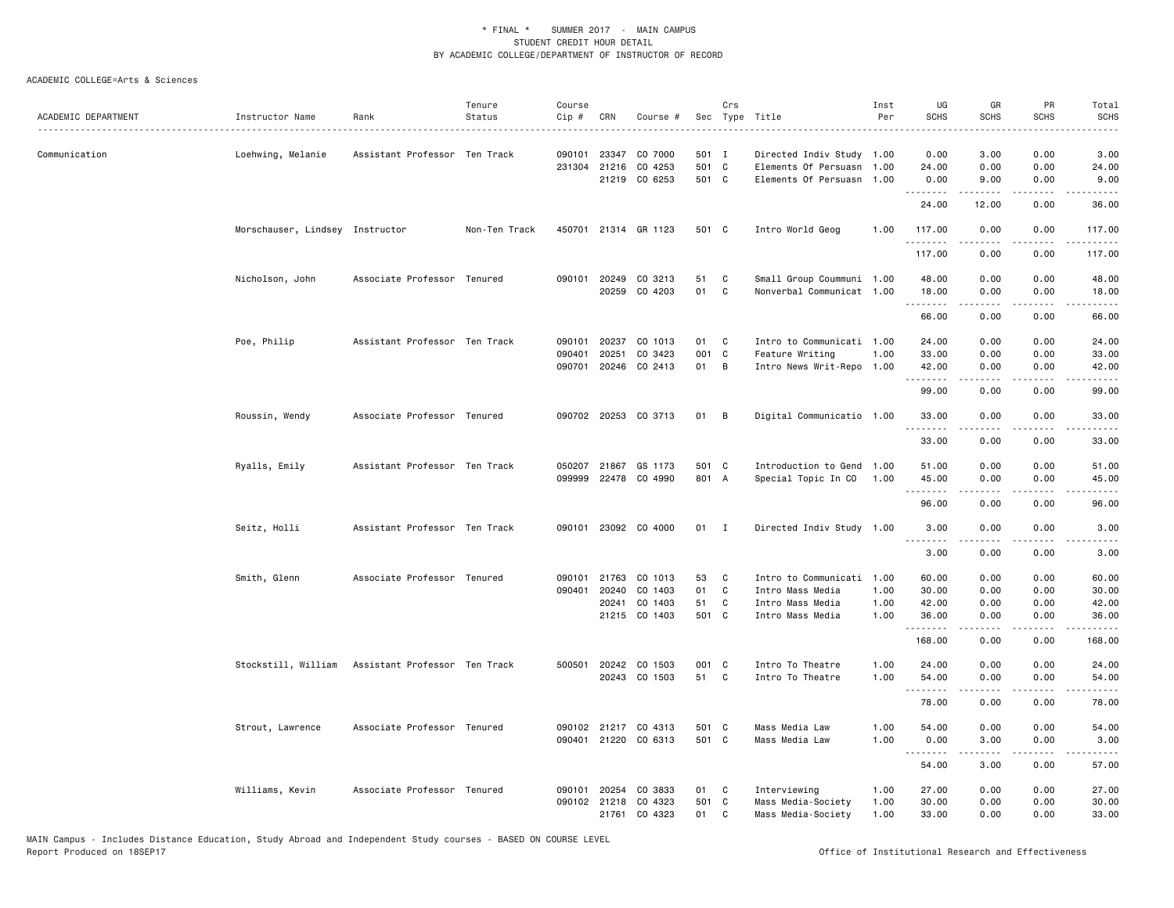|                     |                                 |                               | Tenure        | Course |              |                      |        | Crs          |                           | Inst | UG                | GR            | PR                                  | Total                                                                                                                                                        |
|---------------------|---------------------------------|-------------------------------|---------------|--------|--------------|----------------------|--------|--------------|---------------------------|------|-------------------|---------------|-------------------------------------|--------------------------------------------------------------------------------------------------------------------------------------------------------------|
| ACADEMIC DEPARTMENT | Instructor Name                 | Rank                          | Status        | Cip #  | CRN          | Course #             | Sec    |              | Type Title                | Per  | <b>SCHS</b>       | <b>SCHS</b>   | <b>SCHS</b>                         | SCHS                                                                                                                                                         |
| Communication       | Loehwing, Melanie               | Assistant Professor Ten Track |               | 090101 | 23347        | CO 7000              | 501 I  |              | Directed Indiv Study 1.00 |      | 0.00              | 3.00          | 0.00                                | 3,00                                                                                                                                                         |
|                     |                                 |                               |               |        |              | 231304 21216 CO 4253 | 501 C  |              | Elements Of Persuasn      | 1.00 | 24.00             | 0.00          | 0.00                                | 24.00                                                                                                                                                        |
|                     |                                 |                               |               |        |              | 21219 CO 6253        | 501 C  |              | Elements Of Persuasn 1.00 |      | 0.00              | 9.00          | 0.00                                | 9.00                                                                                                                                                         |
|                     |                                 |                               |               |        |              |                      |        |              |                           |      | .<br>24.00        | .<br>12.00    | .<br>0.00                           | .<br>36.00                                                                                                                                                   |
|                     | Morschauser, Lindsey Instructor |                               | Non-Ten Track |        |              | 450701 21314 GR 1123 | 501 C  |              | Intro World Geog          | 1.00 | 117.00<br>.       | 0.00          | 0.00<br>$\sim$ $\sim$ $\sim$ $\sim$ | 117.00<br><u>.</u>                                                                                                                                           |
|                     |                                 |                               |               |        |              |                      |        |              |                           |      | 117.00            | 0.00          | 0.00                                | 117.00                                                                                                                                                       |
|                     | Nicholson, John                 | Associate Professor Tenured   |               | 090101 |              | 20249 CO 3213        | 51     | C            | Small Group Coummuni 1.00 |      | 48.00             | 0.00          | 0.00                                | 48.00                                                                                                                                                        |
|                     |                                 |                               |               |        |              | 20259 CO 4203        | 01     | $\mathbf c$  | Nonverbal Communicat 1.00 |      | 18.00<br><u>.</u> | 0.00          | 0.00                                | 18.00<br>د د د د د                                                                                                                                           |
|                     |                                 |                               |               |        |              |                      |        |              |                           |      | 66.00             | 0.00          | 0.00                                | 66.00                                                                                                                                                        |
|                     | Poe, Philip                     | Assistant Professor Ten Track |               | 090101 | 20237        | CO 1013              | 01     | C            | Intro to Communicati 1.00 |      | 24,00             | 0.00          | 0.00                                | 24.00                                                                                                                                                        |
|                     |                                 |                               |               | 090401 | 20251        | CO 3423              | 001 C  |              | Feature Writing           | 1.00 | 33.00             | 0.00          | 0.00                                | 33.00                                                                                                                                                        |
|                     |                                 |                               |               | 090701 |              | 20246 CO 2413        | 01     | В            | Intro News Writ-Repo 1.00 |      | 42.00<br>.        | 0.00<br>.     | 0.00<br>$\sim$ $\sim$ $\sim$ $\sim$ | 42.00<br>د د د د د                                                                                                                                           |
|                     |                                 |                               |               |        |              |                      |        |              |                           |      | 99.00             | 0.00          | 0.00                                | 99.00                                                                                                                                                        |
|                     | Roussin, Wendy                  | Associate Professor Tenured   |               |        |              | 090702 20253 CO 3713 | 01     | B            | Digital Communicatio 1.00 |      | 33.00<br><u>.</u> | 0.00          | 0.00<br>$- - - -$                   | 33.00<br>$- - - - -$                                                                                                                                         |
|                     |                                 |                               |               |        |              |                      |        |              |                           |      | 33.00             | 0.00          | 0.00                                | 33.00                                                                                                                                                        |
|                     | Ryalls, Emily                   | Assistant Professor Ten Track |               | 050207 | 21867        | GS 1173              | 501 C  |              | Introduction to Gend 1.00 |      | 51.00             | 0.00          | 0.00                                | 51.00                                                                                                                                                        |
|                     |                                 |                               |               | 099999 |              | 22478 CO 4990        | 801 A  |              | Special Topic In CO       | 1.00 | 45.00<br>.        | 0.00<br>.     | 0.00<br>د د د د                     | 45.00<br>د د د د د                                                                                                                                           |
|                     |                                 |                               |               |        |              |                      |        |              |                           |      | 96.00             | 0.00          | 0.00                                | 96.00                                                                                                                                                        |
|                     | Seitz, Holli                    | Assistant Professor Ten Track |               |        |              | 090101 23092 CO 4000 | $01$ I |              | Directed Indiv Study 1.00 |      | 3.00<br>.         | 0.00<br>----- | 0.00<br>.                           | 3.00<br>$\frac{1}{2} \left( \frac{1}{2} \right) \left( \frac{1}{2} \right) \left( \frac{1}{2} \right) \left( \frac{1}{2} \right) \left( \frac{1}{2} \right)$ |
|                     |                                 |                               |               |        |              |                      |        |              |                           |      | 3.00              | 0.00          | 0.00                                | 3.00                                                                                                                                                         |
|                     | Smith, Glenn                    | Associate Professor Tenured   |               | 090101 |              | 21763 CO 1013        | 53     | C            | Intro to Communicati 1.00 |      | 60.00             | 0.00          | 0.00                                | 60.00                                                                                                                                                        |
|                     |                                 |                               |               |        | 090401 20240 | CO 1403              | 01     | C            | Intro Mass Media          | 1.00 | 30.00             | 0.00          | 0.00                                | 30.00                                                                                                                                                        |
|                     |                                 |                               |               |        |              | 20241 CO 1403        | 51     | C            | Intro Mass Media          | 1.00 | 42.00             | 0.00          | 0.00                                | 42.00                                                                                                                                                        |
|                     |                                 |                               |               |        |              | 21215 CO 1403        | 501 C  |              | Intro Mass Media          | 1.00 | 36.00<br>.        | 0.00<br>.     | 0.00<br>.                           | 36.00<br>.                                                                                                                                                   |
|                     |                                 |                               |               |        |              |                      |        |              |                           |      | 168.00            | 0.00          | 0.00                                | 168.00                                                                                                                                                       |
|                     | Stockstill, William             | Assistant Professor Ten Track |               | 500501 |              | 20242 CO 1503        | 001 C  |              | Intro To Theatre          | 1.00 | 24.00             | 0.00          | 0.00                                | 24.00                                                                                                                                                        |
|                     |                                 |                               |               |        |              | 20243 CO 1503        | 51     | $\mathbf{C}$ | Intro To Theatre          | 1.00 | 54.00<br><u>.</u> | 0.00          | 0.00                                | 54.00<br>.                                                                                                                                                   |
|                     |                                 |                               |               |        |              |                      |        |              |                           |      | 78.00             | 0.00          | 0.00                                | 78.00                                                                                                                                                        |
|                     | Strout, Lawrence                | Associate Professor Tenured   |               |        |              | 090102 21217 CO 4313 | 501 C  |              | Mass Media Law            | 1.00 | 54.00             | 0.00          | 0.00                                | 54.00                                                                                                                                                        |
|                     |                                 |                               |               |        |              | 090401 21220 CO 6313 | 501 C  |              | Mass Media Law            | 1.00 | 0.00<br>.         | 3,00<br>.     | 0.00<br>د د د د                     | 3.00<br>$\frac{1}{2} \left( \frac{1}{2} \right) \left( \frac{1}{2} \right) \left( \frac{1}{2} \right) \left( \frac{1}{2} \right) \left( \frac{1}{2} \right)$ |
|                     |                                 |                               |               |        |              |                      |        |              |                           |      | 54.00             | 3.00          | 0.00                                | 57.00                                                                                                                                                        |
|                     | Williams, Kevin                 | Associate Professor Tenured   |               |        | 090101 20254 | CO 3833              | 01     | C            | Interviewing              | 1.00 | 27.00             | 0.00          | 0.00                                | 27.00                                                                                                                                                        |
|                     |                                 |                               |               | 090102 |              | 21218 CO 4323        | 501    | $\mathbf{C}$ | Mass Media-Society        | 1.00 | 30.00             | 0.00          | 0.00                                | 30.00                                                                                                                                                        |
|                     |                                 |                               |               |        |              | 21761 CO 4323        | 01     | C            | Mass Media-Society        | 1.00 | 33.00             | 0.00          | 0.00                                | 33.00                                                                                                                                                        |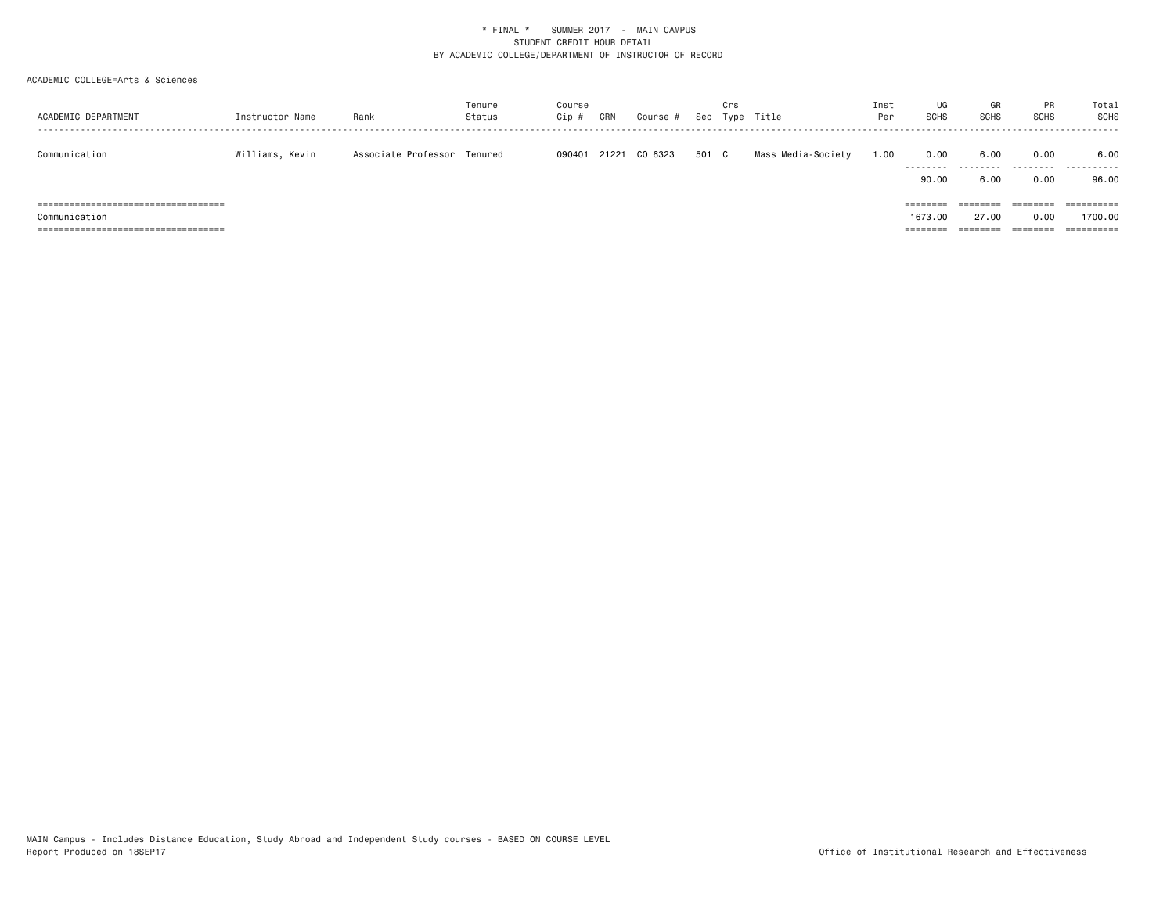| ACADEMIC DEPARTMENT                    | Instructor Name | Rank                        | Tenure<br>Status | Course<br>Cip # | CRN   | Course # | Sec   | Crs | Type Title         | Inst<br>Per | UG<br><b>SCHS</b> | GR<br><b>SCHS</b> | PR<br><b>SCHS</b> | Total<br>SCHS<br>------ |
|----------------------------------------|-----------------|-----------------------------|------------------|-----------------|-------|----------|-------|-----|--------------------|-------------|-------------------|-------------------|-------------------|-------------------------|
| Communication                          | Williams, Kevin | Associate Professor Tenured |                  | 090401          | 21221 | CO 6323  | 501 C |     | Mass Media-Society | 1.00        | 0.00<br>.         | 6.00<br>.         | 0.00<br>.         | 6.00<br>.               |
|                                        |                 |                             |                  |                 |       |          |       |     |                    |             | 90.00             | 6.00              | 0.00              | 96.00                   |
| ====================================== |                 |                             |                  |                 |       |          |       |     |                    |             | ========          | ========          | ========          | $=$ = = = = = = = = =   |
| Communication                          |                 |                             |                  |                 |       |          |       |     |                    |             | 1673.00           | 27,00             | 0.00              | 1700.00                 |
| =============================<br>===== |                 |                             |                  |                 |       |          |       |     |                    |             | =====             |                   | =======           |                         |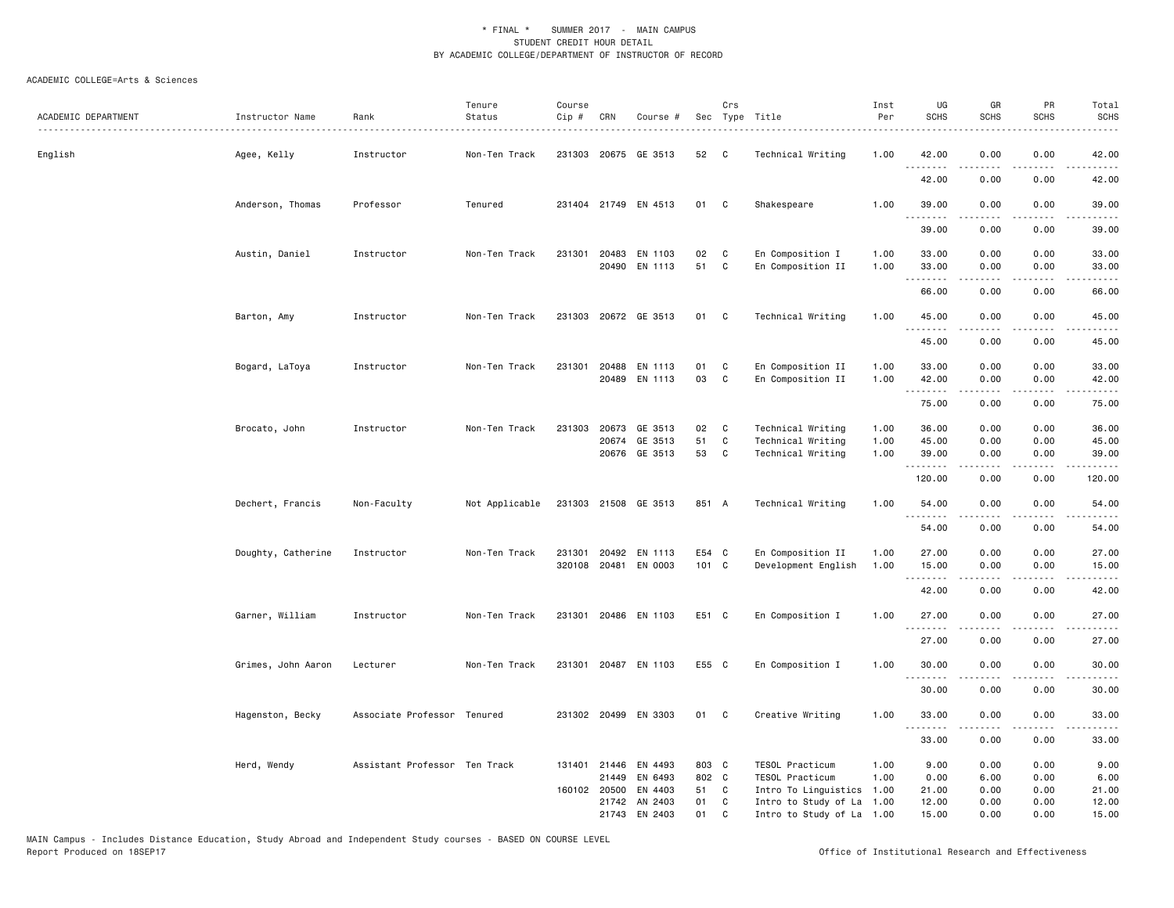| ACADEMIC DEPARTMENT | Instructor Name    | Rank                          | Tenure<br>Status | Course<br>Cip # | CRN                                   | Course #                        |                        | Crs               | Sec Type Title                                             | Inst<br>Per          | UG<br><b>SCHS</b>      | GR<br><b>SCHS</b>    | PR<br><b>SCHS</b>                                                                                                                 | Total<br><b>SCHS</b>                                                                                                               |
|---------------------|--------------------|-------------------------------|------------------|-----------------|---------------------------------------|---------------------------------|------------------------|-------------------|------------------------------------------------------------|----------------------|------------------------|----------------------|-----------------------------------------------------------------------------------------------------------------------------------|------------------------------------------------------------------------------------------------------------------------------------|
| English             | Agee, Kelly        | Instructor                    | Non-Ten Track    |                 |                                       | 231303 20675 GE 3513            | 52                     | C                 | Technical Writing                                          | 1.00                 | 42.00                  | 0.00                 | 0.00                                                                                                                              | 42.00                                                                                                                              |
|                     |                    |                               |                  |                 |                                       |                                 |                        |                   |                                                            |                      | .<br>42.00             | 0.00                 | 0.00                                                                                                                              | 42.00                                                                                                                              |
|                     | Anderson, Thomas   | Professor                     | Tenured          |                 |                                       | 231404 21749 EN 4513            | 01                     | $\mathbf{C}$      | Shakespeare                                                | 1.00                 | 39.00                  | 0.00                 | 0.00                                                                                                                              | 39.00                                                                                                                              |
|                     |                    |                               |                  |                 |                                       |                                 |                        |                   |                                                            |                      | 39.00                  | 0.00                 | 0.00                                                                                                                              | 39.00                                                                                                                              |
|                     | Austin, Daniel     | Instructor                    | Non-Ten Track    |                 | 231301 20483                          | EN 1103<br>20490 EN 1113        | 02<br>51               | C<br>C            | En Composition I<br>En Composition II                      | 1.00<br>1.00         | 33.00<br>33.00         | 0.00<br>0.00         | 0.00<br>0.00                                                                                                                      | 33.00<br>33.00                                                                                                                     |
|                     |                    |                               |                  |                 |                                       |                                 |                        |                   |                                                            |                      | .<br>66.00             | -----<br>0.00        | .<br>0.00                                                                                                                         | .<br>66.00                                                                                                                         |
|                     | Barton, Amy        | Instructor                    | Non-Ten Track    |                 |                                       | 231303 20672 GE 3513            | 01                     | C                 | Technical Writing                                          | 1.00                 | 45.00<br>.             | 0.00<br>.            | 0.00<br>$\sim$ $\sim$ $\sim$ $\sim$                                                                                               | 45.00<br>المتمام                                                                                                                   |
|                     |                    |                               |                  |                 |                                       |                                 |                        |                   |                                                            |                      | 45.00                  | 0.00                 | 0.00                                                                                                                              | 45.00                                                                                                                              |
|                     | Bogard, LaToya     | Instructor                    | Non-Ten Track    | 231301          | 20488<br>20489                        | EN 1113<br>EN 1113              | 01<br>03               | C<br>C            | En Composition II<br>En Composition II                     | 1.00<br>1.00         | 33.00<br>42.00         | 0.00<br>0.00         | 0.00<br>0.00                                                                                                                      | 33.00<br>42.00                                                                                                                     |
|                     |                    |                               |                  |                 |                                       |                                 |                        |                   |                                                            |                      | .<br>75.00             | .<br>0.00            | 0.00                                                                                                                              | .<br>75.00                                                                                                                         |
|                     | Brocato, John      | Instructor                    | Non-Ten Track    | 231303          | 20673                                 | GE 3513<br>20674 GE 3513        | 02<br>51               | C<br>C            | Technical Writing<br>Technical Writing                     | 1.00<br>1.00         | 36.00<br>45.00         | 0.00<br>0.00         | 0.00<br>0.00                                                                                                                      | 36.00<br>45.00                                                                                                                     |
|                     |                    |                               |                  |                 |                                       | 20676 GE 3513                   | 53                     | C                 | Technical Writing                                          | 1.00                 | 39.00<br><u>.</u>      | 0.00                 | 0.00                                                                                                                              | 39.00                                                                                                                              |
|                     | Dechert, Francis   | Non-Faculty                   | Not Applicable   |                 |                                       | 231303 21508 GE 3513            | 851 A                  |                   | Technical Writing                                          | 1.00                 | 120.00<br>54.00        | 0.00<br>0.00         | 0.00<br>0.00                                                                                                                      | 120.00<br>54.00                                                                                                                    |
|                     |                    |                               |                  |                 |                                       |                                 |                        |                   |                                                            |                      | 54.00                  | 0.00                 | 0.00                                                                                                                              | 54.00                                                                                                                              |
|                     | Doughty, Catherine | Instructor                    | Non-Ten Track    |                 | 231301 20492                          | EN 1113<br>320108 20481 EN 0003 | E54 C<br>101 C         |                   | En Composition II<br>Development English                   | 1.00<br>1.00         | 27.00<br>15.00         | 0.00<br>0.00         | 0.00<br>0.00                                                                                                                      | 27.00<br>15.00                                                                                                                     |
|                     |                    |                               |                  |                 |                                       |                                 |                        |                   |                                                            |                      | <u>.</u><br>42.00      | .<br>0.00            | $\frac{1}{2} \left( \frac{1}{2} \right) \left( \frac{1}{2} \right) \left( \frac{1}{2} \right) \left( \frac{1}{2} \right)$<br>0.00 | .<br>42.00                                                                                                                         |
|                     | Garner, William    | Instructor                    | Non-Ten Track    |                 |                                       | 231301 20486 EN 1103            | E51 C                  |                   | En Composition I                                           | 1.00                 | 27.00<br>$\frac{1}{2}$ | 0.00                 | 0.00                                                                                                                              | 27.00                                                                                                                              |
|                     |                    |                               |                  |                 |                                       |                                 |                        |                   |                                                            |                      | 27.00                  | 0.00                 | 0.00                                                                                                                              | 27.00                                                                                                                              |
|                     | Grimes, John Aaron | Lecturer                      | Non-Ten Track    |                 |                                       | 231301 20487 EN 1103            | E55 C                  |                   | En Composition I                                           | 1.00                 | 30.00<br>.             | 0.00<br>.            | 0.00<br>$- - - -$                                                                                                                 | 30.00<br>$\frac{1}{2} \left( \frac{1}{2} \right) \left( \frac{1}{2} \right) \left( \frac{1}{2} \right) \left( \frac{1}{2} \right)$ |
|                     |                    |                               |                  |                 |                                       |                                 |                        |                   |                                                            |                      | 30.00                  | 0.00                 | 0.00                                                                                                                              | 30.00                                                                                                                              |
|                     | Hagenston, Becky   | Associate Professor Tenured   |                  |                 | 231302 20499                          | EN 3303                         | 01                     | C                 | Creative Writing                                           | 1.00                 | 33.00                  | 0.00                 | 0.00                                                                                                                              | 33.00                                                                                                                              |
|                     |                    |                               |                  |                 |                                       |                                 |                        |                   |                                                            |                      | 33.00                  | 0.00                 | 0.00                                                                                                                              | 33.00                                                                                                                              |
|                     | Herd, Wendy        | Assistant Professor Ten Track |                  |                 | 131401 21446<br>21449<br>160102 20500 | EN 4493<br>EN 6493<br>EN 4403   | 803 C<br>802 C<br>51 C |                   | TESOL Practicum<br>TESOL Practicum<br>Intro To Linguistics | 1.00<br>1.00<br>1.00 | 9.00<br>0.00<br>21.00  | 0.00<br>6.00<br>0.00 | 0.00<br>0.00<br>0.00                                                                                                              | 9.00<br>6.00<br>21.00                                                                                                              |
|                     |                    |                               |                  |                 | 21742                                 | AN 2403<br>21743 EN 2403        | 01<br>01               | $\mathbf{C}$<br>C | Intro to Study of La<br>Intro to Study of La               | 1.00<br>1.00         | 12.00<br>15.00         | 0.00<br>0.00         | 0.00<br>0.00                                                                                                                      | 12.00<br>15.00                                                                                                                     |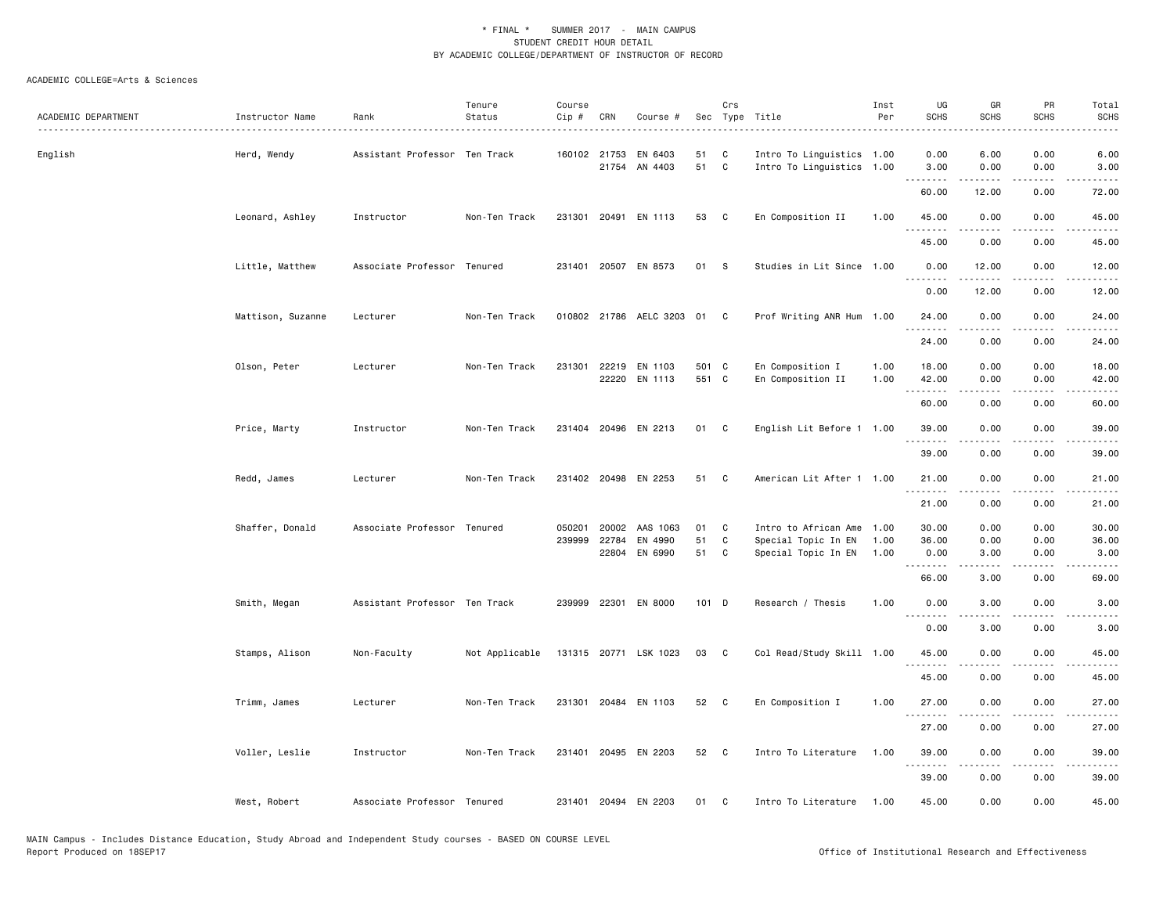| ACADEMIC DEPARTMENT | Instructor Name   | Rank                          | Tenure<br>Status | Course<br>Cip # | CRN          | Course #                       |                | Crs               | Sec Type Title                                         | Inst<br>Per  | UG<br><b>SCHS</b>        | GR<br><b>SCHS</b> | PR<br><b>SCHS</b>     | Total<br><b>SCHS</b> |
|---------------------|-------------------|-------------------------------|------------------|-----------------|--------------|--------------------------------|----------------|-------------------|--------------------------------------------------------|--------------|--------------------------|-------------------|-----------------------|----------------------|
| English             | Herd, Wendy       | Assistant Professor Ten Track |                  |                 | 160102 21753 | EN 6403<br>21754 AN 4403       | 51<br>51       | C<br>$\mathbf{C}$ | Intro To Linguistics 1.00<br>Intro To Linguistics 1.00 |              | 0.00<br>3.00<br><u>.</u> | 6.00<br>0.00      | 0.00<br>0.00<br>.     | 6.00<br>3.00         |
|                     |                   |                               |                  |                 |              |                                |                |                   |                                                        |              | 60.00                    | .<br>12.00        | 0.00                  | .<br>72.00           |
|                     | Leonard, Ashley   | Instructor                    | Non-Ten Track    |                 |              | 231301 20491 EN 1113           | 53             | $\mathbf{C}$      | En Composition II                                      | 1.00         | 45.00<br><u>.</u>        | 0.00<br>.         | 0.00<br>.             | 45.00<br>.           |
|                     |                   |                               |                  |                 |              |                                |                |                   |                                                        |              | 45.00                    | 0.00              | 0.00                  | 45.00                |
|                     | Little, Matthew   | Associate Professor Tenured   |                  |                 |              | 231401 20507 EN 8573           | 01             | $\mathbf{s}$      | Studies in Lit Since 1.00                              |              | 0.00<br><u>.</u>         | 12.00<br>.        | 0.00<br>.             | 12.00<br>.           |
|                     |                   |                               |                  |                 |              |                                |                |                   |                                                        |              | 0.00                     | 12.00             | 0.00                  | 12.00                |
|                     | Mattison, Suzanne | Lecturer                      | Non-Ten Track    |                 |              | 010802 21786 AELC 3203 01 C    |                |                   | Prof Writing ANR Hum 1.00                              |              | 24.00<br><u>.</u>        | 0.00              | 0.00<br>$\frac{1}{2}$ | 24.00<br>.           |
|                     |                   |                               |                  |                 |              |                                |                |                   |                                                        |              | 24.00                    | 0.00              | 0.00                  | 24.00                |
|                     | Olson, Peter      | Lecturer                      | Non-Ten Track    | 231301          |              | 22219 EN 1103<br>22220 EN 1113 | 501 C<br>551 C |                   | En Composition I<br>En Composition II                  | 1.00<br>1.00 | 18.00<br>42.00           | 0.00<br>0.00      | 0.00<br>0.00          | 18.00<br>42.00       |
|                     |                   |                               |                  |                 |              |                                |                |                   |                                                        |              | .<br>60.00               | .<br>0.00         | .<br>0.00             | .<br>60.00           |
|                     | Price, Marty      | Instructor                    | Non-Ten Track    |                 |              | 231404 20496 EN 2213           | 01 C           |                   | English Lit Before 1 1.00                              |              | 39,00                    | 0.00              | 0.00                  | 39.00                |
|                     |                   |                               |                  |                 |              |                                |                |                   |                                                        |              | .<br>39.00               | .<br>0.00         | د د د د<br>0.00       | .<br>39.00           |
|                     | Redd, James       | Lecturer                      | Non-Ten Track    |                 |              | 231402 20498 EN 2253           | 51             | C                 | American Lit After 1 1.00                              |              | 21.00                    | 0.00              | 0.00                  | 21.00                |
|                     |                   |                               |                  |                 |              |                                |                |                   |                                                        |              | 21.00                    | 0.00              | 0.00                  | 21.00                |
|                     | Shaffer, Donald   | Associate Professor Tenured   |                  | 050201          | 20002        | AAS 1063                       | 01             | C                 | Intro to African Ame 1.00                              |              | 30.00                    | 0.00              | 0.00                  | 30.00                |
|                     |                   |                               |                  | 239999          | 22784        | EN 4990                        | 51             | C                 | Special Topic In EN                                    | 1.00         | 36.00                    | 0.00              | 0.00                  | 36.00                |
|                     |                   |                               |                  |                 | 22804        | EN 6990                        | 51             | C                 | Special Topic In EN                                    | 1.00         | 0.00<br><b></b>          | 3.00<br>.         | 0.00<br>.             | 3.00<br>.            |
|                     |                   |                               |                  |                 |              |                                |                |                   |                                                        |              | 66.00                    | 3.00              | 0.00                  | 69.00                |
|                     | Smith, Megan      | Assistant Professor Ten Track |                  |                 |              | 239999 22301 EN 8000           | 101 D          |                   | Research / Thesis                                      | 1.00         | 0.00<br><u>.</u>         | 3.00              | 0.00                  | 3.00                 |
|                     |                   |                               |                  |                 |              |                                |                |                   |                                                        |              | 0.00                     | 3.00              | 0.00                  | 3.00                 |
|                     | Stamps, Alison    | Non-Faculty                   | Not Applicable   |                 |              | 131315 20771 LSK 1023          | 03             | $\mathbf{C}$      | Col Read/Study Skill 1.00                              |              | 45.00                    | 0.00<br>.         | 0.00<br>.             | 45.00<br>د د د د د   |
|                     |                   |                               |                  |                 |              |                                |                |                   |                                                        |              | 45.00                    | 0.00              | 0.00                  | 45.00                |
|                     | Trimm, James      | Lecturer                      | Non-Ten Track    |                 |              | 231301 20484 EN 1103           | 52 C           |                   | En Composition I                                       | 1.00         | 27.00<br><u>.</u>        | 0.00<br>.         | 0.00<br>.             | 27.00<br>.           |
|                     |                   |                               |                  |                 |              |                                |                |                   |                                                        |              | 27.00                    | 0.00              | 0.00                  | 27.00                |
|                     | Voller, Leslie    | Instructor                    | Non-Ten Track    |                 |              | 231401 20495 EN 2203           | 52             | $\mathbf{C}$      | Intro To Literature                                    | 1.00         | 39.00<br>.               | 0.00<br>.         | 0.00<br>.             | 39.00<br>.           |
|                     |                   |                               |                  |                 |              |                                |                |                   |                                                        |              | 39.00                    | 0.00              | 0.00                  | 39.00                |
|                     | West, Robert      | Associate Professor Tenured   |                  |                 |              | 231401 20494 EN 2203           | 01             | C                 | Intro To Literature                                    | 1.00         | 45.00                    | 0.00              | 0.00                  | 45.00                |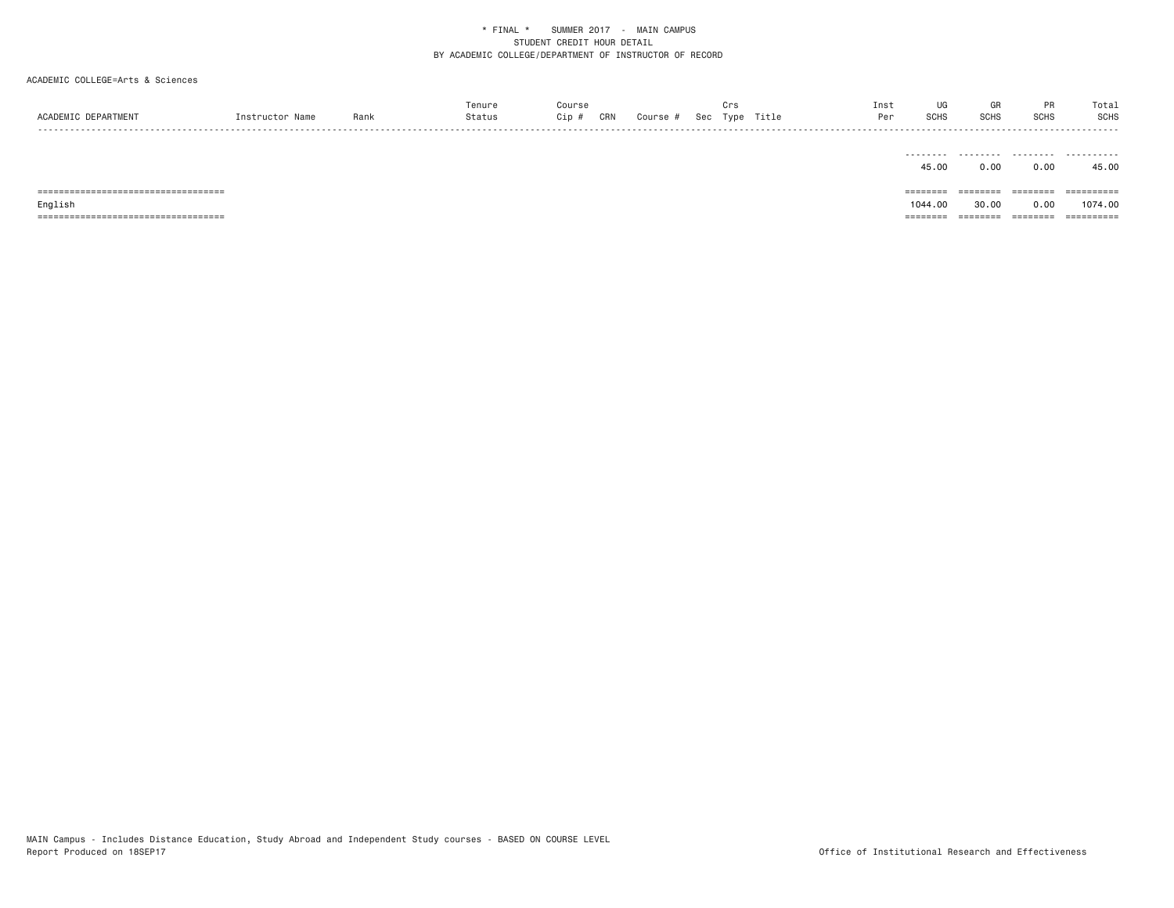| ACADEMIC DEPARTMENT                   | Instructor Name | Rank | Tenure<br>Status | Course<br>Cip #<br>CRN | Course # | Crs | Sec Type Title | Inst<br>Per | UG<br><b>SCHS</b> | GR<br>SCHS | PR<br>SCHS | Total<br>SCHS |
|---------------------------------------|-----------------|------|------------------|------------------------|----------|-----|----------------|-------------|-------------------|------------|------------|---------------|
|                                       |                 |      |                  |                        |          |     |                |             | .<br>45.00        | .<br>0.00  | .<br>0.00  | .<br>45.00    |
| ====================================  |                 |      |                  |                        |          |     |                |             | $=$ = = = = = = = | ========   | ========   |               |
| English                               |                 |      |                  |                        |          |     |                |             | 1044.00           | 30.00      | 0.00       | 1074.00       |
| ===================================== |                 |      |                  |                        |          |     |                |             | ========          | ========   | ========   | ==========    |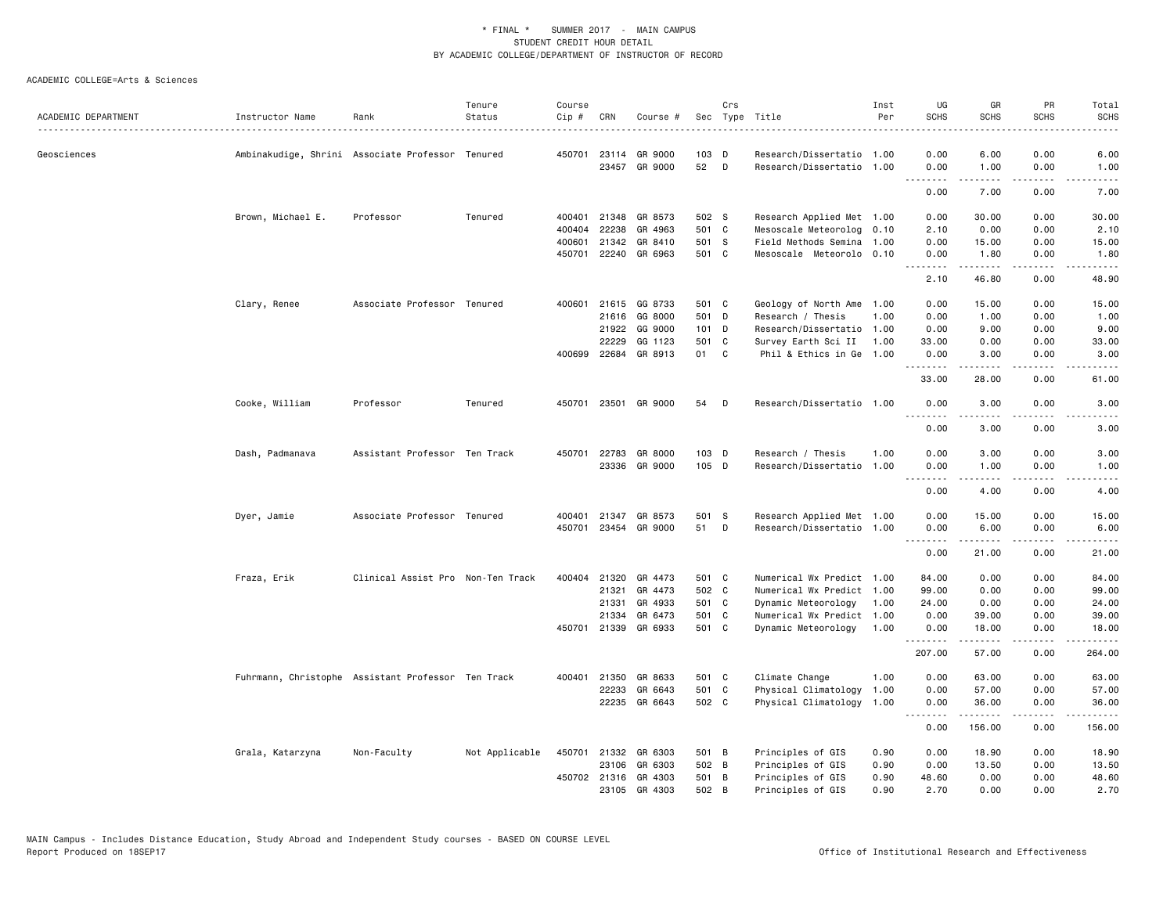|                     |                                                    |                                   | Tenure         | Course |              |                                 |             | Crs          |                                                 | Inst | UG            | GR                   | PR                             | Total                                                                                                                                                        |
|---------------------|----------------------------------------------------|-----------------------------------|----------------|--------|--------------|---------------------------------|-------------|--------------|-------------------------------------------------|------|---------------|----------------------|--------------------------------|--------------------------------------------------------------------------------------------------------------------------------------------------------------|
| ACADEMIC DEPARTMENT | Instructor Name                                    | Rank                              | Status         | Cip #  | CRN          | Course #                        |             |              | Sec Type Title                                  | Per  | <b>SCHS</b>   | <b>SCHS</b>          | <b>SCHS</b>                    | <b>SCHS</b>                                                                                                                                                  |
| Geosciences         | Ambinakudige, Shrini Associate Professor Tenured   |                                   |                |        |              | 450701 23114 GR 9000            | 103 D       |              | Research/Dissertatio 1.00                       |      | 0.00          | 6.00                 | 0.00                           | 6.00                                                                                                                                                         |
|                     |                                                    |                                   |                |        |              | 23457 GR 9000                   | 52          | D            | Research/Dissertatio 1.00                       |      | 0.00<br>.     | 1.00<br>. <b>.</b> . | 0.00<br>.                      | 1.00<br>$\frac{1}{2}$                                                                                                                                        |
|                     |                                                    |                                   |                |        |              |                                 |             |              |                                                 |      | 0.00          | 7.00                 | 0.00                           | 7.00                                                                                                                                                         |
|                     | Brown, Michael E.                                  | Professor                         | Tenured        | 400401 | 21348        | GR 8573                         | 502 S       |              | Research Applied Met 1.00                       |      | 0.00          | 30.00                | 0.00                           | 30.00                                                                                                                                                        |
|                     |                                                    |                                   |                | 400404 | 22238        | GR 4963                         | 501 C       |              | Mesoscale Meteorolog 0.10                       |      | 2.10          | 0.00                 | 0.00                           | 2.10                                                                                                                                                         |
|                     |                                                    |                                   |                | 400601 | 21342        | GR 8410                         | 501 S       |              | Field Methods Semina                            | 1.00 | 0.00          | 15.00                | 0.00                           | 15.00                                                                                                                                                        |
|                     |                                                    |                                   |                | 450701 |              | 22240 GR 6963                   | 501 C       |              | Mesoscale Meteorolo 0.10                        |      | 0.00<br>.     | 1.80<br>.            | 0.00<br>$\omega$ is a $\omega$ | 1.80<br>$\frac{1}{2} \left( \frac{1}{2} \right) \left( \frac{1}{2} \right) \left( \frac{1}{2} \right) \left( \frac{1}{2} \right) \left( \frac{1}{2} \right)$ |
|                     |                                                    |                                   |                |        |              |                                 |             |              |                                                 |      | 2.10          | 46.80                | 0.00                           | 48.90                                                                                                                                                        |
|                     | Clary, Renee                                       | Associate Professor Tenured       |                | 400601 |              | 21615 GG 8733                   | 501 C       |              | Geology of North Ame 1.00                       |      | 0.00          | 15.00                | 0.00                           | 15.00                                                                                                                                                        |
|                     |                                                    |                                   |                |        |              | 21616 GG 8000                   | 501 D       |              | Research / Thesis                               | 1.00 | 0.00          | 1.00                 | 0.00                           | 1.00                                                                                                                                                         |
|                     |                                                    |                                   |                |        | 21922        | GG 9000                         | 101 D       |              | Research/Dissertatio 1.00                       |      | 0.00          | 9.00                 | 0.00                           | 9.00                                                                                                                                                         |
|                     |                                                    |                                   |                |        | 22229        | GG 1123<br>400699 22684 GR 8913 | 501 C<br>01 | $\mathbf{C}$ | Survey Earth Sci II<br>Phil & Ethics in Ge 1.00 | 1.00 | 33.00<br>0.00 | 0.00<br>3.00         | 0.00<br>0.00                   | 33.00<br>3.00                                                                                                                                                |
|                     |                                                    |                                   |                |        |              |                                 |             |              |                                                 |      | .             | <u>.</u>             | .                              | .                                                                                                                                                            |
|                     |                                                    |                                   |                |        |              |                                 |             |              |                                                 |      | 33.00         | 28.00                | 0.00                           | 61.00                                                                                                                                                        |
|                     | Cooke, William                                     | Professor                         | Tenured        | 450701 |              | 23501 GR 9000                   | 54          | D            | Research/Dissertatio 1.00                       |      | 0.00          | 3.00                 | 0.00<br>.                      | 3.00                                                                                                                                                         |
|                     |                                                    |                                   |                |        |              |                                 |             |              |                                                 |      | 0.00          | 3.00                 | 0.00                           | 3.00                                                                                                                                                         |
|                     | Dash, Padmanava                                    | Assistant Professor Ten Track     |                | 450701 | 22783        | GR 8000                         | 103 D       |              | Research / Thesis                               | 1.00 | 0.00          | 3.00                 | 0.00                           | 3.00                                                                                                                                                         |
|                     |                                                    |                                   |                |        |              | 23336 GR 9000                   | 105 D       |              | Research/Dissertatio 1.00                       |      | 0.00<br>.     | 1.00<br>.            | 0.00<br>د د د د                | 1.00<br>$\frac{1}{2} \left( \frac{1}{2} \right) \left( \frac{1}{2} \right) \left( \frac{1}{2} \right) \left( \frac{1}{2} \right) \left( \frac{1}{2} \right)$ |
|                     |                                                    |                                   |                |        |              |                                 |             |              |                                                 |      | 0.00          | 4.00                 | 0.00                           | 4.00                                                                                                                                                         |
|                     | Dyer, Jamie                                        | Associate Professor Tenured       |                | 400401 | 21347        | GR 8573                         | 501 S       |              | Research Applied Met 1.00                       |      | 0.00          | 15.00                | 0.00                           | 15.00                                                                                                                                                        |
|                     |                                                    |                                   |                | 450701 |              | 23454 GR 9000                   | 51          | D            | Research/Dissertatio 1.00                       |      | 0.00<br>.     | 6.00<br>.            | 0.00<br>$- - - -$              | 6.00<br>$- - - - -$                                                                                                                                          |
|                     |                                                    |                                   |                |        |              |                                 |             |              |                                                 |      | 0.00          | 21.00                | 0.00                           | 21.00                                                                                                                                                        |
|                     | Fraza, Erik                                        | Clinical Assist Pro Non-Ten Track |                |        | 400404 21320 | GR 4473                         | 501 C       |              | Numerical Wx Predict 1.00                       |      | 84.00         | 0.00                 | 0.00                           | 84.00                                                                                                                                                        |
|                     |                                                    |                                   |                |        | 21321        | GR 4473                         | 502 C       |              | Numerical Wx Predict 1.00                       |      | 99.00         | 0.00                 | 0.00                           | 99.00                                                                                                                                                        |
|                     |                                                    |                                   |                |        | 21331        | GR 4933                         | 501 C       |              | Dynamic Meteorology                             | 1.00 | 24.00         | 0.00                 | 0.00                           | 24.00                                                                                                                                                        |
|                     |                                                    |                                   |                |        | 21334        | GR 6473                         | 501 C       |              | Numerical Wx Predict                            | 1.00 | 0.00          | 39.00                | 0.00                           | 39.00                                                                                                                                                        |
|                     |                                                    |                                   |                |        |              | 450701 21339 GR 6933            | 501 C       |              | Dynamic Meteorology                             | 1.00 | 0.00<br>.     | 18.00<br>.           | 0.00<br>-----                  | 18.00<br>------                                                                                                                                              |
|                     |                                                    |                                   |                |        |              |                                 |             |              |                                                 |      | 207.00        | 57.00                | 0.00                           | 264.00                                                                                                                                                       |
|                     | Fuhrmann, Christophe Assistant Professor Ten Track |                                   |                | 400401 | 21350        | GR 8633                         | 501 C       |              | Climate Change                                  | 1.00 | 0.00          | 63.00                | 0.00                           | 63.00                                                                                                                                                        |
|                     |                                                    |                                   |                |        | 22233        | GR 6643                         | 501 C       |              | Physical Climatology                            | 1.00 | 0.00          | 57.00                | 0.00                           | 57.00                                                                                                                                                        |
|                     |                                                    |                                   |                |        |              | 22235 GR 6643                   | 502 C       |              | Physical Climatology                            | 1.00 | 0.00          | 36.00<br>.           | 0.00<br>.                      | 36.00<br>.                                                                                                                                                   |
|                     |                                                    |                                   |                |        |              |                                 |             |              |                                                 |      | 0.00          | 156.00               | 0.00                           | 156.00                                                                                                                                                       |
|                     | Grala, Katarzyna                                   | Non-Faculty                       | Not Applicable | 450701 | 21332        | GR 6303                         | 501 B       |              | Principles of GIS                               | 0.90 | 0.00          | 18.90                | 0.00                           | 18.90                                                                                                                                                        |
|                     |                                                    |                                   |                |        | 23106        | GR 6303                         | 502 B       |              | Principles of GIS                               | 0.90 | 0.00          | 13.50                | 0.00                           | 13.50                                                                                                                                                        |
|                     |                                                    |                                   |                |        |              | 450702 21316 GR 4303            | 501 B       |              | Principles of GIS                               | 0.90 | 48.60         | 0.00                 | 0.00                           | 48.60                                                                                                                                                        |
|                     |                                                    |                                   |                |        |              | 23105 GR 4303                   | 502 B       |              | Principles of GIS                               | 0.90 | 2.70          | 0.00                 | 0.00                           | 2.70                                                                                                                                                         |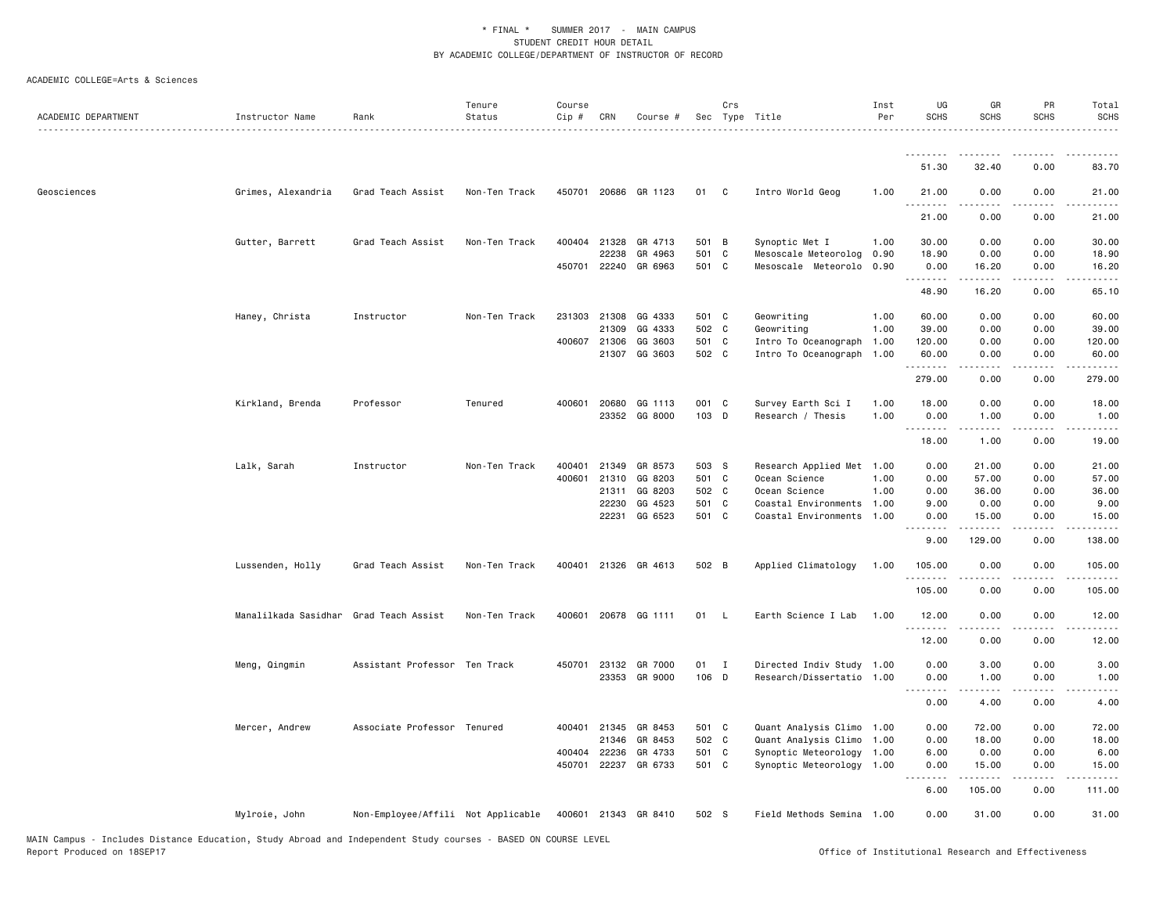| ACADEMIC DEPARTMENT | Instructor Name                        | Rank                               | Tenure<br>Status | Course<br>Cip # | CRN          | Course #                        |                | Crs          | Sec Type Title                              | Inst<br>Per  | UG<br><b>SCHS</b> | GR<br><b>SCHS</b>              | PR<br><b>SCHS</b>            | Total<br><b>SCHS</b>                                                                                                                                          |
|---------------------|----------------------------------------|------------------------------------|------------------|-----------------|--------------|---------------------------------|----------------|--------------|---------------------------------------------|--------------|-------------------|--------------------------------|------------------------------|---------------------------------------------------------------------------------------------------------------------------------------------------------------|
|                     |                                        |                                    |                  |                 |              |                                 |                |              |                                             |              | <u>.</u>          | <u>.</u>                       |                              | .                                                                                                                                                             |
|                     |                                        |                                    |                  |                 |              |                                 |                |              |                                             |              | 51.30             | 32.40                          | 0.00                         | 83.70                                                                                                                                                         |
| Geosciences         | Grimes, Alexandria                     | Grad Teach Assist                  | Non-Ten Track    |                 |              | 450701 20686 GR 1123            | 01             | C            | Intro World Geog                            | 1.00         | 21.00<br>.        | 0.00<br>.                      | 0.00<br>$\frac{1}{2}$        | 21.00<br>.                                                                                                                                                    |
|                     |                                        |                                    |                  |                 |              |                                 |                |              |                                             |              | 21.00             | 0.00                           | 0.00                         | 21.00                                                                                                                                                         |
|                     | Gutter, Barrett                        | Grad Teach Assist                  | Non-Ten Track    | 400404          | 21328        | GR 4713                         | 501 B          |              | Synoptic Met I                              | 1.00         | 30.00             | 0.00                           | 0.00                         | 30.00                                                                                                                                                         |
|                     |                                        |                                    |                  |                 | 22238        | GR 4963<br>450701 22240 GR 6963 | 501 C<br>501 C |              | Mesoscale Meteorolog<br>Mesoscale Meteorolo | 0.90<br>0.90 | 18.90<br>0.00     | 0.00<br>16.20                  | 0.00<br>0.00                 | 18.90<br>16.20                                                                                                                                                |
|                     |                                        |                                    |                  |                 |              |                                 |                |              |                                             |              | . <u>.</u>        | $- - - - -$                    | $\frac{1}{2}$                | .                                                                                                                                                             |
|                     |                                        |                                    |                  |                 |              |                                 |                |              |                                             |              | 48.90             | 16.20                          | 0.00                         | 65.10                                                                                                                                                         |
|                     | Haney, Christa                         | Instructor                         | Non-Ten Track    |                 | 231303 21308 | GG 4333                         | 501 C          |              | Geowriting                                  | 1.00         | 60.00             | 0.00                           | 0.00                         | 60.00                                                                                                                                                         |
|                     |                                        |                                    |                  |                 | 21309        | GG 4333                         | 502 C          |              | Geowriting                                  | 1.00         | 39,00             | 0.00                           | 0.00                         | 39.00                                                                                                                                                         |
|                     |                                        |                                    |                  |                 | 400607 21306 | GG 3603                         | 501 C          |              | Intro To Oceanograph                        | 1.00         | 120.00            | 0.00                           | 0.00                         | 120.00                                                                                                                                                        |
|                     |                                        |                                    |                  |                 |              | 21307 GG 3603                   | 502 C          |              | Intro To Oceanograph                        | 1.00         | 60.00<br>.        | 0.00<br>.                      | 0.00<br>$\sim$ $\sim$ $\sim$ | 60.00<br>$\frac{1}{2} \left( \frac{1}{2} \right) \left( \frac{1}{2} \right) \left( \frac{1}{2} \right) \left( \frac{1}{2} \right) \left( \frac{1}{2} \right)$ |
|                     |                                        |                                    |                  |                 |              |                                 |                |              |                                             |              | 279.00            | 0.00                           | 0.00                         | 279.00                                                                                                                                                        |
|                     | Kirkland, Brenda                       | Professor                          | Tenured          |                 | 400601 20680 | GG 1113                         | 001 C          |              | Survey Earth Sci I                          | 1.00         | 18.00             | 0.00                           | 0.00                         | 18.00                                                                                                                                                         |
|                     |                                        |                                    |                  |                 |              | 23352 GG 8000                   | 103 D          |              | Research / Thesis                           | 1.00         | 0.00              | 1.00                           | 0.00                         | 1.00                                                                                                                                                          |
|                     |                                        |                                    |                  |                 |              |                                 |                |              |                                             |              | 18.00             | .<br>1.00                      | .<br>0.00                    | .<br>19.00                                                                                                                                                    |
|                     | Lalk, Sarah                            | Instructor                         | Non-Ten Track    | 400401          | 21349        | GR 8573                         | 503 S          |              | Research Applied Met 1.00                   |              | 0.00              | 21.00                          | 0.00                         | 21.00                                                                                                                                                         |
|                     |                                        |                                    |                  | 400601          | 21310        | GG 8203                         | 501 C          |              | Ocean Science                               | 1.00         | 0.00              | 57.00                          | 0.00                         | 57.00                                                                                                                                                         |
|                     |                                        |                                    |                  |                 | 21311        | GG 8203                         | 502 C          |              | Ocean Science                               | 1.00         | 0.00              | 36.00                          | 0.00                         | 36.00                                                                                                                                                         |
|                     |                                        |                                    |                  |                 | 22230        | GG 4523                         | 501 C          |              | Coastal Environments 1.00                   |              | 9.00              | 0.00                           | 0.00                         | 9.00                                                                                                                                                          |
|                     |                                        |                                    |                  |                 | 22231        | GG 6523                         | 501 C          |              | Coastal Environments                        | 1.00         | 0.00<br>.         | 15.00<br>.                     | 0.00<br>.                    | 15.00<br>.                                                                                                                                                    |
|                     |                                        |                                    |                  |                 |              |                                 |                |              |                                             |              | 9.00              | 129.00                         | 0.00                         | 138.00                                                                                                                                                        |
|                     | Lussenden, Holly                       | Grad Teach Assist                  | Non-Ten Track    |                 |              | 400401 21326 GR 4613            | 502 B          |              | Applied Climatology                         | 1.00         | 105.00<br>.       | 0.00<br>.                      | 0.00                         | 105.00<br>.                                                                                                                                                   |
|                     |                                        |                                    |                  |                 |              |                                 |                |              |                                             |              | 105.00            | 0.00                           | 0.00                         | 105.00                                                                                                                                                        |
|                     | Manalilkada Sasidhar Grad Teach Assist |                                    | Non-Ten Track    |                 |              | 400601 20678 GG 1111            | 01             | $\mathsf{L}$ | Earth Science I Lab                         | 1.00         | 12.00<br>.        | 0.00<br><b><i><u>.</u></i></b> | 0.00<br>$\sim$ $\sim$ $\sim$ | 12.00<br>.                                                                                                                                                    |
|                     |                                        |                                    |                  |                 |              |                                 |                |              |                                             |              | 12.00             | 0.00                           | 0.00                         | 12.00                                                                                                                                                         |
|                     | Meng, Qingmin                          | Assistant Professor Ten Track      |                  |                 |              | 450701 23132 GR 7000            | 01             | $\mathbf{I}$ | Directed Indiv Study 1.00                   |              | 0.00              | 3.00                           | 0.00                         | 3.00                                                                                                                                                          |
|                     |                                        |                                    |                  |                 |              | 23353 GR 9000                   | 106 D          |              | Research/Dissertatio 1.00                   |              | 0.00              | 1.00                           | 0.00                         | 1.00                                                                                                                                                          |
|                     |                                        |                                    |                  |                 |              |                                 |                |              |                                             |              | <u>.</u>          |                                |                              | $\frac{1}{2}$                                                                                                                                                 |
|                     |                                        |                                    |                  |                 |              |                                 |                |              |                                             |              | 0.00              | 4.00                           | 0.00                         | 4.00                                                                                                                                                          |
|                     | Mercer, Andrew                         | Associate Professor Tenured        |                  |                 | 400401 21345 | GR 8453                         | 501 C          |              | Quant Analysis Climo 1.00                   |              | 0.00              | 72.00                          | 0.00                         | 72.00                                                                                                                                                         |
|                     |                                        |                                    |                  |                 | 21346        | GR 8453                         | 502 C          |              | Quant Analysis Climo                        | 1.00         | 0.00              | 18.00                          | 0.00                         | 18.00                                                                                                                                                         |
|                     |                                        |                                    |                  |                 | 400404 22236 | GR 4733                         | 501 C          |              | Synoptic Meteorology 1.00                   |              | 6.00              | 0.00                           | 0.00                         | 6.00                                                                                                                                                          |
|                     |                                        |                                    |                  | 450701          | 22237        | GR 6733                         | 501 C          |              | Synoptic Meteorology                        | 1.00         | 0.00              | 15.00                          | 0.00                         | 15.00                                                                                                                                                         |
|                     |                                        |                                    |                  |                 |              |                                 |                |              |                                             |              | 6.00              | 105.00                         | 0.00                         | 111.00                                                                                                                                                        |
|                     | Mylroie, John                          | Non-Employee/Affili Not Applicable |                  |                 |              | 400601 21343 GR 8410            | 502 S          |              | Field Methods Semina 1.00                   |              | 0.00              | 31.00                          | 0.00                         | 31.00                                                                                                                                                         |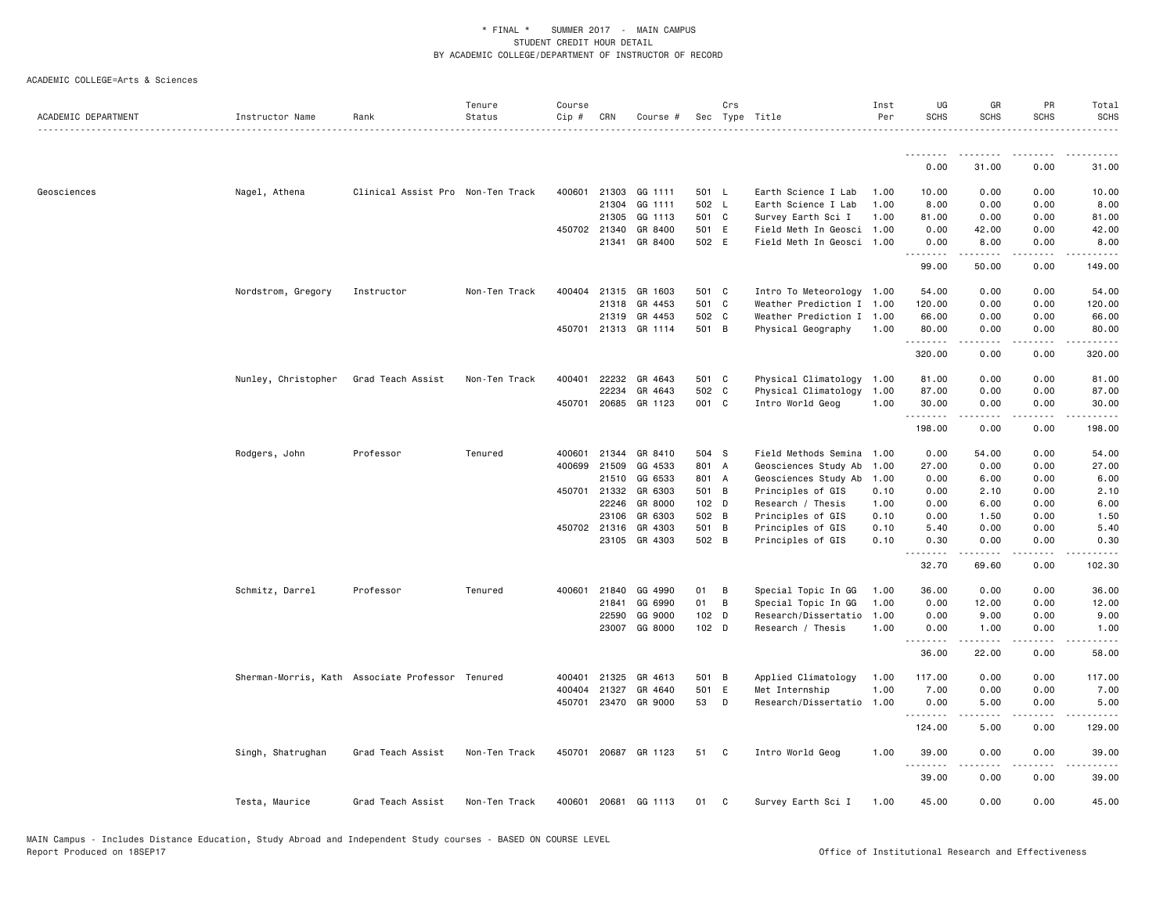|                     |                     |                                                  | Tenure        | Course |              |                      |       | Crs            |                           | Inst | UG               | GR                                                                                                                                                           | PR                           | Total                                |
|---------------------|---------------------|--------------------------------------------------|---------------|--------|--------------|----------------------|-------|----------------|---------------------------|------|------------------|--------------------------------------------------------------------------------------------------------------------------------------------------------------|------------------------------|--------------------------------------|
| ACADEMIC DEPARTMENT | Instructor Name     | Rank                                             | Status        | Cip #  | CRN          | Course #             |       |                | Sec Type Title            | Per  | <b>SCHS</b>      | <b>SCHS</b>                                                                                                                                                  | <b>SCHS</b>                  | <b>SCHS</b><br><u>.</u>              |
|                     |                     |                                                  |               |        |              |                      |       |                |                           |      | <u>.</u>         |                                                                                                                                                              |                              |                                      |
|                     |                     |                                                  |               |        |              |                      |       |                |                           |      | 0.00             | 31.00                                                                                                                                                        | 0.00                         | 31.00                                |
| Geosciences         | Nagel, Athena       | Clinical Assist Pro Non-Ten Track                |               |        |              | 400601 21303 GG 1111 | 501 L |                | Earth Science I Lab       | 1.00 | 10.00            | 0.00                                                                                                                                                         | 0.00                         | 10.00                                |
|                     |                     |                                                  |               |        | 21304        | GG 1111              | 502 L |                | Earth Science I Lab       | 1.00 | 8.00             | 0.00                                                                                                                                                         | 0.00                         | 8.00                                 |
|                     |                     |                                                  |               |        | 21305        | GG 1113              | 501 C |                | Survey Earth Sci I        | 1.00 | 81.00            | 0.00                                                                                                                                                         | 0.00                         | 81.00                                |
|                     |                     |                                                  |               |        | 450702 21340 | GR 8400              | 501 E |                | Field Meth In Geosci 1.00 |      | 0.00             | 42.00                                                                                                                                                        | 0.00                         | 42.00                                |
|                     |                     |                                                  |               |        |              | 21341 GR 8400        | 502 E |                | Field Meth In Geosci 1.00 |      | 0.00<br><u>.</u> | 8.00<br>.                                                                                                                                                    | 0.00<br>.                    | 8.00<br>.                            |
|                     |                     |                                                  |               |        |              |                      |       |                |                           |      | 99.00            | 50.00                                                                                                                                                        | 0.00                         | 149.00                               |
|                     | Nordstrom, Gregory  | Instructor                                       | Non-Ten Track | 400404 |              | 21315 GR 1603        | 501 C |                | Intro To Meteorology 1.00 |      | 54.00            | 0.00                                                                                                                                                         | 0.00                         | 54.00                                |
|                     |                     |                                                  |               |        | 21318        | GR 4453              | 501 C |                | Weather Prediction I 1.00 |      | 120.00           | 0.00                                                                                                                                                         | 0.00                         | 120.00                               |
|                     |                     |                                                  |               |        |              | 21319 GR 4453        | 502 C |                | Weather Prediction I 1.00 |      | 66.00            | 0.00                                                                                                                                                         | 0.00                         | 66.00                                |
|                     |                     |                                                  |               |        |              | 450701 21313 GR 1114 | 501 B |                | Physical Geography        | 1.00 | 80.00<br>.       | 0.00<br>.                                                                                                                                                    | 0.00<br>$\sim$ $\sim$ $\sim$ | 80.00<br>$\sim$ $\sim$ $\sim$ $\sim$ |
|                     |                     |                                                  |               |        |              |                      |       |                |                           |      | 320.00           | 0.00                                                                                                                                                         | 0.00                         | 320.00                               |
|                     | Nunley, Christopher | Grad Teach Assist                                | Non-Ten Track |        |              | 400401 22232 GR 4643 | 501 C |                | Physical Climatology 1.00 |      | 81.00            | 0.00                                                                                                                                                         | 0.00                         | 81.00                                |
|                     |                     |                                                  |               |        | 22234        | GR 4643              | 502 C |                | Physical Climatology      | 1.00 | 87.00            | 0.00                                                                                                                                                         | 0.00                         | 87.00                                |
|                     |                     |                                                  |               | 450701 |              | 20685 GR 1123        | 001 C |                | Intro World Geog          | 1.00 | 30.00            | 0.00                                                                                                                                                         | 0.00                         | 30.00                                |
|                     |                     |                                                  |               |        |              |                      |       |                |                           |      | .<br>198.00      | .<br>0.00                                                                                                                                                    | .<br>0.00                    | .<br>198.00                          |
|                     | Rodgers, John       | Professor                                        | Tenured       |        |              | 400601 21344 GR 8410 | 504 S |                | Field Methods Semina 1.00 |      | 0.00             | 54.00                                                                                                                                                        | 0.00                         | 54.00                                |
|                     |                     |                                                  |               | 400699 | 21509        | GG 4533              | 801 A |                | Geosciences Study Ab      | 1.00 | 27.00            | 0.00                                                                                                                                                         | 0.00                         | 27.00                                |
|                     |                     |                                                  |               |        | 21510        | GG 6533              | 801 A |                | Geosciences Study Ab      | 1.00 | 0.00             | 6.00                                                                                                                                                         | 0.00                         | 6.00                                 |
|                     |                     |                                                  |               |        | 450701 21332 | GR 6303              | 501 B |                | Principles of GIS         | 0.10 | 0.00             | 2.10                                                                                                                                                         | 0.00                         | 2.10                                 |
|                     |                     |                                                  |               |        | 22246        | GR 8000              | 102 D |                | Research / Thesis         | 1.00 | 0.00             | 6.00                                                                                                                                                         | 0.00                         | 6.00                                 |
|                     |                     |                                                  |               |        | 23106        | GR 6303              | 502 B |                | Principles of GIS         | 0.10 | 0.00             | 1.50                                                                                                                                                         | 0.00                         | 1.50                                 |
|                     |                     |                                                  |               |        | 450702 21316 | GR 4303              | 501 B |                | Principles of GIS         | 0.10 | 5.40             | 0.00                                                                                                                                                         | 0.00                         | 5.40                                 |
|                     |                     |                                                  |               |        |              | 23105 GR 4303        | 502 B |                | Principles of GIS         | 0.10 | 0.30<br>.        | 0.00<br>$- - - - -$                                                                                                                                          | 0.00<br>.                    | 0.30<br>.                            |
|                     |                     |                                                  |               |        |              |                      |       |                |                           |      | 32.70            | 69.60                                                                                                                                                        | 0.00                         | 102.30                               |
|                     | Schmitz, Darrel     | Professor                                        | Tenured       | 400601 | 21840        | GG 4990              | 01    | В              | Special Topic In GG       | 1.00 | 36.00            | 0.00                                                                                                                                                         | 0.00                         | 36.00                                |
|                     |                     |                                                  |               |        | 21841        | GG 6990              | 01    | $\overline{B}$ | Special Topic In GG       | 1.00 | 0.00             | 12.00                                                                                                                                                        | 0.00                         | 12.00                                |
|                     |                     |                                                  |               |        | 22590        | GG 9000              | 102 D |                | Research/Dissertatio      | 1.00 | 0.00             | 9.00                                                                                                                                                         | 0.00                         | 9.00                                 |
|                     |                     |                                                  |               |        | 23007        | GG 8000              | 102 D |                | Research / Thesis         | 1.00 | 0.00             | 1.00<br>$\frac{1}{2} \left( \frac{1}{2} \right) \left( \frac{1}{2} \right) \left( \frac{1}{2} \right) \left( \frac{1}{2} \right) \left( \frac{1}{2} \right)$ | 0.00<br>د د د د              | 1.00<br>.                            |
|                     |                     |                                                  |               |        |              |                      |       |                |                           |      | 36.00            | 22.00                                                                                                                                                        | 0.00                         | 58.00                                |
|                     |                     | Sherman-Morris, Kath Associate Professor Tenured |               | 400401 | 21325        | GR 4613              | 501 B |                | Applied Climatology       | 1.00 | 117.00           | 0.00                                                                                                                                                         | 0.00                         | 117.00                               |
|                     |                     |                                                  |               | 400404 | 21327        | GR 4640              | 501 E |                | Met Internship            | 1.00 | 7.00             | 0.00                                                                                                                                                         | 0.00                         | 7.00                                 |
|                     |                     |                                                  |               | 450701 |              | 23470 GR 9000        | 53    | D              | Research/Dissertatio 1.00 |      | 0.00<br>.        | 5.00<br>.                                                                                                                                                    | 0.00<br>.                    | 5.00<br>$- - - - - -$                |
|                     |                     |                                                  |               |        |              |                      |       |                |                           |      | 124.00           | 5.00                                                                                                                                                         | 0.00                         | 129.00                               |
|                     | Singh, Shatrughan   | Grad Teach Assist                                | Non-Ten Track | 450701 |              | 20687 GR 1123        | 51    | C              | Intro World Geog          | 1.00 | 39.00<br>.       | 0.00<br>.                                                                                                                                                    | 0.00<br>.                    | 39.00<br>.                           |
|                     |                     |                                                  |               |        |              |                      |       |                |                           |      | 39.00            | 0.00                                                                                                                                                         | 0.00                         | 39.00                                |
|                     | Testa, Maurice      | Grad Teach Assist                                | Non-Ten Track |        |              | 400601 20681 GG 1113 | 01    | C              | Survey Earth Sci I        | 1.00 | 45.00            | 0.00                                                                                                                                                         | 0.00                         | 45.00                                |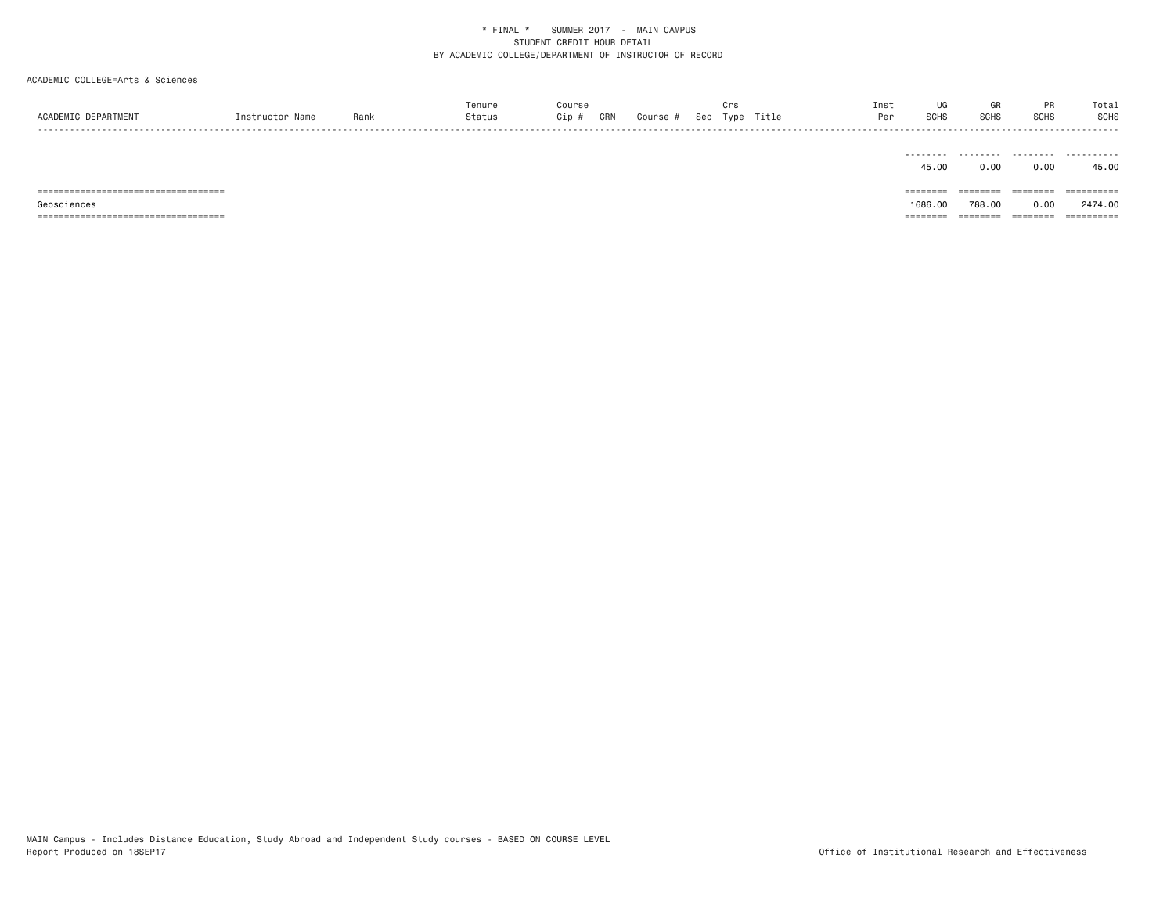| ACADEMIC DEPARTMENT                   | Instructor Name | Rank | Tenure<br>Status | Course<br>CRN<br>Cip # | Course # | Crs<br>Sec Type Title | Inst<br>Per | UG<br>SCHS   | GR<br>SCHS        | PR<br>SCHS | Total<br><b>SCHS</b>  |
|---------------------------------------|-----------------|------|------------------|------------------------|----------|-----------------------|-------------|--------------|-------------------|------------|-----------------------|
|                                       |                 |      |                  |                        |          |                       |             | .<br>45.00   | .<br>0.00         | .<br>0.00  | .<br>45.00            |
| ===================================== |                 |      |                  |                        |          |                       |             |              | $=$ = = = = = = = | ========   | $=$ = = = = = = = = = |
| Geosciences                           |                 |      |                  |                        |          |                       |             | 1686,00      | 788.00            | 0.00       | 2474.00               |
| ===================================== |                 |      |                  |                        |          |                       |             | $= 22222222$ | ========          | ========   | ==========            |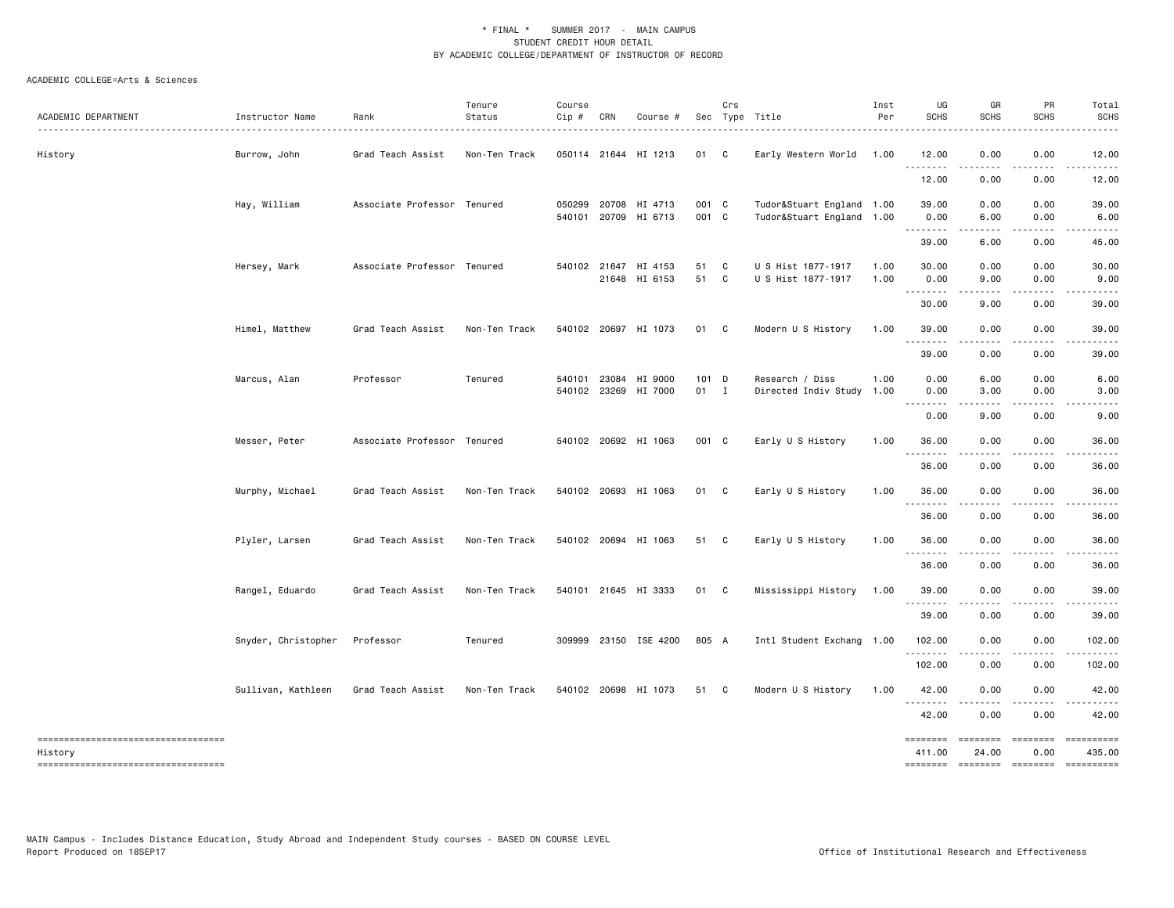| ACADEMIC DEPARTMENT                            | Instructor Name     | Rank                        | Tenure<br>Status | Course<br>Cip # | CRN          | Course #                                     |                | Crs | Sec Type Title                                         | Inst<br>Per  | UG<br><b>SCHS</b>  | GR<br>SCHS        | PR<br><b>SCHS</b>               | Total<br><b>SCHS</b> |
|------------------------------------------------|---------------------|-----------------------------|------------------|-----------------|--------------|----------------------------------------------|----------------|-----|--------------------------------------------------------|--------------|--------------------|-------------------|---------------------------------|----------------------|
| History                                        | Burrow, John        | Grad Teach Assist           | Non-Ten Track    |                 |              | 050114 21644 HI 1213                         | 01 C           |     | Early Western World                                    | 1.00         | 12.00<br><u>.</u>  | 0.00<br><u>.</u>  | 0.00<br>.                       | 12.00                |
|                                                |                     |                             |                  |                 |              |                                              |                |     |                                                        |              | 12.00              | 0.00              | 0.00                            | 12.00                |
|                                                | Hay, William        | Associate Professor Tenured |                  |                 |              | 050299 20708 HI 4713<br>540101 20709 HI 6713 | 001 C<br>001 C |     | Tudor&Stuart England 1.00<br>Tudor&Stuart England 1.00 |              | 39.00<br>0.00      | 0.00<br>6.00      | 0.00<br>0.00                    | 39.00<br>6.00        |
|                                                |                     |                             |                  |                 |              |                                              |                |     |                                                        |              | <u>.</u><br>39.00  | .<br>6.00         | .<br>0.00                       | 45.00                |
|                                                | Hersey, Mark        | Associate Professor Tenured |                  |                 | 540102 21647 | HI 4153<br>21648 HI 6153                     | 51<br>51 C     | C   | U S Hist 1877-1917<br>U S Hist 1877-1917               | 1.00<br>1.00 | 30.00<br>0.00      | 0.00<br>9.00      | 0.00<br>0.00                    | 30.00<br>9.00        |
|                                                |                     |                             |                  |                 |              |                                              |                |     |                                                        |              | .<br>30.00         | 9.00              | 0.00                            | 39.00                |
|                                                | Himel, Matthew      | Grad Teach Assist           | Non-Ten Track    |                 |              | 540102 20697 HI 1073                         | 01 C           |     | Modern U S History                                     | 1.00         | 39.00<br>.         | 0.00              | 0.00                            | 39.00                |
|                                                |                     |                             |                  |                 |              |                                              |                |     |                                                        |              | 39.00              | 0.00              | 0.00                            | 39.00                |
|                                                | Marcus, Alan        | Professor                   | Tenured          |                 |              | 540101 23084 HI 9000<br>540102 23269 HI 7000 | 101 D<br>01 I  |     | Research / Diss<br>Directed Indiv Study 1.00           | 1.00         | 0.00<br>0.00<br>.  | 6.00<br>3.00<br>. | 0.00<br>0.00<br>المنابذ المنابذ | 6.00<br>3.00<br>.    |
|                                                |                     |                             |                  |                 |              |                                              |                |     |                                                        |              | 0.00               | 9.00              | 0.00                            | 9.00                 |
|                                                | Messer, Peter       | Associate Professor Tenured |                  |                 |              | 540102 20692 HI 1063                         | 001 C          |     | Early U S History                                      | 1.00         | 36.00<br><u>.</u>  | 0.00              | 0.00                            | 36.00                |
|                                                |                     |                             |                  |                 |              |                                              |                |     |                                                        |              | 36.00              | 0.00              | 0.00                            | 36.00                |
|                                                | Murphy, Michael     | Grad Teach Assist           | Non-Ten Track    |                 |              | 540102 20693 HI 1063                         | 01 C           |     | Early U S History                                      | 1.00         | 36.00<br>.         | 0.00              | 0.00                            | 36.00                |
|                                                |                     |                             |                  |                 |              |                                              |                |     |                                                        |              | 36.00              | 0.00              | 0.00                            | 36.00                |
|                                                | Plyler, Larsen      | Grad Teach Assist           | Non-Ten Track    |                 |              | 540102 20694 HI 1063                         | 51 C           |     | Early U S History                                      | 1.00         | 36.00<br>.         | 0.00              | 0.00                            | 36.00                |
|                                                |                     |                             |                  |                 |              |                                              |                |     |                                                        |              | 36.00              | 0.00              | 0.00                            | 36.00                |
|                                                | Rangel, Eduardo     | Grad Teach Assist           | Non-Ten Track    |                 |              | 540101 21645 HI 3333                         | 01 C           |     | Mississippi History                                    | 1.00         | 39.00              | 0.00              | 0.00                            | 39.00                |
|                                                |                     |                             |                  |                 |              |                                              |                |     |                                                        |              | 39.00              | 0.00              | 0.00                            | 39.00                |
|                                                | Snyder, Christopher | Professor                   | Tenured          |                 |              | 309999 23150 ISE 4200                        | 805 A          |     | Intl Student Exchang 1.00                              |              | 102.00<br>.        | 0.00              | 0.00<br>.                       | 102.00<br>.          |
|                                                |                     |                             |                  |                 |              |                                              |                |     |                                                        |              | 102.00             | 0.00              | 0.00                            | 102.00               |
|                                                | Sullivan, Kathleen  | Grad Teach Assist           | Non-Ten Track    |                 |              | 540102 20698 HI 1073                         | 51 C           |     | Modern U S History                                     | 1.00         | 42.00              | 0.00              | 0.00                            | 42.00                |
|                                                |                     |                             |                  |                 |              |                                              |                |     |                                                        |              | 42.00              | 0.00              | 0.00                            | 42.00                |
| -----------------------------------<br>History |                     |                             |                  |                 |              |                                              |                |     |                                                        |              | ========<br>411.00 | ========<br>24.00 | ======== =========<br>0.00      | 435.00               |
| ----------------------------------             |                     |                             |                  |                 |              |                                              |                |     |                                                        |              | ========           | -------- -------  |                                 |                      |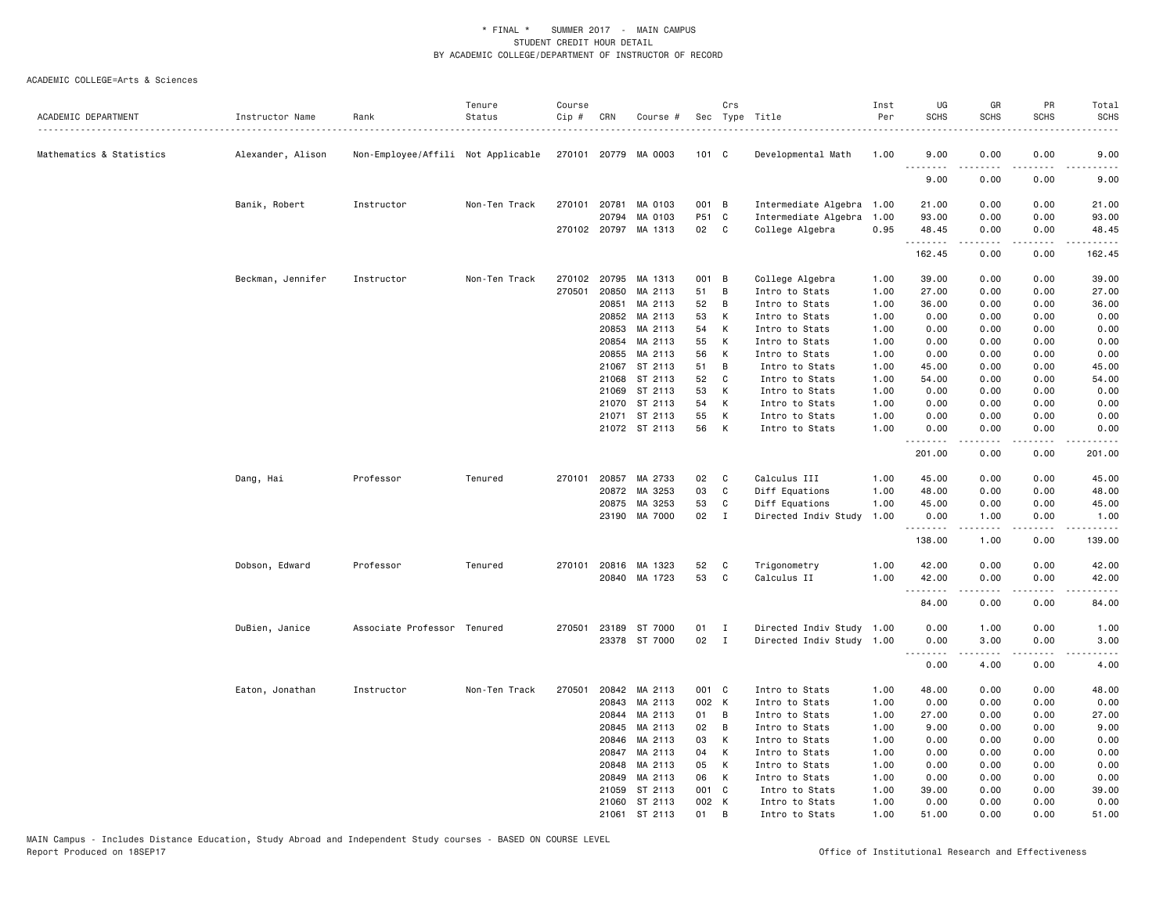| ACADEMIC DEPARTMENT      | Instructor Name   | Rank                               | Tenure<br>Status | Course<br>Cip # | CRN   | Course #             |               | Crs            | Sec Type Title            | Inst<br>Per | UG<br><b>SCHS</b>       | GR<br><b>SCHS</b> | PR<br><b>SCHS</b>                   | Total<br><b>SCHS</b>                                                                                                              |
|--------------------------|-------------------|------------------------------------|------------------|-----------------|-------|----------------------|---------------|----------------|---------------------------|-------------|-------------------------|-------------------|-------------------------------------|-----------------------------------------------------------------------------------------------------------------------------------|
|                          |                   |                                    |                  |                 |       |                      |               |                |                           |             |                         |                   |                                     |                                                                                                                                   |
| Mathematics & Statistics | Alexander, Alison | Non-Employee/Affili Not Applicable |                  |                 |       | 270101 20779 MA 0003 | 101 C         |                | Developmental Math        | 1.00        | 9.00<br>.               | 0.00              | 0.00                                | 9.00<br>----                                                                                                                      |
|                          |                   |                                    |                  |                 |       |                      |               |                |                           |             | 9.00                    | 0.00              | 0.00                                | 9.00                                                                                                                              |
|                          | Banik, Robert     | Instructor                         | Non-Ten Track    | 270101          | 20781 | MA 0103              | 001 B         |                | Intermediate Algebra 1.00 |             | 21.00                   | 0.00              | 0.00                                | 21.00                                                                                                                             |
|                          |                   |                                    |                  |                 | 20794 | MA 0103              | P51 C         |                | Intermediate Algebra      | 1.00        | 93.00                   | 0.00              | 0.00                                | 93.00                                                                                                                             |
|                          |                   |                                    |                  |                 |       | 270102 20797 MA 1313 | 02            | C              | College Algebra           | 0.95        | 48.45<br>.              | 0.00<br>.         | 0.00<br>$\cdots$                    | 48.45<br>.                                                                                                                        |
|                          |                   |                                    |                  |                 |       |                      |               |                |                           |             | 162.45                  | 0.00              | 0.00                                | 162.45                                                                                                                            |
|                          | Beckman, Jennifer | Instructor                         | Non-Ten Track    | 270102          | 20795 | MA 1313              | 001           | $\overline{B}$ | College Algebra           | 1.00        | 39.00                   | 0.00              | 0.00                                | 39.00                                                                                                                             |
|                          |                   |                                    |                  | 270501          | 20850 | MA 2113              | 51            | В              | Intro to Stats            | 1.00        | 27.00                   | 0.00              | 0.00                                | 27.00                                                                                                                             |
|                          |                   |                                    |                  |                 | 20851 | MA 2113              | 52            | B              | Intro to Stats            | 1.00        | 36.00                   | 0.00              | 0.00                                | 36.00                                                                                                                             |
|                          |                   |                                    |                  |                 | 20852 | MA 2113              | 53            | К              | Intro to Stats            | 1.00        | 0.00                    | 0.00              | 0.00                                | 0.00                                                                                                                              |
|                          |                   |                                    |                  |                 | 20853 | MA 2113              | 54            | К              | Intro to Stats            | 1.00        | 0.00                    | 0.00              | 0.00                                | 0.00                                                                                                                              |
|                          |                   |                                    |                  |                 | 20854 | MA 2113              | 55            | К              | Intro to Stats            | 1.00        | 0.00                    | 0.00              | 0.00                                | 0.00                                                                                                                              |
|                          |                   |                                    |                  |                 | 20855 | MA 2113              | 56            | K              | Intro to Stats            | 1.00        | 0.00                    | 0.00              | 0.00                                | 0.00                                                                                                                              |
|                          |                   |                                    |                  |                 | 21067 | ST 2113              | 51            | B              | Intro to Stats            | 1.00        | 45.00                   | 0.00              | 0.00                                | 45.00                                                                                                                             |
|                          |                   |                                    |                  |                 | 21068 | ST 2113              | 52            | C              | Intro to Stats            | 1.00        | 54.00                   | 0.00              | 0.00                                | 54.00                                                                                                                             |
|                          |                   |                                    |                  |                 |       | 21069 ST 2113        | 53            | K              | Intro to Stats            | 1.00        | 0.00                    | 0.00              | 0.00                                | 0.00                                                                                                                              |
|                          |                   |                                    |                  |                 | 21070 | ST 2113              | 54            | К              | Intro to Stats            | 1.00        | 0.00                    | 0.00              | 0.00                                | 0.00                                                                                                                              |
|                          |                   |                                    |                  |                 |       | 21071 ST 2113        | 55            | К              | Intro to Stats            | 1.00        | 0.00                    | 0.00              | 0.00                                | 0.00                                                                                                                              |
|                          |                   |                                    |                  |                 |       | 21072 ST 2113        | 56            | К              | Intro to Stats            | 1.00        | 0.00                    | 0.00              | 0.00<br>$\sim$ $\sim$ $\sim$ $\sim$ | 0.00<br>$\frac{1}{2} \left( \frac{1}{2} \right) \left( \frac{1}{2} \right) \left( \frac{1}{2} \right) \left( \frac{1}{2} \right)$ |
|                          |                   |                                    |                  |                 |       |                      |               |                |                           |             | 201.00                  | 0.00              | 0.00                                | 201.00                                                                                                                            |
|                          | Dang, Hai         | Professor                          | Tenured          | 270101          |       | 20857 MA 2733        | 02            | C              | Calculus III              | 1.00        | 45.00                   | 0.00              | 0.00                                | 45.00                                                                                                                             |
|                          |                   |                                    |                  |                 | 20872 | MA 3253              | 03            | C              | Diff Equations            | 1.00        | 48.00                   | 0.00              | 0.00                                | 48.00                                                                                                                             |
|                          |                   |                                    |                  |                 | 20875 | MA 3253              | 53            | C              | Diff Equations            | 1.00        | 45.00                   | 0.00              | 0.00                                | 45.00                                                                                                                             |
|                          |                   |                                    |                  |                 |       | 23190 MA 7000        | $02 \qquad I$ |                | Directed Indiv Study      | 1.00        | 0.00<br>--------        | 1.00<br>-----     | 0.00<br>.                           | 1.00<br>.                                                                                                                         |
|                          |                   |                                    |                  |                 |       |                      |               |                |                           |             | 138.00                  | 1.00              | 0.00                                | 139.00                                                                                                                            |
|                          | Dobson, Edward    | Professor                          | Tenured          | 270101          |       | 20816 MA 1323        | 52            | C              | Trigonometry              | 1.00        | 42.00                   | 0.00              | 0.00                                | 42.00                                                                                                                             |
|                          |                   |                                    |                  |                 |       | 20840 MA 1723        | 53            | C              | Calculus II               | 1.00        | 42.00                   | 0.00              | 0.00                                | 42.00                                                                                                                             |
|                          |                   |                                    |                  |                 |       |                      |               |                |                           |             |                         |                   |                                     |                                                                                                                                   |
|                          |                   |                                    |                  |                 |       |                      |               |                |                           |             | 84.00                   | 0.00              | 0.00                                | 84.00                                                                                                                             |
|                          | DuBien, Janice    | Associate Professor Tenured        |                  | 270501          |       | 23189 ST 7000        | 01            | $\mathbf{I}$   | Directed Indiv Study 1.00 |             | 0.00                    | 1.00              | 0.00                                | 1.00                                                                                                                              |
|                          |                   |                                    |                  |                 |       | 23378 ST 7000        | 02            | $\mathbf{I}$   | Directed Indiv Study 1.00 |             | 0.00<br>$\sim$ $\sim$ . | 3.00              | 0.00                                | 3.00                                                                                                                              |
|                          |                   |                                    |                  |                 |       |                      |               |                |                           |             | 0.00                    | 4.00              | 0.00                                | 4.00                                                                                                                              |
|                          | Eaton, Jonathan   | Instructor                         | Non-Ten Track    | 270501          |       | 20842 MA 2113        | 001 C         |                | Intro to Stats            | 1.00        | 48.00                   | 0.00              | 0.00                                | 48.00                                                                                                                             |
|                          |                   |                                    |                  |                 | 20843 | MA 2113              | 002 K         |                | Intro to Stats            | 1.00        | 0.00                    | 0.00              | 0.00                                | 0.00                                                                                                                              |
|                          |                   |                                    |                  |                 | 20844 | MA 2113              | 01            | В              | Intro to Stats            | 1.00        | 27.00                   | 0.00              | 0.00                                | 27.00                                                                                                                             |
|                          |                   |                                    |                  |                 | 20845 | MA 2113              | 02            | В              | Intro to Stats            | 1.00        | 9.00                    | 0.00              | 0.00                                | 9.00                                                                                                                              |
|                          |                   |                                    |                  |                 | 20846 | MA 2113              | 03            | к              | Intro to Stats            | 1.00        | 0.00                    | 0.00              | 0.00                                | 0.00                                                                                                                              |
|                          |                   |                                    |                  |                 | 20847 | MA 2113              | 04            | K              | Intro to Stats            | 1.00        | 0.00                    | 0.00              | 0.00                                | 0.00                                                                                                                              |
|                          |                   |                                    |                  |                 | 20848 | MA 2113              | 05            | К              | Intro to Stats            | 1.00        | 0.00                    | 0.00              | 0.00                                | 0.00                                                                                                                              |
|                          |                   |                                    |                  |                 | 20849 | MA 2113              | 06            | к              | Intro to Stats            | 1.00        | 0.00                    | 0.00              | 0.00                                | 0.00                                                                                                                              |
|                          |                   |                                    |                  |                 | 21059 | ST 2113              | 001           | $\mathbf{C}$   | Intro to Stats            | 1.00        | 39.00                   | 0.00              | 0.00                                | 39.00                                                                                                                             |
|                          |                   |                                    |                  |                 |       | 21060 ST 2113        | 002 K         |                | Intro to Stats            | 1.00        | 0.00                    | 0.00              | 0.00                                | 0.00                                                                                                                              |
|                          |                   |                                    |                  |                 | 21061 | ST 2113              | 01            | В              | Intro to Stats            | 1.00        | 51.00                   | 0.00              | 0.00                                | 51.00                                                                                                                             |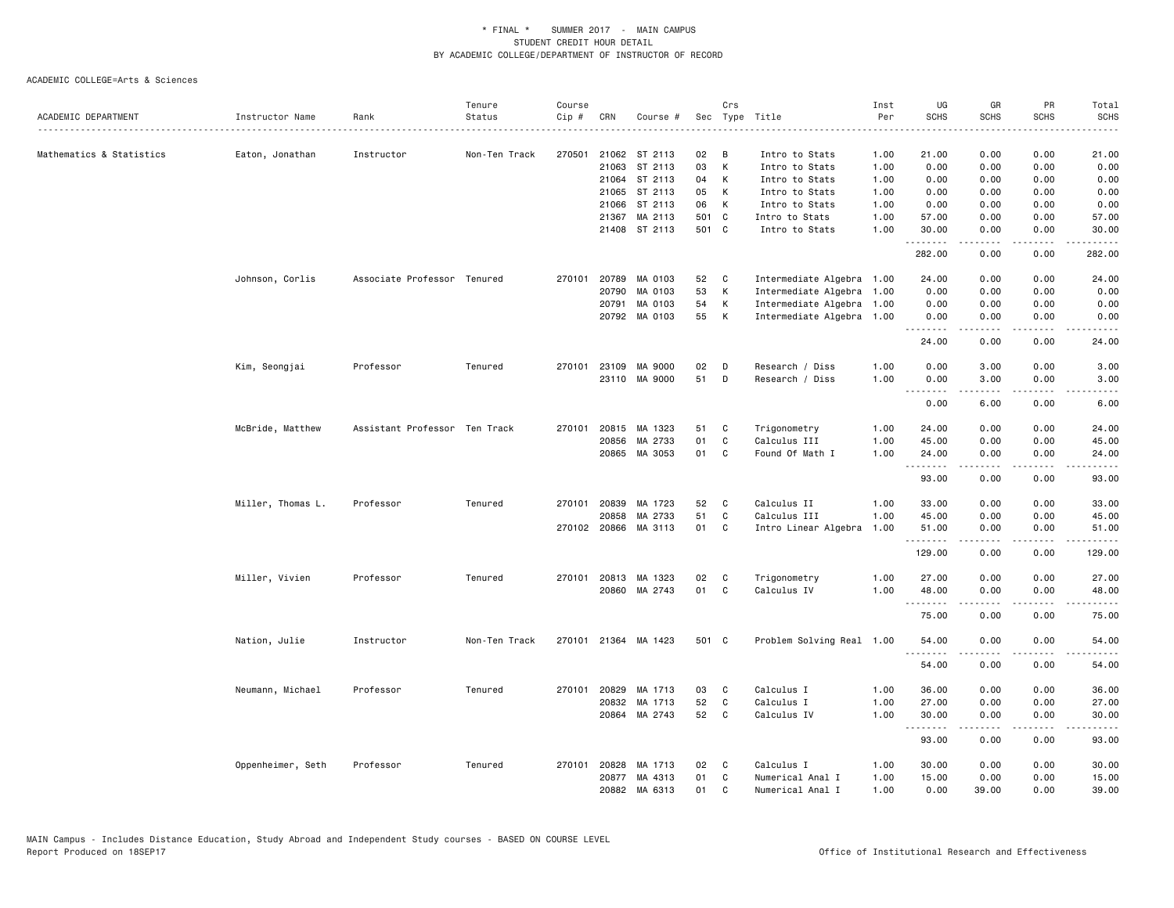|                          |                   |                               | Tenure        | Course |       |                      |       | Crs |                           | Inst | UG                | GR          | PR                                  | Total                                                                                                                              |
|--------------------------|-------------------|-------------------------------|---------------|--------|-------|----------------------|-------|-----|---------------------------|------|-------------------|-------------|-------------------------------------|------------------------------------------------------------------------------------------------------------------------------------|
| ACADEMIC DEPARTMENT      | Instructor Name   | Rank                          | Status        | Cip #  | CRN   | Course #             |       |     | Sec Type Title            | Per  | <b>SCHS</b>       | <b>SCHS</b> | <b>SCHS</b>                         | SCHS<br>$\omega$ is a set                                                                                                          |
|                          |                   |                               |               |        |       |                      |       |     |                           |      |                   |             |                                     |                                                                                                                                    |
| Mathematics & Statistics | Eaton, Jonathan   | Instructor                    | Non-Ten Track | 270501 |       | 21062 ST 2113        | 02    | B   | Intro to Stats            | 1.00 | 21.00             | 0.00        | 0.00                                | 21.00                                                                                                                              |
|                          |                   |                               |               |        |       | 21063 ST 2113        | 03    | K   | Intro to Stats            | 1.00 | 0.00              | 0.00        | 0.00                                | 0.00                                                                                                                               |
|                          |                   |                               |               |        | 21064 | ST 2113              | 04    | К   | Intro to Stats            | 1.00 | 0.00              | 0.00        | 0.00                                | 0.00                                                                                                                               |
|                          |                   |                               |               |        | 21065 | ST 2113              | 05    | K   | Intro to Stats            | 1.00 | 0.00              | 0.00        | 0.00                                | 0.00                                                                                                                               |
|                          |                   |                               |               |        | 21066 | ST 2113              | 06    | K   | Intro to Stats            | 1.00 | 0.00              | 0.00        | 0.00                                | 0.00                                                                                                                               |
|                          |                   |                               |               |        | 21367 | MA 2113              | 501 C |     | Intro to Stats            | 1.00 | 57.00             | 0.00        | 0.00                                | 57.00                                                                                                                              |
|                          |                   |                               |               |        |       | 21408 ST 2113        | 501 C |     | Intro to Stats            | 1.00 | 30.00<br>.        | 0.00<br>.   | 0.00<br>$\frac{1}{2}$               | 30.00<br>.                                                                                                                         |
|                          |                   |                               |               |        |       |                      |       |     |                           |      | 282.00            | 0.00        | 0.00                                | 282.00                                                                                                                             |
|                          | Johnson, Corlis   | Associate Professor Tenured   |               |        |       | 270101 20789 MA 0103 | 52    | C   | Intermediate Algebra 1.00 |      | 24.00             | 0.00        | 0.00                                | 24.00                                                                                                                              |
|                          |                   |                               |               |        | 20790 | MA 0103              | 53    | К   | Intermediate Algebra      | 1.00 | 0.00              | 0.00        | 0.00                                | 0.00                                                                                                                               |
|                          |                   |                               |               |        | 20791 | MA 0103              | 54    | К   | Intermediate Algebra 1.00 |      | 0.00              | 0.00        | 0.00                                | 0.00                                                                                                                               |
|                          |                   |                               |               |        |       | 20792 MA 0103        | 55    | К   | Intermediate Algebra 1.00 |      | 0.00<br><b></b>   | 0.00<br>.   | 0.00<br>الأعامات                    | 0.00<br>$\frac{1}{2} \left( \frac{1}{2} \right) \left( \frac{1}{2} \right) \left( \frac{1}{2} \right) \left( \frac{1}{2} \right)$  |
|                          |                   |                               |               |        |       |                      |       |     |                           |      | 24.00             | 0.00        | 0.00                                | 24.00                                                                                                                              |
|                          | Kim, Seongjai     | Professor                     | Tenured       | 270101 | 23109 | MA 9000              | 02    | D   | Research / Diss           | 1.00 | 0.00              | 3.00        | 0.00                                | 3.00                                                                                                                               |
|                          |                   |                               |               |        |       | 23110 MA 9000        | 51    | D   | Research / Diss           | 1.00 | 0.00              | 3.00        | 0.00                                | 3.00                                                                                                                               |
|                          |                   |                               |               |        |       |                      |       |     |                           |      | <b></b><br>0.00   | .<br>6.00   | .<br>0.00                           | .<br>6.00                                                                                                                          |
|                          | McBride, Matthew  | Assistant Professor Ten Track |               | 270101 |       | 20815 MA 1323        | 51    | C   | Trigonometry              | 1.00 | 24.00             | 0.00        | 0.00                                | 24.00                                                                                                                              |
|                          |                   |                               |               |        | 20856 | MA 2733              | 01    | C   | Calculus III              | 1.00 | 45.00             | 0.00        | 0.00                                | 45.00                                                                                                                              |
|                          |                   |                               |               |        |       | 20865 MA 3053        | 01    | C   | Found Of Math I           | 1.00 | 24.00             | 0.00        | 0.00                                | 24.00                                                                                                                              |
|                          |                   |                               |               |        |       |                      |       |     |                           |      | <u>.</u><br>93.00 | 0.00        | .<br>0.00                           | $- - - - -$<br>93.00                                                                                                               |
|                          | Miller, Thomas L. | Professor                     | Tenured       |        |       | 270101 20839 MA 1723 | 52    | C   | Calculus II               | 1.00 | 33.00             | 0.00        | 0.00                                | 33.00                                                                                                                              |
|                          |                   |                               |               |        | 20858 | MA 2733              | 51    | C   | Calculus III              | 1.00 | 45.00             | 0.00        | 0.00                                | 45.00                                                                                                                              |
|                          |                   |                               |               |        |       | 270102 20866 MA 3113 | 01    | C   | Intro Linear Algebra      | 1.00 | 51.00             | 0.00        | 0.00                                | 51.00                                                                                                                              |
|                          |                   |                               |               |        |       |                      |       |     |                           |      | .<br>129.00       | 0.00        | $\sim$ $\sim$ $\sim$ $\sim$<br>0.00 | .<br>129.00                                                                                                                        |
|                          | Miller, Vivien    | Professor                     | Tenured       |        |       | 270101 20813 MA 1323 | 02    | C   | Trigonometry              | 1.00 | 27.00             | 0.00        | 0.00                                | 27.00                                                                                                                              |
|                          |                   |                               |               |        |       | 20860 MA 2743        | 01    | C.  | Calculus IV               | 1.00 | 48.00             | 0.00        | 0.00                                | 48.00                                                                                                                              |
|                          |                   |                               |               |        |       |                      |       |     |                           |      | .<br>75.00        | 0.00        | .<br>0.00                           | .<br>75.00                                                                                                                         |
|                          | Nation, Julie     | Instructor                    | Non-Ten Track |        |       | 270101 21364 MA 1423 | 501 C |     | Problem Solving Real 1.00 |      | 54.00             | 0.00        | 0.00                                | 54.00                                                                                                                              |
|                          |                   |                               |               |        |       |                      |       |     |                           |      | 54.00             | 0.00        | 0.00                                | 54.00                                                                                                                              |
|                          | Neumann, Michael  | Professor                     | Tenured       | 270101 | 20829 | MA 1713              | 03    | C   | Calculus I                | 1.00 | 36.00             | 0.00        | 0.00                                | 36.00                                                                                                                              |
|                          |                   |                               |               |        | 20832 | MA 1713              | 52    | C   | Calculus I                | 1.00 | 27.00             | 0.00        | 0.00                                | 27.00                                                                                                                              |
|                          |                   |                               |               |        |       | 20864 MA 2743        | 52    | C   | Calculus IV               | 1.00 | 30.00             | 0.00        | 0.00                                | 30.00                                                                                                                              |
|                          |                   |                               |               |        |       |                      |       |     |                           |      | .<br>93.00        | 0.00        | $\sim$ $\sim$ $\sim$<br>0.00        | $\frac{1}{2} \left( \frac{1}{2} \right) \left( \frac{1}{2} \right) \left( \frac{1}{2} \right) \left( \frac{1}{2} \right)$<br>93.00 |
|                          | Oppenheimer, Seth | Professor                     | Tenured       | 270101 | 20828 | MA 1713              | 02    | C   | Calculus I                | 1.00 | 30.00             | 0.00        | 0.00                                | 30.00                                                                                                                              |
|                          |                   |                               |               |        |       | 20877 MA 4313        | 01    | C   | Numerical Anal I          | 1.00 | 15.00             | 0.00        | 0.00                                | 15.00                                                                                                                              |
|                          |                   |                               |               |        | 20882 | MA 6313              | 01    | C   | Numerical Anal I          | 1.00 | 0.00              | 39.00       | 0.00                                | 39.00                                                                                                                              |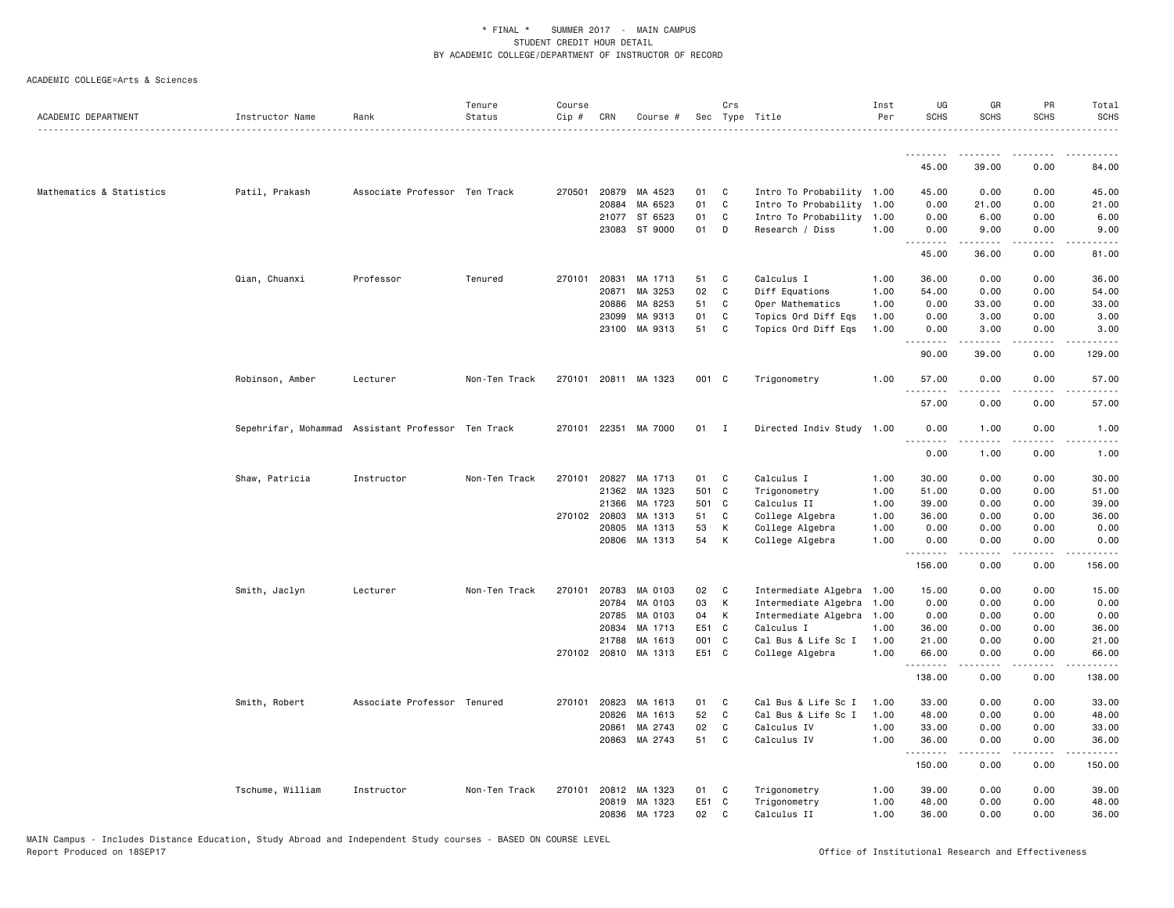| ACADEMIC DEPARTMENT      | Instructor Name  | Rank                                               | Tenure<br>Status | Course<br>Cip # | CRN            | Course #             |          | Crs          | Sec Type Title                          | Inst<br>Per  | UG<br><b>SCHS</b>               | GR<br><b>SCHS</b> | PR<br><b>SCHS</b>            | Total<br><b>SCHS</b> |
|--------------------------|------------------|----------------------------------------------------|------------------|-----------------|----------------|----------------------|----------|--------------|-----------------------------------------|--------------|---------------------------------|-------------------|------------------------------|----------------------|
|                          |                  |                                                    |                  |                 |                |                      |          |              |                                         |              |                                 |                   |                              | .                    |
|                          |                  |                                                    |                  |                 |                |                      |          |              |                                         |              | .<br>45.00                      | 39.00             | .<br>0.00                    | 84.00                |
|                          |                  |                                                    |                  |                 |                |                      |          |              |                                         |              |                                 |                   |                              |                      |
| Mathematics & Statistics | Patil, Prakash   | Associate Professor Ten Track                      |                  | 270501          | 20879          | MA 4523              | 01       | C            | Intro To Probability 1.00               |              | 45.00                           | 0.00              | 0.00                         | 45.00                |
|                          |                  |                                                    |                  |                 | 20884          | MA 6523              | 01       | C            | Intro To Probability 1.00               |              | 0.00                            | 21.00             | 0.00                         | 21.00                |
|                          |                  |                                                    |                  |                 | 21077<br>23083 | ST 6523<br>ST 9000   | 01<br>01 | C<br>D       | Intro To Probability<br>Research / Diss | 1.00<br>1.00 | 0.00<br>0.00                    | 6.00<br>9.00      | 0.00<br>0.00                 | 6.00<br>9.00         |
|                          |                  |                                                    |                  |                 |                |                      |          |              |                                         |              | .                               | .                 | .                            | $\sim$               |
|                          |                  |                                                    |                  |                 |                |                      |          |              |                                         |              | 45.00                           | 36.00             | 0.00                         | 81.00                |
|                          | Qian, Chuanxi    | Professor                                          | Tenured          | 270101          | 20831          | MA 1713              | 51       | C            | Calculus I                              | 1.00         | 36.00                           | 0.00              | 0.00                         | 36.00                |
|                          |                  |                                                    |                  |                 | 20871          | MA 3253              | 02       | C            | Diff Equations                          | 1.00         | 54.00                           | 0.00              | 0.00                         | 54.00                |
|                          |                  |                                                    |                  |                 | 20886          | MA 8253              | 51       | C            | Oper Mathematics                        | 1.00         | 0.00                            | 33.00             | 0.00                         | 33.00                |
|                          |                  |                                                    |                  |                 | 23099          | MA 9313              | 01       | C            | Topics Ord Diff Eqs                     | 1.00         | 0.00                            | 3.00              | 0.00                         | 3.00                 |
|                          |                  |                                                    |                  |                 |                | 23100 MA 9313        | 51       | C            | Topics Ord Diff Eqs                     | 1.00         | 0.00<br><u> - - - - - - - -</u> | 3.00              | 0.00<br>.                    | 3.00<br>.            |
|                          |                  |                                                    |                  |                 |                |                      |          |              |                                         |              | 90.00                           | 39.00             | 0.00                         | 129.00               |
|                          | Robinson, Amber  | Lecturer                                           | Non-Ten Track    |                 |                | 270101 20811 MA 1323 | 001 C    |              | Trigonometry                            | 1.00         | 57.00                           | 0.00              | 0.00                         | 57.00                |
|                          |                  |                                                    |                  |                 |                |                      |          |              |                                         |              | .<br>57.00                      | 0.00              | .<br>0.00                    | .<br>57.00           |
|                          |                  | Sepehrifar, Mohammad Assistant Professor Ten Track |                  |                 |                | 270101 22351 MA 7000 | 01       | $\mathbf{I}$ | Directed Indiv Study 1.00               |              | 0.00                            | 1.00              | 0.00                         | 1.00                 |
|                          |                  |                                                    |                  |                 |                |                      |          |              |                                         |              | <u>.</u><br>0.00                | .<br>1.00         | .<br>0.00                    | $- - - - -$<br>1.00  |
|                          | Shaw, Patricia   | Instructor                                         | Non-Ten Track    | 270101          | 20827          | MA 1713              | 01       | C            | Calculus I                              | 1.00         | 30.00                           | 0.00              | 0.00                         | 30.00                |
|                          |                  |                                                    |                  |                 | 21362          | MA 1323              |          | 501 C        | Trigonometry                            | 1.00         | 51.00                           | 0.00              | 0.00                         | 51.00                |
|                          |                  |                                                    |                  |                 | 21366          | MA 1723              | 501      | $\mathbf{C}$ | Calculus II                             | 1.00         | 39.00                           | 0.00              | 0.00                         | 39.00                |
|                          |                  |                                                    |                  |                 | 270102 20803   | MA 1313              | 51       | C            | College Algebra                         | 1.00         | 36.00                           | 0.00              | 0.00                         | 36.00                |
|                          |                  |                                                    |                  |                 | 20805          | MA 1313              | 53       | K            | College Algebra                         | 1.00         | 0.00                            | 0.00              | 0.00                         | 0.00                 |
|                          |                  |                                                    |                  |                 | 20806          | MA 1313              | 54       | K            | College Algebra                         | 1.00         | 0.00                            | 0.00              | 0.00                         | 0.00                 |
|                          |                  |                                                    |                  |                 |                |                      |          |              |                                         |              | .<br>156.00                     | .<br>0.00         | .<br>0.00                    | د د د د د<br>156.00  |
|                          | Smith, Jaclyn    | Lecturer                                           | Non-Ten Track    | 270101          | 20783          | MA 0103              | 02       | C            | Intermediate Algebra 1.00               |              | 15.00                           | 0.00              | 0.00                         | 15.00                |
|                          |                  |                                                    |                  |                 | 20784          | MA 0103              | 03       | K            | Intermediate Algebra                    | 1.00         | 0.00                            | 0.00              | 0.00                         | 0.00                 |
|                          |                  |                                                    |                  |                 | 20785          | MA 0103              | 04       | K            | Intermediate Algebra 1.00               |              | 0.00                            | 0.00              | 0.00                         | 0.00                 |
|                          |                  |                                                    |                  |                 | 20834          | MA 1713              | E51 C    |              | Calculus I                              | 1.00         | 36.00                           | 0.00              | 0.00                         | 36.00                |
|                          |                  |                                                    |                  |                 | 21788          | MA 1613              | 001      | $\mathbf{C}$ | Cal Bus & Life Sc I                     | 1.00         | 21.00                           | 0.00              | 0.00                         | 21.00                |
|                          |                  |                                                    |                  |                 |                | 270102 20810 MA 1313 | E51 C    |              | College Algebra                         | 1.00         | 66.00<br>.                      | 0.00<br>.         | 0.00<br>$\sim$ $\sim$ $\sim$ | 66.00<br>.           |
|                          |                  |                                                    |                  |                 |                |                      |          |              |                                         |              | 138.00                          | 0.00              | 0.00                         | 138.00               |
|                          | Smith, Robert    | Associate Professor Tenured                        |                  |                 | 270101 20823   | MA 1613              | 01       | C            | Cal Bus & Life Sc I                     | 1.00         | 33.00                           | 0.00              | 0.00                         | 33.00                |
|                          |                  |                                                    |                  |                 | 20826          | MA 1613              | 52       | C            | Cal Bus & Life Sc I                     | 1.00         | 48.00                           | 0.00              | 0.00                         | 48.00                |
|                          |                  |                                                    |                  |                 | 20861          | MA 2743              | 02       | C            | Calculus IV                             | 1.00         | 33.00                           | 0.00              | 0.00                         | 33.00                |
|                          |                  |                                                    |                  |                 | 20863          | MA 2743              | 51       | C            | Calculus IV                             | 1.00         | 36.00<br><u>.</u>               | 0.00<br>.         | 0.00<br>$- - - -$            | 36.00<br>$    -$     |
|                          |                  |                                                    |                  |                 |                |                      |          |              |                                         |              | 150.00                          | 0.00              | 0.00                         | 150.00               |
|                          | Tschume, William | Instructor                                         | Non-Ten Track    | 270101          |                | 20812 MA 1323        | 01       | C            | Trigonometry                            | 1.00         | 39.00                           | 0.00              | 0.00                         | 39.00                |
|                          |                  |                                                    |                  |                 | 20819          | MA 1323              | E51      | C            | Trigonometry                            | 1.00         | 48.00                           | 0.00              | 0.00                         | 48.00                |
|                          |                  |                                                    |                  |                 |                | 20836 MA 1723        | 02       | C            | Calculus II                             | 1.00         | 36.00                           | 0.00              | 0.00                         | 36.00                |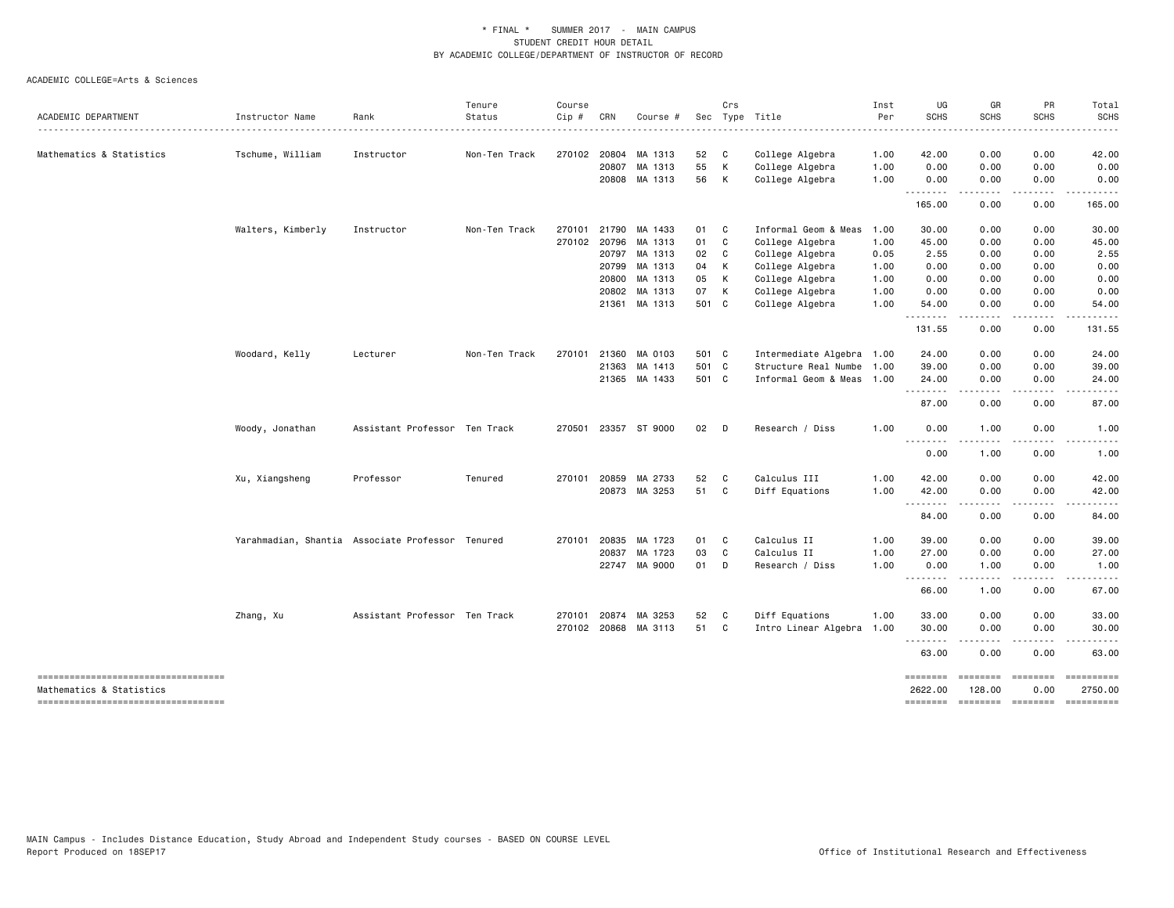|                                                                 |                   |                                                  | Tenure        | Course |              |                      |       | Crs          |                           | Inst | UG                                                                                                                                         | GR                                                                                                                                                           | PR                     | Total                 |
|-----------------------------------------------------------------|-------------------|--------------------------------------------------|---------------|--------|--------------|----------------------|-------|--------------|---------------------------|------|--------------------------------------------------------------------------------------------------------------------------------------------|--------------------------------------------------------------------------------------------------------------------------------------------------------------|------------------------|-----------------------|
| ACADEMIC DEPARTMENT                                             | Instructor Name   | Rank                                             | Status        | Cip #  | CRN          | Course #             |       |              | Sec Type Title            | Per  | <b>SCHS</b>                                                                                                                                | SCHS                                                                                                                                                         | <b>SCHS</b>            | <b>SCHS</b>           |
| Mathematics & Statistics                                        | Tschume, William  | Instructor                                       | Non-Ten Track |        |              | 270102 20804 MA 1313 | 52    | C            | College Algebra           | 1.00 | 42.00                                                                                                                                      | 0.00                                                                                                                                                         | 0.00                   | 42.00                 |
|                                                                 |                   |                                                  |               |        | 20807        | MA 1313              | 55    | K            | College Algebra           | 1.00 | 0.00                                                                                                                                       | 0.00                                                                                                                                                         | 0.00                   | 0.00                  |
|                                                                 |                   |                                                  |               |        |              | 20808 MA 1313        | 56    | K            | College Algebra           | 1.00 | 0.00<br>.                                                                                                                                  | 0.00<br>$\frac{1}{2} \left( \frac{1}{2} \right) \left( \frac{1}{2} \right) \left( \frac{1}{2} \right) \left( \frac{1}{2} \right)$                            | 0.00<br>.              | 0.00                  |
|                                                                 |                   |                                                  |               |        |              |                      |       |              |                           |      | 165.00                                                                                                                                     | 0.00                                                                                                                                                         | 0.00                   | 165.00                |
|                                                                 | Walters, Kimberly | Instructor                                       | Non-Ten Track | 270101 | 21790        | MA 1433              | 01    | C            | Informal Geom & Meas      | 1.00 | 30.00                                                                                                                                      | 0.00                                                                                                                                                         | 0.00                   | 30.00                 |
|                                                                 |                   |                                                  |               | 270102 | 20796        | MA 1313              | 01    | C            | College Algebra           | 1.00 | 45.00                                                                                                                                      | 0.00                                                                                                                                                         | 0.00                   | 45.00                 |
|                                                                 |                   |                                                  |               |        | 20797        | MA 1313              | 02    | C            | College Algebra           | 0.05 | 2.55                                                                                                                                       | 0.00                                                                                                                                                         | 0.00                   | 2.55                  |
|                                                                 |                   |                                                  |               |        | 20799        | MA 1313              | 04    | К            | College Algebra           | 1.00 | 0.00                                                                                                                                       | 0.00                                                                                                                                                         | 0.00                   | 0.00                  |
|                                                                 |                   |                                                  |               |        | 20800        | MA 1313              | 05    | K            | College Algebra           | 1.00 | 0.00                                                                                                                                       | 0.00                                                                                                                                                         | 0.00                   | 0.00                  |
|                                                                 |                   |                                                  |               |        | 20802        | MA 1313              | 07    | K            | College Algebra           | 1.00 | 0.00                                                                                                                                       | 0.00                                                                                                                                                         | 0.00                   | 0.00                  |
|                                                                 |                   |                                                  |               |        |              | 21361 MA 1313        | 501 C |              | College Algebra           | 1.00 | 54.00                                                                                                                                      | 0.00                                                                                                                                                         | 0.00                   | 54.00                 |
|                                                                 |                   |                                                  |               |        |              |                      |       |              |                           |      | .<br>131.55                                                                                                                                | $\sim$ $\sim$ $\sim$ $\sim$ $\sim$<br>0.00                                                                                                                   | .<br>0.00              | .<br>131.55           |
|                                                                 | Woodard, Kelly    | Lecturer                                         | Non-Ten Track |        | 270101 21360 | MA 0103              | 501 C |              | Intermediate Algebra 1.00 |      | 24.00                                                                                                                                      | 0.00                                                                                                                                                         | 0.00                   | 24.00                 |
|                                                                 |                   |                                                  |               |        | 21363        | MA 1413              | 501 C |              | Structure Real Numbe 1.00 |      | 39.00                                                                                                                                      | 0.00                                                                                                                                                         | 0.00                   | 39.00                 |
|                                                                 |                   |                                                  |               |        | 21365        | MA 1433              | 501 C |              | Informal Geom & Meas 1.00 |      | 24.00<br><u>.</u>                                                                                                                          | 0.00<br>----                                                                                                                                                 | 0.00                   | 24.00                 |
|                                                                 |                   |                                                  |               |        |              |                      |       |              |                           |      | 87.00                                                                                                                                      | 0.00                                                                                                                                                         | 0.00                   | 87.00                 |
|                                                                 | Woody, Jonathan   | Assistant Professor Ten Track                    |               |        |              | 270501 23357 ST 9000 | 02    | $\mathsf{D}$ | Research / Diss           | 1.00 | 0.00<br>$\frac{1}{2} \left( \frac{1}{2} \right) \left( \frac{1}{2} \right) \left( \frac{1}{2} \right) \left( \frac{1}{2} \right)$<br>$  -$ | 1.00                                                                                                                                                         | 0.00                   | 1.00                  |
|                                                                 |                   |                                                  |               |        |              |                      |       |              |                           |      | 0.00                                                                                                                                       | 1.00                                                                                                                                                         | 0.00                   | 1.00                  |
|                                                                 | Xu, Xiangsheng    | Professor                                        | Tenured       | 270101 | 20859        | MA 2733              | 52    | C            | Calculus III              | 1.00 | 42.00                                                                                                                                      | 0.00                                                                                                                                                         | 0.00                   | 42.00                 |
|                                                                 |                   |                                                  |               |        |              | 20873 MA 3253        | 51    | C            | Diff Equations            | 1.00 | 42.00<br>.                                                                                                                                 | 0.00                                                                                                                                                         | 0.00                   | 42.00                 |
|                                                                 |                   |                                                  |               |        |              |                      |       |              |                           |      | 84.00                                                                                                                                      | $\cdots$<br>0.00                                                                                                                                             | 0.00                   | 84.00                 |
|                                                                 |                   | Yarahmadian, Shantia Associate Professor Tenured |               |        | 270101 20835 | MA 1723              | 01    | C            | Calculus II               | 1.00 | 39.00                                                                                                                                      | 0.00                                                                                                                                                         | 0.00                   | 39.00                 |
|                                                                 |                   |                                                  |               |        | 20837        | MA 1723              | 03    | C            | Calculus II               | 1.00 | 27.00                                                                                                                                      | 0.00                                                                                                                                                         | 0.00                   | 27.00                 |
|                                                                 |                   |                                                  |               |        |              | 22747 MA 9000        | 01    | D            | Research / Diss           | 1.00 | 0.00                                                                                                                                       | 1.00                                                                                                                                                         | 0.00                   | 1.00                  |
|                                                                 |                   |                                                  |               |        |              |                      |       |              |                           |      | .<br>66.00                                                                                                                                 | $\frac{1}{2} \left( \frac{1}{2} \right) \left( \frac{1}{2} \right) \left( \frac{1}{2} \right) \left( \frac{1}{2} \right) \left( \frac{1}{2} \right)$<br>1.00 | .<br>0.00              | 67.00                 |
|                                                                 | Zhang, Xu         | Assistant Professor Ten Track                    |               |        | 270101 20874 | MA 3253              | 52    | C            | Diff Equations            | 1.00 | 33.00                                                                                                                                      | 0.00                                                                                                                                                         | 0.00                   | 33.00                 |
|                                                                 |                   |                                                  |               |        | 270102 20868 | MA 3113              | 51    | C            | Intro Linear Algebra 1.00 |      | 30.00                                                                                                                                      | 0.00                                                                                                                                                         | 0.00                   | 30.00                 |
|                                                                 |                   |                                                  |               |        |              |                      |       |              |                           |      | .<br>63.00                                                                                                                                 | --------<br>0.00                                                                                                                                             | .<br>0.00              | 63.00                 |
| -----------------------------------<br>Mathematics & Statistics |                   |                                                  |               |        |              |                      |       |              |                           |      | ========<br>2622.00                                                                                                                        | ========<br>128.00                                                                                                                                           | <b>EBBEREE</b><br>0.00 | ==========<br>2750.00 |
| ----------------------------------                              |                   |                                                  |               |        |              |                      |       |              |                           |      | <b>EEEEEEEE</b>                                                                                                                            |                                                                                                                                                              | ======== ========      |                       |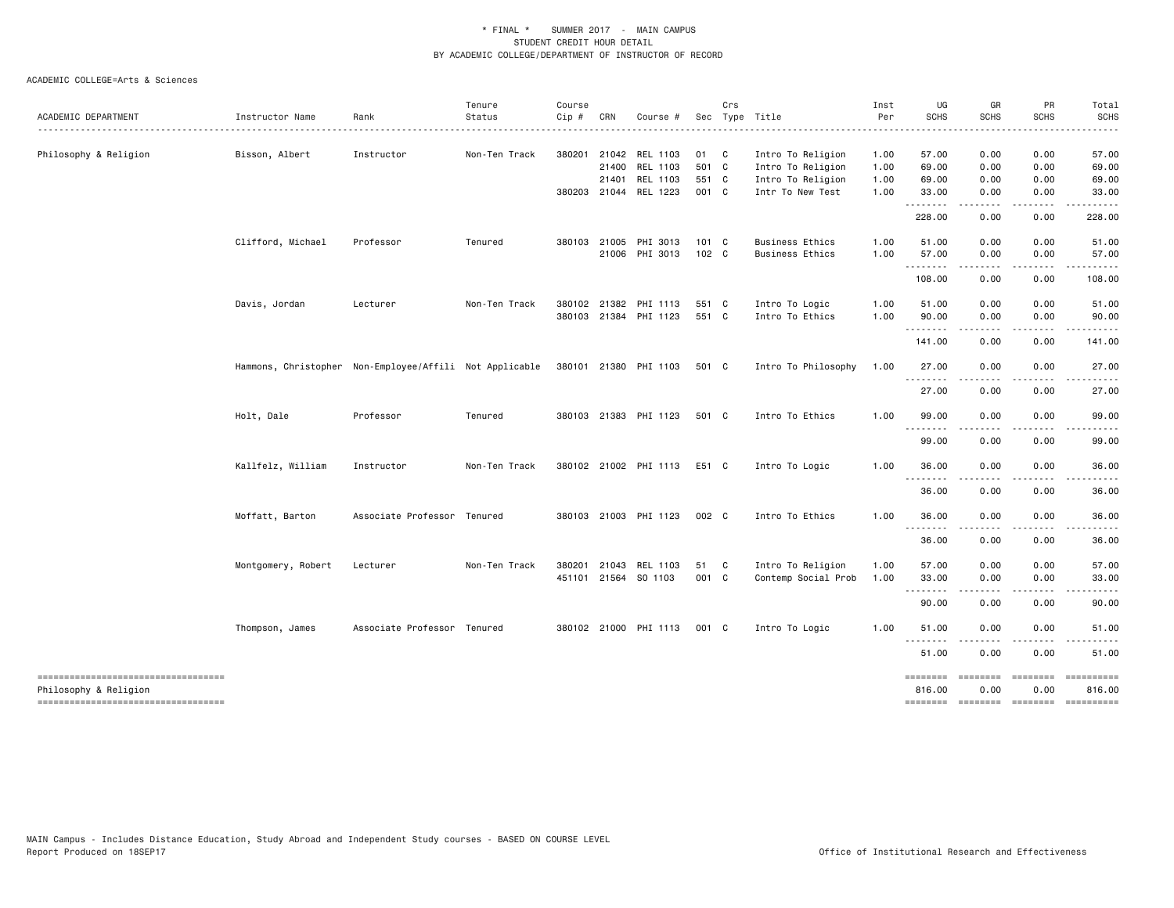|                                                              |                                                         |                             | Tenure        | Course |              |                       |                  | Crs |                        | Inst | UG                                 | GR                     | PR               | Total                |
|--------------------------------------------------------------|---------------------------------------------------------|-----------------------------|---------------|--------|--------------|-----------------------|------------------|-----|------------------------|------|------------------------------------|------------------------|------------------|----------------------|
| ACADEMIC DEPARTMENT                                          | Instructor Name                                         | Rank                        | Status        | Cip #  | CRN          | Course #              |                  |     | Sec Type Title         | Per  | <b>SCHS</b>                        | <b>SCHS</b>            | <b>SCHS</b>      | <b>SCHS</b>          |
| Philosophy & Religion                                        | Bisson, Albert                                          | Instructor                  | Non-Ten Track |        |              | 380201 21042 REL 1103 | 01 C             |     | Intro To Religion      | 1.00 | 57.00                              | 0.00                   | 0.00             | 57.00                |
|                                                              |                                                         |                             |               |        |              | 21400 REL 1103        | 501 C            |     | Intro To Religion      | 1.00 | 69.00                              | 0.00                   | 0.00             | 69.00                |
|                                                              |                                                         |                             |               |        | 21401        | REL 1103              | 551 C            |     | Intro To Religion      | 1.00 | 69.00                              | 0.00                   | 0.00             | 69.00                |
|                                                              |                                                         |                             |               |        | 380203 21044 | REL 1223              | 001 C            |     | Intr To New Test       | 1.00 | 33.00<br>.                         | 0.00                   | 0.00             | 33.00                |
|                                                              |                                                         |                             |               |        |              |                       |                  |     |                        |      | 228.00                             | 0.00                   | 0.00             | 228.00               |
|                                                              | Clifford, Michael                                       | Professor                   | Tenured       |        | 380103 21005 | PHI 3013              | $101 \quad C$    |     | <b>Business Ethics</b> | 1.00 | 51.00                              | 0.00                   | 0.00             | 51.00                |
|                                                              |                                                         |                             |               |        |              | 21006 PHI 3013        | 102 <sub>c</sub> |     | <b>Business Ethics</b> | 1.00 | 57.00                              | 0.00<br>.              | 0.00<br>.        | 57.00                |
|                                                              |                                                         |                             |               |        |              |                       |                  |     |                        |      | 108.00                             | 0.00                   | 0.00             | 108.00               |
|                                                              | Davis, Jordan                                           | Lecturer                    | Non-Ten Track |        |              | 380102 21382 PHI 1113 | 551 C            |     | Intro To Logic         | 1.00 | 51.00                              | 0.00                   | 0.00             | 51.00                |
|                                                              |                                                         |                             |               |        |              | 380103 21384 PHI 1123 | 551 C            |     | Intro To Ethics        | 1.00 | 90.00<br>.                         | 0.00                   | 0.00             | 90.00                |
|                                                              |                                                         |                             |               |        |              |                       |                  |     |                        |      | 141.00                             | 0.00                   | 0.00             | 141.00               |
|                                                              | Hammons, Christopher Non-Employee/Affili Not Applicable |                             |               |        |              | 380101 21380 PHI 1103 | 501 C            |     | Intro To Philosophy    | 1.00 | 27.00                              | 0.00                   | 0.00             | 27.00                |
|                                                              |                                                         |                             |               |        |              |                       |                  |     |                        |      | 27.00                              | 0.00                   | 0.00             | 27.00                |
|                                                              | Holt, Dale                                              | Professor                   | Tenured       |        |              | 380103 21383 PHI 1123 | 501 C            |     | Intro To Ethics        | 1.00 | 99.00                              | 0.00                   | 0.00             | 99.00                |
|                                                              |                                                         |                             |               |        |              |                       |                  |     |                        |      | 99.00                              | 0.00                   | 0.00             | 99.00                |
|                                                              | Kallfelz, William                                       | Instructor                  | Non-Ten Track |        |              | 380102 21002 PHI 1113 | E51 C            |     | Intro To Logic         | 1.00 | 36.00<br>- - -                     | 0.00                   | 0.00             | 36.00                |
|                                                              |                                                         |                             |               |        |              |                       |                  |     |                        |      | 36.00                              | 0.00                   | 0.00             | 36.00                |
|                                                              | Moffatt, Barton                                         | Associate Professor Tenured |               |        |              | 380103 21003 PHI 1123 | 002 C            |     | Intro To Ethics        | 1.00 | 36.00<br>.                         | 0.00                   | 0.00             | 36.00                |
|                                                              |                                                         |                             |               |        |              |                       |                  |     |                        |      | 36.00                              | 0.00                   | 0.00             | 36.00                |
|                                                              | Montgomery, Robert                                      | Lecturer                    | Non-Ten Track | 380201 | 21043        | REL 1103              | 51 C             |     | Intro To Religion      | 1.00 | 57.00                              | 0.00                   | 0.00             | 57.00                |
|                                                              |                                                         |                             |               |        |              | 451101 21564 SO 1103  | 001 C            |     | Contemp Social Prob    | 1.00 | 33.00                              | 0.00                   | 0.00             | 33.00                |
|                                                              |                                                         |                             |               |        |              |                       |                  |     |                        |      | $\sim$ $\sim$ $\sim$<br>.<br>90.00 | 0.00                   | 0.00             | 90.00                |
|                                                              | Thompson, James                                         | Associate Professor Tenured |               |        |              | 380102 21000 PHI 1113 | 001 C            |     | Intro To Logic         | 1.00 | 51.00                              | 0.00                   | 0.00             | 51.00                |
|                                                              |                                                         |                             |               |        |              |                       |                  |     |                        |      | <u>.</u><br>51.00                  | 0.00                   | 0.00             | 51.00                |
| -----------------------------------<br>Philosophy & Religion |                                                         |                             |               |        |              |                       |                  |     |                        |      | ========<br>816.00                 | <b>ESSESSE</b><br>0.00 | ========<br>0.00 | ==========<br>816.00 |
| -----------------------------------                          |                                                         |                             |               |        |              |                       |                  |     |                        |      | -------- ------- -------           |                        |                  | $-$ ===========      |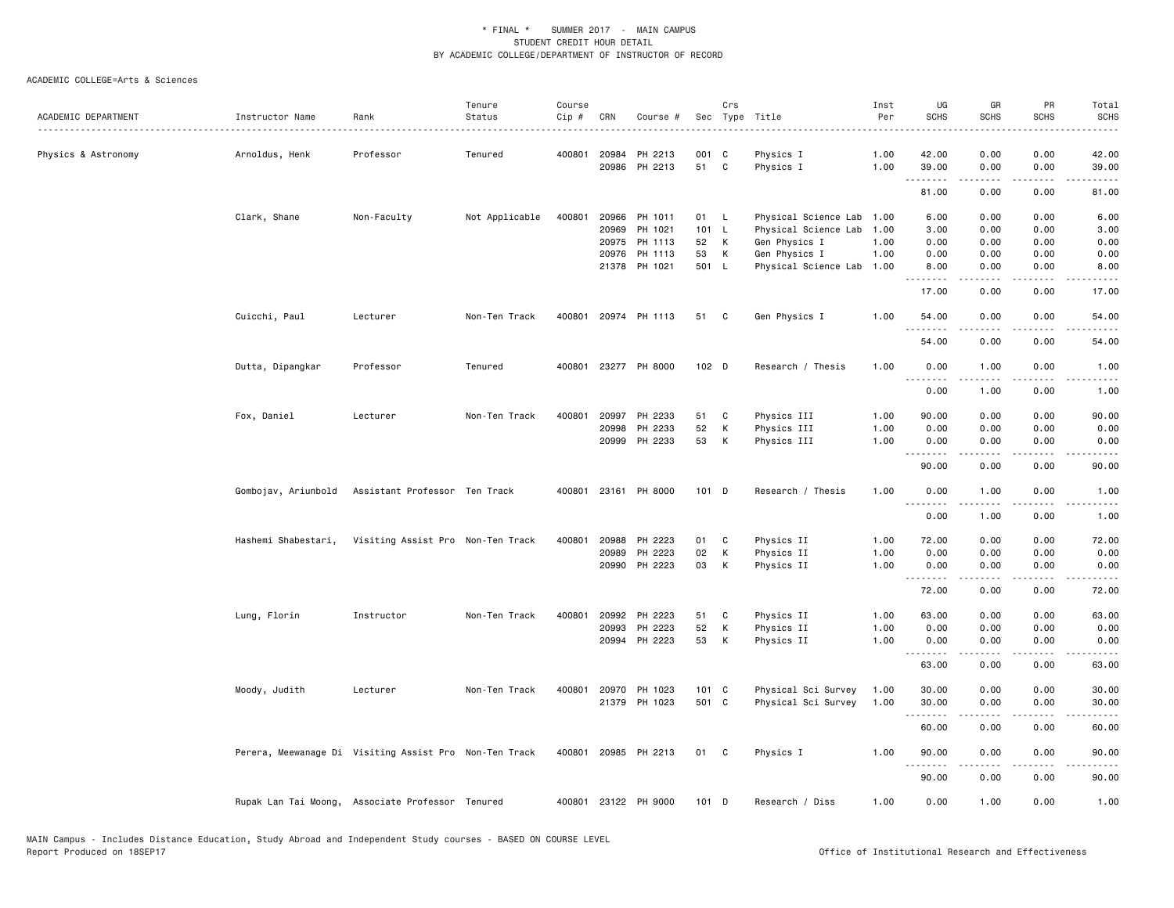|                     |                     |                                                        | Tenure         | Course |       |                      |                  | Crs          |                           | Inst | UG                      | GR                    | PR                                          | Total             |
|---------------------|---------------------|--------------------------------------------------------|----------------|--------|-------|----------------------|------------------|--------------|---------------------------|------|-------------------------|-----------------------|---------------------------------------------|-------------------|
| ACADEMIC DEPARTMENT | Instructor Name     | Rank                                                   | Status         | Cip #  | CRN   | Course #             |                  |              | Sec Type Title            | Per  | <b>SCHS</b>             | <b>SCHS</b>           | <b>SCHS</b>                                 | <b>SCHS</b>       |
|                     |                     |                                                        |                |        |       |                      |                  |              |                           |      |                         |                       |                                             |                   |
| Physics & Astronomy | Arnoldus, Henk      | Professor                                              | Tenured        | 400801 | 20984 | PH 2213              | 001 C            | C            | Physics I                 | 1.00 | 42.00                   | 0.00                  | 0.00                                        | 42.00             |
|                     |                     |                                                        |                |        |       | 20986 PH 2213        | 51               |              | Physics I                 | 1.00 | 39.00<br>.              | 0.00<br>.             | 0.00<br>.                                   | 39.00<br>المتمام  |
|                     |                     |                                                        |                |        |       |                      |                  |              |                           |      | 81.00                   | 0.00                  | 0.00                                        | 81.00             |
|                     | Clark, Shane        | Non-Faculty                                            | Not Applicable | 400801 |       | 20966 PH 1011        | 01 L             |              | Physical Science Lab      | 1.00 | 6.00                    | 0.00                  | 0.00                                        | 6.00              |
|                     |                     |                                                        |                |        | 20969 | PH 1021              | 101 L            |              | Physical Science Lab      | 1.00 | 3.00                    | 0.00                  | 0.00                                        | 3.00              |
|                     |                     |                                                        |                |        |       | 20975 PH 1113        | 52               | К            | Gen Physics I             | 1.00 | 0.00                    | 0.00                  | 0.00                                        | 0.00              |
|                     |                     |                                                        |                |        | 20976 | PH 1113              | 53               | К            | Gen Physics I             | 1.00 | 0.00                    | 0.00                  | 0.00                                        | 0.00              |
|                     |                     |                                                        |                |        |       | 21378 PH 1021        | 501 L            |              | Physical Science Lab 1.00 |      | 8.00<br>$- - - - - - -$ | 0.00<br>.             | 0.00<br>$\omega$ $\omega$ $\omega$ $\omega$ | 8.00<br>$- - - -$ |
|                     |                     |                                                        |                |        |       |                      |                  |              |                           |      | 17.00                   | 0.00                  | 0.00                                        | 17.00             |
|                     | Cuicchi, Paul       | Lecturer                                               | Non-Ten Track  | 400801 |       | 20974 PH 1113        | 51               | $\mathbf{C}$ | Gen Physics I             | 1.00 | 54.00                   | 0.00                  | 0.00                                        | 54.00             |
|                     |                     |                                                        |                |        |       |                      |                  |              |                           |      | 54.00                   | 0.00                  | 0.00                                        | 54.00             |
|                     | Dutta, Dipangkar    | Professor                                              | Tenured        | 400801 |       | 23277 PH 8000        | 102 <sub>D</sub> |              | Research / Thesis         | 1.00 | 0.00                    | 1.00                  | 0.00                                        | 1.00              |
|                     |                     |                                                        |                |        |       |                      |                  |              |                           |      | 0.00                    | 1.00                  | 0.00                                        | 1.00              |
|                     | Fox, Daniel         | Lecturer                                               | Non-Ten Track  | 400801 | 20997 | PH 2233              | 51               | C            | Physics III               | 1.00 | 90.00                   | 0.00                  | 0.00                                        | 90.00             |
|                     |                     |                                                        |                |        | 20998 | PH 2233              | 52               | К            | Physics III               | 1.00 | 0.00                    | 0.00                  | 0.00                                        | 0.00              |
|                     |                     |                                                        |                |        |       | 20999 PH 2233        | 53               | К            | Physics III               | 1.00 | 0.00                    | 0.00                  | 0.00                                        | 0.00              |
|                     |                     |                                                        |                |        |       |                      |                  |              |                           |      | 90.00                   | 0.00                  | 0.00                                        | 90.00             |
|                     | Gombojav, Ariunbold | Assistant Professor Ten Track                          |                | 400801 |       | 23161 PH 8000        | 101 D            |              | Research / Thesis         | 1.00 | 0.00<br>----            | 1.00<br>$\frac{1}{2}$ | 0.00<br>- - - -                             | 1.00              |
|                     |                     |                                                        |                |        |       |                      |                  |              |                           |      | 0.00                    | 1.00                  | 0.00                                        | 1.00              |
|                     | Hashemi Shabestari, | Visiting Assist Pro Non-Ten Track                      |                | 400801 | 20988 | PH 2223              | 01               | $\mathbf{C}$ | Physics II                | 1.00 | 72.00                   | 0.00                  | 0.00                                        | 72.00             |
|                     |                     |                                                        |                |        | 20989 | PH 2223              | 02               | К            | Physics II                | 1.00 | 0.00                    | 0.00                  | 0.00                                        | 0.00              |
|                     |                     |                                                        |                |        |       | 20990 PH 2223        | 03               | К            | Physics II                | 1.00 | 0.00<br>.               | 0.00                  | 0.00<br>.                                   | 0.00<br>.         |
|                     |                     |                                                        |                |        |       |                      |                  |              |                           |      | 72.00                   | .<br>0.00             | 0.00                                        | 72.00             |
|                     | Lung, Florin        | Instructor                                             | Non-Ten Track  | 400801 | 20992 | PH 2223              | 51               | C            | Physics II                | 1.00 | 63.00                   | 0.00                  | 0.00                                        | 63.00             |
|                     |                     |                                                        |                |        | 20993 | PH 2223              | 52               | К            | Physics II                | 1.00 | 0.00                    | 0.00                  | 0.00                                        | 0.00              |
|                     |                     |                                                        |                |        |       | 20994 PH 2223        | 53               | К            | Physics II                | 1.00 | 0.00                    | 0.00                  | 0.00                                        | 0.00              |
|                     |                     |                                                        |                |        |       |                      |                  |              |                           |      | 63.00                   | 0.00                  | 0.00                                        | 63.00             |
|                     | Moody, Judith       | Lecturer                                               | Non-Ten Track  | 400801 |       | 20970 PH 1023        | 101 C            |              | Physical Sci Survey       | 1.00 | 30.00                   | 0.00                  | 0.00                                        | 30.00             |
|                     |                     |                                                        |                |        |       | 21379 PH 1023        | 501 C            |              | Physical Sci Survey       | 1.00 | 30.00                   | 0.00                  | 0.00                                        | 30.00             |
|                     |                     |                                                        |                |        |       |                      |                  |              |                           |      | .<br>60.00              | .<br>0.00             | $\sim$ $\sim$ $\sim$ $\sim$<br>0.00         | المتماما<br>60.00 |
|                     |                     | Perera, Meewanage Di Visiting Assist Pro Non-Ten Track |                | 400801 |       | 20985 PH 2213        | 01               | C            | Physics I                 | 1.00 | 90.00                   | 0.00                  | 0.00                                        | 90.00             |
|                     |                     |                                                        |                |        |       |                      |                  |              |                           |      | $\sim$ $\sim$ $\sim$    |                       |                                             |                   |
|                     |                     |                                                        |                |        |       |                      |                  |              |                           |      | 90.00                   | 0.00                  | 0.00                                        | 90.00             |
|                     |                     | Rupak Lan Tai Moong, Associate Professor Tenured       |                |        |       | 400801 23122 PH 9000 | $101$ D          |              | Research / Diss           | 1.00 | 0.00                    | 1.00                  | 0.00                                        | 1.00              |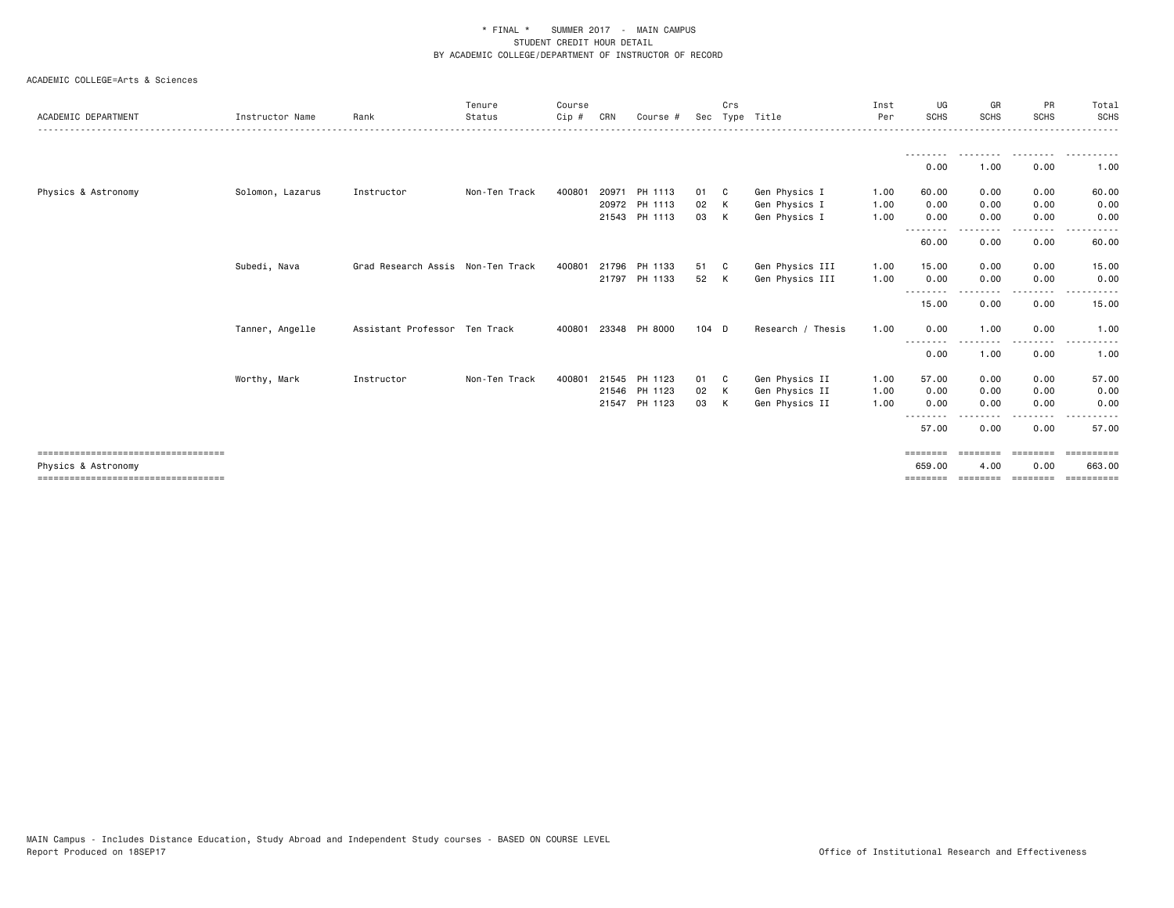| ACADEMIC DEPARTMENT                                          | Instructor Name  | Rank                              | Tenure<br>Status | Course<br>Cip # | CRN | Course #      |         | Crs          | Sec Type Title    | Inst<br>Per | UG<br><b>SCHS</b>  | GR<br><b>SCHS</b> | PR<br><b>SCHS</b>  | Total<br><b>SCHS</b>  |
|--------------------------------------------------------------|------------------|-----------------------------------|------------------|-----------------|-----|---------------|---------|--------------|-------------------|-------------|--------------------|-------------------|--------------------|-----------------------|
|                                                              |                  |                                   |                  |                 |     |               |         |              |                   |             |                    |                   |                    | . <u>.</u> .          |
|                                                              |                  |                                   |                  |                 |     |               |         |              |                   |             | 0.00               | 1.00              | 0.00               | 1.00                  |
| Physics & Astronomy                                          | Solomon, Lazarus | Instructor                        | Non-Ten Track    | 400801          |     | 20971 PH 1113 | 01 C    |              | Gen Physics I     | 1.00        | 60.00              | 0.00              | 0.00               | 60.00                 |
|                                                              |                  |                                   |                  |                 |     | 20972 PH 1113 | 02      | $\mathsf{K}$ | Gen Physics I     | 1.00        | 0.00               | 0.00              | 0.00               | 0.00                  |
|                                                              |                  |                                   |                  |                 |     | 21543 PH 1113 | 03      | K            | Gen Physics I     | 1.00        | 0.00<br>--------   | 0.00<br>.         | 0.00<br>. <b>.</b> | 0.00                  |
|                                                              |                  |                                   |                  |                 |     |               |         |              |                   |             | 60.00              | 0.00              | 0.00               | 60.00                 |
|                                                              | Subedi, Nava     | Grad Research Assis Non-Ten Track |                  | 400801          |     | 21796 PH 1133 | 51      | - C          | Gen Physics III   | 1.00        | 15.00              | 0.00              | 0.00               | 15.00                 |
|                                                              |                  |                                   |                  |                 |     | 21797 PH 1133 | 52      | K            | Gen Physics III   | 1.00        | 0.00<br>--------   | 0.00              | 0.00               | 0.00                  |
|                                                              |                  |                                   |                  |                 |     |               |         |              |                   |             | 15.00              | -----<br>0.00     | $\cdots$<br>0.00   | 15.00                 |
|                                                              | Tanner, Angelle  | Assistant Professor Ten Track     |                  | 400801          |     | 23348 PH 8000 | $104$ D |              | Research / Thesis | 1.00        | 0.00               | 1.00              | 0.00               | 1.00                  |
|                                                              |                  |                                   |                  |                 |     |               |         |              |                   |             | ---<br>0.00        | 1.00              | 0.00               | .<br>1.00             |
|                                                              | Worthy, Mark     | Instructor                        | Non-Ten Track    | 400801          |     | 21545 PH 1123 | 01 C    |              | Gen Physics II    | 1.00        | 57.00              | 0.00              | 0.00               | 57.00                 |
|                                                              |                  |                                   |                  |                 |     | 21546 PH 1123 | 02      | K            | Gen Physics II    | 1.00        | 0.00               | 0.00              | 0.00               | 0.00                  |
|                                                              |                  |                                   |                  |                 |     | 21547 PH 1123 | 03      | K            | Gen Physics II    | 1.00        | 0.00<br>$- - -$    | 0.00              | 0.00               | 0.00                  |
|                                                              |                  |                                   |                  |                 |     |               |         |              |                   |             | 57.00              | 0.00              | 0.00               | 57.00                 |
| =====================================<br>Physics & Astronomy |                  |                                   |                  |                 |     |               |         |              |                   |             | ========<br>659,00 | ---------<br>4.00 | ========<br>0.00   | -----------<br>663,00 |
| =====================================                        |                  |                                   |                  |                 |     |               |         |              |                   |             | $=$ = = = = = = =  | ========          | eeeeeee            | ==========            |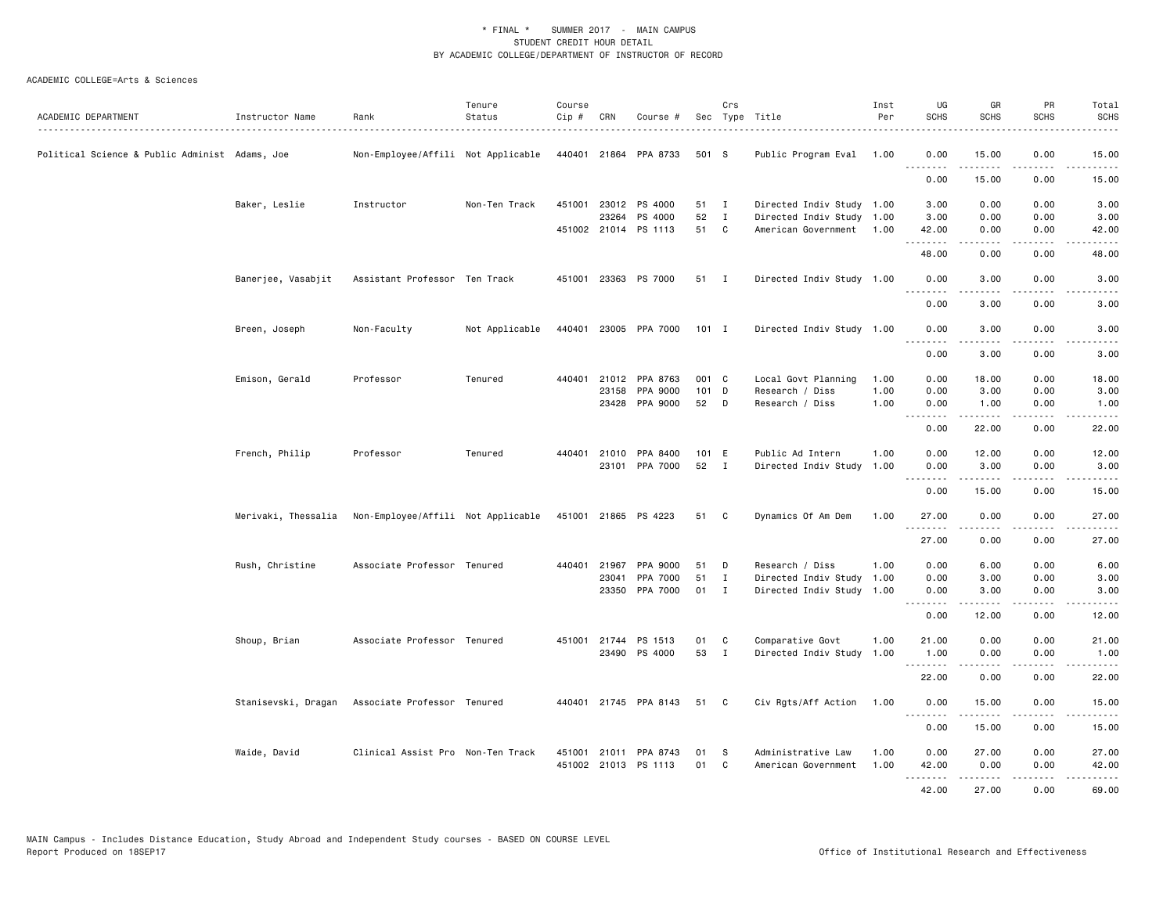| ACADEMIC DEPARTMENT                            | Instructor Name    | Rank                                                   | Tenure<br>Status | Course<br>Cip# | CRN   | Course #              |       | Crs          | Sec Type Title            | Inst<br>Per | UG<br><b>SCHS</b> | GR<br>SCHS                                                                                                                                                   | PR<br><b>SCHS</b>            | Total<br>SCHS                       |
|------------------------------------------------|--------------------|--------------------------------------------------------|------------------|----------------|-------|-----------------------|-------|--------------|---------------------------|-------------|-------------------|--------------------------------------------------------------------------------------------------------------------------------------------------------------|------------------------------|-------------------------------------|
|                                                |                    |                                                        |                  |                |       |                       |       |              |                           |             |                   |                                                                                                                                                              |                              |                                     |
| Political Science & Public Administ Adams, Joe |                    | Non-Employee/Affili Not Applicable                     |                  |                |       | 440401 21864 PPA 8733 | 501 S |              | Public Program Eval       | 1.00        | 0.00<br><b></b>   | 15.00<br>.                                                                                                                                                   | 0.00<br>.                    | 15.00<br>.                          |
|                                                |                    |                                                        |                  |                |       |                       |       |              |                           |             | 0.00              | 15.00                                                                                                                                                        | 0.00                         | 15.00                               |
|                                                | Baker, Leslie      | Instructor                                             | Non-Ten Track    |                |       | 451001 23012 PS 4000  | 51 I  |              | Directed Indiv Study 1.00 |             | 3.00              | 0.00                                                                                                                                                         | 0.00                         | 3.00                                |
|                                                |                    |                                                        |                  |                | 23264 | PS 4000               | 52    | $\mathbf{I}$ | Directed Indiv Study 1.00 |             | 3.00              | 0.00                                                                                                                                                         | 0.00                         | 3.00                                |
|                                                |                    |                                                        |                  |                |       | 451002 21014 PS 1113  | 51    | C            | American Government       | 1.00        | 42.00<br><b></b>  | 0.00<br>.                                                                                                                                                    | 0.00<br>.                    | 42.00<br>د د د د د                  |
|                                                |                    |                                                        |                  |                |       |                       |       |              |                           |             | 48.00             | 0.00                                                                                                                                                         | 0.00                         | 48.00                               |
|                                                | Banerjee, Vasabjit | Assistant Professor Ten Track                          |                  |                |       | 451001 23363 PS 7000  | 51 I  |              | Directed Indiv Study 1.00 |             | 0.00<br><u>.</u>  | 3.00<br><u>.</u>                                                                                                                                             | 0.00<br>.                    | 3.00<br>.                           |
|                                                |                    |                                                        |                  |                |       |                       |       |              |                           |             | 0.00              | 3.00                                                                                                                                                         | 0.00                         | 3.00                                |
|                                                | Breen, Joseph      | Non-Faculty                                            | Not Applicable   |                |       | 440401 23005 PPA 7000 | 101 I |              | Directed Indiv Study 1.00 |             | 0.00              | 3.00                                                                                                                                                         | 0.00                         | 3.00                                |
|                                                |                    |                                                        |                  |                |       |                       |       |              |                           |             | .<br>0.00         | 3.00                                                                                                                                                         | $\sim$ $\sim$ $\sim$<br>0.00 | 3.00                                |
|                                                | Emison, Gerald     | Professor                                              | Tenured          | 440401         |       | 21012 PPA 8763        | 001 C |              | Local Govt Planning       | 1.00        | 0.00              | 18.00                                                                                                                                                        | 0.00                         | 18.00                               |
|                                                |                    |                                                        |                  |                |       | 23158 PPA 9000        | 101 D |              | Research / Diss           | 1.00        | 0.00              | 3.00                                                                                                                                                         | 0.00                         | 3.00                                |
|                                                |                    |                                                        |                  |                |       | 23428 PPA 9000        | 52    | D            | Research / Diss           | 1.00        | 0.00<br>.         | 1.00                                                                                                                                                         | 0.00<br>د د د د              | 1.00<br>د د د د د                   |
|                                                |                    |                                                        |                  |                |       |                       |       |              |                           |             | 0.00              | 22.00                                                                                                                                                        | 0.00                         | 22.00                               |
|                                                | French, Philip     | Professor                                              | Tenured          | 440401         |       | 21010 PPA 8400        | 101 E |              | Public Ad Intern          | 1.00        | 0.00              | 12.00                                                                                                                                                        | 0.00                         | 12.00                               |
|                                                |                    |                                                        |                  |                |       | 23101 PPA 7000        | 52    | $\mathbf{I}$ | Directed Indiv Study 1.00 |             | 0.00<br>.         | 3.00<br>$\frac{1}{2} \left( \frac{1}{2} \right) \left( \frac{1}{2} \right) \left( \frac{1}{2} \right) \left( \frac{1}{2} \right) \left( \frac{1}{2} \right)$ | 0.00<br>د د د د              | 3.00<br>$\sim$ $\sim$ $\sim$ $\sim$ |
|                                                |                    |                                                        |                  |                |       |                       |       |              |                           |             | 0.00              | 15.00                                                                                                                                                        | 0.00                         | 15.00                               |
|                                                |                    | Merivaki, Thessalia Non-Employee/Affili Not Applicable |                  |                |       | 451001 21865 PS 4223  | 51    | C.           | Dynamics Of Am Dem        | 1.00        | 27.00             | 0.00                                                                                                                                                         | 0.00                         | 27.00                               |
|                                                |                    |                                                        |                  |                |       |                       |       |              |                           |             | .<br>27.00        | .<br>0.00                                                                                                                                                    | .<br>0.00                    | .<br>27.00                          |
|                                                | Rush, Christine    | Associate Professor Tenured                            |                  | 440401         | 21967 | PPA 9000              | 51    | D            | Research / Diss           | 1.00        | 0.00              | 6.00                                                                                                                                                         | 0.00                         | 6.00                                |
|                                                |                    |                                                        |                  |                | 23041 | PPA 7000              | 51    | $\mathbf{I}$ | Directed Indiv Study      | 1.00        | 0.00              | 3.00                                                                                                                                                         | 0.00                         | 3.00                                |
|                                                |                    |                                                        |                  |                |       | 23350 PPA 7000        | 01    | $\mathbf{I}$ | Directed Indiv Study      | 1.00        | 0.00<br>.         | 3.00<br>-----                                                                                                                                                | 0.00<br>.                    | 3.00<br>.                           |
|                                                |                    |                                                        |                  |                |       |                       |       |              |                           |             | 0.00              | 12.00                                                                                                                                                        | 0.00                         | 12.00                               |
|                                                | Shoup, Brian       | Associate Professor Tenured                            |                  | 451001         |       | 21744 PS 1513         | 01    | C            | Comparative Govt          | 1.00        | 21.00             | 0.00                                                                                                                                                         | 0.00                         | 21.00                               |
|                                                |                    |                                                        |                  |                |       | 23490 PS 4000         | 53    | $\mathbf{I}$ | Directed Indiv Study      | 1.00        | 1.00<br>.         | 0.00<br>.                                                                                                                                                    | 0.00<br>.                    | 1.00<br>.                           |
|                                                |                    |                                                        |                  |                |       |                       |       |              |                           |             | 22.00             | 0.00                                                                                                                                                         | 0.00                         | 22.00                               |
|                                                |                    | Stanisevski, Dragan Associate Professor Tenured        |                  |                |       | 440401 21745 PPA 8143 | 51    | C            | Civ Rgts/Aff Action       | 1.00        | 0.00              | 15.00                                                                                                                                                        | 0.00                         | 15.00                               |
|                                                |                    |                                                        |                  |                |       |                       |       |              |                           |             | 0.00              | 15.00                                                                                                                                                        | 0.00                         | 15.00                               |
|                                                | Waide, David       | Clinical Assist Pro Non-Ten Track                      |                  | 451001         |       | 21011 PPA 8743        | 01    | -S           | Administrative Law        | 1.00        | 0.00              | 27.00                                                                                                                                                        | 0.00                         | 27.00                               |
|                                                |                    |                                                        |                  |                |       | 451002 21013 PS 1113  | 01    | C            | American Government       | 1.00        | 42.00             | 0.00                                                                                                                                                         | 0.00                         | 42.00                               |
|                                                |                    |                                                        |                  |                |       |                       |       |              |                           |             | .                 | .                                                                                                                                                            | .                            | .                                   |
|                                                |                    |                                                        |                  |                |       |                       |       |              |                           |             | 42.00             | 27.00                                                                                                                                                        | 0.00                         | 69.00                               |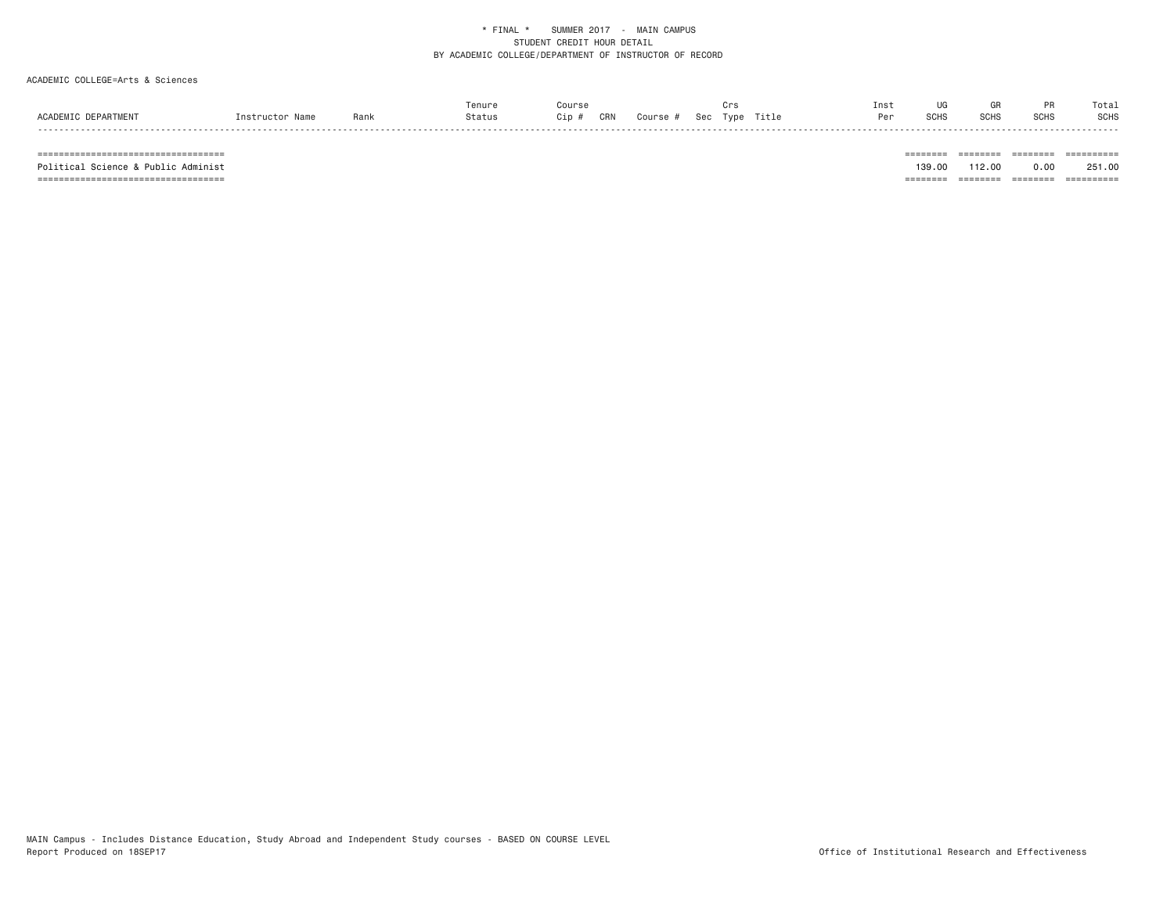# ACADEMIC COLLEGE=Arts & Sciences

|                 |      | ™enur |             |     |            |      |       | Ins <sup>.</sup> |                |                   |                      | Tota |
|-----------------|------|-------|-------------|-----|------------|------|-------|------------------|----------------|-------------------|----------------------|------|
| <b>ACADEMTC</b> | 9an. | itatu | 'ın<br>, 11 | CRN | م م<br>しせい | Tvpe | Title | Per              | 0.0118<br>эчл. | <b>COL</b><br>חטכ | $\sim$ $\sim$ $\sim$ | SCHS |
| - - - - -       |      |       |             |     |            |      |       |                  |                |                   |                      | .    |

=================================== ======== ======== ======== ==========

Political Science & Public Administ 251.00 251.00 251.00 251.00 251.00 251.00 251.00 251.00 251.00 =================================== ======== ======== ======== ==========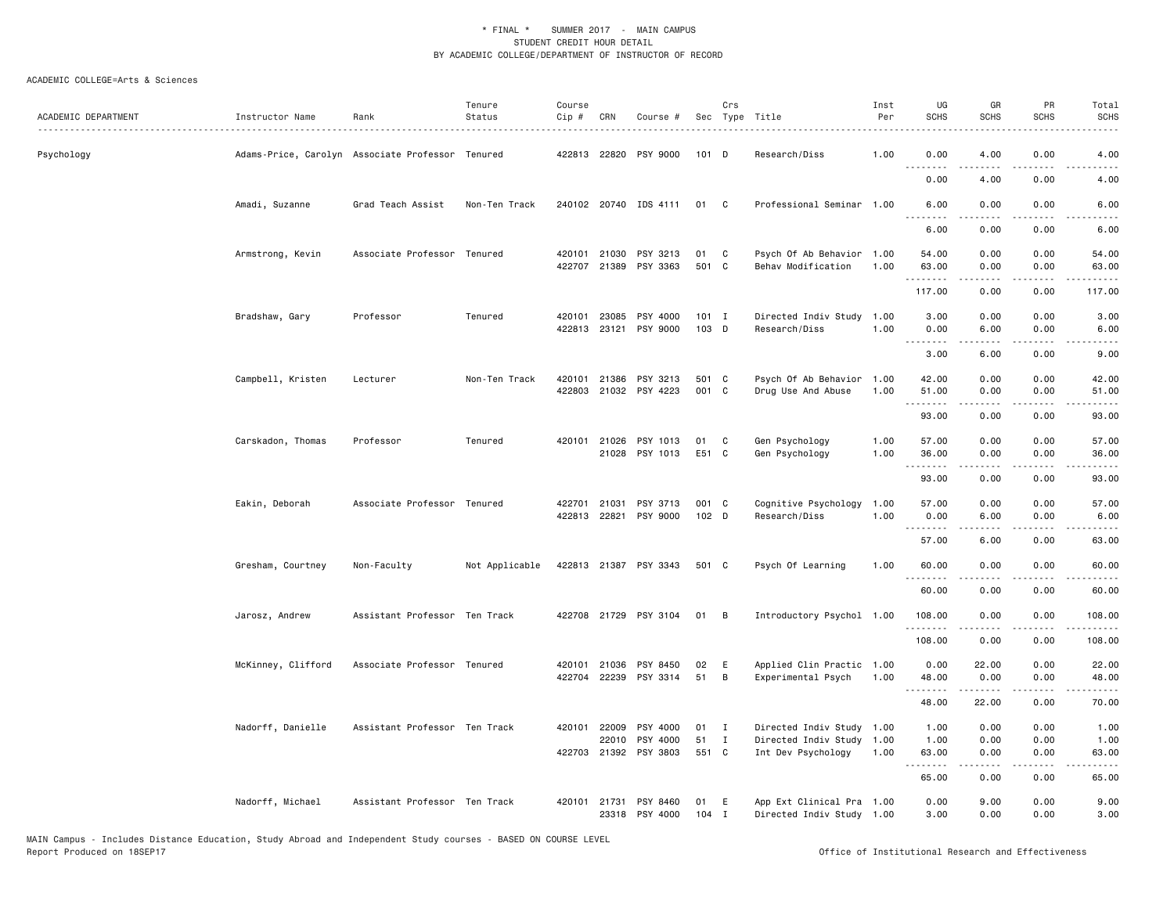| ACADEMIC DEPARTMENT | Instructor Name                                  | Rank                          | Tenure<br>Status | Course<br>$Cip \#$ | CRN            | Course #                                |                  | Crs          | Sec Type Title                                         | Inst<br>Per  | UG<br><b>SCHS</b>                      | GR<br><b>SCHS</b> | PR<br><b>SCHS</b>     | Total<br><b>SCHS</b> |
|---------------------|--------------------------------------------------|-------------------------------|------------------|--------------------|----------------|-----------------------------------------|------------------|--------------|--------------------------------------------------------|--------------|----------------------------------------|-------------------|-----------------------|----------------------|
| Psychology          | Adams-Price, Carolyn Associate Professor Tenured |                               |                  |                    |                | 422813 22820 PSY 9000                   | $101$ D          |              | Research/Diss                                          | 1.00         | 0.00<br>.                              | 4.00              | 0.00                  | 4.00                 |
|                     |                                                  |                               |                  |                    |                |                                         |                  |              |                                                        |              | 0.00                                   | 4.00              | 0.00                  | 4.00                 |
|                     | Amadi, Suzanne                                   | Grad Teach Assist             | Non-Ten Track    |                    |                | 240102 20740 IDS 4111                   | 01               | C            | Professional Seminar 1.00                              |              | 6.00<br><u>.</u>                       | 0.00              | 0.00                  | 6.00                 |
|                     |                                                  |                               |                  |                    |                |                                         |                  |              |                                                        |              | 6.00                                   | 0.00              | 0.00                  | 6.00                 |
|                     | Armstrong, Kevin                                 | Associate Professor Tenured   |                  | 420101<br>422707   | 21030          | PSY 3213<br>21389 PSY 3363              | 01<br>501 C      | C            | Psych Of Ab Behavior 1.00<br>Behav Modification        | 1.00         | 54.00<br>63.00                         | 0.00<br>0.00      | 0.00<br>0.00          | 54.00<br>63.00       |
|                     |                                                  |                               |                  |                    |                |                                         |                  |              |                                                        |              | .<br>117.00                            | .<br>0.00         | .<br>0.00             | .<br>117.00          |
|                     | Bradshaw, Gary                                   | Professor                     | Tenured          | 420101             | 23085          | PSY 4000<br>422813 23121 PSY 9000       | $101$ I<br>103 D |              | Directed Indiv Study<br>Research/Diss                  | 1.00<br>1.00 | 3.00<br>0.00                           | 0.00<br>6.00      | 0.00<br>0.00          | 3.00<br>6.00         |
|                     |                                                  |                               |                  |                    |                |                                         |                  |              |                                                        |              | 3.00                                   | 6.00              | 0.00                  | 9.00                 |
|                     | Campbell, Kristen                                | Lecturer                      | Non-Ten Track    | 420101             |                | 21386 PSY 3213<br>422803 21032 PSY 4223 | 501 C<br>001 C   |              | Psych Of Ab Behavior<br>Drug Use And Abuse             | 1.00<br>1.00 | 42.00<br>51.00                         | 0.00<br>0.00      | 0.00<br>0.00          | 42.00<br>51.00       |
|                     |                                                  |                               |                  |                    |                |                                         |                  |              |                                                        |              | <u>.</u><br>93.00                      | 0.00              | 0.00                  | 93.00                |
|                     | Carskadon, Thomas                                | Professor                     | Tenured          |                    |                | 420101 21026 PSY 1013<br>21028 PSY 1013 | 01<br>E51 C      | C            | Gen Psychology<br>Gen Psychology                       | 1.00<br>1.00 | 57.00<br>36.00                         | 0.00<br>0.00      | 0.00<br>0.00          | 57.00<br>36.00       |
|                     |                                                  |                               |                  |                    |                |                                         |                  |              |                                                        |              | .<br>93.00                             | .<br>0.00         | $\frac{1}{2}$<br>0.00 | .<br>93.00           |
|                     | Eakin, Deborah                                   | Associate Professor Tenured   |                  |                    | 422701 21031   | PSY 3713<br>422813 22821 PSY 9000       | 001 C<br>$102$ D |              | Cognitive Psychology<br>Research/Diss                  | 1.00<br>1.00 | 57.00<br>0.00                          | 0.00<br>6.00      | 0.00<br>0.00          | 57.00<br>6.00        |
|                     |                                                  |                               |                  |                    |                |                                         |                  |              |                                                        |              | <u>.</u><br>57.00                      | .<br>6.00         | .<br>0.00             | .<br>63.00           |
|                     | Gresham, Courtney                                | Non-Faculty                   | Not Applicable   |                    |                | 422813 21387 PSY 3343                   | 501 C            |              | Psych Of Learning                                      | 1.00         | 60.00                                  | 0.00              | 0.00                  | 60.00                |
|                     |                                                  |                               |                  |                    |                |                                         |                  |              |                                                        |              | 60.00                                  | 0.00              | 0.00                  | 60.00                |
|                     | Jarosz, Andrew                                   | Assistant Professor Ten Track |                  |                    |                | 422708 21729 PSY 3104                   | 01               | - B          | Introductory Psychol 1.00                              |              | 108.00<br>.                            | 0.00<br>.         | 0.00<br>.             | 108.00<br>.          |
|                     |                                                  |                               |                  |                    |                |                                         |                  |              |                                                        |              | 108.00                                 | 0.00              | 0.00                  | 108.00               |
|                     | McKinney, Clifford                               | Associate Professor Tenured   |                  | 420101<br>422704   | 21036<br>22239 | PSY 8450<br>PSY 3314                    | 02<br>51         | E<br>B       | Applied Clin Practic 1.00<br>Experimental Psych        | 1.00         | 0.00<br>48.00                          | 22.00<br>0.00     | 0.00<br>0.00          | 22.00<br>48.00       |
|                     |                                                  |                               |                  |                    |                |                                         |                  |              |                                                        |              | <u>.</u><br>48.00                      | 22.00             | 0.00                  | 70.00                |
|                     | Nadorff, Danielle                                | Assistant Professor Ten Track |                  |                    |                | 420101 22009 PSY 4000                   | 01               | $\mathbf{I}$ | Directed Indiv Study 1.00                              |              | 1.00                                   | 0.00              | 0.00                  | 1.00                 |
|                     |                                                  |                               |                  |                    | 22010          | PSY 4000<br>422703 21392 PSY 3803       | 51<br>551 C      | $\mathbf{I}$ | Directed Indiv Study<br>Int Dev Psychology             | 1.00<br>1.00 | 1.00<br>63.00                          | 0.00<br>0.00      | 0.00<br>0.00          | 1.00<br>63.00        |
|                     |                                                  |                               |                  |                    |                |                                         |                  |              |                                                        |              | <b><i><u><u>.</u></u></i></b><br>65.00 | .<br>0.00         | .<br>0.00             | . د د د د<br>65.00   |
|                     | Nadorff, Michael                                 | Assistant Professor Ten Track |                  | 420101             | 21731          | PSY 8460<br>23318 PSY 4000              | 01<br>$104$ I    | Ε            | App Ext Clinical Pra 1.00<br>Directed Indiv Study 1.00 |              | 0.00<br>3.00                           | 9.00<br>0.00      | 0.00<br>0.00          | 9.00<br>3.00         |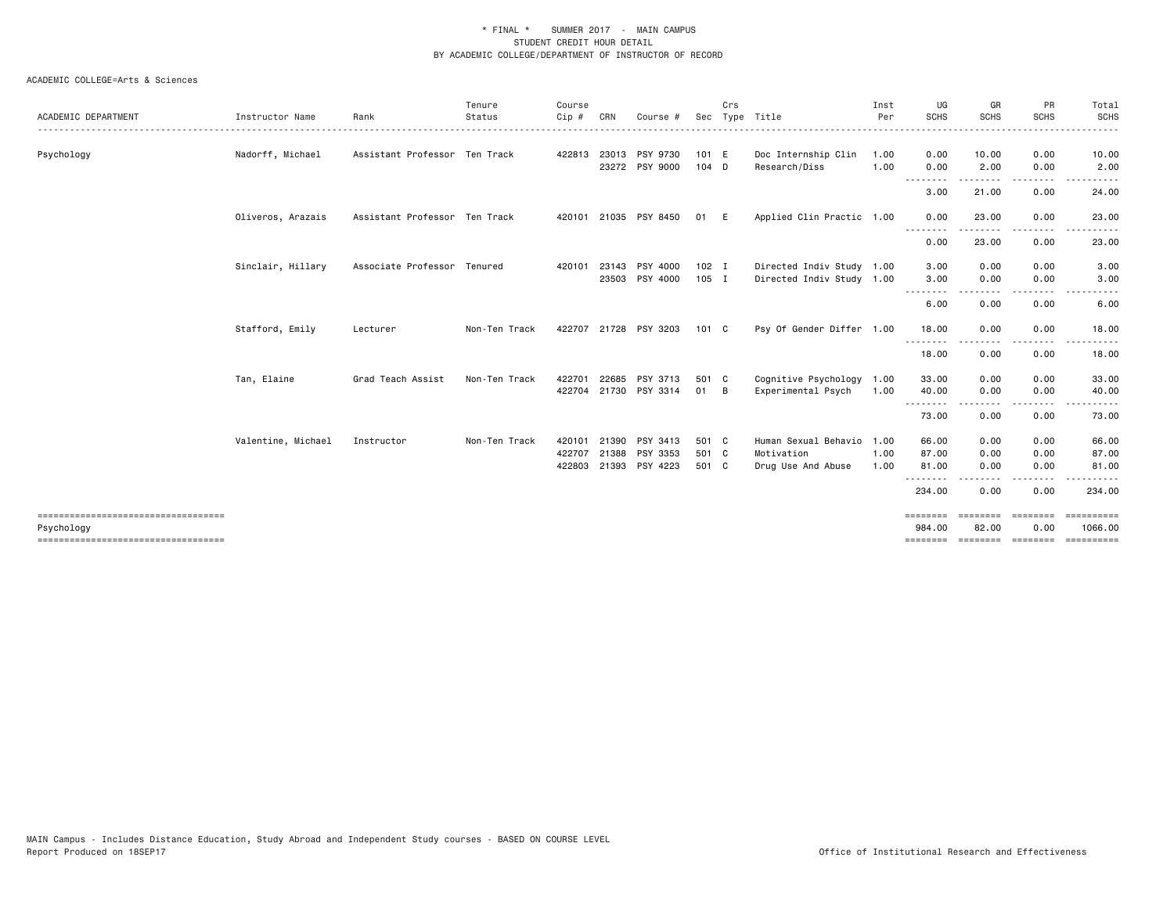|                     |                    |                               | Tenure        | Course |       |                       |         | Crs |                           | Inst     | UG                 | GR            | PR                                                                                                                                | Total                 |
|---------------------|--------------------|-------------------------------|---------------|--------|-------|-----------------------|---------|-----|---------------------------|----------|--------------------|---------------|-----------------------------------------------------------------------------------------------------------------------------------|-----------------------|
| ACADEMIC DEPARTMENT | Instructor Name    | Rank                          | Status        | Cip #  | CRN   | Course #              | Sec     |     | Type Title                | Per<br>. | <b>SCHS</b>        | <b>SCHS</b>   | <b>SCHS</b>                                                                                                                       | <b>SCHS</b>           |
| Psychology          | Nadorff, Michael   | Assistant Professor Ten Track |               |        |       | 422813 23013 PSY 9730 | 101 E   |     | Doc Internship Clin       | 1.00     | 0.00               | 10.00         | 0.00                                                                                                                              | 10.00                 |
|                     |                    |                               |               |        |       | 23272 PSY 9000        | $104$ D |     | Research/Diss             | 1.00     | 0.00<br>.          | 2.00<br>.     | 0.00<br>.                                                                                                                         | 2.00<br>.             |
|                     |                    |                               |               |        |       |                       |         |     |                           |          | 3.00               | 21.00         | 0.00                                                                                                                              | 24.00                 |
|                     | Oliveros, Arazais  | Assistant Professor Ten Track |               |        |       | 420101 21035 PSY 8450 | 01      | E   | Applied Clin Practic 1.00 |          | 0.00               | 23.00         | 0.00                                                                                                                              | 23.00                 |
|                     |                    |                               |               |        |       |                       |         |     |                           |          | .<br>0.00          | 23.00         | 0.00                                                                                                                              | 23.00                 |
|                     | Sinclair, Hillary  | Associate Professor Tenured   |               | 420101 | 23143 | PSY 4000              | $102$ I |     | Directed Indiv Study 1.00 |          | 3.00               | 0.00          | 0.00                                                                                                                              | 3.00                  |
|                     |                    |                               |               |        | 23503 | PSY 4000              | $105$ I |     | Directed Indiv Study 1.00 |          | 3.00<br><u>.</u>   | 0.00          | 0.00                                                                                                                              | 3.00                  |
|                     |                    |                               |               |        |       |                       |         |     |                           |          | 6.00               | .<br>0.00     | ----<br>0.00                                                                                                                      | 6.00                  |
|                     | Stafford, Emily    | Lecturer                      | Non-Ten Track |        |       | 422707 21728 PSY 3203 | 101 C   |     | Psy Of Gender Differ 1.00 |          | 18.00              | 0.00          | 0.00                                                                                                                              | 18.00                 |
|                     |                    |                               |               |        |       |                       |         |     |                           |          | <u>.</u><br>18.00  | 0.00          | 0.00                                                                                                                              | 18.00                 |
|                     | Tan, Elaine        | Grad Teach Assist             | Non-Ten Track | 422701 | 22685 | PSY 3713              | 501 C   |     | Cognitive Psychology      | 1.00     | 33.00              | 0.00          | 0.00                                                                                                                              | 33.00                 |
|                     |                    |                               |               |        |       | 422704 21730 PSY 3314 | 01      | - B | Experimental Psych        | 1.00     | 40.00<br>.         | 0.00          | 0.00                                                                                                                              | 40.00                 |
|                     |                    |                               |               |        |       |                       |         |     |                           |          | 73.00              | 0.00          | 0.00                                                                                                                              | 73.00                 |
|                     | Valentine, Michael | Instructor                    | Non-Ten Track | 420101 | 21390 | PSY 3413              | 501 C   |     | Human Sexual Behavio      | 1.00     | 66.00              | 0.00          | 0.00                                                                                                                              | 66.00                 |
|                     |                    |                               |               | 422707 | 21388 | PSY 3353              | 501 C   |     | Motivation                | 1.00     | 87.00              | 0.00          | 0.00                                                                                                                              | 87.00                 |
|                     |                    |                               |               |        |       | 422803 21393 PSY 4223 | 501 C   |     | Drug Use And Abuse        | 1.00     | 81.00              | 0.00          | 0.00                                                                                                                              | 81.00                 |
|                     |                    |                               |               |        |       |                       |         |     |                           |          | .<br>234.00        | -----<br>0.00 | $\frac{1}{2} \left( \frac{1}{2} \right) \left( \frac{1}{2} \right) \left( \frac{1}{2} \right) \left( \frac{1}{2} \right)$<br>0.00 | 234.00                |
|                     |                    |                               |               |        |       |                       |         |     |                           |          | ========           | ========      | ========                                                                                                                          | <b>SEREESEES</b>      |
| Psychology          |                    |                               |               |        |       |                       |         |     |                           |          | 984.00<br>======== | 82.00         | 0.00                                                                                                                              | 1066.00<br>========== |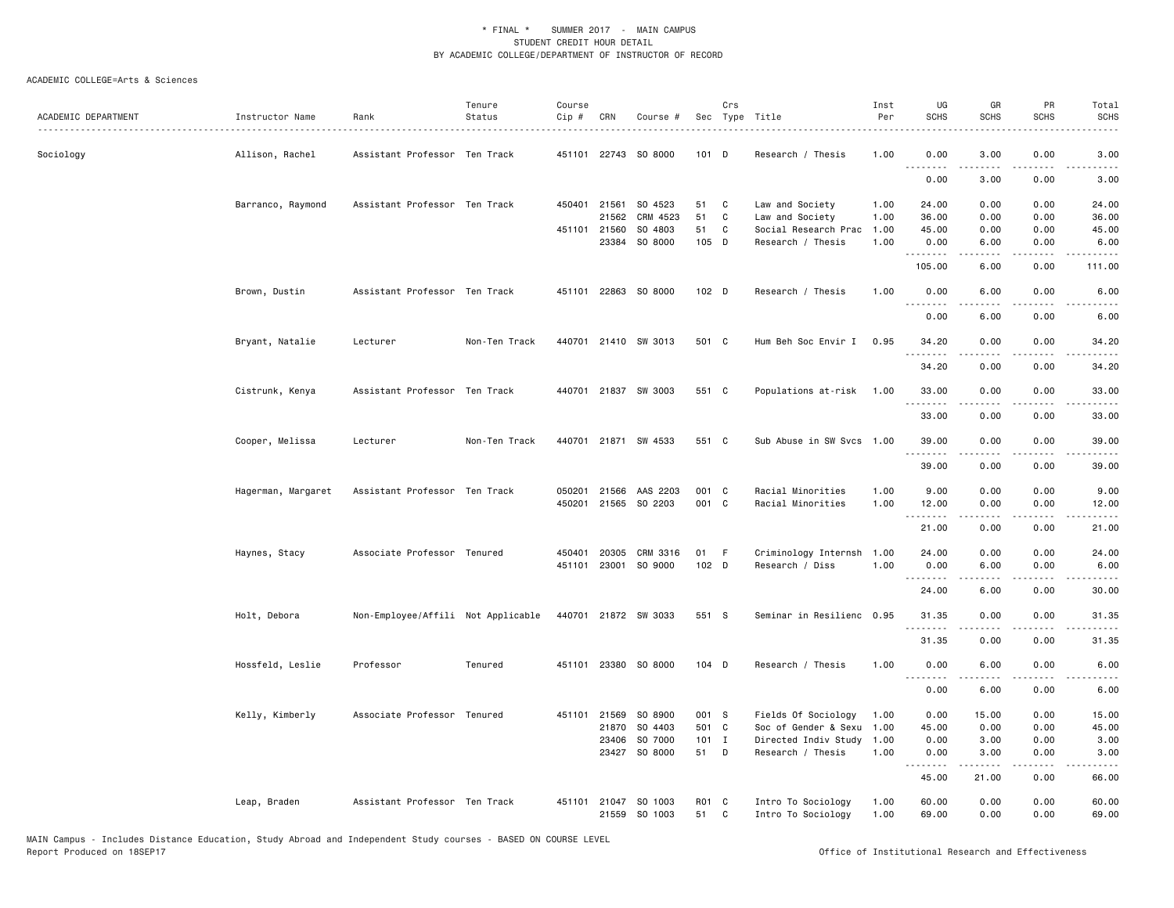| ACADEMIC DEPARTMENT | Instructor Name    | Rank                               | Tenure<br>Status | Course<br>Cip # | CRN          | Course #                              |                  | Crs<br>Sec Type Title |                                          | Inst<br>Per  | UG<br><b>SCHS</b>               | GR<br><b>SCHS</b> | PR<br><b>SCHS</b>                   | Total<br>SCHS          |
|---------------------|--------------------|------------------------------------|------------------|-----------------|--------------|---------------------------------------|------------------|-----------------------|------------------------------------------|--------------|---------------------------------|-------------------|-------------------------------------|------------------------|
|                     |                    |                                    |                  |                 |              |                                       |                  |                       |                                          |              |                                 |                   |                                     |                        |
| Sociology           | Allison, Rachel    | Assistant Professor Ten Track      |                  | 451101          |              | 22743 SO 8000                         | 101 D            |                       | Research / Thesis                        | 1.00         | 0.00<br>$\omega$ is $\omega$ in | 3.00              | 0.00<br>.                           | 3.00<br>.              |
|                     |                    |                                    |                  |                 |              |                                       |                  |                       |                                          |              | 0.00                            | 3.00              | 0.00                                | 3.00                   |
|                     | Barranco, Raymond  | Assistant Professor Ten Track      |                  |                 | 450401 21561 | SO 4523                               | 51               | C                     | Law and Society                          | 1.00         | 24.00                           | 0.00              | 0.00                                | 24.00                  |
|                     |                    |                                    |                  |                 | 21562        | CRM 4523                              | 51               | C                     | Law and Society                          | 1.00         | 36.00                           | 0.00              | 0.00                                | 36.00                  |
|                     |                    |                                    |                  |                 | 451101 21560 | SO 4803                               | 51               | $\mathtt{C}$          | Social Research Prac                     | 1.00         | 45.00                           | 0.00              | 0.00                                | 45.00                  |
|                     |                    |                                    |                  |                 | 23384        | SO 8000                               | 105 D            |                       | Research / Thesis                        | 1.00         | 0.00<br>.                       | 6.00              | 0.00<br>.                           | 6.00<br>$- - - -$      |
|                     |                    |                                    |                  |                 |              |                                       |                  |                       |                                          |              | 105.00                          | 6.00              | 0.00                                | 111.00                 |
|                     | Brown, Dustin      | Assistant Professor Ten Track      |                  |                 |              | 451101 22863 SO 8000                  | 102 <sub>D</sub> |                       | Research / Thesis                        | 1.00         | 0.00<br><u>.</u>                | 6.00              | 0.00                                | 6.00                   |
|                     |                    |                                    |                  |                 |              |                                       |                  |                       |                                          |              | 0.00                            | 6.00              | 0.00                                | 6.00                   |
|                     | Bryant, Natalie    | Lecturer                           | Non-Ten Track    |                 |              | 440701 21410 SW 3013                  | 501 C            |                       | Hum Beh Soc Envir I                      | 0.95         | 34.20<br>.                      | 0.00              | 0.00                                | 34.20<br>.             |
|                     |                    |                                    |                  |                 |              |                                       |                  |                       |                                          |              | 34.20                           | 0.00              | 0.00                                | 34.20                  |
|                     | Cistrunk, Kenya    | Assistant Professor Ten Track      |                  |                 |              | 440701 21837 SW 3003                  | 551 C            |                       | Populations at-risk                      | 1.00         | 33.00<br>.                      | 0.00<br>.         | 0.00<br>$\frac{1}{2}$               | 33.00<br>$\frac{1}{2}$ |
|                     |                    |                                    |                  |                 |              |                                       |                  |                       |                                          |              | 33.00                           | 0.00              | 0.00                                | 33.00                  |
|                     | Cooper, Melissa    | Lecturer                           | Non-Ten Track    |                 |              | 440701 21871 SW 4533                  | 551 C            |                       | Sub Abuse in SW Svcs 1.00                |              | 39.00                           | 0.00<br>.         | 0.00<br>$- - - -$                   | 39.00<br>$\cdots$      |
|                     |                    |                                    |                  |                 |              |                                       |                  |                       |                                          |              | 39.00                           | 0.00              | 0.00                                | 39.00                  |
|                     | Hagerman, Margaret | Assistant Professor Ten Track      |                  | 050201          | 21566        | AAS 2203                              | 001 C            |                       | Racial Minorities                        | 1.00         | 9.00                            | 0.00              | 0.00                                | 9.00                   |
|                     |                    |                                    |                  | 450201          | 21565        | SO 2203                               | 001 C            |                       | Racial Minorities                        | 1.00         | 12.00<br>.                      | 0.00              | 0.00<br>.                           | 12.00                  |
|                     |                    |                                    |                  |                 |              |                                       |                  |                       |                                          |              | 21.00                           | 0.00              | 0.00                                | 21.00                  |
|                     | Haynes, Stacy      | Associate Professor Tenured        |                  |                 |              | 450401 20305 CRM 3316                 | 01 F             |                       | Criminology Internsh                     | 1.00         | 24.00                           | 0.00              | 0.00                                | 24.00                  |
|                     |                    |                                    |                  |                 |              | 451101 23001 SO 9000                  | $102$ D          |                       | Research / Diss                          | 1.00         | 0.00                            | 6.00              | 0.00                                | 6.00                   |
|                     |                    |                                    |                  |                 |              |                                       |                  |                       |                                          |              | . <b>.</b><br>24.00             | 6.00              | .<br>0.00                           | $\frac{1}{2}$<br>30.00 |
|                     | Holt, Debora       | Non-Employee/Affili Not Applicable |                  |                 |              | 440701 21872 SW 3033                  | 551 S            |                       | Seminar in Resilienc 0.95                |              | 31.35                           | 0.00              | 0.00                                | 31.35                  |
|                     |                    |                                    |                  |                 |              |                                       |                  |                       |                                          |              | 31.35                           | 0.00              | 0.00                                | 31.35                  |
|                     | Hossfeld, Leslie   | Professor                          | Tenured          |                 |              | 451101 23380 SO 8000                  | 104 D            |                       | Research / Thesis                        | 1.00         | 0.00<br>.                       | 6.00<br><u>.</u>  | 0.00<br>.                           | 6.00<br>$\frac{1}{2}$  |
|                     |                    |                                    |                  |                 |              |                                       |                  |                       |                                          |              | 0.00                            | 6.00              | 0.00                                | 6.00                   |
|                     | Kelly, Kimberly    | Associate Professor Tenured        |                  | 451101          | 21569        | SO 8900                               | 001 S            |                       | Fields Of Sociology                      | 1.00         | 0.00                            | 15.00             | 0.00                                | 15.00                  |
|                     |                    |                                    |                  |                 | 21870        | SO 4403                               | 501 C            |                       | Soc of Gender & Sexu                     | 1.00         | 45.00                           | 0.00              | 0.00                                | 45.00                  |
|                     |                    |                                    |                  |                 | 23406        | SO 7000                               | 101 I            |                       | Directed Indiv Study                     | 1.00         | 0.00                            | 3.00              | 0.00                                | 3.00                   |
|                     |                    |                                    |                  |                 |              | 23427 SO 8000                         | 51               | D                     | Research / Thesis                        | 1.00         | 0.00<br>.                       | 3.00<br>.         | 0.00<br>$\sim$ $\sim$ $\sim$ $\sim$ | 3.00<br>$\frac{1}{2}$  |
|                     |                    |                                    |                  |                 |              |                                       |                  |                       |                                          |              | 45.00                           | 21.00             | 0.00                                | 66.00                  |
|                     | Leap, Braden       | Assistant Professor Ten Track      |                  |                 |              | 451101 21047 SO 1003<br>21559 SO 1003 | R01 C<br>51      | C                     | Intro To Sociology<br>Intro To Sociology | 1.00<br>1.00 | 60.00<br>69.00                  | 0.00<br>0.00      | 0.00<br>0.00                        | 60.00<br>69.00         |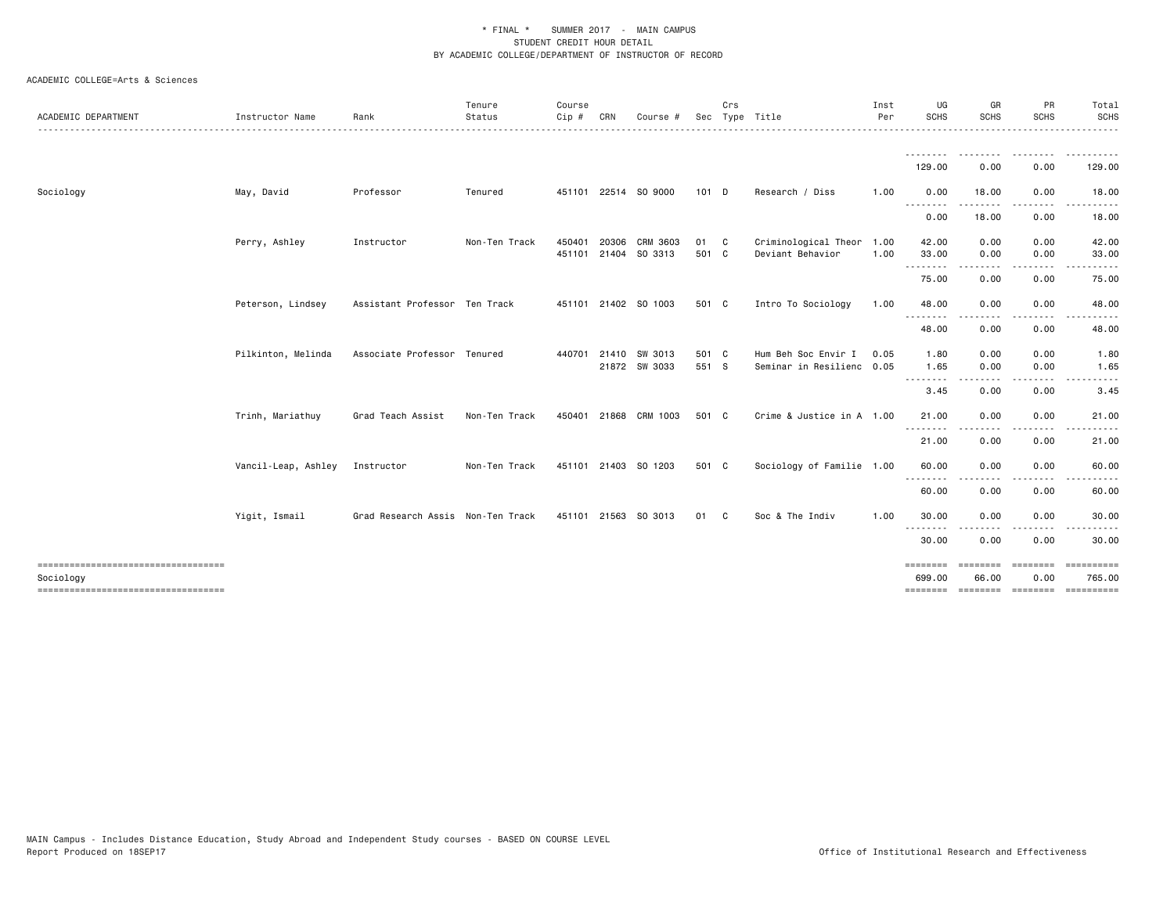| ACADEMIC DEPARTMENT                             | Instructor Name     | Rank                              | Tenure<br>Status | Course<br>Cip # | CRN          | Course                           | Sec            | Crs | Type Title                                       | Inst<br>Per  | UG<br>SCHS                     | GR<br><b>SCHS</b> | PR<br><b>SCHS</b>                                                                                                                 | Total<br><b>SCHS</b>                                 |
|-------------------------------------------------|---------------------|-----------------------------------|------------------|-----------------|--------------|----------------------------------|----------------|-----|--------------------------------------------------|--------------|--------------------------------|-------------------|-----------------------------------------------------------------------------------------------------------------------------------|------------------------------------------------------|
|                                                 |                     |                                   |                  |                 |              |                                  |                |     |                                                  |              | 129.00                         | 0.00              | 0.00                                                                                                                              | $\frac{1}{2}$<br>129.00                              |
| Sociology                                       | May, David          | Professor                         | Tenured          |                 |              | 451101 22514 SO 9000             | $101$ D        |     | Research / Diss                                  | 1.00         | 0.00                           | 18.00             | 0.00                                                                                                                              | 18.00                                                |
|                                                 |                     |                                   |                  |                 |              |                                  |                |     |                                                  |              | <u>.</u><br>0.00               | <u>.</u><br>18.00 | ----<br>0.00                                                                                                                      | $\cdots$<br>18.00                                    |
|                                                 | Perry, Ashley       | Instructor                        | Non-Ten Track    | 450401          | 20306        | CRM 3603<br>451101 21404 SO 3313 | 01 C<br>501 C  |     | Criminological Theor<br>Deviant Behavior         | 1.00<br>1.00 | 42.00<br>33.00                 | 0.00<br>0.00      | 0.00<br>0.00                                                                                                                      | 42.00<br>33.00                                       |
|                                                 |                     |                                   |                  |                 |              |                                  |                |     |                                                  |              | .<br>75.00                     | 0.00              | 0.00                                                                                                                              | 75.00                                                |
|                                                 | Peterson, Lindsey   | Assistant Professor Ten Track     |                  |                 |              | 451101 21402 SO 1003             | 501 C          |     | Intro To Sociology                               | 1.00         | 48.00                          | 0.00              | 0.00                                                                                                                              | 48.00                                                |
|                                                 |                     |                                   |                  |                 |              |                                  |                |     |                                                  |              | 48.00                          | 0.00              | $\frac{1}{2}$<br>0.00                                                                                                             | $\cdots$<br>48.00                                    |
|                                                 | Pilkinton, Melinda  | Associate Professor Tenured       |                  | 440701          | 21410        | SW 3013<br>21872 SW 3033         | 501 C<br>551 S |     | Hum Beh Soc Envir I<br>Seminar in Resilienc 0.05 | 0.05         | 1.80<br>1.65                   | 0.00<br>0.00      | 0.00<br>0.00                                                                                                                      | 1.80<br>1.65                                         |
|                                                 |                     |                                   |                  |                 |              |                                  |                |     |                                                  |              | .<br>3.45                      | .<br>0.00         | ----<br>0.00                                                                                                                      | -----<br>3.45                                        |
|                                                 | Trinh, Mariathuy    | Grad Teach Assist                 | Non-Ten Track    |                 | 450401 21868 | CRM 1003                         | 501 C          |     | Crime & Justice in A 1.00                        |              | 21.00<br>.                     | 0.00              | 0.00                                                                                                                              | 21.00                                                |
|                                                 |                     |                                   |                  |                 |              |                                  |                |     |                                                  |              | 21.00                          | 0.00              | 0.00                                                                                                                              | 21.00                                                |
|                                                 | Vancil-Leap, Ashley | Instructor                        | Non-Ten Track    |                 |              | 451101 21403 SO 1203             | 501 C          |     | Sociology of Familie 1.00                        |              | 60.00<br><u>.</u>              | 0.00<br><u>.</u>  | 0.00<br>$\cdots$                                                                                                                  | 60.00<br>. <b>.</b> .                                |
|                                                 |                     |                                   |                  |                 |              |                                  |                |     |                                                  |              | 60.00                          | 0.00              | 0.00                                                                                                                              | 60.00                                                |
|                                                 | Yigit, Ismail       | Grad Research Assis Non-Ten Track |                  |                 |              | 451101 21563 SO 3013             | 01             | - C | Soc & The Indiv                                  | 1.00         | 30.00<br>$- - - -$<br>.        | 0.00              | 0.00<br>$\frac{1}{2} \left( \frac{1}{2} \right) \left( \frac{1}{2} \right) \left( \frac{1}{2} \right) \left( \frac{1}{2} \right)$ | 30.00<br>.                                           |
|                                                 |                     |                                   |                  |                 |              |                                  |                |     |                                                  |              | 30.00                          | 0.00              | 0.00                                                                                                                              | 30.00                                                |
| Sociology<br>---------------------------------- |                     |                                   |                  |                 |              |                                  |                |     |                                                  |              | ========<br>699.00<br>======== | ========<br>66.00 | ---------<br>0.00                                                                                                                 | ==========<br>765.00<br>--------- -------- --------- |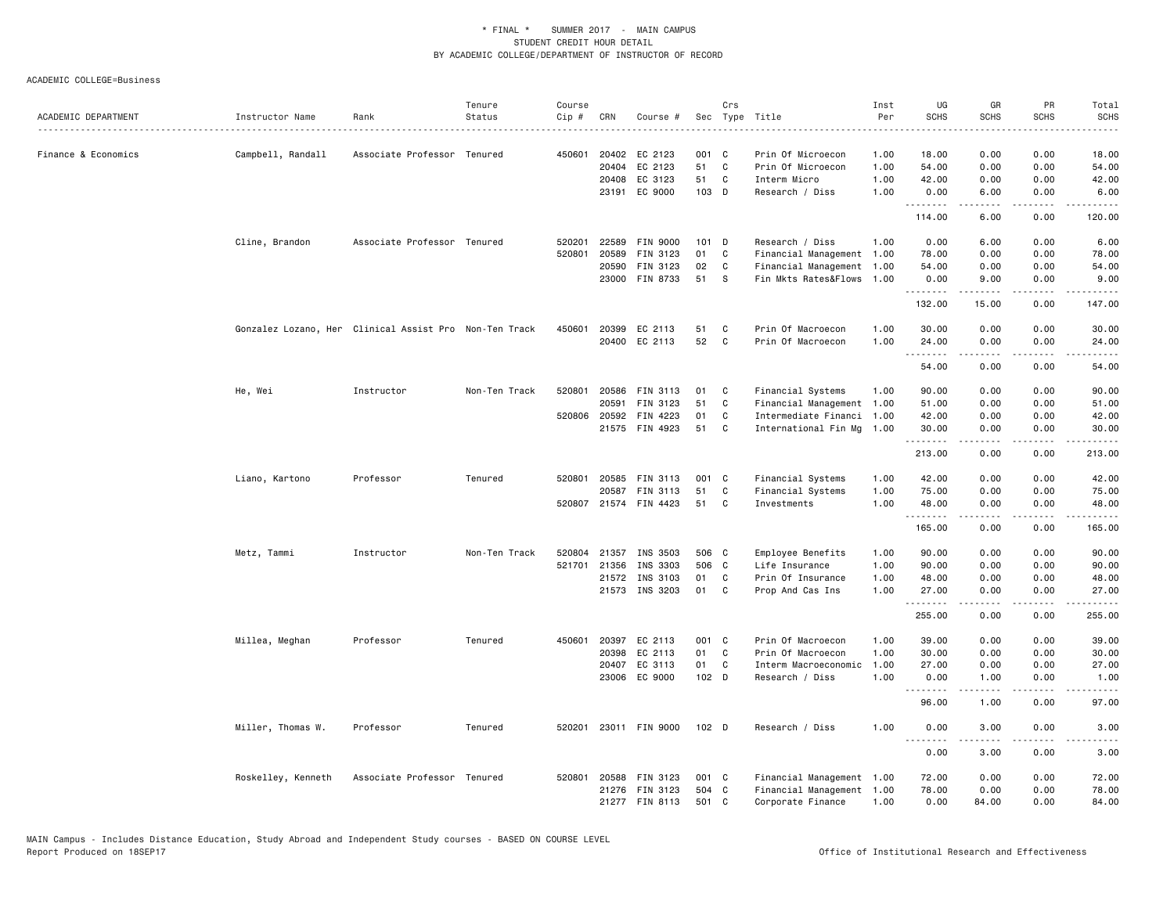|                     |                                                        |                             | Tenure        | Course |              |                       |                  | Crs      |                           | Inst | UG          | GR                                                                                                                                                            | PR                           | Total                                                                                                                                                          |
|---------------------|--------------------------------------------------------|-----------------------------|---------------|--------|--------------|-----------------------|------------------|----------|---------------------------|------|-------------|---------------------------------------------------------------------------------------------------------------------------------------------------------------|------------------------------|----------------------------------------------------------------------------------------------------------------------------------------------------------------|
| ACADEMIC DEPARTMENT | Instructor Name                                        | Rank                        | Status        | Cip #  | CRN          | Course #              |                  |          | Sec Type Title            | Per  | <b>SCHS</b> | <b>SCHS</b>                                                                                                                                                   | <b>SCHS</b>                  | <b>SCHS</b><br>.                                                                                                                                               |
| Finance & Economics | Campbell, Randall                                      | Associate Professor Tenured |               | 450601 | 20402        | EC 2123               | 001 C            |          | Prin Of Microecon         | 1.00 | 18.00       | 0.00                                                                                                                                                          | 0.00                         | 18.00                                                                                                                                                          |
|                     |                                                        |                             |               |        | 20404        | EC 2123               | 51               | C        | Prin Of Microecon         | 1.00 | 54.00       | 0.00                                                                                                                                                          | 0.00                         | 54.00                                                                                                                                                          |
|                     |                                                        |                             |               |        | 20408        | EC 3123               | 51               | <b>C</b> | Interm Micro              | 1.00 | 42.00       | 0.00                                                                                                                                                          | 0.00                         | 42.00                                                                                                                                                          |
|                     |                                                        |                             |               |        | 23191        | EC 9000               | 103 D            |          | Research / Diss           | 1.00 | 0.00        | 6.00                                                                                                                                                          | 0.00                         | 6.00                                                                                                                                                           |
|                     |                                                        |                             |               |        |              |                       |                  |          |                           |      | .<br>114.00 | 6.00                                                                                                                                                          | 0.00                         | 120.00                                                                                                                                                         |
|                     | Cline, Brandon                                         | Associate Professor Tenured |               | 520201 | 22589        | FIN 9000              | $101$ D          |          | Research / Diss           | 1.00 | 0.00        | 6.00                                                                                                                                                          | 0.00                         | 6.00                                                                                                                                                           |
|                     |                                                        |                             |               | 520801 | 20589        | FIN 3123              | 01               | C        | Financial Management 1.00 |      | 78.00       | 0.00                                                                                                                                                          | 0.00                         | 78.00                                                                                                                                                          |
|                     |                                                        |                             |               |        | 20590        | FIN 3123              | 02               | C        | Financial Management      | 1.00 | 54.00       | 0.00                                                                                                                                                          | 0.00                         | 54.00                                                                                                                                                          |
|                     |                                                        |                             |               |        | 23000        | FIN 8733              | 51               | - S      | Fin Mkts Rates&Flows      | 1.00 | 0.00        | 9.00                                                                                                                                                          | 0.00                         | 9.00                                                                                                                                                           |
|                     |                                                        |                             |               |        |              |                       |                  |          |                           |      | .<br>132.00 | $\frac{1}{2} \left( \frac{1}{2} \right) \left( \frac{1}{2} \right) \left( \frac{1}{2} \right) \left( \frac{1}{2} \right) \left( \frac{1}{2} \right)$<br>15.00 | $\sim$ $\sim$ $\sim$<br>0.00 | $\frac{1}{2} \left( \frac{1}{2} \right) \left( \frac{1}{2} \right) \left( \frac{1}{2} \right) \left( \frac{1}{2} \right) \left( \frac{1}{2} \right)$<br>147.00 |
|                     | Gonzalez Lozano, Her Clinical Assist Pro Non-Ten Track |                             |               | 450601 | 20399        | EC 2113               | 51               | C        | Prin Of Macroecon         | 1.00 | 30.00       | 0.00                                                                                                                                                          | 0.00                         | 30.00                                                                                                                                                          |
|                     |                                                        |                             |               |        | 20400        | EC 2113               | 52               | C        | Prin Of Macroecon         | 1.00 | 24.00<br>.  | 0.00<br>.                                                                                                                                                     | 0.00<br>.                    | 24.00<br>.                                                                                                                                                     |
|                     |                                                        |                             |               |        |              |                       |                  |          |                           |      | 54.00       | 0.00                                                                                                                                                          | 0.00                         | 54.00                                                                                                                                                          |
|                     | He, Wei                                                | Instructor                  | Non-Ten Track | 520801 | 20586        | <b>FIN 3113</b>       | 01               | C        | Financial Systems         | 1.00 | 90.00       | 0.00                                                                                                                                                          | 0.00                         | 90.00                                                                                                                                                          |
|                     |                                                        |                             |               |        | 20591        | FIN 3123              | 51               | C        | Financial Management      | 1.00 | 51.00       | 0.00                                                                                                                                                          | 0.00                         | 51.00                                                                                                                                                          |
|                     |                                                        |                             |               |        | 520806 20592 | FIN 4223              | 01               | C        | Intermediate Financi      | 1.00 | 42.00       | 0.00                                                                                                                                                          | 0.00                         | 42.00                                                                                                                                                          |
|                     |                                                        |                             |               |        |              | 21575 FIN 4923        | 51               | C        | International Fin Mg      | 1.00 | 30.00       | 0.00                                                                                                                                                          | 0.00                         | 30.00                                                                                                                                                          |
|                     |                                                        |                             |               |        |              |                       |                  |          |                           |      | .<br>213.00 | 0.00                                                                                                                                                          | 0.00                         | 213.00                                                                                                                                                         |
|                     | Liano, Kartono                                         | Professor                   | Tenured       |        | 520801 20585 | FIN 3113              | 001 C            |          | Financial Systems         | 1.00 | 42.00       | 0.00                                                                                                                                                          | 0.00                         | 42.00                                                                                                                                                          |
|                     |                                                        |                             |               |        | 20587        | FIN 3113              | 51               | C        | Financial Systems         | 1.00 | 75.00       | 0.00                                                                                                                                                          | 0.00                         | 75.00                                                                                                                                                          |
|                     |                                                        |                             |               |        |              | 520807 21574 FIN 4423 | 51               | C        | Investments               | 1.00 | 48.00<br>.  | 0.00<br>$- - - - -$                                                                                                                                           | 0.00<br>.                    | 48.00<br>.                                                                                                                                                     |
|                     |                                                        |                             |               |        |              |                       |                  |          |                           |      | 165.00      | 0.00                                                                                                                                                          | 0.00                         | 165.00                                                                                                                                                         |
|                     | Metz, Tammi                                            | Instructor                  | Non-Ten Track |        | 520804 21357 | INS 3503              | 506 C            |          | Employee Benefits         | 1.00 | 90.00       | 0.00                                                                                                                                                          | 0.00                         | 90.00                                                                                                                                                          |
|                     |                                                        |                             |               |        | 521701 21356 | INS 3303              | 506 C            |          | Life Insurance            | 1.00 | 90.00       | 0.00                                                                                                                                                          | 0.00                         | 90.00                                                                                                                                                          |
|                     |                                                        |                             |               |        | 21572        | INS 3103              | 01               | C        | Prin Of Insurance         | 1.00 | 48.00       | 0.00                                                                                                                                                          | 0.00                         | 48.00                                                                                                                                                          |
|                     |                                                        |                             |               |        | 21573        | INS 3203              | 01               | C        | Prop And Cas Ins          | 1.00 | 27.00<br>.  | 0.00                                                                                                                                                          | 0.00                         | 27.00                                                                                                                                                          |
|                     |                                                        |                             |               |        |              |                       |                  |          |                           |      | 255.00      | 0.00                                                                                                                                                          | 0.00                         | 255.00                                                                                                                                                         |
|                     | Millea, Meghan                                         | Professor                   | Tenured       |        | 450601 20397 | EC 2113               | 001 C            |          | Prin Of Macroecon         | 1.00 | 39.00       | 0.00                                                                                                                                                          | 0.00                         | 39.00                                                                                                                                                          |
|                     |                                                        |                             |               |        | 20398        | EC 2113               | 01               | C        | Prin Of Macroecon         | 1.00 | 30.00       | 0.00                                                                                                                                                          | 0.00                         | 30.00                                                                                                                                                          |
|                     |                                                        |                             |               |        | 20407        | EC 3113               | 01               | <b>C</b> | Interm Macroeconomic      | 1.00 | 27.00       | 0.00                                                                                                                                                          | 0.00                         | 27.00                                                                                                                                                          |
|                     |                                                        |                             |               |        |              | 23006 EC 9000         | 102 D            |          | Research / Diss           | 1.00 | 0.00<br>.   | 1.00                                                                                                                                                          | 0.00                         | 1.00                                                                                                                                                           |
|                     |                                                        |                             |               |        |              |                       |                  |          |                           |      | 96.00       | 1.00                                                                                                                                                          | 0.00                         | 97.00                                                                                                                                                          |
|                     | Miller, Thomas W.                                      | Professor                   | Tenured       |        |              | 520201 23011 FIN 9000 | 102 <sub>D</sub> |          | Research / Diss           | 1.00 | 0.00<br>.   | 3.00                                                                                                                                                          | 0.00                         | 3.00                                                                                                                                                           |
|                     |                                                        |                             |               |        |              |                       |                  |          |                           |      | 0.00        | 3.00                                                                                                                                                          | 0.00                         | 3.00                                                                                                                                                           |
|                     | Roskelley, Kenneth                                     | Associate Professor Tenured |               |        | 520801 20588 | FIN 3123              | 001 C            |          | Financial Management 1.00 |      | 72.00       | 0.00                                                                                                                                                          | 0.00                         | 72.00                                                                                                                                                          |
|                     |                                                        |                             |               |        |              | 21276 FIN 3123        | 504 C            |          | Financial Management 1.00 |      | 78.00       | 0.00                                                                                                                                                          | 0.00                         | 78.00                                                                                                                                                          |
|                     |                                                        |                             |               |        |              | 21277 FIN 8113        | 501 C            |          | Corporate Finance         | 1.00 | 0.00        | 84.00                                                                                                                                                         | 0.00                         | 84.00                                                                                                                                                          |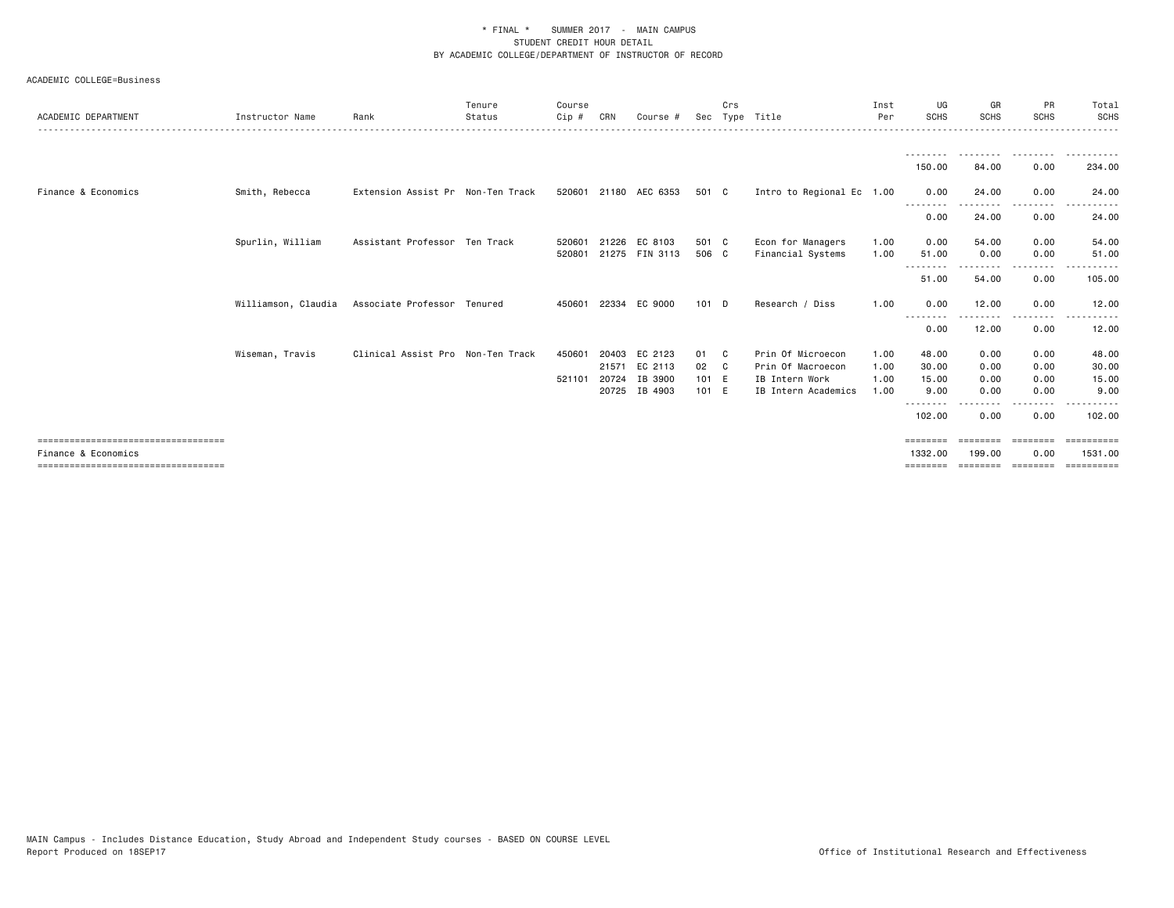| ACADEMIC DEPARTMENT                                                                                 | Instructor Name     | Rank                              | Tenure<br>Status | Course<br>$Cip$ # | CRN   | Course #                        | Sec            | Crs | Type Title                             | Inst<br>Per  | UG<br><b>SCHS</b>               | GR<br><b>SCHS</b>          | PR<br><b>SCHS</b>           | Total<br><b>SCHS</b>                |
|-----------------------------------------------------------------------------------------------------|---------------------|-----------------------------------|------------------|-------------------|-------|---------------------------------|----------------|-----|----------------------------------------|--------------|---------------------------------|----------------------------|-----------------------------|-------------------------------------|
|                                                                                                     |                     |                                   |                  |                   |       |                                 |                |     |                                        |              | <u>.</u><br>150.00              | - - - - - - - - -<br>84.00 | ---------<br>0.00           | .<br>$  -$<br>234.00                |
| Finance & Economics                                                                                 | Smith, Rebecca      | Extension Assist Pr Non-Ten Track |                  | 520601            |       | 21180 AEC 6353                  | 501 C          |     | Intro to Regional Ec 1.00              |              | 0.00                            | 24.00                      | 0.00                        | 24.00                               |
|                                                                                                     |                     |                                   |                  |                   |       |                                 |                |     |                                        |              | --------<br>0.00                | 24.00                      | 0.00                        | 24.00                               |
|                                                                                                     | Spurlin, William    | Assistant Professor Ten Track     |                  | 520601<br>520801  |       | 21226 EC 8103<br>21275 FIN 3113 | 501 C<br>506 C |     | Econ for Managers<br>Financial Systems | 1.00<br>1.00 | 0.00<br>51.00<br>-----          | 54.00<br>0.00              | 0.00<br>0.00                | 54.00<br>51.00                      |
|                                                                                                     |                     |                                   |                  |                   |       |                                 |                |     |                                        |              | 51.00                           | 54.00                      | 0.00                        | 105.00                              |
|                                                                                                     | Williamson, Claudia | Associate Professor Tenured       |                  | 450601            |       | 22334 EC 9000                   | $101$ D        |     | Research / Diss                        | 1.00         | 0.00<br>--------                | 12.00                      | 0.00<br>$\cdots$            | 12.00                               |
|                                                                                                     |                     |                                   |                  |                   |       |                                 |                |     |                                        |              | 0.00                            | 12.00                      | 0.00                        | 12.00                               |
|                                                                                                     | Wiseman, Travis     | Clinical Assist Pro Non-Ten Track |                  | 450601            | 20403 | EC 2123<br>21571 EC 2113        | 01 C<br>02 C   |     | Prin Of Microecon<br>Prin Of Macroecon | 1.00<br>1.00 | 48.00<br>30.00                  | 0.00<br>0.00               | 0.00<br>0.00                | 48.00<br>30.00                      |
|                                                                                                     |                     |                                   |                  | 521101            |       | 20724 IB 3900<br>20725 IB 4903  | 101 E<br>101 E |     | IB Intern Work<br>IB Intern Academics  | 1.00<br>1.00 | 15.00<br>9.00                   | 0.00<br>0.00               | 0.00<br>0.00                | 15.00<br>9.00                       |
|                                                                                                     |                     |                                   |                  |                   |       |                                 |                |     |                                        |              | - - - - - - - -<br>102.00       | .<br>0.00                  | .<br>0.00                   | .<br>102.00                         |
| ====================================<br>Finance & Economics<br>==================================== |                     |                                   |                  |                   |       |                                 |                |     |                                        |              | ========<br>1332.00<br>======== | ========<br>199,00         | eeeeeee<br>0.00<br>======== | ==========<br>1531.00<br>========== |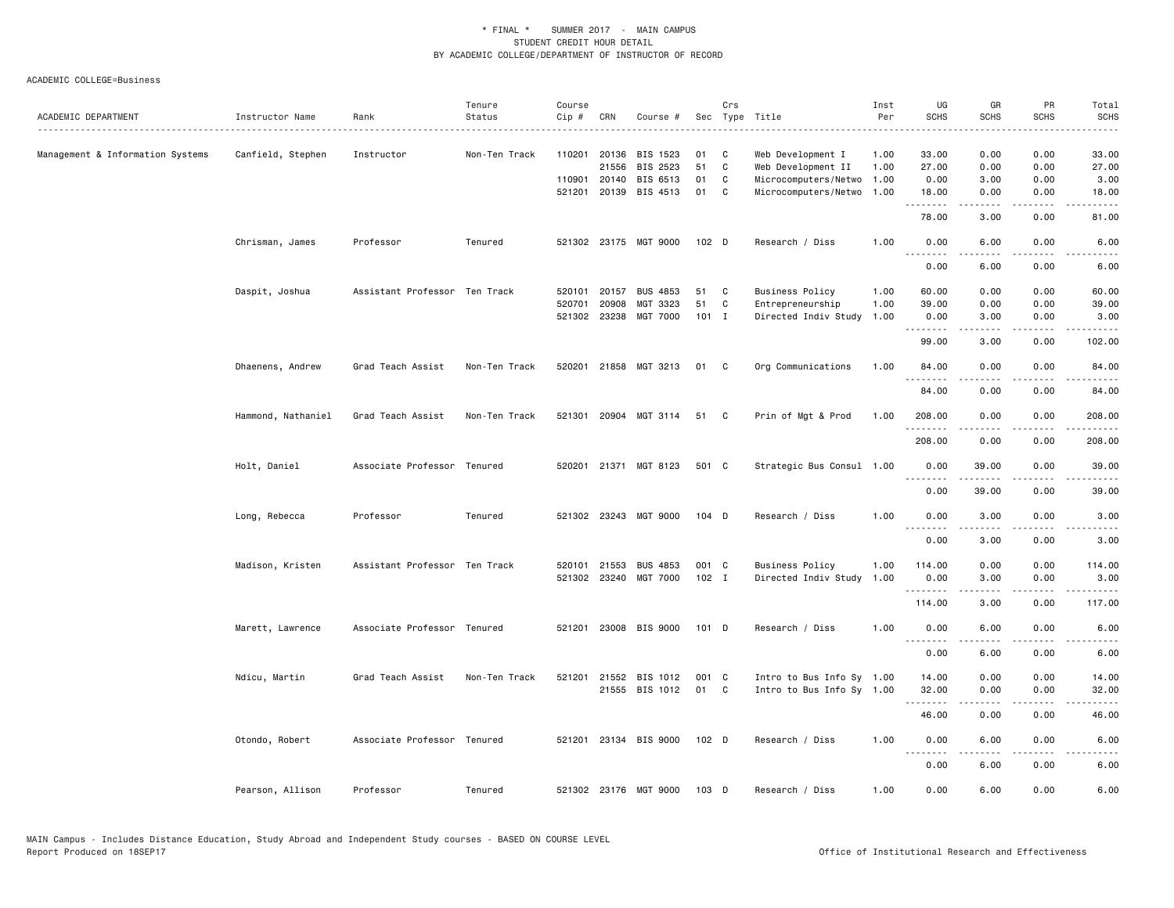| ACADEMIC DEPARTMENT              | Instructor Name    | Rank                          | Tenure<br>Status | Course<br>Cip # | CRN          | Course #              |                  | Crs          | Sec Type Title            | Inst<br>Per | UG<br><b>SCHS</b> | GR<br><b>SCHS</b>                   | PR<br><b>SCHS</b>                                                                                                                 | Total<br><b>SCHS</b>                                                                                                                                           |
|----------------------------------|--------------------|-------------------------------|------------------|-----------------|--------------|-----------------------|------------------|--------------|---------------------------|-------------|-------------------|-------------------------------------|-----------------------------------------------------------------------------------------------------------------------------------|----------------------------------------------------------------------------------------------------------------------------------------------------------------|
|                                  | .                  |                               |                  |                 |              |                       |                  |              |                           |             |                   |                                     |                                                                                                                                   |                                                                                                                                                                |
| Management & Information Systems | Canfield, Stephen  | Instructor                    | Non-Ten Track    |                 | 110201 20136 | BIS 1523              | 01               | C            | Web Development I         | 1.00        | 33.00             | 0.00                                | 0.00                                                                                                                              | 33.00                                                                                                                                                          |
|                                  |                    |                               |                  |                 | 21556        | BIS 2523              | 51               | C            | Web Development II        | 1.00        | 27.00             | 0.00                                | 0.00                                                                                                                              | 27.00                                                                                                                                                          |
|                                  |                    |                               |                  |                 | 110901 20140 | BIS 6513              | 01               | C            | Microcomputers/Netwo      | 1.00        | 0.00              | 3.00                                | 0.00                                                                                                                              | 3.00                                                                                                                                                           |
|                                  |                    |                               |                  |                 | 521201 20139 | BIS 4513              | 01               | C            | Microcomputers/Netwo      | 1.00        | 18.00<br>.        | 0.00<br>.                           | 0.00<br>$- - - -$                                                                                                                 | 18.00                                                                                                                                                          |
|                                  |                    |                               |                  |                 |              |                       |                  |              |                           |             | 78.00             | 3.00                                | 0.00                                                                                                                              | 81.00                                                                                                                                                          |
|                                  | Chrisman, James    | Professor                     | Tenured          |                 |              | 521302 23175 MGT 9000 | 102 <sub>D</sub> |              | Research / Diss           | 1.00        | 0.00<br>.         | 6.00<br>.                           | 0.00<br>$\sim$ $\sim$ $\sim$                                                                                                      | 6.00<br>$\sim$ $\sim$ $\sim$ $\sim$                                                                                                                            |
|                                  |                    |                               |                  |                 |              |                       |                  |              |                           |             | 0.00              | 6.00                                | 0.00                                                                                                                              | 6.00                                                                                                                                                           |
|                                  | Daspit, Joshua     | Assistant Professor Ten Track |                  | 520101          | 20157        | <b>BUS 4853</b>       | 51               | C            | <b>Business Policy</b>    | 1.00        | 60.00             | 0.00                                | 0.00                                                                                                                              | 60.00                                                                                                                                                          |
|                                  |                    |                               |                  | 520701          | 20908        | MGT 3323              | 51               | C            | Entrepreneurship          | 1.00        | 39.00             | 0.00                                | 0.00                                                                                                                              | 39.00                                                                                                                                                          |
|                                  |                    |                               |                  |                 | 521302 23238 | MGT 7000              | $101$ I          |              | Directed Indiv Study      | 1.00        | 0.00<br>.         | 3.00<br>$\sim$ $\sim$ $\sim$ $\sim$ | 0.00<br>.                                                                                                                         | 3.00<br>22222                                                                                                                                                  |
|                                  |                    |                               |                  |                 |              |                       |                  |              |                           |             | 99.00             | 3.00                                | 0.00                                                                                                                              | 102.00                                                                                                                                                         |
|                                  | Dhaenens, Andrew   | Grad Teach Assist             | Non-Ten Track    |                 |              | 520201 21858 MGT 3213 | 01               | $\mathbf{C}$ | Org Communications        | 1.00        | 84.00             | 0.00                                | 0.00                                                                                                                              | 84.00                                                                                                                                                          |
|                                  |                    |                               |                  |                 |              |                       |                  |              |                           |             | .<br>84.00        | 0.00                                | 0.00                                                                                                                              | 84.00                                                                                                                                                          |
|                                  | Hammond, Nathaniel | Grad Teach Assist             | Non-Ten Track    |                 |              | 521301 20904 MGT 3114 | 51               | C C          | Prin of Mgt & Prod        | 1.00        | 208.00            | 0.00                                | 0.00                                                                                                                              | 208.00                                                                                                                                                         |
|                                  |                    |                               |                  |                 |              |                       |                  |              |                           |             | .<br>208.00       | <u>.</u><br>0.00                    | 0.00                                                                                                                              | $- - - - - - -$<br>208.00                                                                                                                                      |
|                                  | Holt, Daniel       | Associate Professor Tenured   |                  |                 |              | 520201 21371 MGT 8123 | 501 C            |              | Strategic Bus Consul 1.00 |             | 0.00              | 39.00                               | 0.00                                                                                                                              | 39.00                                                                                                                                                          |
|                                  |                    |                               |                  |                 |              |                       |                  |              |                           |             | --------<br>0.00  | . <b>.</b> .<br>39.00               | $\cdots$<br>0.00                                                                                                                  | 39.00                                                                                                                                                          |
|                                  | Long, Rebecca      | Professor                     | Tenured          |                 |              | 521302 23243 MGT 9000 | $104$ D          |              | Research / Diss           | 1.00        | 0.00              | 3.00                                | 0.00                                                                                                                              | 3.00                                                                                                                                                           |
|                                  |                    |                               |                  |                 |              |                       |                  |              |                           |             | .<br>0.00         | $- - - - -$<br>3.00                 | $\frac{1}{2} \left( \frac{1}{2} \right) \left( \frac{1}{2} \right) \left( \frac{1}{2} \right) \left( \frac{1}{2} \right)$<br>0.00 | .<br>3.00                                                                                                                                                      |
|                                  | Madison, Kristen   | Assistant Professor Ten Track |                  |                 | 520101 21553 | <b>BUS 4853</b>       | 001 C            |              | <b>Business Policy</b>    | 1.00        | 114.00            | 0.00                                | 0.00                                                                                                                              | 114.00                                                                                                                                                         |
|                                  |                    |                               |                  |                 |              | 521302 23240 MGT 7000 | 102 I            |              | Directed Indiv Study      | 1.00        | 0.00              | 3.00                                | 0.00                                                                                                                              | 3.00                                                                                                                                                           |
|                                  |                    |                               |                  |                 |              |                       |                  |              |                           |             | .<br>114.00       | -----<br>3.00                       | $\sim$ $\sim$ $\sim$<br>0.00                                                                                                      | $\frac{1}{2} \left( \frac{1}{2} \right) \left( \frac{1}{2} \right) \left( \frac{1}{2} \right) \left( \frac{1}{2} \right) \left( \frac{1}{2} \right)$<br>117.00 |
|                                  | Marett, Lawrence   | Associate Professor Tenured   |                  |                 |              | 521201 23008 BIS 9000 | 101 D            |              | Research / Diss           | 1.00        | 0.00              | 6.00                                | 0.00                                                                                                                              | 6.00                                                                                                                                                           |
|                                  |                    |                               |                  |                 |              |                       |                  |              |                           |             | .<br>0.00         | .<br>6.00                           | $\sim$ $\sim$ $\sim$ $\sim$<br>0.00                                                                                               | $\frac{1}{2}$<br>6.00                                                                                                                                          |
|                                  | Ndicu, Martin      | Grad Teach Assist             | Non-Ten Track    | 521201          | 21552        | BIS 1012              | 001 C            |              | Intro to Bus Info Sy 1.00 |             | 14.00             | 0.00                                | 0.00                                                                                                                              | 14.00                                                                                                                                                          |
|                                  |                    |                               |                  |                 |              | 21555 BIS 1012        | 01               | $\mathbf{C}$ | Intro to Bus Info Sy 1.00 |             | 32.00             | 0.00                                | 0.00                                                                                                                              | 32.00                                                                                                                                                          |
|                                  |                    |                               |                  |                 |              |                       |                  |              |                           |             | .<br>46.00        | 0.00                                | ----<br>0.00                                                                                                                      | 46.00                                                                                                                                                          |
|                                  | Otondo, Robert     | Associate Professor Tenured   |                  |                 |              | 521201 23134 BIS 9000 | 102 D            |              | Research / Diss           | 1.00        | 0.00              | 6.00                                | 0.00                                                                                                                              | 6.00                                                                                                                                                           |
|                                  |                    |                               |                  |                 |              |                       |                  |              |                           |             | .<br>0.00         | .<br>6.00                           | $\sim$ $\sim$ $\sim$ $\sim$<br>0.00                                                                                               | 6.00                                                                                                                                                           |
|                                  | Pearson, Allison   | Professor                     | Tenured          |                 |              | 521302 23176 MGT 9000 | $103$ D          |              | Research / Diss           | 1.00        | 0.00              | 6.00                                | 0.00                                                                                                                              | 6.00                                                                                                                                                           |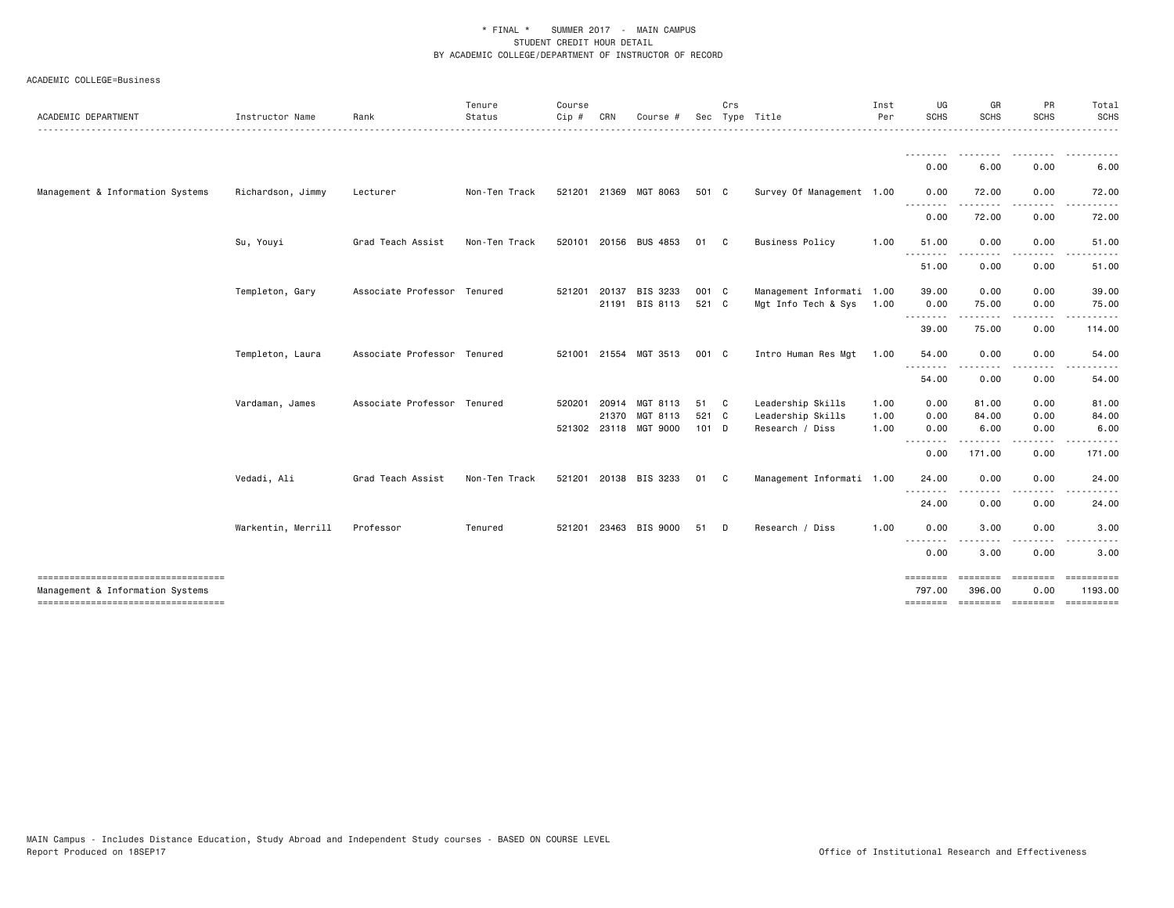| ACADEMIC DEPARTMENT                                                       | Instructor Name    | Rank                        | Tenure<br>Status | Course<br>Cip # | CRN            | Course                                        |                        | Crs          | Sec Type Title                                            | Inst<br>Per          | UG<br><b>SCHS</b><br>.                                                                                                                        | GR<br><b>SCHS</b>      | PR<br><b>SCHS</b>    | Total<br><b>SCHS</b><br>------                              |
|---------------------------------------------------------------------------|--------------------|-----------------------------|------------------|-----------------|----------------|-----------------------------------------------|------------------------|--------------|-----------------------------------------------------------|----------------------|-----------------------------------------------------------------------------------------------------------------------------------------------|------------------------|----------------------|-------------------------------------------------------------|
|                                                                           |                    |                             |                  |                 |                |                                               |                        |              |                                                           |                      | 0.00                                                                                                                                          | 6.00                   | 0.00                 | 6.00                                                        |
| Management & Information Systems                                          | Richardson, Jimmy  | Lecturer                    | Non-Ten Track    |                 |                | 521201 21369 MGT 8063                         | 501 C                  |              | Survey Of Management 1.00                                 |                      | 0.00                                                                                                                                          | 72.00                  | 0.00                 | 72.00                                                       |
|                                                                           |                    |                             |                  |                 |                |                                               |                        |              |                                                           |                      | <u>.</u><br>0.00                                                                                                                              | 72.00                  | 0.00                 | 72.00                                                       |
|                                                                           | Su, Youyi          | Grad Teach Assist           | Non-Ten Track    |                 |                | 520101 20156 BUS 4853                         | 01                     | $\mathbf{C}$ | <b>Business Policy</b>                                    | 1.00                 | 51.00                                                                                                                                         | 0.00                   | 0.00                 | 51.00                                                       |
|                                                                           |                    |                             |                  |                 |                |                                               |                        |              |                                                           |                      | <u>.</u><br>51.00                                                                                                                             | 0.00                   | 0.00                 | 51.00                                                       |
|                                                                           | Templeton, Gary    | Associate Professor Tenured |                  | 521201          | 20137          | BIS 3233<br>21191 BIS 8113                    | 001 C<br>521 C         |              | Management Informati 1.00<br>Mgt Info Tech & Sys 1.00     |                      | 39.00<br>0.00<br>.                                                                                                                            | 0.00<br>75.00<br>.     | 0.00<br>0.00<br>.    | 39.00<br>75.00                                              |
|                                                                           |                    |                             |                  |                 |                |                                               |                        |              |                                                           |                      | 39.00                                                                                                                                         | 75.00                  | 0.00                 | 114.00                                                      |
|                                                                           | Templeton, Laura   | Associate Professor Tenured |                  |                 |                | 521001 21554 MGT 3513                         | 001 C                  |              | Intro Human Res Mgt                                       | 1.00                 | 54.00                                                                                                                                         | 0.00                   | 0.00                 | 54.00                                                       |
|                                                                           |                    |                             |                  |                 |                |                                               |                        |              |                                                           |                      | .<br>54.00                                                                                                                                    | 0.00                   | 0.00                 | 54.00                                                       |
|                                                                           | Vardaman, James    | Associate Professor Tenured |                  | 520201          | 20914<br>21370 | MGT 8113<br>MGT 8113<br>521302 23118 MGT 9000 | 51 C<br>521 C<br>101 D |              | Leadership Skills<br>Leadership Skills<br>Research / Diss | 1.00<br>1.00<br>1.00 | 0.00<br>0.00<br>0.00                                                                                                                          | 81.00<br>84.00<br>6.00 | 0.00<br>0.00<br>0.00 | 81.00<br>84.00<br>6.00                                      |
|                                                                           |                    |                             |                  |                 |                |                                               |                        |              |                                                           |                      | $\frac{1}{2} \left( \frac{1}{2} \right) \left( \frac{1}{2} \right) \left( \frac{1}{2} \right) \left( \frac{1}{2} \right)$<br>$\cdots$<br>0.00 | 171.00                 | .<br>0.00            | 171.00                                                      |
|                                                                           | Vedadi, Ali        | Grad Teach Assist           | Non-Ten Track    |                 |                | 521201 20138 BIS 3233                         | 01                     | C            | Management Informati 1.00                                 |                      | 24.00                                                                                                                                         | 0.00                   | 0.00                 | 24.00                                                       |
|                                                                           |                    |                             |                  |                 |                |                                               |                        |              |                                                           |                      | .<br>24.00                                                                                                                                    | 0.00                   | 0.00                 | 24.00                                                       |
|                                                                           | Warkentin, Merrill | Professor                   | Tenured          |                 |                | 521201 23463 BIS 9000                         | 51                     | D            | Research / Diss                                           | 1.00                 | 0.00                                                                                                                                          | 3.00                   | 0.00                 | 3.00                                                        |
|                                                                           |                    |                             |                  |                 |                |                                               |                        |              |                                                           |                      | $\frac{1}{2}$<br>. <b>.</b> .<br>0.00                                                                                                         | 3.00                   | 0.00                 | 3.00                                                        |
| Management & Information Systems<br>------------------------------------- |                    |                             |                  |                 |                |                                               |                        |              |                                                           |                      | ========<br>797.00                                                                                                                            | ========<br>396.00     | $=$ =======<br>0.00  | ==========<br>1193.00<br>-------- ------- ------- --------- |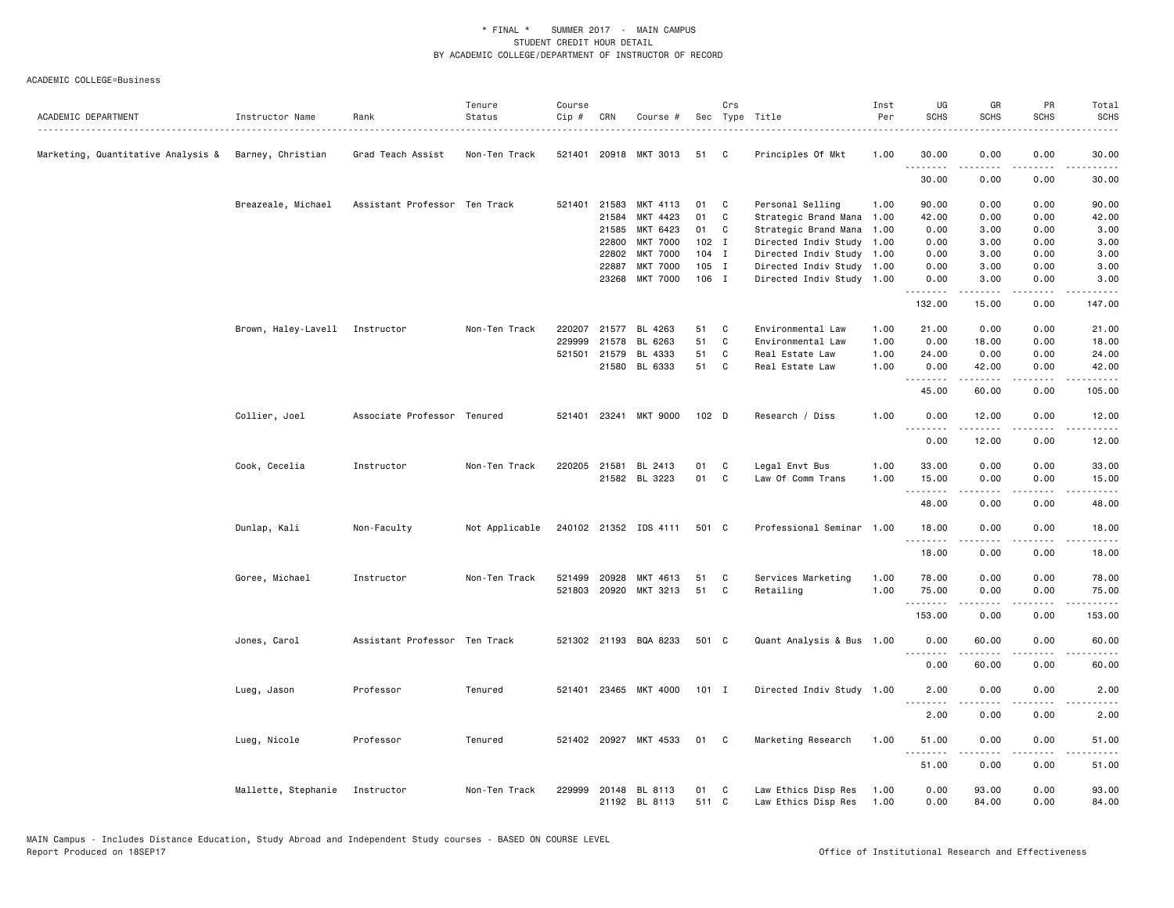| ACADEMIC DEPARTMENT                                  | Instructor Name                | Rank                          | Tenure<br>Status | Course<br>Cip # | CRN          | Course #                       |             | Crs          | Sec Type Title                             | Inst<br>Per  | UG<br><b>SCHS</b>                                                                                                                 | GR<br><b>SCHS</b> | PR<br>SCHS            | Total<br><b>SCHS</b> |
|------------------------------------------------------|--------------------------------|-------------------------------|------------------|-----------------|--------------|--------------------------------|-------------|--------------|--------------------------------------------|--------------|-----------------------------------------------------------------------------------------------------------------------------------|-------------------|-----------------------|----------------------|
| Marketing, Quantitative Analysis & Barney, Christian |                                | Grad Teach Assist             | Non-Ten Track    |                 |              | 521401 20918 MKT 3013          | 51          | $\mathbf{C}$ | Principles Of Mkt                          | 1.00         | 30.00                                                                                                                             | 0.00              | 0.00                  | 30.00                |
|                                                      |                                |                               |                  |                 |              |                                |             |              |                                            |              | .<br>30.00                                                                                                                        | .<br>0.00         | $\frac{1}{2}$<br>0.00 | 30.00                |
|                                                      | Breazeale, Michael             | Assistant Professor Ten Track |                  |                 | 521401 21583 | MKT 4113                       | 01          | $\mathbf{C}$ | Personal Selling                           | 1.00         | 90.00                                                                                                                             | 0.00              | 0.00                  | 90.00                |
|                                                      |                                |                               |                  |                 | 21584        | MKT 4423                       | 01          | C            | Strategic Brand Mana 1.00                  |              | 42.00                                                                                                                             | 0.00              | 0.00                  | 42.00                |
|                                                      |                                |                               |                  |                 | 21585        | MKT 6423                       | 01          | C            | Strategic Brand Mana 1.00                  |              | 0.00                                                                                                                              | 3.00              | 0.00                  | 3.00                 |
|                                                      |                                |                               |                  |                 | 22800        | <b>MKT 7000</b>                | $102$ I     |              | Directed Indiv Study 1.00                  |              | 0.00                                                                                                                              | 3.00              | 0.00                  | 3.00                 |
|                                                      |                                |                               |                  |                 | 22802        | <b>MKT 7000</b>                | $104$ I     |              | Directed Indiv Study 1.00                  |              | 0.00                                                                                                                              | 3.00              | 0.00                  | 3.00                 |
|                                                      |                                |                               |                  |                 | 22887        | <b>MKT 7000</b>                | 105 I       |              | Directed Indiv Study 1.00                  |              | 0.00                                                                                                                              | 3.00              | 0.00                  | 3.00                 |
|                                                      |                                |                               |                  |                 | 23268        | <b>MKT 7000</b>                | 106 I       |              | Directed Indiv Study 1.00                  |              | 0.00                                                                                                                              | 3.00              | 0.00                  | 3.00                 |
|                                                      |                                |                               |                  |                 |              |                                |             |              |                                            |              | 132.00                                                                                                                            | 15.00             | 0.00                  | 147.00               |
|                                                      | Brown, Haley-Lavell Instructor |                               | Non-Ten Track    | 220207          | 21577        | BL 4263                        | 51          | C            | Environmental Law                          | 1.00         | 21.00                                                                                                                             | 0.00              | 0.00                  | 21.00                |
|                                                      |                                |                               |                  | 229999          | 21578        | BL 6263                        | 51          | C            | Environmental Law                          | 1.00         | 0.00                                                                                                                              | 18.00             | 0.00                  | 18.00                |
|                                                      |                                |                               |                  |                 | 521501 21579 | BL 4333                        | 51          | C            | Real Estate Law                            | 1.00         | 24.00                                                                                                                             | 0.00              | 0.00                  | 24.00                |
|                                                      |                                |                               |                  |                 |              | 21580 BL 6333                  | 51 C        |              | Real Estate Law                            | 1.00         | 0.00<br>.                                                                                                                         | 42.00<br>.        | 0.00<br>.             | 42.00<br>.           |
|                                                      |                                |                               |                  |                 |              |                                |             |              |                                            |              | 45.00                                                                                                                             | 60.00             | 0.00                  | 105.00               |
|                                                      | Collier, Joel                  | Associate Professor Tenured   |                  |                 |              | 521401 23241 MKT 9000          | 102 D       |              | Research / Diss                            | 1.00         | 0.00                                                                                                                              | 12.00             | 0.00<br>.             | 12.00                |
|                                                      |                                |                               |                  |                 |              |                                |             |              |                                            |              | .<br>0.00                                                                                                                         | .<br>12.00        | 0.00                  | . <u>.</u><br>12.00  |
|                                                      | Cook, Cecelia                  | Instructor                    | Non-Ten Track    |                 | 220205 21581 | BL 2413                        | 01          | $\mathbf{C}$ | Legal Envt Bus                             | 1.00         | 33.00                                                                                                                             | 0.00              | 0.00                  | 33.00                |
|                                                      |                                |                               |                  |                 |              | 21582 BL 3223                  | 01          | C            | Law Of Comm Trans                          | 1.00         | 15.00                                                                                                                             | 0.00              | 0.00                  | 15.00                |
|                                                      |                                |                               |                  |                 |              |                                |             |              |                                            |              | .<br>48.00                                                                                                                        | .<br>0.00         | 0.00                  | $\cdots$<br>48.00    |
|                                                      | Dunlap, Kali                   | Non-Faculty                   | Not Applicable   |                 |              | 240102 21352 IDS 4111          | 501 C       |              | Professional Seminar 1.00                  |              | 18.00                                                                                                                             | 0.00              | 0.00                  | 18.00                |
|                                                      |                                |                               |                  |                 |              |                                |             |              |                                            |              | 18.00                                                                                                                             | 0.00              | 0.00                  | 18.00                |
|                                                      |                                |                               |                  |                 |              |                                |             |              |                                            |              |                                                                                                                                   |                   |                       |                      |
|                                                      | Goree, Michael                 | Instructor                    | Non-Ten Track    | 521499          | 20928        | MKT 4613                       | 51          | C            | Services Marketing                         | 1.00         | 78.00                                                                                                                             | 0.00              | 0.00                  | 78.00                |
|                                                      |                                |                               |                  |                 | 521803 20920 | MKT 3213                       | 51          | C            | Retailing                                  | 1.00         | 75.00<br>.                                                                                                                        | 0.00              | 0.00                  | 75.00                |
|                                                      |                                |                               |                  |                 |              |                                |             |              |                                            |              | 153.00                                                                                                                            | 0.00              | 0.00                  | 153.00               |
|                                                      | Jones, Carol                   | Assistant Professor Ten Track |                  |                 |              | 521302 21193 BQA 8233          | 501 C       |              | Quant Analysis & Bus 1.00                  |              | 0.00                                                                                                                              | 60.00             | 0.00                  | 60.00                |
|                                                      |                                |                               |                  |                 |              |                                |             |              |                                            |              | $\frac{1}{2} \left( \frac{1}{2} \right) \left( \frac{1}{2} \right) \left( \frac{1}{2} \right) \left( \frac{1}{2} \right)$<br>0.00 | 60.00             | 0.00                  | 60.00                |
|                                                      | Lueg, Jason                    | Professor                     | Tenured          |                 |              | 521401 23465 MKT 4000          | $101$ I     |              | Directed Indiv Study 1.00                  |              | 2.00                                                                                                                              | 0.00              | 0.00                  | 2.00                 |
|                                                      |                                |                               |                  |                 |              |                                |             |              |                                            |              | $\sim$ $\sim$ .<br>2.00                                                                                                           | 0.00              | 0.00                  | 2.00                 |
|                                                      |                                | Professor                     |                  |                 |              | 521402 20927 MKT 4533          | 01          |              |                                            | 1.00         | 51.00                                                                                                                             | 0.00              | 0.00                  |                      |
|                                                      | Lueg, Nicole                   |                               | Tenured          |                 |              |                                |             | $\mathbf{C}$ | Marketing Research                         |              | .                                                                                                                                 |                   | د د د د               | 51.00<br>.           |
|                                                      |                                |                               |                  |                 |              |                                |             |              |                                            |              | 51.00                                                                                                                             | 0.00              | 0.00                  | 51.00                |
|                                                      | Mallette, Stephanie            | Instructor                    | Non-Ten Track    | 229999          |              | 20148 BL 8113<br>21192 BL 8113 | 01<br>511 C | <b>C</b>     | Law Ethics Disp Res<br>Law Ethics Disp Res | 1.00<br>1.00 | 0.00<br>0.00                                                                                                                      | 93.00<br>84.00    | 0.00<br>0.00          | 93.00<br>84.00       |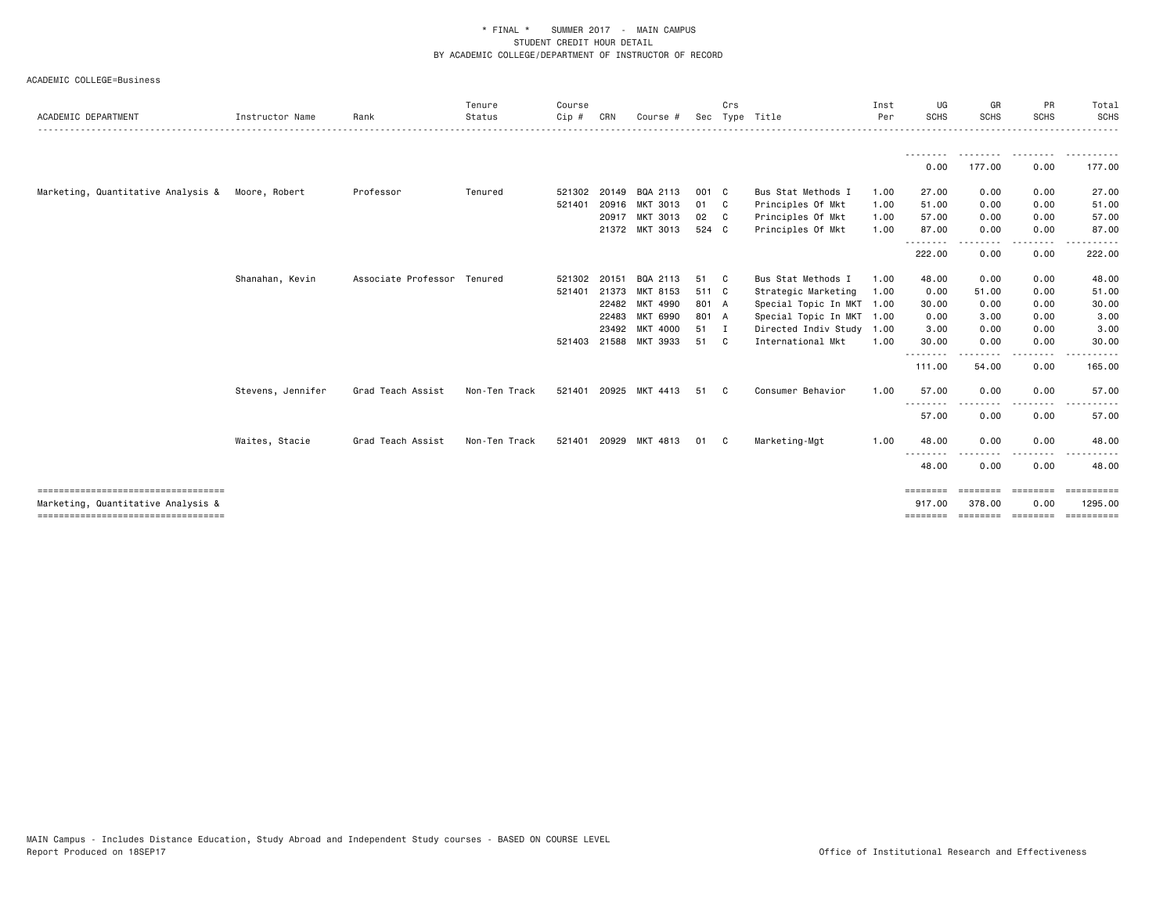| ACADEMIC DEPARTMENT                                                        | Instructor Name   | Rank                        | Tenure<br>Status | Course<br>Cip # | CRN   | Course #              |       | Crs          | Sec Type Title            | Inst<br>Per | UG<br><b>SCHS</b>  | GR<br><b>SCHS</b>        | PR<br><b>SCHS</b> | Total<br><b>SCHS</b>        |
|----------------------------------------------------------------------------|-------------------|-----------------------------|------------------|-----------------|-------|-----------------------|-------|--------------|---------------------------|-------------|--------------------|--------------------------|-------------------|-----------------------------|
|                                                                            |                   |                             |                  |                 |       |                       |       |              |                           |             |                    |                          |                   |                             |
|                                                                            |                   |                             |                  |                 |       |                       |       |              |                           |             | 0.00               | 177.00                   | 0.00              | <u>.</u><br>177.00          |
| Marketing, Quantitative Analysis & Moore, Robert                           |                   | Professor                   | Tenured          | 521302 20149    |       | BQA 2113              | 001 C |              | Bus Stat Methods I        | 1.00        | 27.00              | 0.00                     | 0.00              | 27.00                       |
|                                                                            |                   |                             |                  | 521401          |       | 20916 MKT 3013        | 01 C  |              | Principles Of Mkt         | 1.00        | 51.00              | 0.00                     | 0.00              | 51.00                       |
|                                                                            |                   |                             |                  |                 |       | 20917 MKT 3013        | 02 C  |              | Principles Of Mkt         | 1.00        | 57.00              | 0.00                     | 0.00              | 57.00                       |
|                                                                            |                   |                             |                  |                 |       | 21372 MKT 3013        | 524 C |              | Principles Of Mkt         | 1.00        | 87.00<br>.         | 0.00                     | 0.00<br>.         | 87.00                       |
|                                                                            |                   |                             |                  |                 |       |                       |       |              |                           |             | 222.00             | -----<br>0.00            | 0.00              | 222.00                      |
|                                                                            | Shanahan, Kevin   | Associate Professor Tenured |                  | 521302          | 20151 | BQA 2113              | 51 C  |              | Bus Stat Methods I        | 1.00        | 48.00              | 0.00                     | 0.00              | 48.00                       |
|                                                                            |                   |                             |                  | 521401 21373    |       | MKT 8153              | 511 C |              | Strategic Marketing       | 1.00        | 0.00               | 51.00                    | 0.00              | 51.00                       |
|                                                                            |                   |                             |                  |                 |       | 22482 MKT 4990        | 801 A |              | Special Topic In MKT 1.00 |             | 30.00              | 0.00                     | 0.00              | 30.00                       |
|                                                                            |                   |                             |                  |                 | 22483 | MKT 6990              | 801 A |              | Special Topic In MKT 1.00 |             | 0.00               | 3.00                     | 0.00              | 3.00                        |
|                                                                            |                   |                             |                  |                 |       | 23492 MKT 4000        | 51 I  |              | Directed Indiv Study 1.00 |             | 3.00               | 0.00                     | 0.00              | 3.00                        |
|                                                                            |                   |                             |                  |                 |       | 521403 21588 MKT 3933 | 51 C  |              | International Mkt         | 1.00        | 30.00              | 0.00                     | 0.00              | 30.00                       |
|                                                                            |                   |                             |                  |                 |       |                       |       |              |                           |             | .<br>111.00        | 54.00                    | .<br>0.00         | 165.00                      |
|                                                                            | Stevens, Jennifer | Grad Teach Assist           | Non-Ten Track    |                 |       | 521401 20925 MKT 4413 | 51 C  |              | Consumer Behavior         | 1.00        | 57.00              | 0.00                     | 0.00              | 57.00                       |
|                                                                            |                   |                             |                  |                 |       |                       |       |              |                           |             | .<br>57.00         | 0.00                     | 0.00              | 57.00                       |
|                                                                            | Waites, Stacie    | Grad Teach Assist           | Non-Ten Track    |                 |       | 521401 20929 MKT 4813 | 01    | $\mathbf{C}$ | Marketing-Mgt             | 1.00        | 48.00              | 0.00                     | 0.00              | 48.00                       |
|                                                                            |                   |                             |                  |                 |       |                       |       |              |                           |             | 48.00              | 0.00                     | 0.00              | 48.00                       |
| ====================================<br>Marketing, Quantitative Analysis & |                   |                             |                  |                 |       |                       |       |              |                           |             | ========<br>917.00 | <b>EBBEEBE</b><br>378.00 | ========<br>0.00  | <b>ESSESSESS</b><br>1295.00 |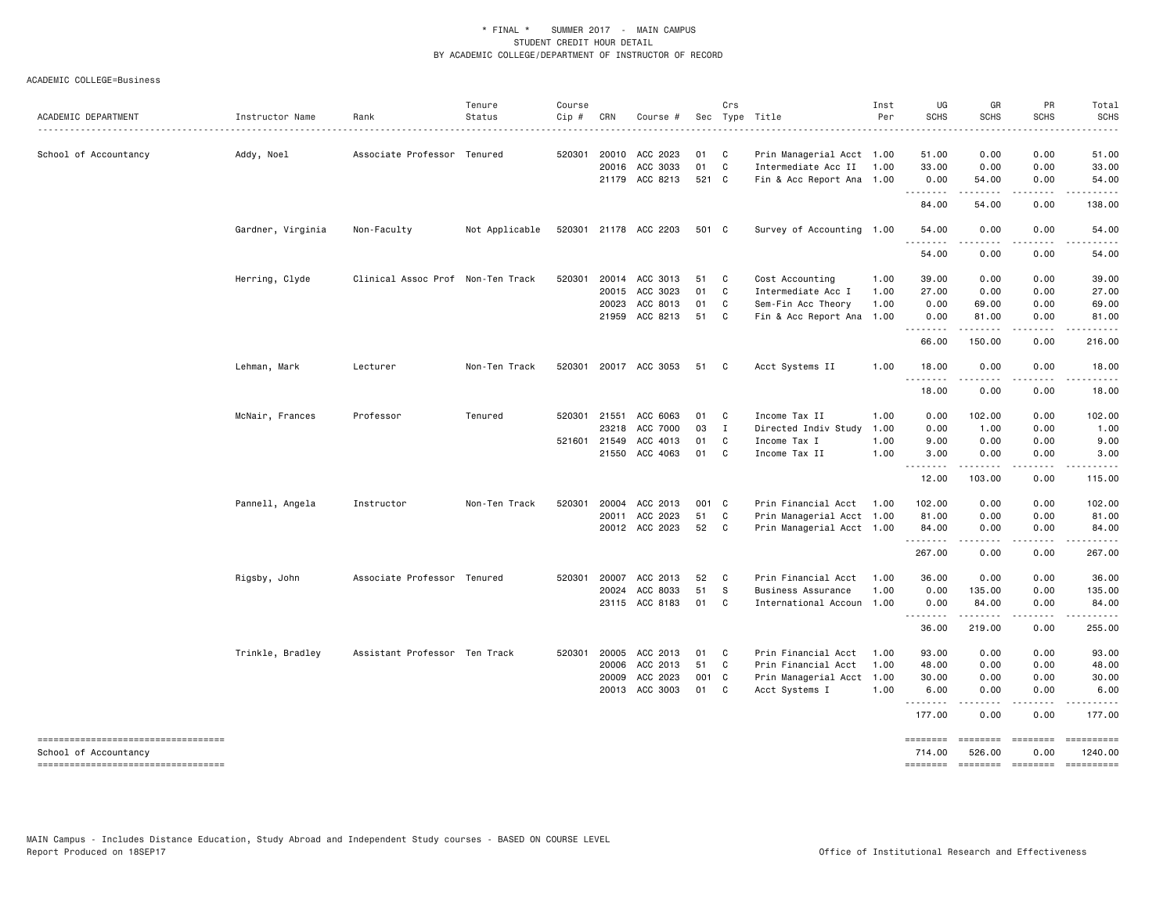ACADEMIC COLLEGE=Business

| ACADEMIC DEPARTMENT                 | Instructor Name   | Rank                              | Tenure<br>Status | Course<br>Cip # | CRN          | Course #                   |               | Crs          | Sec Type Title                                        | Inst<br>Per | UG<br><b>SCHS</b> | GR<br>SCHS                                                                                                                                                   | PR<br><b>SCHS</b> | Total<br><b>SCHS</b> |
|-------------------------------------|-------------------|-----------------------------------|------------------|-----------------|--------------|----------------------------|---------------|--------------|-------------------------------------------------------|-------------|-------------------|--------------------------------------------------------------------------------------------------------------------------------------------------------------|-------------------|----------------------|
|                                     |                   |                                   |                  | 520301          | 20010        | ACC 2023                   | 01            | $\mathbf{C}$ |                                                       |             |                   |                                                                                                                                                              | 0.00              | 51.00                |
| School of Accountancy               | Addy, Noel        | Associate Professor Tenured       |                  |                 | 20016        | ACC 3033                   | 01            | $\mathbf{C}$ | Prin Managerial Acct 1.00<br>Intermediate Acc II 1.00 |             | 51.00<br>33.00    | 0.00<br>0.00                                                                                                                                                 | 0.00              | 33.00                |
|                                     |                   |                                   |                  |                 |              | 21179 ACC 8213             | 521 C         |              | Fin & Acc Report Ana 1.00                             |             | 0.00              | 54.00                                                                                                                                                        | 0.00              | 54.00                |
|                                     |                   |                                   |                  |                 |              |                            |               |              |                                                       |             | .<br>84.00        | 54.00                                                                                                                                                        | 0.00              | 138.00               |
|                                     | Gardner, Virginia | Non-Faculty                       | Not Applicable   |                 |              | 520301 21178 ACC 2203      | 501 C         |              | Survey of Accounting 1.00                             |             | 54.00<br>.        | 0.00                                                                                                                                                         | 0.00              | 54.00                |
|                                     |                   |                                   |                  |                 |              |                            |               |              |                                                       |             | 54.00             | 0.00                                                                                                                                                         | 0.00              | 54.00                |
|                                     | Herring, Clyde    | Clinical Assoc Prof Non-Ten Track |                  |                 |              | 520301 20014 ACC 3013      | 51            | C            | Cost Accounting                                       | 1.00        | 39.00             | 0.00                                                                                                                                                         | 0.00              | 39.00                |
|                                     |                   |                                   |                  |                 | 20015        | ACC 3023                   | 01            | $\mathbf{C}$ | Intermediate Acc I                                    | 1.00        | 27.00             | 0.00                                                                                                                                                         | 0.00              | 27.00                |
|                                     |                   |                                   |                  |                 | 20023        | ACC 8013                   | 01            | C.           | Sem-Fin Acc Theory                                    | 1.00        | 0.00              | 69.00                                                                                                                                                        | 0.00              | 69.00                |
|                                     |                   |                                   |                  |                 | 21959        | ACC 8213                   | 51            | $\mathbf{C}$ | Fin & Acc Report Ana                                  | 1.00        | 0.00<br>.         | 81.00<br>.                                                                                                                                                   | 0.00<br>.         | 81.00                |
|                                     |                   |                                   |                  |                 |              |                            |               |              |                                                       |             | 66.00             | 150.00                                                                                                                                                       | 0.00              | 216.00               |
|                                     | Lehman, Mark      | Lecturer                          | Non-Ten Track    | 520301          |              | 20017 ACC 3053             | 51            | C            | Acct Systems II                                       | 1.00        | 18.00<br>.        | 0.00                                                                                                                                                         | 0.00              | 18.00                |
|                                     |                   |                                   |                  |                 |              |                            |               |              |                                                       |             | 18.00             | 0.00                                                                                                                                                         | 0.00              | 18.00                |
|                                     | McNair, Frances   | Professor                         | Tenured          |                 | 520301 21551 | ACC 6063                   | 01            | $\mathbf{C}$ | Income Tax II                                         | 1.00        | 0.00              | 102.00                                                                                                                                                       | 0.00              | 102.00               |
|                                     |                   |                                   |                  |                 | 23218        | ACC 7000                   | 03            | $\mathbf{I}$ | Directed Indiv Study                                  | 1.00        | 0.00              | 1.00                                                                                                                                                         | 0.00              | 1.00                 |
|                                     |                   |                                   |                  |                 | 521601 21549 | ACC 4013                   | 01            | C            | Income Tax I                                          | 1.00        | 9.00              | 0.00                                                                                                                                                         | 0.00              | 9.00                 |
|                                     |                   |                                   |                  |                 |              | 21550 ACC 4063             | 01            | C.           | Income Tax II                                         | 1.00        | 3.00              | 0.00<br>.                                                                                                                                                    | 0.00<br>.         | 3.00                 |
|                                     |                   |                                   |                  |                 |              |                            |               |              |                                                       |             | 12.00             | 103.00                                                                                                                                                       | 0.00              | 115.00               |
|                                     | Pannell, Angela   | Instructor                        | Non-Ten Track    | 520301          | 20004        | ACC 2013                   | 001 C         |              | Prin Financial Acct                                   | 1.00        | 102.00            | 0.00                                                                                                                                                         | 0.00              | 102.00               |
|                                     |                   |                                   |                  |                 | 20011        | ACC 2023                   | 51            | C            | Prin Managerial Acct 1.00                             |             | 81.00             | 0.00                                                                                                                                                         | 0.00              | 81.00                |
|                                     |                   |                                   |                  |                 |              | 20012 ACC 2023             | 52            | C.           | Prin Managerial Acct 1.00                             |             | 84.00<br>.        | 0.00<br>$\frac{1}{2} \left( \frac{1}{2} \right) \left( \frac{1}{2} \right) \left( \frac{1}{2} \right) \left( \frac{1}{2} \right) \left( \frac{1}{2} \right)$ | 0.00<br>.         | 84.00<br>.           |
|                                     |                   |                                   |                  |                 |              |                            |               |              |                                                       |             | 267.00            | 0.00                                                                                                                                                         | 0.00              | 267.00               |
|                                     | Rigsby, John      | Associate Professor Tenured       |                  |                 | 520301 20007 | ACC 2013                   | 52            | $\mathbf{C}$ | Prin Financial Acct                                   | 1.00        | 36.00             | 0.00                                                                                                                                                         | 0.00              | 36.00                |
|                                     |                   |                                   |                  |                 | 20024        | ACC 8033                   | 51            | - S          | Business Assurance                                    | 1.00        | 0.00              | 135.00                                                                                                                                                       | 0.00              | 135.00               |
|                                     |                   |                                   |                  |                 | 23115        | ACC 8183                   | 01            | $\mathbf{C}$ | International Accoun 1.00                             |             | 0.00<br>.         | 84.00                                                                                                                                                        | 0.00              | 84.00                |
|                                     |                   |                                   |                  |                 |              |                            |               |              |                                                       |             | 36.00             | 219.00                                                                                                                                                       | 0.00              | 255.00               |
|                                     | Trinkle, Bradley  | Assistant Professor Ten Track     |                  |                 | 520301 20005 | ACC 2013                   | 01            | $\mathbf{C}$ | Prin Financial Acct                                   | 1.00        | 93.00             | 0.00                                                                                                                                                         | 0.00              | 93.00                |
|                                     |                   |                                   |                  |                 | 20006        | ACC 2013                   | 51            | C            | Prin Financial Acct                                   | 1.00        | 48.00             | 0.00                                                                                                                                                         | 0.00              | 48.00                |
|                                     |                   |                                   |                  |                 | 20009        | ACC 2023<br>20013 ACC 3003 | 001 C<br>01 C |              | Prin Managerial Acct 1.00<br>Acct Systems I           | 1.00        | 30.00<br>6.00     | 0.00<br>0.00                                                                                                                                                 | 0.00<br>0.00      | 30.00<br>6.00        |
|                                     |                   |                                   |                  |                 |              |                            |               |              |                                                       |             | .<br>177.00       | -----<br>0.00                                                                                                                                                | .<br>0.00         | 177.00               |
|                                     |                   |                                   |                  |                 |              |                            |               |              |                                                       |             | ========          | ========                                                                                                                                                     | ========          | ==========           |
| School of Accountancy               |                   |                                   |                  |                 |              |                            |               |              |                                                       |             | 714.00            | 526.00                                                                                                                                                       | 0.00              | 1240.00              |
| ----------------------------------- |                   |                                   |                  |                 |              |                            |               |              |                                                       |             |                   |                                                                                                                                                              |                   | $-$ ==========       |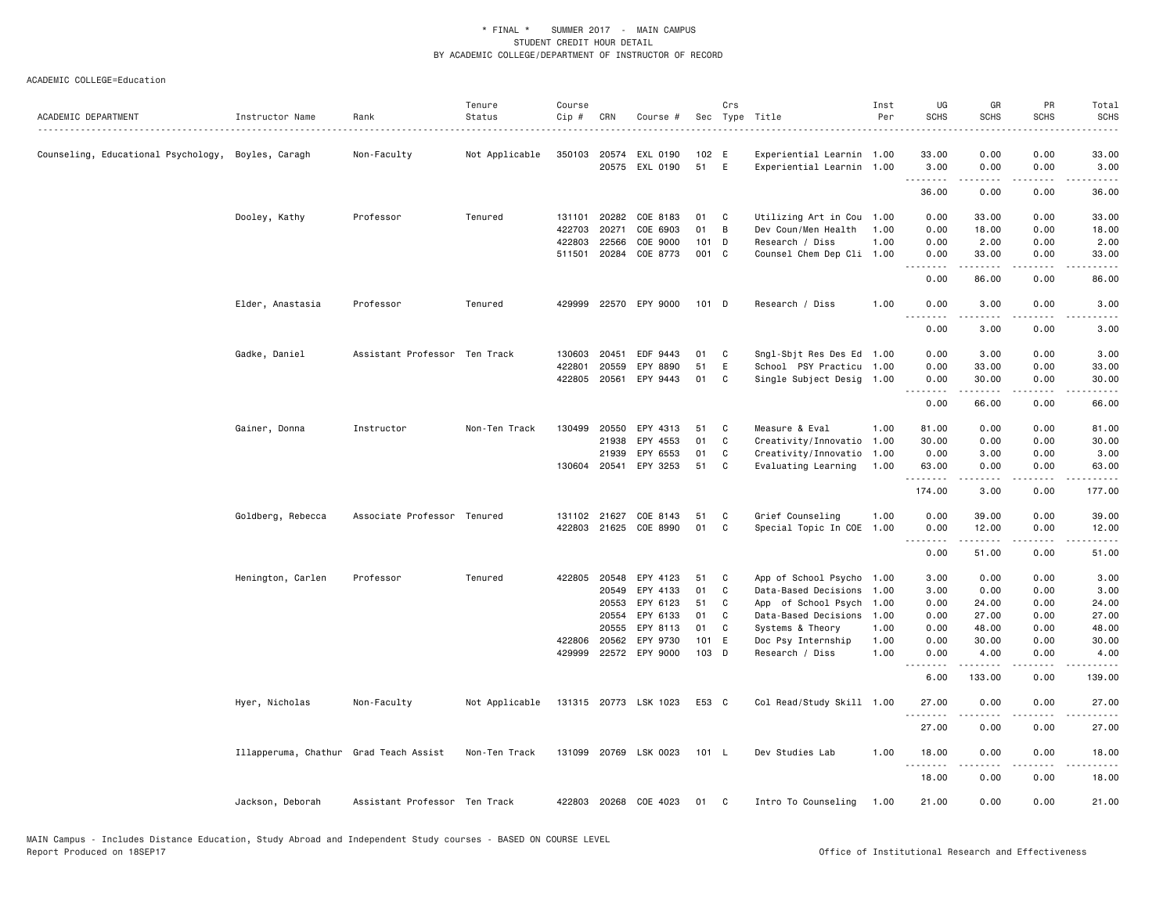| ACADEMIC DEPARTMENT                                | Instructor Name                        | Rank                          | Tenure<br>Status | Course<br>Cip#   | CRN          | Course #                   | Sec            | Crs | Type Title                            | Inst<br>Per  | UG<br><b>SCHS</b>                                                                                                                                                                                                                                                                                                                                                                                                                                                                              | GR<br><b>SCHS</b>  | PR<br><b>SCHS</b>     | Total<br><b>SCHS</b>                                                                                                                                          |
|----------------------------------------------------|----------------------------------------|-------------------------------|------------------|------------------|--------------|----------------------------|----------------|-----|---------------------------------------|--------------|------------------------------------------------------------------------------------------------------------------------------------------------------------------------------------------------------------------------------------------------------------------------------------------------------------------------------------------------------------------------------------------------------------------------------------------------------------------------------------------------|--------------------|-----------------------|---------------------------------------------------------------------------------------------------------------------------------------------------------------|
|                                                    |                                        | .                             |                  |                  |              |                            |                |     |                                       |              |                                                                                                                                                                                                                                                                                                                                                                                                                                                                                                |                    |                       |                                                                                                                                                               |
| Counseling, Educational Psychology, Boyles, Caragh |                                        | Non-Faculty                   | Not Applicable   |                  |              | 350103 20574 EXL 0190      | 102 E          |     | Experiential Learnin 1.00             |              | 33.00                                                                                                                                                                                                                                                                                                                                                                                                                                                                                          | 0.00               | 0.00                  | 33.00                                                                                                                                                         |
|                                                    |                                        |                               |                  |                  |              | 20575 EXL 0190             | 51             | E   | Experiential Learnin 1.00             |              | 3.00<br>.                                                                                                                                                                                                                                                                                                                                                                                                                                                                                      | 0.00               | 0.00<br>.             | 3.00<br>$\frac{1}{2} \left( \frac{1}{2} \right) \left( \frac{1}{2} \right) \left( \frac{1}{2} \right) \left( \frac{1}{2} \right) \left( \frac{1}{2} \right)$  |
|                                                    |                                        |                               |                  |                  |              |                            |                |     |                                       |              | 36.00                                                                                                                                                                                                                                                                                                                                                                                                                                                                                          | 0.00               | 0.00                  | 36.00                                                                                                                                                         |
|                                                    | Dooley, Kathy                          | Professor                     | Tenured          | 131101           |              | 20282 COE 8183             | 01             | C   | Utilizing Art in Cou                  | 1.00         | 0.00                                                                                                                                                                                                                                                                                                                                                                                                                                                                                           | 33.00              | 0.00                  | 33.00                                                                                                                                                         |
|                                                    |                                        |                               |                  | 422703           | 20271        | COE 6903                   | 01             | В   | Dev Coun/Men Health                   | 1.00         | 0.00                                                                                                                                                                                                                                                                                                                                                                                                                                                                                           | 18.00              | 0.00                  | 18.00                                                                                                                                                         |
|                                                    |                                        |                               |                  | 422803           | 22566        | COE 9000                   | 101            | D   | Research / Diss                       | 1.00         | 0.00                                                                                                                                                                                                                                                                                                                                                                                                                                                                                           | 2.00               | 0.00                  | 2.00                                                                                                                                                          |
|                                                    |                                        |                               |                  |                  |              | 511501 20284 COE 8773      | 001 C          |     | Counsel Chem Dep Cli 1.00             |              | 0.00<br><u>.</u>                                                                                                                                                                                                                                                                                                                                                                                                                                                                               | 33.00<br>.         | 0.00<br>.             | 33.00<br>$- - - - -$                                                                                                                                          |
|                                                    |                                        |                               |                  |                  |              |                            |                |     |                                       |              | 0.00                                                                                                                                                                                                                                                                                                                                                                                                                                                                                           | 86.00              | 0.00                  | 86.00                                                                                                                                                         |
|                                                    | Elder, Anastasia                       | Professor                     | Tenured          | 429999           |              | 22570 EPY 9000             | $101$ D        |     | Research / Diss                       | 1.00         | 0.00<br>.                                                                                                                                                                                                                                                                                                                                                                                                                                                                                      | 3.00<br>.          | 0.00<br>$   -$        | 3.00<br>.                                                                                                                                                     |
|                                                    |                                        |                               |                  |                  |              |                            |                |     |                                       |              | 0.00                                                                                                                                                                                                                                                                                                                                                                                                                                                                                           | 3.00               | 0.00                  | 3.00                                                                                                                                                          |
|                                                    | Gadke, Daniel                          | Assistant Professor Ten Track |                  | 130603           | 20451        | EDF 9443                   | 01             | C   | Sngl-Sbjt Res Des Ed                  | 1.00         | 0.00                                                                                                                                                                                                                                                                                                                                                                                                                                                                                           | 3.00               | 0.00                  | 3.00                                                                                                                                                          |
|                                                    |                                        |                               |                  | 422801           | 20559        | EPY 8890                   | 51             | E   | School PSY Practicu 1.00              |              | 0.00                                                                                                                                                                                                                                                                                                                                                                                                                                                                                           | 33.00              | 0.00                  | 33.00                                                                                                                                                         |
|                                                    |                                        |                               |                  |                  |              | 422805 20561 EPY 9443      | 01             | C   | Single Subject Desig 1.00             |              | 0.00<br>$\begin{array}{cccccccccccccc} \multicolumn{2}{c}{} & \multicolumn{2}{c}{} & \multicolumn{2}{c}{} & \multicolumn{2}{c}{} & \multicolumn{2}{c}{} & \multicolumn{2}{c}{} & \multicolumn{2}{c}{} & \multicolumn{2}{c}{} & \multicolumn{2}{c}{} & \multicolumn{2}{c}{} & \multicolumn{2}{c}{} & \multicolumn{2}{c}{} & \multicolumn{2}{c}{} & \multicolumn{2}{c}{} & \multicolumn{2}{c}{} & \multicolumn{2}{c}{} & \multicolumn{2}{c}{} & \multicolumn{2}{c}{} & \multicolumn{2}{c}{} & \$ | 30.00<br>.         | 0.00<br>.             | 30.00<br>.                                                                                                                                                    |
|                                                    |                                        |                               |                  |                  |              |                            |                |     |                                       |              | 0.00                                                                                                                                                                                                                                                                                                                                                                                                                                                                                           | 66.00              | 0.00                  | 66.00                                                                                                                                                         |
|                                                    | Gainer, Donna                          | Instructor                    | Non-Ten Track    | 130499           | 20550        | EPY 4313                   | 51             | C   | Measure & Eval                        | 1.00         | 81.00                                                                                                                                                                                                                                                                                                                                                                                                                                                                                          | 0.00               | 0.00                  | 81.00                                                                                                                                                         |
|                                                    |                                        |                               |                  |                  | 21938        | EPY 4553                   | 01             | C   | Creativity/Innovatio                  | 1.00         | 30.00                                                                                                                                                                                                                                                                                                                                                                                                                                                                                          | 0.00               | 0.00                  | 30.00                                                                                                                                                         |
|                                                    |                                        |                               |                  |                  | 21939        | EPY 6553                   | 01             | C   | Creativity/Innovatio                  | 1.00         | 0.00                                                                                                                                                                                                                                                                                                                                                                                                                                                                                           | 3.00               | 0.00                  | 3.00                                                                                                                                                          |
|                                                    |                                        |                               |                  |                  | 130604 20541 | EPY 3253                   | 51             | C   | Evaluating Learning                   | 1.00         | 63.00<br>.                                                                                                                                                                                                                                                                                                                                                                                                                                                                                     | 0.00<br>.          | 0.00<br>د د د د       | 63.00<br>.                                                                                                                                                    |
|                                                    |                                        |                               |                  |                  |              |                            |                |     |                                       |              | 174.00                                                                                                                                                                                                                                                                                                                                                                                                                                                                                         | 3.00               | 0.00                  | 177.00                                                                                                                                                        |
|                                                    | Goldberg, Rebecca                      | Associate Professor Tenured   |                  | 131102           | 21627        | COE 8143                   | 51             | C   | Grief Counseling                      | 1.00         | 0.00                                                                                                                                                                                                                                                                                                                                                                                                                                                                                           | 39.00              | 0.00                  | 39.00                                                                                                                                                         |
|                                                    |                                        |                               |                  |                  |              | 422803 21625 COE 8990      | 01             | C   | Special Topic In COE 1.00             |              | 0.00                                                                                                                                                                                                                                                                                                                                                                                                                                                                                           | 12.00<br>.         | 0.00<br>.             | 12.00                                                                                                                                                         |
|                                                    |                                        |                               |                  |                  |              |                            |                |     |                                       |              | $\begin{array}{cccccccccccccc} \multicolumn{2}{c}{} & \multicolumn{2}{c}{} & \multicolumn{2}{c}{} & \multicolumn{2}{c}{} & \multicolumn{2}{c}{} & \multicolumn{2}{c}{} & \multicolumn{2}{c}{} & \multicolumn{2}{c}{} & \multicolumn{2}{c}{} & \multicolumn{2}{c}{} & \multicolumn{2}{c}{} & \multicolumn{2}{c}{} & \multicolumn{2}{c}{} & \multicolumn{2}{c}{} & \multicolumn{2}{c}{} & \multicolumn{2}{c}{} & \multicolumn{2}{c}{} & \multicolumn{2}{c}{} & \multicolumn{2}{c}{} & \$<br>0.00 | 51.00              | 0.00                  | .<br>51.00                                                                                                                                                    |
|                                                    | Henington, Carlen                      | Professor                     | Tenured          | 422805           | 20548        | EPY 4123                   | 51             | C   | App of School Psycho                  | 1.00         | 3.00                                                                                                                                                                                                                                                                                                                                                                                                                                                                                           | 0.00               | 0.00                  | 3.00                                                                                                                                                          |
|                                                    |                                        |                               |                  |                  | 20549        | EPY 4133                   | 01             | C   | Data-Based Decisions                  | 1.00         | 3.00                                                                                                                                                                                                                                                                                                                                                                                                                                                                                           | 0.00               | 0.00                  | 3.00                                                                                                                                                          |
|                                                    |                                        |                               |                  |                  | 20553        | EPY 6123                   | 51             | C   | App of School Psych                   | 1.00         | 0.00                                                                                                                                                                                                                                                                                                                                                                                                                                                                                           | 24.00              | 0.00                  | 24.00                                                                                                                                                         |
|                                                    |                                        |                               |                  |                  | 20554        | EPY 6133                   | 01             | C   | Data-Based Decisions                  | 1.00         | 0.00                                                                                                                                                                                                                                                                                                                                                                                                                                                                                           | 27.00              | 0.00                  | 27.00                                                                                                                                                         |
|                                                    |                                        |                               |                  |                  | 20555        | EPY 8113                   | 01             | C   | Systems & Theory                      | 1.00         | 0.00                                                                                                                                                                                                                                                                                                                                                                                                                                                                                           | 48.00              | 0.00                  | 48.00                                                                                                                                                         |
|                                                    |                                        |                               |                  | 422806<br>429999 | 20562        | EPY 9730<br>22572 EPY 9000 | 101 E<br>103 D |     | Doc Psy Internship<br>Research / Diss | 1.00<br>1.00 | 0.00<br>0.00                                                                                                                                                                                                                                                                                                                                                                                                                                                                                   | 30.00<br>4.00      | 0.00<br>0.00          | 30.00<br>4.00                                                                                                                                                 |
|                                                    |                                        |                               |                  |                  |              |                            |                |     |                                       |              | . <b>.</b>                                                                                                                                                                                                                                                                                                                                                                                                                                                                                     | 1.1.1.1.1          | د د د د               | .                                                                                                                                                             |
|                                                    |                                        |                               |                  |                  |              |                            |                |     |                                       |              | 6.00                                                                                                                                                                                                                                                                                                                                                                                                                                                                                           | 133.00             | 0.00                  | 139.00                                                                                                                                                        |
|                                                    | Hyer, Nicholas                         | Non-Faculty                   | Not Applicable   |                  |              | 131315 20773 LSK 1023      | E53 C          |     | Col Read/Study Skill 1.00             |              | 27.00<br>.                                                                                                                                                                                                                                                                                                                                                                                                                                                                                     | 0.00<br>.          | 0.00<br>$   -$        | 27.00                                                                                                                                                         |
|                                                    |                                        |                               |                  |                  |              |                            |                |     |                                       |              | 27.00                                                                                                                                                                                                                                                                                                                                                                                                                                                                                          | 0.00               | 0.00                  | 27.00                                                                                                                                                         |
|                                                    | Illapperuma, Chathur Grad Teach Assist |                               | Non-Ten Track    |                  |              | 131099 20769 LSK 0023      | 101 L          |     | Dev Studies Lab                       | 1.00         | 18.00<br>.                                                                                                                                                                                                                                                                                                                                                                                                                                                                                     | 0.00<br>. <b>.</b> | 0.00<br>$\frac{1}{2}$ | 18.00<br>$\frac{1}{2} \left( \frac{1}{2} \right) \left( \frac{1}{2} \right) \left( \frac{1}{2} \right) \left( \frac{1}{2} \right) \left( \frac{1}{2} \right)$ |
|                                                    |                                        |                               |                  |                  |              |                            |                |     |                                       |              | 18.00                                                                                                                                                                                                                                                                                                                                                                                                                                                                                          | 0.00               | 0.00                  | 18.00                                                                                                                                                         |
|                                                    | Jackson, Deborah                       | Assistant Professor Ten Track |                  |                  |              | 422803 20268 COE 4023      | 01             | C   | Intro To Counseling                   | 1.00         | 21.00                                                                                                                                                                                                                                                                                                                                                                                                                                                                                          | 0.00               | 0.00                  | 21.00                                                                                                                                                         |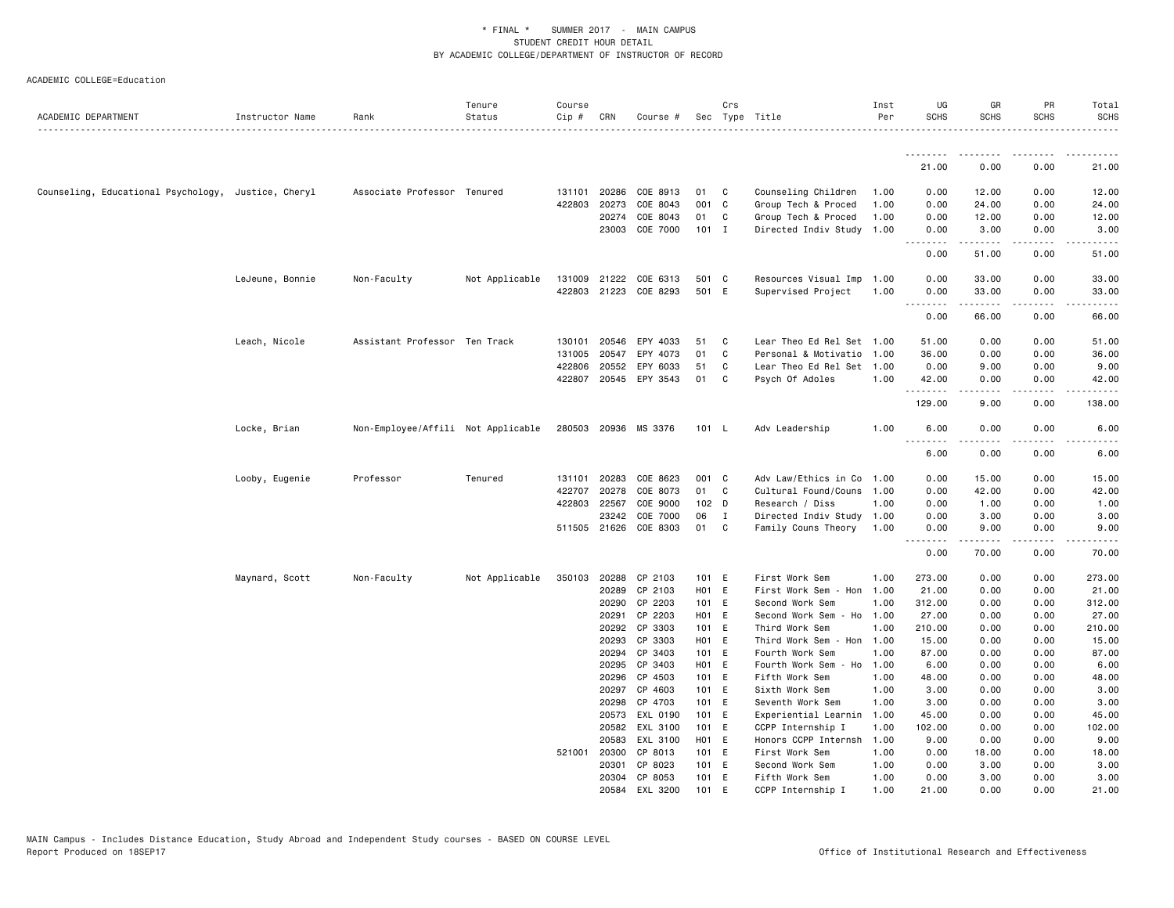| ACADEMIC DEPARTMENT                                 | Instructor Name | Rank                               | Tenure<br>Status | Course<br>Cip # | CRN            | Course #              |                | Crs          | Sec Type Title                            | Inst<br>Per  | UG<br><b>SCHS</b> | GR<br><b>SCHS</b> | PR<br><b>SCHS</b> | Total<br><b>SCHS</b> |
|-----------------------------------------------------|-----------------|------------------------------------|------------------|-----------------|----------------|-----------------------|----------------|--------------|-------------------------------------------|--------------|-------------------|-------------------|-------------------|----------------------|
|                                                     |                 |                                    |                  |                 |                |                       |                |              |                                           |              |                   |                   |                   |                      |
|                                                     |                 |                                    |                  |                 |                |                       |                |              |                                           |              | 21.00             | 0.00              | 0.00              | 21.00                |
| Counseling, Educational Psychology, Justice, Cheryl |                 | Associate Professor Tenured        |                  | 131101          | 20286          | COE 8913              | 01             | C.           | Counseling Children                       | 1.00         | 0.00              | 12.00             | 0.00              | 12.00                |
|                                                     |                 |                                    |                  | 422803          | 20273          | COE 8043              | 001 C          |              | Group Tech & Proced                       | 1.00         | 0.00              | 24.00             | 0.00              | 24.00                |
|                                                     |                 |                                    |                  |                 | 20274          | COE 8043              | 01             | C.           | Group Tech & Proced                       | 1.00         | 0.00              | 12.00             | 0.00              | 12.00                |
|                                                     |                 |                                    |                  |                 |                | 23003 COE 7000        | $101$ I        |              | Directed Indiv Study 1.00                 |              | 0.00<br>--------  | 3.00<br>.         | 0.00<br>.         | 3.00<br>.            |
|                                                     |                 |                                    |                  |                 |                |                       |                |              |                                           |              | 0.00              | 51.00             | 0.00              | 51.00                |
|                                                     | LeJeune, Bonnie | Non-Faculty                        | Not Applicable   | 131009          | 21222          | COE 6313              | 501 C          |              | Resources Visual Imp 1.00                 |              | 0.00              | 33.00             | 0.00              | 33.00                |
|                                                     |                 |                                    |                  |                 |                | 422803 21223 COE 8293 | 501 E          |              | Supervised Project                        | 1.00         | 0.00              | 33.00             | 0.00              | 33.00                |
|                                                     |                 |                                    |                  |                 |                |                       |                |              |                                           |              | .<br>0.00         | .<br>66.00        | .<br>0.00         | .<br>66.00           |
|                                                     | Leach, Nicole   | Assistant Professor Ten Track      |                  | 130101          | 20546          | EPY 4033              | 51             | C            | Lear Theo Ed Rel Set 1.00                 |              | 51.00             | 0.00              | 0.00              | 51.00                |
|                                                     |                 |                                    |                  | 131005          | 20547          | EPY 4073              | 01             | C            | Personal & Motivatio                      | 1.00         | 36.00             | 0.00              | 0.00              | 36.00                |
|                                                     |                 |                                    |                  |                 | 422806 20552   | EPY 6033              | 51             | C            | Lear Theo Ed Rel Set 1.00                 |              | 0.00              | 9.00              | 0.00              | 9.00                 |
|                                                     |                 |                                    |                  |                 |                | 422807 20545 EPY 3543 | 01             | C            | Psych Of Adoles                           | 1.00         | 42.00<br><u>.</u> | 0.00<br>.         | 0.00<br>.         | 42.00<br>$\cdots$    |
|                                                     |                 |                                    |                  |                 |                |                       |                |              |                                           |              | 129.00            | 9.00              | 0.00              | 138.00               |
|                                                     | Locke, Brian    | Non-Employee/Affili Not Applicable |                  |                 |                | 280503 20936 MS 3376  | 101 L          |              | Adv Leadership                            | 1.00         | 6.00<br>.         | 0.00<br>.         | 0.00<br>$   -$    | 6.00<br>----         |
|                                                     |                 |                                    |                  |                 |                |                       |                |              |                                           |              | 6.00              | 0.00              | 0.00              | 6.00                 |
|                                                     | Looby, Eugenie  | Professor                          | Tenured          | 131101          | 20283          | COE 8623              | 001 C          |              | Adv Law/Ethics in Co 1.00                 |              | 0.00              | 15.00             | 0.00              | 15.00                |
|                                                     |                 |                                    |                  | 422707          | 20278          | COE 8073              | 01             | C            | Cultural Found/Couns 1.00                 |              | 0.00              | 42.00             | 0.00              | 42.00                |
|                                                     |                 |                                    |                  | 422803          | 22567          | COE 9000              | 102 D          |              | Research / Diss                           | 1.00         | 0.00              | 1.00              | 0.00              | 1.00                 |
|                                                     |                 |                                    |                  |                 | 23242          | COE 7000              | 06             | $\mathbf{I}$ | Directed Indiv Study 1.00                 |              | 0.00              | 3.00              | 0.00              | 3.00                 |
|                                                     |                 |                                    |                  |                 |                | 511505 21626 COE 8303 | 01             | C            | Family Couns Theory                       | 1.00         | 0.00<br>.         | 9.00              | 0.00<br>$- - -$   | 9.00                 |
|                                                     |                 |                                    |                  |                 |                |                       |                |              |                                           |              | 0.00              | 70.00             | 0.00              | 70.00                |
|                                                     | Maynard, Scott  | Non-Faculty                        | Not Applicable   | 350103          | 20288          | CP 2103               | 101 E          |              | First Work Sem                            | 1.00         | 273.00            | 0.00              | 0.00              | 273.00               |
|                                                     |                 |                                    |                  |                 | 20289          | CP 2103               | H01 E          |              | First Work Sem<br>- Hon                   | 1.00         | 21.00             | 0.00              | 0.00              | 21.00                |
|                                                     |                 |                                    |                  |                 | 20290          | CP 2203               | 101 E          |              | Second Work Sem                           | 1.00         | 312.00            | 0.00              | 0.00              | 312.00               |
|                                                     |                 |                                    |                  |                 | 20291          | CP 2203               | H01 E          |              | Second Work Sem<br>- Ho                   | 1.00         | 27.00             | 0.00              | 0.00              | 27.00                |
|                                                     |                 |                                    |                  |                 | 20292          | CP 3303               | 101 E          |              | Third Work Sem                            | 1.00         | 210.00            | 0.00              | 0.00              | 210.00               |
|                                                     |                 |                                    |                  |                 | 20293          | CP 3303               | H01 E          |              | Third Work Sem - Hon                      | 1.00         | 15.00             | 0.00              | 0.00              | 15.00                |
|                                                     |                 |                                    |                  |                 | 20294          | CP 3403<br>CP 3403    | 101 E<br>H01 E |              | Fourth Work Sem                           | 1.00         | 87.00             | 0.00              | 0.00              | 87.00                |
|                                                     |                 |                                    |                  |                 | 20295<br>20296 | CP 4503               | 101 E          |              | Fourth Work Sem<br>- Ho<br>Fifth Work Sem | 1.00<br>1.00 | 6.00<br>48.00     | 0.00<br>0.00      | 0.00<br>0.00      | 6.00<br>48.00        |
|                                                     |                 |                                    |                  |                 | 20297          | CP 4603               | 101 E          |              | Sixth Work Sem                            | 1.00         | 3.00              | 0.00              | 0.00              | 3.00                 |
|                                                     |                 |                                    |                  |                 | 20298          | CP 4703               | 101 E          |              | Seventh Work Sem                          | 1.00         | 3.00              | 0.00              | 0.00              | 3.00                 |
|                                                     |                 |                                    |                  |                 | 20573          | EXL 0190              | 101 E          |              | Experiential Learnin                      | 1.00         | 45.00             | 0.00              | 0.00              | 45.00                |
|                                                     |                 |                                    |                  |                 | 20582          | EXL 3100              | 101 E          |              | CCPP Internship I                         | 1.00         | 102.00            | 0.00              | 0.00              | 102.00               |
|                                                     |                 |                                    |                  |                 | 20583          | EXL 3100              | H01 E          |              | Honors CCPP Internsh                      | 1.00         | 9.00              | 0.00              | 0.00              | 9.00                 |
|                                                     |                 |                                    |                  | 521001          | 20300          | CP 8013               | 101 E          |              | First Work Sem                            | 1.00         | 0.00              | 18.00             | 0.00              | 18.00                |
|                                                     |                 |                                    |                  |                 | 20301          | CP 8023               | 101 E          |              | Second Work Sem                           | 1.00         | 0.00              | 3.00              | 0.00              | 3.00                 |
|                                                     |                 |                                    |                  |                 | 20304          | CP 8053               | 101 E          |              | Fifth Work Sem                            | 1.00         | 0.00              | 3.00              | 0.00              | 3.00                 |
|                                                     |                 |                                    |                  |                 | 20584          | EXL 3200              | 101 E          |              | CCPP Internship I                         | 1.00         | 21.00             | 0.00              | 0.00              | 21.00                |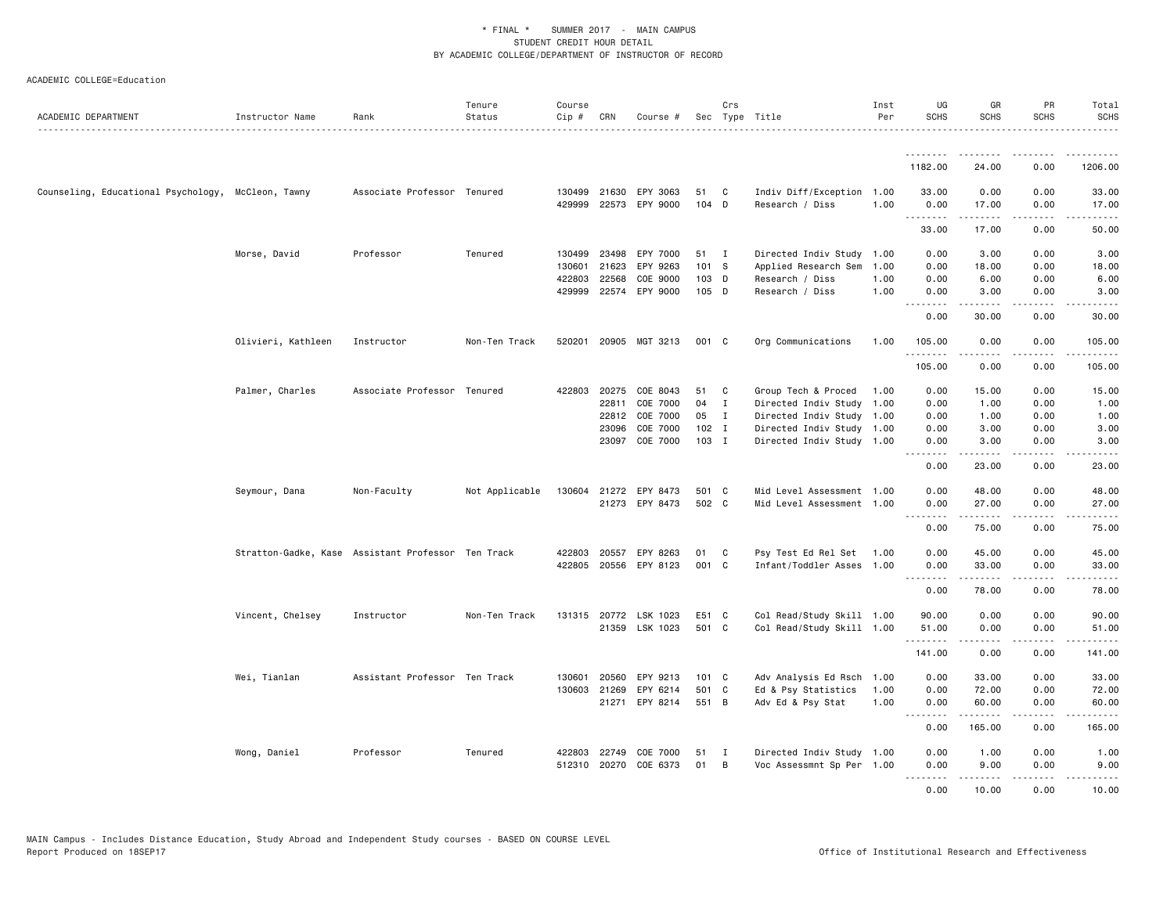| ACADEMIC DEPARTMENT                                | Instructor Name    | Rank                                               | Tenure<br>Status | Course<br>Cip # | CRN   | Course #              |               | Crs          | Sec Type Title            | Inst<br>Per | UG<br><b>SCHS</b> | GR<br><b>SCHS</b>    | PR<br><b>SCHS</b>                   | Total<br><b>SCHS</b>                                                                                                                                         |
|----------------------------------------------------|--------------------|----------------------------------------------------|------------------|-----------------|-------|-----------------------|---------------|--------------|---------------------------|-------------|-------------------|----------------------|-------------------------------------|--------------------------------------------------------------------------------------------------------------------------------------------------------------|
|                                                    |                    |                                                    |                  |                 |       |                       |               |              |                           |             |                   |                      |                                     |                                                                                                                                                              |
|                                                    |                    |                                                    |                  |                 |       |                       |               |              |                           |             | 1182.00           | 24.00                | 0.00                                | 1206.00                                                                                                                                                      |
| Counseling, Educational Psychology, McCleon, Tawny |                    | Associate Professor Tenured                        |                  | 130499          | 21630 | EPY 3063              | 51            | C            | Indiv Diff/Exception 1.00 |             | 33.00             | 0.00                 | 0.00                                | 33.00                                                                                                                                                        |
|                                                    |                    |                                                    |                  | 429999          | 22573 | EPY 9000              | 104 D         |              | Research / Diss           | 1.00        | 0.00<br>.         | 17.00<br>$- - - - -$ | 0.00<br>$\sim$ $\sim$ $\sim$ $\sim$ | 17.00<br>$\frac{1}{2}$                                                                                                                                       |
|                                                    |                    |                                                    |                  |                 |       |                       |               |              |                           |             | 33.00             | 17.00                | 0.00                                | 50.00                                                                                                                                                        |
|                                                    | Morse, David       | Professor                                          | Tenured          | 130499          | 23498 | EPY 7000              | 51            | $\mathbf{I}$ | Directed Indiv Study 1.00 |             | 0.00              | 3.00                 | 0.00                                | 3.00                                                                                                                                                         |
|                                                    |                    |                                                    |                  | 130601          | 21623 | EPY 9263              | 101           | - S          | Applied Research Sem      | 1.00        | 0.00              | 18.00                | 0.00                                | 18.00                                                                                                                                                        |
|                                                    |                    |                                                    |                  | 422803          | 22568 | COE 9000              | 103 D         |              | Research / Diss           | 1.00        | 0.00              | 6.00                 | 0.00                                | 6.00                                                                                                                                                         |
|                                                    |                    |                                                    |                  |                 |       | 429999 22574 EPY 9000 | 105 D         |              | Research / Diss           | 1.00        | 0.00<br>.         | 3.00<br>.            | 0.00<br>.                           | 3.00<br>$\frac{1}{2} \left( \frac{1}{2} \right) \left( \frac{1}{2} \right) \left( \frac{1}{2} \right) \left( \frac{1}{2} \right) \left( \frac{1}{2} \right)$ |
|                                                    |                    |                                                    |                  |                 |       |                       |               |              |                           |             | 0.00              | 30.00                | 0.00                                | 30.00                                                                                                                                                        |
|                                                    | Olivieri, Kathleen | Instructor                                         | Non-Ten Track    | 520201          |       | 20905 MGT 3213        | 001 C         |              | Org Communications        | 1.00        | 105.00<br>.       | 0.00                 | 0.00<br>$- - - -$                   | 105.00<br><u>.</u>                                                                                                                                           |
|                                                    |                    |                                                    |                  |                 |       |                       |               |              |                           |             | 105.00            | .<br>0.00            | 0.00                                | 105.00                                                                                                                                                       |
|                                                    | Palmer, Charles    | Associate Professor Tenured                        |                  | 422803          | 20275 | COE 8043              | 51            | C            | Group Tech & Proced       | 1.00        | 0.00              | 15.00                | 0.00                                | 15.00                                                                                                                                                        |
|                                                    |                    |                                                    |                  |                 | 22811 | COE 7000              | 04            | I            | Directed Indiv Study 1.00 |             | 0.00              | 1.00                 | 0.00                                | 1.00                                                                                                                                                         |
|                                                    |                    |                                                    |                  |                 | 22812 | COE 7000              | 05            | $\mathbf{I}$ | Directed Indiv Study 1.00 |             | 0.00              | 1.00                 | 0.00                                | 1.00                                                                                                                                                         |
|                                                    |                    |                                                    |                  |                 | 23096 | COE 7000              | $102$ I       |              | Directed Indiv Study 1.00 |             | 0.00              | 3.00                 | 0.00                                | 3.00                                                                                                                                                         |
|                                                    |                    |                                                    |                  |                 |       | 23097 COE 7000        | 103 I         |              | Directed Indiv Study 1.00 |             | 0.00<br><u>.</u>  | 3.00<br>$- - - - -$  | 0.00<br>.                           | 3.00<br>.                                                                                                                                                    |
|                                                    |                    |                                                    |                  |                 |       |                       |               |              |                           |             | 0.00              | 23.00                | 0.00                                | 23.00                                                                                                                                                        |
|                                                    | Seymour, Dana      | Non-Faculty                                        | Not Applicable   |                 |       | 130604 21272 EPY 8473 | 501           | <b>C</b>     | Mid Level Assessment 1.00 |             | 0.00              | 48.00                | 0.00                                | 48.00                                                                                                                                                        |
|                                                    |                    |                                                    |                  |                 |       | 21273 EPY 8473        | 502 C         |              | Mid Level Assessment 1.00 |             | 0.00              | 27.00                | 0.00                                | 27.00                                                                                                                                                        |
|                                                    |                    |                                                    |                  |                 |       |                       |               |              |                           |             | 0.00              | .<br>75.00           | $\sim$ $\sim$ $\sim$<br>0.00        | 2222.<br>75.00                                                                                                                                               |
|                                                    |                    | Stratton-Gadke, Kase Assistant Professor Ten Track |                  | 422803          | 20557 | EPY 8263              | 01            | C            | Psy Test Ed Rel Set       | 1.00        | 0.00              | 45.00                | 0.00                                | 45.00                                                                                                                                                        |
|                                                    |                    |                                                    |                  |                 |       | 422805 20556 EPY 8123 | 001           | C            | Infant/Toddler Asses 1.00 |             | 0.00              | 33.00                | 0.00                                | 33.00                                                                                                                                                        |
|                                                    |                    |                                                    |                  |                 |       |                       |               |              |                           |             | .<br>0.00         | .<br>78.00           | .<br>0.00                           | .<br>78.00                                                                                                                                                   |
|                                                    |                    |                                                    | Non-Ten Track    | 131315          |       | 20772 LSK 1023        | E51           |              | Col Read/Study Skill 1.00 |             | 90.00             | 0.00                 | 0.00                                | 90.00                                                                                                                                                        |
|                                                    | Vincent, Chelsey   | Instructor                                         |                  |                 |       | 21359 LSK 1023        | 501 C         | C            | Col Read/Study Skill 1.00 |             | 51.00             | 0.00                 | 0.00                                | 51.00                                                                                                                                                        |
|                                                    |                    |                                                    |                  |                 |       |                       |               |              |                           |             | .<br>141.00       | .<br>0.00            | .<br>0.00                           | .<br>141.00                                                                                                                                                  |
|                                                    |                    |                                                    |                  |                 |       |                       |               |              |                           |             |                   |                      |                                     |                                                                                                                                                              |
|                                                    | Wei, Tianlan       | Assistant Professor Ten Track                      |                  | 130601          | 20560 | EPY 9213              | $101 \quad C$ |              | Adv Analysis Ed Rsch 1.00 |             | 0.00              | 33.00                | 0.00                                | 33.00                                                                                                                                                        |
|                                                    |                    |                                                    |                  | 130603          | 21269 | EPY 6214              | 501           | C            | Ed & Psy Statistics       | 1.00        | 0.00              | 72.00                | 0.00                                | 72.00                                                                                                                                                        |
|                                                    |                    |                                                    |                  |                 |       | 21271 EPY 8214        | 551 B         |              | Adv Ed & Psy Stat         | 1.00        | 0.00<br>.         | 60.00<br>.           | 0.00<br>.                           | 60.00<br>.                                                                                                                                                   |
|                                                    |                    |                                                    |                  |                 |       |                       |               |              |                           |             | 0.00              | 165.00               | 0.00                                | 165.00                                                                                                                                                       |
|                                                    | Wong, Daniel       | Professor                                          | Tenured          | 422803          | 22749 | COE 7000              | 51            | I            | Directed Indiv Study 1.00 |             | 0.00              | 1.00                 | 0.00                                | 1.00                                                                                                                                                         |
|                                                    |                    |                                                    |                  | 512310          | 20270 | COE 6373              | 01            | B            | Voc Assessmnt Sp Per 1.00 |             | 0.00              | 9.00                 | 0.00                                | 9.00                                                                                                                                                         |
|                                                    |                    |                                                    |                  |                 |       |                       |               |              |                           |             | .                 |                      | $\frac{1}{2}$                       |                                                                                                                                                              |
|                                                    |                    |                                                    |                  |                 |       |                       |               |              |                           |             | 0.00              | 10.00                | 0.00                                | 10.00                                                                                                                                                        |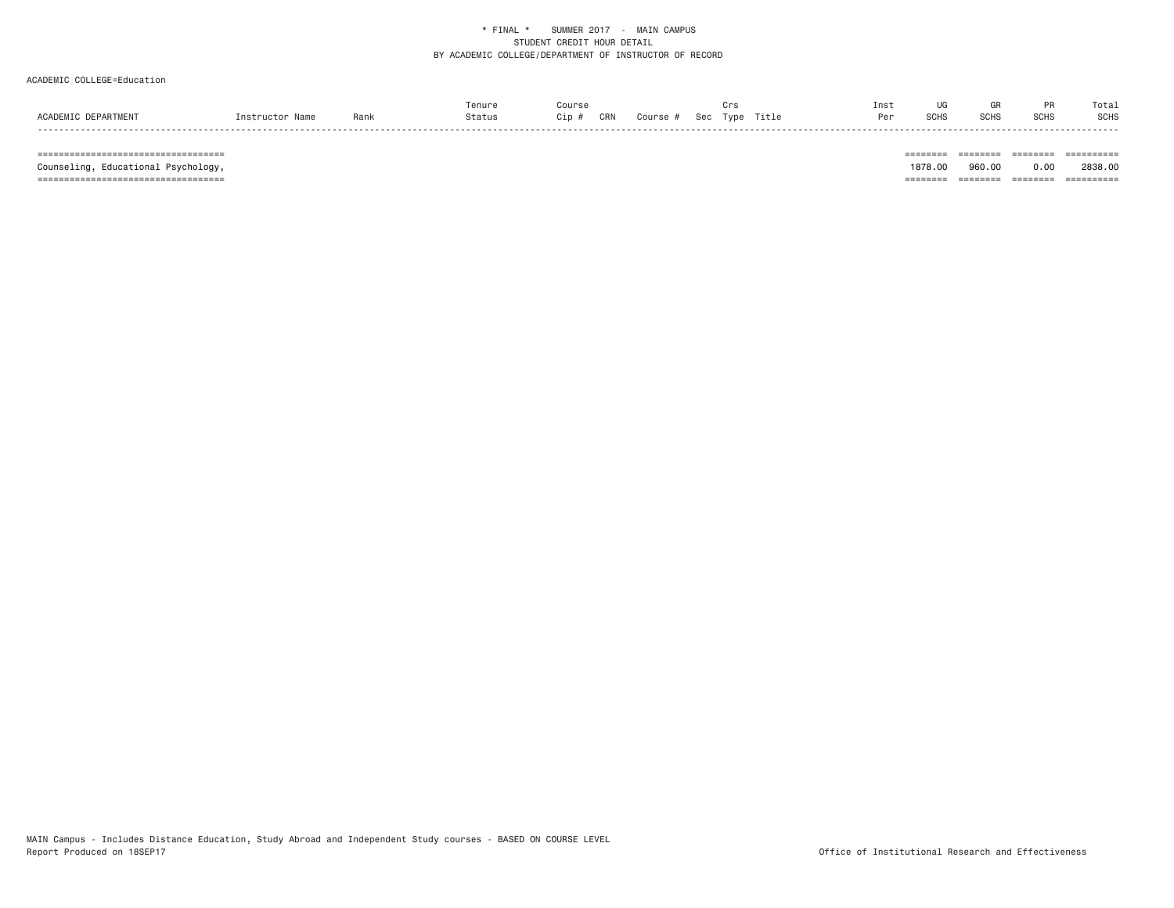# ACADEMIC COLLEGE=Education

|       |     | ⊤enur⊾ |                  |     |              |             |       | Inst | <b>UG</b>      |                   |         | Tota        |
|-------|-----|--------|------------------|-----|--------------|-------------|-------|------|----------------|-------------------|---------|-------------|
|       | Ran |        | $\cdot$ - $\sim$ | JRM | $S_{\Omega}$ | <b>LVDF</b> | Title | Per  | $\sim$<br>יהטכ | <b>COL</b><br>эuп | <b></b> | <b>SCHS</b> |
| ----- |     |        |                  |     |              |             |       |      |                |                   |         |             |

=================================== ======== ======== ======== ==========

Counseling, Educational Psychology,

1878.00 960.00 0.00 2838.00 =================================== ======== ======== ======== ==========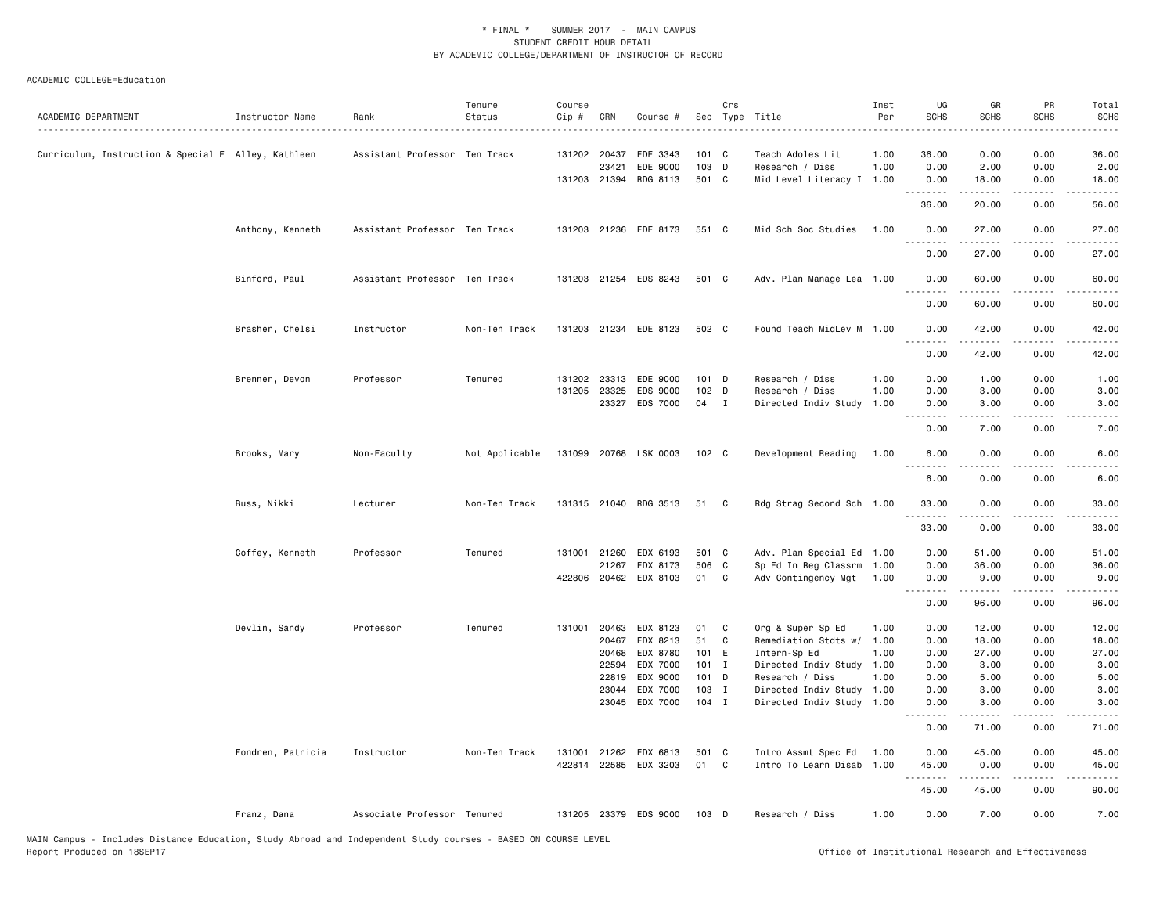| ACADEMIC DEPARTMENT                                 | Instructor Name   | Rank                          | Tenure<br>Status | Course<br>Cip # | CRN          | Course #              |                  | Crs | Sec Type Title            | Inst<br>Per | UG<br><b>SCHS</b> | GR<br><b>SCHS</b>    | PR<br><b>SCHS</b> | Total<br><b>SCHS</b>                                                                                                               |
|-----------------------------------------------------|-------------------|-------------------------------|------------------|-----------------|--------------|-----------------------|------------------|-----|---------------------------|-------------|-------------------|----------------------|-------------------|------------------------------------------------------------------------------------------------------------------------------------|
|                                                     |                   |                               |                  |                 |              |                       |                  |     |                           |             |                   |                      |                   |                                                                                                                                    |
| Curriculum, Instruction & Special E Alley, Kathleen |                   | Assistant Professor Ten Track |                  |                 | 131202 20437 | EDE 3343              | 101 C            |     | Teach Adoles Lit          | 1.00        | 36.00             | 0.00                 | 0.00              | 36.00                                                                                                                              |
|                                                     |                   |                               |                  |                 | 23421        | EDE 9000              | 103 D            |     | Research / Diss           | 1.00        | 0.00              | 2.00                 | 0.00              | 2.00                                                                                                                               |
|                                                     |                   |                               |                  |                 |              | 131203 21394 RDG 8113 | 501 C            |     | Mid Level Literacy I 1.00 |             | 0.00<br><u>.</u>  | 18.00<br>$- - - - -$ | 0.00<br>.         | 18.00<br>.                                                                                                                         |
|                                                     |                   |                               |                  |                 |              |                       |                  |     |                           |             | 36.00             | 20.00                | 0.00              | 56.00                                                                                                                              |
|                                                     | Anthony, Kenneth  | Assistant Professor Ten Track |                  |                 |              | 131203 21236 EDE 8173 | 551 C            |     | Mid Sch Soc Studies       | 1.00        | 0.00<br>.         | 27.00<br>.           | 0.00<br>.         | 27.00<br>.                                                                                                                         |
|                                                     |                   |                               |                  |                 |              |                       |                  |     |                           |             | 0.00              | 27.00                | 0.00              | 27.00                                                                                                                              |
|                                                     | Binford, Paul     | Assistant Professor Ten Track |                  |                 |              | 131203 21254 EDS 8243 | 501 C            |     | Adv. Plan Manage Lea 1.00 |             | 0.00<br>.         | 60.00<br>.           | 0.00<br>.         | 60.00<br>.                                                                                                                         |
|                                                     |                   |                               |                  |                 |              |                       |                  |     |                           |             | 0.00              | 60.00                | 0.00              | 60.00                                                                                                                              |
|                                                     | Brasher, Chelsi   | Instructor                    | Non-Ten Track    |                 |              | 131203 21234 EDE 8123 | 502 C            |     | Found Teach MidLev M 1.00 |             | 0.00<br>.         | 42.00<br>.           | 0.00<br>.         | 42.00<br>.                                                                                                                         |
|                                                     |                   |                               |                  |                 |              |                       |                  |     |                           |             | 0.00              | 42.00                | 0.00              | 42.00                                                                                                                              |
|                                                     | Brenner, Devon    | Professor                     | Tenured          | 131202          | 23313        | EDE 9000              | $101$ D          |     | Research / Diss           | 1.00        | 0.00              | 1.00                 | 0.00              | 1.00                                                                                                                               |
|                                                     |                   |                               |                  | 131205          | 23325        | EDS 9000              | $102$ D          |     | Research / Diss           | 1.00        | 0.00              | 3.00                 | 0.00              | 3.00                                                                                                                               |
|                                                     |                   |                               |                  |                 |              | 23327 EDS 7000        | 04 I             |     | Directed Indiv Study      | 1.00        | 0.00              | 3.00                 | 0.00<br>.         | 3.00                                                                                                                               |
|                                                     |                   |                               |                  |                 |              |                       |                  |     |                           |             | 0.00              | 7.00                 | 0.00              | 7.00                                                                                                                               |
|                                                     | Brooks, Mary      | Non-Faculty                   | Not Applicable   |                 |              | 131099 20768 LSK 0003 | 102 <sub>c</sub> |     | Development Reading       | 1.00        | 6.00<br>.         | 0.00<br><u>.</u>     | 0.00<br>.         | 6.00<br>----                                                                                                                       |
|                                                     |                   |                               |                  |                 |              |                       |                  |     |                           |             | 6.00              | 0.00                 | 0.00              | 6.00                                                                                                                               |
|                                                     | Buss, Nikki       | Lecturer                      | Non-Ten Track    |                 |              | 131315 21040 RDG 3513 | 51               | C   | Rdg Strag Second Sch 1.00 |             | 33.00<br>.        | 0.00<br>.            | 0.00<br>.         | 33.00<br>.                                                                                                                         |
|                                                     |                   |                               |                  |                 |              |                       |                  |     |                           |             | 33.00             | 0.00                 | 0.00              | 33.00                                                                                                                              |
|                                                     | Coffey, Kenneth   | Professor                     | Tenured          | 131001          | 21260        | EDX 6193              | 501 C            |     | Adv. Plan Special Ed 1.00 |             | 0.00              | 51.00                | 0.00              | 51.00                                                                                                                              |
|                                                     |                   |                               |                  |                 | 21267        | EDX 8173              | 506 C            |     | Sp Ed In Reg Classrm      | 1.00        | 0.00              | 36.00                | 0.00              | 36.00                                                                                                                              |
|                                                     |                   |                               |                  |                 |              | 422806 20462 EDX 8103 | 01               | C   | Adv Contingency Mgt       | 1.00        | 0.00<br>.         | 9.00<br>.            | 0.00<br>.         | 9.00<br>.                                                                                                                          |
|                                                     |                   |                               |                  |                 |              |                       |                  |     |                           |             | 0.00              | 96.00                | 0.00              | 96.00                                                                                                                              |
|                                                     | Devlin, Sandy     | Professor                     | Tenured          | 131001          | 20463        | EDX 8123              | 01               | C   | Org & Super Sp Ed         | 1.00        | 0.00              | 12.00                | 0.00              | 12.00                                                                                                                              |
|                                                     |                   |                               |                  |                 | 20467        | EDX 8213              | 51               | C   | Remediation Stdts w/      | 1.00        | 0.00              | 18.00                | 0.00              | 18.00                                                                                                                              |
|                                                     |                   |                               |                  |                 | 20468        | EDX 8780              | 101 E            |     | Intern-Sp Ed              | 1.00        | 0.00              | 27.00                | 0.00              | 27.00                                                                                                                              |
|                                                     |                   |                               |                  |                 | 22594        | EDX 7000              | $101$ I          |     | Directed Indiv Study      | 1.00        | 0.00              | 3.00                 | 0.00              | 3.00                                                                                                                               |
|                                                     |                   |                               |                  |                 | 22819        | EDX 9000              | 101 D            |     | Research / Diss           | 1.00        | 0.00              | 5.00                 | 0.00              | 5.00                                                                                                                               |
|                                                     |                   |                               |                  |                 | 23044        | EDX 7000              | $103$ I          |     | Directed Indiv Study      | 1.00        | 0.00              | 3.00                 | 0.00              | 3.00                                                                                                                               |
|                                                     |                   |                               |                  |                 | 23045        | EDX 7000              | $104$ I          |     | Directed Indiv Study      | 1.00        | 0.00<br><u>.</u>  | 3.00                 | 0.00              | 3.00                                                                                                                               |
|                                                     |                   |                               |                  |                 |              |                       |                  |     |                           |             | 0.00              | 71.00                | 0.00              | 71.00                                                                                                                              |
|                                                     | Fondren, Patricia | Instructor                    | Non-Ten Track    | 131001          |              | 21262 EDX 6813        | 501 C            |     | Intro Assmt Spec Ed       | 1.00        | 0.00              | 45.00                | 0.00              | 45.00                                                                                                                              |
|                                                     |                   |                               |                  |                 |              | 422814 22585 EDX 3203 | 01               | C   | Intro To Learn Disab      | 1.00        | 45.00<br>.        | 0.00<br><u>.</u>     | 0.00<br>$- - - -$ | 45.00<br>$\frac{1}{2} \left( \frac{1}{2} \right) \left( \frac{1}{2} \right) \left( \frac{1}{2} \right) \left( \frac{1}{2} \right)$ |
|                                                     |                   |                               |                  |                 |              |                       |                  |     |                           |             | 45.00             | 45.00                | 0.00              | 90.00                                                                                                                              |
|                                                     | Franz, Dana       | Associate Professor Tenured   |                  |                 |              | 131205 23379 EDS 9000 | 103 D            |     | Research / Diss           | 1.00        | 0.00              | 7.00                 | 0.00              | 7.00                                                                                                                               |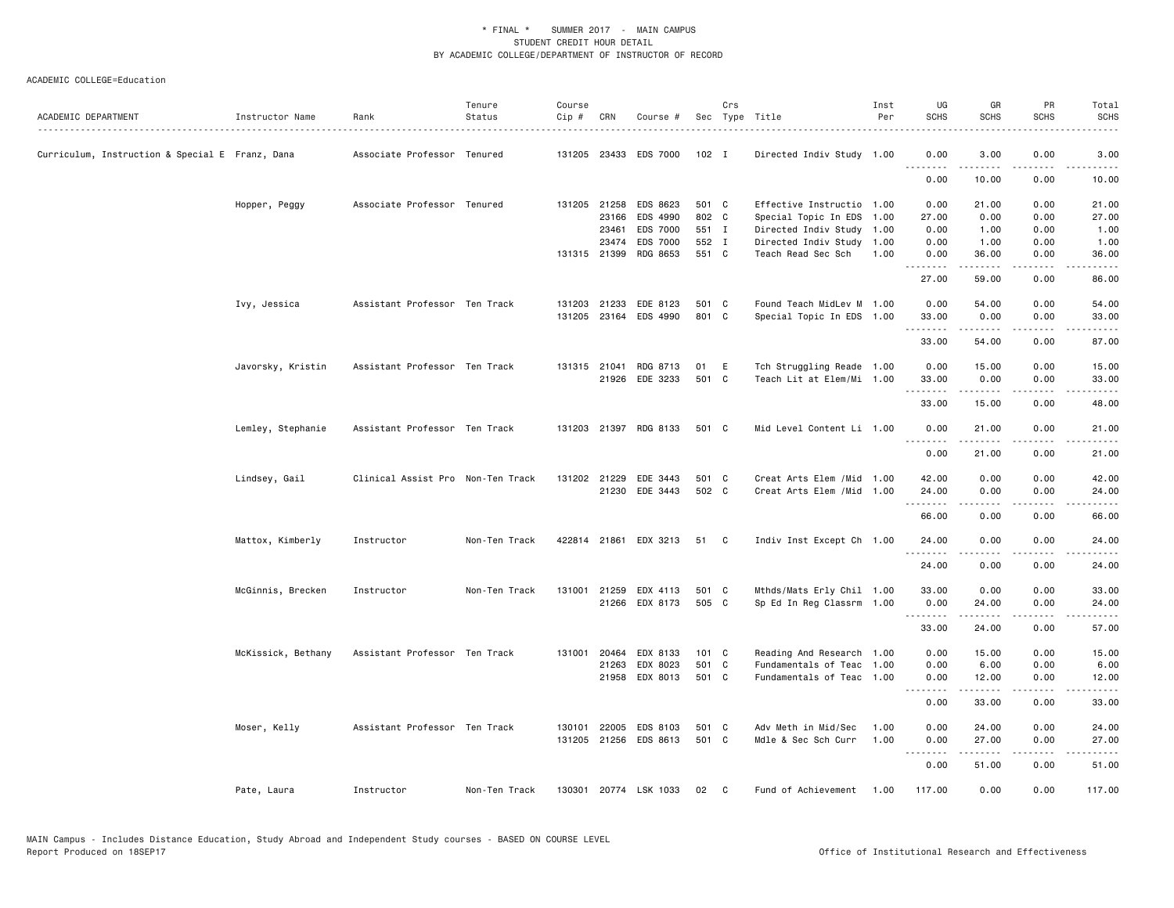| ACADEMIC DEPARTMENT                             | Instructor Name    | Rank                              | Tenure<br>Status | Course<br>Cip # | CRN          | Course #              |         | Crs | Sec Type Title             | Inst<br>Per | UG<br><b>SCHS</b>  | GR<br><b>SCHS</b>                                                                                                                                            | PR<br><b>SCHS</b> | Total<br>SCHS       |
|-------------------------------------------------|--------------------|-----------------------------------|------------------|-----------------|--------------|-----------------------|---------|-----|----------------------------|-------------|--------------------|--------------------------------------------------------------------------------------------------------------------------------------------------------------|-------------------|---------------------|
|                                                 |                    |                                   |                  |                 |              |                       |         |     |                            |             |                    |                                                                                                                                                              |                   | .                   |
| Curriculum, Instruction & Special E Franz, Dana |                    | Associate Professor Tenured       |                  |                 |              | 131205 23433 EDS 7000 | $102$ I |     | Directed Indiv Study 1.00  |             | 0.00<br><u>.</u>   | 3.00<br>$\frac{1}{2} \left( \frac{1}{2} \right) \left( \frac{1}{2} \right) \left( \frac{1}{2} \right) \left( \frac{1}{2} \right) \left( \frac{1}{2} \right)$ | 0.00<br>.         | 3.00<br>.           |
|                                                 |                    |                                   |                  |                 |              |                       |         |     |                            |             | 0.00               | 10.00                                                                                                                                                        | 0.00              | 10.00               |
|                                                 | Hopper, Peggy      | Associate Professor Tenured       |                  |                 |              | 131205 21258 EDS 8623 | 501 C   |     | Effective Instructio 1.00  |             | 0.00               | 21.00                                                                                                                                                        | 0.00              | 21.00               |
|                                                 |                    |                                   |                  |                 | 23166        | EDS 4990              | 802 C   |     | Special Topic In EDS 1.00  |             | 27.00              | 0.00                                                                                                                                                         | 0.00              | 27.00               |
|                                                 |                    |                                   |                  |                 | 23461        | EDS 7000              | 551 I   |     | Directed Indiv Study 1.00  |             | 0.00               | 1.00                                                                                                                                                         | 0.00              | 1.00                |
|                                                 |                    |                                   |                  |                 | 23474        | EDS 7000              | 552 I   |     | Directed Indiv Study 1.00  |             | 0.00               | 1.00                                                                                                                                                         | 0.00              | 1.00                |
|                                                 |                    |                                   |                  |                 | 131315 21399 | RDG 8653              | 551 C   |     | Teach Read Sec Sch         | 1.00        | 0.00<br><u>.</u> . | 36.00<br>.                                                                                                                                                   | 0.00<br>.         | 36.00<br>.          |
|                                                 |                    |                                   |                  |                 |              |                       |         |     |                            |             | 27.00              | 59.00                                                                                                                                                        | 0.00              | 86.00               |
|                                                 | Ivy, Jessica       | Assistant Professor Ten Track     |                  |                 | 131203 21233 | EDE 8123              | 501 C   |     | Found Teach MidLev M 1.00  |             | 0.00               | 54.00                                                                                                                                                        | 0.00              | 54.00               |
|                                                 |                    |                                   |                  |                 | 131205 23164 | EDS 4990              | 801 C   |     | Special Topic In EDS 1.00  |             | 33.00<br>.         | 0.00<br>.                                                                                                                                                    | 0.00<br>.         | 33.00<br>.          |
|                                                 |                    |                                   |                  |                 |              |                       |         |     |                            |             | 33.00              | 54.00                                                                                                                                                        | 0.00              | 87.00               |
|                                                 | Javorsky, Kristin  | Assistant Professor Ten Track     |                  |                 |              | 131315 21041 RDG 8713 | 01      | E   | Tch Struggling Reade 1.00  |             | 0.00               | 15.00                                                                                                                                                        | 0.00              | 15.00               |
|                                                 |                    |                                   |                  |                 |              | 21926 EDE 3233        | 501 C   |     | Teach Lit at Elem/Mi 1.00  |             | 33.00              | 0.00                                                                                                                                                         | 0.00              | 33.00               |
|                                                 |                    |                                   |                  |                 |              |                       |         |     |                            |             | .<br>33.00         | $- - - - -$<br>15.00                                                                                                                                         | .<br>0.00         | .<br>48.00          |
|                                                 |                    |                                   |                  |                 |              |                       |         |     |                            |             |                    |                                                                                                                                                              |                   |                     |
|                                                 | Lemley, Stephanie  | Assistant Professor Ten Track     |                  |                 |              | 131203 21397 RDG 8133 | 501 C   |     | Mid Level Content Li 1.00  |             | 0.00               | 21.00                                                                                                                                                        | 0.00<br>.         | 21.00               |
|                                                 |                    |                                   |                  |                 |              |                       |         |     |                            |             | 0.00               | 21.00                                                                                                                                                        | 0.00              | 21.00               |
|                                                 | Lindsey, Gail      | Clinical Assist Pro Non-Ten Track |                  |                 | 131202 21229 | EDE 3443              | 501 C   |     | Creat Arts Elem / Mid 1.00 |             | 42.00              | 0.00                                                                                                                                                         | 0.00              | 42.00               |
|                                                 |                    |                                   |                  |                 |              | 21230 EDE 3443        | 502 C   |     | Creat Arts Elem / Mid 1.00 |             | 24.00              | 0.00                                                                                                                                                         | 0.00              | 24.00               |
|                                                 |                    |                                   |                  |                 |              |                       |         |     |                            |             | <u>.</u>           |                                                                                                                                                              |                   | .                   |
|                                                 |                    |                                   |                  |                 |              |                       |         |     |                            |             | 66.00              | 0.00                                                                                                                                                         | 0.00              | 66.00               |
|                                                 | Mattox, Kimberly   | Instructor                        | Non-Ten Track    |                 |              | 422814 21861 EDX 3213 | 51      | C   | Indiv Inst Except Ch 1.00  |             | 24.00              | 0.00                                                                                                                                                         | 0.00<br>.         | 24.00               |
|                                                 |                    |                                   |                  |                 |              |                       |         |     |                            |             | 24.00              | 0.00                                                                                                                                                         | 0.00              | 24.00               |
|                                                 | McGinnis, Brecken  | Instructor                        | Non-Ten Track    | 131001          | 21259        | EDX 4113              | 501 C   |     | Mthds/Mats Erly Chil 1.00  |             | 33.00              | 0.00                                                                                                                                                         | 0.00              | 33.00               |
|                                                 |                    |                                   |                  |                 |              | 21266 EDX 8173        | 505 C   |     | Sp Ed In Reg Classrm 1.00  |             | 0.00               | 24.00                                                                                                                                                        | 0.00              | 24.00               |
|                                                 |                    |                                   |                  |                 |              |                       |         |     |                            |             | .<br>33.00         | -----<br>24.00                                                                                                                                               | .<br>0.00         | .<br>57.00          |
|                                                 | McKissick, Bethany | Assistant Professor Ten Track     |                  |                 | 131001 20464 | EDX 8133              | 101 C   |     | Reading And Research 1.00  |             | 0.00               | 15.00                                                                                                                                                        | 0.00              | 15.00               |
|                                                 |                    |                                   |                  |                 | 21263        | EDX 8023              | 501 C   |     | Fundamentals of Teac 1.00  |             | 0.00               | 6.00                                                                                                                                                         | 0.00              | 6.00                |
|                                                 |                    |                                   |                  |                 | 21958        | EDX 8013              | 501 C   |     | Fundamentals of Teac 1.00  |             | 0.00<br>. <b>.</b> | 12.00                                                                                                                                                        | 0.00<br>$   -$    | 12.00<br>$    -$    |
|                                                 |                    |                                   |                  |                 |              |                       |         |     |                            |             | 0.00               | 33.00                                                                                                                                                        | 0.00              | 33.00               |
|                                                 | Moser, Kelly       | Assistant Professor Ten Track     |                  | 130101          |              | 22005 EDS 8103        | 501 C   |     | Adv Meth in Mid/Sec        | 1.00        | 0.00               | 24.00                                                                                                                                                        | 0.00              | 24.00               |
|                                                 |                    |                                   |                  |                 |              | 131205 21256 EDS 8613 | 501 C   |     | Mdle & Sec Sch Curr        | 1.00        | 0.00               | 27.00                                                                                                                                                        | 0.00              | 27.00               |
|                                                 |                    |                                   |                  |                 |              |                       |         |     |                            |             | .<br>0.00          | .<br>51.00                                                                                                                                                   | .<br>0.00         | وبالمستريث<br>51.00 |
|                                                 | Pate, Laura        | Instructor                        | Non-Ten Track    |                 |              | 130301 20774 LSK 1033 | 02      | C   | Fund of Achievement        | 1.00        | 117.00             | 0.00                                                                                                                                                         | 0.00              | 117.00              |
|                                                 |                    |                                   |                  |                 |              |                       |         |     |                            |             |                    |                                                                                                                                                              |                   |                     |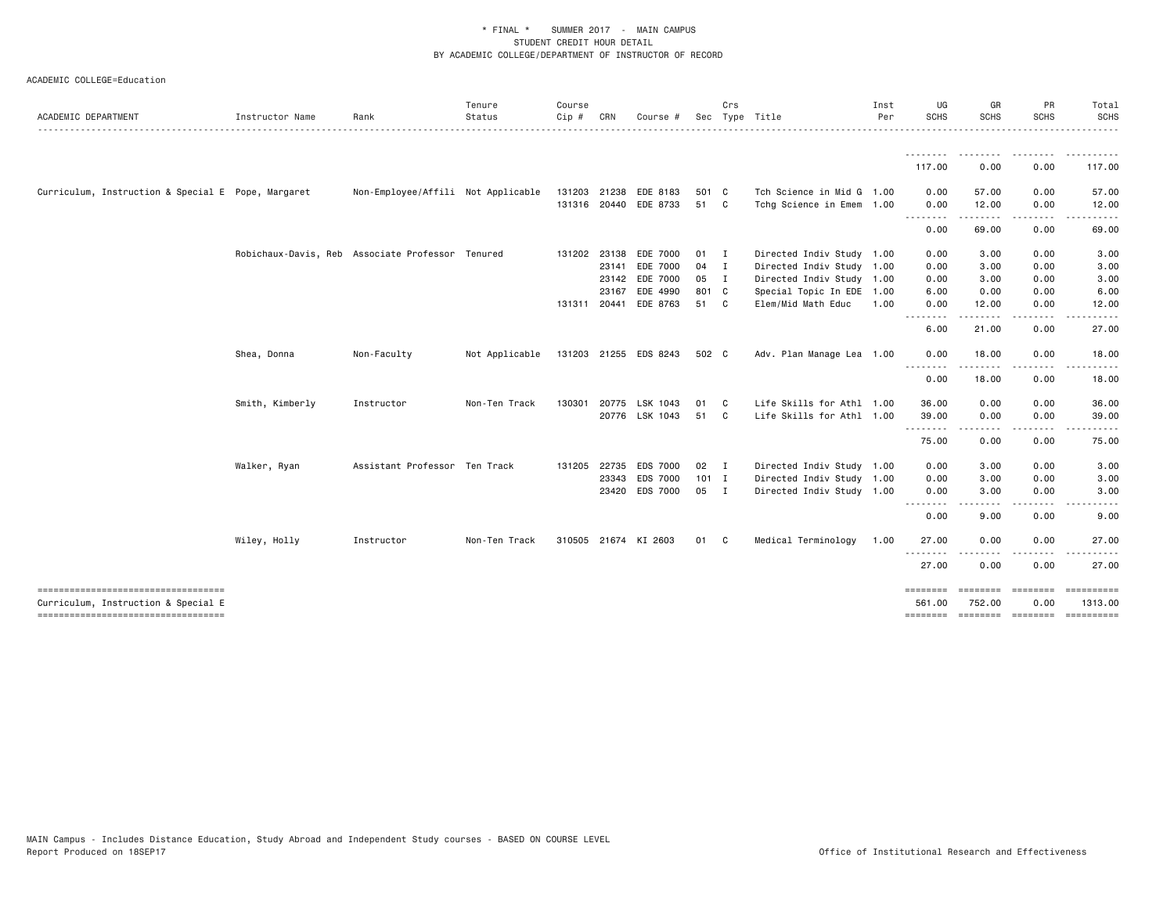| ACADEMIC DEPARTMENT                                                        | Instructor Name                                  | Rank                               | Tenure<br>Status | Course<br>Cip # | CRN          | Course #              | Sec           | Crs | Type Title                | Inst<br>Per | UG<br>SCHS       | GR<br><b>SCHS</b>                   | PR<br><b>SCHS</b>                                                                                                                                    | Total<br>SCHS         |
|----------------------------------------------------------------------------|--------------------------------------------------|------------------------------------|------------------|-----------------|--------------|-----------------------|---------------|-----|---------------------------|-------------|------------------|-------------------------------------|------------------------------------------------------------------------------------------------------------------------------------------------------|-----------------------|
|                                                                            |                                                  |                                    |                  |                 |              |                       |               |     |                           |             | <u>.</u>         | <u> - - - - - - - -</u>             | $\frac{1}{2} \left( \frac{1}{2} \right) \left( \frac{1}{2} \right) \left( \frac{1}{2} \right) \left( \frac{1}{2} \right) \left( \frac{1}{2} \right)$ | <u>.</u>              |
|                                                                            |                                                  |                                    |                  |                 |              |                       |               |     |                           |             | 117.00           | 0.00                                | 0.00                                                                                                                                                 | 117.00                |
| Curriculum, Instruction & Special E Pope, Margaret                         |                                                  | Non-Employee/Affili Not Applicable |                  | 131203 21238    |              | EDE 8183              | 501 C         |     | Tch Science in Mid G 1.00 |             | 0.00             | 57.00                               | 0.00                                                                                                                                                 | 57.00                 |
|                                                                            |                                                  |                                    |                  |                 | 131316 20440 | EDE 8733              | 51 C          |     | Tchg Science in Emem 1.00 |             | 0.00<br>.        | 12.00                               | 0.00                                                                                                                                                 | 12.00                 |
|                                                                            |                                                  |                                    |                  |                 |              |                       |               |     |                           |             | 0.00             | 69.00                               | 0.00                                                                                                                                                 | 69.00                 |
|                                                                            | Robichaux-Davis, Reb Associate Professor Tenured |                                    |                  |                 | 131202 23138 | EDE 7000              | $01$ I        |     | Directed Indiv Study 1.00 |             | 0.00             | 3.00                                | 0.00                                                                                                                                                 | 3.00                  |
|                                                                            |                                                  |                                    |                  |                 | 23141        | EDE 7000              | 04 I          |     | Directed Indiv Study 1.00 |             | 0.00             | 3.00                                | 0.00                                                                                                                                                 | 3.00                  |
|                                                                            |                                                  |                                    |                  |                 | 23142        | EDE 7000              | 05 I          |     | Directed Indiv Study 1.00 |             | 0.00             | 3.00                                | 0.00                                                                                                                                                 | 3.00                  |
|                                                                            |                                                  |                                    |                  |                 | 23167        | EDE 4990              | 801 C         |     | Special Topic In EDE 1.00 |             | 6.00             | 0.00                                | 0.00                                                                                                                                                 | 6.00                  |
|                                                                            |                                                  |                                    |                  | 131311 20441    |              | EDE 8763              | 51 C          |     | Elem/Mid Math Educ        | 1.00        | 0.00<br>.        | 12.00                               | 0.00                                                                                                                                                 | 12.00                 |
|                                                                            |                                                  |                                    |                  |                 |              |                       |               |     |                           |             | 6.00             | 21.00                               | 0.00                                                                                                                                                 | 27.00                 |
|                                                                            | Shea, Donna                                      | Non-Faculty                        | Not Applicable   |                 |              | 131203 21255 EDS 8243 | 502 C         |     | Adv. Plan Manage Lea 1.00 |             | 0.00             | 18.00                               | 0.00                                                                                                                                                 | 18.00                 |
|                                                                            |                                                  |                                    |                  |                 |              |                       |               |     |                           |             | --------<br>0.00 | 18.00                               | 0.00                                                                                                                                                 | 18.00                 |
|                                                                            | Smith, Kimberly                                  | Instructor                         | Non-Ten Track    | 130301          | 20775        | LSK 1043              | 01            | C.  | Life Skills for Athl 1.00 |             | 36.00            | 0.00                                | 0.00                                                                                                                                                 | 36.00                 |
|                                                                            |                                                  |                                    |                  |                 |              | 20776 LSK 1043        | 51            | C.  | Life Skills for Athl 1.00 |             | 39.00            | 0.00                                | 0.00                                                                                                                                                 | 39.00                 |
|                                                                            |                                                  |                                    |                  |                 |              |                       |               |     |                           |             | .<br>75.00       | 0.00                                | 0.00                                                                                                                                                 | 75.00                 |
|                                                                            | Walker, Ryan                                     | Assistant Professor Ten Track      |                  | 131205          | 22735        | EDS 7000              | $02 \qquad I$ |     | Directed Indiv Study 1.00 |             | 0.00             | 3.00                                | 0.00                                                                                                                                                 | 3.00                  |
|                                                                            |                                                  |                                    |                  |                 | 23343        | EDS 7000              | $101$ I       |     | Directed Indiv Study 1.00 |             | 0.00             | 3.00                                | 0.00                                                                                                                                                 | 3.00                  |
|                                                                            |                                                  |                                    |                  |                 |              | 23420 EDS 7000        | 05 I          |     | Directed Indiv Study 1.00 |             | 0.00             | 3.00                                | 0.00                                                                                                                                                 | 3.00                  |
|                                                                            |                                                  |                                    |                  |                 |              |                       |               |     |                           |             | --------<br>0.00 | ----<br>9.00                        | 0.00                                                                                                                                                 | 9.00                  |
|                                                                            | Wiley, Holly                                     | Instructor                         | Non-Ten Track    |                 |              | 310505 21674 KI 2603  | 01 C          |     | Medical Terminology       | 1.00        | 27.00            | 0.00                                | 0.00                                                                                                                                                 | 27.00                 |
|                                                                            |                                                  |                                    |                  |                 |              |                       |               |     |                           |             | - - -<br>27.00   | 0.00                                | 0.00                                                                                                                                                 | 27.00                 |
| ----------------------------------                                         |                                                  |                                    |                  |                 |              |                       |               |     |                           |             |                  | ========                            | ========                                                                                                                                             | ==========            |
| Curriculum, Instruction & Special E<br>----------------------------------- |                                                  |                                    |                  |                 |              |                       |               |     |                           |             | 561.00           | 752.00<br>-------- -------- ------- | 0.00                                                                                                                                                 | 1313.00<br>========== |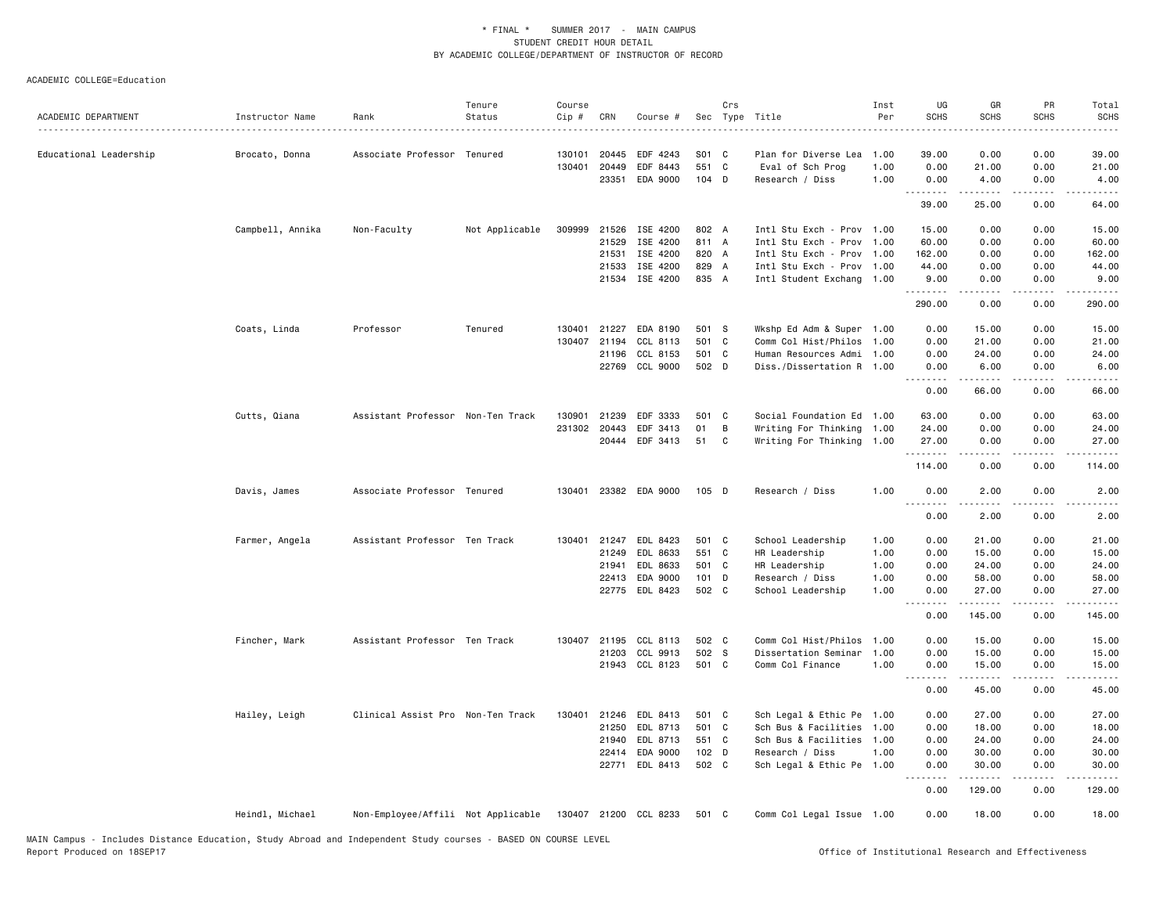| ACADEMIC DEPARTMENT    | Instructor Name  | Rank                                                     | Tenure<br>Status | Course<br>Cip # | CRN          | Course #       |         | Crs          | Sec Type Title            | Inst<br>Per | UG<br><b>SCHS</b> | GR<br><b>SCHS</b>                                                                                                                                            | PR<br><b>SCHS</b> | Total<br><b>SCHS</b> |
|------------------------|------------------|----------------------------------------------------------|------------------|-----------------|--------------|----------------|---------|--------------|---------------------------|-------------|-------------------|--------------------------------------------------------------------------------------------------------------------------------------------------------------|-------------------|----------------------|
| Educational Leadership | Brocato, Donna   | Associate Professor Tenured                              |                  | 130101          | 20445        | EDF 4243       | S01 C   |              | Plan for Diverse Lea      | 1.00        | 39.00             | 0.00                                                                                                                                                         | 0.00              | 39.00                |
|                        |                  |                                                          |                  | 130401          | 20449        | EDF 8443       | 551 C   |              | Eval of Sch Prog          | 1.00        | 0.00              | 21.00                                                                                                                                                        | 0.00              | 21.00                |
|                        |                  |                                                          |                  |                 | 23351        | EDA 9000       | 104 D   |              | Research / Diss           | 1.00        | 0.00<br>.         | 4.00<br>$\frac{1}{2} \left( \frac{1}{2} \right) \left( \frac{1}{2} \right) \left( \frac{1}{2} \right) \left( \frac{1}{2} \right) \left( \frac{1}{2} \right)$ | 0.00<br>.         | 4.00                 |
|                        |                  |                                                          |                  |                 |              |                |         |              |                           |             | 39.00             | 25.00                                                                                                                                                        | 0.00              | 64.00                |
|                        | Campbell, Annika | Non-Faculty                                              | Not Applicable   |                 | 309999 21526 | ISE 4200       | 802 A   |              | Intl Stu Exch - Prov 1.00 |             | 15.00             | 0.00                                                                                                                                                         | 0.00              | 15.00                |
|                        |                  |                                                          |                  |                 | 21529        | ISE 4200       | 811 A   |              | Intl Stu Exch - Prov 1.00 |             | 60.00             | 0.00                                                                                                                                                         | 0.00              | 60.00                |
|                        |                  |                                                          |                  |                 | 21531        | ISE 4200       | 820 A   |              | Intl Stu Exch - Prov 1.00 |             | 162.00            | 0.00                                                                                                                                                         | 0.00              | 162.00               |
|                        |                  |                                                          |                  |                 | 21533        | ISE 4200       | 829 A   |              | Intl Stu Exch - Prov 1.00 |             | 44.00             | 0.00                                                                                                                                                         | 0.00              | 44.00                |
|                        |                  |                                                          |                  |                 | 21534        | ISE 4200       | 835 A   |              | Intl Student Exchang 1.00 |             | 9.00<br>.         | 0.00<br>$- - - - -$                                                                                                                                          | 0.00<br>.         | 9.00<br>.            |
|                        |                  |                                                          |                  |                 |              |                |         |              |                           |             | 290.00            | 0.00                                                                                                                                                         | 0.00              | 290.00               |
|                        | Coats, Linda     | Professor                                                | Tenured          | 130401          | 21227        | EDA 8190       | 501 S   |              | Wkshp Ed Adm & Super 1.00 |             | 0.00              | 15.00                                                                                                                                                        | 0.00              | 15.00                |
|                        |                  |                                                          |                  | 130407          | 21194        | CCL 8113       | 501 C   |              | Comm Col Hist/Philos 1.00 |             | 0.00              | 21.00                                                                                                                                                        | 0.00              | 21.00                |
|                        |                  |                                                          |                  |                 | 21196        | CCL 8153       | 501 C   |              | Human Resources Admi 1.00 |             | 0.00              | 24.00                                                                                                                                                        | 0.00              | 24.00                |
|                        |                  |                                                          |                  |                 |              | 22769 CCL 9000 | 502 D   |              | Diss./Dissertation R 1.00 |             | 0.00<br>د د د د   | 6.00                                                                                                                                                         | 0.00              | 6.00                 |
|                        |                  |                                                          |                  |                 |              |                |         |              |                           |             | 0.00              | 66.00                                                                                                                                                        | 0.00              | 66.00                |
|                        | Cutts, Qiana     | Assistant Professor Non-Ten Track                        |                  | 130901          | 21239        | EDF 3333       | 501 C   |              | Social Foundation Ed 1.00 |             | 63.00             | 0.00                                                                                                                                                         | 0.00              | 63.00                |
|                        |                  |                                                          |                  |                 | 231302 20443 | EDF 3413       | 01      | B            | Writing For Thinking 1.00 |             | 24.00             | 0.00                                                                                                                                                         | 0.00              | 24.00                |
|                        |                  |                                                          |                  |                 |              | 20444 EDF 3413 | 51      | $\mathbf{C}$ | Writing For Thinking 1.00 |             | 27.00             | 0.00                                                                                                                                                         | 0.00              | 27.00                |
|                        |                  |                                                          |                  |                 |              |                |         |              |                           |             | .                 |                                                                                                                                                              |                   |                      |
|                        |                  |                                                          |                  |                 |              |                |         |              |                           |             | 114.00            | 0.00                                                                                                                                                         | 0.00              | 114.00               |
|                        | Davis, James     | Associate Professor Tenured                              |                  | 130401          |              | 23382 EDA 9000 | $105$ D |              | Research / Diss           | 1.00        | 0.00<br><u>.</u>  | 2.00                                                                                                                                                         | 0.00              | 2.00                 |
|                        |                  |                                                          |                  |                 |              |                |         |              |                           |             | 0.00              | 2.00                                                                                                                                                         | 0.00              | 2.00                 |
|                        | Farmer, Angela   | Assistant Professor Ten Track                            |                  |                 | 130401 21247 | EDL 8423       | 501 C   |              | School Leadership         | 1.00        | 0.00              | 21.00                                                                                                                                                        | 0.00              | 21.00                |
|                        |                  |                                                          |                  |                 | 21249        | EDL 8633       | 551 C   |              | HR Leadership             | 1.00        | 0.00              | 15.00                                                                                                                                                        | 0.00              | 15.00                |
|                        |                  |                                                          |                  |                 | 21941        | EDL 8633       | 501 C   |              | HR Leadership             | 1.00        | 0.00              | 24.00                                                                                                                                                        | 0.00              | 24.00                |
|                        |                  |                                                          |                  |                 | 22413        | EDA 9000       | $101$ D |              | Research / Diss           | 1.00        | 0.00              | 58.00                                                                                                                                                        | 0.00              | 58.00                |
|                        |                  |                                                          |                  |                 |              | 22775 EDL 8423 | 502 C   |              | School Leadership         | 1.00        | 0.00<br>.         | 27.00                                                                                                                                                        | 0.00              | 27.00<br>.           |
|                        |                  |                                                          |                  |                 |              |                |         |              |                           |             | 0.00              | 145.00                                                                                                                                                       | 0.00              | 145.00               |
|                        | Fincher, Mark    | Assistant Professor Ten Track                            |                  |                 | 130407 21195 | CCL 8113       | 502 C   |              | Comm Col Hist/Philos 1.00 |             | 0.00              | 15.00                                                                                                                                                        | 0.00              | 15.00                |
|                        |                  |                                                          |                  |                 | 21203        | CCL 9913       | 502 S   |              | Dissertation Seminar      | 1.00        | 0.00              | 15.00                                                                                                                                                        | 0.00              | 15.00                |
|                        |                  |                                                          |                  |                 |              | 21943 CCL 8123 | 501 C   |              | Comm Col Finance          | 1.00        | 0.00              | 15.00                                                                                                                                                        | 0.00              | 15.00                |
|                        |                  |                                                          |                  |                 |              |                |         |              |                           |             | .<br>0.00         | .<br>45.00                                                                                                                                                   | .<br>0.00         | .<br>45.00           |
|                        | Hailey, Leigh    | Clinical Assist Pro Non-Ten Track                        |                  | 130401          | 21246        | EDL 8413       | 501 C   |              | Sch Legal & Ethic Pe 1.00 |             | 0.00              | 27.00                                                                                                                                                        | 0.00              | 27.00                |
|                        |                  |                                                          |                  |                 | 21250        | EDL 8713       | 501 C   |              | Sch Bus & Facilities 1.00 |             | 0.00              | 18.00                                                                                                                                                        | 0.00              | 18.00                |
|                        |                  |                                                          |                  |                 | 21940        | EDL 8713       | 551 C   |              | Sch Bus & Facilities 1.00 |             | 0.00              | 24.00                                                                                                                                                        | 0.00              | 24.00                |
|                        |                  |                                                          |                  |                 | 22414        | EDA 9000       | 102 D   |              | Research / Diss           | 1.00        | 0.00              | 30.00                                                                                                                                                        | 0.00              | 30.00                |
|                        |                  |                                                          |                  |                 | 22771        | EDL 8413       | 502 C   |              | Sch Legal & Ethic Pe 1.00 |             | 0.00              | 30.00                                                                                                                                                        | 0.00              | 30.00                |
|                        |                  |                                                          |                  |                 |              |                |         |              |                           |             | .<br>0.00         | 129.00                                                                                                                                                       | 0.00              | 129.00               |
|                        | Heindl, Michael  | Non-Employee/Affili Not Applicable 130407 21200 CCL 8233 |                  |                 |              |                | 501 C   |              | Comm Col Legal Issue 1.00 |             | 0.00              | 18.00                                                                                                                                                        | 0.00              | 18.00                |
|                        |                  |                                                          |                  |                 |              |                |         |              |                           |             |                   |                                                                                                                                                              |                   |                      |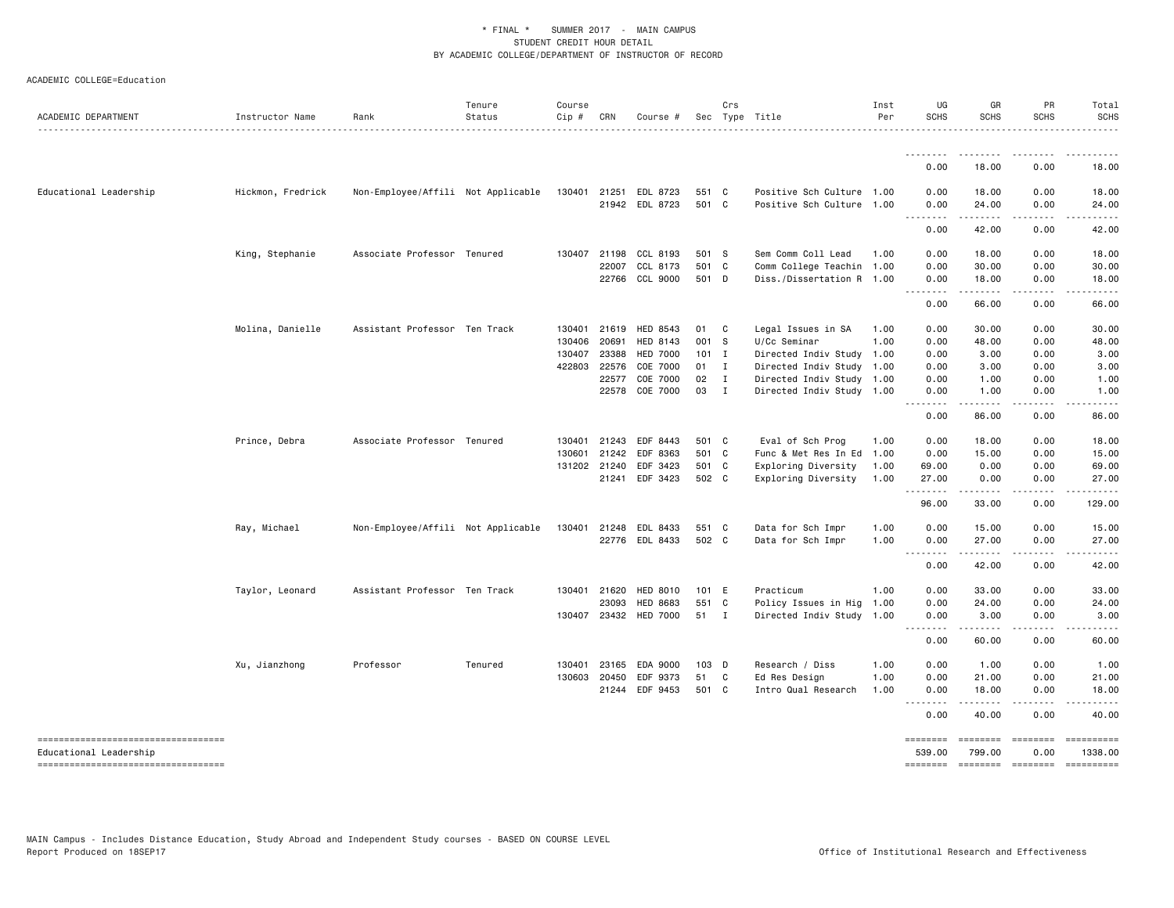| ACADEMIC DEPARTMENT                                           | Instructor Name   | Rank                               | Tenure<br>Status<br>. <b>.</b> . | Course<br>$Cip$ # | CRN          | Course #        |         | Crs          | Sec Type Title            | Inst<br>Per | UG<br><b>SCHS</b>                                                                                                                                                                    | GR<br>SCHS          | PR<br>SCHS              | Total<br><b>SCHS</b><br>. |
|---------------------------------------------------------------|-------------------|------------------------------------|----------------------------------|-------------------|--------------|-----------------|---------|--------------|---------------------------|-------------|--------------------------------------------------------------------------------------------------------------------------------------------------------------------------------------|---------------------|-------------------------|---------------------------|
|                                                               |                   |                                    |                                  |                   |              |                 |         |              |                           |             |                                                                                                                                                                                      |                     |                         |                           |
|                                                               |                   |                                    |                                  |                   |              |                 |         |              |                           |             | 0.00                                                                                                                                                                                 | 18.00               | 0.00                    | 18.00                     |
| Educational Leadership                                        | Hickmon, Fredrick | Non-Employee/Affili Not Applicable |                                  | 130401            | 21251        | EDL 8723        | 551 C   |              | Positive Sch Culture 1.00 |             | 0.00                                                                                                                                                                                 | 18.00               | 0.00                    | 18.00                     |
|                                                               |                   |                                    |                                  |                   |              | 21942 EDL 8723  | 501 C   |              | Positive Sch Culture 1.00 |             | 0.00<br>. <b>.</b>                                                                                                                                                                   | 24.00<br>.          | 0.00<br>.               | 24.00                     |
|                                                               |                   |                                    |                                  |                   |              |                 |         |              |                           |             | 0.00                                                                                                                                                                                 | 42.00               | 0.00                    | 42.00                     |
|                                                               | King, Stephanie   | Associate Professor Tenured        |                                  | 130407 21198      |              | CCL 8193        | 501 S   |              | Sem Comm Coll Lead        | 1.00        | 0.00                                                                                                                                                                                 | 18.00               | 0.00                    | 18.00                     |
|                                                               |                   |                                    |                                  |                   | 22007        | CCL 8173        | 501 C   |              | Comm College Teachin 1.00 |             | 0.00                                                                                                                                                                                 | 30.00               | 0.00                    | 30.00                     |
|                                                               |                   |                                    |                                  |                   | 22766        | CCL 9000        | 501 D   |              | Diss./Dissertation R 1.00 |             | 0.00<br>$\sim$ $\sim$ $\sim$<br>$\frac{1}{2} \left( \frac{1}{2} \right) \left( \frac{1}{2} \right) \left( \frac{1}{2} \right) \left( \frac{1}{2} \right) \left( \frac{1}{2} \right)$ | 18.00<br>.          | 0.00<br>.               | 18.00                     |
|                                                               |                   |                                    |                                  |                   |              |                 |         |              |                           |             | 0.00                                                                                                                                                                                 | 66.00               | 0.00                    | 66.00                     |
|                                                               | Molina, Danielle  | Assistant Professor Ten Track      |                                  | 130401 21619      |              | HED 8543        | 01      | $\mathbf{C}$ | Legal Issues in SA        | 1.00        | 0.00                                                                                                                                                                                 | 30.00               | 0.00                    | 30.00                     |
|                                                               |                   |                                    |                                  | 130406            | 20691        | HED 8143        | 001 S   |              | U/Cc Seminar              | 1.00        | 0.00                                                                                                                                                                                 | 48.00               | 0.00                    | 48.00                     |
|                                                               |                   |                                    |                                  | 130407            | 23388        | <b>HED 7000</b> | $101$ I |              | Directed Indiv Study 1.00 |             | 0.00                                                                                                                                                                                 | 3.00                | 0.00                    | 3.00                      |
|                                                               |                   |                                    |                                  |                   | 422803 22576 | COE 7000        | 01 I    |              | Directed Indiv Study 1.00 |             | 0.00                                                                                                                                                                                 | 3.00                | 0.00                    | 3.00                      |
|                                                               |                   |                                    |                                  |                   | 22577        | COE 7000        | 02      | $\mathbf{I}$ | Directed Indiv Study 1.00 |             | 0.00                                                                                                                                                                                 | 1.00                | 0.00                    | 1.00                      |
|                                                               |                   |                                    |                                  |                   | 22578        | COE 7000        | 03      | $\mathbf{I}$ | Directed Indiv Study 1.00 |             | 0.00<br>$\sim$ $\sim$ $\sim$ $\sim$                                                                                                                                                  | 1.00                | 0.00                    | 1.00                      |
|                                                               |                   |                                    |                                  |                   |              |                 |         |              |                           |             | 0.00                                                                                                                                                                                 | 86.00               | 0.00                    | 86.00                     |
|                                                               | Prince, Debra     | Associate Professor Tenured        |                                  |                   | 130401 21243 | EDF 8443        | 501 C   |              | Eval of Sch Prog          | 1.00        | 0.00                                                                                                                                                                                 | 18.00               | 0.00                    | 18.00                     |
|                                                               |                   |                                    |                                  | 130601            | 21242        | EDF 8363        | 501 C   |              | Func & Met Res In Ed 1.00 |             | 0.00                                                                                                                                                                                 | 15.00               | 0.00                    | 15.00                     |
|                                                               |                   |                                    |                                  |                   | 131202 21240 | EDF 3423        | 501 C   |              | Exploring Diversity       | 1.00        | 69.00                                                                                                                                                                                | 0.00                | 0.00                    | 69.00                     |
|                                                               |                   |                                    |                                  |                   |              | 21241 EDF 3423  | 502 C   |              | Exploring Diversity       | 1.00        | 27.00<br><u>.</u>                                                                                                                                                                    | 0.00<br>.           | 0.00<br>.               | 27.00<br>.                |
|                                                               |                   |                                    |                                  |                   |              |                 |         |              |                           |             | 96.00                                                                                                                                                                                | 33.00               | 0.00                    | 129.00                    |
|                                                               | Ray, Michael      | Non-Employee/Affili Not Applicable |                                  |                   | 130401 21248 | EDL 8433        | 551 C   |              | Data for Sch Impr         | 1.00        | 0.00                                                                                                                                                                                 | 15.00               | 0.00                    | 15.00                     |
|                                                               |                   |                                    |                                  |                   |              | 22776 EDL 8433  | 502 C   |              | Data for Sch Impr         | 1.00        | 0.00                                                                                                                                                                                 | 27.00               | 0.00                    | 27.00                     |
|                                                               |                   |                                    |                                  |                   |              |                 |         |              |                           |             | $\sim$ $\sim$ $\sim$ $\sim$<br>0.00                                                                                                                                                  | -----<br>42.00      | 0.00                    | 42.00                     |
|                                                               | Taylor, Leonard   | Assistant Professor Ten Track      |                                  |                   | 130401 21620 | <b>HED 8010</b> | 101 E   |              | Practicum                 | 1.00        | 0.00                                                                                                                                                                                 | 33.00               | 0.00                    | 33.00                     |
|                                                               |                   |                                    |                                  |                   | 23093        | <b>HED 8683</b> | 551 C   |              | Policy Issues in Hig      | 1.00        | 0.00                                                                                                                                                                                 | 24.00               | 0.00                    | 24.00                     |
|                                                               |                   |                                    |                                  |                   | 130407 23432 | HED 7000        | 51 I    |              | Directed Indiv Study 1.00 |             | 0.00<br>.                                                                                                                                                                            | 3.00<br>.           | 0.00<br>د د د د         | 3.00                      |
|                                                               |                   |                                    |                                  |                   |              |                 |         |              |                           |             | 0.00                                                                                                                                                                                 | 60.00               | 0.00                    | 60.00                     |
|                                                               | Xu, Jianzhong     | Professor                          | Tenured                          |                   | 130401 23165 | EDA 9000        | 103 D   |              | Research / Diss           | 1.00        | 0.00                                                                                                                                                                                 | 1.00                | 0.00                    | 1.00                      |
|                                                               |                   |                                    |                                  | 130603 20450      |              | EDF 9373        | 51      | C            | Ed Res Design             | 1.00        | 0.00                                                                                                                                                                                 | 21.00               | 0.00                    | 21.00                     |
|                                                               |                   |                                    |                                  |                   | 21244        | EDF 9453        | 501 C   |              | Intro Qual Research       | 1.00        | 0.00                                                                                                                                                                                 | 18.00               | 0.00                    | 18.00                     |
|                                                               |                   |                                    |                                  |                   |              |                 |         |              |                           |             | 0.00                                                                                                                                                                                 | 40.00               | 0.00                    | 40.00                     |
| ----------------------------------                            |                   |                                    |                                  |                   |              |                 |         |              |                           |             | <b>EEEEEEEE</b>                                                                                                                                                                      | ========            | ========                | ==========                |
| Educational Leadership<br>----------------------------------- |                   |                                    |                                  |                   |              |                 |         |              |                           |             | 539,00<br><b>ESSESSES</b>                                                                                                                                                            | 799.00<br>--------- | 0.00<br><b>Concocco</b> | 1338.00<br>==========     |
|                                                               |                   |                                    |                                  |                   |              |                 |         |              |                           |             |                                                                                                                                                                                      |                     |                         |                           |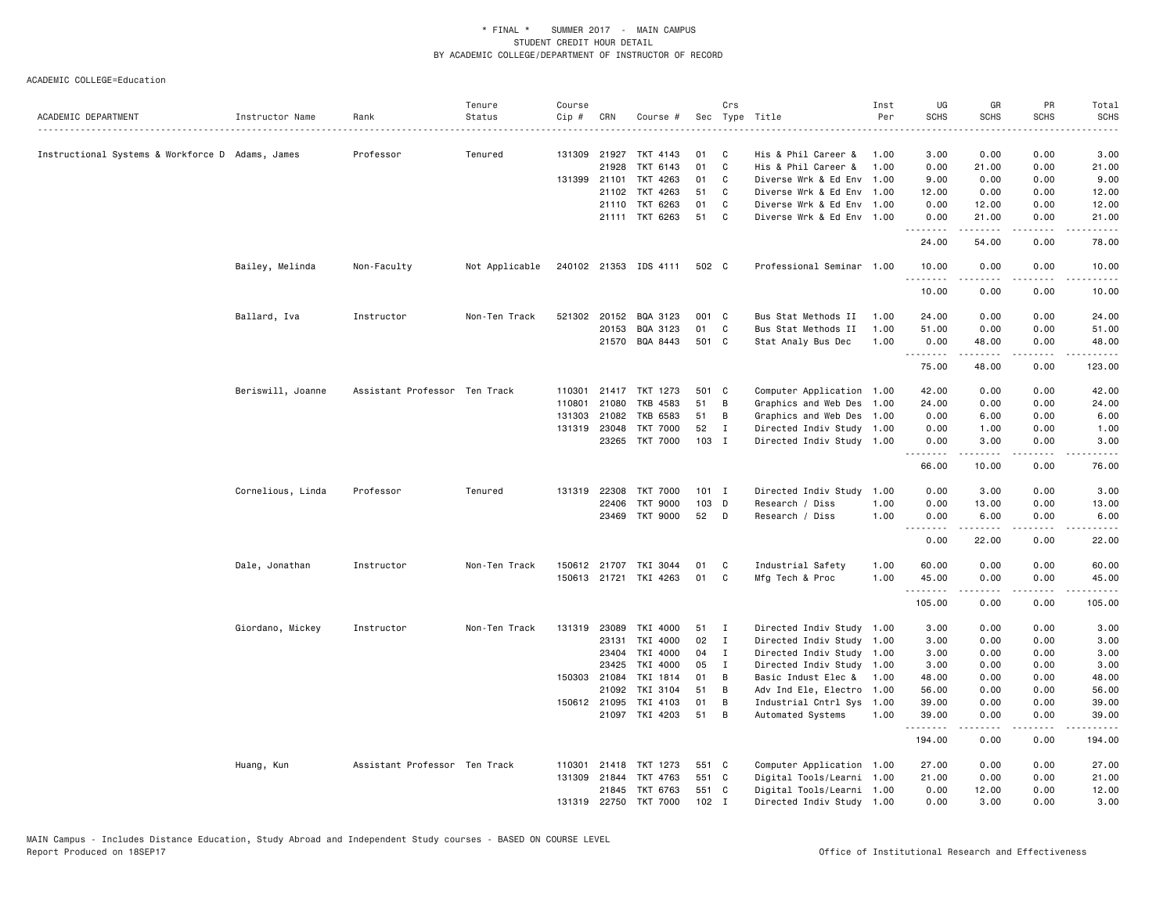|                                                  |                   |                               | Tenure         | Course |              |                                   |         | Crs            |                                            | Inst         | UG                                                                                                                                                                                                                                                                                                                                                                                                                                                                                              | GR                                                                                                                                                           | PR           | Total                  |
|--------------------------------------------------|-------------------|-------------------------------|----------------|--------|--------------|-----------------------------------|---------|----------------|--------------------------------------------|--------------|-------------------------------------------------------------------------------------------------------------------------------------------------------------------------------------------------------------------------------------------------------------------------------------------------------------------------------------------------------------------------------------------------------------------------------------------------------------------------------------------------|--------------------------------------------------------------------------------------------------------------------------------------------------------------|--------------|------------------------|
| ACADEMIC DEPARTMENT                              | Instructor Name   | Rank                          | Status         | Cip #  | CRN          | Course #                          |         |                | Sec Type Title                             | Per          | <b>SCHS</b>                                                                                                                                                                                                                                                                                                                                                                                                                                                                                     | <b>SCHS</b>                                                                                                                                                  | SCHS         | <b>SCHS</b>            |
|                                                  |                   |                               |                |        |              |                                   | 01      |                |                                            |              |                                                                                                                                                                                                                                                                                                                                                                                                                                                                                                 |                                                                                                                                                              |              | 3.00                   |
| Instructional Systems & Workforce D Adams, James |                   | Professor                     | Tenured        |        | 21928        | 131309 21927 TKT 4143<br>TKT 6143 | 01      | C<br>C         | His & Phil Career &<br>His & Phil Career & | 1.00<br>1.00 | 3.00<br>0.00                                                                                                                                                                                                                                                                                                                                                                                                                                                                                    | 0.00<br>21.00                                                                                                                                                | 0.00<br>0.00 | 21.00                  |
|                                                  |                   |                               |                |        | 131399 21101 | TKT 4263                          | 01      | C              | Diverse Wrk & Ed Env 1.00                  |              | 9.00                                                                                                                                                                                                                                                                                                                                                                                                                                                                                            | 0.00                                                                                                                                                         | 0.00         | 9.00                   |
|                                                  |                   |                               |                |        | 21102        | TKT 4263                          | 51      | C              | Diverse Wrk & Ed Env 1.00                  |              | 12.00                                                                                                                                                                                                                                                                                                                                                                                                                                                                                           | 0.00                                                                                                                                                         | 0.00         | 12.00                  |
|                                                  |                   |                               |                |        |              | 21110 TKT 6263                    | 01      | C              | Diverse Wrk & Ed Env 1.00                  |              | 0.00                                                                                                                                                                                                                                                                                                                                                                                                                                                                                            | 12.00                                                                                                                                                        | 0.00         | 12.00                  |
|                                                  |                   |                               |                |        |              | 21111 TKT 6263                    | 51      | C              | Diverse Wrk & Ed Env 1.00                  |              | 0.00                                                                                                                                                                                                                                                                                                                                                                                                                                                                                            | 21.00                                                                                                                                                        | 0.00         | 21.00                  |
|                                                  |                   |                               |                |        |              |                                   |         |                |                                            |              | .<br>24.00                                                                                                                                                                                                                                                                                                                                                                                                                                                                                      | .<br>54.00                                                                                                                                                   | .<br>0.00    | .<br>78.00             |
|                                                  | Bailey, Melinda   | Non-Faculty                   | Not Applicable |        |              | 240102 21353 IDS 4111             | 502 C   |                | Professional Seminar 1.00                  |              | 10.00                                                                                                                                                                                                                                                                                                                                                                                                                                                                                           | 0.00                                                                                                                                                         | 0.00         | 10.00                  |
|                                                  |                   |                               |                |        |              |                                   |         |                |                                            |              | $\begin{array}{cccccccccccccc} \multicolumn{2}{c}{} & \multicolumn{2}{c}{} & \multicolumn{2}{c}{} & \multicolumn{2}{c}{} & \multicolumn{2}{c}{} & \multicolumn{2}{c}{} & \multicolumn{2}{c}{} & \multicolumn{2}{c}{} & \multicolumn{2}{c}{} & \multicolumn{2}{c}{} & \multicolumn{2}{c}{} & \multicolumn{2}{c}{} & \multicolumn{2}{c}{} & \multicolumn{2}{c}{} & \multicolumn{2}{c}{} & \multicolumn{2}{c}{} & \multicolumn{2}{c}{} & \multicolumn{2}{c}{} & \multicolumn{2}{c}{} & \$<br>10.00 | 0.00                                                                                                                                                         | 0.00         | 10.00                  |
|                                                  | Ballard, Iva      | Instructor                    | Non-Ten Track  |        |              | 521302 20152 BQA 3123             | 001 C   |                | Bus Stat Methods II                        | 1.00         | 24.00                                                                                                                                                                                                                                                                                                                                                                                                                                                                                           | 0.00                                                                                                                                                         | 0.00         | 24.00                  |
|                                                  |                   |                               |                |        | 20153        | BQA 3123                          | 01      | C              | Bus Stat Methods II                        | 1.00         | 51.00                                                                                                                                                                                                                                                                                                                                                                                                                                                                                           | 0.00                                                                                                                                                         | 0.00         | 51.00                  |
|                                                  |                   |                               |                |        | 21570        | BQA 8443                          | 501 C   |                | Stat Analy Bus Dec                         | 1.00         | 0.00                                                                                                                                                                                                                                                                                                                                                                                                                                                                                            | 48.00                                                                                                                                                        | 0.00         | 48.00                  |
|                                                  |                   |                               |                |        |              |                                   |         |                |                                            |              | .<br>75.00                                                                                                                                                                                                                                                                                                                                                                                                                                                                                      | .<br>48.00                                                                                                                                                   | .<br>0.00    | .<br>123.00            |
|                                                  | Beriswill, Joanne | Assistant Professor Ten Track |                |        |              | 110301 21417 TKT 1273             | 501 C   |                | Computer Application 1.00                  |              | 42.00                                                                                                                                                                                                                                                                                                                                                                                                                                                                                           | 0.00                                                                                                                                                         | 0.00         | 42.00                  |
|                                                  |                   |                               |                | 110801 | 21080        | TKB 4583                          | 51      | B              | Graphics and Web Des 1.00                  |              | 24.00                                                                                                                                                                                                                                                                                                                                                                                                                                                                                           | 0.00                                                                                                                                                         | 0.00         | 24.00                  |
|                                                  |                   |                               |                | 131303 | 21082        | TKB 6583                          | 51      | B              | Graphics and Web Des 1.00                  |              | 0.00                                                                                                                                                                                                                                                                                                                                                                                                                                                                                            | 6.00                                                                                                                                                         | 0.00         | 6.00                   |
|                                                  |                   |                               |                |        | 131319 23048 | <b>TKT 7000</b>                   | 52      | $\mathbf I$    | Directed Indiv Study 1.00                  |              | 0.00                                                                                                                                                                                                                                                                                                                                                                                                                                                                                            | 1.00                                                                                                                                                         | 0.00         | 1.00                   |
|                                                  |                   |                               |                |        |              | 23265 TKT 7000                    | 103 I   |                | Directed Indiv Study 1.00                  |              | 0.00                                                                                                                                                                                                                                                                                                                                                                                                                                                                                            | 3.00                                                                                                                                                         | 0.00         | 3.00                   |
|                                                  |                   |                               |                |        |              |                                   |         |                |                                            |              | <u>.</u><br>66.00                                                                                                                                                                                                                                                                                                                                                                                                                                                                               | .<br>10.00                                                                                                                                                   | .<br>0.00    | $\frac{1}{2}$<br>76.00 |
|                                                  | Cornelious, Linda | Professor                     | Tenured        |        |              | 131319 22308 TKT 7000             | $101$ I |                | Directed Indiv Study 1.00                  |              | 0.00                                                                                                                                                                                                                                                                                                                                                                                                                                                                                            | 3.00                                                                                                                                                         | 0.00         | 3.00                   |
|                                                  |                   |                               |                |        | 22406        | <b>TKT 9000</b>                   | 103 D   |                | Research / Diss                            | 1.00         | 0.00                                                                                                                                                                                                                                                                                                                                                                                                                                                                                            | 13.00                                                                                                                                                        | 0.00         | 13.00                  |
|                                                  |                   |                               |                |        | 23469        | TKT 9000                          | 52      | D              | Research / Diss                            | 1.00         | 0.00                                                                                                                                                                                                                                                                                                                                                                                                                                                                                            | 6.00                                                                                                                                                         | 0.00         | 6.00                   |
|                                                  |                   |                               |                |        |              |                                   |         |                |                                            |              | 1.1.1.1.1.1.1<br>0.00                                                                                                                                                                                                                                                                                                                                                                                                                                                                           | 22.00                                                                                                                                                        | 0.00         | 22.00                  |
|                                                  | Dale, Jonathan    | Instructor                    | Non-Ten Track  |        |              | 150612 21707 TKI 3044             | 01      | C              | Industrial Safety                          | 1.00         | 60.00                                                                                                                                                                                                                                                                                                                                                                                                                                                                                           | 0.00                                                                                                                                                         | 0.00         | 60.00                  |
|                                                  |                   |                               |                |        |              | 150613 21721 TKI 4263             | 01      | C              | Mfg Tech & Proc                            | 1.00         | 45.00<br>.                                                                                                                                                                                                                                                                                                                                                                                                                                                                                      | 0.00<br>$\frac{1}{2} \left( \frac{1}{2} \right) \left( \frac{1}{2} \right) \left( \frac{1}{2} \right) \left( \frac{1}{2} \right) \left( \frac{1}{2} \right)$ | 0.00<br>.    | 45.00<br>.             |
|                                                  |                   |                               |                |        |              |                                   |         |                |                                            |              | 105.00                                                                                                                                                                                                                                                                                                                                                                                                                                                                                          | 0.00                                                                                                                                                         | 0.00         | 105.00                 |
|                                                  | Giordano, Mickey  | Instructor                    | Non-Ten Track  |        | 131319 23089 | TKI 4000                          | 51      | $\mathbf{I}$   | Directed Indiv Study 1.00                  |              | 3.00                                                                                                                                                                                                                                                                                                                                                                                                                                                                                            | 0.00                                                                                                                                                         | 0.00         | 3.00                   |
|                                                  |                   |                               |                |        | 23131        | TKI 4000                          | 02      | $\mathbf I$    | Directed Indiv Study 1.00                  |              | 3.00                                                                                                                                                                                                                                                                                                                                                                                                                                                                                            | 0.00                                                                                                                                                         | 0.00         | 3.00                   |
|                                                  |                   |                               |                |        | 23404        | TKI 4000                          | 04      | $\mathbf I$    | Directed Indiv Study 1.00                  |              | 3.00                                                                                                                                                                                                                                                                                                                                                                                                                                                                                            | 0.00                                                                                                                                                         | 0.00         | 3.00                   |
|                                                  |                   |                               |                |        | 23425        | TKI 4000                          | 05      | $\mathbf{I}$   | Directed Indiv Study 1.00                  |              | 3.00                                                                                                                                                                                                                                                                                                                                                                                                                                                                                            | 0.00                                                                                                                                                         | 0.00         | 3.00                   |
|                                                  |                   |                               |                |        | 150303 21084 | TKI 1814                          | 01      | B              | Basic Indust Elec & 1.00                   |              | 48.00                                                                                                                                                                                                                                                                                                                                                                                                                                                                                           | 0.00                                                                                                                                                         | 0.00         | 48.00                  |
|                                                  |                   |                               |                |        | 21092        | TKI 3104                          | 51      | B              | Adv Ind Ele, Electro 1.00                  |              | 56.00                                                                                                                                                                                                                                                                                                                                                                                                                                                                                           | 0.00                                                                                                                                                         | 0.00         | 56.00                  |
|                                                  |                   |                               |                |        | 150612 21095 | TKI 4103                          | 01      | B              | Industrial Cntrl Sys 1.00                  |              | 39.00                                                                                                                                                                                                                                                                                                                                                                                                                                                                                           | 0.00                                                                                                                                                         | 0.00         | 39.00                  |
|                                                  |                   |                               |                |        |              | 21097 TKI 4203                    | 51      | $\overline{B}$ | Automated Systems                          | 1.00         | 39.00<br>. <u>.</u>                                                                                                                                                                                                                                                                                                                                                                                                                                                                             | 0.00                                                                                                                                                         | 0.00         | 39.00<br>.             |
|                                                  |                   |                               |                |        |              |                                   |         |                |                                            |              | 194.00                                                                                                                                                                                                                                                                                                                                                                                                                                                                                          | 0.00                                                                                                                                                         | 0.00         | 194.00                 |
|                                                  | Huang, Kun        | Assistant Professor Ten Track |                | 110301 | 21418        | TKT 1273                          | 551 C   |                | Computer Application 1.00                  |              | 27.00                                                                                                                                                                                                                                                                                                                                                                                                                                                                                           | 0.00                                                                                                                                                         | 0.00         | 27.00                  |
|                                                  |                   |                               |                |        | 131309 21844 | TKT 4763                          | 551 C   |                | Digital Tools/Learni 1.00                  |              | 21.00                                                                                                                                                                                                                                                                                                                                                                                                                                                                                           | 0.00                                                                                                                                                         | 0.00         | 21.00                  |
|                                                  |                   |                               |                |        |              | 21845 TKT 6763                    | 551 C   |                | Digital Tools/Learni 1.00                  |              | 0.00                                                                                                                                                                                                                                                                                                                                                                                                                                                                                            | 12.00                                                                                                                                                        | 0.00         | 12.00                  |
|                                                  |                   |                               |                |        |              | 131319 22750 TKT 7000             | $102$ I |                | Directed Indiv Study 1.00                  |              | 0.00                                                                                                                                                                                                                                                                                                                                                                                                                                                                                            | 3.00                                                                                                                                                         | 0.00         | 3.00                   |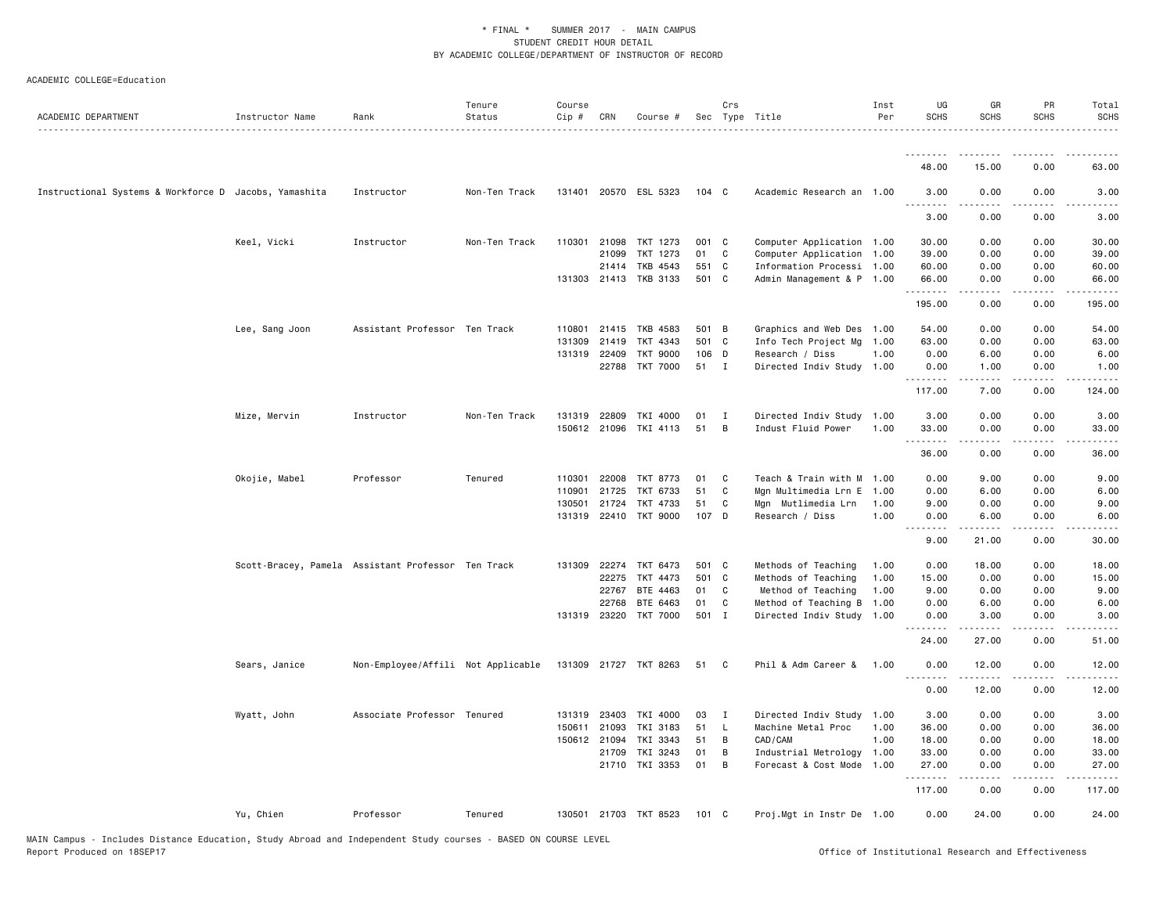| ACADEMIC DEPARTMENT                                   | Instructor Name | Rank                                               | Tenure<br>Status | Course<br>Cip # | CRN          | Course #              |                  | Crs          | Sec Type Title            | Inst<br>Per | UG<br><b>SCHS</b>     | GR<br><b>SCHS</b>                                                                                                                                            | PR<br><b>SCHS</b>     | Total<br><b>SCHS</b><br>. |
|-------------------------------------------------------|-----------------|----------------------------------------------------|------------------|-----------------|--------------|-----------------------|------------------|--------------|---------------------------|-------------|-----------------------|--------------------------------------------------------------------------------------------------------------------------------------------------------------|-----------------------|---------------------------|
|                                                       |                 |                                                    |                  |                 |              |                       |                  |              |                           |             | <u>.</u>              | .                                                                                                                                                            |                       |                           |
|                                                       |                 |                                                    |                  |                 |              |                       |                  |              |                           |             | 48.00                 | 15.00                                                                                                                                                        | 0.00                  | 63.00                     |
| Instructional Systems & Workforce D Jacobs, Yamashita |                 | Instructor                                         | Non-Ten Track    |                 |              | 131401 20570 ESL 5323 | 104 <sub>C</sub> |              | Academic Research an 1.00 |             | 3.00                  | 0.00                                                                                                                                                         | 0.00                  | 3.00                      |
|                                                       |                 |                                                    |                  |                 |              |                       |                  |              |                           |             | 3.00                  | 0.00                                                                                                                                                         | 0.00                  | 3.00                      |
|                                                       | Keel, Vicki     | Instructor                                         | Non-Ten Track    | 110301          | 21098        | TKT 1273              | 001 C            |              | Computer Application 1.00 |             | 30.00                 | 0.00                                                                                                                                                         | 0.00                  | 30.00                     |
|                                                       |                 |                                                    |                  |                 | 21099        | TKT 1273              | 01               | C            | Computer Application 1.00 |             | 39.00                 | 0.00                                                                                                                                                         | 0.00                  | 39.00                     |
|                                                       |                 |                                                    |                  |                 | 21414        | TKB 4543              | 551 C            |              | Information Processi 1.00 |             | 60.00                 | 0.00                                                                                                                                                         | 0.00                  | 60.00                     |
|                                                       |                 |                                                    |                  |                 |              | 131303 21413 TKB 3133 | 501 C            |              | Admin Management & P 1.00 |             | 66.00<br>.            | 0.00<br>.                                                                                                                                                    | 0.00<br>.             | 66.00<br>.                |
|                                                       |                 |                                                    |                  |                 |              |                       |                  |              |                           |             | 195.00                | 0.00                                                                                                                                                         | 0.00                  | 195.00                    |
|                                                       | Lee, Sang Joon  | Assistant Professor Ten Track                      |                  | 110801          | 21415        | TKB 4583              | 501 B            |              | Graphics and Web Des      | 1.00        | 54.00                 | 0.00                                                                                                                                                         | 0.00                  | 54.00                     |
|                                                       |                 |                                                    |                  | 131309          | 21419        | TKT 4343              | 501 C            |              | Info Tech Project Mg      | 1.00        | 63.00                 | 0.00                                                                                                                                                         | 0.00                  | 63.00                     |
|                                                       |                 |                                                    |                  | 131319          | 22409        | <b>TKT 9000</b>       | 106 D            |              | Research / Diss           | 1.00        | 0.00                  | 6.00                                                                                                                                                         | 0.00                  | 6.00                      |
|                                                       |                 |                                                    |                  |                 | 22788        | <b>TKT 7000</b>       | 51               | $\mathbf{I}$ | Directed Indiv Study 1.00 |             | 0.00<br>.             | 1.00<br>$\frac{1}{2} \left( \frac{1}{2} \right) \left( \frac{1}{2} \right) \left( \frac{1}{2} \right) \left( \frac{1}{2} \right) \left( \frac{1}{2} \right)$ | 0.00<br>.             | 1.00<br>-----             |
|                                                       |                 |                                                    |                  |                 |              |                       |                  |              |                           |             | 117.00                | 7.00                                                                                                                                                         | 0.00                  | 124.00                    |
|                                                       | Mize, Mervin    | Instructor                                         | Non-Ten Track    | 131319          | 22809        | TKI 4000              | 01               | $\mathbf{I}$ | Directed Indiv Study 1.00 |             | 3.00                  | 0.00                                                                                                                                                         | 0.00                  | 3.00                      |
|                                                       |                 |                                                    |                  |                 | 150612 21096 | TKI 4113              | 51               | B            | Indust Fluid Power        | 1.00        | 33.00                 | 0.00                                                                                                                                                         | 0.00                  | 33.00                     |
|                                                       |                 |                                                    |                  |                 |              |                       |                  |              |                           |             | .<br>36.00            | 0.00                                                                                                                                                         | 0.00                  | 36.00                     |
|                                                       | Okojie, Mabel   | Professor                                          | Tenured          | 110301          | 22008        | TKT 8773              | 01               | C            | Teach & Train with M 1.00 |             | 0.00                  | 9.00                                                                                                                                                         | 0.00                  | 9.00                      |
|                                                       |                 |                                                    |                  | 110901          | 21725        | TKT 6733              | 51               | C            | Mgn Multimedia Lrn E      | 1.00        | 0.00                  | 6.00                                                                                                                                                         | 0.00                  | 6.00                      |
|                                                       |                 |                                                    |                  | 130501          | 21724        | TKT 4733              | 51               | C            | Mgn Mutlimedia Lrn        | 1.00        | 9.00                  | 0.00                                                                                                                                                         | 0.00                  | 9.00                      |
|                                                       |                 |                                                    |                  |                 |              | 131319 22410 TKT 9000 | 107 D            |              | Research / Diss           | 1.00        | 0.00<br>$\frac{1}{2}$ | 6.00                                                                                                                                                         | 0.00                  | 6.00                      |
|                                                       |                 |                                                    |                  |                 |              |                       |                  |              |                           |             | 9.00                  | 21.00                                                                                                                                                        | 0.00                  | 30.00                     |
|                                                       |                 | Scott-Bracey, Pamela Assistant Professor Ten Track |                  |                 | 131309 22274 | TKT 6473              | 501 C            |              | Methods of Teaching       | 1.00        | 0.00                  | 18.00                                                                                                                                                        | 0.00                  | 18.00                     |
|                                                       |                 |                                                    |                  |                 | 22275        | TKT 4473              | 501 C            |              | Methods of Teaching       | 1.00        | 15.00                 | 0.00                                                                                                                                                         | 0.00                  | 15.00                     |
|                                                       |                 |                                                    |                  |                 | 22767        | BTE 4463              | 01               | C            | Method of Teaching        | 1.00        | 9.00                  | 0.00                                                                                                                                                         | 0.00                  | 9.00                      |
|                                                       |                 |                                                    |                  |                 | 22768        | BTE 6463              | 01               | C            | Method of Teaching B 1.00 |             | 0.00                  | 6.00                                                                                                                                                         | 0.00                  | 6.00                      |
|                                                       |                 |                                                    |                  |                 | 131319 23220 | <b>TKT 7000</b>       | 501 I            |              | Directed Indiv Study 1.00 |             | 0.00<br>.             | 3.00                                                                                                                                                         | 0.00                  | 3.00                      |
|                                                       |                 |                                                    |                  |                 |              |                       |                  |              |                           |             | 24.00                 | 27.00                                                                                                                                                        | 0.00                  | 51.00                     |
|                                                       | Sears, Janice   | Non-Employee/Affili Not Applicable                 |                  |                 |              | 131309 21727 TKT 8263 | 51               | C            | Phil & Adm Career &       | 1.00        | 0.00<br>.             | 12.00                                                                                                                                                        | 0.00                  | 12.00                     |
|                                                       |                 |                                                    |                  |                 |              |                       |                  |              |                           |             | 0.00                  | 12.00                                                                                                                                                        | 0.00                  | 12.00                     |
|                                                       | Wyatt, John     | Associate Professor Tenured                        |                  |                 | 131319 23403 | TKI 4000              | 03               | $\mathbf{I}$ | Directed Indiv Study 1.00 |             | 3.00                  | 0.00                                                                                                                                                         | 0.00                  | 3.00                      |
|                                                       |                 |                                                    |                  |                 | 150611 21093 | TKI 3183              | 51               | $\mathsf{L}$ | Machine Metal Proc        | 1.00        | 36.00                 | 0.00                                                                                                                                                         | 0.00                  | 36.00                     |
|                                                       |                 |                                                    |                  |                 | 150612 21094 | TKI 3343              | 51               | B            | CAD/CAM                   | 1.00        | 18.00                 | 0.00                                                                                                                                                         | 0.00                  | 18.00                     |
|                                                       |                 |                                                    |                  |                 | 21709        | TKI 3243              | 01               | B            | Industrial Metrology      | 1.00        | 33.00                 | 0.00                                                                                                                                                         | 0.00                  | 33.00                     |
|                                                       |                 |                                                    |                  |                 |              | 21710 TKI 3353        | 01               | B            | Forecast & Cost Mode      | 1.00        | 27.00<br>.            | 0.00<br>$\frac{1}{2}$                                                                                                                                        | 0.00<br>$\frac{1}{2}$ | 27.00<br>.                |
|                                                       |                 |                                                    |                  |                 |              |                       |                  |              |                           |             | 117.00                | 0.00                                                                                                                                                         | 0.00                  | 117.00                    |
|                                                       | Yu, Chien       | Professor                                          | Tenured          |                 |              | 130501 21703 TKT 8523 | 101 C            |              | Proj.Mgt in Instr De 1.00 |             | 0.00                  | 24.00                                                                                                                                                        | 0.00                  | 24.00                     |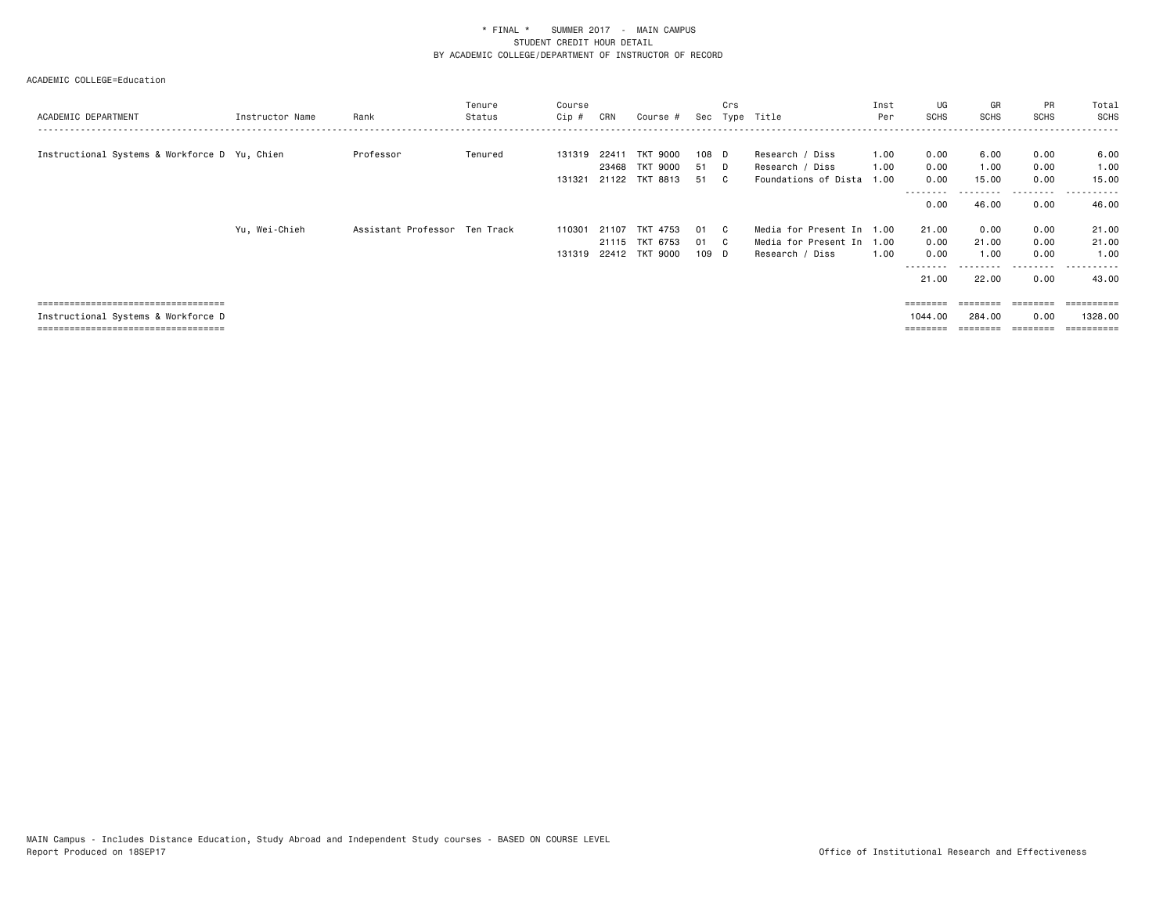| ACADEMIC DEPARTMENT                                                                                                   | Instructor Name | Rank                          | Tenure<br>Status | Course<br>Cip #  | CRN                     | Course #                                  | Sec                | Crs | Type Title                                                                | Inst<br>Per          | UG<br><b>SCHS</b>                           | GR<br>SCHS                     | <b>PR</b><br><b>SCHS</b>          | Total<br>SCHS                                 |
|-----------------------------------------------------------------------------------------------------------------------|-----------------|-------------------------------|------------------|------------------|-------------------------|-------------------------------------------|--------------------|-----|---------------------------------------------------------------------------|----------------------|---------------------------------------------|--------------------------------|-----------------------------------|-----------------------------------------------|
| Instructional Systems & Workforce D Yu, Chien                                                                         |                 | Professor                     | Tenured          | 131319<br>131321 | 22411<br>23468<br>21122 | <b>TKT 9000</b><br>TKT 9000<br>TKT 8813   | 108 D<br>51<br>51  | D   | Research / Diss<br>Research / Diss<br>Foundations of Dista                | 1.00<br>1.00<br>1.00 | 0.00<br>0.00<br>0.00                        | 6.00<br>1.00<br>15.00          | 0.00<br>0.00<br>0.00              | 6.00<br>1.00<br>15.00                         |
|                                                                                                                       |                 |                               |                  |                  |                         |                                           |                    |     |                                                                           |                      | --------<br>0.00                            | -------<br>46.00               | .<br>0.00                         | .<br>46.00                                    |
|                                                                                                                       | Yu, Wei-Chieh   | Assistant Professor Ten Track |                  | 110301<br>131319 | 21107<br>21115          | TKT<br>4753<br>TKT 6753<br>22412 TKT 9000 | 01<br>-01<br>109 D |     | Media for Present In 1.00<br>Media for Present In 1.00<br>Research / Diss | 1.00                 | 21.00<br>0.00<br>0.00<br>---------<br>21.00 | 0.00<br>21.00<br>1.00<br>22.00 | 0.00<br>0.00<br>0.00<br>.<br>0.00 | 21.00<br>21.00<br>1.00<br>. <b>.</b><br>43.00 |
| _____________________________________<br>Instructional Systems & Workforce D<br>===================================== |                 |                               |                  |                  |                         |                                           |                    |     |                                                                           |                      | ========<br>1044.00                         | ========<br>284.00             | ========<br>0.00                  | ==========<br>1328,00<br>=========            |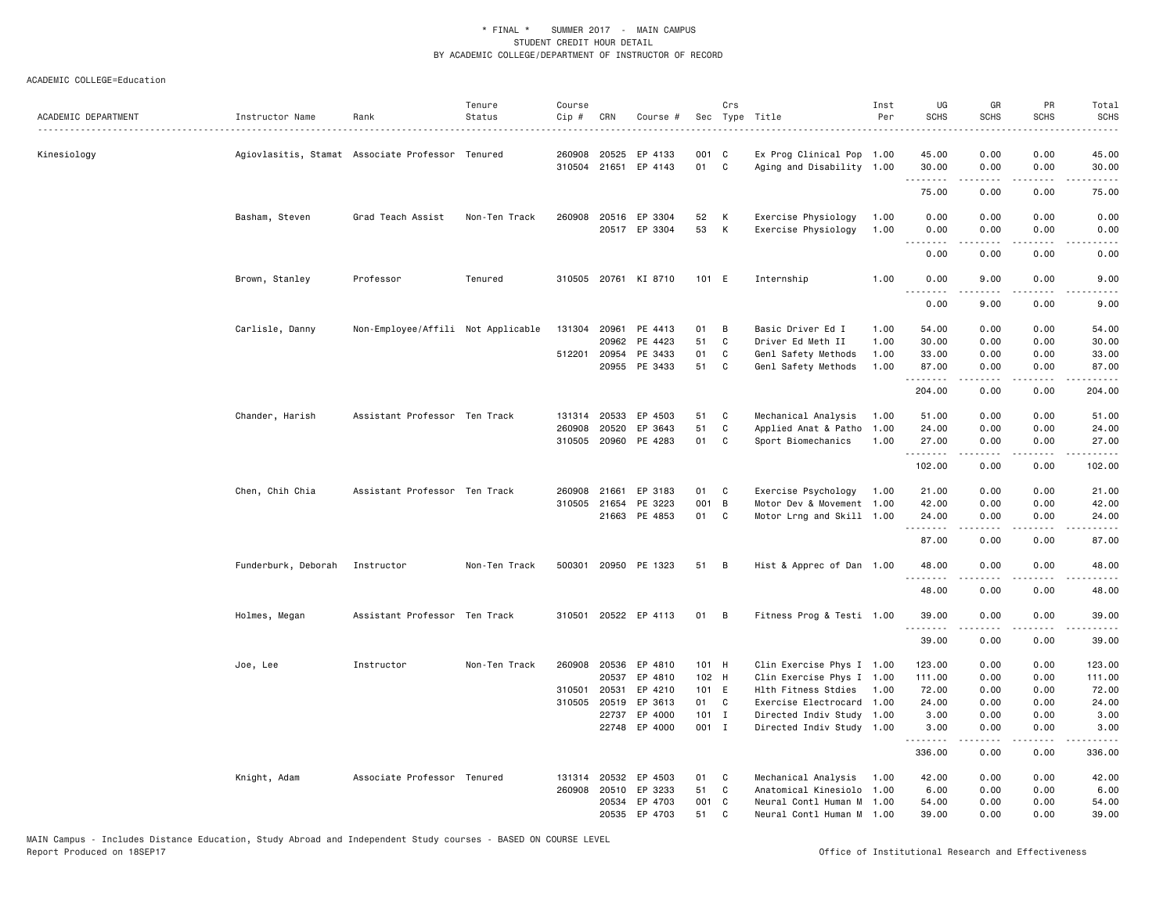| ACADEMIC DEPARTMENT | Instructor Name     | Rank                                             | Tenure<br>Status | Course<br>Cip # | CRN          | Course #             |         | Crs          | Sec Type Title            | Inst<br>Per | UG<br><b>SCHS</b> | GR<br><b>SCHS</b> | PR<br><b>SCHS</b>            | Total<br>SCHS<br>$\frac{1}{2}$                                                                                                                                |
|---------------------|---------------------|--------------------------------------------------|------------------|-----------------|--------------|----------------------|---------|--------------|---------------------------|-------------|-------------------|-------------------|------------------------------|---------------------------------------------------------------------------------------------------------------------------------------------------------------|
| Kinesiology         |                     | Agiovlasitis, Stamat Associate Professor Tenured |                  | 260908          | 20525        | EP 4133              | 001     | $\mathbf{C}$ | Ex Prog Clinical Pop 1.00 |             | 45.00             | 0.00              | 0.00                         | 45.00                                                                                                                                                         |
|                     |                     |                                                  |                  |                 |              | 310504 21651 EP 4143 | 01      | C            | Aging and Disability 1.00 |             | 30.00<br>.        | 0.00<br>.         | 0.00<br>$\sim$ $\sim$ $\sim$ | 30.00<br>$\sim$ $\sim$ $\sim$ $\sim$ $\sim$                                                                                                                   |
|                     |                     |                                                  |                  |                 |              |                      |         |              |                           |             | 75.00             | 0.00              | 0.00                         | 75.00                                                                                                                                                         |
|                     | Basham, Steven      | Grad Teach Assist                                | Non-Ten Track    |                 |              | 260908 20516 EP 3304 | 52      | К            | Exercise Physiology       | 1.00        | 0.00              | 0.00              | 0.00                         | 0.00                                                                                                                                                          |
|                     |                     |                                                  |                  |                 |              | 20517 EP 3304        | 53      | К            | Exercise Physiology       | 1.00        | 0.00              | 0.00              | 0.00<br>.                    | 0.00                                                                                                                                                          |
|                     |                     |                                                  |                  |                 |              |                      |         |              |                           |             | 0.00              | 0.00              | 0.00                         | 0.00                                                                                                                                                          |
|                     | Brown, Stanley      | Professor                                        | Tenured          |                 |              | 310505 20761 KI 8710 | 101 E   |              | Internship                | 1.00        | 0.00              | 9.00              | 0.00                         | 9.00                                                                                                                                                          |
|                     |                     |                                                  |                  |                 |              |                      |         |              |                           |             | 0.00              | 9.00              | 0.00                         | 9.00                                                                                                                                                          |
|                     | Carlisle, Danny     | Non-Employee/Affili Not Applicable               |                  |                 |              | 131304 20961 PE 4413 | 01      | В            | Basic Driver Ed I         | 1.00        | 54.00             | 0.00              | 0.00                         | 54.00                                                                                                                                                         |
|                     |                     |                                                  |                  |                 |              | 20962 PE 4423        | 51      | C            | Driver Ed Meth II         | 1.00        | 30.00             | 0.00              | 0.00                         | 30.00                                                                                                                                                         |
|                     |                     |                                                  |                  |                 |              | 512201 20954 PE 3433 | 01      | C            | Genl Safety Methods       | 1.00        | 33.00             | 0.00              | 0.00                         | 33.00                                                                                                                                                         |
|                     |                     |                                                  |                  |                 |              | 20955 PE 3433        | 51      | C            | Genl Safety Methods       | 1.00        | 87.00<br>.        | 0.00              | 0.00<br>$\frac{1}{2}$        | 87.00<br>.                                                                                                                                                    |
|                     |                     |                                                  |                  |                 |              |                      |         |              |                           |             | 204.00            | 0.00              | 0.00                         | 204.00                                                                                                                                                        |
|                     | Chander, Harish     | Assistant Professor Ten Track                    |                  |                 | 131314 20533 | EP 4503              | 51      | C            | Mechanical Analysis       | 1.00        | 51.00             | 0.00              | 0.00                         | 51.00                                                                                                                                                         |
|                     |                     |                                                  |                  | 260908          | 20520        | EP 3643              | 51      | $\mathbf c$  | Applied Anat & Patho      | 1.00        | 24.00             | 0.00              | 0.00                         | 24.00                                                                                                                                                         |
|                     |                     |                                                  |                  | 310505          |              | 20960 PE 4283        | 01      | C            | Sport Biomechanics        | 1.00        | 27.00<br>.        | 0.00<br>.         | 0.00<br>$\frac{1}{2}$        | 27.00<br>.                                                                                                                                                    |
|                     |                     |                                                  |                  |                 |              |                      |         |              |                           |             | 102.00            | 0.00              | 0.00                         | 102.00                                                                                                                                                        |
|                     | Chen, Chih Chia     | Assistant Professor Ten Track                    |                  | 260908          | 21661        | EP 3183              | 01      | C            | Exercise Psychology       | 1.00        | 21.00             | 0.00              | 0.00                         | 21.00                                                                                                                                                         |
|                     |                     |                                                  |                  | 310505          | 21654        | PE 3223              | 001 B   |              | Motor Dev & Movement 1.00 |             | 42.00             | 0.00              | 0.00                         | 42.00                                                                                                                                                         |
|                     |                     |                                                  |                  |                 |              | 21663 PE 4853        | 01      | C            | Motor Lrng and Skill 1.00 |             | 24.00<br>.        | 0.00<br><b>.</b>  | 0.00<br>.                    | 24.00<br>.                                                                                                                                                    |
|                     |                     |                                                  |                  |                 |              |                      |         |              |                           |             | 87.00             | 0.00              | 0.00                         | 87.00                                                                                                                                                         |
|                     | Funderburk, Deborah | Instructor                                       | Non-Ten Track    | 500301          |              | 20950 PE 1323        | 51      | B            | Hist & Apprec of Dan 1.00 |             | 48.00<br>.        | 0.00<br>2.2.2.2.2 | 0.00<br>.                    | 48.00<br>د د د د د                                                                                                                                            |
|                     |                     |                                                  |                  |                 |              |                      |         |              |                           |             | 48.00             | 0.00              | 0.00                         | 48.00                                                                                                                                                         |
|                     | Holmes, Megan       | Assistant Professor Ten Track                    |                  | 310501          |              | 20522 EP 4113        | 01      | B            | Fitness Prog & Testi 1.00 |             | 39.00             | 0.00              | 0.00                         | 39.00                                                                                                                                                         |
|                     |                     |                                                  |                  |                 |              |                      |         |              |                           |             | .<br>39.00        | 0.00              | .<br>0.00                    | $\frac{1}{2} \left( \frac{1}{2} \right) \left( \frac{1}{2} \right) \left( \frac{1}{2} \right) \left( \frac{1}{2} \right) \left( \frac{1}{2} \right)$<br>39.00 |
|                     | Joe, Lee            | Instructor                                       | Non-Ten Track    |                 |              | 260908 20536 EP 4810 | 101 H   |              | Clin Exercise Phys I 1.00 |             | 123.00            | 0.00              | 0.00                         | 123.00                                                                                                                                                        |
|                     |                     |                                                  |                  |                 | 20537        | EP 4810              | 102 H   |              | Clin Exercise Phys I 1.00 |             | 111.00            | 0.00              | 0.00                         | 111.00                                                                                                                                                        |
|                     |                     |                                                  |                  | 310501          | 20531        | EP 4210              | 101 E   |              | Hlth Fitness Stdies       | 1.00        | 72.00             | 0.00              | 0.00                         | 72.00                                                                                                                                                         |
|                     |                     |                                                  |                  | 310505          | 20519        | EP 3613              | 01      | C            | Exercise Electrocard 1.00 |             | 24.00             | 0.00              | 0.00                         | 24.00                                                                                                                                                         |
|                     |                     |                                                  |                  |                 |              | 22737 EP 4000        | $101$ I |              | Directed Indiv Study 1.00 |             | 3.00              | 0.00              | 0.00                         | 3.00                                                                                                                                                          |
|                     |                     |                                                  |                  |                 |              | 22748 EP 4000        | 001 I   |              | Directed Indiv Study 1.00 |             | 3.00              | 0.00              | 0.00                         | 3,00                                                                                                                                                          |
|                     |                     |                                                  |                  |                 |              |                      |         |              |                           |             | .<br>336.00       | .<br>0.00         | .<br>0.00                    | .<br>336.00                                                                                                                                                   |
|                     | Knight, Adam        | Associate Professor Tenured                      |                  | 131314          |              | 20532 EP 4503        | 01      | C            | Mechanical Analysis       | 1.00        | 42.00             | 0.00              | 0.00                         | 42.00                                                                                                                                                         |
|                     |                     |                                                  |                  | 260908          |              | 20510 EP 3233        | 51      | C            | Anatomical Kinesiolo 1.00 |             | 6.00              | 0.00              | 0.00                         | 6.00                                                                                                                                                          |
|                     |                     |                                                  |                  |                 |              | 20534 EP 4703        | 001     | $\mathbf{C}$ | Neural Contl Human M 1.00 |             | 54.00             | 0.00              | 0.00                         | 54.00                                                                                                                                                         |
|                     |                     |                                                  |                  |                 |              | 20535 EP 4703        | 51      | C            | Neural Contl Human M 1.00 |             | 39,00             | 0.00              | 0.00                         | 39.00                                                                                                                                                         |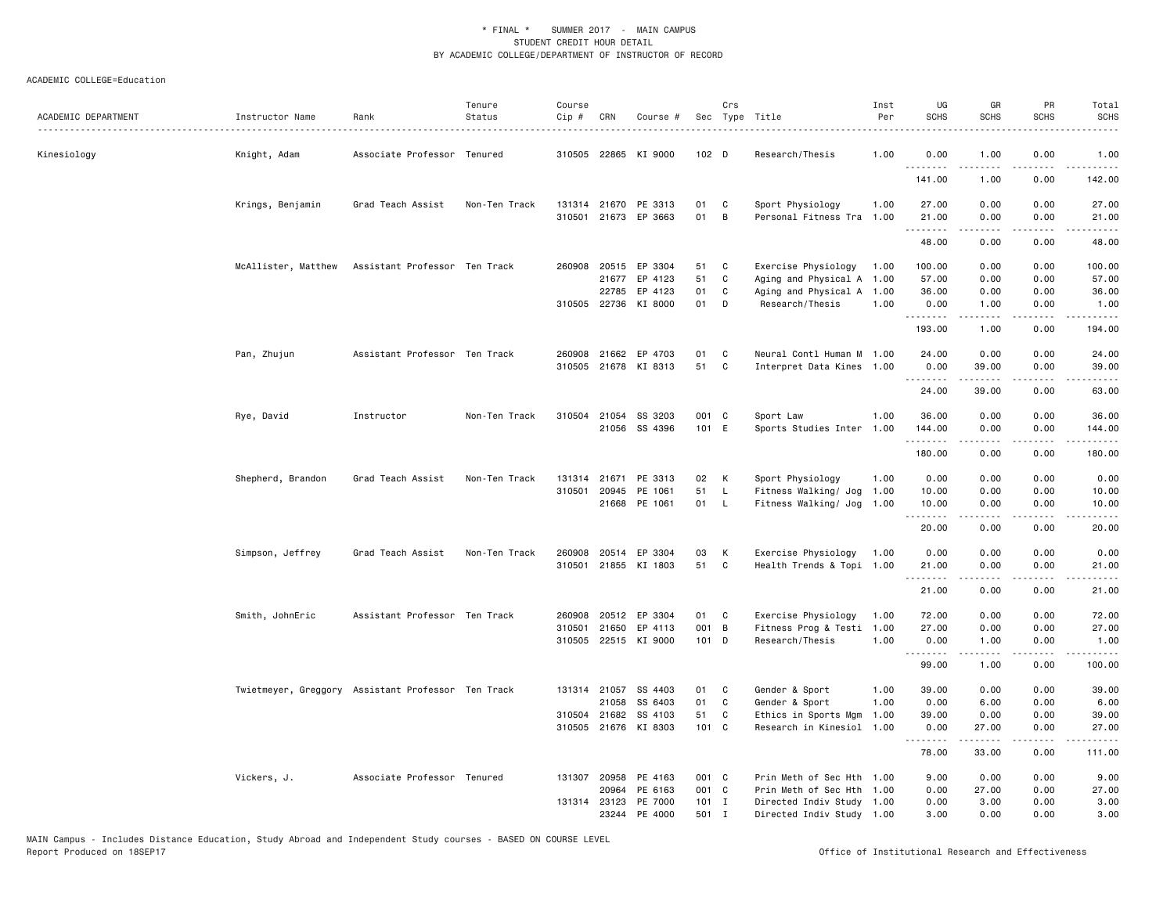| ACADEMIC DEPARTMENT | Instructor Name                                    | Rank                          | Tenure<br>Status | Course<br>$Cip \#$ | CRN          | Course #                                     |          | Crs          | Sec Type Title                                | Inst<br>Per | UG<br><b>SCHS</b>  | GR<br><b>SCHS</b> | PR<br><b>SCHS</b>                   | Total<br><b>SCHS</b><br>$\frac{1}{2} \left( \frac{1}{2} \right) \left( \frac{1}{2} \right) \left( \frac{1}{2} \right) \left( \frac{1}{2} \right) \left( \frac{1}{2} \right)$ |
|---------------------|----------------------------------------------------|-------------------------------|------------------|--------------------|--------------|----------------------------------------------|----------|--------------|-----------------------------------------------|-------------|--------------------|-------------------|-------------------------------------|------------------------------------------------------------------------------------------------------------------------------------------------------------------------------|
| Kinesiology         | Knight, Adam                                       | Associate Professor Tenured   |                  |                    |              | 310505 22865 KI 9000                         | 102 D    |              | Research/Thesis                               | 1.00        | 0.00               | 1.00              | 0.00                                | 1.00                                                                                                                                                                         |
|                     |                                                    |                               |                  |                    |              |                                              |          |              |                                               |             | <u>.</u><br>141.00 | 1.00              | 0.00                                | .<br>142.00                                                                                                                                                                  |
|                     | Krings, Benjamin                                   | Grad Teach Assist             | Non-Ten Track    |                    |              | 131314 21670 PE 3313<br>310501 21673 EP 3663 | 01<br>01 | C<br>B       | Sport Physiology<br>Personal Fitness Tra 1.00 | 1.00        | 27.00<br>21.00     | 0.00<br>0.00      | 0.00<br>0.00                        | 27.00<br>21.00                                                                                                                                                               |
|                     |                                                    |                               |                  |                    |              |                                              |          |              |                                               |             | .<br>48.00         | -----<br>0.00     | .<br>0.00                           | .<br>48.00                                                                                                                                                                   |
|                     | McAllister, Matthew                                | Assistant Professor Ten Track |                  | 260908             |              | 20515 EP 3304                                | 51       | C            | Exercise Physiology                           | 1.00        | 100.00             | 0.00              | 0.00                                | 100.00                                                                                                                                                                       |
|                     |                                                    |                               |                  |                    | 21677        | EP 4123                                      | 51       | C            | Aging and Physical A 1.00                     |             | 57.00              | 0.00              | 0.00                                | 57.00                                                                                                                                                                        |
|                     |                                                    |                               |                  |                    | 22785        | EP 4123                                      | 01       | C            | Aging and Physical A 1.00                     |             | 36.00              | 0.00              | 0.00                                | 36.00                                                                                                                                                                        |
|                     |                                                    |                               |                  |                    |              | 310505 22736 KI 8000                         | 01       | D            | Research/Thesis                               | 1.00        | 0.00<br><u>.</u>   | 1.00<br>-----     | 0.00<br>.                           | 1.00<br>.                                                                                                                                                                    |
|                     |                                                    |                               |                  |                    |              |                                              |          |              |                                               |             | 193.00             | 1.00              | 0.00                                | 194.00                                                                                                                                                                       |
|                     | Pan, Zhujun                                        | Assistant Professor Ten Track |                  | 260908             |              | 21662 EP 4703                                | 01       | C            | Neural Contl Human M 1.00                     |             | 24.00              | 0.00              | 0.00                                | 24.00                                                                                                                                                                        |
|                     |                                                    |                               |                  |                    |              | 310505 21678 KI 8313                         | 51       | C            | Interpret Data Kines 1.00                     |             | 0.00<br>.          | 39.00             | 0.00                                | 39.00                                                                                                                                                                        |
|                     |                                                    |                               |                  |                    |              |                                              |          |              |                                               |             | 24.00              | 39.00             | 0.00                                | 63.00                                                                                                                                                                        |
|                     | Rye, David                                         | Instructor                    | Non-Ten Track    |                    |              | 310504 21054 SS 3203                         | 001 C    |              | Sport Law                                     | 1.00        | 36.00              | 0.00              | 0.00                                | 36.00                                                                                                                                                                        |
|                     |                                                    |                               |                  |                    |              | 21056 SS 4396                                | 101 E    |              | Sports Studies Inter                          | 1.00        | 144.00             | 0.00              | 0.00                                | 144.00                                                                                                                                                                       |
|                     |                                                    |                               |                  |                    |              |                                              |          |              |                                               |             | .                  |                   | د د د د                             | .                                                                                                                                                                            |
|                     |                                                    |                               |                  |                    |              |                                              |          |              |                                               |             | 180.00             | 0.00              | 0.00                                | 180.00                                                                                                                                                                       |
|                     | Shepherd, Brandon                                  | Grad Teach Assist             | Non-Ten Track    |                    |              | 131314 21671 PE 3313                         | 02 K     |              | Sport Physiology                              | 1.00        | 0.00               | 0.00              | 0.00                                | 0.00                                                                                                                                                                         |
|                     |                                                    |                               |                  | 310501             | 20945        | PE 1061                                      | 51       | L.           | Fitness Walking/ Jog                          | 1.00        | 10.00              | 0.00              | 0.00                                | 10.00                                                                                                                                                                        |
|                     |                                                    |                               |                  |                    |              | 21668 PE 1061                                | 01       | <b>L</b>     | Fitness Walking/ Jog 1.00                     |             | 10.00<br>.         | 0.00              | 0.00                                | 10.00<br>$\sim$ $\sim$ $\sim$ $\sim$ $\sim$                                                                                                                                  |
|                     |                                                    |                               |                  |                    |              |                                              |          |              |                                               |             | 20.00              | 0.00              | 0.00                                | 20.00                                                                                                                                                                        |
|                     | Simpson, Jeffrey                                   | Grad Teach Assist             | Non-Ten Track    | 260908             |              | 20514 EP 3304                                | 03       | К            | Exercise Physiology                           | 1.00        | 0.00               | 0.00              | 0.00                                | 0.00                                                                                                                                                                         |
|                     |                                                    |                               |                  |                    |              | 310501 21855 KI 1803                         | 51       | C            | Health Trends & Topi 1.00                     |             | 21.00              | 0.00              | 0.00                                | 21.00                                                                                                                                                                        |
|                     |                                                    |                               |                  |                    |              |                                              |          |              |                                               |             | .<br>21.00         | -----<br>0.00     | .<br>0.00                           | وبالمستريث<br>21.00                                                                                                                                                          |
|                     |                                                    |                               |                  |                    |              |                                              |          |              |                                               |             |                    |                   |                                     |                                                                                                                                                                              |
|                     | Smith, JohnEric                                    | Assistant Professor Ten Track |                  | 260908             |              | 20512 EP 3304                                | 01       | C            | Exercise Physiology                           | 1.00        | 72.00              | 0.00              | 0.00                                | 72.00                                                                                                                                                                        |
|                     |                                                    |                               |                  |                    |              | 310501 21650 EP 4113                         | 001 B    |              | Fitness Prog & Testi                          | 1.00        | 27.00              | 0.00              | 0.00                                | 27.00                                                                                                                                                                        |
|                     |                                                    |                               |                  |                    |              | 310505 22515 KI 9000                         | 101 D    |              | Research/Thesis                               | 1.00        | 0.00<br><u>.</u>   | 1.00<br>.         | 0.00<br>$\sim$ $\sim$ $\sim$ $\sim$ | 1.00<br>.                                                                                                                                                                    |
|                     |                                                    |                               |                  |                    |              |                                              |          |              |                                               |             | 99.00              | 1.00              | 0.00                                | 100.00                                                                                                                                                                       |
|                     | Twietmeyer, Greggory Assistant Professor Ten Track |                               |                  |                    |              | 131314 21057 SS 4403                         | 01       | C            | Gender & Sport                                | 1.00        | 39.00              | 0.00              | 0.00                                | 39.00                                                                                                                                                                        |
|                     |                                                    |                               |                  |                    | 21058        | SS 6403                                      | 01       | C            | Gender & Sport                                | 1.00        | 0.00               | 6.00              | 0.00                                | 6.00                                                                                                                                                                         |
|                     |                                                    |                               |                  |                    | 310504 21682 | SS 4103                                      | 51       | C            | Ethics in Sports Mgm                          | 1.00        | 39.00              | 0.00              | 0.00                                | 39.00                                                                                                                                                                        |
|                     |                                                    |                               |                  |                    |              | 310505 21676 KI 8303                         | 101 C    |              | Research in Kinesiol 1.00                     |             | 0.00               | 27.00<br>.        | 0.00<br>----                        | 27.00                                                                                                                                                                        |
|                     |                                                    |                               |                  |                    |              |                                              |          |              |                                               |             | 78.00              | 33.00             | 0.00                                | 111.00                                                                                                                                                                       |
|                     | Vickers, J.                                        | Associate Professor Tenured   |                  |                    |              | 131307 20958 PE 4163                         | 001 C    |              | Prin Meth of Sec Hth 1.00                     |             | 9.00               | 0.00              | 0.00                                | 9.00                                                                                                                                                                         |
|                     |                                                    |                               |                  |                    | 20964        | PE 6163                                      | 001 C    |              | Prin Meth of Sec Hth 1.00                     |             | 0.00               | 27.00             | 0.00                                | 27.00                                                                                                                                                                        |
|                     |                                                    |                               |                  |                    |              | 131314 23123 PE 7000                         | $101$ I  |              | Directed Indiv Study 1.00                     |             | 0.00               | 3.00              | 0.00                                | 3.00                                                                                                                                                                         |
|                     |                                                    |                               |                  |                    |              | 23244 PE 4000                                | 501      | $\mathbf{I}$ | Directed Indiv Study 1.00                     |             | 3.00               | 0.00              | 0.00                                | 3.00                                                                                                                                                                         |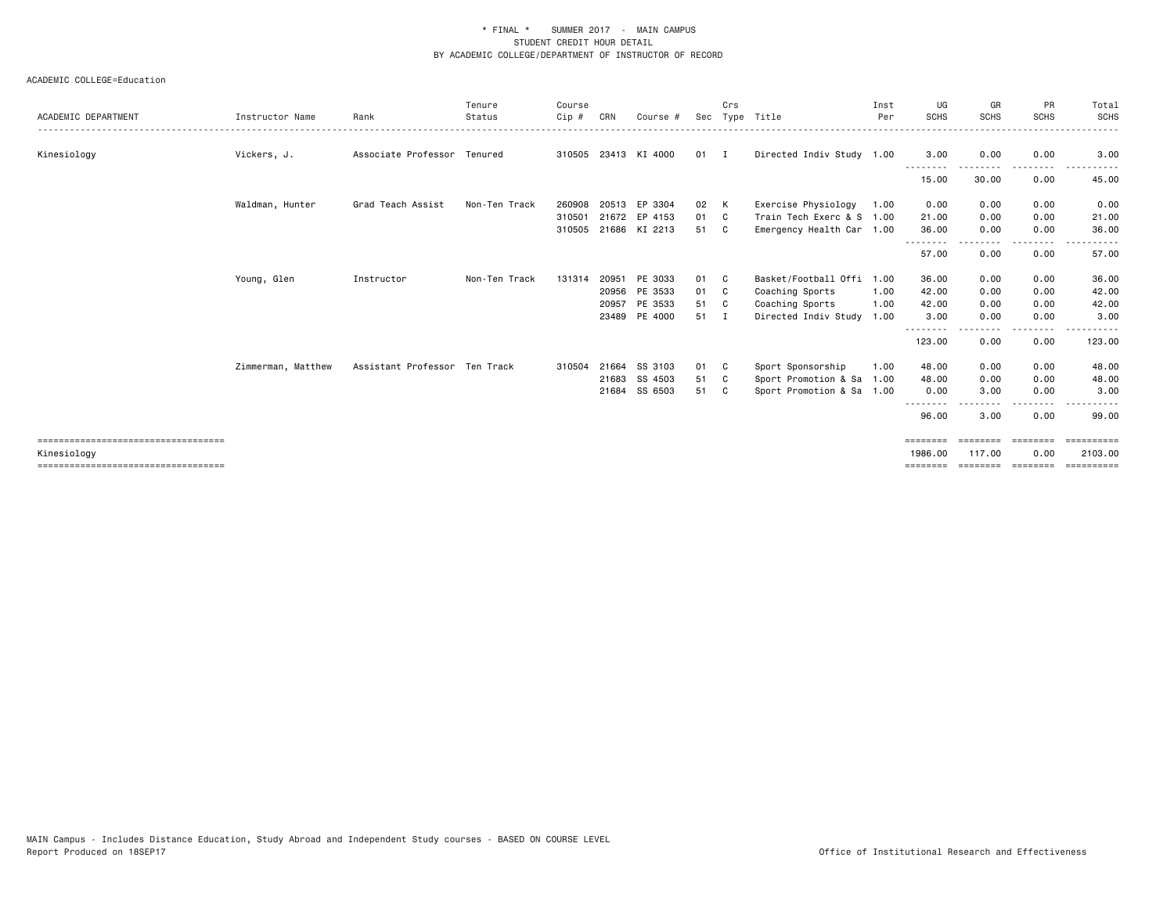|                                        |                    |                               | Tenure        | Course |       |                      |              | Crs |                           | Inst | UG                 | GR          | <b>PR</b>       | Total      |
|----------------------------------------|--------------------|-------------------------------|---------------|--------|-------|----------------------|--------------|-----|---------------------------|------|--------------------|-------------|-----------------|------------|
| ACADEMIC DEPARTMENT                    | Instructor Name    | Rank                          | Status        | Cip #  | CRN   | Course #             | Sec          |     | Type Title                | Per  | <b>SCHS</b>        | <b>SCHS</b> | <b>SCHS</b>     | SCHS       |
| Kinesiology                            | Vickers, J.        | Associate Professor Tenured   |               |        |       | 310505 23413 KI 4000 | $01 \quad I$ |     | Directed Indiv Study 1.00 |      | 3.00<br>----       | 0.00        | 0.00            | 3.00       |
|                                        |                    |                               |               |        |       |                      |              |     |                           |      | 15.00              | 30.00       | 0.00            | 45.00      |
|                                        | Waldman, Hunter    | Grad Teach Assist             | Non-Ten Track | 260908 | 20513 | EP 3304              | 02           | K   | Exercise Physiology       | 1.00 | 0.00               | 0.00        | 0.00            | 0.00       |
|                                        |                    |                               |               | 310501 |       | 21672 EP 4153        | 01           | C.  | Train Tech Exerc & S 1.00 |      | 21.00              | 0.00        | 0.00            | 21.00      |
|                                        |                    |                               |               | 310505 |       | 21686 KI 2213        | 51           | C   | Emergency Health Car 1.00 |      | 36.00              | 0.00        | 0.00            | 36.00      |
|                                        |                    |                               |               |        |       |                      |              |     |                           |      | 57.00              | 0.00        | 0.00            | 57.00      |
|                                        | Young, Glen        | Instructor                    | Non-Ten Track | 131314 | 20951 | PE 3033              | 01 C         |     | Basket/Football Offi      | 1.00 | 36.00              | 0.00        | 0.00            | 36.00      |
|                                        |                    |                               |               |        |       | 20956 PE 3533        | 01 C         |     | Coaching Sports           | 1.00 | 42.00              | 0.00        | 0.00            | 42.00      |
|                                        |                    |                               |               |        | 20957 | PE 3533              | 51 C         |     | Coaching Sports           | 1.00 | 42.00              | 0.00        | 0.00            | 42.00      |
|                                        |                    |                               |               |        |       | 23489 PE 4000        | 51           | I   | Directed Indiv Study      | 1.00 | 3.00               | 0.00        | 0.00<br>- - - - | 3.00       |
|                                        |                    |                               |               |        |       |                      |              |     |                           |      | --------<br>123.00 | 0.00        | 0.00            | 123.00     |
|                                        | Zimmerman, Matthew | Assistant Professor Ten Track |               | 310504 | 21664 | SS 3103              | 01           | C.  | Sport Sponsorship         | 1.00 | 48.00              | 0.00        | 0.00            | 48.00      |
|                                        |                    |                               |               |        |       | 21683 SS 4503        | 51           | C.  | Sport Promotion & Sa 1.00 |      | 48.00              | 0.00        | 0.00            | 48.00      |
|                                        |                    |                               |               |        | 21684 | SS 6503              | 51           | C.  | Sport Promotion & Sa 1.00 |      | 0.00               | 3.00        | 0.00            | 3.00       |
|                                        |                    |                               |               |        |       |                      |              |     |                           |      | 96.00              | 3.00        | 0.00            | 99.00      |
| ----------------------------------     |                    |                               |               |        |       |                      |              |     |                           |      | ========           | ========    | <b>EBBBBBBB</b> | ========== |
| Kinesiology                            |                    |                               |               |        |       |                      |              |     |                           |      | 1986.00            | 117.00      | 0.00            | 2103.00    |
| ====================================== |                    |                               |               |        |       |                      |              |     |                           |      | ========           | ========    | ---------       | ========== |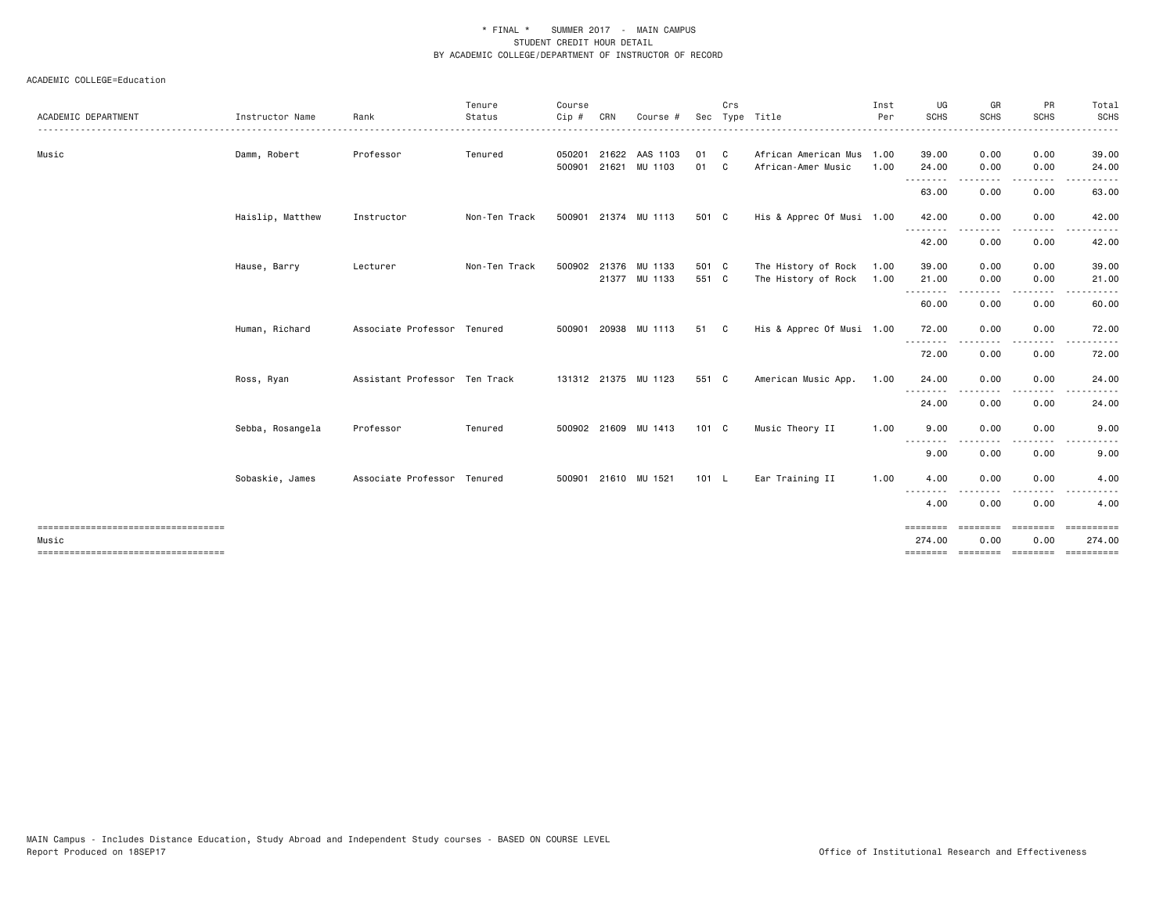| SCHS<br><b>SCHS</b><br><b>SCHS</b><br><b>SCHS</b><br>Status<br>Sec Type Title<br><b>ACADEMIC DEPARTMENT</b><br>Instructor Name<br>Rank<br>Cip#<br>CRN<br>Per<br>Course<br>050201 21622 AAS 1103<br>0.00<br>39.00<br>Music<br>Damm, Robert<br>Professor<br>Tenured<br>01 C<br>African American Mus 1.00<br>39.00<br>0.00<br>0.00<br>21621 MU 1103<br>01<br>$\mathbf{C}$<br>1.00<br>24.00<br>0.00<br>24.00<br>500901<br>African-Amer Music<br>.<br>.<br>$\cdots$<br>63.00<br>0.00<br>0.00<br>63.00<br>0.00<br>Haislip, Matthew<br>Non-Ten Track<br>21374 MU 1113<br>501 C<br>His & Apprec Of Musi 1.00<br>42.00<br>0.00<br>42.00<br>Instructor<br>500901<br>.<br>$\cdots$<br>-----<br>.<br>42.00<br>0.00<br>0.00<br>42.00<br>Non-Ten Track<br>0.00<br>39.00<br>Hause, Barry<br>500902 21376 MU 1133<br>501 C<br>The History of Rock<br>1.00<br>39.00<br>0.00<br>Lecturer<br>21377 MU 1133<br>551 C<br>The History of Rock<br>1.00<br>21.00<br>0.00<br>0.00<br>21.00<br>.<br>.<br>----<br>60.00<br>0.00<br>0.00<br>60.00<br>Associate Professor Tenured<br>0.00<br>Human, Richard<br>20938 MU 1113<br>51 C<br>His & Apprec Of Musi 1.00<br>72.00<br>0.00<br>72.00<br>500901<br>.<br>$- - - -$<br>.<br>72.00<br>0.00<br>0.00<br>72.00<br>Assistant Professor Ten Track<br>131312 21375 MU 1123<br>551 C<br>1.00<br>24.00<br>0.00<br>0.00<br>Ross, Ryan<br>American Music App.<br>24.00<br>--------<br>$\frac{1}{2} \left( \frac{1}{2} \right) \left( \frac{1}{2} \right) \left( \frac{1}{2} \right) \left( \frac{1}{2} \right)$<br>0.00<br>0.00<br>24.00<br>24.00<br>1.00<br>9.00<br>0.00<br>0.00<br>Sebba, Rosangela<br>Professor<br>Tenured<br>500902 21609 MU 1413<br>101 C<br>Music Theory II<br>9.00<br>----<br>9.00<br>0.00<br>0.00<br>9.00<br>Associate Professor Tenured<br>0.00<br>0.00<br>Sobaskie, James<br>500901 21610 MU 1521<br>101 L<br>Ear Training II<br>1.00<br>4.00<br>4.00<br>$\cdots$<br>0.00<br>4.00<br>0.00<br>4.00<br>========<br>==========<br><b>EDDEDED</b><br>========<br>274.00<br>0.00<br>274.00<br>Music<br>0.00<br>====================================<br>----------- |  | Tenure | Course |  | Crs | Inst | UG | GR | PR | Total |
|-----------------------------------------------------------------------------------------------------------------------------------------------------------------------------------------------------------------------------------------------------------------------------------------------------------------------------------------------------------------------------------------------------------------------------------------------------------------------------------------------------------------------------------------------------------------------------------------------------------------------------------------------------------------------------------------------------------------------------------------------------------------------------------------------------------------------------------------------------------------------------------------------------------------------------------------------------------------------------------------------------------------------------------------------------------------------------------------------------------------------------------------------------------------------------------------------------------------------------------------------------------------------------------------------------------------------------------------------------------------------------------------------------------------------------------------------------------------------------------------------------------------------------------------------------------------------------------------------------------------------------------------------------------------------------------------------------------------------------------------------------------------------------------------------------------------------------------------------------------------------------------------------------------------------------------------------------------------------------------------------------------------------------------------------------------------------------------------------------|--|--------|--------|--|-----|------|----|----|----|-------|
|                                                                                                                                                                                                                                                                                                                                                                                                                                                                                                                                                                                                                                                                                                                                                                                                                                                                                                                                                                                                                                                                                                                                                                                                                                                                                                                                                                                                                                                                                                                                                                                                                                                                                                                                                                                                                                                                                                                                                                                                                                                                                                     |  |        |        |  |     |      |    |    |    |       |
|                                                                                                                                                                                                                                                                                                                                                                                                                                                                                                                                                                                                                                                                                                                                                                                                                                                                                                                                                                                                                                                                                                                                                                                                                                                                                                                                                                                                                                                                                                                                                                                                                                                                                                                                                                                                                                                                                                                                                                                                                                                                                                     |  |        |        |  |     |      |    |    |    |       |
|                                                                                                                                                                                                                                                                                                                                                                                                                                                                                                                                                                                                                                                                                                                                                                                                                                                                                                                                                                                                                                                                                                                                                                                                                                                                                                                                                                                                                                                                                                                                                                                                                                                                                                                                                                                                                                                                                                                                                                                                                                                                                                     |  |        |        |  |     |      |    |    |    |       |
|                                                                                                                                                                                                                                                                                                                                                                                                                                                                                                                                                                                                                                                                                                                                                                                                                                                                                                                                                                                                                                                                                                                                                                                                                                                                                                                                                                                                                                                                                                                                                                                                                                                                                                                                                                                                                                                                                                                                                                                                                                                                                                     |  |        |        |  |     |      |    |    |    |       |
|                                                                                                                                                                                                                                                                                                                                                                                                                                                                                                                                                                                                                                                                                                                                                                                                                                                                                                                                                                                                                                                                                                                                                                                                                                                                                                                                                                                                                                                                                                                                                                                                                                                                                                                                                                                                                                                                                                                                                                                                                                                                                                     |  |        |        |  |     |      |    |    |    |       |
|                                                                                                                                                                                                                                                                                                                                                                                                                                                                                                                                                                                                                                                                                                                                                                                                                                                                                                                                                                                                                                                                                                                                                                                                                                                                                                                                                                                                                                                                                                                                                                                                                                                                                                                                                                                                                                                                                                                                                                                                                                                                                                     |  |        |        |  |     |      |    |    |    |       |
|                                                                                                                                                                                                                                                                                                                                                                                                                                                                                                                                                                                                                                                                                                                                                                                                                                                                                                                                                                                                                                                                                                                                                                                                                                                                                                                                                                                                                                                                                                                                                                                                                                                                                                                                                                                                                                                                                                                                                                                                                                                                                                     |  |        |        |  |     |      |    |    |    |       |
|                                                                                                                                                                                                                                                                                                                                                                                                                                                                                                                                                                                                                                                                                                                                                                                                                                                                                                                                                                                                                                                                                                                                                                                                                                                                                                                                                                                                                                                                                                                                                                                                                                                                                                                                                                                                                                                                                                                                                                                                                                                                                                     |  |        |        |  |     |      |    |    |    |       |
|                                                                                                                                                                                                                                                                                                                                                                                                                                                                                                                                                                                                                                                                                                                                                                                                                                                                                                                                                                                                                                                                                                                                                                                                                                                                                                                                                                                                                                                                                                                                                                                                                                                                                                                                                                                                                                                                                                                                                                                                                                                                                                     |  |        |        |  |     |      |    |    |    |       |
|                                                                                                                                                                                                                                                                                                                                                                                                                                                                                                                                                                                                                                                                                                                                                                                                                                                                                                                                                                                                                                                                                                                                                                                                                                                                                                                                                                                                                                                                                                                                                                                                                                                                                                                                                                                                                                                                                                                                                                                                                                                                                                     |  |        |        |  |     |      |    |    |    |       |
|                                                                                                                                                                                                                                                                                                                                                                                                                                                                                                                                                                                                                                                                                                                                                                                                                                                                                                                                                                                                                                                                                                                                                                                                                                                                                                                                                                                                                                                                                                                                                                                                                                                                                                                                                                                                                                                                                                                                                                                                                                                                                                     |  |        |        |  |     |      |    |    |    |       |
|                                                                                                                                                                                                                                                                                                                                                                                                                                                                                                                                                                                                                                                                                                                                                                                                                                                                                                                                                                                                                                                                                                                                                                                                                                                                                                                                                                                                                                                                                                                                                                                                                                                                                                                                                                                                                                                                                                                                                                                                                                                                                                     |  |        |        |  |     |      |    |    |    |       |
|                                                                                                                                                                                                                                                                                                                                                                                                                                                                                                                                                                                                                                                                                                                                                                                                                                                                                                                                                                                                                                                                                                                                                                                                                                                                                                                                                                                                                                                                                                                                                                                                                                                                                                                                                                                                                                                                                                                                                                                                                                                                                                     |  |        |        |  |     |      |    |    |    |       |
|                                                                                                                                                                                                                                                                                                                                                                                                                                                                                                                                                                                                                                                                                                                                                                                                                                                                                                                                                                                                                                                                                                                                                                                                                                                                                                                                                                                                                                                                                                                                                                                                                                                                                                                                                                                                                                                                                                                                                                                                                                                                                                     |  |        |        |  |     |      |    |    |    |       |
|                                                                                                                                                                                                                                                                                                                                                                                                                                                                                                                                                                                                                                                                                                                                                                                                                                                                                                                                                                                                                                                                                                                                                                                                                                                                                                                                                                                                                                                                                                                                                                                                                                                                                                                                                                                                                                                                                                                                                                                                                                                                                                     |  |        |        |  |     |      |    |    |    |       |
|                                                                                                                                                                                                                                                                                                                                                                                                                                                                                                                                                                                                                                                                                                                                                                                                                                                                                                                                                                                                                                                                                                                                                                                                                                                                                                                                                                                                                                                                                                                                                                                                                                                                                                                                                                                                                                                                                                                                                                                                                                                                                                     |  |        |        |  |     |      |    |    |    |       |
|                                                                                                                                                                                                                                                                                                                                                                                                                                                                                                                                                                                                                                                                                                                                                                                                                                                                                                                                                                                                                                                                                                                                                                                                                                                                                                                                                                                                                                                                                                                                                                                                                                                                                                                                                                                                                                                                                                                                                                                                                                                                                                     |  |        |        |  |     |      |    |    |    |       |
|                                                                                                                                                                                                                                                                                                                                                                                                                                                                                                                                                                                                                                                                                                                                                                                                                                                                                                                                                                                                                                                                                                                                                                                                                                                                                                                                                                                                                                                                                                                                                                                                                                                                                                                                                                                                                                                                                                                                                                                                                                                                                                     |  |        |        |  |     |      |    |    |    |       |
|                                                                                                                                                                                                                                                                                                                                                                                                                                                                                                                                                                                                                                                                                                                                                                                                                                                                                                                                                                                                                                                                                                                                                                                                                                                                                                                                                                                                                                                                                                                                                                                                                                                                                                                                                                                                                                                                                                                                                                                                                                                                                                     |  |        |        |  |     |      |    |    |    |       |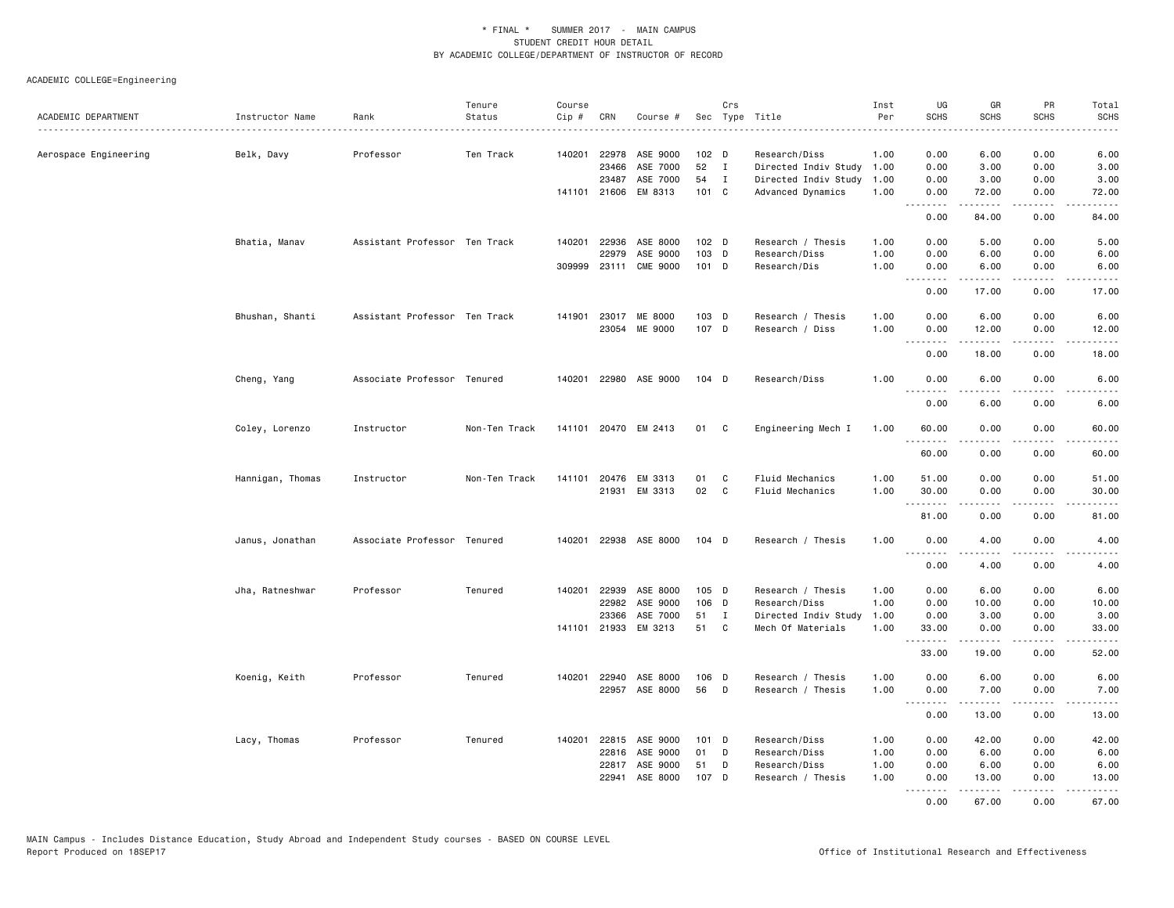| ACADEMIC DEPARTMENT   | Instructor Name  | Rank                          | Tenure<br>Status | Course<br>Cip # | CRN   | Course #              |                  | Crs          | Sec Type Title            | Inst<br>Per | UG<br><b>SCHS</b>                      | GR<br><b>SCHS</b> | PR<br><b>SCHS</b>                           | Total<br><b>SCHS</b>  |
|-----------------------|------------------|-------------------------------|------------------|-----------------|-------|-----------------------|------------------|--------------|---------------------------|-------------|----------------------------------------|-------------------|---------------------------------------------|-----------------------|
|                       |                  |                               |                  |                 |       |                       |                  |              | .                         |             |                                        |                   |                                             | .                     |
| Aerospace Engineering | Belk, Davy       | Professor                     | Ten Track        |                 |       | 140201 22978 ASE 9000 | 102 <sub>D</sub> |              | Research/Diss             | 1.00        | 0.00                                   | 6.00              | 0.00                                        | 6.00                  |
|                       |                  |                               |                  |                 | 23466 | ASE 7000              | 52               | $\mathbf{I}$ | Directed Indiv Study 1.00 |             | 0.00                                   | 3.00              | 0.00                                        | 3.00                  |
|                       |                  |                               |                  |                 | 23487 | ASE 7000              | 54               | $\mathbf{I}$ | Directed Indiv Study      | 1.00        | 0.00                                   | 3.00              | 0.00                                        | 3.00                  |
|                       |                  |                               |                  |                 |       | 141101 21606 EM 8313  | 101 C            |              | Advanced Dynamics         | 1.00        | 0.00<br>.                              | 72.00<br>22222    | 0.00<br>$\omega$ $\omega$ $\omega$ $\omega$ | 72.00<br>الداعات الما |
|                       |                  |                               |                  |                 |       |                       |                  |              |                           |             | 0.00                                   | 84.00             | 0.00                                        | 84.00                 |
|                       | Bhatia, Manav    | Assistant Professor Ten Track |                  |                 |       | 140201 22936 ASE 8000 | $102$ D          |              | Research / Thesis         | 1.00        | 0.00                                   | 5.00              | 0.00                                        | 5.00                  |
|                       |                  |                               |                  |                 | 22979 | ASE 9000              | 103 D            |              | Research/Diss             | 1.00        | 0.00                                   | 6.00              | 0.00                                        | 6.00                  |
|                       |                  |                               |                  |                 |       | 309999 23111 CME 9000 | 101 D            |              | Research/Dis              | 1.00        | 0.00<br>. <b>.</b>                     | 6.00              | 0.00                                        | 6.00                  |
|                       |                  |                               |                  |                 |       |                       |                  |              |                           |             | 0.00                                   | 17.00             | 0.00                                        | 17.00                 |
|                       | Bhushan, Shanti  | Assistant Professor Ten Track |                  |                 |       | 141901 23017 ME 8000  | 103 D            |              | Research / Thesis         | 1.00        | 0.00                                   | 6.00              | 0.00                                        | 6.00                  |
|                       |                  |                               |                  |                 |       | 23054 ME 9000         | 107 D            |              | Research / Diss           | 1.00        | 0.00                                   | 12.00             | 0.00                                        | 12.00                 |
|                       |                  |                               |                  |                 |       |                       |                  |              |                           |             | .<br>0.00                              | .<br>18.00        | .<br>0.00                                   | .<br>18.00            |
|                       | Cheng, Yang      | Associate Professor Tenured   |                  |                 |       | 140201 22980 ASE 9000 | $104$ D          |              | Research/Diss             | 1.00        | 0.00                                   | 6.00              | 0.00                                        | 6.00                  |
|                       |                  |                               |                  |                 |       |                       |                  |              |                           |             | 0.00                                   | 6.00              | 0.00                                        | 6.00                  |
|                       | Coley, Lorenzo   | Instructor                    | Non-Ten Track    |                 |       | 141101 20470 EM 2413  | 01               | C            | Engineering Mech I        | 1.00        | 60.00                                  | 0.00              | 0.00                                        | 60.00                 |
|                       |                  |                               |                  |                 |       |                       |                  |              |                           |             | 60.00                                  | 0.00              | 0.00                                        | 60.00                 |
|                       | Hannigan, Thomas | Instructor                    | Non-Ten Track    | 141101          | 20476 | EM 3313               | 01               | C            | Fluid Mechanics           | 1.00        | 51.00                                  | 0.00              | 0.00                                        | 51.00                 |
|                       |                  |                               |                  |                 |       | 21931 EM 3313         | 02               | C            | Fluid Mechanics           | 1.00        | 30.00                                  | 0.00              | 0.00                                        | 30.00                 |
|                       |                  |                               |                  |                 |       |                       |                  |              |                           |             | <b><i><u><u>.</u></u></i></b><br>81.00 | .<br>0.00         | .<br>0.00                                   | . د د د د<br>81.00    |
|                       | Janus, Jonathan  | Associate Professor Tenured   |                  | 140201          |       | 22938 ASE 8000        | $104$ D          |              | Research / Thesis         | 1.00        | 0.00                                   | 4.00              | 0.00                                        | 4.00                  |
|                       |                  |                               |                  |                 |       |                       |                  |              |                           |             | .<br>0.00                              | 4.00              | 0.00                                        | 4.00                  |
|                       | Jha, Ratneshwar  | Professor                     | Tenured          | 140201          | 22939 | ASE 8000              | 105 D            |              | Research / Thesis         | 1.00        | 0.00                                   | 6.00              | 0.00                                        | 6.00                  |
|                       |                  |                               |                  |                 | 22982 | ASE 9000              | 106 D            |              | Research/Diss             | 1.00        | 0.00                                   | 10.00             | 0.00                                        | 10.00                 |
|                       |                  |                               |                  |                 | 23366 | ASE 7000              | 51               | $\mathbf{I}$ | Directed Indiv Study      | 1.00        | 0.00                                   | 3.00              | 0.00                                        | 3.00                  |
|                       |                  |                               |                  | 141101          |       | 21933 EM 3213         | 51               | C            | Mech Of Materials         | 1.00        | 33.00                                  | 0.00              | 0.00                                        | 33.00                 |
|                       |                  |                               |                  |                 |       |                       |                  |              |                           |             | <b></b><br>33.00                       | .<br>19.00        | $\sim$ $\sim$ $\sim$<br>0.00                | المتماما<br>52.00     |
|                       | Koenig, Keith    | Professor                     | Tenured          |                 |       | 140201 22940 ASE 8000 | 106 D            |              | Research / Thesis         | 1.00        | 0.00                                   | 6.00              | 0.00                                        | 6.00                  |
|                       |                  |                               |                  |                 |       | 22957 ASE 8000        | 56               | D            | Research / Thesis         | 1.00        | 0.00                                   | 7.00              | 0.00                                        | 7.00                  |
|                       |                  |                               |                  |                 |       |                       |                  |              |                           |             | .<br>0.00                              | .<br>13.00        | .<br>0.00                                   | المستبدا<br>13.00     |
|                       | Lacy, Thomas     | Professor                     | Tenured          | 140201          |       | 22815 ASE 9000        | $101$ D          |              | Research/Diss             | 1.00        | 0.00                                   | 42.00             | 0.00                                        | 42.00                 |
|                       |                  |                               |                  |                 |       | 22816 ASE 9000        | 01               | D            | Research/Diss             | 1.00        | 0.00                                   | 6.00              | 0.00                                        | 6.00                  |
|                       |                  |                               |                  |                 | 22817 | ASE 9000              | 51               | D            | Research/Diss             | 1.00        | 0.00                                   | 6.00              | 0.00                                        | 6.00                  |
|                       |                  |                               |                  |                 | 22941 | ASE 8000              | 107 D            |              | Research / Thesis         | 1.00        | 0.00<br><b><i><u><u>.</u></u></i></b>  | 13.00<br>.        | 0.00<br>.                                   | 13.00<br>.            |
|                       |                  |                               |                  |                 |       |                       |                  |              |                           |             | 0.00                                   | 67.00             | 0.00                                        | 67.00                 |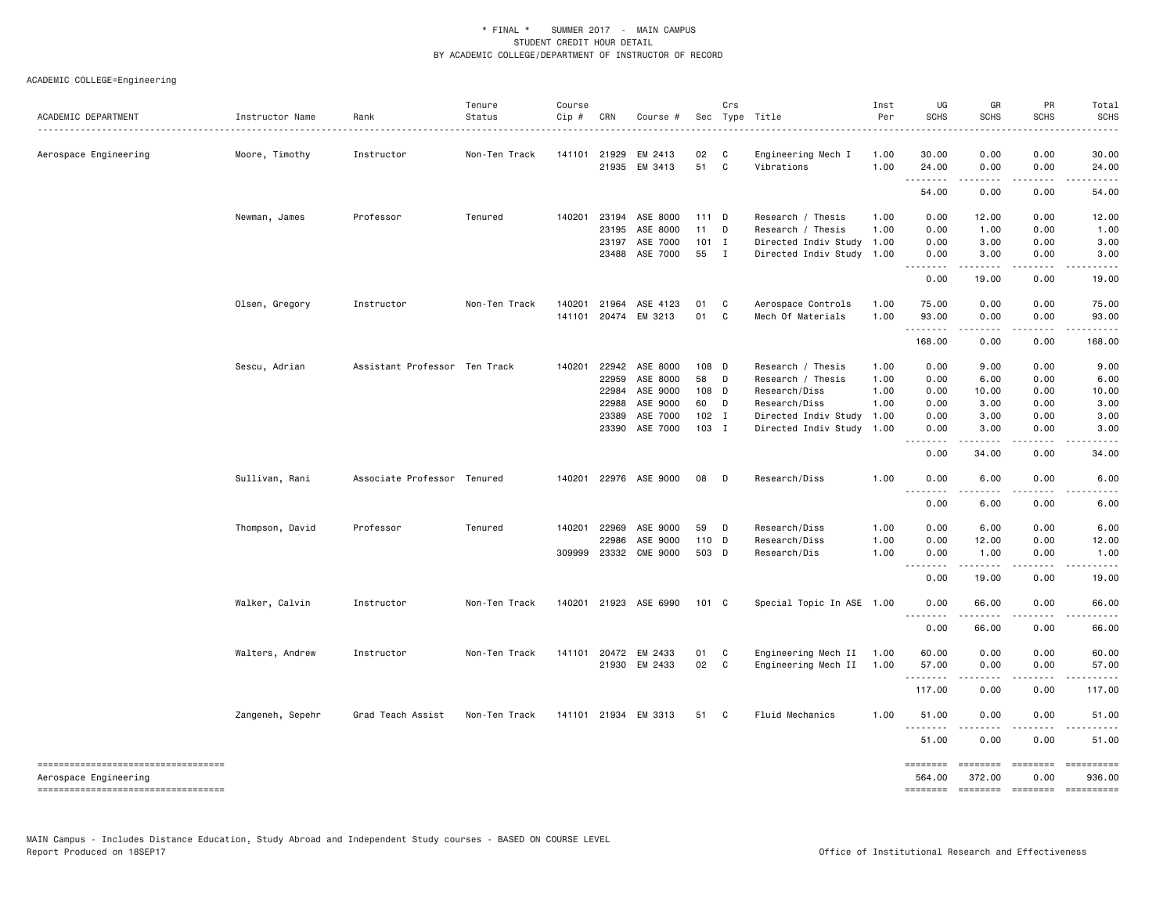| ACADEMIC DEPARTMENT                                            | Instructor Name  | Rank                          | Tenure<br>Status | Course<br>Cip # | CRN          | Course #              |         | Crs          | Sec Type Title            | Inst<br>Per | UG<br><b>SCHS</b>                    | GR<br><b>SCHS</b>  | PR<br><b>SCHS</b>       | Total<br><b>SCHS</b>                                                                                                             |
|----------------------------------------------------------------|------------------|-------------------------------|------------------|-----------------|--------------|-----------------------|---------|--------------|---------------------------|-------------|--------------------------------------|--------------------|-------------------------|----------------------------------------------------------------------------------------------------------------------------------|
|                                                                |                  |                               | .                |                 |              |                       |         |              |                           |             |                                      |                    |                         |                                                                                                                                  |
| Aerospace Engineering                                          | Moore, Timothy   | Instructor                    | Non-Ten Track    |                 | 141101 21929 | EM 2413               | 02      | C            | Engineering Mech I        | 1.00        | 30.00                                | 0.00               | 0.00                    | 30.00                                                                                                                            |
|                                                                |                  |                               |                  |                 |              | 21935 EM 3413         | 51      | C            | Vibrations                | 1.00        | 24.00<br>$\sim$ $\sim$ $\sim$ $\sim$ | 0.00<br>.          | 0.00<br>.               | 24.00                                                                                                                            |
|                                                                |                  |                               |                  |                 |              |                       |         |              |                           |             | 54.00                                | 0.00               | 0.00                    | 54.00                                                                                                                            |
|                                                                | Newman, James    | Professor                     | Tenured          | 140201          | 23194        | ASE 8000              | 111 D   |              | Research / Thesis         | 1.00        | 0.00                                 | 12.00              | 0.00                    | 12.00                                                                                                                            |
|                                                                |                  |                               |                  |                 | 23195        | ASE 8000              | 11      | D            | Research / Thesis         | 1.00        | 0.00                                 | 1.00               | 0.00                    | 1.00                                                                                                                             |
|                                                                |                  |                               |                  |                 | 23197        | ASE 7000              | $101$ I |              | Directed Indiv Study 1.00 |             | 0.00                                 | 3.00               | 0.00                    | 3.00                                                                                                                             |
|                                                                |                  |                               |                  |                 | 23488        | ASE 7000              | 55      | $\mathbf{I}$ | Directed Indiv Study 1.00 |             | 0.00<br>.                            | 3.00               | 0.00                    | 3.00                                                                                                                             |
|                                                                |                  |                               |                  |                 |              |                       |         |              |                           |             | 0.00                                 | 19.00              | 0.00                    | 19.00                                                                                                                            |
|                                                                | Olsen, Gregory   | Instructor                    | Non-Ten Track    | 140201          | 21964        | ASE 4123              | 01      | C            | Aerospace Controls        | 1.00        | 75.00                                | 0.00               | 0.00                    | 75.00                                                                                                                            |
|                                                                |                  |                               |                  |                 |              | 141101 20474 EM 3213  | 01      | C            | Mech Of Materials         | 1.00        | 93.00<br>.                           | 0.00<br>.          | 0.00<br>.               | 93.00                                                                                                                            |
|                                                                |                  |                               |                  |                 |              |                       |         |              |                           |             | 168.00                               | 0.00               | 0.00                    | 168.00                                                                                                                           |
|                                                                | Sescu, Adrian    | Assistant Professor Ten Track |                  | 140201          | 22942        | ASE 8000              | 108 D   |              | Research / Thesis         | 1.00        | 0.00                                 | 9.00               | 0.00                    | 9.00                                                                                                                             |
|                                                                |                  |                               |                  |                 | 22959        | ASE 8000              | 58      | D            | Research / Thesis         | 1.00        | 0.00                                 | 6.00               | 0.00                    | 6.00                                                                                                                             |
|                                                                |                  |                               |                  |                 | 22984        | ASE 9000              | 108 D   |              | Research/Diss             | 1.00        | 0.00                                 | 10.00              | 0.00                    | 10.00                                                                                                                            |
|                                                                |                  |                               |                  |                 | 22988        | ASE 9000              | 60      | D            | Research/Diss             | 1.00        | 0.00                                 | 3.00               | 0.00                    | 3.00                                                                                                                             |
|                                                                |                  |                               |                  |                 | 23389        | ASE 7000              | $102$ I |              | Directed Indiv Study      | 1.00        | 0.00                                 | 3.00               | 0.00                    | 3.00                                                                                                                             |
|                                                                |                  |                               |                  |                 | 23390        | ASE 7000              | $103$ I |              | Directed Indiv Study 1.00 |             | 0.00<br>د د د د                      | 3.00<br>.          | 0.00<br>.               | 3.00                                                                                                                             |
|                                                                |                  |                               |                  |                 |              |                       |         |              |                           |             | 0.00                                 | 34.00              | 0.00                    | 34.00                                                                                                                            |
|                                                                | Sullivan, Rani   | Associate Professor Tenured   |                  |                 |              | 140201 22976 ASE 9000 | 08      | D            | Research/Diss             | 1.00        | 0.00<br>$\sim$ $\sim$ $\sim$         | 6.00               | 0.00                    | 6.00                                                                                                                             |
|                                                                |                  |                               |                  |                 |              |                       |         |              |                           |             | 0.00                                 | 6.00               | 0.00                    | 6.00                                                                                                                             |
|                                                                | Thompson, David  | Professor                     | Tenured          |                 | 140201 22969 | ASE 9000              | 59      | D            | Research/Diss             | 1.00        | 0.00                                 | 6.00               | 0.00                    | 6.00                                                                                                                             |
|                                                                |                  |                               |                  |                 | 22986        | ASE 9000              | 110 D   |              | Research/Diss             | 1.00        | 0.00                                 | 12.00              | 0.00                    | 12.00                                                                                                                            |
|                                                                |                  |                               |                  |                 | 309999 23332 | <b>CME 9000</b>       | 503 D   |              | Research/Dis              | 1.00        | 0.00                                 | 1.00<br>.          | 0.00<br>.               | 1.00<br>.                                                                                                                        |
|                                                                |                  |                               |                  |                 |              |                       |         |              |                           |             | .<br>0.00                            | 19,00              | 0.00                    | 19.00                                                                                                                            |
|                                                                | Walker, Calvin   | Instructor                    | Non-Ten Track    |                 |              | 140201 21923 ASE 6990 | 101 C   |              | Special Topic In ASE 1.00 |             | 0.00                                 | 66.00              | 0.00                    | 66.00                                                                                                                            |
|                                                                |                  |                               |                  |                 |              |                       |         |              |                           |             | <u>.</u><br>0.00                     | .<br>66.00         | 0.00                    | 66.00                                                                                                                            |
|                                                                | Walters, Andrew  | Instructor                    | Non-Ten Track    |                 |              | 141101 20472 EM 2433  | 01      | C            | Engineering Mech II       | 1.00        | 60.00                                | 0.00               | 0.00                    | 60.00                                                                                                                            |
|                                                                |                  |                               |                  |                 |              | 21930 EM 2433         | 02      | $\mathbf{C}$ | Engineering Mech II       | 1.00        | 57.00                                | 0.00               | 0.00                    | 57.00                                                                                                                            |
|                                                                |                  |                               |                  |                 |              |                       |         |              |                           |             | .<br>117.00                          | .<br>0.00          | .<br>0.00               | 117.00                                                                                                                           |
|                                                                | Zangeneh, Sepehr | Grad Teach Assist             | Non-Ten Track    |                 |              | 141101 21934 EM 3313  | 51      | $\mathbf{C}$ | Fluid Mechanics           | 1.00        | 51.00                                | 0.00               | 0.00                    | 51.00                                                                                                                            |
|                                                                |                  |                               |                  |                 |              |                       |         |              |                           |             | .<br>51.00                           | 0.00               | 0.00                    | 51.00                                                                                                                            |
| =====================================<br>Aerospace Engineering |                  |                               |                  |                 |              |                       |         |              |                           |             | ========<br>564.00                   | ========<br>372.00 | <b>ESSESSES</b><br>0.00 | ==========<br>936.00                                                                                                             |
| ----------------------------------                             |                  |                               |                  |                 |              |                       |         |              |                           |             | ========                             | --------- -------  |                         | $\begin{minipage}{0.9\linewidth} \hspace*{-0.2cm} \textbf{m} = \textbf{m} = \textbf{m} = \textbf{m} = \textbf{m} \end{minipage}$ |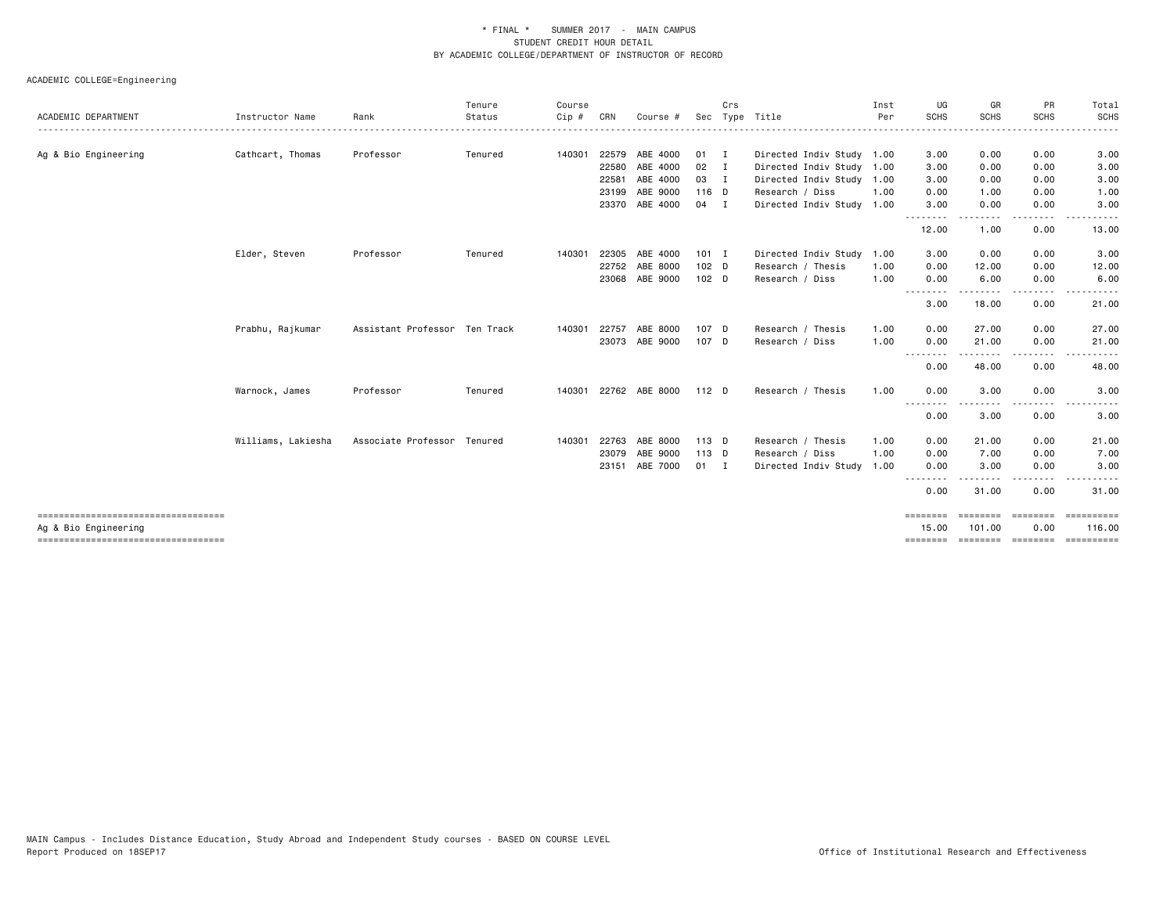|                      |                    |                               | Tenure  | Course |       |                |               | Crs          |                           | Inst | UG                                                                                                                                | GR                 | PR                    | Total                |
|----------------------|--------------------|-------------------------------|---------|--------|-------|----------------|---------------|--------------|---------------------------|------|-----------------------------------------------------------------------------------------------------------------------------------|--------------------|-----------------------|----------------------|
| ACADEMIC DEPARTMENT  | Instructor Name    | Rank                          | Status  | Cip #  | CRN   | Course         | Sec           |              | Type Title                | Per  | <b>SCHS</b>                                                                                                                       | SCHS               | <b>SCHS</b>           | <b>SCHS</b>          |
| Ag & Bio Engineering | Cathcart, Thomas   | Professor                     | Tenured | 140301 |       | 22579 ABE 4000 | 01            | $\mathbf{I}$ | Directed Indiv Study 1.00 |      | 3.00                                                                                                                              | 0.00               | 0.00                  | 3.00                 |
|                      |                    |                               |         |        | 22580 | ABE 4000       | $02 \qquad I$ |              | Directed Indiv Study 1.00 |      | 3.00                                                                                                                              | 0.00               | 0.00                  | 3.00                 |
|                      |                    |                               |         |        | 22581 | ABE 4000       | 03 I          |              | Directed Indiv Study      | 1.00 | 3.00                                                                                                                              | 0.00               | 0.00                  | 3.00                 |
|                      |                    |                               |         |        |       | 23199 ABE 9000 | 116 D         |              | Research / Diss           | 1.00 | 0.00                                                                                                                              | 1.00               | 0.00                  | 1.00                 |
|                      |                    |                               |         |        |       | 23370 ABE 4000 | 04 I          |              | Directed Indiv Study 1.00 |      | 3.00<br>.                                                                                                                         | 0.00               | 0.00<br>- - - -       | 3.00                 |
|                      |                    |                               |         |        |       |                |               |              |                           |      | 12.00                                                                                                                             | 1.00               | 0.00                  | 13.00                |
|                      | Elder, Steven      | Professor                     | Tenured | 140301 | 22305 | ABE 4000       | $101$ I       |              | Directed Indiv Study      | 1.00 | 3.00                                                                                                                              | 0.00               | 0.00                  | 3.00                 |
|                      |                    |                               |         |        | 22752 | ABE 8000       | 102 D         |              | Research / Thesis         | 1.00 | 0.00                                                                                                                              | 12.00              | 0.00                  | 12.00                |
|                      |                    |                               |         |        |       | 23068 ABE 9000 | $102$ D       |              | Research / Diss           | 1.00 | 0.00<br>---                                                                                                                       | 6.00               | 0.00                  | 6.00                 |
|                      |                    |                               |         |        |       |                |               |              |                           |      | 3.00                                                                                                                              | 18.00              | 0.00                  | 21.00                |
|                      | Prabhu, Rajkumar   | Assistant Professor Ten Track |         | 140301 | 22757 | ABE 8000       | 107 D         |              | Research / Thesis         | 1.00 | 0.00                                                                                                                              | 27.00              | 0.00                  | 27.00                |
|                      |                    |                               |         |        |       | 23073 ABE 9000 | 107 D         |              | Research / Diss           | 1.00 | 0.00                                                                                                                              | 21.00              | 0.00                  | 21.00                |
|                      |                    |                               |         |        |       |                |               |              |                           |      | 0.00                                                                                                                              | 48.00              | 0.00                  | 48.00                |
|                      | Warnock, James     | Professor                     | Tenured | 140301 |       | 22762 ABE 8000 | $112$ D       |              | Research / Thesis         | 1.00 | 0.00<br>.                                                                                                                         | 3.00<br>. <b>.</b> | 0.00<br>$\frac{1}{2}$ | 3.00                 |
|                      |                    |                               |         |        |       |                |               |              |                           |      | 0.00                                                                                                                              | 3.00               | 0.00                  | 3.00                 |
|                      | Williams, Lakiesha | Associate Professor Tenured   |         | 140301 | 22763 | ABE 8000       | 113 D         |              | Research / Thesis         | 1.00 | 0.00                                                                                                                              | 21.00              | 0.00                  | 21.00                |
|                      |                    |                               |         |        | 23079 | ABE 9000       | 113 D         |              | Research / Diss           | 1.00 | 0.00                                                                                                                              | 7.00               | 0.00                  | 7.00                 |
|                      |                    |                               |         |        | 23151 | ABE 7000       | $01$ I        |              | Directed Indiv Study      | 1.00 | 0.00<br>$\frac{1}{2} \left( \frac{1}{2} \right) \left( \frac{1}{2} \right) \left( \frac{1}{2} \right) \left( \frac{1}{2} \right)$ | 3.00               | 0.00                  | 3.00                 |
|                      |                    |                               |         |        |       |                |               |              |                           |      | 0.00                                                                                                                              | 31.00              | 0.00                  | 31.00                |
|                      |                    |                               |         |        |       |                |               |              |                           |      | <b>EBBEERS</b><br>15.00                                                                                                           | --------<br>101.00 | 0.00                  | ==========<br>116.00 |
| Ag & Bio Engineering |                    |                               |         |        |       |                |               |              |                           |      | ========                                                                                                                          |                    | =================     | ==========           |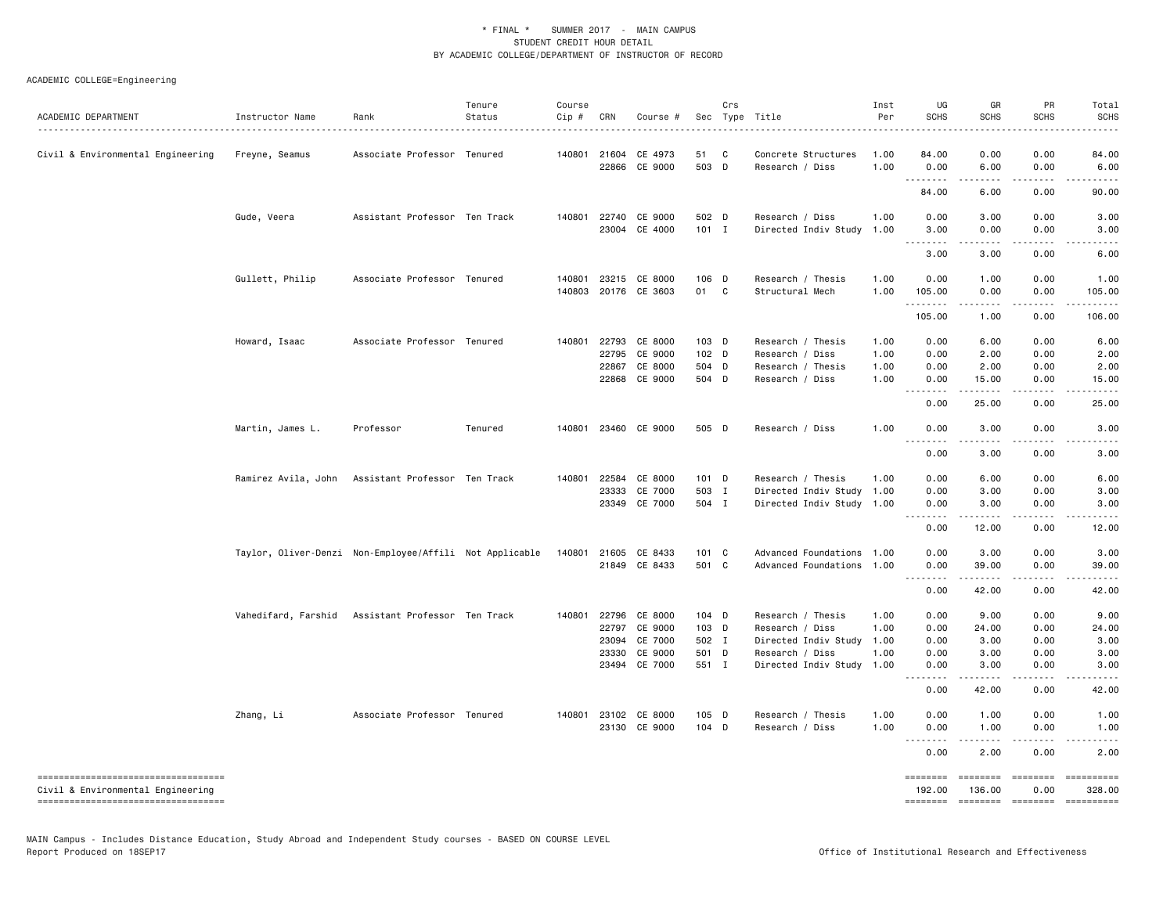| ACADEMIC DEPARTMENT                                                                                             | Instructor Name<br>.                                    | Rank                                              | Tenure<br>Status | Course<br>Cip # | CRN                                       | Course #                                            |                                               | Crs | Sec Type Title                                                                                          | Inst<br>Per                          | UG<br><b>SCHS</b>                         | GR<br><b>SCHS</b>                          | PR<br><b>SCHS</b>                                                                                                                                                                                                                                                                                                                                                                                                                                                                              | Total<br><b>SCHS</b>                       |
|-----------------------------------------------------------------------------------------------------------------|---------------------------------------------------------|---------------------------------------------------|------------------|-----------------|-------------------------------------------|-----------------------------------------------------|-----------------------------------------------|-----|---------------------------------------------------------------------------------------------------------|--------------------------------------|-------------------------------------------|--------------------------------------------|------------------------------------------------------------------------------------------------------------------------------------------------------------------------------------------------------------------------------------------------------------------------------------------------------------------------------------------------------------------------------------------------------------------------------------------------------------------------------------------------|--------------------------------------------|
| Civil & Environmental Engineering                                                                               | Freyne, Seamus                                          | Associate Professor Tenured                       |                  |                 | 140801 21604                              | CE 4973<br>22866 CE 9000                            | 51<br>503 D                                   | C   | Concrete Structures<br>Research / Diss                                                                  | 1.00<br>1.00                         | 84.00<br>0.00                             | 0.00<br>6.00                               | 0.00<br>0.00                                                                                                                                                                                                                                                                                                                                                                                                                                                                                   | 84.00<br>6.00                              |
|                                                                                                                 |                                                         |                                                   |                  |                 |                                           |                                                     |                                               |     |                                                                                                         |                                      | .<br>84.00                                | -----<br>6.00                              | .<br>0.00                                                                                                                                                                                                                                                                                                                                                                                                                                                                                      | .<br>90.00                                 |
|                                                                                                                 | Gude, Veera                                             | Assistant Professor Ten Track                     |                  | 140801          |                                           | 22740 CE 9000<br>23004 CE 4000                      | 502 D<br>$101$ I                              |     | Research / Diss<br>Directed Indiv Study                                                                 | 1.00<br>1.00                         | 0.00<br>3.00<br>.                         | 3.00<br>0.00<br>.                          | 0.00<br>0.00<br>$\sim$ $\sim$ $\sim$                                                                                                                                                                                                                                                                                                                                                                                                                                                           | 3.00<br>3.00<br>-----                      |
|                                                                                                                 |                                                         |                                                   |                  |                 |                                           |                                                     |                                               |     |                                                                                                         |                                      | 3.00                                      | 3.00                                       | 0.00                                                                                                                                                                                                                                                                                                                                                                                                                                                                                           | 6.00                                       |
|                                                                                                                 | Gullett, Philip                                         | Associate Professor Tenured                       |                  | 140801          |                                           | 23215 CE 8000<br>140803 20176 CE 3603               | 106 D<br>01                                   | C   | Research / Thesis<br>Structural Mech                                                                    | 1.00<br>1.00                         | 0.00<br>105.00<br>.                       | 1.00<br>0.00<br><u>.</u>                   | 0.00<br>0.00<br>.                                                                                                                                                                                                                                                                                                                                                                                                                                                                              | 1.00<br>105.00<br><u>.</u>                 |
|                                                                                                                 |                                                         |                                                   |                  |                 |                                           |                                                     |                                               |     |                                                                                                         |                                      | 105.00                                    | 1.00                                       | 0.00                                                                                                                                                                                                                                                                                                                                                                                                                                                                                           | 106.00                                     |
|                                                                                                                 | Howard, Isaac                                           | Associate Professor Tenured                       |                  | 140801          | 22793<br>22795<br>22867<br>22868          | CE 8000<br>CE 9000<br>CE 8000<br>CE 9000            | $103$ D<br>102 <sub>D</sub><br>504 D<br>504 D |     | Research / Thesis<br>Research / Diss<br>Research / Thesis<br>Research / Diss                            | 1.00<br>1.00<br>1.00<br>1.00         | 0.00<br>0.00<br>0.00<br>0.00              | 6.00<br>2.00<br>2.00<br>15.00              | 0.00<br>0.00<br>0.00<br>0.00                                                                                                                                                                                                                                                                                                                                                                                                                                                                   | 6.00<br>2.00<br>2.00<br>15.00              |
|                                                                                                                 |                                                         |                                                   |                  |                 |                                           |                                                     |                                               |     |                                                                                                         |                                      | .<br>0.00                                 | 25.00                                      | .<br>0.00                                                                                                                                                                                                                                                                                                                                                                                                                                                                                      | 25.00                                      |
|                                                                                                                 | Martin, James L.                                        | Professor                                         | Tenured          |                 |                                           | 140801 23460 CE 9000                                | 505 D                                         |     | Research / Diss                                                                                         | 1.00                                 | 0.00                                      | 3.00                                       | 0.00                                                                                                                                                                                                                                                                                                                                                                                                                                                                                           | 3.00                                       |
|                                                                                                                 |                                                         |                                                   |                  |                 |                                           |                                                     |                                               |     |                                                                                                         |                                      | .<br>0.00                                 | 3.00                                       | 0.00                                                                                                                                                                                                                                                                                                                                                                                                                                                                                           | 3.00                                       |
|                                                                                                                 |                                                         | Ramirez Avila, John Assistant Professor Ten Track |                  | 140801          | 23333                                     | 22584 CE 8000<br>CE 7000<br>23349 CE 7000           | 101 D<br>503 I<br>504 I                       |     | Research / Thesis<br>Directed Indiv Study 1.00<br>Directed Indiv Study                                  | 1.00<br>1.00                         | 0.00<br>0.00<br>0.00<br>.                 | 6.00<br>3.00<br>3.00<br>$\cdots$           | 0.00<br>0.00<br>0.00<br>.                                                                                                                                                                                                                                                                                                                                                                                                                                                                      | 6.00<br>3.00<br>3.00<br>. <b>.</b> .       |
|                                                                                                                 |                                                         |                                                   |                  |                 |                                           |                                                     |                                               |     |                                                                                                         |                                      | 0.00                                      | 12.00                                      | 0.00                                                                                                                                                                                                                                                                                                                                                                                                                                                                                           | 12.00                                      |
|                                                                                                                 | Taylor, Oliver-Denzi Non-Employee/Affili Not Applicable |                                                   |                  | 140801          | 21605                                     | CE 8433<br>21849 CE 8433                            | $101 \quad C$<br>501 C                        |     | Advanced Foundations 1.00<br>Advanced Foundations 1.00                                                  |                                      | 0.00<br>0.00<br>.                         | 3.00<br>39.00                              | 0.00<br>0.00<br>.                                                                                                                                                                                                                                                                                                                                                                                                                                                                              | 3.00<br>39,00<br>.                         |
|                                                                                                                 |                                                         |                                                   |                  |                 |                                           |                                                     |                                               |     |                                                                                                         |                                      | 0.00                                      | 42.00                                      | 0.00                                                                                                                                                                                                                                                                                                                                                                                                                                                                                           | 42.00                                      |
|                                                                                                                 | Vahedifard, Farshid                                     | Assistant Professor Ten Track                     |                  | 140801          | 22796<br>22797<br>23094<br>23330<br>23494 | CE 8000<br>CE 9000<br>CE 7000<br>CE 9000<br>CE 7000 | 104 D<br>103 D<br>502 I<br>501 D<br>551 I     |     | Research / Thesis<br>Research / Diss<br>Directed Indiv Study<br>Research / Diss<br>Directed Indiv Study | 1.00<br>1.00<br>1.00<br>1.00<br>1.00 | 0.00<br>0.00<br>0.00<br>0.00<br>0.00<br>. | 9.00<br>24.00<br>3.00<br>3.00<br>3.00<br>. | 0.00<br>0.00<br>0.00<br>0.00<br>0.00<br>$- - - -$                                                                                                                                                                                                                                                                                                                                                                                                                                              | 9.00<br>24.00<br>3.00<br>3.00<br>3.00<br>. |
|                                                                                                                 |                                                         |                                                   |                  |                 |                                           |                                                     |                                               |     |                                                                                                         |                                      | 0.00                                      | 42.00                                      | 0.00                                                                                                                                                                                                                                                                                                                                                                                                                                                                                           | 42.00                                      |
|                                                                                                                 | Zhang, Li                                               | Associate Professor Tenured                       |                  |                 |                                           | 140801 23102 CE 8000<br>23130 CE 9000               | $105$ D<br>104 D                              |     | Research / Thesis<br>Research / Diss                                                                    | 1.00<br>1.00                         | 0.00<br>0.00                              | 1.00<br>1.00                               | 0.00<br>0.00                                                                                                                                                                                                                                                                                                                                                                                                                                                                                   | 1.00<br>1.00                               |
|                                                                                                                 |                                                         |                                                   |                  |                 |                                           |                                                     |                                               |     |                                                                                                         |                                      | .<br>0.00                                 | <u>.</u><br>2.00                           | $\frac{1}{2} \left( \frac{1}{2} \right) \left( \frac{1}{2} \right) \left( \frac{1}{2} \right) \left( \frac{1}{2} \right) \left( \frac{1}{2} \right)$<br>0.00                                                                                                                                                                                                                                                                                                                                   | .<br>2.00                                  |
| ----------------------------------<br>Civil & Environmental Engineering<br>------------------------------------ |                                                         |                                                   |                  |                 |                                           |                                                     |                                               |     |                                                                                                         |                                      | ========<br>192.00<br><b>SESSESSE</b>     | ========<br>136.00                         | $\begin{array}{cccccccccc} \multicolumn{2}{c}{} & \multicolumn{2}{c}{} & \multicolumn{2}{c}{} & \multicolumn{2}{c}{} & \multicolumn{2}{c}{} & \multicolumn{2}{c}{} & \multicolumn{2}{c}{} & \multicolumn{2}{c}{} & \multicolumn{2}{c}{} & \multicolumn{2}{c}{} & \multicolumn{2}{c}{} & \multicolumn{2}{c}{} & \multicolumn{2}{c}{} & \multicolumn{2}{c}{} & \multicolumn{2}{c}{} & \multicolumn{2}{c}{} & \multicolumn{2}{c}{} & \multicolumn{2}{c}{} & \multicolumn{2}{c}{} & \mult$<br>0.00 | ==========<br>328,00                       |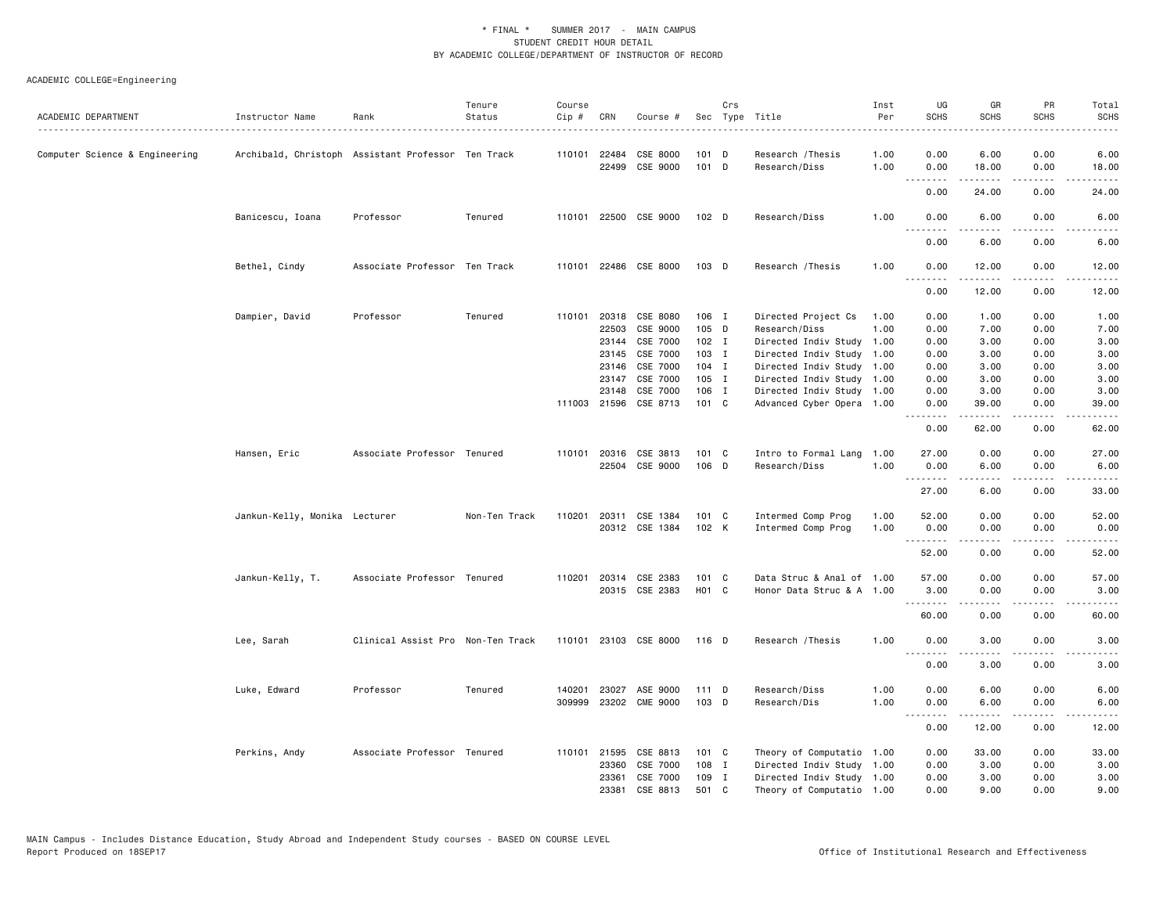|                                |                                                    |                                   | Tenure        | Course |              |                       |               | Crs |                           | Inst | UG          | GR                                                                                                                                                            | PR                                  | Total                                                                                                                                                         |
|--------------------------------|----------------------------------------------------|-----------------------------------|---------------|--------|--------------|-----------------------|---------------|-----|---------------------------|------|-------------|---------------------------------------------------------------------------------------------------------------------------------------------------------------|-------------------------------------|---------------------------------------------------------------------------------------------------------------------------------------------------------------|
| ACADEMIC DEPARTMENT            | Instructor Name                                    | Rank                              | Status        | Cip #  | CRN          | Course #              |               |     | Sec Type Title            | Per  | <b>SCHS</b> | <b>SCHS</b>                                                                                                                                                   | <b>SCHS</b>                         | <b>SCHS</b><br>.                                                                                                                                              |
| Computer Science & Engineering | Archibald, Christoph Assistant Professor Ten Track |                                   |               |        | 110101 22484 | CSE 8000              | $101$ D       |     | Research / Thesis         | 1.00 | 0.00        | 6.00                                                                                                                                                          | 0.00                                | 6.00                                                                                                                                                          |
|                                |                                                    |                                   |               |        |              | 22499 CSE 9000        | 101 D         |     | Research/Diss             | 1.00 | 0.00        | 18.00                                                                                                                                                         | 0.00                                | 18.00                                                                                                                                                         |
|                                |                                                    |                                   |               |        |              |                       |               |     |                           |      | .<br>0.00   | .<br>24.00                                                                                                                                                    | .<br>0.00                           | $\sim$ $\sim$ $\sim$ $\sim$<br>24.00                                                                                                                          |
|                                | Banicescu, Ioana                                   | Professor                         | Tenured       |        |              | 110101 22500 CSE 9000 | 102 D         |     | Research/Diss             | 1.00 | 0.00        | 6.00                                                                                                                                                          | 0.00                                | 6.00                                                                                                                                                          |
|                                |                                                    |                                   |               |        |              |                       |               |     |                           |      | .<br>0.00   | 6.00                                                                                                                                                          | 0.00                                | 6.00                                                                                                                                                          |
|                                |                                                    |                                   |               |        |              |                       |               |     |                           |      |             |                                                                                                                                                               |                                     |                                                                                                                                                               |
|                                | Bethel, Cindy                                      | Associate Professor Ten Track     |               |        |              | 110101 22486 CSE 8000 | 103 D         |     | Research / Thesis         | 1.00 | 0.00<br>.   | 12.00<br>$\frac{1}{2} \left( \frac{1}{2} \right) \left( \frac{1}{2} \right) \left( \frac{1}{2} \right) \left( \frac{1}{2} \right) \left( \frac{1}{2} \right)$ | 0.00<br>$\sim$ $\sim$ $\sim$ $\sim$ | 12.00<br>د د د د د                                                                                                                                            |
|                                |                                                    |                                   |               |        |              |                       |               |     |                           |      | 0.00        | 12.00                                                                                                                                                         | 0.00                                | 12.00                                                                                                                                                         |
|                                | Dampier, David                                     | Professor                         | Tenured       |        |              | 110101 20318 CSE 8080 | 106 I         |     | Directed Project Cs       | 1.00 | 0.00        | 1.00                                                                                                                                                          | 0.00                                | 1.00                                                                                                                                                          |
|                                |                                                    |                                   |               |        | 22503        | CSE 9000              | 105 D         |     | Research/Diss             | 1.00 | 0.00        | 7.00                                                                                                                                                          | 0.00                                | 7.00                                                                                                                                                          |
|                                |                                                    |                                   |               |        | 23144        | CSE 7000              | 102 I         |     | Directed Indiv Study 1.00 |      | 0.00        | 3.00                                                                                                                                                          | 0.00                                | 3.00                                                                                                                                                          |
|                                |                                                    |                                   |               |        | 23145        | CSE 7000              | 103 I         |     | Directed Indiv Study 1.00 |      | 0.00        | 3.00                                                                                                                                                          | 0.00                                | 3.00                                                                                                                                                          |
|                                |                                                    |                                   |               |        | 23146        | CSE 7000              | $104$ I       |     | Directed Indiv Study 1.00 |      | 0.00        | 3.00                                                                                                                                                          | 0.00                                | 3.00                                                                                                                                                          |
|                                |                                                    |                                   |               |        | 23147        | CSE 7000              | 105 I         |     | Directed Indiv Study 1.00 |      | 0.00        | 3.00                                                                                                                                                          | 0.00                                | 3.00                                                                                                                                                          |
|                                |                                                    |                                   |               |        | 23148        | CSE 7000              | 106 I         |     | Directed Indiv Study 1.00 |      | 0.00        | 3.00                                                                                                                                                          | 0.00                                | 3.00                                                                                                                                                          |
|                                |                                                    |                                   |               |        |              | 111003 21596 CSE 8713 | 101 C         |     | Advanced Cyber Opera 1.00 |      | 0.00<br>.   | 39.00                                                                                                                                                         | 0.00<br>.                           | 39.00<br>$\frac{1}{2} \left( \frac{1}{2} \right) \left( \frac{1}{2} \right) \left( \frac{1}{2} \right) \left( \frac{1}{2} \right) \left( \frac{1}{2} \right)$ |
|                                |                                                    |                                   |               |        |              |                       |               |     |                           |      | 0.00        | 62.00                                                                                                                                                         | 0.00                                | 62.00                                                                                                                                                         |
|                                | Hansen, Eric                                       | Associate Professor Tenured       |               | 110101 |              | 20316 CSE 3813        | 101 C         |     | Intro to Formal Lang 1.00 |      | 27.00       | 0.00                                                                                                                                                          | 0.00                                | 27.00                                                                                                                                                         |
|                                |                                                    |                                   |               |        |              | 22504 CSE 9000        | 106 D         |     | Research/Diss             | 1.00 | 0.00<br>.   | 6.00<br>.                                                                                                                                                     | 0.00<br>$\sim$ $\sim$ $\sim$ $\sim$ | 6.00<br>$\frac{1}{2} \left( \frac{1}{2} \right) \left( \frac{1}{2} \right) \left( \frac{1}{2} \right) \left( \frac{1}{2} \right) \left( \frac{1}{2} \right)$  |
|                                |                                                    |                                   |               |        |              |                       |               |     |                           |      | 27.00       | 6.00                                                                                                                                                          | 0.00                                | 33.00                                                                                                                                                         |
|                                | Jankun-Kelly, Monika Lecturer                      |                                   | Non-Ten Track |        |              | 110201 20311 CSE 1384 | 101 C         |     | Intermed Comp Prog        | 1.00 | 52.00       | 0.00                                                                                                                                                          | 0.00                                | 52.00                                                                                                                                                         |
|                                |                                                    |                                   |               |        |              | 20312 CSE 1384        | 102 K         |     | Intermed Comp Prog        | 1.00 | 0.00        | 0.00                                                                                                                                                          | 0.00                                | 0.00                                                                                                                                                          |
|                                |                                                    |                                   |               |        |              |                       |               |     |                           |      | 52.00       | 0.00                                                                                                                                                          | 0.00                                | 52.00                                                                                                                                                         |
|                                | Jankun-Kelly, T.                                   | Associate Professor Tenured       |               | 110201 |              | 20314 CSE 2383        | $101 \quad C$ |     | Data Struc & Anal of 1.00 |      | 57.00       | 0.00                                                                                                                                                          | 0.00                                | 57.00                                                                                                                                                         |
|                                |                                                    |                                   |               |        |              | 20315 CSE 2383        | HO1 C         |     | Honor Data Struc & A 1.00 |      | 3.00        | 0.00                                                                                                                                                          | 0.00                                | 3.00                                                                                                                                                          |
|                                |                                                    |                                   |               |        |              |                       |               |     |                           |      | <u>.</u>    |                                                                                                                                                               | .                                   | .                                                                                                                                                             |
|                                |                                                    |                                   |               |        |              |                       |               |     |                           |      | 60.00       | 0.00                                                                                                                                                          | 0.00                                | 60.00                                                                                                                                                         |
|                                | Lee, Sarah                                         | Clinical Assist Pro Non-Ten Track |               |        |              | 110101 23103 CSE 8000 | 116 D         |     | Research / Thesis         | 1.00 | 0.00        | 3.00                                                                                                                                                          | 0.00                                | 3.00                                                                                                                                                          |
|                                |                                                    |                                   |               |        |              |                       |               |     |                           |      | 0.00        | 3.00                                                                                                                                                          | 0.00                                | 3.00                                                                                                                                                          |
|                                | Luke, Edward                                       | Professor                         | Tenured       | 140201 |              | 23027 ASE 9000        | 111D          |     | Research/Diss             | 1.00 | 0.00        | 6.00                                                                                                                                                          | 0.00                                | 6.00                                                                                                                                                          |
|                                |                                                    |                                   |               |        |              | 309999 23202 CME 9000 | 103 D         |     | Research/Dis              | 1.00 | 0.00        | 6.00                                                                                                                                                          | 0.00                                | 6.00                                                                                                                                                          |
|                                |                                                    |                                   |               |        |              |                       |               |     |                           |      | 0.00        | 12.00                                                                                                                                                         | 0.00                                | 12.00                                                                                                                                                         |
|                                | Perkins, Andy                                      | Associate Professor Tenured       |               |        | 110101 21595 | CSE 8813              | $101 \quad C$ |     | Theory of Computatio 1.00 |      | 0.00        | 33.00                                                                                                                                                         | 0.00                                | 33.00                                                                                                                                                         |
|                                |                                                    |                                   |               |        | 23360        | CSE 7000              | 108 I         |     | Directed Indiv Study 1.00 |      | 0.00        | 3.00                                                                                                                                                          | 0.00                                | 3.00                                                                                                                                                          |
|                                |                                                    |                                   |               |        | 23361        | CSE 7000              | 109 I         |     | Directed Indiv Study 1.00 |      | 0.00        | 3.00                                                                                                                                                          | 0.00                                | 3.00                                                                                                                                                          |
|                                |                                                    |                                   |               |        | 23381        | CSE 8813              | 501 C         |     | Theory of Computatio 1.00 |      | 0.00        | 9.00                                                                                                                                                          | 0.00                                | 9.00                                                                                                                                                          |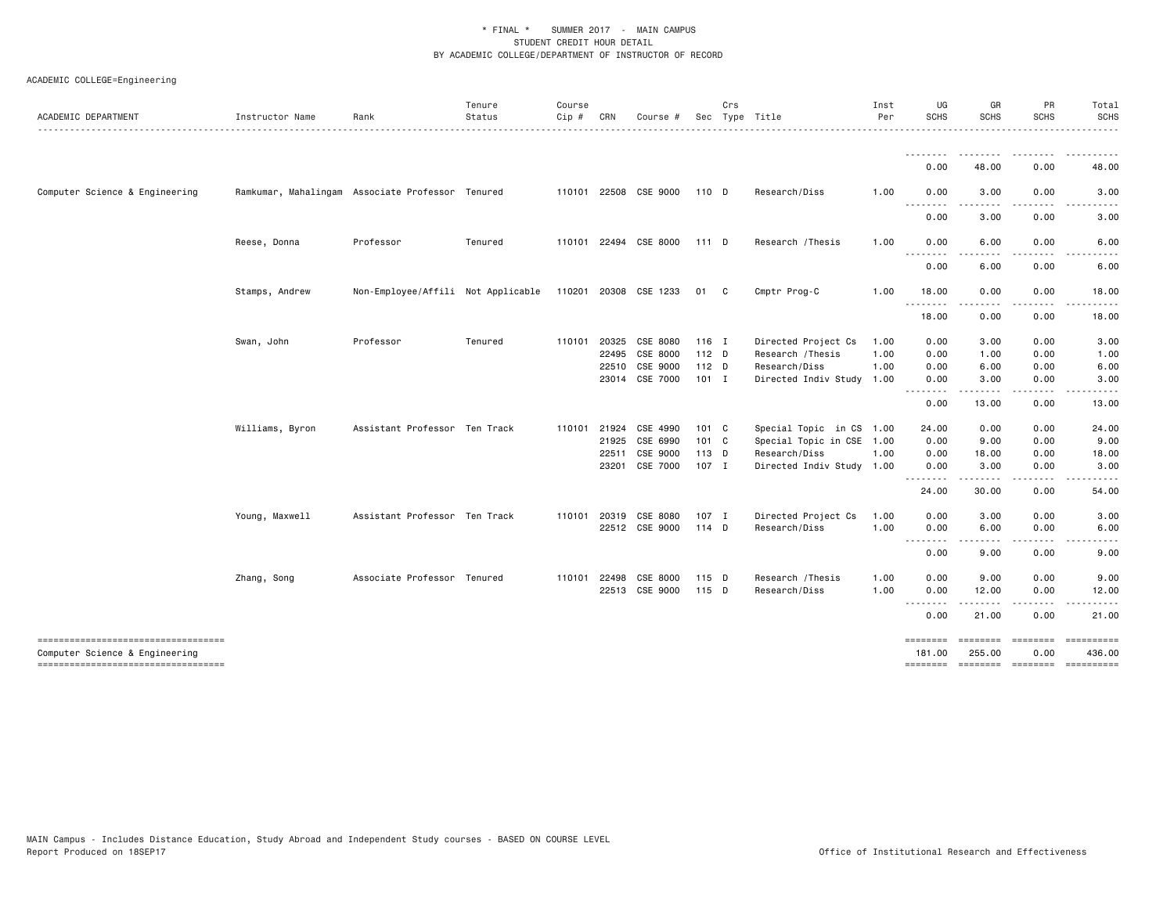| ACADEMIC DEPARTMENT                                                  | Instructor Name | Rank                                             | Tenure<br>Status | Course<br>Cip # | CRN   | Course #              |               | Crs | Sec Type Title            | Inst<br>Per | UG<br><b>SCHS</b>  | GR<br><b>SCHS</b>  | PR<br><b>SCHS</b>                                                                                                                                                                                                                                                                                                                                                      | Total<br><b>SCHS</b><br><b>.</b>            |
|----------------------------------------------------------------------|-----------------|--------------------------------------------------|------------------|-----------------|-------|-----------------------|---------------|-----|---------------------------|-------------|--------------------|--------------------|------------------------------------------------------------------------------------------------------------------------------------------------------------------------------------------------------------------------------------------------------------------------------------------------------------------------------------------------------------------------|---------------------------------------------|
|                                                                      |                 |                                                  |                  |                 |       |                       |               |     |                           |             | 0.00               | 48.00              | 0.00                                                                                                                                                                                                                                                                                                                                                                   | 48.00                                       |
| Computer Science & Engineering                                       |                 | Ramkumar, Mahalingam Associate Professor Tenured |                  |                 |       | 110101 22508 CSE 9000 | 110 D         |     | Research/Diss             | 1.00        | 0.00               | 3.00               | 0.00                                                                                                                                                                                                                                                                                                                                                                   | 3.00                                        |
|                                                                      |                 |                                                  |                  |                 |       |                       |               |     |                           |             | <u>.</u><br>0.00   | .<br>3.00          | $\frac{1}{2}$<br>0.00                                                                                                                                                                                                                                                                                                                                                  | $\sim$ $\sim$ $\sim$<br>$- - - - -$<br>3.00 |
|                                                                      | Reese, Donna    | Professor                                        | Tenured          |                 |       | 110101 22494 CSE 8000 | 111 D         |     | Research / Thesis         | 1.00        | 0.00<br>.          | 6.00<br>.          | 0.00<br>$-$ - $-$ -                                                                                                                                                                                                                                                                                                                                                    | 6.00<br>$- - -$<br>-----                    |
|                                                                      |                 |                                                  |                  |                 |       |                       |               |     |                           |             | 0.00               | 6.00               | 0.00                                                                                                                                                                                                                                                                                                                                                                   | 6.00                                        |
|                                                                      | Stamps, Andrew  | Non-Employee/Affili Not Applicable               |                  |                 |       | 110201 20308 CSE 1233 | 01            | C   | Cmptr Prog-C              | 1.00        | 18.00<br>.         | 0.00<br>.          | 0.00<br>$\frac{1}{2}$                                                                                                                                                                                                                                                                                                                                                  | 18.00<br>$- - - - -$                        |
|                                                                      |                 |                                                  |                  |                 |       |                       |               |     |                           |             | 18.00              | 0.00               | 0.00                                                                                                                                                                                                                                                                                                                                                                   | 18.00                                       |
|                                                                      | Swan, John      | Professor                                        | Tenured          | 110101 20325    |       | CSE 8080              | $116$ I       |     | Directed Project Cs       | 1.00        | 0.00               | 3.00               | 0.00                                                                                                                                                                                                                                                                                                                                                                   | 3.00                                        |
|                                                                      |                 |                                                  |                  |                 | 22495 | CSE 8000              | $112$ D       |     | Research / Thesis         | 1.00        | 0.00               | 1.00               | 0.00                                                                                                                                                                                                                                                                                                                                                                   | 1.00                                        |
|                                                                      |                 |                                                  |                  |                 | 22510 | CSE 9000              | 112 D         |     | Research/Diss             | 1.00        | 0.00               | 6.00               | 0.00                                                                                                                                                                                                                                                                                                                                                                   | 6.00                                        |
|                                                                      |                 |                                                  |                  |                 |       | 23014 CSE 7000        | $101$ I       |     | Directed Indiv Study 1.00 |             | 0.00               | 3.00               | 0.00                                                                                                                                                                                                                                                                                                                                                                   | 3.00                                        |
|                                                                      |                 |                                                  |                  |                 |       |                       |               |     |                           |             | --------<br>0.00   | .<br>13,00         | $- - - -$<br>0.00                                                                                                                                                                                                                                                                                                                                                      | -----<br>13,00                              |
|                                                                      | Williams, Byron | Assistant Professor Ten Track                    |                  | 110101          | 21924 | CSE 4990              | 101 C         |     | Special Topic in CS 1.00  |             | 24.00              | 0.00               | 0.00                                                                                                                                                                                                                                                                                                                                                                   | 24.00                                       |
|                                                                      |                 |                                                  |                  |                 | 21925 | CSE 6990              | $101 \quad C$ |     | Special Topic in CSE 1.00 |             | 0.00               | 9.00               | 0.00                                                                                                                                                                                                                                                                                                                                                                   | 9.00                                        |
|                                                                      |                 |                                                  |                  |                 | 22511 | CSE 9000              | 113 D         |     | Research/Diss             | 1.00        | 0.00               | 18.00              | 0.00                                                                                                                                                                                                                                                                                                                                                                   | 18.00                                       |
|                                                                      |                 |                                                  |                  |                 |       | 23201 CSE 7000        | 107 I         |     | Directed Indiv Study 1.00 |             | 0.00<br>.          | 3.00               | 0.00<br>$- - - -$                                                                                                                                                                                                                                                                                                                                                      | 3.00                                        |
|                                                                      |                 |                                                  |                  |                 |       |                       |               |     |                           |             | 24.00              | 30.00              | 0.00                                                                                                                                                                                                                                                                                                                                                                   | 54.00                                       |
|                                                                      | Young, Maxwell  | Assistant Professor Ten Track                    |                  | 110101          | 20319 | CSE 8080              | 107 I         |     | Directed Project Cs       | 1.00        | 0.00               | 3.00               | 0.00                                                                                                                                                                                                                                                                                                                                                                   | 3.00                                        |
|                                                                      |                 |                                                  |                  |                 |       | 22512 CSE 9000        | 114 D         |     | Research/Diss             | 1.00        | 0.00               | 6.00               | 0.00                                                                                                                                                                                                                                                                                                                                                                   | 6.00                                        |
|                                                                      |                 |                                                  |                  |                 |       |                       |               |     |                           |             | <u>.</u><br>0.00   | 9.00               | ----<br>0.00                                                                                                                                                                                                                                                                                                                                                           | 9.00                                        |
|                                                                      | Zhang, Song     | Associate Professor Tenured                      |                  | 110101 22498    |       | CSE 8000              | 115 D         |     | Research / Thesis         | 1.00        | 0.00               | 9.00               | 0.00                                                                                                                                                                                                                                                                                                                                                                   | 9.00                                        |
|                                                                      |                 |                                                  |                  |                 |       | 22513 CSE 9000        | 115 D         |     | Research/Diss             | 1.00        | 0.00<br>.          | 12.00              | 0.00<br>.                                                                                                                                                                                                                                                                                                                                                              | 12.00<br>$\frac{1}{2}$                      |
|                                                                      |                 |                                                  |                  |                 |       |                       |               |     |                           |             | 0.00               | 21.00              | 0.00                                                                                                                                                                                                                                                                                                                                                                   | 21.00                                       |
| ----------------------------------<br>Computer Science & Engineering |                 |                                                  |                  |                 |       |                       |               |     |                           |             | ========<br>181.00 | ========<br>255.00 | $\begin{aligned} \mathbf{1} & \mathbf{2} & \mathbf{3} & \mathbf{3} & \mathbf{4} \\ \mathbf{3} & \mathbf{4} & \mathbf{5} & \mathbf{5} & \mathbf{6} \\ \mathbf{4} & \mathbf{5} & \mathbf{6} & \mathbf{7} \\ \mathbf{6} & \mathbf{6} & \mathbf{7} \\ \mathbf{8} & \mathbf{8} & \mathbf{8} \\ \mathbf{9} & \mathbf{1} & \mathbf{1} \\ \mathbf{10} & \mathbf{10} &$<br>0.00 | 436.00                                      |
| -----------------------------------                                  |                 |                                                  |                  |                 |       |                       |               |     |                           |             |                    |                    |                                                                                                                                                                                                                                                                                                                                                                        | ==========                                  |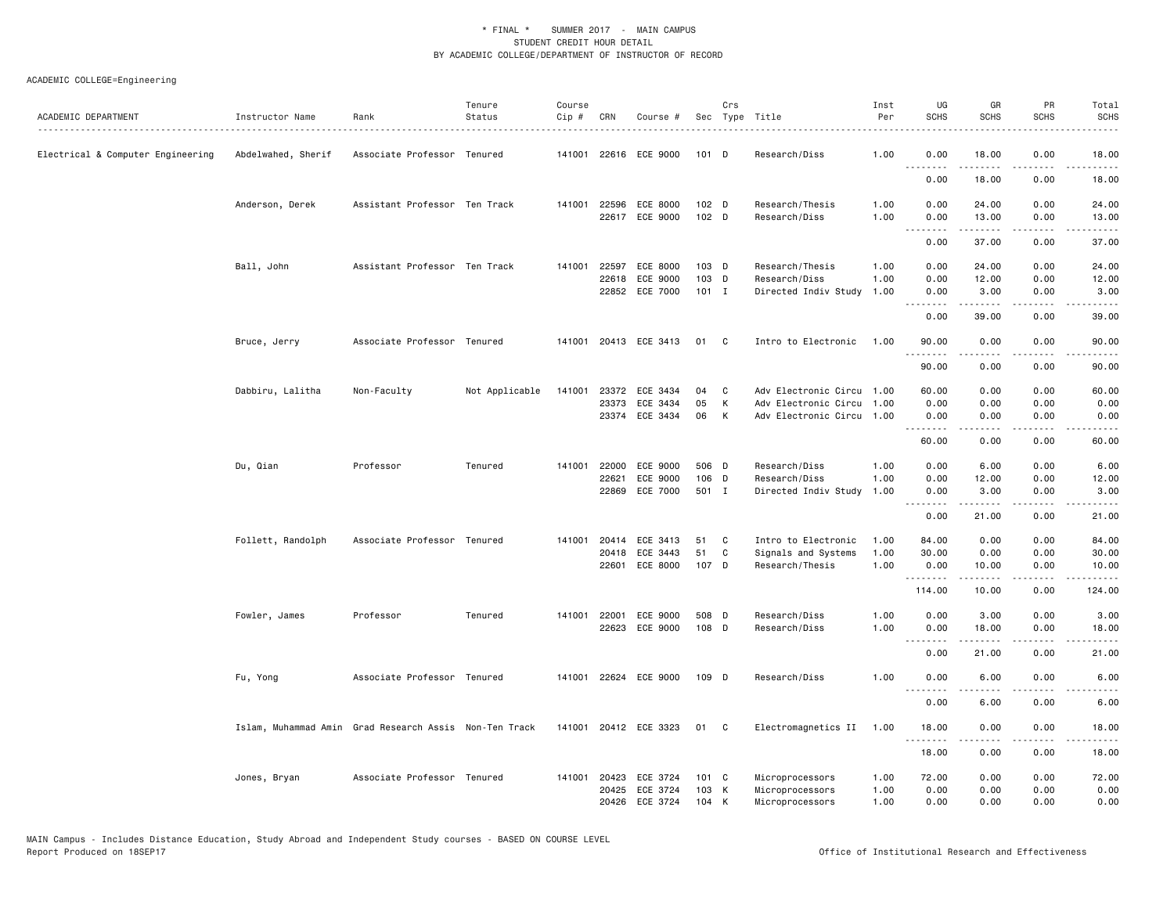| ACADEMIC DEPARTMENT               | Instructor Name<br>. | Rank                                                   | Tenure<br>Status | Course<br>Cip # | CRN   | Course #                                     |                        | Crs         | Sec Type Title                                                                 | Inst<br>Per  | UG<br><b>SCHS</b>     | GR<br><b>SCHS</b>    | PR<br><b>SCHS</b>     | Total<br><b>SCHS</b>  |
|-----------------------------------|----------------------|--------------------------------------------------------|------------------|-----------------|-------|----------------------------------------------|------------------------|-------------|--------------------------------------------------------------------------------|--------------|-----------------------|----------------------|-----------------------|-----------------------|
| Electrical & Computer Engineering | Abdelwahed, Sherif   | Associate Professor Tenured                            |                  | 141001          |       | 22616 ECE 9000                               | 101 D                  |             | Research/Diss                                                                  | 1.00         | 0.00<br>.             | 18.00<br>.           | 0.00<br>.             | 18.00<br>.            |
|                                   |                      |                                                        |                  |                 |       |                                              |                        |             |                                                                                |              | 0.00                  | 18.00                | 0.00                  | 18.00                 |
|                                   | Anderson, Derek      | Assistant Professor Ten Track                          |                  |                 |       | 141001 22596 ECE 8000<br>22617 ECE 9000      | $102$ D<br>102 D       |             | Research/Thesis<br>Research/Diss                                               | 1.00<br>1.00 | 0.00<br>0.00          | 24.00<br>13.00       | 0.00<br>0.00          | 24.00<br>13.00        |
|                                   |                      |                                                        |                  |                 |       |                                              |                        |             |                                                                                |              | .<br>0.00             | .<br>37.00           | .<br>0.00             | .<br>37.00            |
|                                   | Ball, John           | Assistant Professor Ten Track                          |                  | 141001          | 22597 | ECE 8000                                     | 103 D                  |             | Research/Thesis                                                                | 1.00         | 0.00                  | 24.00                | 0.00                  | 24.00                 |
|                                   |                      |                                                        |                  |                 | 22618 | ECE 9000<br>22852 ECE 7000                   | 103 D<br>$101$ I       |             | Research/Diss<br>Directed Indiv Study                                          | 1.00<br>1.00 | 0.00<br>0.00          | 12.00<br>3.00        | 0.00<br>0.00          | 12.00<br>3.00         |
|                                   |                      |                                                        |                  |                 |       |                                              |                        |             |                                                                                |              | .<br>0.00             | .<br>39.00           | .<br>0.00             | .<br>39.00            |
|                                   | Bruce, Jerry         | Associate Professor Tenured                            |                  |                 |       | 141001 20413 ECE 3413                        | 01                     | C           | Intro to Electronic                                                            | 1.00         | 90.00                 | 0.00                 | 0.00                  | 90.00                 |
|                                   |                      |                                                        |                  |                 |       |                                              |                        |             |                                                                                |              | 90.00                 | 0.00                 | 0.00                  | 90.00                 |
|                                   | Dabbiru, Lalitha     | Non-Faculty                                            | Not Applicable   | 141001          | 23373 | 23372 ECE 3434<br>ECE 3434<br>23374 ECE 3434 | 04<br>05<br>06         | C<br>К<br>к | Adv Electronic Circu 1.00<br>Adv Electronic Circu<br>Adv Electronic Circu 1.00 | 1.00         | 60.00<br>0.00<br>0.00 | 0.00<br>0.00<br>0.00 | 0.00<br>0.00<br>0.00  | 60.00<br>0.00<br>0.00 |
|                                   |                      |                                                        |                  |                 |       |                                              |                        |             |                                                                                |              | .<br>60.00            | .<br>0.00            | $\frac{1}{2}$<br>0.00 | $- - - -$<br>60.00    |
|                                   | Du, Qian             | Professor                                              | Tenured          | 141001          | 22621 | 22000 ECE 9000<br>ECE 9000                   | 506 D<br>106 D         |             | Research/Diss<br>Research/Diss                                                 | 1.00<br>1.00 | 0.00<br>0.00          | 6.00<br>12.00        | 0.00<br>0.00          | 6.00<br>12.00         |
|                                   |                      |                                                        |                  |                 | 22869 | ECE 7000                                     | 501 I                  |             | Directed Indiv Study                                                           | 1.00         | 0.00<br><b></b>       | 3.00<br>.            | 0.00<br>.             | 3.00<br>المتماما      |
|                                   |                      |                                                        |                  |                 |       |                                              |                        |             |                                                                                |              | 0.00                  | 21.00                | 0.00                  | 21.00                 |
|                                   | Follett, Randolph    | Associate Professor Tenured                            |                  | 141001          | 20414 | ECE 3413                                     | 51                     | C           | Intro to Electronic                                                            | 1.00         | 84.00                 | 0.00                 | 0.00                  | 84.00                 |
|                                   |                      |                                                        |                  |                 | 20418 | ECE 3443<br>22601 ECE 8000                   | 51<br>107 D            | C           | Signals and Systems<br>Research/Thesis                                         | 1.00<br>1.00 | 30,00<br>0.00         | 0.00<br>10.00        | 0.00<br>0.00          | 30.00<br>10.00        |
|                                   |                      |                                                        |                  |                 |       |                                              |                        |             |                                                                                |              | .<br>114.00           | .<br>10.00           | .<br>0.00             | .<br>124.00           |
|                                   | Fowler, James        | Professor                                              | Tenured          | 141001          | 22001 | ECE 9000                                     | 508 D                  |             | Research/Diss                                                                  | 1.00         | 0.00                  | 3.00                 | 0.00                  | 3.00                  |
|                                   |                      |                                                        |                  |                 |       | 22623 ECE 9000                               | 108 D                  |             | Research/Diss                                                                  | 1.00         | 0.00<br>.             | 18.00<br><u>.</u>    | 0.00<br>.             | 18.00<br>.            |
|                                   |                      |                                                        |                  |                 |       |                                              |                        |             |                                                                                |              | 0.00                  | 21.00                | 0.00                  | 21.00                 |
|                                   | Fu, Yong             | Associate Professor Tenured                            |                  | 141001          |       | 22624 ECE 9000                               | 109 D                  |             | Research/Diss                                                                  | 1.00         | 0.00<br><b></b>       | 6.00<br>.            | 0.00<br>$- - - -$     | 6.00<br>-----         |
|                                   |                      |                                                        |                  |                 |       |                                              |                        |             |                                                                                |              | 0.00                  | 6.00                 | 0.00                  | 6.00                  |
|                                   |                      | Islam, Muhammad Amin Grad Research Assis Non-Ten Track |                  |                 |       | 141001 20412 ECE 3323                        | 01 C                   |             | Electromagnetics II                                                            | 1.00         | 18.00<br>.            | 0.00<br><u>.</u>     | 0.00<br>.             | 18.00<br>.            |
|                                   |                      |                                                        |                  |                 |       |                                              |                        |             |                                                                                |              | 18.00                 | 0.00                 | 0.00                  | 18.00                 |
|                                   | Jones, Bryan         | Associate Professor Tenured                            |                  | 141001          | 20423 | ECE 3724<br>20425 ECE 3724                   | $101 \quad C$<br>103 K |             | Microprocessors<br>Microprocessors                                             | 1.00<br>1.00 | 72.00<br>0.00         | 0.00<br>0.00         | 0.00<br>0.00          | 72.00<br>0.00         |
|                                   |                      |                                                        |                  |                 | 20426 | ECE 3724                                     | 104                    | K           | Microprocessors                                                                | 1.00         | 0.00                  | 0.00                 | 0.00                  | 0.00                  |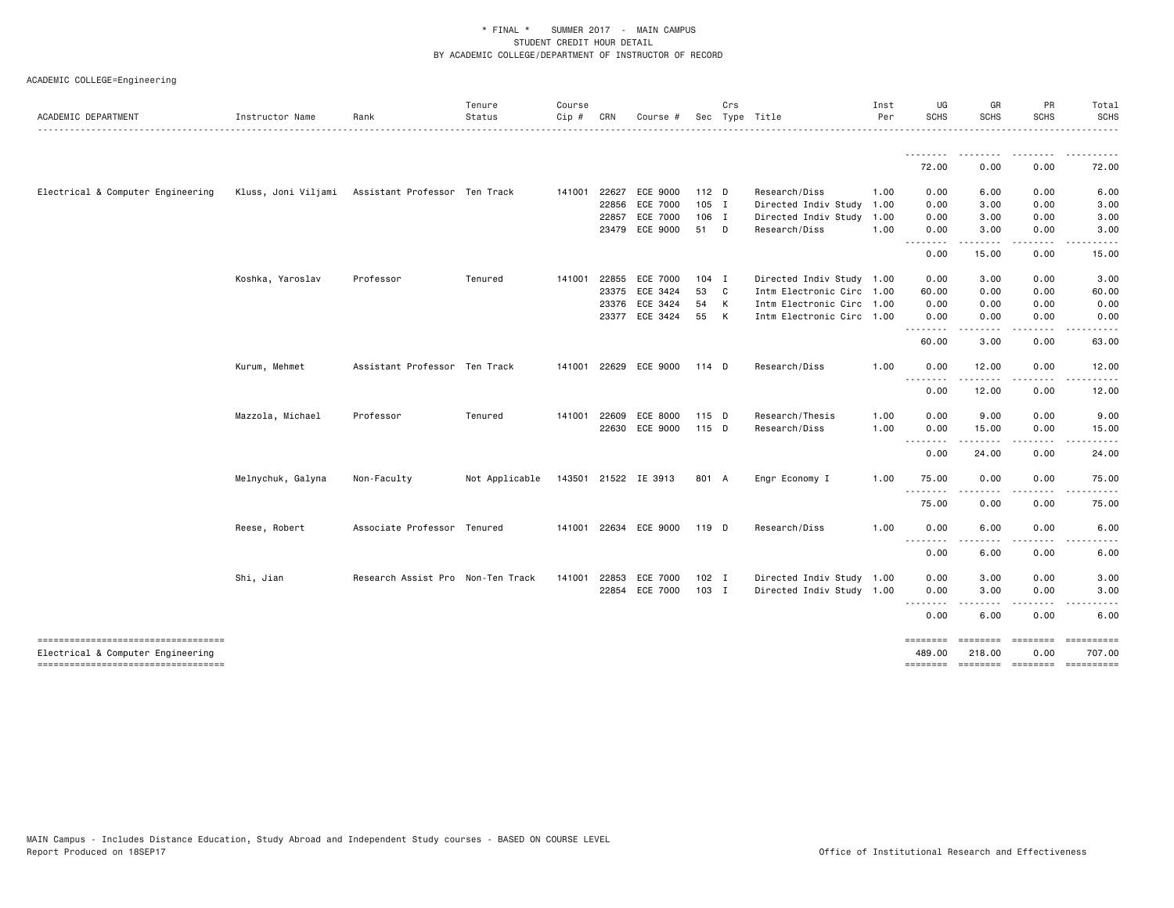| ACADEMIC DEPARTMENT                                                     | Instructor Name   | Rank                                              | Tenure<br>Status | Course<br>$Cip \#$ | CRN          | Course #                          |               | Crs          | Sec Type Title<br>.                   | Inst<br>Per  | UG<br><b>SCHS</b>                                                                                                                                         | GR<br><b>SCHS</b> | PR<br><b>SCHS</b> | Total<br><b>SCHS</b>                         |
|-------------------------------------------------------------------------|-------------------|---------------------------------------------------|------------------|--------------------|--------------|-----------------------------------|---------------|--------------|---------------------------------------|--------------|-----------------------------------------------------------------------------------------------------------------------------------------------------------|-------------------|-------------------|----------------------------------------------|
|                                                                         |                   |                                                   |                  |                    |              |                                   |               |              |                                       |              | <u>.</u><br>72.00                                                                                                                                         | 0.00              | 0.00              | 72.00                                        |
|                                                                         |                   |                                                   |                  |                    |              |                                   |               |              |                                       |              |                                                                                                                                                           |                   |                   |                                              |
| Electrical & Computer Engineering                                       |                   | Kluss, Joni Viljami Assistant Professor Ten Track |                  |                    | 141001 22627 | ECE 9000                          | 112 D         |              | Research/Diss                         | 1.00         | 0.00                                                                                                                                                      | 6.00              | 0.00              | 6.00                                         |
|                                                                         |                   |                                                   |                  |                    | 22856        | <b>ECE 7000</b>                   | 105 I         |              | Directed Indiv Study                  | 1.00         | 0.00                                                                                                                                                      | 3.00              | 0.00              | 3.00                                         |
|                                                                         |                   |                                                   |                  |                    | 22857        | <b>ECE 7000</b><br>23479 ECE 9000 | 106 I<br>51 D |              | Directed Indiv Study<br>Research/Diss | 1.00<br>1.00 | 0.00<br>0.00                                                                                                                                              | 3.00<br>3.00      | 0.00<br>0.00      | 3.00<br>3.00                                 |
|                                                                         |                   |                                                   |                  |                    |              |                                   |               |              |                                       |              | .                                                                                                                                                         | .                 | .                 | .                                            |
|                                                                         |                   |                                                   |                  |                    |              |                                   |               |              |                                       |              | 0.00                                                                                                                                                      | 15.00             | 0.00              | 15.00                                        |
|                                                                         | Koshka, Yaroslav  | Professor                                         | Tenured          | 141001             | 22855        | ECE 7000                          | $104$ I       |              | Directed Indiv Study 1.00             |              | 0.00                                                                                                                                                      | 3.00              | 0.00              | 3.00                                         |
|                                                                         |                   |                                                   |                  |                    | 23375        | ECE 3424                          | 53 C          |              | Intm Electronic Circ 1.00             |              | 60.00                                                                                                                                                     | 0.00              | 0.00              | 60.00                                        |
|                                                                         |                   |                                                   |                  |                    | 23376        | ECE 3424                          | 54 K          |              | Intm Electronic Circ 1.00             |              | 0.00                                                                                                                                                      | 0.00              | 0.00              | 0.00                                         |
|                                                                         |                   |                                                   |                  |                    |              | 23377 ECE 3424                    | 55            | $\mathsf{K}$ | Intm Electronic Circ 1.00             |              | 0.00<br>--------                                                                                                                                          | 0.00              | 0.00              | 0.00                                         |
|                                                                         |                   |                                                   |                  |                    |              |                                   |               |              |                                       |              | 60.00                                                                                                                                                     | 3.00              | 0.00              | 63.00                                        |
|                                                                         | Kurum, Mehmet     | Assistant Professor Ten Track                     |                  |                    |              | 141001 22629 ECE 9000             | 114 D         |              | Research/Diss                         | 1.00         | 0.00                                                                                                                                                      | 12.00             | 0.00              | 12.00                                        |
|                                                                         |                   |                                                   |                  |                    |              |                                   |               |              |                                       |              | .<br>0.00                                                                                                                                                 | 12.00             | 0.00              | 12.00                                        |
|                                                                         | Mazzola, Michael  | Professor                                         | Tenured          |                    | 141001 22609 | ECE 8000                          | 115 D         |              | Research/Thesis                       | 1.00         | 0.00                                                                                                                                                      | 9.00              | 0.00              | 9.00                                         |
|                                                                         |                   |                                                   |                  |                    |              | 22630 ECE 9000                    | 115 D         |              | Research/Diss                         | 1.00         | 0.00                                                                                                                                                      | 15.00             | 0.00              | 15.00                                        |
|                                                                         |                   |                                                   |                  |                    |              |                                   |               |              |                                       |              | $\frac{1}{2} \left( \frac{1}{2} \right) \left( \frac{1}{2} \right) \left( \frac{1}{2} \right) \left( \frac{1}{2} \right)$<br>$\sim$ $\sim$ $\sim$<br>0.00 | 24.00             | 0.00              | 24.00                                        |
|                                                                         | Melnychuk, Galyna | Non-Faculty                                       | Not Applicable   |                    |              | 143501 21522 IE 3913              | 801 A         |              | Engr Economy I                        | 1.00         | 75.00                                                                                                                                                     | 0.00              | 0.00              | 75.00                                        |
|                                                                         |                   |                                                   |                  |                    |              |                                   |               |              |                                       |              | <u>.</u><br>75.00                                                                                                                                         | 0.00              | 0.00              | 75.00                                        |
|                                                                         | Reese, Robert     | Associate Professor Tenured                       |                  |                    |              | 141001 22634 ECE 9000             | 119 D         |              | Research/Diss                         | 1.00         | 0.00                                                                                                                                                      | 6.00              | 0.00              | 6.00                                         |
|                                                                         |                   |                                                   |                  |                    |              |                                   |               |              |                                       |              | $\sim$ $\sim$ $\sim$<br>0.00                                                                                                                              | 6.00              | 0.00              | 6.00                                         |
|                                                                         |                   |                                                   |                  |                    |              |                                   |               |              |                                       |              |                                                                                                                                                           |                   |                   |                                              |
|                                                                         | Shi, Jian         | Research Assist Pro Non-Ten Track                 |                  | 141001             | 22853        | <b>ECE 7000</b>                   | $102$ I       |              | Directed Indiv Study 1.00             |              | 0.00                                                                                                                                                      | 3.00              | 0.00              | 3.00                                         |
|                                                                         |                   |                                                   |                  |                    |              | 22854 ECE 7000                    | 103 I         |              | Directed Indiv Study 1.00             |              | 0.00<br>.                                                                                                                                                 | 3.00              | 0.00              | 3.00                                         |
|                                                                         |                   |                                                   |                  |                    |              |                                   |               |              |                                       |              | 0.00                                                                                                                                                      | 6.00              | 0.00              | 6.00                                         |
| -------------------------------------                                   |                   |                                                   |                  |                    |              |                                   |               |              |                                       |              | ========                                                                                                                                                  | ========          | ---------         | ==========                                   |
| Electrical & Computer Engineering<br>---------------------------------- |                   |                                                   |                  |                    |              |                                   |               |              |                                       |              | 489.00                                                                                                                                                    | 218.00            | 0.00              | 707.00<br>-------- ------- ------- --------- |
|                                                                         |                   |                                                   |                  |                    |              |                                   |               |              |                                       |              |                                                                                                                                                           |                   |                   |                                              |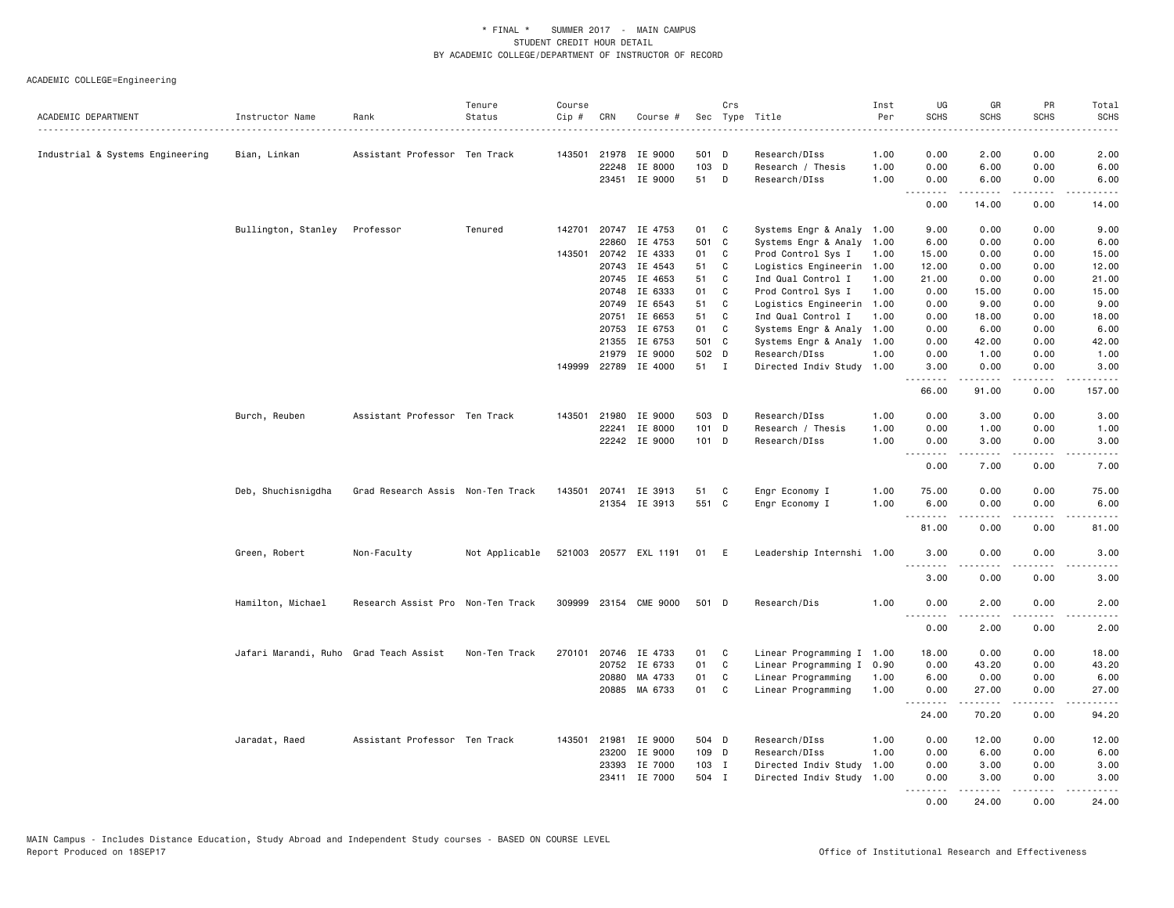|                                  |                                        |                                   | Tenure         | Course |              |                       |         | Crs |                                    | Inst     | UG               | GR                    | PR                | Total                 |
|----------------------------------|----------------------------------------|-----------------------------------|----------------|--------|--------------|-----------------------|---------|-----|------------------------------------|----------|------------------|-----------------------|-------------------|-----------------------|
| ACADEMIC DEPARTMENT              | Instructor Name                        | Rank                              | Status         | Cip #  | CRN          | Course #              |         |     | Sec Type Title<br>.                | Per<br>. | <b>SCHS</b>      | <b>SCHS</b>           | SCHS              | <b>SCHS</b><br>.      |
|                                  |                                        | Assistant Professor Ten Track     |                |        | 143501 21978 | IE 9000               | 501 D   |     |                                    | 1.00     | 0.00             |                       | 0.00              | 2.00                  |
| Industrial & Systems Engineering | Bian, Linkan                           |                                   |                |        | 22248        | IE 8000               | 103 D   |     | Research/DIss<br>Research / Thesis | 1.00     | 0.00             | 2.00<br>6.00          | 0.00              | 6.00                  |
|                                  |                                        |                                   |                |        |              |                       | 51      |     |                                    | 1.00     | 0.00             |                       |                   |                       |
|                                  |                                        |                                   |                |        | 23451        | IE 9000               |         | D   | Research/DIss                      |          | .                | 6.00<br>.             | 0.00<br>.         | 6.00<br>$\frac{1}{2}$ |
|                                  |                                        |                                   |                |        |              |                       |         |     |                                    |          | 0.00             | 14.00                 | 0.00              | 14.00                 |
|                                  | Bullington, Stanley                    | Professor                         | Tenured        |        |              | 142701 20747 IE 4753  | 01      | C   | Systems Engr & Analy 1.00          |          | 9.00             | 0.00                  | 0.00              | 9.00                  |
|                                  |                                        |                                   |                |        | 22860        | IE 4753               | 501 C   |     | Systems Engr & Analy               | 1.00     | 6.00             | 0.00                  | 0.00              | 6.00                  |
|                                  |                                        |                                   |                | 143501 | 20742        | IE 4333               | 01      | C   | Prod Control Sys I                 | 1.00     | 15.00            | 0.00                  | 0.00              | 15.00                 |
|                                  |                                        |                                   |                |        | 20743        | IE 4543               | 51      | C   | Logistics Engineerin               | 1.00     | 12.00            | 0.00                  | 0.00              | 12.00                 |
|                                  |                                        |                                   |                |        | 20745        | IE 4653               | 51      | C   | Ind Qual Control I                 | 1.00     | 21.00            | 0.00                  | 0.00              | 21.00                 |
|                                  |                                        |                                   |                |        | 20748        | IE 6333               | 01      | C   | Prod Control Sys I                 | 1.00     | 0.00             | 15.00                 | 0.00              | 15.00                 |
|                                  |                                        |                                   |                |        | 20749        | IE 6543               | 51      | C   | Logistics Engineerin               | 1.00     | 0.00             | 9.00                  | 0.00              | 9.00                  |
|                                  |                                        |                                   |                |        | 20751        | IE 6653               | 51      | C   | Ind Qual Control I                 | 1.00     | 0.00             | 18.00                 | 0.00              | 18.00                 |
|                                  |                                        |                                   |                |        | 20753        | IE 6753               | 01      | C   | Systems Engr & Analy               | 1.00     | 0.00             | 6.00                  | 0.00              | 6.00                  |
|                                  |                                        |                                   |                |        | 21355        | IE 6753               | 501 C   |     | Systems Engr & Analy               | 1.00     | 0.00             | 42.00                 | 0.00              | 42.00                 |
|                                  |                                        |                                   |                |        | 21979        | IE 9000               | 502 D   |     | Research/DIss                      | 1.00     | 0.00             | 1.00                  | 0.00              | 1.00                  |
|                                  |                                        |                                   |                |        |              | 149999 22789 IE 4000  | 51 I    |     | Directed Indiv Study 1.00          |          | 3.00<br>.        | 0.00<br>$\frac{1}{2}$ | 0.00<br>.         | 3.00<br>.             |
|                                  |                                        |                                   |                |        |              |                       |         |     |                                    |          | 66.00            | 91.00                 | 0.00              | 157.00                |
|                                  | Burch, Reuben                          | Assistant Professor Ten Track     |                | 143501 | 21980        | IE 9000               | 503 D   |     | Research/DIss                      | 1.00     | 0.00             | 3.00                  | 0.00              | 3.00                  |
|                                  |                                        |                                   |                |        | 22241        | IE 8000               | 101 D   |     | Research / Thesis                  | 1.00     | 0.00             | 1.00                  | 0.00              | 1.00                  |
|                                  |                                        |                                   |                |        |              | 22242 IE 9000         | $101$ D |     | Research/DIss                      | 1.00     | 0.00             | 3.00                  | 0.00              | 3.00                  |
|                                  |                                        |                                   |                |        |              |                       |         |     |                                    |          | .<br>0.00        | <u>.</u><br>7.00      | .<br>0.00         | $- - - -$<br>7.00     |
|                                  | Deb, Shuchisnigdha                     | Grad Research Assis Non-Ten Track |                | 143501 |              | 20741 IE 3913         | 51      | C   | Engr Economy I                     | 1.00     | 75.00            | 0.00                  | 0.00              | 75.00                 |
|                                  |                                        |                                   |                |        |              | 21354 IE 3913         | 551 C   |     | Engr Economy I                     | 1.00     | 6.00             | 0.00                  | 0.00              | 6.00                  |
|                                  |                                        |                                   |                |        |              |                       |         |     |                                    |          | .<br>81.00       | 0.00                  | .<br>0.00         | .<br>81.00            |
|                                  | Green, Robert                          | Non-Faculty                       | Not Applicable |        |              | 521003 20577 EXL 1191 | 01      | E   | Leadership Internshi 1.00          |          | 3.00             | 0.00                  | 0.00              | 3.00                  |
|                                  |                                        |                                   |                |        |              |                       |         |     |                                    |          | <u>.</u><br>3.00 | .<br>0.00             | $- - - -$<br>0.00 | -----<br>3.00         |
|                                  |                                        |                                   |                |        |              |                       |         |     |                                    |          |                  |                       |                   |                       |
|                                  | Hamilton, Michael                      | Research Assist Pro Non-Ten Track |                |        |              | 309999 23154 CME 9000 | 501 D   |     | Research/Dis                       | 1.00     | 0.00<br>.        | 2.00<br>.             | 0.00<br>.         | 2.00<br>$- - - -$     |
|                                  |                                        |                                   |                |        |              |                       |         |     |                                    |          | 0.00             | 2.00                  | 0.00              | 2.00                  |
|                                  | Jafari Marandi, Ruho Grad Teach Assist |                                   | Non-Ten Track  | 270101 |              | 20746 IE 4733         | 01      | C   | Linear Programming I 1.00          |          | 18.00            | 0.00                  | 0.00              | 18.00                 |
|                                  |                                        |                                   |                |        |              | 20752 IE 6733         | 01      | C   | Linear Programming I 0.90          |          | 0.00             | 43.20                 | 0.00              | 43.20                 |
|                                  |                                        |                                   |                |        | 20880        | MA 4733               | 01      | C   | Linear Programming                 | 1.00     | 6.00             | 0.00                  | 0.00              | 6.00                  |
|                                  |                                        |                                   |                |        |              | 20885 MA 6733         | 01      | C   | Linear Programming                 | 1.00     | 0.00<br>.        | 27.00<br>.            | 0.00<br>.         | 27.00<br>.            |
|                                  |                                        |                                   |                |        |              |                       |         |     |                                    |          | 24.00            | 70.20                 | 0.00              | 94.20                 |
|                                  | Jaradat, Raed                          | Assistant Professor Ten Track     |                | 143501 | 21981        | IE 9000               | 504 D   |     | Research/DIss                      | 1.00     | 0.00             | 12.00                 | 0.00              | 12.00                 |
|                                  |                                        |                                   |                |        | 23200        | IE 9000               | 109 D   |     | Research/DIss                      | 1.00     | 0.00             | 6.00                  | 0.00              | 6.00                  |
|                                  |                                        |                                   |                |        | 23393        | IE 7000               | 103 I   |     | Directed Indiv Study               | 1.00     | 0.00             | 3.00                  | 0.00              | 3.00                  |
|                                  |                                        |                                   |                |        | 23411        | IE 7000               | 504 I   |     | Directed Indiv Study               | 1.00     | 0.00<br><u>.</u> | 3.00                  | 0.00              | 3.00                  |
|                                  |                                        |                                   |                |        |              |                       |         |     |                                    |          | 0.00             | 24.00                 | 0.00              | 24.00                 |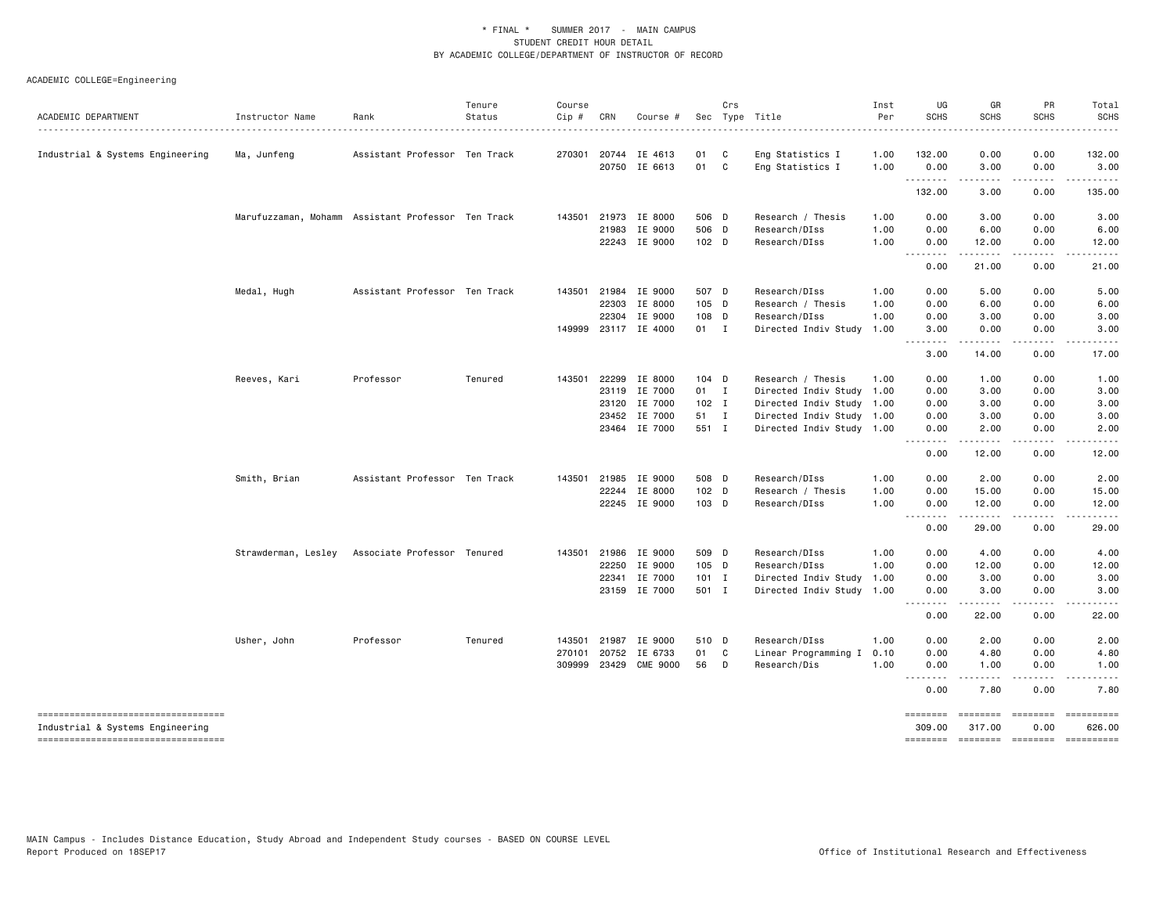## ACADEMIC COLLEGE=Engineering

| ACADEMIC DEPARTMENT                                                     | Instructor Name           | Rank                                               | Tenure<br>Status | Course<br>Cip # | CRN   | Course #             |         | Crs    | Sec Type Title            | Inst<br>Per | UG<br><b>SCHS</b>      | GR<br><b>SCHS</b>   | PR<br><b>SCHS</b>                                                                                                                                                                                                                                                                                                                                                                                                                                                                              | Total<br><b>SCHS</b>                  |
|-------------------------------------------------------------------------|---------------------------|----------------------------------------------------|------------------|-----------------|-------|----------------------|---------|--------|---------------------------|-------------|------------------------|---------------------|------------------------------------------------------------------------------------------------------------------------------------------------------------------------------------------------------------------------------------------------------------------------------------------------------------------------------------------------------------------------------------------------------------------------------------------------------------------------------------------------|---------------------------------------|
| Industrial & Systems Engineering                                        | . <u>.</u><br>Ma, Junfeng | Assistant Professor Ten Track                      |                  | 270301          | 20744 | IE 4613              | 01      | C      | Eng Statistics I          | 1.00        | . <b>.</b> .<br>132.00 | 0.00                | 0.00                                                                                                                                                                                                                                                                                                                                                                                                                                                                                           | .<br>132.00                           |
|                                                                         |                           |                                                    |                  |                 |       | 20750 IE 6613        | 01 C    |        | Eng Statistics I          | 1.00        | 0.00                   | 3.00                | 0.00                                                                                                                                                                                                                                                                                                                                                                                                                                                                                           | 3.00                                  |
|                                                                         |                           |                                                    |                  |                 |       |                      |         |        |                           |             | .<br>132.00            | $- - - - -$<br>3.00 | .<br>0.00                                                                                                                                                                                                                                                                                                                                                                                                                                                                                      | $- - - - - -$<br>135.00               |
|                                                                         |                           | Marufuzzaman, Mohamm Assistant Professor Ten Track |                  | 143501          |       | 21973 IE 8000        | 506 D   |        | Research / Thesis         | 1.00        | 0.00                   | 3.00                | 0.00                                                                                                                                                                                                                                                                                                                                                                                                                                                                                           | 3.00                                  |
|                                                                         |                           |                                                    |                  |                 | 21983 | IE 9000              | 506 D   |        | Research/DIss             | 1.00        | 0.00                   | 6.00                | 0.00                                                                                                                                                                                                                                                                                                                                                                                                                                                                                           | 6.00                                  |
|                                                                         |                           |                                                    |                  |                 |       | 22243 IE 9000        | 102 D   |        | Research/DIss             | 1.00        | 0.00<br>.              | 12.00<br>.          | 0.00<br>.                                                                                                                                                                                                                                                                                                                                                                                                                                                                                      | 12.00<br>.                            |
|                                                                         |                           |                                                    |                  |                 |       |                      |         |        |                           |             | 0.00                   | 21.00               | 0.00                                                                                                                                                                                                                                                                                                                                                                                                                                                                                           | 21.00                                 |
|                                                                         | Medal, Hugh               | Assistant Professor Ten Track                      |                  | 143501          | 21984 | IE 9000              | 507 D   |        | Research/DIss             | 1.00        | 0.00                   | 5.00                | 0.00                                                                                                                                                                                                                                                                                                                                                                                                                                                                                           | 5.00                                  |
|                                                                         |                           |                                                    |                  |                 | 22303 | IE 8000              | $105$ D |        | Research / Thesis         | 1.00        | 0.00                   | 6.00                | 0.00                                                                                                                                                                                                                                                                                                                                                                                                                                                                                           | 6.00                                  |
|                                                                         |                           |                                                    |                  |                 | 22304 | IE 9000              | 108 D   |        | Research/DIss             | 1.00        | 0.00                   | 3.00                | 0.00                                                                                                                                                                                                                                                                                                                                                                                                                                                                                           | 3.00                                  |
|                                                                         |                           |                                                    |                  |                 |       | 149999 23117 IE 4000 | 01 I    |        | Directed Indiv Study      | 1.00        | 3.00<br>.              | 0.00<br>.           | 0.00<br>.                                                                                                                                                                                                                                                                                                                                                                                                                                                                                      | 3.00<br>.                             |
|                                                                         |                           |                                                    |                  |                 |       |                      |         |        |                           |             | 3.00                   | 14.00               | 0.00                                                                                                                                                                                                                                                                                                                                                                                                                                                                                           | 17.00                                 |
|                                                                         | Reeves, Kari              | Professor                                          | Tenured          | 143501          | 22299 | IE 8000              | $104$ D |        | Research / Thesis         | 1.00        | 0.00                   | 1.00                | 0.00                                                                                                                                                                                                                                                                                                                                                                                                                                                                                           | 1.00                                  |
|                                                                         |                           |                                                    |                  |                 |       | 23119 IE 7000        | 01 I    |        | Directed Indiv Study 1.00 |             | 0.00                   | 3.00                | 0.00                                                                                                                                                                                                                                                                                                                                                                                                                                                                                           | 3.00                                  |
|                                                                         |                           |                                                    |                  |                 | 23120 | IE 7000              | $102$ I |        | Directed Indiv Study 1.00 |             | 0.00                   | 3.00                | 0.00                                                                                                                                                                                                                                                                                                                                                                                                                                                                                           | 3.00                                  |
|                                                                         |                           |                                                    |                  |                 | 23452 | IE 7000              | 51 I    |        | Directed Indiv Study 1.00 |             | 0.00                   | 3.00                | 0.00                                                                                                                                                                                                                                                                                                                                                                                                                                                                                           | 3.00                                  |
|                                                                         |                           |                                                    |                  |                 |       | 23464 IE 7000        | 551 I   |        | Directed Indiv Study 1.00 |             | 0.00<br>.              | 2.00<br>.           | 0.00<br>.                                                                                                                                                                                                                                                                                                                                                                                                                                                                                      | 2.00<br>.                             |
|                                                                         |                           |                                                    |                  |                 |       |                      |         |        |                           |             | 0.00                   | 12.00               | 0.00                                                                                                                                                                                                                                                                                                                                                                                                                                                                                           | 12.00                                 |
|                                                                         | Smith, Brian              | Assistant Professor Ten Track                      |                  | 143501          | 21985 | IE 9000              | 508 D   |        | Research/DIss             | 1.00        | 0.00                   | 2.00                | 0.00                                                                                                                                                                                                                                                                                                                                                                                                                                                                                           | 2.00                                  |
|                                                                         |                           |                                                    |                  |                 | 22244 | IE 8000              | $102$ D |        | Research / Thesis         | 1.00        | 0.00                   | 15.00               | 0.00                                                                                                                                                                                                                                                                                                                                                                                                                                                                                           | 15.00                                 |
|                                                                         |                           |                                                    |                  |                 |       | 22245 IE 9000        | 103 D   |        | Research/DIss             | 1.00        | 0.00                   | 12.00               | 0.00                                                                                                                                                                                                                                                                                                                                                                                                                                                                                           | 12.00                                 |
|                                                                         |                           |                                                    |                  |                 |       |                      |         |        |                           |             | .<br>0.00              | .<br>29.00          | .<br>0.00                                                                                                                                                                                                                                                                                                                                                                                                                                                                                      | .<br>29.00                            |
|                                                                         | Strawderman, Lesley       | Associate Professor Tenured                        |                  |                 |       | 143501 21986 IE 9000 | 509 D   |        | Research/DIss             | 1.00        | 0.00                   | 4.00                | 0.00                                                                                                                                                                                                                                                                                                                                                                                                                                                                                           | 4.00                                  |
|                                                                         |                           |                                                    |                  |                 | 22250 | IE 9000              | 105 D   |        | Research/DIss             | 1.00        | 0.00                   | 12.00               | 0.00                                                                                                                                                                                                                                                                                                                                                                                                                                                                                           | 12.00                                 |
|                                                                         |                           |                                                    |                  |                 | 22341 | IE 7000              | $101$ I |        | Directed Indiv Study      | 1.00        | 0.00                   | 3.00                | 0.00                                                                                                                                                                                                                                                                                                                                                                                                                                                                                           | 3.00                                  |
|                                                                         |                           |                                                    |                  |                 |       | 23159 IE 7000        | 501 I   |        | Directed Indiv Study 1.00 |             | 0.00<br>-----          | 3.00<br>.           | 0.00<br>.                                                                                                                                                                                                                                                                                                                                                                                                                                                                                      | 3.00<br>.                             |
|                                                                         |                           |                                                    |                  |                 |       |                      |         |        |                           |             | 0.00                   | 22.00               | 0.00                                                                                                                                                                                                                                                                                                                                                                                                                                                                                           | 22.00                                 |
|                                                                         | Usher, John               | Professor                                          | Tenured          | 143501          | 21987 | IE 9000              | 510 D   |        | Research/DIss             | 1.00        | 0.00                   | 2.00                | 0.00                                                                                                                                                                                                                                                                                                                                                                                                                                                                                           | 2.00                                  |
|                                                                         |                           |                                                    |                  | 270101          | 20752 | IE 6733              | 01 C    |        | Linear Programming I      | 0.10        | 0.00                   | 4.80                | 0.00                                                                                                                                                                                                                                                                                                                                                                                                                                                                                           | 4.80                                  |
|                                                                         |                           |                                                    |                  | 309999          | 23429 | <b>CME 9000</b>      | 56      | $\Box$ | Research/Dis              | 1.00        | 0.00                   | 1.00                | 0.00                                                                                                                                                                                                                                                                                                                                                                                                                                                                                           | 1.00                                  |
|                                                                         |                           |                                                    |                  |                 |       |                      |         |        |                           |             | .<br>0.00              | 7.80                | 0.00                                                                                                                                                                                                                                                                                                                                                                                                                                                                                           | 7.80                                  |
| -----------------------------------<br>Industrial & Systems Engineering |                           |                                                    |                  |                 |       |                      |         |        |                           |             | ========<br>309.00     | ========<br>317.00  | $\begin{array}{cccccccccc} \multicolumn{2}{c}{} & \multicolumn{2}{c}{} & \multicolumn{2}{c}{} & \multicolumn{2}{c}{} & \multicolumn{2}{c}{} & \multicolumn{2}{c}{} & \multicolumn{2}{c}{} & \multicolumn{2}{c}{} & \multicolumn{2}{c}{} & \multicolumn{2}{c}{} & \multicolumn{2}{c}{} & \multicolumn{2}{c}{} & \multicolumn{2}{c}{} & \multicolumn{2}{c}{} & \multicolumn{2}{c}{} & \multicolumn{2}{c}{} & \multicolumn{2}{c}{} & \multicolumn{2}{c}{} & \multicolumn{2}{c}{} & \mult$<br>0.00 | ==========<br>626.00                  |
| ----------------------------------                                      |                           |                                                    |                  |                 |       |                      |         |        |                           |             |                        |                     |                                                                                                                                                                                                                                                                                                                                                                                                                                                                                                | ======== ======== ======== ========== |

MAIN Campus - Includes Distance Education, Study Abroad and Independent Study courses - BASED ON COURSE LEVEL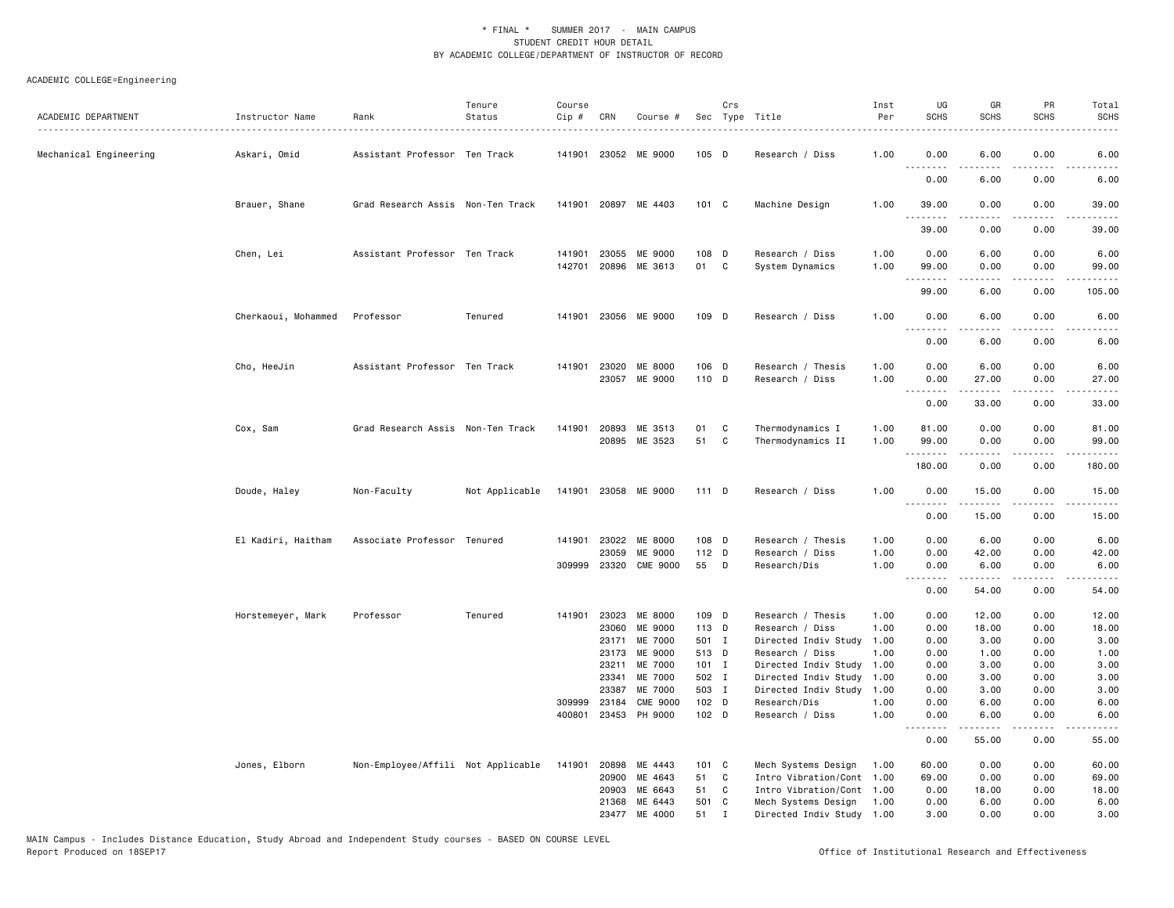| ACADEMIC DEPARTMENT    | Instructor Name     | Rank                               | Tenure<br>Status | Course<br>Cip #  | CRN            | Course #              |                | Crs          | Sec Type Title                  | Inst<br>Per  | UG<br><b>SCHS</b> | GR<br><b>SCHS</b>      | PR<br><b>SCHS</b>                   | Total<br><b>SCHS</b>                                                                                                               |
|------------------------|---------------------|------------------------------------|------------------|------------------|----------------|-----------------------|----------------|--------------|---------------------------------|--------------|-------------------|------------------------|-------------------------------------|------------------------------------------------------------------------------------------------------------------------------------|
| Mechanical Engineering | Askari, Omid        | Assistant Professor Ten Track      |                  |                  |                | 141901 23052 ME 9000  | $105$ D        |              | Research / Diss                 | 1.00         | 0.00<br>.         | 6.00                   | 0.00                                | 6.00                                                                                                                               |
|                        |                     |                                    |                  |                  |                |                       |                |              |                                 |              | 0.00              | 6.00                   | 0.00                                | 6.00                                                                                                                               |
|                        | Brauer, Shane       | Grad Research Assis Non-Ten Track  |                  |                  |                | 141901 20897 ME 4403  | 101 C          |              | Machine Design                  | 1.00         | 39.00<br>.        | 0.00                   | 0.00<br>$\sim$ $\sim$ $\sim$        | 39.00<br>$\frac{1}{2} \left( \frac{1}{2} \right) \left( \frac{1}{2} \right) \left( \frac{1}{2} \right) \left( \frac{1}{2} \right)$ |
|                        |                     |                                    |                  |                  |                |                       |                |              |                                 |              | 39.00             | 0.00                   | 0.00                                | 39.00                                                                                                                              |
|                        | Chen, Lei           | Assistant Professor Ten Track      |                  | 141901           | 23055          | ME 9000               | 108 D          |              | Research / Diss                 | 1.00         | 0.00              | 6.00                   | 0.00                                | 6.00                                                                                                                               |
|                        |                     |                                    |                  | 142701           | 20896          | ME 3613               | 01             | C            | System Dynamics                 | 1.00         | 99.00<br>.        | 0.00<br>.              | 0.00<br>.                           | 99.00<br>.                                                                                                                         |
|                        |                     |                                    |                  |                  |                |                       |                |              |                                 |              | 99.00             | 6.00                   | 0.00                                | 105.00                                                                                                                             |
|                        | Cherkaoui, Mohammed | Professor                          | Tenured          | 141901           | 23056          | ME 9000               | 109 D          |              | Research / Diss                 | 1.00         | 0.00              | 6.00                   | 0.00                                | 6.00                                                                                                                               |
|                        |                     |                                    |                  |                  |                |                       |                |              |                                 |              | 0.00              | 6.00                   | 0.00                                | 6.00                                                                                                                               |
|                        | Cho, HeeJin         | Assistant Professor Ten Track      |                  |                  | 141901 23020   | ME 8000               | 106 D          |              | Research / Thesis               | 1.00         | 0.00              | 6.00                   | 0.00                                | 6.00                                                                                                                               |
|                        |                     |                                    |                  |                  |                | 23057 ME 9000         | 110 D          |              | Research / Diss                 | 1.00         | 0.00<br>.         | 27.00<br>-----         | 0.00<br>$\sim$ $\sim$ $\sim$ $\sim$ | 27.00<br>المتمام                                                                                                                   |
|                        |                     |                                    |                  |                  |                |                       |                |              |                                 |              | 0.00              | 33.00                  | 0.00                                | 33.00                                                                                                                              |
|                        | Cox, Sam            | Grad Research Assis Non-Ten Track  |                  | 141901           | 20893          | ME 3513               | 01             | C            | Thermodynamics I                | 1.00         | 81.00             | 0.00                   | 0.00                                | 81.00                                                                                                                              |
|                        |                     |                                    |                  |                  | 20895          | ME 3523               | 51             | C            | Thermodynamics II               | 1.00         | 99.00             | 0.00                   | 0.00                                | 99.00                                                                                                                              |
|                        |                     |                                    |                  |                  |                |                       |                |              |                                 |              | .<br>180.00       | .<br>0.00              | .<br>0.00                           | .<br>180.00                                                                                                                        |
|                        | Doude, Haley        | Non-Faculty                        | Not Applicable   | 141901           |                | 23058 ME 9000         | 111 D          |              | Research / Diss                 | 1.00         | 0.00<br>.         | 15.00<br>$\frac{1}{2}$ | 0.00<br>$\sim$ $\sim$ $\sim$ $\sim$ | 15.00<br>.                                                                                                                         |
|                        |                     |                                    |                  |                  |                |                       |                |              |                                 |              | 0.00              | 15.00                  | 0.00                                | 15.00                                                                                                                              |
|                        | El Kadiri, Haitham  | Associate Professor Tenured        |                  | 141901           | 23022          | ME 8000               | 108 D          |              | Research / Thesis               | 1.00         | 0.00              | 6.00                   | 0.00                                | 6.00                                                                                                                               |
|                        |                     |                                    |                  |                  | 23059          | ME 9000               | 112 D          |              | Research / Diss                 | 1.00         | 0.00              | 42.00                  | 0.00                                | 42.00                                                                                                                              |
|                        |                     |                                    |                  |                  |                | 309999 23320 CME 9000 | 55             | $\mathsf{D}$ | Research/Dis                    | 1.00         | 0.00<br><u>.</u>  | 6.00<br>.              | 0.00<br>.                           | 6.00<br>.                                                                                                                          |
|                        |                     |                                    |                  |                  |                |                       |                |              |                                 |              | 0.00              | 54.00                  | 0.00                                | 54.00                                                                                                                              |
|                        | Horstemeyer, Mark   | Professor                          | Tenured          | 141901           | 23023          | ME 8000               | 109 D          |              | Research / Thesis               | 1.00         | 0.00              | 12.00                  | 0.00                                | 12.00                                                                                                                              |
|                        |                     |                                    |                  |                  | 23060          | ME 9000               | 113 D          |              | Research / Diss                 | 1.00         | 0.00              | 18.00                  | 0.00                                | 18.00                                                                                                                              |
|                        |                     |                                    |                  |                  | 23171          | ME 7000               | 501 I          |              | Directed Indiv Study            | 1.00         | 0.00              | 3.00                   | 0.00                                | 3.00                                                                                                                               |
|                        |                     |                                    |                  |                  | 23173          | ME 9000               | 513 D          |              | Research / Diss                 | 1.00         | 0.00              | 1.00                   | 0.00                                | 1.00                                                                                                                               |
|                        |                     |                                    |                  |                  | 23211          | ME 7000               | $101$ I        |              | Directed Indiv Study            | 1.00         | 0.00              | 3.00                   | 0.00                                | 3.00                                                                                                                               |
|                        |                     |                                    |                  |                  | 23341          | ME 7000               | 502 I          |              | Directed Indiv Study 1.00       |              | 0.00              | 3.00                   | 0.00                                | 3.00                                                                                                                               |
|                        |                     |                                    |                  |                  | 23387          | ME 7000               | 503 I          |              | Directed Indiv Study            | 1.00         | 0.00              | 3.00                   | 0.00                                | 3.00                                                                                                                               |
|                        |                     |                                    |                  | 309999<br>400801 | 23184<br>23453 | CME 9000<br>PH 9000   | 102 D<br>102 D |              | Research/Dis<br>Research / Diss | 1.00<br>1.00 | 0.00<br>0.00      | 6.00<br>6.00           | 0.00<br>0.00                        | 6.00<br>6.00                                                                                                                       |
|                        |                     |                                    |                  |                  |                |                       |                |              |                                 |              | .                 |                        |                                     | $\frac{1}{2} \left( \frac{1}{2} \right) \left( \frac{1}{2} \right) \left( \frac{1}{2} \right) \left( \frac{1}{2} \right)$          |
|                        |                     |                                    |                  |                  |                |                       |                |              |                                 |              | 0.00              | 55.00                  | 0.00                                | 55.00                                                                                                                              |
|                        | Jones, Elborn       | Non-Employee/Affili Not Applicable |                  | 141901           | 20898          | ME 4443               | $101 \quad C$  |              | Mech Systems Design             | 1.00         | 60.00             | 0.00                   | 0.00                                | 60.00                                                                                                                              |
|                        |                     |                                    |                  |                  | 20900          | ME 4643               | 51             | C            | Intro Vibration/Cont            | 1.00         | 69.00             | 0.00                   | 0.00                                | 69.00                                                                                                                              |
|                        |                     |                                    |                  |                  | 20903          | ME 6643               | 51             | C            | Intro Vibration/Cont 1.00       |              | 0.00              | 18.00                  | 0.00                                | 18.00                                                                                                                              |
|                        |                     |                                    |                  |                  | 21368          | ME 6443               | 501 C          |              | Mech Systems Design             | 1.00         | 0.00              | 6.00                   | 0.00                                | 6.00                                                                                                                               |
|                        |                     |                                    |                  |                  | 23477          | ME 4000               | 51             | $\mathbf I$  | Directed Indiv Study 1.00       |              | 3.00              | 0.00                   | 0.00                                | 3.00                                                                                                                               |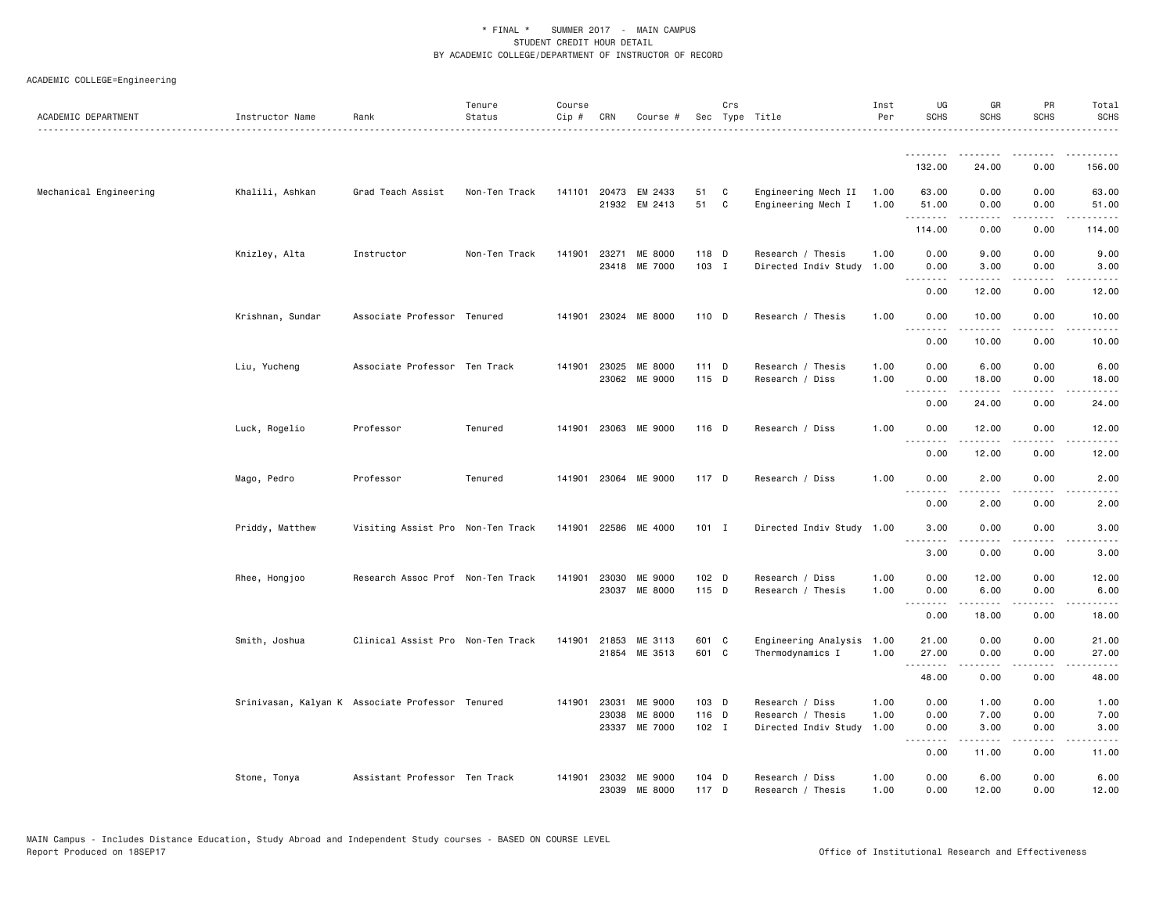| ACADEMIC COLLEGE=Engineering |  |  |  |  |
|------------------------------|--|--|--|--|
|------------------------------|--|--|--|--|

| ACADEMIC DEPARTMENT    | Instructor Name  | Rank                                             | Tenure<br>Status | Course<br>Cip # | CRN                   | Course #                              |                         | Crs               | Sec Type Title                                               | Inst<br>Per          | UG<br><b>SCHS</b>         | GR<br><b>SCHS</b>                                                                                                                                                            | PR<br><b>SCHS</b>            | Total<br><b>SCHS</b> |
|------------------------|------------------|--------------------------------------------------|------------------|-----------------|-----------------------|---------------------------------------|-------------------------|-------------------|--------------------------------------------------------------|----------------------|---------------------------|------------------------------------------------------------------------------------------------------------------------------------------------------------------------------|------------------------------|----------------------|
|                        |                  |                                                  |                  |                 |                       |                                       |                         |                   |                                                              |                      |                           |                                                                                                                                                                              |                              |                      |
|                        |                  |                                                  |                  |                 |                       |                                       |                         |                   |                                                              |                      | 132.00                    | 24.00                                                                                                                                                                        | 0.00                         | 156.00               |
| Mechanical Engineering | Khalili, Ashkan  | Grad Teach Assist                                | Non-Ten Track    |                 |                       | 141101 20473 EM 2433<br>21932 EM 2413 | 51<br>51                | C<br>$\mathbf{C}$ | Engineering Mech II<br>Engineering Mech I                    | 1.00<br>1.00         | 63.00<br>51.00            | 0.00<br>0.00                                                                                                                                                                 | 0.00<br>0.00                 | 63.00<br>51.00       |
|                        |                  |                                                  |                  |                 |                       |                                       |                         |                   |                                                              |                      | .<br>114.00               | .<br>0.00                                                                                                                                                                    | .<br>0.00                    | .<br>114.00          |
|                        | Knizley, Alta    | Instructor                                       | Non-Ten Track    | 141901          | 23271                 | ME 8000<br>23418 ME 7000              | 118 D<br>103 I          |                   | Research / Thesis<br>Directed Indiv Study 1.00               | 1.00                 | 0.00<br>0.00              | 9.00<br>3.00                                                                                                                                                                 | 0.00<br>0.00                 | 9.00<br>3.00         |
|                        |                  |                                                  |                  |                 |                       |                                       |                         |                   |                                                              |                      | .<br>0.00                 | .<br>12.00                                                                                                                                                                   | $\frac{1}{2}$<br>0.00        | 12.00                |
|                        | Krishnan, Sundar | Associate Professor Tenured                      |                  |                 |                       | 141901 23024 ME 8000                  | 110 D                   |                   | Research / Thesis                                            | 1.00                 | 0.00                      | 10.00                                                                                                                                                                        | 0.00                         | 10.00                |
|                        |                  |                                                  |                  |                 |                       |                                       |                         |                   |                                                              |                      | .<br>0.00                 | .<br>10.00                                                                                                                                                                   | $\sim$ $\sim$ $\sim$<br>0.00 | د د د د<br>10.00     |
|                        | Liu, Yucheng     | Associate Professor Ten Track                    |                  | 141901          | 23025                 | <b>ME 8000</b><br>23062 ME 9000       | 111 D<br>115 D          |                   | Research / Thesis<br>Research / Diss                         | 1.00<br>1.00         | 0.00<br>0.00<br>.         | 6.00<br>18.00<br>$- - - - -$                                                                                                                                                 | 0.00<br>0.00                 | 6.00<br>18.00        |
|                        |                  |                                                  |                  |                 |                       |                                       |                         |                   |                                                              |                      | 0.00                      | 24.00                                                                                                                                                                        | 0.00                         | 24.00                |
|                        | Luck, Rogelio    | Professor                                        | Tenured          |                 |                       | 141901 23063 ME 9000                  | $116$ D                 |                   | Research / Diss                                              | 1.00                 | 0.00<br>.                 | 12.00                                                                                                                                                                        | 0.00                         | 12.00                |
|                        |                  |                                                  |                  |                 |                       |                                       |                         |                   |                                                              |                      | 0.00                      | 12.00                                                                                                                                                                        | 0.00                         | 12.00                |
|                        | Mago, Pedro      | Professor                                        | Tenured          |                 |                       | 141901 23064 ME 9000                  | 117 D                   |                   | Research / Diss                                              | 1.00                 | 0.00<br>.                 | 2.00<br>$- - - - -$                                                                                                                                                          | 0.00<br>.                    | 2.00<br>----         |
|                        |                  |                                                  |                  |                 |                       |                                       |                         |                   |                                                              |                      | 0.00                      | 2.00                                                                                                                                                                         | 0.00                         | 2.00                 |
|                        | Priddy, Matthew  | Visiting Assist Pro Non-Ten Track                |                  |                 |                       | 141901 22586 ME 4000                  | $101$ I                 |                   | Directed Indiv Study 1.00                                    |                      | 3.00                      | 0.00                                                                                                                                                                         | 0.00                         | 3.00                 |
|                        |                  |                                                  |                  |                 |                       |                                       |                         |                   |                                                              |                      | 3.00                      | 0.00                                                                                                                                                                         | 0.00                         | 3.00                 |
|                        | Rhee, Hongjoo    | Research Assoc Prof Non-Ten Track                |                  |                 | 141901 23030          | ME 9000<br>23037 ME 8000              | 102 D<br>115 D          |                   | Research / Diss<br>Research / Thesis                         | 1.00<br>1.00         | 0.00<br>0.00<br>.         | 12.00<br>6.00<br>.                                                                                                                                                           | 0.00<br>0.00<br>.            | 12.00<br>6.00<br>.   |
|                        |                  |                                                  |                  |                 |                       |                                       |                         |                   |                                                              |                      | 0.00                      | 18.00                                                                                                                                                                        | 0.00                         | 18.00                |
|                        | Smith, Joshua    | Clinical Assist Pro Non-Ten Track                |                  | 141901          | 21853                 | ME 3113<br>21854 ME 3513              | 601 C<br>601 C          |                   | Engineering Analysis<br>Thermodynamics I                     | 1.00<br>1.00         | 21.00<br>27.00<br>.       | 0.00<br>0.00<br>$\frac{1}{2} \left( \frac{1}{2} \right) \left( \frac{1}{2} \right) \left( \frac{1}{2} \right) \left( \frac{1}{2} \right) \left( \frac{1}{2} \right)$         | 0.00<br>0.00<br>.            | 21.00<br>27.00<br>.  |
|                        |                  |                                                  |                  |                 |                       |                                       |                         |                   |                                                              |                      | 48.00                     | 0.00                                                                                                                                                                         | 0.00                         | 48.00                |
|                        |                  | Srinivasan, Kalyan K Associate Professor Tenured |                  |                 | 141901 23031<br>23038 | ME 9000<br>ME 8000<br>23337 ME 7000   | 103 D<br>116 D<br>102 I |                   | Research / Diss<br>Research / Thesis<br>Directed Indiv Study | 1.00<br>1.00<br>1.00 | 0.00<br>0.00<br>0.00<br>. | 1.00<br>7.00<br>3.00<br>$\frac{1}{2} \left( \frac{1}{2} \right) \left( \frac{1}{2} \right) \left( \frac{1}{2} \right) \left( \frac{1}{2} \right) \left( \frac{1}{2} \right)$ | 0.00<br>0.00<br>0.00         | 1.00<br>7.00<br>3.00 |
|                        |                  |                                                  |                  |                 |                       |                                       |                         |                   |                                                              |                      | 0.00                      | 11.00                                                                                                                                                                        | 0.00                         | 11.00                |
|                        | Stone, Tonya     | Assistant Professor Ten Track                    |                  | 141901          | 23032                 | ME 9000<br>23039 ME 8000              | $104$ D<br>117 D        |                   | Research / Diss<br>Research / Thesis                         | 1.00<br>1.00         | 0.00<br>0.00              | 6.00<br>12.00                                                                                                                                                                | 0.00<br>0.00                 | 6.00<br>12.00        |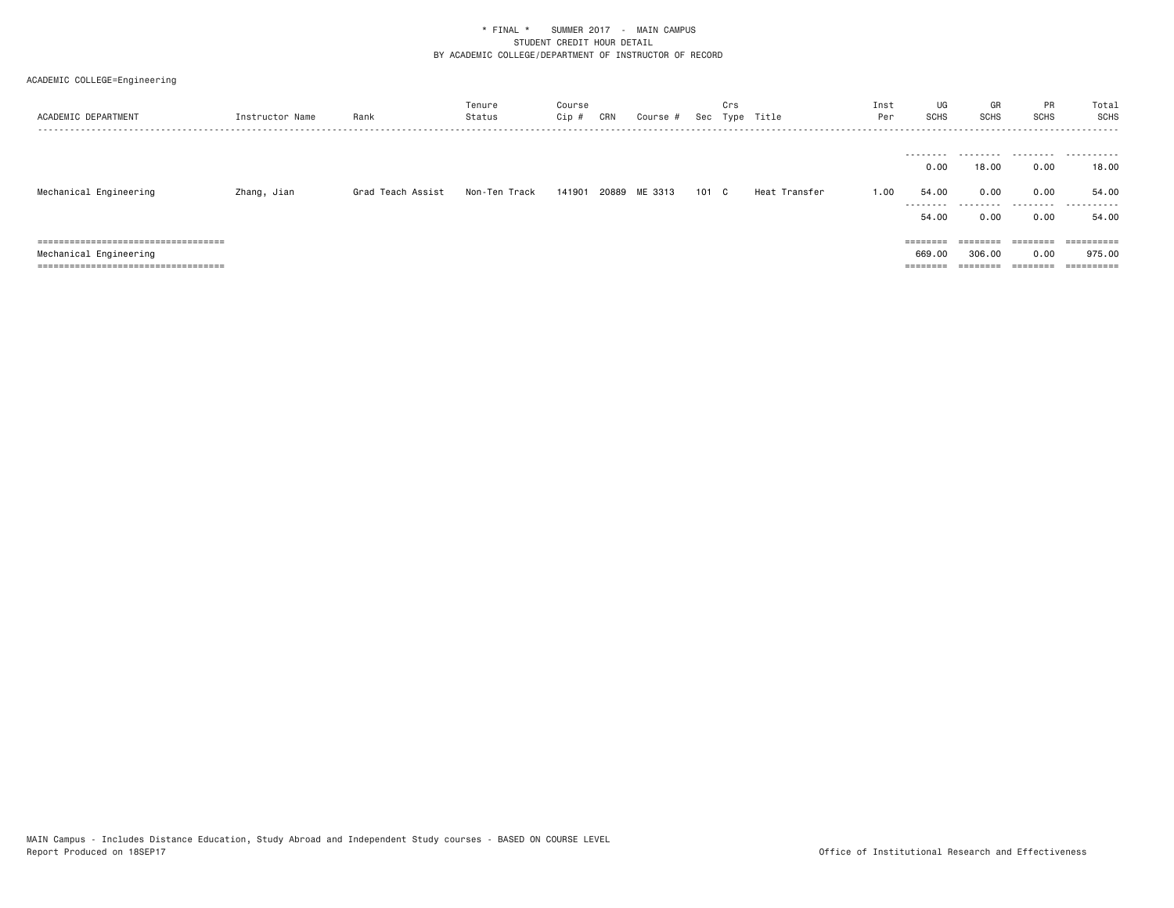| ACADEMIC DEPARTMENT                   | Instructor Name | Rank              | Tenure<br>Status | Course<br>Cip # | CRN | Course #      |       | Crs | Sec Type Title | Inst<br>Per | UG<br><b>SCHS</b>                              | GR<br>SCHS                 | PR<br>SCHS                                                              | Total<br><b>SCHS</b><br>.        |
|---------------------------------------|-----------------|-------------------|------------------|-----------------|-----|---------------|-------|-----|----------------|-------------|------------------------------------------------|----------------------------|-------------------------------------------------------------------------|----------------------------------|
| Mechanical Engineering                | Zhang, Jian     | Grad Teach Assist | Non-Ten Track    | 141901          |     | 20889 ME 3313 | 101 C |     | Heat Transfer  | 1.00        | --------<br>0.00<br>54.00<br>--------<br>54.00 | .<br>18.00<br>0.00<br>0.00 | 0.00<br>0.00<br>.<br>0.00                                               | <br>18.00<br>54.00<br>.<br>54.00 |
| ===================================== |                 |                   |                  |                 |     |               |       |     |                |             | ========                                       | $=$ = = = = = = =          | $\qquad \qquad \equiv \equiv \equiv \equiv \equiv \equiv \equiv \equiv$ | $=$ =========                    |
| Mechanical Engineering                |                 |                   |                  |                 |     |               |       |     |                |             | 669.00                                         | 306.00                     | 0.00                                                                    | 975.00                           |
| ===================================== |                 |                   |                  |                 |     |               |       |     |                |             | ========                                       | ========                   | ========                                                                | ==========                       |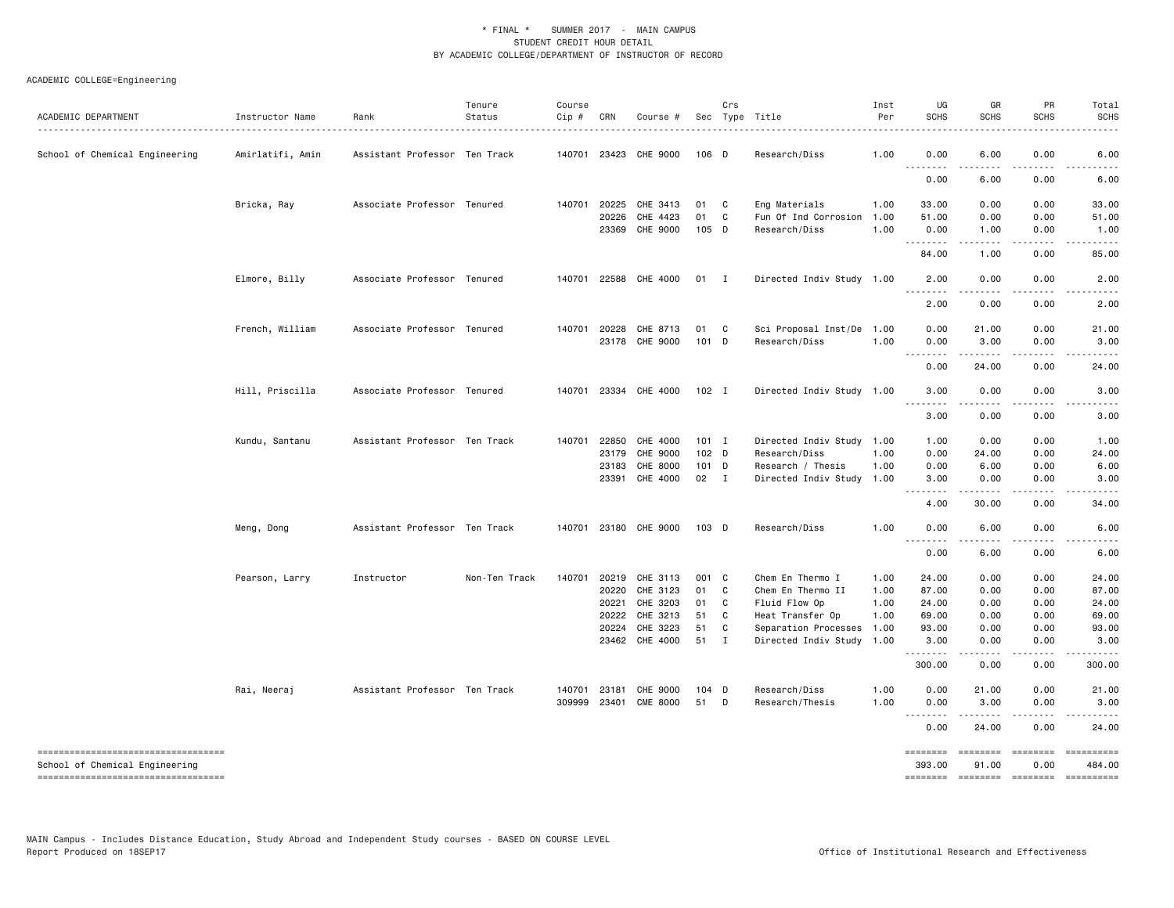| ACADEMIC DEPARTMENT                                                  | Instructor Name<br>. | Rank                          | Tenure<br>Status | Course<br>Cip # | CRN            | Course #              |             | Crs          | Sec Type Title                        | Inst<br>Per  | UG<br><b>SCHS</b>                                    | GR<br><b>SCHS</b> | PR<br><b>SCHS</b>       | Total<br><b>SCHS</b>                                                                                                                       |
|----------------------------------------------------------------------|----------------------|-------------------------------|------------------|-----------------|----------------|-----------------------|-------------|--------------|---------------------------------------|--------------|------------------------------------------------------|-------------------|-------------------------|--------------------------------------------------------------------------------------------------------------------------------------------|
| School of Chemical Engineering                                       | Amirlatifi, Amin     | Assistant Professor Ten Track |                  |                 | 140701 23423   | CHE 9000              | 106 D       |              | Research/Diss                         | 1.00         | 0.00<br>$\sim$ $\sim$ $\sim$<br>.                    | 6.00<br>.         | 0.00                    | 6.00                                                                                                                                       |
|                                                                      |                      |                               |                  |                 |                |                       |             |              |                                       |              | 0.00                                                 | 6.00              | 0.00                    | 6.00                                                                                                                                       |
|                                                                      | Bricka, Ray          | Associate Professor Tenured   |                  |                 | 140701 20225   | CHE 3413              | 01          | $\mathbf{C}$ | Eng Materials                         | 1.00         | 33.00                                                | 0.00              | 0.00                    | 33.00                                                                                                                                      |
|                                                                      |                      |                               |                  |                 | 20226<br>23369 | CHE 4423<br>CHE 9000  | 01<br>105 D | C            | Fun Of Ind Corrosion<br>Research/Diss | 1.00<br>1.00 | 51.00<br>0.00                                        | 0.00<br>1.00      | 0.00<br>0.00            | 51.00<br>1.00                                                                                                                              |
|                                                                      |                      |                               |                  |                 |                |                       |             |              |                                       |              | .<br>84.00                                           | .<br>1.00         | .<br>0.00               | 85.00                                                                                                                                      |
|                                                                      | Elmore, Billy        | Associate Professor Tenured   |                  |                 | 140701 22588   | CHE 4000              | $01$ I      |              | Directed Indiv Study 1.00             |              | 2.00                                                 | 0.00              | 0.00                    | 2.00                                                                                                                                       |
|                                                                      |                      |                               |                  |                 |                |                       |             |              |                                       |              | $\sim$ $\sim$ .<br>2.00                              | 0.00              | 0.00                    | 2.00                                                                                                                                       |
|                                                                      | French, William      | Associate Professor Tenured   |                  |                 | 140701 20228   | CHE 8713              | 01          | $\mathbf{C}$ | Sci Proposal Inst/De 1.00             |              | 0.00                                                 | 21.00             | 0.00                    | 21.00                                                                                                                                      |
|                                                                      |                      |                               |                  |                 |                | 23178 CHE 9000        | 101 D       |              | Research/Diss                         | 1.00         | 0.00                                                 | 3.00              | 0.00                    | 3.00                                                                                                                                       |
|                                                                      |                      |                               |                  |                 |                |                       |             |              |                                       |              | <b></b><br>0.00                                      | .<br>24.00        | .<br>0.00               | 24.00                                                                                                                                      |
|                                                                      | Hill, Priscilla      | Associate Professor Tenured   |                  |                 |                | 140701 23334 CHE 4000 | $102$ I     |              | Directed Indiv Study 1.00             |              | 3.00                                                 | 0.00              | 0.00                    | 3.00                                                                                                                                       |
|                                                                      |                      |                               |                  |                 |                |                       |             |              |                                       |              | <u>.</u><br>3.00                                     | 0.00              | 0.00                    | 3.00                                                                                                                                       |
|                                                                      | Kundu, Santanu       | Assistant Professor Ten Track |                  |                 | 140701 22850   | CHE 4000              | $101$ I     |              | Directed Indiv Study 1.00             |              | 1.00                                                 | 0.00              | 0.00                    | 1.00                                                                                                                                       |
|                                                                      |                      |                               |                  |                 | 23179          | CHE 9000              | 102 D       |              | Research/Diss                         | 1.00         | 0.00                                                 | 24.00             | 0.00                    | 24.00                                                                                                                                      |
|                                                                      |                      |                               |                  |                 | 23183          | CHE 8000              | $101$ D     |              | Research / Thesis                     | 1.00         | 0.00                                                 | 6.00              | 0.00                    | 6.00                                                                                                                                       |
|                                                                      |                      |                               |                  |                 |                | 23391 CHE 4000        | 02 I        |              | Directed Indiv Study 1.00             |              | 3.00<br>.<br>$\sim$ $\sim$ $\sim$                    | 0.00<br>.         | 0.00<br>.               | 3.00<br>د د د د د                                                                                                                          |
|                                                                      |                      |                               |                  |                 |                |                       |             |              |                                       |              | 4.00                                                 | 30.00             | 0.00                    | 34.00                                                                                                                                      |
|                                                                      | Meng, Dong           | Assistant Professor Ten Track |                  |                 |                | 140701 23180 CHE 9000 | 103 D       |              | Research/Diss                         | 1.00         | 0.00<br>$\sim$ $\sim$ $\sim$<br>$\sim$ $\sim$ $\sim$ | 6.00              | 0.00                    | 6.00                                                                                                                                       |
|                                                                      |                      |                               |                  |                 |                |                       |             |              |                                       |              | 0.00                                                 | 6.00              | 0.00                    | 6.00                                                                                                                                       |
|                                                                      | Pearson, Larry       | Instructor                    | Non-Ten Track    | 140701          | 20219          | CHE 3113              | 001 C       |              | Chem En Thermo I                      | 1.00         | 24.00                                                | 0.00              | 0.00                    | 24.00                                                                                                                                      |
|                                                                      |                      |                               |                  |                 | 20220          | CHE 3123              | 01          | C            | Chem En Thermo II                     | 1.00         | 87.00                                                | 0.00              | 0.00                    | 87.00                                                                                                                                      |
|                                                                      |                      |                               |                  |                 | 20221          | CHE 3203              | 01          | C            | Fluid Flow Op                         | 1.00         | 24.00                                                | 0.00              | 0.00                    | 24.00                                                                                                                                      |
|                                                                      |                      |                               |                  |                 | 20222          | CHE 3213              | 51          | C            | Heat Transfer Op                      | 1.00         | 69.00                                                | 0.00              | 0.00                    | 69.00                                                                                                                                      |
|                                                                      |                      |                               |                  |                 | 20224          | CHE 3223              | 51          | C            | Separation Processes 1.00             |              | 93.00                                                | 0.00              | 0.00                    | 93.00                                                                                                                                      |
|                                                                      |                      |                               |                  |                 |                | 23462 CHE 4000        | 51          | $\mathbf{I}$ | Directed Indiv Study 1.00             |              | 3.00                                                 | 0.00              | 0.00                    | 3.00                                                                                                                                       |
|                                                                      |                      |                               |                  |                 |                |                       |             |              |                                       |              | 300.00                                               | 0.00              | 0.00                    | 300.00                                                                                                                                     |
|                                                                      | Rai, Neeraj          | Assistant Professor Ten Track |                  |                 | 140701 23181   | CHE 9000              | 104 D       |              | Research/Diss                         | 1.00         | 0.00                                                 | 21.00             | 0.00                    | 21.00                                                                                                                                      |
|                                                                      |                      |                               |                  | 309999          | 23401          | <b>CME 8000</b>       | 51          | D            | Research/Thesis                       | 1.00         | 0.00<br>.                                            | 3.00              | 0.00                    | 3.00                                                                                                                                       |
|                                                                      |                      |                               |                  |                 |                |                       |             |              |                                       |              | 0.00                                                 | 24.00             | 0.00                    | 24.00                                                                                                                                      |
| ----------------------------------<br>School of Chemical Engineering |                      |                               |                  |                 |                |                       |             |              |                                       |              | <b>EEEEEEEE</b><br>393,00                            | ========<br>91.00 | <b>ESSESSES</b><br>0.00 | $\begin{minipage}{0.9\linewidth} \hspace*{-0.2cm} \textbf{m} = \textbf{m} = \textbf{m} = \textbf{m} = \textbf{m} \end{minipage}$<br>484.00 |
| -----------------------------------                                  |                      |                               |                  |                 |                |                       |             |              |                                       |              |                                                      | ========          | $=$ ========            | ==========                                                                                                                                 |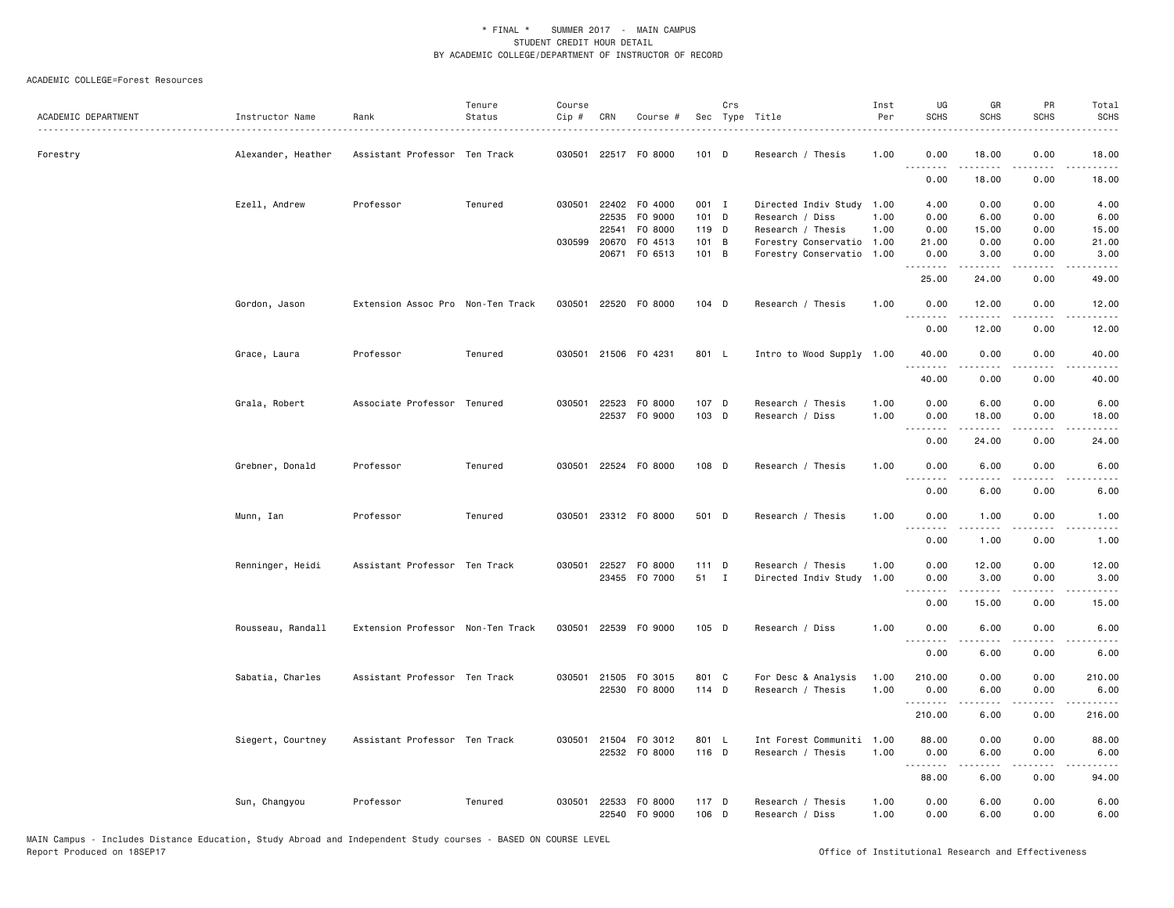| ACADEMIC DEPARTMENT | Instructor Name    | Rank                              | Tenure<br>Status | Course<br>Cip # | CRN   | Course #                              |                  | Crs | Sec Type Title                          | Inst<br>Per  | UG<br><b>SCHS</b>                                                                                                                                                                                                                                                                                                                                                                                                                                                                              | GR<br><b>SCHS</b>                                                                                                                                            | PR<br><b>SCHS</b>    | Total<br><b>SCHS</b>  |
|---------------------|--------------------|-----------------------------------|------------------|-----------------|-------|---------------------------------------|------------------|-----|-----------------------------------------|--------------|------------------------------------------------------------------------------------------------------------------------------------------------------------------------------------------------------------------------------------------------------------------------------------------------------------------------------------------------------------------------------------------------------------------------------------------------------------------------------------------------|--------------------------------------------------------------------------------------------------------------------------------------------------------------|----------------------|-----------------------|
| Forestry            | Alexander, Heather | Assistant Professor Ten Track     |                  |                 |       | 030501 22517 F0 8000                  | $101$ D          |     | Research / Thesis                       | 1.00         | 0.00                                                                                                                                                                                                                                                                                                                                                                                                                                                                                           | 18.00                                                                                                                                                        | 0.00                 | 18.00                 |
|                     |                    |                                   |                  |                 |       |                                       |                  |     |                                         |              | .<br>0.00                                                                                                                                                                                                                                                                                                                                                                                                                                                                                      | 18.00                                                                                                                                                        | 0.00                 | 18.00                 |
|                     |                    |                                   |                  |                 |       |                                       |                  |     |                                         |              |                                                                                                                                                                                                                                                                                                                                                                                                                                                                                                |                                                                                                                                                              |                      |                       |
|                     | Ezell, Andrew      | Professor                         | Tenured          | 030501          | 22535 | 22402 F0 4000<br>F0 9000              | 001 I<br>$101$ D |     | Directed Indiv Study<br>Research / Diss | 1.00<br>1.00 | 4.00<br>0.00                                                                                                                                                                                                                                                                                                                                                                                                                                                                                   | 0.00<br>6.00                                                                                                                                                 | 0.00<br>0.00         | 4.00<br>6.00          |
|                     |                    |                                   |                  |                 | 22541 | F0 8000                               | 119 D            |     | Research / Thesis                       | 1.00         | 0.00                                                                                                                                                                                                                                                                                                                                                                                                                                                                                           | 15.00                                                                                                                                                        | 0.00                 | 15.00                 |
|                     |                    |                                   |                  |                 |       | 030599 20670 F0 4513                  | 101 B            |     | Forestry Conservatio                    | 1.00         | 21.00                                                                                                                                                                                                                                                                                                                                                                                                                                                                                          | 0.00                                                                                                                                                         | 0.00                 | 21.00                 |
|                     |                    |                                   |                  |                 |       | 20671 F0 6513                         | 101 B            |     | Forestry Conservatio                    | 1.00         | 0.00                                                                                                                                                                                                                                                                                                                                                                                                                                                                                           | 3.00                                                                                                                                                         | 0.00                 | 3.00                  |
|                     |                    |                                   |                  |                 |       |                                       |                  |     |                                         |              | <u>.</u><br>25.00                                                                                                                                                                                                                                                                                                                                                                                                                                                                              | .<br>24.00                                                                                                                                                   | .<br>0.00            | .<br>49.00            |
|                     | Gordon, Jason      | Extension Assoc Pro Non-Ten Track |                  | 030501          |       | 22520 F0 8000                         | 104 D            |     | Research / Thesis                       | 1.00         | 0.00<br>$  -$<br>.                                                                                                                                                                                                                                                                                                                                                                                                                                                                             | 12.00<br>.                                                                                                                                                   | 0.00<br>.            | 12.00                 |
|                     |                    |                                   |                  |                 |       |                                       |                  |     |                                         |              | 0.00                                                                                                                                                                                                                                                                                                                                                                                                                                                                                           | 12.00                                                                                                                                                        | 0.00                 | 12.00                 |
|                     | Grace, Laura       | Professor                         | Tenured          |                 |       | 030501 21506 F0 4231                  | 801 L            |     | Intro to Wood Supply 1.00               |              | 40.00                                                                                                                                                                                                                                                                                                                                                                                                                                                                                          | 0.00                                                                                                                                                         | 0.00                 | 40.00                 |
|                     |                    |                                   |                  |                 |       |                                       |                  |     |                                         |              | .<br>40.00                                                                                                                                                                                                                                                                                                                                                                                                                                                                                     | -----<br>0.00                                                                                                                                                | .<br>0.00            | .<br>40.00            |
|                     |                    |                                   |                  |                 |       |                                       |                  |     |                                         |              |                                                                                                                                                                                                                                                                                                                                                                                                                                                                                                |                                                                                                                                                              |                      |                       |
|                     | Grala, Robert      | Associate Professor Tenured       |                  |                 |       | 030501 22523 F0 8000<br>22537 F0 9000 | 107 D<br>103 D   |     | Research / Thesis<br>Research / Diss    | 1.00<br>1.00 | 0.00<br>0.00                                                                                                                                                                                                                                                                                                                                                                                                                                                                                   | 6.00<br>18.00                                                                                                                                                | 0.00<br>0.00         | 6.00<br>18.00         |
|                     |                    |                                   |                  |                 |       |                                       |                  |     |                                         |              | <u>.</u>                                                                                                                                                                                                                                                                                                                                                                                                                                                                                       |                                                                                                                                                              | $\sim$ $\sim$ $\sim$ | د د د د               |
|                     |                    |                                   |                  |                 |       |                                       |                  |     |                                         |              | 0.00                                                                                                                                                                                                                                                                                                                                                                                                                                                                                           | 24.00                                                                                                                                                        | 0.00                 | 24.00                 |
|                     | Grebner, Donald    | Professor                         | Tenured          |                 |       | 030501 22524 F0 8000                  | 108 D            |     | Research / Thesis                       | 1.00         | 0.00<br>.                                                                                                                                                                                                                                                                                                                                                                                                                                                                                      | 6.00                                                                                                                                                         | 0.00                 | 6.00                  |
|                     |                    |                                   |                  |                 |       |                                       |                  |     |                                         |              | 0.00                                                                                                                                                                                                                                                                                                                                                                                                                                                                                           | 6.00                                                                                                                                                         | 0.00                 | 6.00                  |
|                     | Munn, Ian          | Professor                         | Tenured          |                 |       | 030501 23312 F0 8000                  | 501 D            |     | Research / Thesis                       | 1.00         | 0.00                                                                                                                                                                                                                                                                                                                                                                                                                                                                                           | 1.00                                                                                                                                                         | 0.00                 | 1.00                  |
|                     |                    |                                   |                  |                 |       |                                       |                  |     |                                         |              | 0.00                                                                                                                                                                                                                                                                                                                                                                                                                                                                                           | 1.00                                                                                                                                                         | 0.00                 | 1.00                  |
|                     |                    |                                   |                  |                 |       |                                       |                  |     |                                         |              |                                                                                                                                                                                                                                                                                                                                                                                                                                                                                                |                                                                                                                                                              |                      |                       |
|                     | Renninger, Heidi   | Assistant Professor Ten Track     |                  | 030501          |       | 22527 F0 8000                         | $111$ D<br>51 I  |     | Research / Thesis                       | 1.00         | 0.00                                                                                                                                                                                                                                                                                                                                                                                                                                                                                           | 12.00                                                                                                                                                        | 0.00                 | 12.00                 |
|                     |                    |                                   |                  |                 |       | 23455 F0 7000                         |                  |     | Directed Indiv Study 1.00               |              | 0.00<br>.                                                                                                                                                                                                                                                                                                                                                                                                                                                                                      | 3.00<br>$\frac{1}{2} \left( \frac{1}{2} \right) \left( \frac{1}{2} \right) \left( \frac{1}{2} \right) \left( \frac{1}{2} \right) \left( \frac{1}{2} \right)$ | 0.00<br>.            | 3.00<br>.             |
|                     |                    |                                   |                  |                 |       |                                       |                  |     |                                         |              | 0.00                                                                                                                                                                                                                                                                                                                                                                                                                                                                                           | 15.00                                                                                                                                                        | 0.00                 | 15.00                 |
|                     | Rousseau, Randall  | Extension Professor Non-Ten Track |                  | 030501          |       | 22539 FO 9000                         | 105 D            |     | Research / Diss                         | 1.00         | 0.00<br>. <b>.</b>                                                                                                                                                                                                                                                                                                                                                                                                                                                                             | 6.00<br>.                                                                                                                                                    | 0.00<br>.            | 6.00<br>$\frac{1}{2}$ |
|                     |                    |                                   |                  |                 |       |                                       |                  |     |                                         |              | 0.00                                                                                                                                                                                                                                                                                                                                                                                                                                                                                           | 6.00                                                                                                                                                         | 0.00                 | 6.00                  |
|                     | Sabatia, Charles   | Assistant Professor Ten Track     |                  | 030501          |       | 21505 FO 3015                         | 801 C            |     | For Desc & Analysis                     | 1.00         | 210.00                                                                                                                                                                                                                                                                                                                                                                                                                                                                                         | 0.00                                                                                                                                                         | 0.00                 | 210.00                |
|                     |                    |                                   |                  |                 |       | 22530 F0 8000                         | 114 D            |     | Research / Thesis                       | 1.00         | 0.00                                                                                                                                                                                                                                                                                                                                                                                                                                                                                           | 6.00                                                                                                                                                         | 0.00                 | 6.00                  |
|                     |                    |                                   |                  |                 |       |                                       |                  |     |                                         |              | .                                                                                                                                                                                                                                                                                                                                                                                                                                                                                              | .                                                                                                                                                            | .                    | .                     |
|                     |                    |                                   |                  |                 |       |                                       |                  |     |                                         |              | 210.00                                                                                                                                                                                                                                                                                                                                                                                                                                                                                         | 6.00                                                                                                                                                         | 0.00                 | 216.00                |
|                     | Siegert, Courtney  | Assistant Professor Ten Track     |                  |                 |       | 030501 21504 F0 3012                  | 801 L            |     | Int Forest Communiti 1.00               |              | 88.00                                                                                                                                                                                                                                                                                                                                                                                                                                                                                          | 0.00                                                                                                                                                         | 0.00                 | 88.00                 |
|                     |                    |                                   |                  |                 |       | 22532 F0 8000                         | 116 D            |     | Research / Thesis                       | 1.00         | 0.00<br>$\begin{array}{cccccccccccccc} \multicolumn{2}{c}{} & \multicolumn{2}{c}{} & \multicolumn{2}{c}{} & \multicolumn{2}{c}{} & \multicolumn{2}{c}{} & \multicolumn{2}{c}{} & \multicolumn{2}{c}{} & \multicolumn{2}{c}{} & \multicolumn{2}{c}{} & \multicolumn{2}{c}{} & \multicolumn{2}{c}{} & \multicolumn{2}{c}{} & \multicolumn{2}{c}{} & \multicolumn{2}{c}{} & \multicolumn{2}{c}{} & \multicolumn{2}{c}{} & \multicolumn{2}{c}{} & \multicolumn{2}{c}{} & \multicolumn{2}{c}{} & \$ | 6.00<br>.                                                                                                                                                    | 0.00<br>.            | 6.00<br>.             |
|                     |                    |                                   |                  |                 |       |                                       |                  |     |                                         |              | 88.00                                                                                                                                                                                                                                                                                                                                                                                                                                                                                          | 6.00                                                                                                                                                         | 0.00                 | 94.00                 |
|                     | Sun, Changyou      | Professor                         | Tenured          | 030501          |       | 22533 FO 8000                         | 117 D            |     | Research / Thesis                       | 1.00         | 0.00                                                                                                                                                                                                                                                                                                                                                                                                                                                                                           | 6.00                                                                                                                                                         | 0.00                 | 6.00                  |
|                     |                    |                                   |                  |                 |       | 22540 F0 9000                         | 106 D            |     | Research / Diss                         | 1.00         | 0.00                                                                                                                                                                                                                                                                                                                                                                                                                                                                                           | 6.00                                                                                                                                                         | 0.00                 | 6.00                  |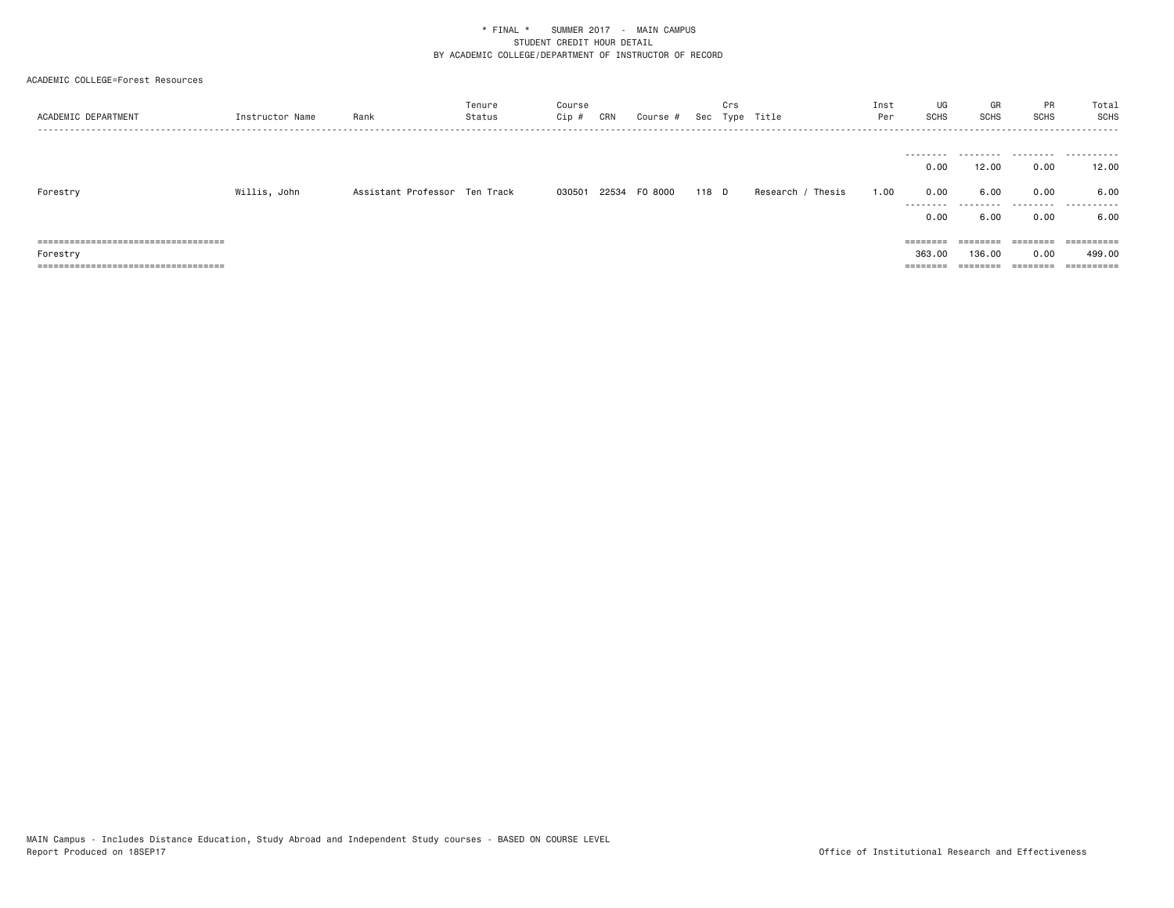| ACADEMIC DEPARTMENT                                                           | Instructor Name | Rank                          | Tenure<br>Status | Course<br>Cip # | CRN | Course #      |       | Crs | Sec Type Title    | Inst<br>Per | UG<br>SCHS        | GR<br>SCHS | PR<br><b>SCHS</b> | Total<br>SCHS |
|-------------------------------------------------------------------------------|-----------------|-------------------------------|------------------|-----------------|-----|---------------|-------|-----|-------------------|-------------|-------------------|------------|-------------------|---------------|
|                                                                               |                 |                               |                  |                 |     |               |       |     |                   |             |                   |            |                   |               |
|                                                                               |                 |                               |                  |                 |     |               |       |     |                   |             | 0.00              | 12.00      | 0.00              | 12.00         |
| Forestry                                                                      | Willis, John    | Assistant Professor Ten Track |                  | 030501          |     | 22534 FO 8000 | 118 D |     | Research / Thesis | 1.00        | 0.00              | 6.00       | 0.00              | 6.00          |
|                                                                               |                 |                               |                  |                 |     |               |       |     |                   |             | ---------<br>0.00 | .<br>6.00  | .<br>0.00         | .<br>6.00     |
| ------------------------------------<br>------------------------------------- |                 |                               |                  |                 |     |               |       |     |                   |             |                   | ========   | ========          | ==========    |
| Forestry                                                                      |                 |                               |                  |                 |     |               |       |     |                   |             | 363,00            | 136.00     | 0.00              | 499.00        |
| =====================================                                         |                 |                               |                  |                 |     |               |       |     |                   |             | ========          | ========   |                   | ==========    |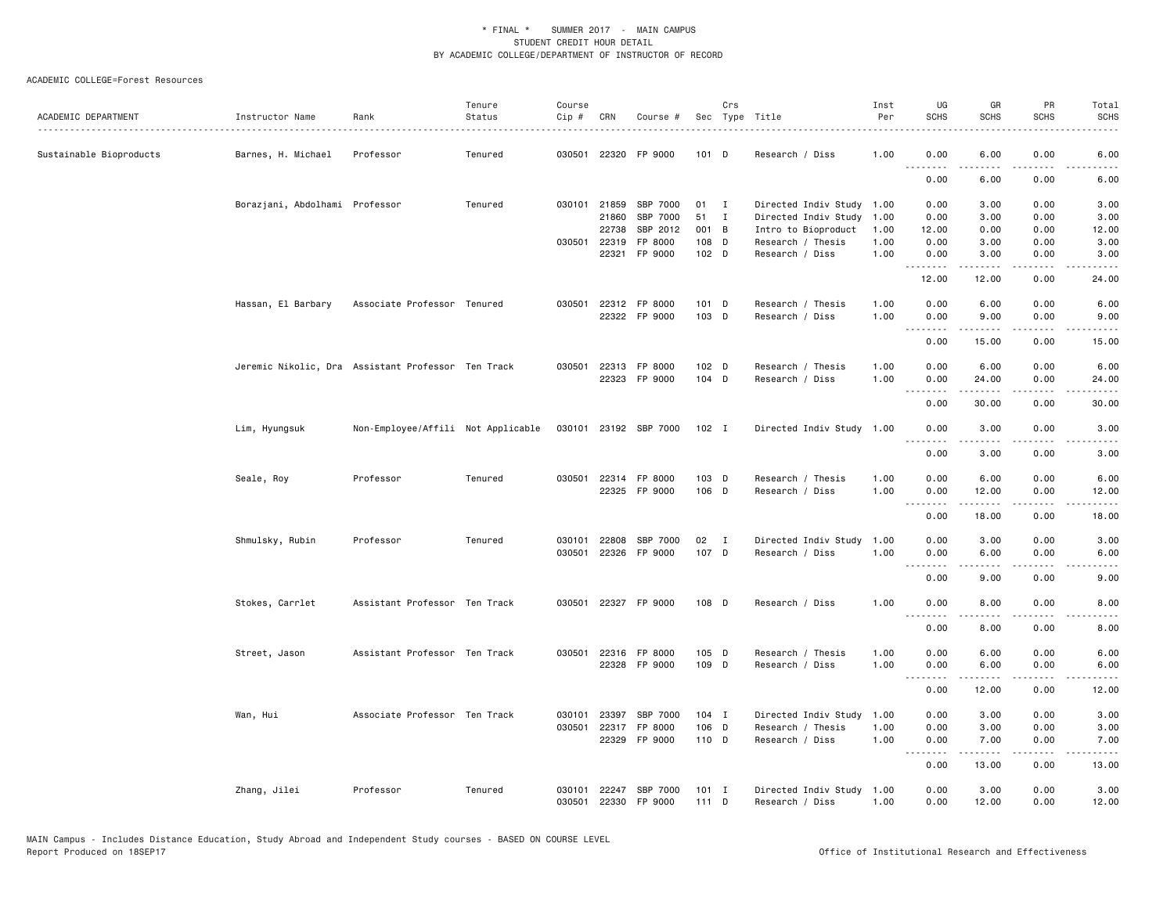|                         |                                                    |                                    | Tenure  | Course |              |                       |         | Crs          |                           | Inst | UG                    | GR                                                                                                                                                   | PR          | Total       |
|-------------------------|----------------------------------------------------|------------------------------------|---------|--------|--------------|-----------------------|---------|--------------|---------------------------|------|-----------------------|------------------------------------------------------------------------------------------------------------------------------------------------------|-------------|-------------|
| ACADEMIC DEPARTMENT     | Instructor Name                                    | Rank                               | Status  | Cip #  | CRN          | Course #              |         |              | Sec Type Title<br>.       | Per  | <b>SCHS</b>           | <b>SCHS</b>                                                                                                                                          | <b>SCHS</b> | <b>SCHS</b> |
| Sustainable Bioproducts | Barnes, H. Michael                                 | Professor                          | Tenured |        |              | 030501 22320 FP 9000  | $101$ D |              | Research / Diss           | 1.00 | 0.00                  | 6.00                                                                                                                                                 | 0.00        | 6.00        |
|                         |                                                    |                                    |         |        |              |                       |         |              |                           |      | 0.00                  | 6.00                                                                                                                                                 | 0.00        | 6.00        |
|                         | Borazjani, Abdolhami Professor                     |                                    | Tenured |        | 030101 21859 | SBP 7000              | 01      | $\mathbf{I}$ | Directed Indiv Study 1.00 |      | 0.00                  | 3.00                                                                                                                                                 | 0.00        | 3.00        |
|                         |                                                    |                                    |         |        | 21860        | SBP 7000              | 51      | $\mathbf{I}$ | Directed Indiv Study      | 1.00 | 0.00                  | 3.00                                                                                                                                                 | 0.00        | 3.00        |
|                         |                                                    |                                    |         |        | 22738        | SBP 2012              | 001 B   |              | Intro to Bioproduct       | 1.00 | 12.00                 | 0.00                                                                                                                                                 | 0.00        | 12.00       |
|                         |                                                    |                                    |         | 030501 | 22319        | FP 8000               | 108 D   |              | Research / Thesis         | 1.00 | 0.00                  | 3.00                                                                                                                                                 | 0.00        | 3.00        |
|                         |                                                    |                                    |         |        |              | 22321 FP 9000         | 102 D   |              | Research / Diss           | 1.00 | 0.00<br>.             | 3.00<br>.                                                                                                                                            | 0.00<br>.   | 3.00<br>.   |
|                         |                                                    |                                    |         |        |              |                       |         |              |                           |      | 12.00                 | 12.00                                                                                                                                                | 0.00        | 24.00       |
|                         | Hassan, El Barbary                                 | Associate Professor Tenured        |         | 030501 |              | 22312 FP 8000         | 101 D   |              | Research / Thesis         | 1.00 | 0.00                  | 6.00                                                                                                                                                 | 0.00        | 6.00        |
|                         |                                                    |                                    |         |        |              | 22322 FP 9000         | 103 D   |              | Research / Diss           | 1.00 | 0.00                  | 9.00                                                                                                                                                 | 0.00        | 9.00        |
|                         |                                                    |                                    |         |        |              |                       |         |              |                           |      | .                     | $\frac{1}{2} \left( \frac{1}{2} \right) \left( \frac{1}{2} \right) \left( \frac{1}{2} \right) \left( \frac{1}{2} \right) \left( \frac{1}{2} \right)$ | .           | المتماما    |
|                         |                                                    |                                    |         |        |              |                       |         |              |                           |      | 0.00                  | 15.00                                                                                                                                                | 0.00        | 15.00       |
|                         | Jeremic Nikolic, Dra Assistant Professor Ten Track |                                    |         | 030501 |              | 22313 FP 8000         | $102$ D |              | Research / Thesis         | 1.00 | 0.00                  | 6.00                                                                                                                                                 | 0.00        | 6.00        |
|                         |                                                    |                                    |         |        |              | 22323 FP 9000         | 104 D   |              | Research / Diss           | 1.00 | 0.00                  | 24.00                                                                                                                                                | 0.00        | 24.00       |
|                         |                                                    |                                    |         |        |              |                       |         |              |                           |      | .<br>0.00             | .<br>30.00                                                                                                                                           | .<br>0.00   | .<br>30.00  |
|                         | Lim, Hyungsuk                                      | Non-Employee/Affili Not Applicable |         |        |              | 030101 23192 SBP 7000 | 102 I   |              | Directed Indiv Study 1.00 |      | 0.00                  | 3.00                                                                                                                                                 | 0.00        | 3.00        |
|                         |                                                    |                                    |         |        |              |                       |         |              |                           |      |                       |                                                                                                                                                      |             |             |
|                         |                                                    |                                    |         |        |              |                       |         |              |                           |      | 0.00                  | 3.00                                                                                                                                                 | 0.00        | 3.00        |
|                         | Seale, Roy                                         | Professor                          | Tenured | 030501 |              | 22314 FP 8000         | 103 D   |              | Research / Thesis         | 1.00 | 0.00                  | 6.00                                                                                                                                                 | 0.00        | 6.00        |
|                         |                                                    |                                    |         |        |              | 22325 FP 9000         | 106 D   |              | Research / Diss           | 1.00 | 0.00<br>.             | 12.00<br>$\frac{1}{2}$                                                                                                                               | 0.00<br>.   | 12.00<br>.  |
|                         |                                                    |                                    |         |        |              |                       |         |              |                           |      | 0.00                  | 18.00                                                                                                                                                | 0.00        | 18.00       |
|                         | Shmulsky, Rubin                                    | Professor                          | Tenured | 030101 | 22808        | SBP 7000              | 02 I    |              | Directed Indiv Study      | 1.00 | 0.00                  | 3.00                                                                                                                                                 | 0.00        | 3.00        |
|                         |                                                    |                                    |         | 030501 |              | 22326 FP 9000         | 107 D   |              | Research / Diss           | 1.00 | 0.00                  | 6.00                                                                                                                                                 | 0.00        | 6.00        |
|                         |                                                    |                                    |         |        |              |                       |         |              |                           |      | $\frac{1}{2}$<br>0.00 | 9.00                                                                                                                                                 | 0.00        | 9.00        |
|                         |                                                    |                                    |         |        |              |                       |         |              |                           |      |                       |                                                                                                                                                      |             |             |
|                         | Stokes, Carrlet                                    | Assistant Professor Ten Track      |         | 030501 |              | 22327 FP 9000         | 108 D   |              | Research / Diss           | 1.00 | 0.00<br>.             | 8.00                                                                                                                                                 | 0.00        | 8.00        |
|                         |                                                    |                                    |         |        |              |                       |         |              |                           |      | 0.00                  | 8.00                                                                                                                                                 | 0.00        | 8.00        |
|                         | Street, Jason                                      | Assistant Professor Ten Track      |         |        |              | 030501 22316 FP 8000  | 105 D   |              | Research / Thesis         | 1.00 | 0.00                  | 6.00                                                                                                                                                 | 0.00        | 6.00        |
|                         |                                                    |                                    |         |        |              | 22328 FP 9000         | 109 D   |              | Research / Diss           | 1.00 | 0.00                  | 6.00                                                                                                                                                 | 0.00        | 6.00        |
|                         |                                                    |                                    |         |        |              |                       |         |              |                           |      | 0.00                  | 12.00                                                                                                                                                | 0.00        | 12.00       |
|                         | Wan, Hui                                           | Associate Professor Ten Track      |         | 030101 | 23397        | SBP 7000              | $104$ I |              | Directed Indiv Study      | 1.00 | 0.00                  | 3.00                                                                                                                                                 | 0.00        | 3.00        |
|                         |                                                    |                                    |         | 030501 | 22317        | FP 8000               | 106 D   |              | Research / Thesis         | 1.00 | 0.00                  | 3.00                                                                                                                                                 | 0.00        | 3.00        |
|                         |                                                    |                                    |         |        |              | 22329 FP 9000         | 110 D   |              | Research / Diss           | 1.00 | 0.00<br>.             | 7.00<br>.                                                                                                                                            | 0.00<br>.   | 7.00<br>.   |
|                         |                                                    |                                    |         |        |              |                       |         |              |                           |      | 0.00                  | 13.00                                                                                                                                                | 0.00        | 13.00       |
|                         | Zhang, Jilei                                       | Professor                          | Tenured | 030101 |              | 22247 SBP 7000        | $101$ I |              | Directed Indiv Study      | 1.00 | 0.00                  | 3.00                                                                                                                                                 | 0.00        | 3.00        |
|                         |                                                    |                                    |         | 030501 |              | 22330 FP 9000         | 111D    |              | Research / Diss           | 1.00 | 0.00                  | 12.00                                                                                                                                                | 0.00        | 12.00       |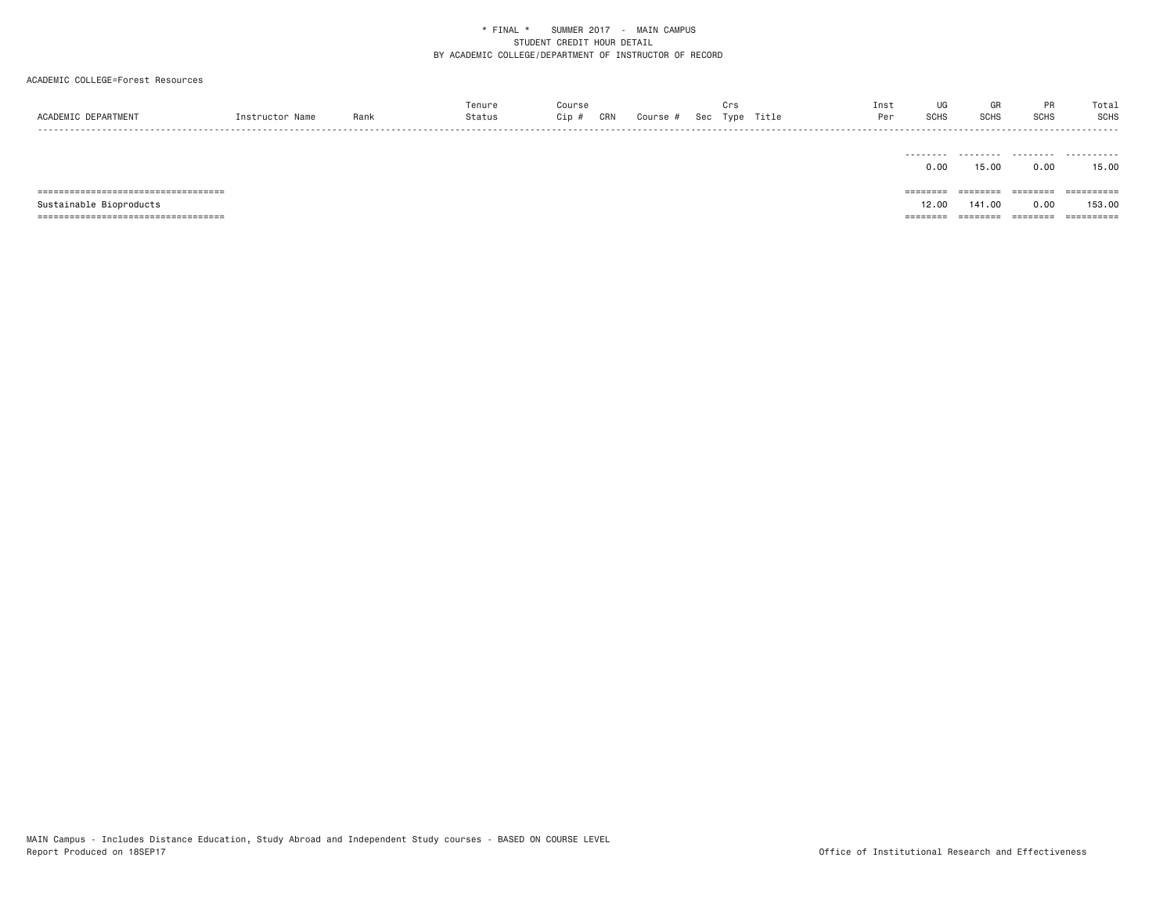| ACADEMIC DEPARTMENT                   | Instructor Name | Rank | Tenure<br>Status | Course<br>Cip #<br>CRN | Course # | Crs | Sec Type Title | Inst<br>Per | UG<br>SCHS | GR<br>SCHS | PR<br>SCHS | Total<br><b>SCHS</b>  |
|---------------------------------------|-----------------|------|------------------|------------------------|----------|-----|----------------|-------------|------------|------------|------------|-----------------------|
|                                       |                 |      |                  |                        |          |     |                |             | 0.00       | 15.00      | 0.00       | 15.00                 |
| ===================================== |                 |      |                  |                        |          |     |                |             |            | ========   | ========   | $=$ = = = = = = = = = |
| Sustainable Bioproducts               |                 |      |                  |                        |          |     |                |             | 12.00      | 141.00     | 0.00       | 153.00                |
| ===================================== |                 |      |                  |                        |          |     |                |             | =====      | =====      | ========   | ==========            |
|                                       |                 |      |                  |                        |          |     |                |             |            |            |            |                       |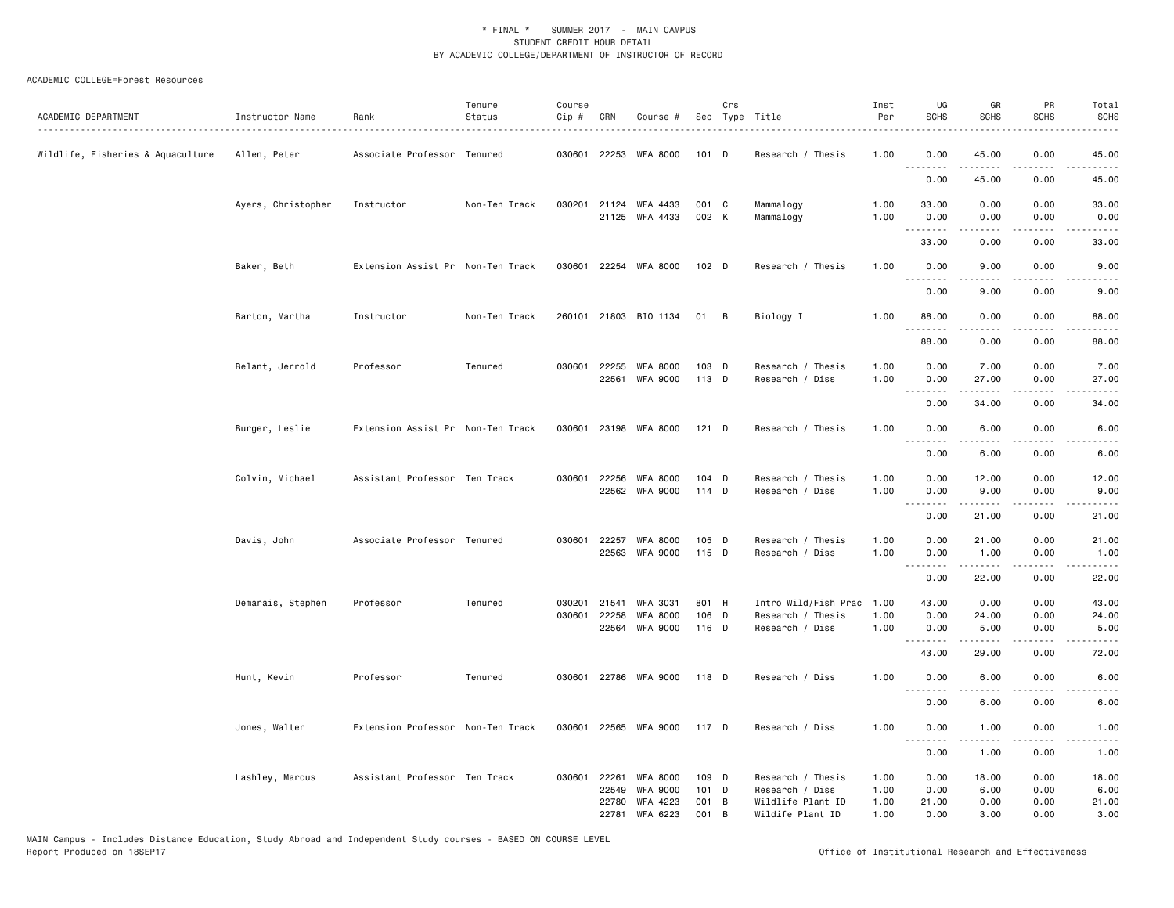| ACADEMIC DEPARTMENT               | Instructor Name    | Rank                              | Tenure<br>Status | Course<br>Cip # | CRN            | Course #                                |                | Crs | Sec Type Title                       | Inst<br>Per  | UG<br><b>SCHS</b>            | GR<br><b>SCHS</b> | PR<br><b>SCHS</b>     | Total<br><b>SCHS</b>                        |
|-----------------------------------|--------------------|-----------------------------------|------------------|-----------------|----------------|-----------------------------------------|----------------|-----|--------------------------------------|--------------|------------------------------|-------------------|-----------------------|---------------------------------------------|
| Wildlife, Fisheries & Aquaculture | Allen, Peter       | Associate Professor Tenured       |                  |                 |                | 030601 22253 WFA 8000                   | 101 D          |     | Research / Thesis                    | 1.00         | 0.00                         | 45.00             | 0.00                  | $\sim$ $\sim$ $\sim$ $\sim$ $\sim$<br>45.00 |
|                                   |                    |                                   |                  |                 |                |                                         |                |     |                                      |              | <u>.</u><br>0.00             | 45.00             | 0.00                  | 45.00                                       |
|                                   |                    |                                   |                  |                 |                |                                         |                |     |                                      |              |                              |                   |                       |                                             |
|                                   | Ayers, Christopher | Instructor                        | Non-Ten Track    |                 |                | 030201 21124 WFA 4433<br>21125 WFA 4433 | 001 C<br>002 K |     | Mammalogy<br>Mammalogy               | 1.00<br>1.00 | 33.00<br>0.00                | 0.00<br>0.00<br>. | 0.00<br>0.00<br>.     | 33.00<br>0.00<br>.                          |
|                                   |                    |                                   |                  |                 |                |                                         |                |     |                                      |              | 33.00                        | 0.00              | 0.00                  | 33.00                                       |
|                                   | Baker, Beth        | Extension Assist Pr Non-Ten Track |                  | 030601          |                | 22254 WFA 8000                          | 102 D          |     | Research / Thesis                    | 1.00         | 0.00<br>.                    | 9.00              | 0.00<br>$\frac{1}{2}$ | 9.00                                        |
|                                   |                    |                                   |                  |                 |                |                                         |                |     |                                      |              | 0.00                         | 9.00              | 0.00                  | 9.00                                        |
|                                   | Barton, Martha     | Instructor                        | Non-Ten Track    |                 |                | 260101 21803 BIO 1134                   | 01 B           |     | Biology I                            | 1.00         | 88.00<br>.                   | 0.00<br>.         | 0.00<br>.             | 88.00<br>.                                  |
|                                   |                    |                                   |                  |                 |                |                                         |                |     |                                      |              | 88.00                        | 0.00              | 0.00                  | 88.00                                       |
|                                   | Belant, Jerrold    | Professor                         | Tenured          |                 |                | 030601 22255 WFA 8000<br>22561 WFA 9000 | 103 D<br>113 D |     | Research / Thesis<br>Research / Diss | 1.00<br>1.00 | 0.00<br>0.00                 | 7.00<br>27.00     | 0.00<br>0.00          | 7.00<br>27.00                               |
|                                   |                    |                                   |                  |                 |                |                                         |                |     |                                      |              | 0.00                         | .<br>34.00        | .<br>0.00             | .<br>34.00                                  |
|                                   | Burger, Leslie     | Extension Assist Pr Non-Ten Track |                  |                 |                | 030601 23198 WFA 8000                   | 121 D          |     | Research / Thesis                    | 1.00         | 0.00                         | 6.00              | 0.00                  | 6.00                                        |
|                                   |                    |                                   |                  |                 |                |                                         |                |     |                                      |              | $\sim$ $\sim$ $\sim$<br>0.00 | .<br>6.00         | .<br>0.00             | 6.00                                        |
|                                   | Colvin, Michael    | Assistant Professor Ten Track     |                  |                 |                | 030601 22256 WFA 8000                   | 104 D          |     | Research / Thesis                    | 1.00         | 0.00                         | 12.00             | 0.00                  | 12.00                                       |
|                                   |                    |                                   |                  |                 |                | 22562 WFA 9000                          | 114 D          |     | Research / Diss                      | 1.00         | 0.00<br><u>.</u>             | 9.00<br><b>.</b>  | 0.00<br>.             | 9.00<br>.                                   |
|                                   |                    |                                   |                  |                 |                |                                         |                |     |                                      |              | 0.00                         | 21.00             | 0.00                  | 21.00                                       |
|                                   | Davis, John        | Associate Professor Tenured       |                  |                 | 030601 22257   | WFA 8000<br>22563 WFA 9000              | 105 D<br>115 D |     | Research / Thesis<br>Research / Diss | 1.00<br>1.00 | 0.00<br>0.00                 | 21.00<br>1.00     | 0.00<br>0.00          | 21.00<br>1.00                               |
|                                   |                    |                                   |                  |                 |                |                                         |                |     |                                      |              | .<br>0.00                    | .<br>22.00        | .<br>0.00             | .<br>22.00                                  |
|                                   | Demarais, Stephen  | Professor                         | Tenured          | 030201          | 21541          | <b>WFA 3031</b>                         | 801 H          |     | Intro Wild/Fish Prac                 | 1.00         | 43.00                        | 0.00              | 0.00                  | 43.00                                       |
|                                   |                    |                                   |                  | 030601          | 22258          | <b>WFA 8000</b><br>22564 WFA 9000       | 106 D<br>116 D |     | Research / Thesis<br>Research / Diss | 1.00<br>1.00 | 0.00<br>0.00                 | 24.00<br>5.00     | 0.00<br>0.00          | 24.00<br>5.00                               |
|                                   |                    |                                   |                  |                 |                |                                         |                |     |                                      |              | .<br>43.00                   | 29.00             | .<br>0.00             | .<br>72.00                                  |
|                                   | Hunt, Kevin        | Professor                         | Tenured          |                 |                | 030601 22786 WFA 9000                   | 118 D          |     | Research / Diss                      | 1.00         | 0.00                         | 6.00              | 0.00                  | 6.00                                        |
|                                   |                    |                                   |                  |                 |                |                                         |                |     |                                      |              | <u>.</u><br>0.00             | 6.00              | 0.00                  | 6.00                                        |
|                                   | Jones, Walter      | Extension Professor Non-Ten Track |                  |                 |                | 030601 22565 WFA 9000                   | 117 D          |     | Research / Diss                      | 1.00         | 0.00                         | 1.00              | 0.00                  | 1.00                                        |
|                                   |                    |                                   |                  |                 |                |                                         |                |     |                                      |              | <u>.</u><br>0.00             | .<br>1.00         | $- - - -$<br>0.00     | $\frac{1}{2}$<br>1.00                       |
|                                   | Lashley, Marcus    | Assistant Professor Ten Track     |                  | 030601          | 22261<br>22549 | WFA 8000<br><b>WFA 9000</b>             | 109 D<br>101 D |     | Research / Thesis<br>Research / Diss | 1.00<br>1.00 | 0.00<br>0.00                 | 18.00<br>6.00     | 0.00<br>0.00          | 18.00<br>6.00                               |
|                                   |                    |                                   |                  |                 | 22780          | WFA 4223                                | 001 B          |     | Wildlife Plant ID                    | 1.00         | 21.00                        | 0.00              | 0.00                  | 21.00                                       |
|                                   |                    |                                   |                  |                 | 22781          | WFA 6223                                | 001 B          |     | Wildife Plant ID                     | 1.00         | 0.00                         | 3.00              | 0.00                  | 3.00                                        |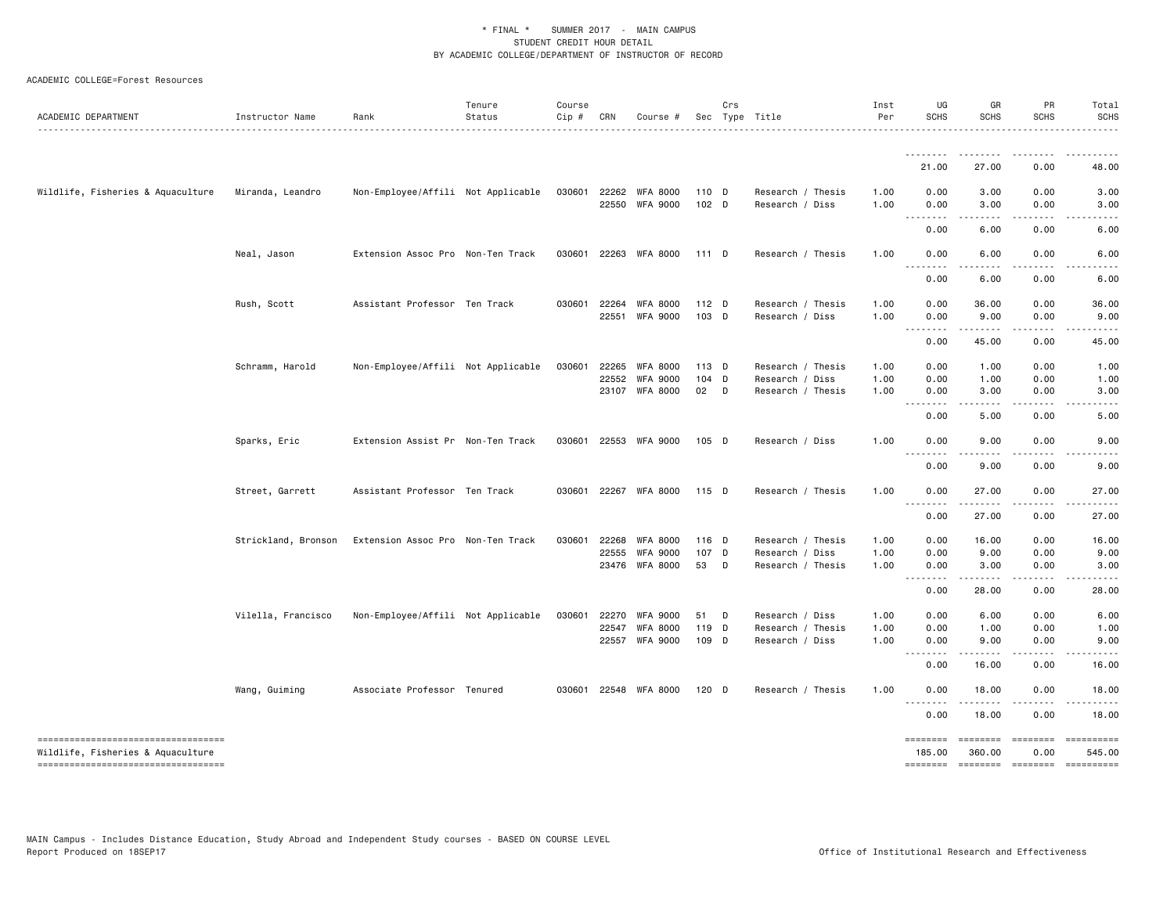#### ACADEMIC COLLEGE=Forest Resources

| ACADEMIC DEPARTMENT                                                      | Instructor Name     | Rank                               | Tenure<br>Status | Course<br>$Cip \#$ | CRN          | Course #                          |                  | Crs    | Sec Type Title                       | Inst<br>Per  | UG<br><b>SCHS</b>                                                                                                                                                                                                                                                                                                                                                                                                                                                                              | GR<br><b>SCHS</b>  | PR<br><b>SCHS</b>  | Total<br><b>SCHS</b>                                                                                                                                         |
|--------------------------------------------------------------------------|---------------------|------------------------------------|------------------|--------------------|--------------|-----------------------------------|------------------|--------|--------------------------------------|--------------|------------------------------------------------------------------------------------------------------------------------------------------------------------------------------------------------------------------------------------------------------------------------------------------------------------------------------------------------------------------------------------------------------------------------------------------------------------------------------------------------|--------------------|--------------------|--------------------------------------------------------------------------------------------------------------------------------------------------------------|
|                                                                          |                     |                                    |                  |                    |              |                                   |                  |        |                                      |              | <u>.</u>                                                                                                                                                                                                                                                                                                                                                                                                                                                                                       |                    |                    |                                                                                                                                                              |
|                                                                          |                     |                                    |                  |                    |              |                                   |                  |        |                                      |              | 21.00                                                                                                                                                                                                                                                                                                                                                                                                                                                                                          | 27.00              | 0.00               | 48.00                                                                                                                                                        |
| Wildlife, Fisheries & Aquaculture                                        | Miranda, Leandro    | Non-Employee/Affili Not Applicable |                  | 030601             | 22262        | WFA 8000                          | 110 D            |        | Research / Thesis                    | 1.00         | 0.00                                                                                                                                                                                                                                                                                                                                                                                                                                                                                           | 3.00               | 0.00               | 3.00                                                                                                                                                         |
|                                                                          |                     |                                    |                  |                    |              | 22550 WFA 9000                    | 102 <sub>D</sub> |        | Research / Diss                      | 1.00         | 0.00<br>$\omega$ $\omega$ .<br>.                                                                                                                                                                                                                                                                                                                                                                                                                                                               | 3.00               | 0.00               | 3.00                                                                                                                                                         |
|                                                                          |                     |                                    |                  |                    |              |                                   |                  |        |                                      |              | 0.00                                                                                                                                                                                                                                                                                                                                                                                                                                                                                           | 6.00               | 0.00               | 6.00                                                                                                                                                         |
|                                                                          | Neal, Jason         | Extension Assoc Pro Non-Ten Track  |                  |                    | 030601 22263 | WFA 8000                          | 111 D            |        | Research / Thesis                    | 1.00         | 0.00<br>$\frac{1}{2} \left( \frac{1}{2} \right) \left( \frac{1}{2} \right) \left( \frac{1}{2} \right) \left( \frac{1}{2} \right)$                                                                                                                                                                                                                                                                                                                                                              | 6.00<br>.          | 0.00               | 6.00                                                                                                                                                         |
|                                                                          |                     |                                    |                  |                    |              |                                   |                  |        |                                      |              | 0.00                                                                                                                                                                                                                                                                                                                                                                                                                                                                                           | 6.00               | 0.00               | 6.00                                                                                                                                                         |
|                                                                          | Rush, Scott         | Assistant Professor Ten Track      |                  |                    | 030601 22264 | <b>WFA 8000</b>                   | $112$ D          |        | Research / Thesis                    | 1.00         | 0.00                                                                                                                                                                                                                                                                                                                                                                                                                                                                                           | 36.00              | 0.00               | 36.00                                                                                                                                                        |
|                                                                          |                     |                                    |                  |                    |              | 22551 WFA 9000                    | 103 D            |        | Research / Diss                      | 1.00         | 0.00<br>$\begin{array}{cccccccccccccc} \multicolumn{2}{c}{} & \multicolumn{2}{c}{} & \multicolumn{2}{c}{} & \multicolumn{2}{c}{} & \multicolumn{2}{c}{} & \multicolumn{2}{c}{} & \multicolumn{2}{c}{} & \multicolumn{2}{c}{} & \multicolumn{2}{c}{} & \multicolumn{2}{c}{} & \multicolumn{2}{c}{} & \multicolumn{2}{c}{} & \multicolumn{2}{c}{} & \multicolumn{2}{c}{} & \multicolumn{2}{c}{} & \multicolumn{2}{c}{} & \multicolumn{2}{c}{} & \multicolumn{2}{c}{} & \multicolumn{2}{c}{} & \$ | 9.00               | 0.00<br>.          | 9.00<br>$\frac{1}{2} \left( \frac{1}{2} \right) \left( \frac{1}{2} \right) \left( \frac{1}{2} \right) \left( \frac{1}{2} \right) \left( \frac{1}{2} \right)$ |
|                                                                          |                     |                                    |                  |                    |              |                                   |                  |        |                                      |              | 0.00                                                                                                                                                                                                                                                                                                                                                                                                                                                                                           | 45.00              | 0.00               | 45.00                                                                                                                                                        |
|                                                                          | Schramm, Harold     | Non-Employee/Affili Not Applicable |                  | 030601             | 22265        | <b>WFA 8000</b>                   | 113 D            |        | Research / Thesis                    | 1.00         | 0.00                                                                                                                                                                                                                                                                                                                                                                                                                                                                                           | 1.00               | 0.00               | 1.00                                                                                                                                                         |
|                                                                          |                     |                                    |                  |                    | 22552        | <b>WFA 9000</b><br>23107 WFA 8000 | 104 D<br>02      | $\Box$ | Research / Diss<br>Research / Thesis | 1.00<br>1.00 | 0.00<br>0.00                                                                                                                                                                                                                                                                                                                                                                                                                                                                                   | 1.00<br>3.00       | 0.00<br>0.00       | 1.00<br>3.00                                                                                                                                                 |
|                                                                          |                     |                                    |                  |                    |              |                                   |                  |        |                                      |              | $\sim$ $\sim$ $\sim$<br>$\sim$ $\sim$ $\sim$ $\sim$                                                                                                                                                                                                                                                                                                                                                                                                                                            |                    |                    |                                                                                                                                                              |
|                                                                          |                     |                                    |                  |                    |              |                                   |                  |        |                                      |              | 0.00                                                                                                                                                                                                                                                                                                                                                                                                                                                                                           | 5.00               | 0.00               | 5.00                                                                                                                                                         |
|                                                                          | Sparks, Eric        | Extension Assist Pr Non-Ten Track  |                  |                    |              | 030601 22553 WFA 9000             | 105 D            |        | Research / Diss                      | 1.00         | 0.00<br>$\sim$ $\sim$ $\sim$<br>$\sim$ $\sim$ $\sim$                                                                                                                                                                                                                                                                                                                                                                                                                                           | 9.00               | 0.00               | 9.00                                                                                                                                                         |
|                                                                          |                     |                                    |                  |                    |              |                                   |                  |        |                                      |              | 0.00                                                                                                                                                                                                                                                                                                                                                                                                                                                                                           | 9.00               | 0.00               | 9.00                                                                                                                                                         |
|                                                                          | Street, Garrett     | Assistant Professor Ten Track      |                  |                    |              | 030601 22267 WFA 8000             | 115 D            |        | Research / Thesis                    | 1.00         | 0.00<br>.                                                                                                                                                                                                                                                                                                                                                                                                                                                                                      | 27.00              | 0.00               | 27.00                                                                                                                                                        |
|                                                                          |                     |                                    |                  |                    |              |                                   |                  |        |                                      |              | 0.00                                                                                                                                                                                                                                                                                                                                                                                                                                                                                           | 27.00              | 0.00               | 27.00                                                                                                                                                        |
|                                                                          | Strickland, Bronson | Extension Assoc Pro Non-Ten Track  |                  |                    | 030601 22268 | WFA 8000                          | 116 D            |        | Research / Thesis                    | 1.00         | 0.00                                                                                                                                                                                                                                                                                                                                                                                                                                                                                           | 16.00              | 0.00               | 16.00                                                                                                                                                        |
|                                                                          |                     |                                    |                  |                    | 22555        | <b>WFA 9000</b>                   | 107 D            |        | Research / Diss                      | 1.00         | 0.00                                                                                                                                                                                                                                                                                                                                                                                                                                                                                           | 9.00               | 0.00               | 9.00                                                                                                                                                         |
|                                                                          |                     |                                    |                  |                    | 23476        | WFA 8000                          | 53               | D      | Research / Thesis                    | 1.00         | 0.00                                                                                                                                                                                                                                                                                                                                                                                                                                                                                           | 3.00<br>.          | 0.00<br>. <b>.</b> | 3.00                                                                                                                                                         |
|                                                                          |                     |                                    |                  |                    |              |                                   |                  |        |                                      |              | 0.00                                                                                                                                                                                                                                                                                                                                                                                                                                                                                           | 28.00              | 0.00               | 28.00                                                                                                                                                        |
|                                                                          | Vilella, Francisco  | Non-Employee/Affili Not Applicable |                  | 030601             | 22270        | <b>WFA 9000</b>                   | 51               | D      | Research / Diss                      | 1.00         | 0.00                                                                                                                                                                                                                                                                                                                                                                                                                                                                                           | 6.00               | 0.00               | 6.00                                                                                                                                                         |
|                                                                          |                     |                                    |                  |                    | 22547        | WFA 8000                          | 119 D            |        | Research / Thesis                    | 1.00         | 0.00                                                                                                                                                                                                                                                                                                                                                                                                                                                                                           | 1.00               | 0.00               | 1.00                                                                                                                                                         |
|                                                                          |                     |                                    |                  |                    |              | 22557 WFA 9000                    | 109 D            |        | Research / Diss                      | 1.00         | 0.00<br>$\sim$ $\sim$ $\sim$ $\sim$<br>$\sim$ $\sim$ $\sim$                                                                                                                                                                                                                                                                                                                                                                                                                                    | 9.00<br>.          | 0.00<br>.          | 9.00                                                                                                                                                         |
|                                                                          |                     |                                    |                  |                    |              |                                   |                  |        |                                      |              | 0.00                                                                                                                                                                                                                                                                                                                                                                                                                                                                                           | 16.00              | 0.00               | 16.00                                                                                                                                                        |
|                                                                          | Wang, Guiming       | Associate Professor Tenured        |                  |                    | 030601 22548 | WFA 8000                          | $120$ D          |        | Research / Thesis                    | 1.00         | 0.00                                                                                                                                                                                                                                                                                                                                                                                                                                                                                           | 18.00              | 0.00               | 18.00                                                                                                                                                        |
|                                                                          |                     |                                    |                  |                    |              |                                   |                  |        |                                      |              | 0.00                                                                                                                                                                                                                                                                                                                                                                                                                                                                                           | 18.00              | 0.00               | 18.00                                                                                                                                                        |
| -----------------------------------<br>Wildlife, Fisheries & Aquaculture |                     |                                    |                  |                    |              |                                   |                  |        |                                      |              | ========<br>185.00                                                                                                                                                                                                                                                                                                                                                                                                                                                                             | ========<br>360.00 | ========<br>0.00   | ==========<br>545.00                                                                                                                                         |
| ----------------------------------                                       |                     |                                    |                  |                    |              |                                   |                  |        |                                      |              | <b>EDEDEDED</b>                                                                                                                                                                                                                                                                                                                                                                                                                                                                                | $= 1.1222222222$   | $=$                |                                                                                                                                                              |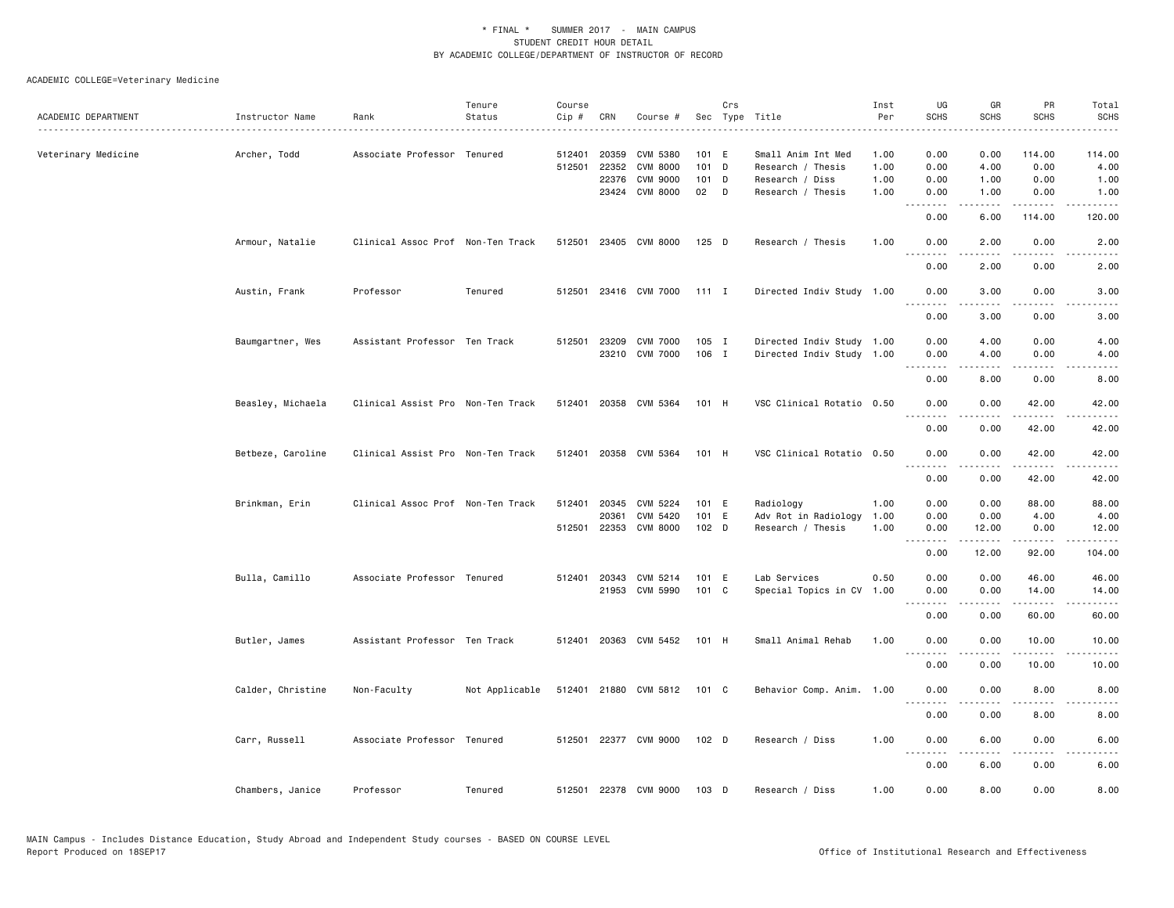|                     |                   |                                   | Tenure         | Course |              |                       |         | Crs |                           | Inst | UG               | GR               | PR                  | Total             |
|---------------------|-------------------|-----------------------------------|----------------|--------|--------------|-----------------------|---------|-----|---------------------------|------|------------------|------------------|---------------------|-------------------|
| ACADEMIC DEPARTMENT | Instructor Name   | Rank                              | Status         | Cip #  | CRN          | Course #              |         |     | Sec Type Title            | Per  | <b>SCHS</b>      | <b>SCHS</b>      | <b>SCHS</b>         | <b>SCHS</b>       |
|                     |                   |                                   |                |        |              |                       |         |     |                           |      |                  |                  |                     |                   |
| Veterinary Medicine | Archer, Todd      | Associate Professor Tenured       |                | 512401 | 20359        | <b>CVM 5380</b>       | 101 E   |     | Small Anim Int Med        | 1.00 | 0.00             | 0.00             | 114.00              | 114.00            |
|                     |                   |                                   |                | 512501 | 22352        | <b>CVM 8000</b>       | 101 D   |     | Research / Thesis         | 1.00 | 0.00             | 4.00             | 0.00                | 4.00              |
|                     |                   |                                   |                |        | 22376        | CVM 9000              | 101 D   |     | Research / Diss           | 1.00 | 0.00             | 1.00             | 0.00                | 1.00              |
|                     |                   |                                   |                |        |              | 23424 CVM 8000        | 02      | D   | Research / Thesis         | 1.00 | 0.00<br><b></b>  | 1.00<br>.        | 0.00<br><u>.</u>    | 1.00<br><u>.</u>  |
|                     |                   |                                   |                |        |              |                       |         |     |                           |      | 0.00             | 6.00             | 114.00              | 120.00            |
|                     | Armour, Natalie   | Clinical Assoc Prof Non-Ten Track |                |        |              | 512501 23405 CVM 8000 | $125$ D |     | Research / Thesis         | 1.00 | 0.00<br>----     | 2.00<br>.        | 0.00<br>.           | 2.00<br>$- - - -$ |
|                     |                   |                                   |                |        |              |                       |         |     |                           |      | 0.00             | 2.00             | 0.00                | 2.00              |
|                     | Austin, Frank     | Professor                         | Tenured        | 512501 |              | 23416 CVM 7000        | $111$ I |     | Directed Indiv Study 1.00 |      | 0.00             | 3.00             | 0.00                | 3.00              |
|                     |                   |                                   |                |        |              |                       |         |     |                           |      | .<br>0.00        | .<br>3.00        | $- - - -$<br>0.00   | -----<br>3.00     |
|                     | Baumgartner, Wes  | Assistant Professor Ten Track     |                |        | 512501 23209 | <b>CVM 7000</b>       | $105$ I |     | Directed Indiv Study 1.00 |      | 0.00             | 4.00             | 0.00                | 4.00              |
|                     |                   |                                   |                |        |              | 23210 CVM 7000        | 106 I   |     | Directed Indiv Study 1.00 |      | 0.00             | 4.00             | 0.00                | 4.00              |
|                     |                   |                                   |                |        |              |                       |         |     |                           |      | --------         | -----            | .                   | -----             |
|                     |                   |                                   |                |        |              |                       |         |     |                           |      | 0.00             | 8.00             | 0.00                | 8.00              |
|                     | Beasley, Michaela | Clinical Assist Pro Non-Ten Track |                | 512401 |              | 20358 CVM 5364        | 101 H   |     | VSC Clinical Rotatio 0.50 |      | 0.00<br><u>.</u> | 0.00<br><u>.</u> | 42.00<br>. <u>.</u> | 42.00<br>.        |
|                     |                   |                                   |                |        |              |                       |         |     |                           |      | 0.00             | 0.00             | 42.00               | 42.00             |
|                     | Betbeze, Caroline | Clinical Assist Pro Non-Ten Track |                |        |              | 512401 20358 CVM 5364 | 101 H   |     | VSC Clinical Rotatio 0.50 |      | 0.00             | 0.00             | 42.00               | 42.00             |
|                     |                   |                                   |                |        |              |                       |         |     |                           |      | <u>.</u><br>0.00 | 0.00             | 42.00               | 42.00             |
|                     | Brinkman, Erin    | Clinical Assoc Prof Non-Ten Track |                |        | 512401 20345 | CVM 5224              | 101 E   |     | Radiology                 | 1.00 | 0.00             | 0.00             | 88.00               | 88.00             |
|                     |                   |                                   |                |        | 20361        | CVM 5420              | 101 E   |     | Adv Rot in Radiology      | 1.00 | 0.00             | 0.00             | 4.00                | 4.00              |
|                     |                   |                                   |                | 512501 | 22353        | <b>CVM 8000</b>       | 102 D   |     | Research / Thesis         | 1.00 | 0.00             | 12.00            | 0.00                | 12.00             |
|                     |                   |                                   |                |        |              |                       |         |     |                           |      | <u>.</u>         | .                | .                   | .                 |
|                     |                   |                                   |                |        |              |                       |         |     |                           |      | 0.00             | 12.00            | 92.00               | 104.00            |
|                     | Bulla, Camillo    | Associate Professor Tenured       |                |        |              | 512401 20343 CVM 5214 | 101 E   |     | Lab Services              | 0.50 | 0.00             | 0.00             | 46.00               | 46.00             |
|                     |                   |                                   |                |        |              | 21953 CVM 5990        | 101 C   |     | Special Topics in CV      | 1.00 | 0.00             | 0.00             | 14.00               | 14.00             |
|                     |                   |                                   |                |        |              |                       |         |     |                           |      | <u>.</u>         | .                | .                   | .                 |
|                     |                   |                                   |                |        |              |                       |         |     |                           |      | 0.00             | 0.00             | 60.00               | 60.00             |
|                     | Butler, James     | Assistant Professor Ten Track     |                |        |              | 512401 20363 CVM 5452 | 101 H   |     | Small Animal Rehab        | 1.00 | 0.00             | 0.00             | 10.00               | 10.00             |
|                     |                   |                                   |                |        |              |                       |         |     |                           |      | .<br>0.00        | 0.00             | 10.00               | .<br>10.00        |
|                     | Calder, Christine | Non-Faculty                       | Not Applicable |        |              | 512401 21880 CVM 5812 | 101 C   |     | Behavior Comp. Anim. 1.00 |      | 0.00             | 0.00             | 8.00                | 8.00              |
|                     |                   |                                   |                |        |              |                       |         |     |                           |      | $- - -$<br>0.00  | 0.00             | 8.00                | 8.00              |
|                     | Carr, Russell     | Associate Professor Tenured       |                |        |              | 512501 22377 CVM 9000 | 102 D   |     | Research / Diss           | 1.00 | 0.00             | 6.00             | 0.00                | 6.00              |
|                     |                   |                                   |                |        |              |                       |         |     |                           |      | .                | .                | .                   | المتمام           |
|                     |                   |                                   |                |        |              |                       |         |     |                           |      | 0.00             | 6.00             | 0.00                | 6.00              |
|                     | Chambers, Janice  | Professor                         | Tenured        |        |              | 512501 22378 CVM 9000 | 103 D   |     | Research / Diss           | 1.00 | 0.00             | 8.00             | 0.00                | 8.00              |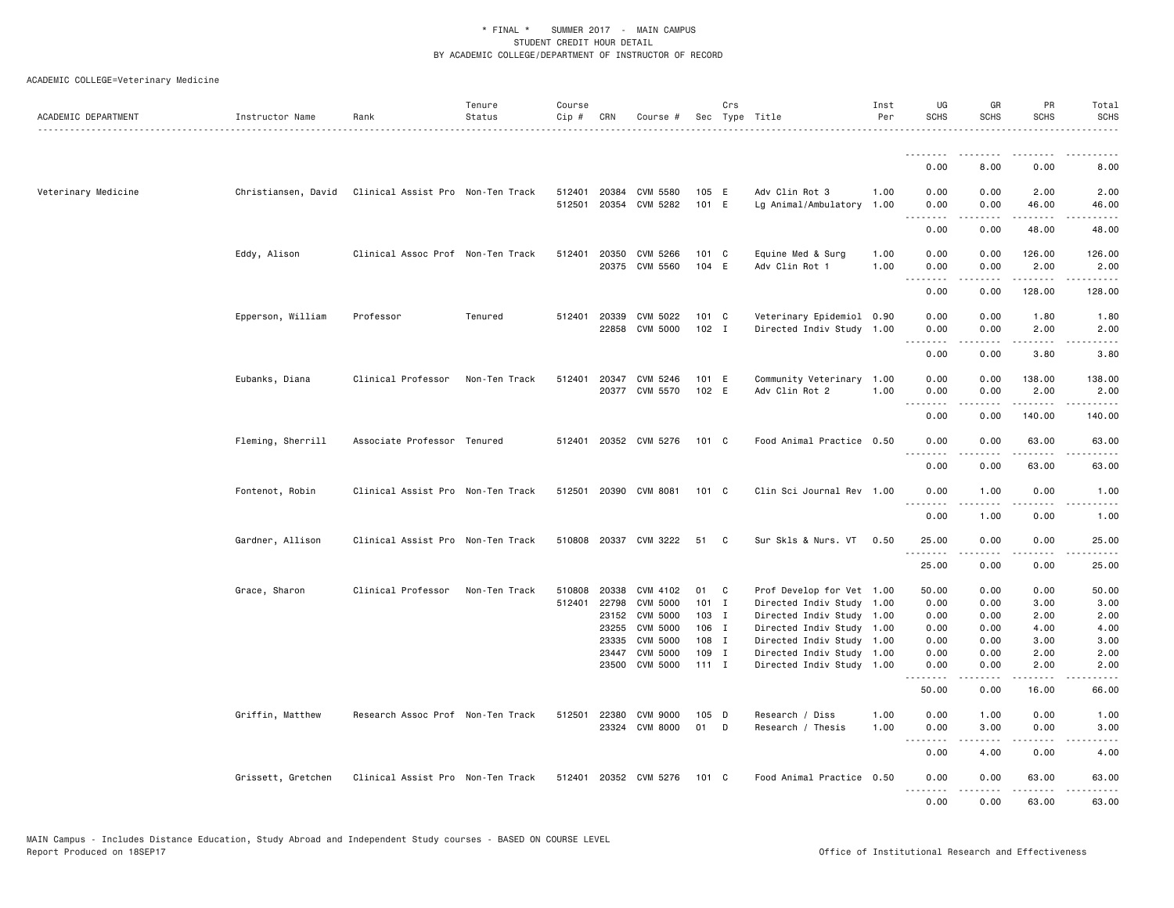| ACADEMIC DEPARTMENT | Instructor Name     | Rank                              | Tenure<br>Status | Course<br>Cip # | CRN          | Course #              |               | Crs | Sec Type Title            | Inst<br>Per | UG<br><b>SCHS</b>            | GR<br><b>SCHS</b> | PR<br><b>SCHS</b>                   | Total<br><b>SCHS</b><br>.                                                                                                         |
|---------------------|---------------------|-----------------------------------|------------------|-----------------|--------------|-----------------------|---------------|-----|---------------------------|-------------|------------------------------|-------------------|-------------------------------------|-----------------------------------------------------------------------------------------------------------------------------------|
|                     |                     |                                   |                  |                 |              |                       |               |     |                           |             | 0.00                         | 8.00              | 0.00                                | 8.00                                                                                                                              |
|                     |                     |                                   |                  |                 |              |                       |               |     |                           |             |                              |                   |                                     |                                                                                                                                   |
| Veterinary Medicine | Christiansen, David | Clinical Assist Pro Non-Ten Track |                  |                 | 512401 20384 | CVM 5580              | 105 E         |     | Adv Clin Rot 3            | 1.00        | 0.00                         | 0.00              | 2.00                                | 2.00                                                                                                                              |
|                     |                     |                                   |                  | 512501          |              | 20354 CVM 5282        | 101 E         |     | Lg Animal/Ambulatory      | 1.00        | 0.00                         | 0.00              | 46.00                               | 46.00                                                                                                                             |
|                     |                     |                                   |                  |                 |              |                       |               |     |                           |             | 0.00                         | 0.00              | 48.00                               | 48.00                                                                                                                             |
|                     | Eddy, Alison        | Clinical Assoc Prof Non-Ten Track |                  |                 | 512401 20350 | CVM 5266              | 101 C         |     | Equine Med & Surg         | 1.00        | 0.00                         | 0.00              | 126.00                              | 126.00                                                                                                                            |
|                     |                     |                                   |                  |                 |              | 20375 CVM 5560        | 104 E         |     | Adv Clin Rot 1            | 1.00        | 0.00                         | 0.00              | 2.00                                | 2.00                                                                                                                              |
|                     |                     |                                   |                  |                 |              |                       |               |     |                           |             | 0.00                         | 0.00              | 128.00                              | 128.00                                                                                                                            |
|                     | Epperson, William   | Professor                         | Tenured          |                 | 512401 20339 | CVM 5022              | $101 \quad C$ |     | Veterinary Epidemiol 0.90 |             | 0.00                         | 0.00              | 1.80                                | 1.80                                                                                                                              |
|                     |                     |                                   |                  |                 |              | 22858 CVM 5000        | $102$ I       |     | Directed Indiv Study 1.00 |             | 0.00                         | 0.00              | 2.00                                | 2.00                                                                                                                              |
|                     |                     |                                   |                  |                 |              |                       |               |     |                           |             | .<br>0.00                    | .<br>0.00         | .<br>3.80                           | $\frac{1}{2} \left( \frac{1}{2} \right) \left( \frac{1}{2} \right) \left( \frac{1}{2} \right) \left( \frac{1}{2} \right)$<br>3.80 |
|                     | Eubanks, Diana      | Clinical Professor                | Non-Ten Track    | 512401          | 20347        | CVM 5246              | 101 E         |     | Community Veterinary 1.00 |             | 0.00                         | 0.00              | 138.00                              | 138.00                                                                                                                            |
|                     |                     |                                   |                  |                 |              | 20377 CVM 5570        | 102 E         |     | Adv Clin Rot 2            | 1.00        | 0.00                         | 0.00              | 2.00                                | 2.00                                                                                                                              |
|                     |                     |                                   |                  |                 |              |                       |               |     |                           |             | $ -$                         |                   | <u>.</u>                            | .                                                                                                                                 |
|                     |                     |                                   |                  |                 |              |                       |               |     |                           |             | 0.00                         | 0.00              | 140.00                              | 140.00                                                                                                                            |
|                     | Fleming, Sherrill   | Associate Professor Tenured       |                  |                 |              | 512401 20352 CVM 5276 | $101 \quad C$ |     | Food Animal Practice 0.50 |             | 0.00<br>.                    | 0.00<br>.         | 63,00<br>.                          | 63,00<br>.                                                                                                                        |
|                     |                     |                                   |                  |                 |              |                       |               |     |                           |             | 0.00                         | 0.00              | 63.00                               | 63.00                                                                                                                             |
|                     | Fontenot, Robin     | Clinical Assist Pro Non-Ten Track |                  |                 |              | 512501 20390 CVM 8081 | $101 \quad C$ |     | Clin Sci Journal Rev 1.00 |             | 0.00<br>$\sim$ $\sim$ $\sim$ | 1.00              | 0.00                                | 1.00                                                                                                                              |
|                     |                     |                                   |                  |                 |              |                       |               |     |                           |             | 0.00                         | 1.00              | 0.00                                | 1.00                                                                                                                              |
|                     | Gardner, Allison    | Clinical Assist Pro Non-Ten Track |                  |                 |              | 510808 20337 CVM 3222 | 51            | C   | Sur Skls & Nurs. VT       | 0.50        | 25.00                        | 0.00              | 0.00<br>$\sim$ $\sim$ $\sim$ $\sim$ | 25.00<br>$\omega$ is $\omega$ in                                                                                                  |
|                     |                     |                                   |                  |                 |              |                       |               |     |                           |             | 25.00                        | .<br>0.00         | 0.00                                | 25.00                                                                                                                             |
|                     | Grace, Sharon       | Clinical Professor                | Non-Ten Track    | 510808          | 20338        | CVM 4102              | 01            | C   | Prof Develop for Vet 1.00 |             | 50.00                        | 0.00              | 0.00                                | 50.00                                                                                                                             |
|                     |                     |                                   |                  | 512401          | 22798        | <b>CVM 5000</b>       | $101$ I       |     | Directed Indiv Study 1.00 |             | 0.00                         | 0.00              | 3.00                                | 3.00                                                                                                                              |
|                     |                     |                                   |                  |                 | 23152        | <b>CVM 5000</b>       | $103$ I       |     | Directed Indiv Study 1.00 |             | 0.00                         | 0.00              | 2.00                                | 2.00                                                                                                                              |
|                     |                     |                                   |                  |                 | 23255        | <b>CVM 5000</b>       | 106 I         |     | Directed Indiv Study 1.00 |             | 0.00                         | 0.00              | 4.00                                | 4.00                                                                                                                              |
|                     |                     |                                   |                  |                 | 23335        | <b>CVM 5000</b>       | 108 I         |     | Directed Indiv Study 1.00 |             | 0.00                         | 0.00              | 3.00                                | 3.00                                                                                                                              |
|                     |                     |                                   |                  |                 | 23447        | <b>CVM 5000</b>       | 109 I         |     | Directed Indiv Study 1.00 |             | 0.00                         | 0.00              | 2.00                                | 2.00                                                                                                                              |
|                     |                     |                                   |                  |                 | 23500        | CVM 5000              | $111$ I       |     | Directed Indiv Study 1.00 |             | 0.00<br>.                    | 0.00<br>.         | 2.00<br>.                           | 2.00<br>$- - - -$                                                                                                                 |
|                     |                     |                                   |                  |                 |              |                       |               |     |                           |             | 50.00                        | 0.00              | 16.00                               | 66.00                                                                                                                             |
|                     | Griffin, Matthew    | Research Assoc Prof Non-Ten Track |                  | 512501          | 22380        | CVM 9000              | 105 D         |     | Research / Diss           | 1.00        | 0.00                         | 1.00              | 0.00                                | 1.00                                                                                                                              |
|                     |                     |                                   |                  |                 |              | 23324 CVM 8000        | 01            | D   | Research / Thesis         | 1.00        | 0.00<br><b></b>              | 3.00<br>.         | 0.00<br>$- - -$                     | 3.00<br>.                                                                                                                         |
|                     |                     |                                   |                  |                 |              |                       |               |     |                           |             | 0.00                         | 4.00              | 0.00                                | 4.00                                                                                                                              |
|                     | Grissett, Gretchen  | Clinical Assist Pro Non-Ten Track |                  |                 |              | 512401 20352 CVM 5276 | 101 C         |     | Food Animal Practice 0.50 |             | 0.00<br>.                    | 0.00<br>.         | 63.00<br>.                          | 63.00<br>.                                                                                                                        |
|                     |                     |                                   |                  |                 |              |                       |               |     |                           |             | 0.00                         | 0.00              | 63.00                               | 63.00                                                                                                                             |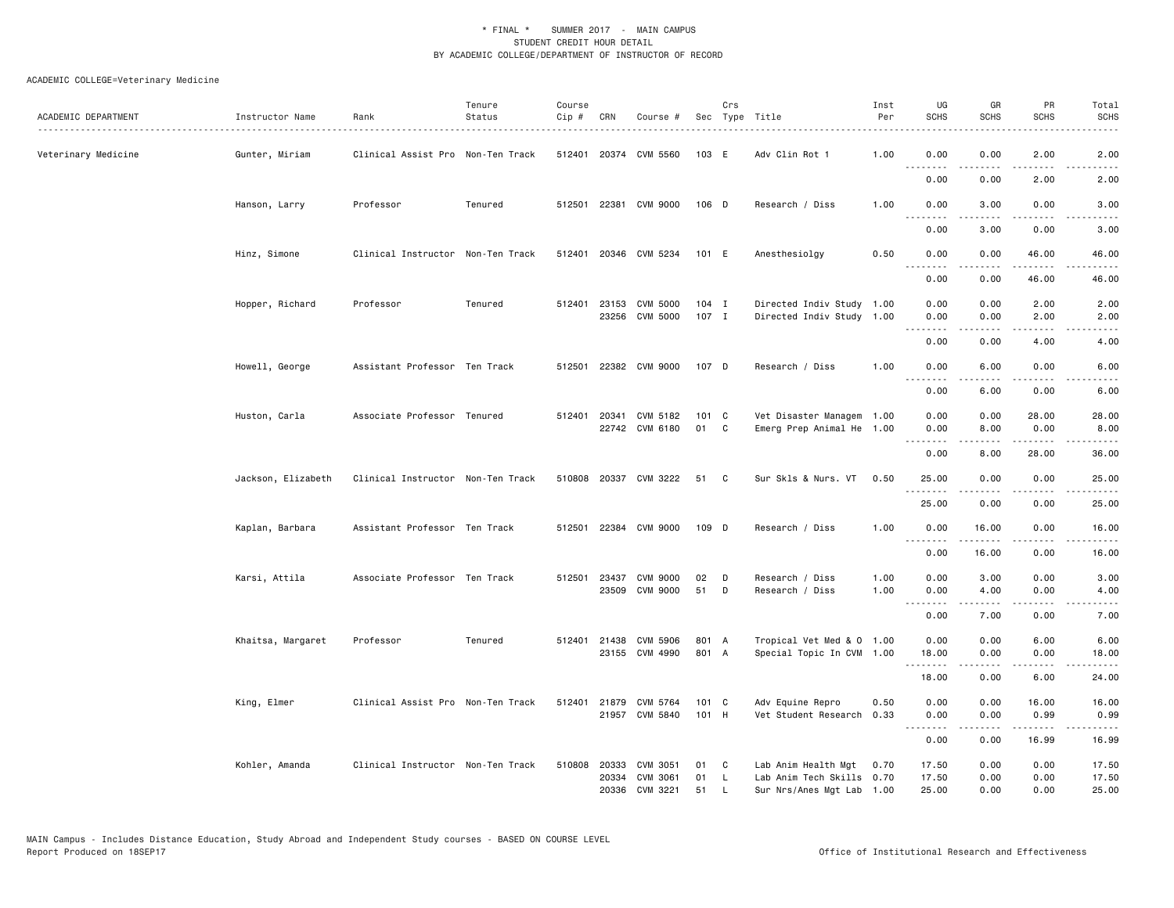| ACADEMIC DEPARTMENT | Instructor Name    | Rank<br>.                         | Tenure<br>Status | Course<br>Cip # | CRN          | Course #                   |                  | Crs    | Sec Type Title                                         | Inst<br>Per | UG<br><b>SCHS</b>     | GR<br><b>SCHS</b>    | PR<br><b>SCHS</b>           | Total<br><b>SCHS</b>                |
|---------------------|--------------------|-----------------------------------|------------------|-----------------|--------------|----------------------------|------------------|--------|--------------------------------------------------------|-------------|-----------------------|----------------------|-----------------------------|-------------------------------------|
| Veterinary Medicine | Gunter, Miriam     | Clinical Assist Pro Non-Ten Track |                  |                 |              | 512401 20374 CVM 5560      | 103 E            |        | Adv Clin Rot 1                                         | 1.00        | 0.00<br>.             | 0.00<br>.            | 2.00<br>.                   | 2.00<br>.                           |
|                     |                    |                                   |                  |                 |              |                            |                  |        |                                                        |             | 0.00                  | 0.00                 | 2.00                        | 2.00                                |
|                     | Hanson, Larry      | Professor                         | Tenured          |                 | 512501 22381 | CVM 9000                   | 106 D            |        | Research / Diss                                        | 1.00        | 0.00<br>.             | 3.00                 | 0.00                        | 3.00                                |
|                     |                    |                                   |                  |                 |              |                            |                  |        |                                                        |             | 0.00                  | 3.00                 | 0.00                        | 3.00                                |
|                     | Hinz, Simone       | Clinical Instructor Non-Ten Track |                  |                 |              | 512401 20346 CVM 5234      | 101 E            |        | Anesthesiolgy                                          | 0.50        | 0.00<br>----          | 0.00                 | 46.00                       | 46.00                               |
|                     |                    |                                   |                  |                 |              |                            |                  |        |                                                        |             | 0.00                  | 0.00                 | 46.00                       | 46.00                               |
|                     | Hopper, Richard    | Professor                         | Tenured          |                 | 512401 23153 | CVM 5000<br>23256 CVM 5000 | $104$ I<br>107 I |        | Directed Indiv Study 1.00<br>Directed Indiv Study 1.00 |             | 0.00<br>0.00          | 0.00<br>0.00         | 2.00<br>2.00                | 2.00<br>2.00                        |
|                     |                    |                                   |                  |                 |              |                            |                  |        |                                                        |             | .                     | .                    | $\sim$ $\sim$ $\sim$ $\sim$ | .                                   |
|                     |                    |                                   |                  |                 |              |                            |                  |        |                                                        |             | 0.00                  | 0.00                 | 4.00                        | 4.00                                |
|                     | Howell, George     | Assistant Professor Ten Track     |                  |                 |              | 512501 22382 CVM 9000      | 107 D            |        | Research / Diss                                        | 1.00        | 0.00                  | 6.00                 | 0.00                        | 6.00                                |
|                     |                    |                                   |                  |                 |              |                            |                  |        |                                                        |             | 0.00                  | 6.00                 | 0.00                        | 6.00                                |
|                     | Huston, Carla      | Associate Professor Tenured       |                  | 512401          | 20341        | CVM 5182                   | 101 C            |        | Vet Disaster Managem 1.00                              |             | 0.00                  | 0.00                 | 28.00                       | 28.00                               |
|                     |                    |                                   |                  |                 |              | 22742 CVM 6180             | 01               | C      | Emerg Prep Animal He 1.00                              |             | 0.00<br>.             | 8.00<br>.            | 0.00<br>.                   | 8.00<br>$\sim$ $\sim$ $\sim$ $\sim$ |
|                     |                    |                                   |                  |                 |              |                            |                  |        |                                                        |             | 0.00                  | 8.00                 | 28.00                       | 36.00                               |
|                     | Jackson, Elizabeth | Clinical Instructor Non-Ten Track |                  |                 |              | 510808 20337 CVM 3222      | 51               | C      | Sur Skls & Nurs. VT                                    | 0.50        | 25.00<br>.            | 0.00                 | 0.00                        | 25.00                               |
|                     |                    |                                   |                  |                 |              |                            |                  |        |                                                        |             | 25.00                 | 0.00                 | 0.00                        | 25.00                               |
|                     | Kaplan, Barbara    | Assistant Professor Ten Track     |                  | 512501          |              | 22384 CVM 9000             | 109 D            |        | Research / Diss                                        | 1.00        | 0.00<br>.             | 16.00<br>$- - - - -$ | 0.00<br>.                   | 16.00<br>.                          |
|                     |                    |                                   |                  |                 |              |                            |                  |        |                                                        |             | 0.00                  | 16.00                | 0.00                        | 16.00                               |
|                     | Karsi, Attila      | Associate Professor Ten Track     |                  |                 | 512501 23437 | CVM 9000                   | 02               | D      | Research / Diss                                        | 1.00        | 0.00                  | 3.00                 | 0.00                        | 3.00                                |
|                     |                    |                                   |                  |                 |              | 23509 CVM 9000             | 51               | D      | Research / Diss                                        | 1.00        | 0.00<br>.             | 4.00                 | 0.00                        | 4.00<br>.                           |
|                     |                    |                                   |                  |                 |              |                            |                  |        |                                                        |             | 0.00                  | 7.00                 | 0.00                        | 7.00                                |
|                     | Khaitsa, Margaret  | Professor                         | Tenured          |                 | 512401 21438 | CVM 5906                   | 801 A            |        | Tropical Vet Med & 0 1.00                              |             | 0.00                  | 0.00                 | 6.00                        | 6.00                                |
|                     |                    |                                   |                  |                 |              | 23155 CVM 4990             | 801 A            |        | Special Topic In CVM 1.00                              |             | 18.00<br>.            | 0.00<br>.            | 0.00<br>.                   | 18.00<br>.                          |
|                     |                    |                                   |                  |                 |              |                            |                  |        |                                                        |             | 18.00                 | 0.00                 | 6.00                        | 24.00                               |
|                     | King, Elmer        | Clinical Assist Pro Non-Ten Track |                  |                 | 512401 21879 | CVM 5764                   | $101 \quad C$    |        | Adv Equine Repro                                       | 0.50        | 0.00                  | 0.00                 | 16.00                       | 16.00                               |
|                     |                    |                                   |                  |                 |              | 21957 CVM 5840             | 101 H            |        | Vet Student Research                                   | 0.33        | 0.00<br>1.1.1.1.1.1.1 | 0.00<br>.            | 0.99<br>.                   | 0.99<br>.                           |
|                     |                    |                                   |                  |                 |              |                            |                  |        |                                                        |             | 0.00                  | 0.00                 | 16.99                       | 16.99                               |
|                     | Kohler, Amanda     | Clinical Instructor Non-Ten Track |                  |                 | 510808 20333 | CVM 3051                   | 01               | C      | Lab Anim Health Mgt                                    | 0.70        | 17.50                 | 0.00                 | 0.00                        | 17.50                               |
|                     |                    |                                   |                  |                 | 20334        | CVM 3061<br>20336 CVM 3221 | 01<br>51         | L<br>L | Lab Anim Tech Skills 0.70<br>Sur Nrs/Anes Mgt Lab 1.00 |             | 17.50<br>25.00        | 0.00<br>0.00         | 0.00<br>0.00                | 17.50<br>25.00                      |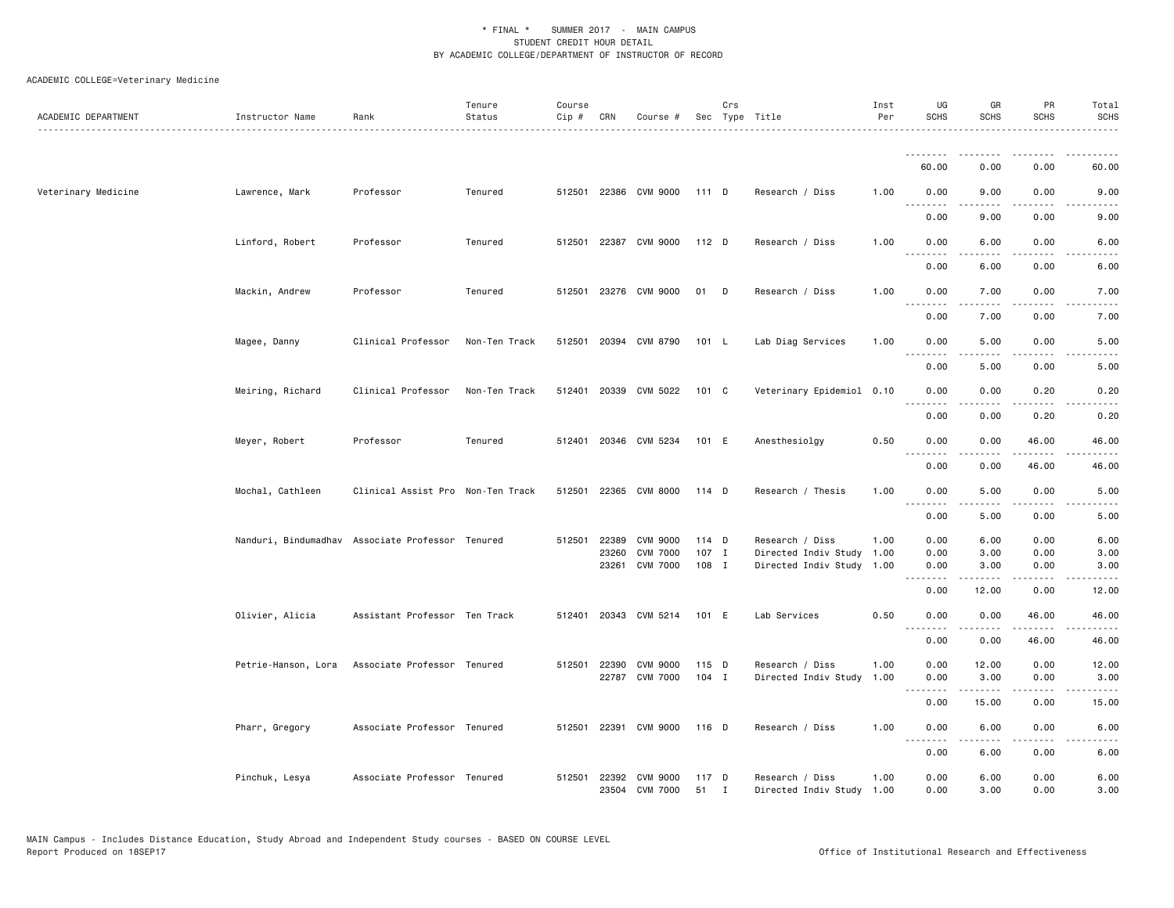| ACADEMIC DEPARTMENT | Instructor Name     | Rank                                             | Tenure<br>Status | Course<br>Cip # | CRN          | Course #                         |             | Crs          | Sec Type Title                               | Inst<br>Per | UG<br><b>SCHS</b>     | GR<br><b>SCHS</b> | PR<br><b>SCHS</b>                                                                                                                 | Total<br><b>SCHS</b> |
|---------------------|---------------------|--------------------------------------------------|------------------|-----------------|--------------|----------------------------------|-------------|--------------|----------------------------------------------|-------------|-----------------------|-------------------|-----------------------------------------------------------------------------------------------------------------------------------|----------------------|
|                     |                     |                                                  |                  |                 |              |                                  |             |              |                                              |             | .                     |                   |                                                                                                                                   |                      |
|                     |                     |                                                  |                  |                 |              |                                  |             |              |                                              |             | 60.00                 | 0.00              | 0.00                                                                                                                              | 60.00                |
| Veterinary Medicine | Lawrence, Mark      | Professor                                        | Tenured          |                 |              | 512501 22386 CVM 9000            | 111 D       |              | Research / Diss                              | 1.00        | 0.00<br>.             | 9.00<br>.         | 0.00                                                                                                                              | 9.00<br>.            |
|                     |                     |                                                  |                  |                 |              |                                  |             |              |                                              |             | 0.00                  | 9.00              | 0.00                                                                                                                              | 9.00                 |
|                     | Linford, Robert     | Professor                                        | Tenured          |                 |              | 512501 22387 CVM 9000            | 112 D       |              | Research / Diss                              | 1.00        | 0.00<br>$\frac{1}{2}$ | 6.00              | 0.00<br>- - - -                                                                                                                   | 6.00                 |
|                     |                     |                                                  |                  |                 |              |                                  |             |              |                                              |             | 0.00                  | 6.00              | 0.00                                                                                                                              | 6.00                 |
|                     | Mackin, Andrew      | Professor                                        | Tenured          | 512501          |              | 23276 CVM 9000                   | 01          | D            | Research / Diss                              | 1.00        | 0.00                  | 7.00              | 0.00<br>.                                                                                                                         | 7.00                 |
|                     |                     |                                                  |                  |                 |              |                                  |             |              |                                              |             | 0.00                  | 7.00              | 0.00                                                                                                                              | 7.00                 |
|                     | Magee, Danny        | Clinical Professor                               | Non-Ten Track    |                 |              | 512501 20394 CVM 8790            | 101 L       |              | Lab Diag Services                            | 1.00        | 0.00                  | 5.00              | 0.00                                                                                                                              | 5.00                 |
|                     |                     |                                                  |                  |                 |              |                                  |             |              |                                              |             | 0.00                  | 5.00              | 0.00                                                                                                                              | 5.00                 |
|                     | Meiring, Richard    | Clinical Professor                               | Non-Ten Track    |                 |              | 512401 20339 CVM 5022            | 101 C       |              | Veterinary Epidemiol 0.10                    |             | 0.00<br>$\cdots$      | 0.00<br>.         | 0.20<br>$- - -$                                                                                                                   | 0.20<br>.            |
|                     |                     |                                                  |                  |                 |              |                                  |             |              |                                              |             | 0.00                  | 0.00              | 0.20                                                                                                                              | 0.20                 |
|                     | Meyer, Robert       | Professor                                        | Tenured          |                 |              | 512401 20346 CVM 5234            | 101 E       |              | Anesthesiolgy                                | 0.50        | 0.00                  | 0.00              | 46.00                                                                                                                             | 46.00                |
|                     |                     |                                                  |                  |                 |              |                                  |             |              |                                              |             | 0.00                  | 0.00              | 46.00                                                                                                                             | 46.00                |
|                     | Mochal, Cathleen    | Clinical Assist Pro Non-Ten Track                |                  | 512501          |              | 22365 CVM 8000                   | 114 D       |              | Research / Thesis                            | 1.00        | 0.00<br>$- - -$       | 5.00              | 0.00                                                                                                                              | 5.00                 |
|                     |                     |                                                  |                  |                 |              |                                  |             |              |                                              |             | 0.00                  | 5.00              | 0.00                                                                                                                              | 5.00                 |
|                     |                     | Nanduri, Bindumadhav Associate Professor Tenured |                  |                 | 512501 22389 | CVM 9000                         | 114 D       |              | Research / Diss                              | 1.00        | 0.00                  | 6.00              | 0.00                                                                                                                              | 6.00                 |
|                     |                     |                                                  |                  |                 | 23260        | <b>CVM 7000</b>                  | 107 I       |              | Directed Indiv Study                         | 1.00        | 0.00                  | 3.00              | 0.00                                                                                                                              | 3.00                 |
|                     |                     |                                                  |                  |                 | 23261        | <b>CVM 7000</b>                  | 108 I       |              | Directed Indiv Study 1.00                    |             | 0.00<br><u>.</u>      | 3.00              | 0.00                                                                                                                              | 3.00                 |
|                     |                     |                                                  |                  |                 |              |                                  |             |              |                                              |             | 0.00                  | 12.00             | 0.00                                                                                                                              | 12.00                |
|                     | Olivier, Alicia     | Assistant Professor Ten Track                    |                  |                 |              | 512401 20343 CVM 5214            | 101 E       |              | Lab Services                                 | 0.50        | 0.00<br>.             | 0.00<br>.         | 46.00<br>$- - -$                                                                                                                  | 46.00                |
|                     |                     |                                                  |                  |                 |              |                                  |             |              |                                              |             | 0.00                  | 0.00              | 46.00                                                                                                                             | 46.00                |
|                     | Petrie-Hanson, Lora | Associate Professor Tenured                      |                  | 512501          | 22390        | CVM 9000                         | 115 D       |              | Research / Diss                              | 1.00        | 0.00                  | 12.00             | 0.00                                                                                                                              | 12.00                |
|                     |                     |                                                  |                  |                 |              | 22787 CVM 7000                   | $104$ I     |              | Directed Indiv Study                         | 1.00        | 0.00<br>$\frac{1}{2}$ | 3.00              | 0.00                                                                                                                              | 3.00                 |
|                     |                     |                                                  |                  |                 |              |                                  |             |              |                                              |             | 0.00                  | 15.00             | 0.00                                                                                                                              | 15.00                |
|                     | Pharr, Gregory      | Associate Professor Tenured                      |                  | 512501          |              | 22391 CVM 9000                   | 116 D       |              | Research / Diss                              | 1.00        | 0.00<br>.             | 6.00<br>.         | 0.00<br>$\frac{1}{2} \left( \frac{1}{2} \right) \left( \frac{1}{2} \right) \left( \frac{1}{2} \right) \left( \frac{1}{2} \right)$ | 6.00                 |
|                     |                     |                                                  |                  |                 |              |                                  |             |              |                                              |             | 0.00                  | 6.00              | 0.00                                                                                                                              | 6.00                 |
|                     | Pinchuk, Lesya      | Associate Professor Tenured                      |                  | 512501          |              | 22392 CVM 9000<br>23504 CVM 7000 | 117 D<br>51 | $\mathbf{I}$ | Research / Diss<br>Directed Indiv Study 1.00 | 1.00        | 0.00<br>0.00          | 6.00<br>3.00      | 0.00<br>0.00                                                                                                                      | 6.00<br>3.00         |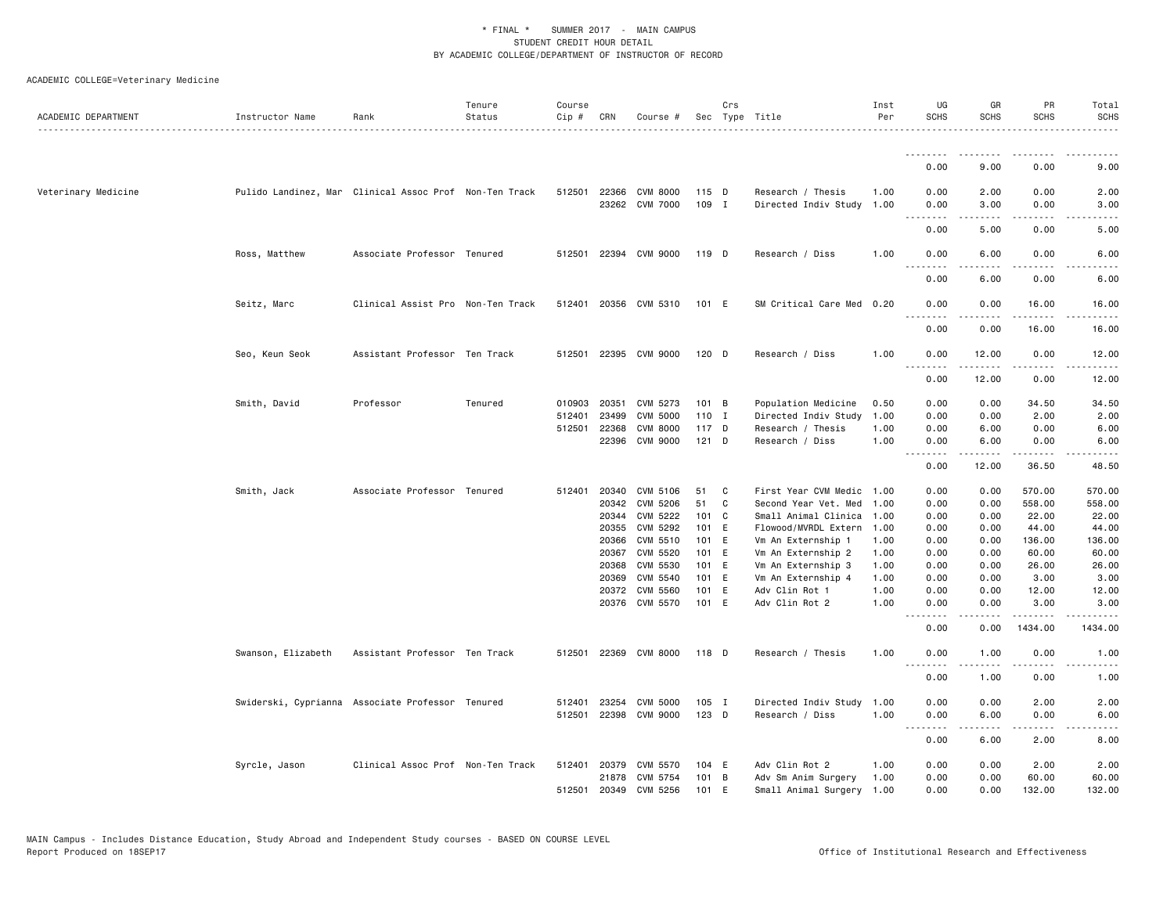| ACADEMIC DEPARTMENT | Instructor Name                                        | Rank                              | Tenure<br>Status | Course<br>Cip # | CRN            | Course #                                |                  | Crs          | Sec Type Title                                 | Inst<br>Per  | UG<br><b>SCHS</b> | GR<br><b>SCHS</b> | PR<br><b>SCHS</b>    | Total<br><b>SCHS</b>                                                                                                      |
|---------------------|--------------------------------------------------------|-----------------------------------|------------------|-----------------|----------------|-----------------------------------------|------------------|--------------|------------------------------------------------|--------------|-------------------|-------------------|----------------------|---------------------------------------------------------------------------------------------------------------------------|
|                     |                                                        |                                   |                  |                 |                |                                         |                  |              |                                                |              | <u>.</u><br>0.00  | 9.00              | 0.00                 | 9.00                                                                                                                      |
|                     |                                                        |                                   |                  |                 |                |                                         |                  |              |                                                |              |                   |                   |                      |                                                                                                                           |
| Veterinary Medicine | Pulido Landinez, Mar Clinical Assoc Prof Non-Ten Track |                                   |                  |                 |                | 512501 22366 CVM 8000<br>23262 CVM 7000 | 115 D<br>109 I   |              | Research / Thesis<br>Directed Indiv Study 1.00 | 1.00         | 0.00<br>0.00<br>. | 2.00<br>3.00<br>. | 0.00<br>0.00         | 2.00<br>3.00<br>.                                                                                                         |
|                     |                                                        |                                   |                  |                 |                |                                         |                  |              |                                                |              | 0.00              | 5.00              | .<br>0.00            | 5.00                                                                                                                      |
|                     | Ross, Matthew                                          | Associate Professor Tenured       |                  |                 |                | 512501 22394 CVM 9000                   | 119 D            |              | Research / Diss                                | 1.00         | 0.00<br><u>.</u>  | 6.00              | 0.00<br>$- - - -$    | 6.00                                                                                                                      |
|                     |                                                        |                                   |                  |                 |                |                                         |                  |              |                                                |              | 0.00              | 6.00              | 0.00                 | 6.00                                                                                                                      |
|                     | Seitz, Marc                                            | Clinical Assist Pro Non-Ten Track |                  |                 |                | 512401 20356 CVM 5310                   | 101 E            |              | SM Critical Care Med 0.20                      |              | 0.00<br><u>.</u>  | 0.00<br>.         | 16.00<br>$- - - - -$ | 16.00<br>.                                                                                                                |
|                     |                                                        |                                   |                  |                 |                |                                         |                  |              |                                                |              | 0.00              | 0.00              | 16.00                | 16.00                                                                                                                     |
|                     | Seo, Keun Seok                                         | Assistant Professor Ten Track     |                  |                 |                | 512501 22395 CVM 9000                   | $120$ D          |              | Research / Diss                                | 1.00         | 0.00<br>.         | 12.00<br>.        | 0.00<br>.            | 12.00<br>.                                                                                                                |
|                     |                                                        |                                   |                  |                 |                |                                         |                  |              |                                                |              | 0.00              | 12.00             | 0.00                 | 12.00                                                                                                                     |
|                     | Smith, David                                           | Professor                         | Tenured          | 010903          | 20351          | CVM 5273                                | 101 B            |              | Population Medicine                            | 0.50         | 0.00              | 0.00              | 34.50                | 34.50                                                                                                                     |
|                     |                                                        |                                   |                  | 512401          | 23499          | <b>CVM 5000</b>                         | 110 I            |              | Directed Indiv Study                           | 1.00         | 0.00              | 0.00              | 2.00                 | 2.00                                                                                                                      |
|                     |                                                        |                                   |                  | 512501          | 22368<br>22396 | <b>CVM 8000</b><br>CVM 9000             | 117 D<br>$121$ D |              | Research / Thesis<br>Research / Diss           | 1.00<br>1.00 | 0.00<br>0.00      | 6.00<br>6.00      | 0.00<br>0.00         | 6.00<br>6.00                                                                                                              |
|                     |                                                        |                                   |                  |                 |                |                                         |                  |              |                                                |              | <u>.</u>          | .                 | .                    | $\frac{1}{2} \left( \frac{1}{2} \right) \left( \frac{1}{2} \right) \left( \frac{1}{2} \right) \left( \frac{1}{2} \right)$ |
|                     |                                                        |                                   |                  |                 |                |                                         |                  |              |                                                |              | 0.00              | 12.00             | 36.50                | 48.50                                                                                                                     |
|                     | Smith, Jack                                            | Associate Professor Tenured       |                  | 512401          | 20340          | CVM 5106                                | 51               | C            | First Year CVM Medic                           | 1.00         | 0.00              | 0.00              | 570.00               | 570.00                                                                                                                    |
|                     |                                                        |                                   |                  |                 |                | 20342 CVM 5206                          | 51               | C            | Second Year Vet. Med                           | 1.00         | 0.00              | 0.00              | 558.00               | 558.00                                                                                                                    |
|                     |                                                        |                                   |                  |                 | 20344          | CVM 5222                                | 101              | $\mathbf{C}$ | Small Animal Clinica                           | 1.00         | 0.00              | 0.00              | 22.00                | 22.00                                                                                                                     |
|                     |                                                        |                                   |                  |                 | 20355          | CVM 5292                                | 101 E            |              | Flowood/MVRDL Extern                           | 1.00         | 0.00              | 0.00              | 44.00                | 44.00                                                                                                                     |
|                     |                                                        |                                   |                  |                 | 20366          | CVM 5510                                | 101 E            |              | Vm An Externship 1                             | 1.00         | 0.00              | 0.00              | 136.00               | 136.00                                                                                                                    |
|                     |                                                        |                                   |                  |                 | 20367          | CVM 5520                                | 101 E            |              | Vm An Externship 2                             | 1.00         | 0.00              | 0.00              | 60.00                | 60.00                                                                                                                     |
|                     |                                                        |                                   |                  |                 | 20368          | CVM 5530                                | 101 E            |              | Vm An Externship 3                             | 1.00         | 0.00              | 0.00              | 26.00                | 26.00                                                                                                                     |
|                     |                                                        |                                   |                  |                 | 20369          | CVM 5540                                | 101 E            |              | Vm An Externship 4                             | 1.00         | 0.00              | 0.00              | 3.00                 | 3.00                                                                                                                      |
|                     |                                                        |                                   |                  |                 | 20372          | CVM 5560                                | 101 E            |              | Adv Clin Rot 1                                 | 1.00         | 0.00              | 0.00              | 12.00                | 12.00                                                                                                                     |
|                     |                                                        |                                   |                  |                 |                | 20376 CVM 5570                          | 101 E            |              | Adv Clin Rot 2                                 | 1.00         | 0.00<br><u>.</u>  | 0.00              | 3.00<br>$- - - - -$  | 3.00                                                                                                                      |
|                     |                                                        |                                   |                  |                 |                |                                         |                  |              |                                                |              | 0.00              | 0.00              | 1434.00              | .<br>1434.00                                                                                                              |
|                     | Swanson, Elizabeth                                     | Assistant Professor Ten Track     |                  |                 |                | 512501 22369 CVM 8000                   | 118 D            |              | Research / Thesis                              | 1.00         | 0.00<br>.         | 1.00<br>.         | 0.00<br>$- - - -$    | 1.00<br>$\frac{1}{2}$                                                                                                     |
|                     |                                                        |                                   |                  |                 |                |                                         |                  |              |                                                |              | 0.00              | 1.00              | 0.00                 | 1.00                                                                                                                      |
|                     | Swiderski, Cyprianna Associate Professor Tenured       |                                   |                  | 512401          | 23254          | CVM 5000                                | 105 I            |              | Directed Indiv Study                           | 1.00         | 0.00              | 0.00              | 2.00                 | 2.00                                                                                                                      |
|                     |                                                        |                                   |                  | 512501          |                | 22398 CVM 9000                          | 123 D            |              | Research / Diss                                | 1.00         | 0.00<br>.         | 6.00              | 0.00                 | 6.00<br>.                                                                                                                 |
|                     |                                                        |                                   |                  |                 |                |                                         |                  |              |                                                |              | 0.00              | 6.00              | 2.00                 | 8.00                                                                                                                      |
|                     | Syrcle, Jason                                          | Clinical Assoc Prof Non-Ten Track |                  |                 |                | 512401 20379 CVM 5570                   | 104 E            |              | Adv Clin Rot 2                                 | 1.00         | 0.00              | 0.00              | 2.00                 | 2.00                                                                                                                      |
|                     |                                                        |                                   |                  |                 | 21878          | CVM 5754                                | 101 B            |              | Adv Sm Anim Surgery                            | 1.00         | 0.00              | 0.00              | 60.00                | 60.00                                                                                                                     |
|                     |                                                        |                                   |                  | 512501          |                | 20349 CVM 5256                          | 101 E            |              | Small Animal Surgery 1.00                      |              | 0.00              | 0.00              | 132.00               | 132.00                                                                                                                    |